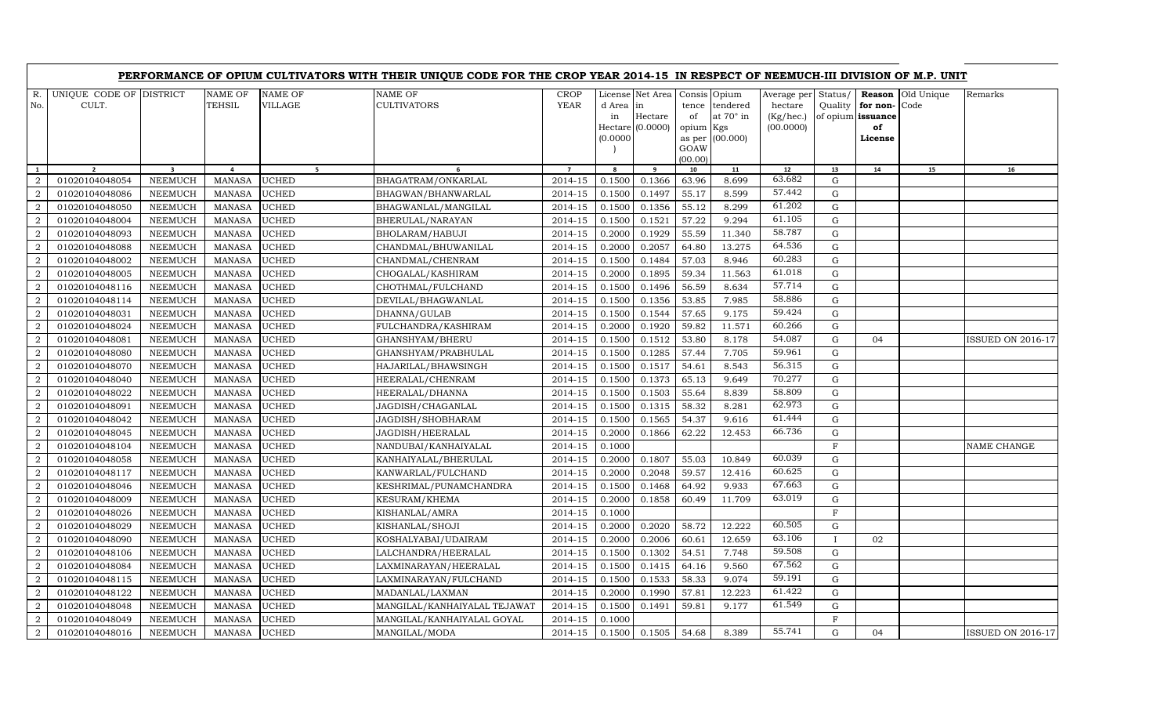| R.<br>UNIQUE CODE OF DISTRICT<br>NAME OF<br>NAME OF<br>NAME OF<br><b>CROP</b><br>Old Unique<br>License Net Area<br>Consis Opium<br>Average per<br>Status/<br>Reason<br>CULT.<br>TEHSIL<br>VILLAGE<br>CULTIVATORS<br><b>YEAR</b><br>No.<br>d Area in<br>tence tendered<br>hectare<br>Quality<br>for non-<br>Code<br>at $70^\circ$ in<br>(Kg/hec.)<br>Hectare<br>of<br>of opium issuance<br>in<br>(00.0000)<br>$Hectare$ (0.0000)<br>of<br>opium Kgs<br>(0.0000)<br>as per (00.000)<br>License<br>GOAW<br>(00.00)<br>$\overline{\mathbf{3}}$<br>$\overline{9}$<br>$12\,$<br>13<br>$\mathbf{1}$<br>$\overline{2}$<br>$\overline{a}$<br>5 <sub>1</sub><br>$\overline{7}$<br>8<br>10<br>11<br>14<br>15<br>6<br>63.682<br>01020104048054<br><b>UCHED</b><br>BHAGATRAM/ONKARLAL<br>0.1500<br>0.1366<br>8.699<br>$\overline{2}$<br><b>NEEMUCH</b><br><b>MANASA</b><br>2014-15<br>63.96<br>G<br>57.442<br>55.17<br>$\overline{2}$<br>01020104048086<br><b>UCHED</b><br>BHAGWAN/BHANWARLAL<br>2014-15<br>0.1500<br>0.1497<br>8.599<br>G<br><b>NEEMUCH</b><br><b>MANASA</b> | Remarks<br>16            |
|------------------------------------------------------------------------------------------------------------------------------------------------------------------------------------------------------------------------------------------------------------------------------------------------------------------------------------------------------------------------------------------------------------------------------------------------------------------------------------------------------------------------------------------------------------------------------------------------------------------------------------------------------------------------------------------------------------------------------------------------------------------------------------------------------------------------------------------------------------------------------------------------------------------------------------------------------------------------------------------------------------------------------------------------------------------|--------------------------|
|                                                                                                                                                                                                                                                                                                                                                                                                                                                                                                                                                                                                                                                                                                                                                                                                                                                                                                                                                                                                                                                                  |                          |
|                                                                                                                                                                                                                                                                                                                                                                                                                                                                                                                                                                                                                                                                                                                                                                                                                                                                                                                                                                                                                                                                  |                          |
|                                                                                                                                                                                                                                                                                                                                                                                                                                                                                                                                                                                                                                                                                                                                                                                                                                                                                                                                                                                                                                                                  |                          |
|                                                                                                                                                                                                                                                                                                                                                                                                                                                                                                                                                                                                                                                                                                                                                                                                                                                                                                                                                                                                                                                                  |                          |
|                                                                                                                                                                                                                                                                                                                                                                                                                                                                                                                                                                                                                                                                                                                                                                                                                                                                                                                                                                                                                                                                  |                          |
| 61.202<br>$\overline{2}$<br>01020104048050<br><b>NEEMUCH</b><br><b>UCHED</b><br>2014-15<br>0.1500<br>0.1356<br>55.12<br>8.299<br>G<br><b>MANASA</b><br>BHAGWANLAL/MANGILAL                                                                                                                                                                                                                                                                                                                                                                                                                                                                                                                                                                                                                                                                                                                                                                                                                                                                                       |                          |
| 61.105<br>57.22<br>$\mathbf{G}$<br>$\overline{2}$<br><b>NEEMUCH</b><br><b>MANASA</b><br><b>UCHED</b><br>2014-15<br>0.1500<br>0.1521<br>9.294<br>01020104048004<br>BHERULAL/NARAYAN                                                                                                                                                                                                                                                                                                                                                                                                                                                                                                                                                                                                                                                                                                                                                                                                                                                                               |                          |
| 58.787<br>$\overline{2}$<br>01020104048093<br><b>NEEMUCH</b><br><b>MANASA</b><br><b>UCHED</b><br>2014-15<br>0.2000<br>0.1929<br>55.59<br>11.340<br>G<br>BHOLARAM/HABUJI                                                                                                                                                                                                                                                                                                                                                                                                                                                                                                                                                                                                                                                                                                                                                                                                                                                                                          |                          |
| 64.536<br>$\overline{2}$<br>2014-15<br>0.2057<br>64.80<br>13.275<br>G<br>01020104048088<br><b>NEEMUCH</b><br><b>MANASA</b><br><b>UCHED</b><br>CHANDMAL/BHUWANILAL<br>0.2000                                                                                                                                                                                                                                                                                                                                                                                                                                                                                                                                                                                                                                                                                                                                                                                                                                                                                      |                          |
| 60.283<br>2<br>0.1484<br>57.03<br>01020104048002<br><b>NEEMUCH</b><br><b>UCHED</b><br>2014-15<br>0.1500<br>8.946<br>G<br><b>MANASA</b><br>CHANDMAL/CHENRAM                                                                                                                                                                                                                                                                                                                                                                                                                                                                                                                                                                                                                                                                                                                                                                                                                                                                                                       |                          |
| 61.018<br>$\overline{2}$<br><b>UCHED</b><br>0.1895<br>59.34<br>11.563<br>G<br>01020104048005<br><b>NEEMUCH</b><br><b>MANASA</b><br>CHOGALAL/KASHIRAM<br>2014-15<br>0.2000                                                                                                                                                                                                                                                                                                                                                                                                                                                                                                                                                                                                                                                                                                                                                                                                                                                                                        |                          |
| 57.714<br>01020104048116<br><b>UCHED</b><br>2014-15<br>0.1496<br>56.59<br>8.634<br>$\mathbf G$<br>2<br><b>NEEMUCH</b><br><b>MANASA</b><br>CHOTHMAL/FULCHAND<br>0.1500                                                                                                                                                                                                                                                                                                                                                                                                                                                                                                                                                                                                                                                                                                                                                                                                                                                                                            |                          |
| 58.886<br>$\overline{2}$<br>0.1356<br>53.85<br>7.985<br>01020104048114<br><b>NEEMUCH</b><br><b>MANASA</b><br><b>UCHED</b><br>DEVILAL/BHAGWANLAL<br>2014-15<br>0.1500<br>$\mathbf G$                                                                                                                                                                                                                                                                                                                                                                                                                                                                                                                                                                                                                                                                                                                                                                                                                                                                              |                          |
| 59.424<br>$\overline{2}$<br>01020104048031<br><b>NEEMUCH</b><br><b>UCHED</b><br>2014-15<br>0.1500<br>0.1544<br>57.65<br>9.175<br>G<br><b>MANASA</b><br>DHANNA/GULAB                                                                                                                                                                                                                                                                                                                                                                                                                                                                                                                                                                                                                                                                                                                                                                                                                                                                                              |                          |
| 60.266<br>$\boldsymbol{2}$<br><b>UCHED</b><br>0.1920<br>01020104048024<br><b>NEEMUCH</b><br><b>MANASA</b><br>FULCHANDRA/KASHIRAM<br>2014-15<br>0.2000<br>59.82<br>11.571<br>$\mathbf G$                                                                                                                                                                                                                                                                                                                                                                                                                                                                                                                                                                                                                                                                                                                                                                                                                                                                          |                          |
| 54.087<br>0.1512<br>53.80<br>8.178<br>$\mathbf G$<br>$\overline{2}$<br>01020104048081<br><b>NEEMUCH</b><br><b>UCHED</b><br>GHANSHYAM/BHERU<br>2014-15<br>0.1500<br>04<br><b>MANASA</b>                                                                                                                                                                                                                                                                                                                                                                                                                                                                                                                                                                                                                                                                                                                                                                                                                                                                           | <b>ISSUED ON 2016-17</b> |
| 59.961<br>$\overline{2}$<br><b>UCHED</b><br>0.1285<br>57.44<br>01020104048080<br><b>NEEMUCH</b><br><b>MANASA</b><br>GHANSHYAM/PRABHULAL<br>2014-15<br>0.1500<br>7.705<br>G                                                                                                                                                                                                                                                                                                                                                                                                                                                                                                                                                                                                                                                                                                                                                                                                                                                                                       |                          |
| 56.315<br>$\overline{2}$<br>0.1517<br>54.61<br>8.543<br>$\mathbf G$<br>01020104048070<br><b>NEEMUCH</b><br><b>UCHED</b><br>2014-15<br>0.1500<br><b>MANASA</b><br>HAJARILAL/BHAWSINGH                                                                                                                                                                                                                                                                                                                                                                                                                                                                                                                                                                                                                                                                                                                                                                                                                                                                             |                          |
| 70.277<br>$\overline{2}$<br>01020104048040<br><b>NEEMUCH</b><br><b>MANASA</b><br><b>UCHED</b><br>2014-15<br>0.1500<br>0.1373<br>65.13<br>9.649<br>G<br>HEERALAL/CHENRAM                                                                                                                                                                                                                                                                                                                                                                                                                                                                                                                                                                                                                                                                                                                                                                                                                                                                                          |                          |
| 58.809<br>0.1503<br>$\overline{2}$<br>01020104048022<br><b>NEEMUCH</b><br><b>UCHED</b><br>2014-15<br>0.1500<br>55.64<br>8.839<br>G<br><b>MANASA</b><br>HEERALAL/DHANNA                                                                                                                                                                                                                                                                                                                                                                                                                                                                                                                                                                                                                                                                                                                                                                                                                                                                                           |                          |
| 62.973<br>$\overline{2}$<br><b>UCHED</b><br>0.1315<br>58.32<br>8.281<br>01020104048091<br><b>NEEMUCH</b><br><b>MANASA</b><br>JAGDISH/CHAGANLAL<br>2014-15<br>0.1500<br>G                                                                                                                                                                                                                                                                                                                                                                                                                                                                                                                                                                                                                                                                                                                                                                                                                                                                                         |                          |
| 61.444<br>54.37<br>$\boldsymbol{2}$<br><b>NEEMUCH</b><br><b>UCHED</b><br>$2014 - 15$<br>0.1500<br>0.1565<br>9.616<br>G<br>01020104048042<br><b>MANASA</b><br>JAGDISH/SHOBHARAM                                                                                                                                                                                                                                                                                                                                                                                                                                                                                                                                                                                                                                                                                                                                                                                                                                                                                   |                          |
| 66.736<br>$\overline{2}$<br>01020104048045<br><b>NEEMUCH</b><br><b>MANASA</b><br><b>UCHED</b><br>2014-15<br>0.2000<br>0.1866<br>62.22<br>12.453<br>G<br>JAGDISH/HEERALAL                                                                                                                                                                                                                                                                                                                                                                                                                                                                                                                                                                                                                                                                                                                                                                                                                                                                                         |                          |
| $\overline{2}$<br>01020104048104<br><b>NEEMUCH</b><br><b>MANASA</b><br><b>UCHED</b><br>2014-15<br>0.1000<br>$\mathbf{F}$<br>NANDUBAI/KANHAIYALAL                                                                                                                                                                                                                                                                                                                                                                                                                                                                                                                                                                                                                                                                                                                                                                                                                                                                                                                 | NAME CHANGE              |
| 60.039<br>$\overline{2}$<br>2014-15<br>0.1807<br>55.03<br>10.849<br>01020104048058<br><b>NEEMUCH</b><br><b>MANASA</b><br><b>UCHED</b><br>0.2000<br>G<br>KANHAIYALAL/BHERULAL                                                                                                                                                                                                                                                                                                                                                                                                                                                                                                                                                                                                                                                                                                                                                                                                                                                                                     |                          |
| 60.625<br>0.2048<br>59.57<br>$\overline{2}$<br>01020104048117<br><b>NEEMUCH</b><br><b>MANASA</b><br><b>UCHED</b><br>2014-15<br>0.2000<br>12.416<br>G<br>KANWARLAL/FULCHAND                                                                                                                                                                                                                                                                                                                                                                                                                                                                                                                                                                                                                                                                                                                                                                                                                                                                                       |                          |
| 67.663<br>2014-15<br>0.1468<br>9.933<br>$\overline{2}$<br>01020104048046<br><b>NEEMUCH</b><br><b>MANASA</b><br><b>UCHED</b><br>0.1500<br>64.92<br>$\mathbf G$<br>KESHRIMAL/PUNAMCHANDRA                                                                                                                                                                                                                                                                                                                                                                                                                                                                                                                                                                                                                                                                                                                                                                                                                                                                          |                          |
| 63.019<br><b>UCHED</b><br>2014-15<br>60.49<br>2<br>01020104048009<br><b>NEEMUCH</b><br><b>MANASA</b><br>KESURAM/KHEMA<br>0.2000<br>0.1858<br>11.709<br>G                                                                                                                                                                                                                                                                                                                                                                                                                                                                                                                                                                                                                                                                                                                                                                                                                                                                                                         |                          |
| 2<br>2014-15<br>F<br>01020104048026<br><b>NEEMUCH</b><br><b>UCHED</b><br>0.1000<br><b>MANASA</b><br>KISHANLAL/AMRA                                                                                                                                                                                                                                                                                                                                                                                                                                                                                                                                                                                                                                                                                                                                                                                                                                                                                                                                               |                          |
| 60.505<br>$\overline{2}$<br><b>UCHED</b><br>2014-15<br>0.2000<br>0.2020<br>58.72<br>12.222<br>G<br>01020104048029<br><b>NEEMUCH</b><br><b>MANASA</b><br>KISHANLAL/SHOJI                                                                                                                                                                                                                                                                                                                                                                                                                                                                                                                                                                                                                                                                                                                                                                                                                                                                                          |                          |
| 63.106<br>$\overline{2}$<br><b>UCHED</b><br>2014-15<br>0.2000<br>0.2006<br>60.61<br>12.659<br>01020104048090<br><b>NEEMUCH</b><br>$\mathbf{I}$<br>02<br><b>MANASA</b><br>KOSHALYABAI/UDAIRAM                                                                                                                                                                                                                                                                                                                                                                                                                                                                                                                                                                                                                                                                                                                                                                                                                                                                     |                          |
| 59.508<br>$\overline{2}$<br>0.1302<br>01020104048106<br><b>NEEMUCH</b><br><b>UCHED</b><br>LALCHANDRA/HEERALAL<br>2014-15<br>0.1500<br>54.51<br>7.748<br>$\mathbf G$<br><b>MANASA</b>                                                                                                                                                                                                                                                                                                                                                                                                                                                                                                                                                                                                                                                                                                                                                                                                                                                                             |                          |
| 67.562<br>$\overline{2}$<br>01020104048084<br><b>NEEMUCH</b><br><b>UCHED</b><br>$2014 - 15$<br>0.1500<br>0.1415<br>64.16<br>9.560<br>G<br><b>MANASA</b><br>LAXMINARAYAN/HEERALAL                                                                                                                                                                                                                                                                                                                                                                                                                                                                                                                                                                                                                                                                                                                                                                                                                                                                                 |                          |
| 59.191<br>$\boldsymbol{2}$<br><b>UCHED</b><br>0.1500<br>0.1533<br>58.33<br>9.074<br>$\mathbf G$<br>01020104048115<br><b>NEEMUCH</b><br><b>MANASA</b><br>LAXMINARAYAN/FULCHAND<br>2014-15                                                                                                                                                                                                                                                                                                                                                                                                                                                                                                                                                                                                                                                                                                                                                                                                                                                                         |                          |
| 61.422<br>$\boldsymbol{2}$<br>2014-15<br>0.1990<br>57.81<br>12.223<br>$\mathbf G$<br>01020104048122<br><b>NEEMUCH</b><br><b>UCHED</b><br>0.2000<br><b>MANASA</b><br>MADANLAL/LAXMAN                                                                                                                                                                                                                                                                                                                                                                                                                                                                                                                                                                                                                                                                                                                                                                                                                                                                              |                          |
| 61.549<br>$\overline{2}$<br>01020104048048<br><b>UCHED</b><br>$2014 - 15$<br>0.1500<br>0.1491<br>59.81<br>9.177<br>G<br><b>NEEMUCH</b><br><b>MANASA</b><br>MANGILAL/KANHAIYALAL TEJAWAT                                                                                                                                                                                                                                                                                                                                                                                                                                                                                                                                                                                                                                                                                                                                                                                                                                                                          |                          |
| $\boldsymbol{2}$<br><b>NEEMUCH</b><br>UCHED<br>2014-15<br>0.1000<br>F<br>01020104048049<br><b>MANASA</b><br>MANGILAL/KANHAIYALAL GOYAL                                                                                                                                                                                                                                                                                                                                                                                                                                                                                                                                                                                                                                                                                                                                                                                                                                                                                                                           |                          |
| 55.741<br>$\boldsymbol{2}$<br>01020104048016<br><b>NEEMUCH</b><br><b>MANASA</b><br><b>UCHED</b><br>MANGILAL/MODA<br>2014-15<br>0.1500<br>0.1505<br>54.68<br>8.389<br>G<br>04                                                                                                                                                                                                                                                                                                                                                                                                                                                                                                                                                                                                                                                                                                                                                                                                                                                                                     | <b>ISSUED ON 2016-17</b> |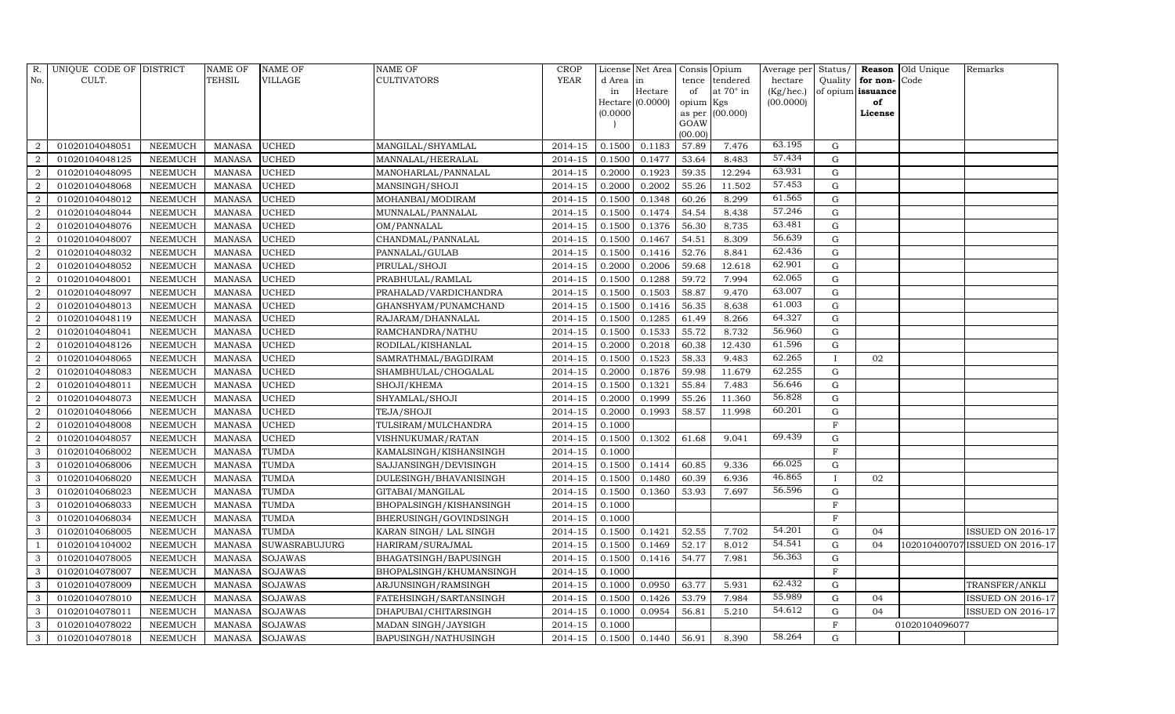| R.             | UNIQUE CODE OF DISTRICT |                | <b>NAME OF</b> | <b>NAME OF</b> | <b>NAME OF</b>          | <b>CROP</b> |           | License Net Area      |                 | Consis Opium     | Average per Status/ |              |                   | <b>Reason</b> Old Unique | Remarks                        |
|----------------|-------------------------|----------------|----------------|----------------|-------------------------|-------------|-----------|-----------------------|-----------------|------------------|---------------------|--------------|-------------------|--------------------------|--------------------------------|
| No.            | CULT.                   |                | TEHSIL         | VILLAGE        | <b>CULTIVATORS</b>      | <b>YEAR</b> | d Area in |                       |                 | tence tendered   | hectare             | Quality      | for non-          | Code                     |                                |
|                |                         |                |                |                |                         |             | in        | Hectare               | of              | at $70^\circ$ in | (Kg/hec.)           |              | of opium issuance |                          |                                |
|                |                         |                |                |                |                         |             |           | Hectare (0.0000)      | opium Kgs       |                  | (00.0000)           |              | of                |                          |                                |
|                |                         |                |                |                |                         |             | (0.0000)  |                       |                 | as per (00.000)  |                     |              | License           |                          |                                |
|                |                         |                |                |                |                         |             |           |                       | GOAW<br>(00.00) |                  |                     |              |                   |                          |                                |
| 2              | 01020104048051          | <b>NEEMUCH</b> | <b>MANASA</b>  | <b>UCHED</b>   | MANGILAL/SHYAMLAL       | 2014-15     | 0.1500    | 0.1183                | 57.89           | 7.476            | 63.195              | $\mathbf G$  |                   |                          |                                |
| 2              | 01020104048125          | <b>NEEMUCH</b> | <b>MANASA</b>  | <b>UCHED</b>   | MANNALAL/HEERALAL       | 2014-15     | 0.1500    | 0.1477                | 53.64           | 8.483            | 57.434              | $\mathbf G$  |                   |                          |                                |
| 2              | 01020104048095          | <b>NEEMUCH</b> | <b>MANASA</b>  | <b>UCHED</b>   | MANOHARLAL/PANNALAL     | $2014 - 15$ | 0.2000    | 0.1923                | 59.35           | 12.294           | 63.931              | $\mathbf G$  |                   |                          |                                |
| $\overline{2}$ | 01020104048068          | NEEMUCH        | <b>MANASA</b>  | <b>UCHED</b>   | MANSINGH/SHOJI          | 2014-15     | 0.2000    | 0.2002                | 55.26           | 11.502           | 57.453              | $\mathbf G$  |                   |                          |                                |
| 2              | 01020104048012          | <b>NEEMUCH</b> | <b>MANASA</b>  | <b>UCHED</b>   | MOHANBAI/MODIRAM        | 2014-15     | 0.1500    | 0.1348                | 60.26           | 8.299            | 61.565              | $\mathbf G$  |                   |                          |                                |
| $\overline{2}$ | 01020104048044          | <b>NEEMUCH</b> | <b>MANASA</b>  | <b>UCHED</b>   | MUNNALAL/PANNALAL       | 2014-15     | 0.1500    | 0.1474                | 54.54           | 8.438            | 57.246              | $\mathbf G$  |                   |                          |                                |
| 2              | 01020104048076          | <b>NEEMUCH</b> | <b>MANASA</b>  | <b>UCHED</b>   | OM/PANNALAL             | 2014-15     | 0.1500    | 0.1376                | 56.30           | 8.735            | 63.481              | $\mathbf G$  |                   |                          |                                |
| $\overline{2}$ | 01020104048007          | <b>NEEMUCH</b> | <b>MANASA</b>  | <b>UCHED</b>   | CHANDMAL/PANNALAL       | 2014-15     | 0.1500    | 0.1467                | 54.51           | 8.309            | 56.639              | $\mathbf G$  |                   |                          |                                |
| 2              | 01020104048032          | <b>NEEMUCH</b> | <b>MANASA</b>  | <b>UCHED</b>   | PANNALAL/GULAB          | 2014-15     | 0.1500    | 0.1416                | 52.76           | 8.841            | 62.436              | $\mathbf G$  |                   |                          |                                |
| 2              | 01020104048052          | <b>NEEMUCH</b> | <b>MANASA</b>  | <b>UCHED</b>   | PIRULAL/SHOJI           | 2014-15     | 0.2000    | 0.2006                | 59.68           | 12.618           | 62.901              | $\mathbf G$  |                   |                          |                                |
| 2              | 01020104048001          | <b>NEEMUCH</b> | <b>MANASA</b>  | <b>UCHED</b>   | PRABHULAL/RAMLAL        | 2014-15     | 0.1500    | 0.1288                | 59.72           | 7.994            | 62.065              | $\mathbf G$  |                   |                          |                                |
| $\overline{a}$ | 01020104048097          | <b>NEEMUCH</b> | <b>MANASA</b>  | <b>UCHED</b>   | PRAHALAD/VARDICHANDRA   | 2014-15     | 0.1500    | 0.1503                | 58.87           | 9.470            | 63.007              | G            |                   |                          |                                |
| $\overline{2}$ | 01020104048013          | <b>NEEMUCH</b> | <b>MANASA</b>  | <b>UCHED</b>   | GHANSHYAM/PUNAMCHAND    | $2014 - 15$ | 0.1500    | 0.1416                | 56.35           | 8.638            | 61.003              | $\mathbf G$  |                   |                          |                                |
| $\overline{2}$ | 01020104048119          | <b>NEEMUCH</b> | <b>MANASA</b>  | <b>UCHED</b>   | RAJARAM/DHANNALAL       | 2014-15     | 0.1500    | 0.1285                | 61.49           | 8.266            | 64.327              | $\mathbf G$  |                   |                          |                                |
| $\overline{2}$ | 01020104048041          | <b>NEEMUCH</b> | <b>MANASA</b>  | <b>UCHED</b>   | RAMCHANDRA/NATHU        | 2014-15     | 0.1500    | 0.1533                | 55.72           | 8.732            | 56.960              | $\mathbf G$  |                   |                          |                                |
| $\overline{2}$ | 01020104048126          | <b>NEEMUCH</b> | <b>MANASA</b>  | <b>UCHED</b>   | RODILAL/KISHANLAL       | 2014-15     | 0.2000    | 0.2018                | 60.38           | 12.430           | 61.596              | $\mathbf G$  |                   |                          |                                |
| 2              | 01020104048065          | <b>NEEMUCH</b> | <b>MANASA</b>  | <b>UCHED</b>   | SAMRATHMAL/BAGDIRAM     | 2014-15     | 0.1500    | 0.1523                | 58.33           | 9.483            | 62.265              |              | 02                |                          |                                |
| $\overline{2}$ | 01020104048083          | <b>NEEMUCH</b> | <b>MANASA</b>  | <b>UCHED</b>   | SHAMBHULAL/CHOGALAL     | 2014-15     | 0.2000    | 0.1876                | 59.98           | 11.679           | 62.255              | $\mathbf G$  |                   |                          |                                |
| 2              | 01020104048011          | <b>NEEMUCH</b> | <b>MANASA</b>  | <b>UCHED</b>   | SHOJI/KHEMA             | 2014-15     | 0.1500    | 0.1321                | 55.84           | 7.483            | 56.646              | $\mathbf G$  |                   |                          |                                |
| 2              | 01020104048073          | <b>NEEMUCH</b> | <b>MANASA</b>  | <b>UCHED</b>   | SHYAMLAL/SHOJI          | $2014 - 15$ | 0.2000    | 0.1999                | 55.26           | 11.360           | 56.828              | $\mathbf G$  |                   |                          |                                |
| $\overline{2}$ | 01020104048066          | <b>NEEMUCH</b> | <b>MANASA</b>  | <b>UCHED</b>   | TEJA/SHOJI              | 2014-15     | 0.2000    | 0.1993                | 58.57           | 11.998           | 60.201              | G            |                   |                          |                                |
| 2              | 01020104048008          | <b>NEEMUCH</b> | <b>MANASA</b>  | <b>UCHED</b>   | TULSIRAM/MULCHANDRA     | 2014-15     | 0.1000    |                       |                 |                  |                     | $\mathbf{F}$ |                   |                          |                                |
| $\overline{2}$ | 01020104048057          | <b>NEEMUCH</b> | <b>MANASA</b>  | <b>UCHED</b>   | VISHNUKUMAR/RATAN       | 2014-15     | 0.1500    | 0.1302                | 61.68           | 9.041            | 69.439              | G            |                   |                          |                                |
| 3              | 01020104068002          | <b>NEEMUCH</b> | <b>MANASA</b>  | <b>TUMDA</b>   | KAMALSINGH/KISHANSINGH  | $2014 - 15$ | 0.1000    |                       |                 |                  |                     | $\rm F$      |                   |                          |                                |
| $\mathbf{3}$   | 01020104068006          | <b>NEEMUCH</b> | <b>MANASA</b>  | <b>TUMDA</b>   | SAJJANSINGH/DEVISINGH   | 2014-15     | 0.1500    | 0.1414                | 60.85           | 9.336            | 66.025              | $\mathbf G$  |                   |                          |                                |
| 3              | 01020104068020          | <b>NEEMUCH</b> | <b>MANASA</b>  | <b>TUMDA</b>   | DULESINGH/BHAVANISINGH  | 2014-15     | 0.1500    | 0.1480                | 60.39           | 6.936            | 46.865              | $\mathbf{I}$ | 02                |                          |                                |
| $\mathbf{3}$   | 01020104068023          | <b>NEEMUCH</b> | <b>MANASA</b>  | TUMDA          | GITABAI/MANGILAL        | 2014-15     | 0.1500    | 0.1360                | 53.93           | 7.697            | 56.596              | $\mathbf G$  |                   |                          |                                |
| 3              | 01020104068033          | <b>NEEMUCH</b> | <b>MANASA</b>  | <b>TUMDA</b>   | BHOPALSINGH/KISHANSINGH | 2014-15     | 0.1000    |                       |                 |                  |                     | F            |                   |                          |                                |
| 3              | 01020104068034          | <b>NEEMUCH</b> | <b>MANASA</b>  | TUMDA          | BHERUSINGH/GOVINDSINGH  | 2014-15     | 0.1000    |                       |                 |                  |                     | F            |                   |                          |                                |
| $\mathbf{3}$   | 01020104068005          | <b>NEEMUCH</b> | <b>MANASA</b>  | TUMDA          | KARAN SINGH / LAL SINGH | $2014 - 15$ | 0.1500    | 0.1421                | 52.55           | 7.702            | 54.201              | $\mathbf G$  | 04                |                          | <b>ISSUED ON 2016-17</b>       |
|                | 01020104104002          | <b>NEEMUCH</b> | <b>MANASA</b>  | SUWASRABUJURG  | HARIRAM/SURAJMAL        | 2014-15     | 0.1500    | 0.1469                | 52.17           | 8.012            | 54.541              | $\mathbf G$  | 04                |                          | 102010400707 ISSUED ON 2016-17 |
| 3              | 01020104078005          | <b>NEEMUCH</b> | <b>MANASA</b>  | <b>SOJAWAS</b> | BHAGATSINGH/BAPUSINGH   | 2014-15     | 0.1500    | 0.1416                | 54.77           | 7.981            | 56.363              | ${\rm G}$    |                   |                          |                                |
| $\mathbf{3}$   | 01020104078007          | <b>NEEMUCH</b> | <b>MANASA</b>  | <b>SOJAWAS</b> | BHOPALSINGH/KHUMANSINGH | 2014-15     | 0.1000    |                       |                 |                  |                     | $\mathbf F$  |                   |                          |                                |
| 3              | 01020104078009          | <b>NEEMUCH</b> | <b>MANASA</b>  | <b>SOJAWAS</b> | ARJUNSINGH/RAMSINGH     | 2014-15     | 0.1000    | 0.0950                | 63.77           | 5.931            | 62.432              | $\mathbf G$  |                   |                          | TRANSFER/ANKLI                 |
| 3              | 01020104078010          | <b>NEEMUCH</b> | <b>MANASA</b>  | <b>SOJAWAS</b> | FATEHSINGH/SARTANSINGH  | 2014-15     | 0.1500    | 0.1426                | 53.79           | 7.984            | 55.989              | $\mathbf G$  | 04                |                          | <b>ISSUED ON 2016-17</b>       |
| 3              | 01020104078011          | <b>NEEMUCH</b> | <b>MANASA</b>  | <b>SOJAWAS</b> | DHAPUBAI/CHITARSINGH    | 2014-15     | 0.1000    | 0.0954                | 56.81           | 5.210            | 54.612              | $\mathbf G$  | 04                |                          | <b>ISSUED ON 2016-17</b>       |
| $\mathbf{3}$   | 01020104078022          | <b>NEEMUCH</b> | <b>MANASA</b>  | SOJAWAS        | MADAN SINGH/JAYSIGH     | 2014-15     | 0.1000    |                       |                 |                  |                     | F            |                   | 01020104096077           |                                |
| 3              | 01020104078018          | <b>NEEMUCH</b> | <b>MANASA</b>  | <b>SOJAWAS</b> | BAPUSINGH/NATHUSINGH    | 2014-15     |           | $0.1500 \quad 0.1440$ | 56.91           | 8.390            | 58.264              | G            |                   |                          |                                |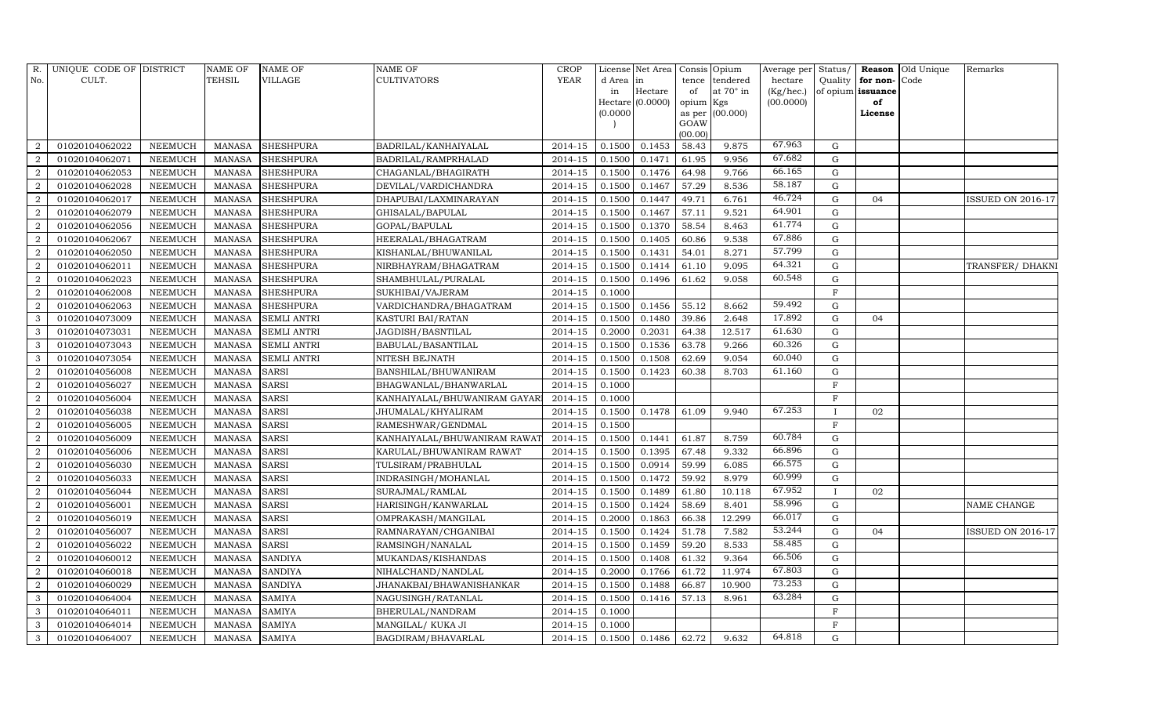| R.             | UNIQUE CODE OF DISTRICT |                | NAME OF       | <b>NAME OF</b>     | <b>NAME OF</b>               | <b>CROP</b> |           | License Net Area   | Consis Opium   |                  | Average per Status/ |              |                   | <b>Reason</b> Old Unique | Remarks                  |
|----------------|-------------------------|----------------|---------------|--------------------|------------------------------|-------------|-----------|--------------------|----------------|------------------|---------------------|--------------|-------------------|--------------------------|--------------------------|
| No.            | CULT.                   |                | TEHSIL        | <b>VILLAGE</b>     | <b>CULTIVATORS</b>           | YEAR        | d Area in |                    | tence          | tendered         | hectare             | Quality      | for non-          | Code                     |                          |
|                |                         |                |               |                    |                              |             | in        | Hectare            | of             | at $70^\circ$ in | (Kg/hec.)           |              | of opium issuance |                          |                          |
|                |                         |                |               |                    |                              |             |           | $Hectare$ (0.0000) | opium Kgs      |                  | (00.0000)           |              | of                |                          |                          |
|                |                         |                |               |                    |                              |             | (0.0000)  |                    | as per<br>GOAW | (00.000)         |                     |              | License           |                          |                          |
|                |                         |                |               |                    |                              |             |           |                    | (00.00)        |                  |                     |              |                   |                          |                          |
| 2              | 01020104062022          | <b>NEEMUCH</b> | MANASA        | <b>SHESHPURA</b>   | BADRILAL/KANHAIYALAL         | 2014-15     | 0.1500    | 0.1453             | 58.43          | 9.875            | 67.963              | G            |                   |                          |                          |
| $\overline{2}$ | 01020104062071          | <b>NEEMUCH</b> | <b>MANASA</b> | <b>SHESHPURA</b>   | BADRILAL/RAMPRHALAD          | 2014-15     | 0.1500    | 0.1471             | 61.95          | 9.956            | 67.682              | $\mathbf G$  |                   |                          |                          |
| $\overline{2}$ | 01020104062053          | <b>NEEMUCH</b> | <b>MANASA</b> | <b>SHESHPURA</b>   | CHAGANLAL/BHAGIRATH          | $2014 - 15$ | 0.1500    | 0.1476             | 64.98          | 9.766            | 66.165              | G            |                   |                          |                          |
| $\overline{2}$ | 01020104062028          | <b>NEEMUCH</b> | <b>MANASA</b> | <b>SHESHPURA</b>   | DEVILAL/VARDICHANDRA         | 2014-15     | 0.1500    | 0.1467             | 57.29          | 8.536            | 58.187              | $\mathbf G$  |                   |                          |                          |
| 2              | 01020104062017          | <b>NEEMUCH</b> | <b>MANASA</b> | <b>SHESHPURA</b>   | DHAPUBAI/LAXMINARAYAN        | 2014-15     | 0.1500    | 0.1447             | 49.71          | 6.761            | 46.724              | $\mathbf G$  | 04                |                          | <b>ISSUED ON 2016-17</b> |
| $\overline{2}$ | 01020104062079          | <b>NEEMUCH</b> | <b>MANASA</b> | <b>SHESHPURA</b>   | GHISALAL/BAPULAL             | 2014-15     | 0.1500    | 0.1467             | 57.11          | 9.521            | 64.901              | $\mathbf G$  |                   |                          |                          |
| 2              | 01020104062056          | <b>NEEMUCH</b> | <b>MANASA</b> | <b>SHESHPURA</b>   | GOPAL/BAPULAL                | 2014-15     | 0.1500    | 0.1370             | 58.54          | 8.463            | 61.774              | $\mathbf G$  |                   |                          |                          |
| 2              | 01020104062067          | <b>NEEMUCH</b> | <b>MANASA</b> | <b>SHESHPURA</b>   | HEERALAL/BHAGATRAM           | 2014-15     | 0.1500    | 0.1405             | 60.86          | 9.538            | 67.886              | $\mathbf G$  |                   |                          |                          |
| 2              | 01020104062050          | <b>NEEMUCH</b> | <b>MANASA</b> | <b>SHESHPURA</b>   | KISHANLAL/BHUWANILAL         | 2014-15     | 0.1500    | 0.1431             | 54.01          | 8.271            | 57.799              | $\mathbf G$  |                   |                          |                          |
| $\overline{a}$ | 01020104062011          | <b>NEEMUCH</b> | <b>MANASA</b> | <b>SHESHPURA</b>   | NIRBHAYRAM/BHAGATRAM         | 2014-15     | 0.1500    | 0.1414             | 61.10          | 9.095            | 64.321              | $\mathbf G$  |                   |                          | TRANSFER/ DHAKNI         |
| 2              | 01020104062023          | <b>NEEMUCH</b> | <b>MANASA</b> | <b>SHESHPURA</b>   | SHAMBHULAL/PURALAL           | 2014-15     | 0.1500    | 0.1496             | 61.62          | 9.058            | 60.548              | G            |                   |                          |                          |
| $\overline{2}$ | 01020104062008          | <b>NEEMUCH</b> | <b>MANASA</b> | <b>SHESHPURA</b>   | SUKHIBAI/VAJERAM             | 2014-15     | 0.1000    |                    |                |                  |                     | $\mathbf{F}$ |                   |                          |                          |
| 2              | 01020104062063          | <b>NEEMUCH</b> | <b>MANASA</b> | <b>SHESHPURA</b>   | VARDICHANDRA/BHAGATRAM       | 2014-15     | 0.1500    | 0.1456             | 55.12          | 8.662            | 59.492              | $\mathbf G$  |                   |                          |                          |
| 3              | 01020104073009          | <b>NEEMUCH</b> | <b>MANASA</b> | <b>SEMLI ANTRI</b> | KASTURI BAI/RATAN            | 2014-15     | 0.1500    | 0.1480             | 39.86          | 2.648            | 17.892              | $\mathbf G$  | 04                |                          |                          |
| $\mathbf{3}$   | 01020104073031          | <b>NEEMUCH</b> | <b>MANASA</b> | <b>SEMLI ANTRI</b> | JAGDISH/BASNTILAL            | 2014-15     | 0.2000    | 0.2031             | 64.38          | 12.517           | 61.630              | $\mathbf G$  |                   |                          |                          |
| 3              | 01020104073043          | <b>NEEMUCH</b> | <b>MANASA</b> | <b>SEMLI ANTRI</b> | BABULAL/BASANTILAL           | 2014-15     | 0.1500    | 0.1536             | 63.78          | 9.266            | 60.326              | G            |                   |                          |                          |
| 3              | 01020104073054          | <b>NEEMUCH</b> | <b>MANASA</b> | SEMLI ANTRI        | NITESH BEJNATH               | 2014-15     | 0.1500    | 0.1508             | 62.69          | 9.054            | 60.040              | G            |                   |                          |                          |
| 2              | 01020104056008          | <b>NEEMUCH</b> | <b>MANASA</b> | <b>SARSI</b>       | BANSHILAL/BHUWANIRAM         | 2014-15     | 0.1500    | 0.1423             | 60.38          | 8.703            | 61.160              | $\mathbf G$  |                   |                          |                          |
| $\overline{2}$ | 01020104056027          | <b>NEEMUCH</b> | <b>MANASA</b> | <b>SARSI</b>       | BHAGWANLAL/BHANWARLAL        | 2014-15     | 0.1000    |                    |                |                  |                     | ${\bf F}$    |                   |                          |                          |
| 2              | 01020104056004          | <b>NEEMUCH</b> | <b>MANASA</b> | <b>SARSI</b>       | KANHAIYALAL/BHUWANIRAM GAYAR | 2014-15     | 0.1000    |                    |                |                  |                     | F            |                   |                          |                          |
| $\overline{2}$ | 01020104056038          | <b>NEEMUCH</b> | <b>MANASA</b> | <b>SARSI</b>       | JHUMALAL/KHYALIRAM           | 2014-15     | 0.1500    | 0.1478             | 61.09          | 9.940            | 67.253              | $\mathbf I$  | 02                |                          |                          |
| $\overline{2}$ | 01020104056005          | <b>NEEMUCH</b> | <b>MANASA</b> | <b>SARSI</b>       | RAMESHWAR/GENDMAL            | 2014-15     | 0.1500    |                    |                |                  |                     | $\mathbf{F}$ |                   |                          |                          |
| $\overline{2}$ | 01020104056009          | <b>NEEMUCH</b> | <b>MANASA</b> | <b>SARSI</b>       | KANHAIYALAL/BHUWANIRAM RAWAT | 2014-15     | 0.1500    | 0.1441             | 61.87          | 8.759            | 60.784              | $\mathbf G$  |                   |                          |                          |
| $\overline{2}$ | 01020104056006          | <b>NEEMUCH</b> | <b>MANASA</b> | <b>SARSI</b>       | KARULAL/BHUWANIRAM RAWAT     | 2014-15     | 0.1500    | 0.1395             | 67.48          | 9.332            | 66.896              | ${\rm G}$    |                   |                          |                          |
| $\overline{2}$ | 01020104056030          | <b>NEEMUCH</b> | <b>MANASA</b> | <b>SARSI</b>       | TULSIRAM/PRABHULAL           | 2014-15     | 0.1500    | 0.0914             | 59.99          | 6.085            | 66.575              | $\mathbf G$  |                   |                          |                          |
| 2              | 01020104056033          | <b>NEEMUCH</b> | <b>MANASA</b> | <b>SARSI</b>       | INDRASINGH/MOHANLAL          | 2014-15     | 0.1500    | 0.1472             | 59.92          | 8.979            | 60.999              | G            |                   |                          |                          |
| 2              | 01020104056044          | <b>NEEMUCH</b> | <b>MANASA</b> | <b>SARSI</b>       | SURAJMAL/RAMLAL              | 2014-15     | 0.1500    | 0.1489             | 61.80          | 10.118           | 67.952              | $\mathbf I$  | 02                |                          |                          |
| 2              | 01020104056001          | <b>NEEMUCH</b> | <b>MANASA</b> | <b>SARSI</b>       | HARISINGH/KANWARLAL          | 2014-15     | 0.1500    | 0.1424             | 58.69          | 8.401            | 58.996              | $\mathbf G$  |                   |                          | NAME CHANGE              |
| 2              | 01020104056019          | <b>NEEMUCH</b> | <b>MANASA</b> | <b>SARSI</b>       | OMPRAKASH/MANGILAL           | 2014-15     | 0.2000    | 0.1863             | 66.38          | 12.299           | 66.017              | $\mathbf G$  |                   |                          |                          |
| 2              | 01020104056007          | <b>NEEMUCH</b> | <b>MANASA</b> | <b>SARSI</b>       | RAMNARAYAN/CHGANIBAI         | 2014-15     | 0.1500    | 0.1424             | 51.78          | 7.582            | 53.244              | $\mathbf G$  | 04                |                          | <b>ISSUED ON 2016-17</b> |
| 2              | 01020104056022          | <b>NEEMUCH</b> | <b>MANASA</b> | <b>SARSI</b>       | RAMSINGH/NANALAL             | 2014-15     | 0.1500    | 0.1459             | 59.20          | 8.533            | 58.485              | $\mathbf G$  |                   |                          |                          |
| $\overline{a}$ | 01020104060012          | <b>NEEMUCH</b> | <b>MANASA</b> | <b>SANDIYA</b>     | MUKANDAS/KISHANDAS           | 2014-15     | 0.1500    | 0.1408             | 61.32          | 9.364            | 66.506              | $\mathbf G$  |                   |                          |                          |
| 2              | 01020104060018          | <b>NEEMUCH</b> | <b>MANASA</b> | <b>SANDIYA</b>     | NIHALCHAND/NANDLAL           | 2014-15     | 0.2000    | 0.1766             | 61.72          | 11.974           | 67.803              | G            |                   |                          |                          |
| 2              | 01020104060029          | <b>NEEMUCH</b> | <b>MANASA</b> | <b>SANDIYA</b>     | JHANAKBAI/BHAWANISHANKAR     | 2014-15     | 0.1500    | 0.1488             | 66.87          | 10.900           | 73.253              | G            |                   |                          |                          |
| 3              | 01020104064004          | <b>NEEMUCH</b> | <b>MANASA</b> | <b>SAMIYA</b>      | NAGUSINGH/RATANLAL           | 2014-15     | 0.1500    | 0.1416             | 57.13          | 8.961            | 63.284              | $\mathbf G$  |                   |                          |                          |
| $\mathbf{3}$   | 01020104064011          | <b>NEEMUCH</b> | <b>MANASA</b> | <b>SAMIYA</b>      | BHERULAL/NANDRAM             | 2014-15     | 0.1000    |                    |                |                  |                     | ${\bf F}$    |                   |                          |                          |
| $\mathbf{3}$   | 01020104064014          | <b>NEEMUCH</b> | <b>MANASA</b> | <b>SAMIYA</b>      | MANGILAL/KUKA JI             | 2014-15     | 0.1000    |                    |                |                  |                     | $\rm F$      |                   |                          |                          |
| 3              | 01020104064007          | <b>NEEMUCH</b> | <b>MANASA</b> | <b>SAMIYA</b>      | BAGDIRAM/BHAVARLAL           | 2014-15     | 0.1500    | 0.1486             | 62.72          | 9.632            | 64.818              | G            |                   |                          |                          |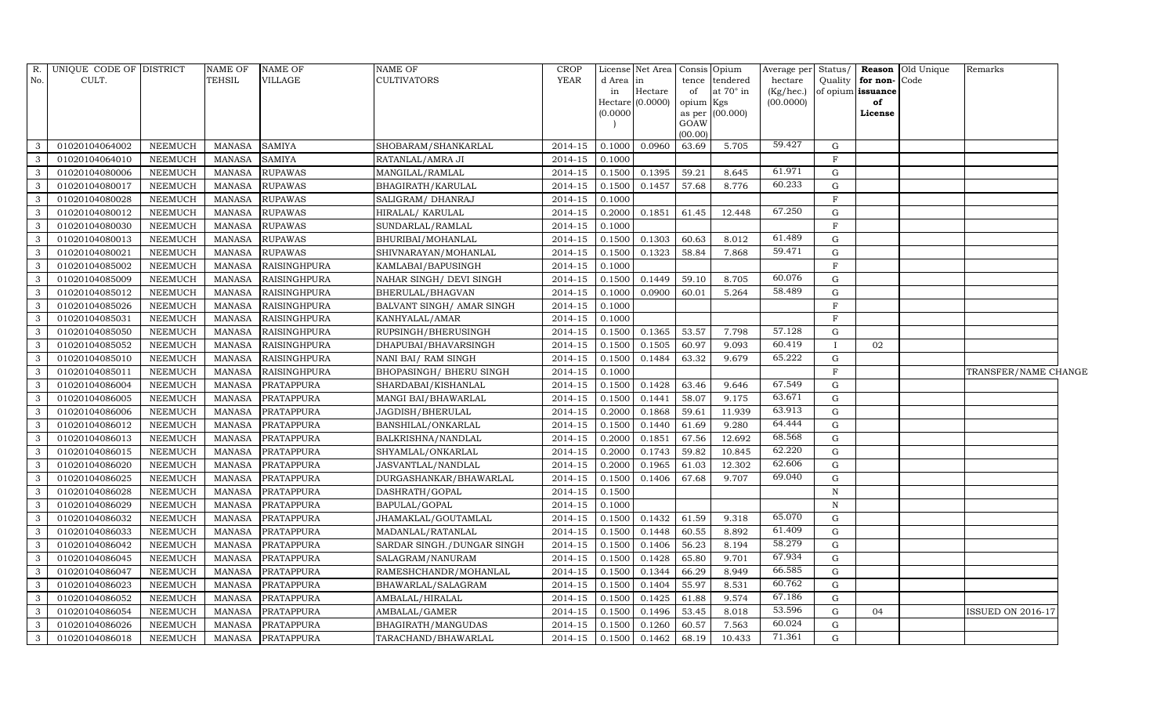|              | R. UNIQUE CODE OF DISTRICT |                | NAME OF       | <b>NAME OF</b>      | <b>NAME OF</b>             | <b>CROP</b> |          | License Net Area   Consis   Opium |           |                 | Average per Status/ |              |                   | <b>Reason</b> Old Unique | Remarks              |  |
|--------------|----------------------------|----------------|---------------|---------------------|----------------------------|-------------|----------|-----------------------------------|-----------|-----------------|---------------------|--------------|-------------------|--------------------------|----------------------|--|
| No.          | CULT.                      |                | <b>TEHSIL</b> | VILLAGE             | <b>CULTIVATORS</b>         | <b>YEAR</b> | d Area   | in                                | tence     | tendered        | hectare             | Quality      | for non-          | Code                     |                      |  |
|              |                            |                |               |                     |                            |             | in       | Hectare                           | of        | at 70° in       | (Kg/hec.)           |              | of opium issuance |                          |                      |  |
|              |                            |                |               |                     |                            |             | (0.0000) | Hectare (0.0000)                  | opium Kgs | as per (00.000) | (00.0000)           |              | of<br>License     |                          |                      |  |
|              |                            |                |               |                     |                            |             |          |                                   | GOAW      |                 |                     |              |                   |                          |                      |  |
|              |                            |                |               |                     |                            |             |          |                                   | (00.00)   |                 |                     |              |                   |                          |                      |  |
| 3            | 01020104064002             | NEEMUCH        | <b>MANASA</b> | <b>SAMIYA</b>       | SHOBARAM/SHANKARLAL        | 2014-15     | 0.1000   | 0.0960                            | 63.69     | 5.705           | 59.427              | G            |                   |                          |                      |  |
| $\mathbf{3}$ | 01020104064010             | <b>NEEMUCH</b> | <b>MANASA</b> | <b>SAMIYA</b>       | RATANLAL/AMRA JI           | 2014-15     | 0.1000   |                                   |           |                 |                     | $\rm F$      |                   |                          |                      |  |
| $\mathbf{3}$ | 01020104080006             | <b>NEEMUCH</b> | <b>MANASA</b> | <b>RUPAWAS</b>      | MANGILAL/RAMLAL            | $2014 - 15$ | 0.1500   | 0.1395                            | 59.21     | 8.645           | 61.971              | $\mathbf G$  |                   |                          |                      |  |
| $\mathbf{3}$ | 01020104080017             | <b>NEEMUCH</b> | <b>MANASA</b> | <b>RUPAWAS</b>      | BHAGIRATH/KARULAL          | 2014-15     | 0.1500   | 0.1457                            | 57.68     | 8.776           | 60.233              | $\mathbf G$  |                   |                          |                      |  |
| $\mathbf{3}$ | 01020104080028             | <b>NEEMUCH</b> | <b>MANASA</b> | <b>RUPAWAS</b>      | SALIGRAM/ DHANRAJ          | $2014 - 15$ | 0.1000   |                                   |           |                 |                     | F            |                   |                          |                      |  |
| $\mathbf{3}$ | 01020104080012             | <b>NEEMUCH</b> | <b>MANASA</b> | <b>RUPAWAS</b>      | HIRALAL/ KARULAL           | 2014-15     | 0.2000   | 0.1851                            | 61.45     | 12.448          | 67.250              | G            |                   |                          |                      |  |
| $\mathbf{3}$ | 01020104080030             | <b>NEEMUCH</b> | <b>MANASA</b> | <b>RUPAWAS</b>      | SUNDARLAL/RAMLAL           | 2014-15     | 0.1000   |                                   |           |                 |                     | $\rm F$      |                   |                          |                      |  |
| $\mathbf{3}$ | 01020104080013             | <b>NEEMUCH</b> | <b>MANASA</b> | <b>RUPAWAS</b>      | BHURIBAI/MOHANLAL          | 2014-15     | 0.1500   | 0.1303                            | 60.63     | 8.012           | 61.489              | ${\rm G}$    |                   |                          |                      |  |
| $\mathbf{3}$ | 01020104080021             | <b>NEEMUCH</b> | <b>MANASA</b> | <b>RUPAWAS</b>      | SHIVNARAYAN/MOHANLAL       | 2014-15     | 0.1500   | 0.1323                            | 58.84     | 7.868           | 59.471              | ${\rm G}$    |                   |                          |                      |  |
| $\mathbf{3}$ | 01020104085002             | <b>NEEMUCH</b> | <b>MANASA</b> | RAISINGHPURA        | KAMLABAI/BAPUSINGH         | 2014-15     | 0.1000   |                                   |           |                 |                     | F            |                   |                          |                      |  |
| $\mathbf{3}$ | 01020104085009             | <b>NEEMUCH</b> | <b>MANASA</b> | <b>RAISINGHPURA</b> | NAHAR SINGH/ DEVI SINGH    | 2014-15     | 0.1500   | 0.1449                            | 59.10     | 8.705           | 60.076              | G            |                   |                          |                      |  |
| $\mathbf{3}$ | 01020104085012             | <b>NEEMUCH</b> | <b>MANASA</b> | <b>RAISINGHPURA</b> | BHERULAL/BHAGVAN           | 2014-15     | 0.1000   | 0.0900                            | 60.01     | 5.264           | 58.489              | G            |                   |                          |                      |  |
| $\mathbf{3}$ | 01020104085026             | <b>NEEMUCH</b> | <b>MANASA</b> | <b>RAISINGHPURA</b> | BALVANT SINGH/ AMAR SINGH  | 2014-15     | 0.1000   |                                   |           |                 |                     | F            |                   |                          |                      |  |
| $\mathbf{3}$ | 01020104085031             | <b>NEEMUCH</b> | <b>MANASA</b> | <b>RAISINGHPURA</b> | KANHYALAL/AMAR             | 2014-15     | 0.1000   |                                   |           |                 |                     | F            |                   |                          |                      |  |
| $\mathbf{3}$ | 01020104085050             | <b>NEEMUCH</b> | <b>MANASA</b> | RAISINGHPURA        | RUPSINGH/BHERUSINGH        | $2014 - 15$ | 0.1500   | 0.1365                            | 53.57     | 7.798           | 57.128              | G            |                   |                          |                      |  |
| $\mathbf{3}$ | 01020104085052             | <b>NEEMUCH</b> | <b>MANASA</b> | <b>RAISINGHPURA</b> | DHAPUBAI/BHAVARSINGH       | 2014-15     | 0.1500   | 0.1505                            | 60.97     | 9.093           | 60.419              |              | 02                |                          |                      |  |
| $\mathbf{3}$ | 01020104085010             | <b>NEEMUCH</b> | <b>MANASA</b> | RAISINGHPURA        | NANI BAI/ RAM SINGH        | 2014-15     | 0.1500   | 0.1484                            | 63.32     | 9.679           | 65.222              | G            |                   |                          |                      |  |
| $\mathbf{3}$ | 01020104085011             | <b>NEEMUCH</b> | <b>MANASA</b> | <b>RAISINGHPURA</b> | BHOPASINGH/ BHERU SINGH    | 2014-15     | 0.1000   |                                   |           |                 |                     | $\rm F$      |                   |                          | TRANSFER/NAME CHANGE |  |
| $\mathbf{3}$ | 01020104086004             | <b>NEEMUCH</b> | <b>MANASA</b> | PRATAPPURA          | SHARDABAI/KISHANLAL        | 2014-15     | 0.1500   | 0.1428                            | 63.46     | 9.646           | 67.549              | $\mathbf G$  |                   |                          |                      |  |
| $\mathbf{3}$ | 01020104086005             | <b>NEEMUCH</b> | <b>MANASA</b> | <b>PRATAPPURA</b>   | MANGI BAI/BHAWARLAL        | $2014 - 15$ | 0.1500   | 0.1441                            | 58.07     | 9.175           | 63.671              | G            |                   |                          |                      |  |
| $\mathbf{3}$ | 01020104086006             | <b>NEEMUCH</b> | <b>MANASA</b> | PRATAPPURA          | JAGDISH/BHERULAL           | 2014-15     | 0.2000   | 0.1868                            | 59.61     | 11.939          | 63.913              | G            |                   |                          |                      |  |
| $\mathbf{3}$ | 01020104086012             | <b>NEEMUCH</b> | <b>MANASA</b> | PRATAPPURA          | BANSHILAL/ONKARLAL         | 2014-15     | 0.1500   | 0.1440                            | 61.69     | 9.280           | 64.444              | G            |                   |                          |                      |  |
| $\mathbf{3}$ | 01020104086013             | <b>NEEMUCH</b> | <b>MANASA</b> | PRATAPPURA          | BALKRISHNA/NANDLAL         | 2014-15     | 0.2000   | 0.1851                            | 67.56     | 12.692          | 68.568              | ${\rm G}$    |                   |                          |                      |  |
| $\mathbf{3}$ | 01020104086015             | <b>NEEMUCH</b> | <b>MANASA</b> | <b>PRATAPPURA</b>   | SHYAMLAL/ONKARLAL          | 2014-15     | 0.2000   | 0.1743                            | 59.82     | 10.845          | 62.220              | $\mathbf G$  |                   |                          |                      |  |
| $\mathbf{3}$ | 01020104086020             | <b>NEEMUCH</b> | <b>MANASA</b> | <b>PRATAPPURA</b>   | JASVANTLAL/NANDLAL         | 2014-15     | 0.2000   | 0.1965                            | 61.03     | 12.302          | 62.606              | G            |                   |                          |                      |  |
| $\mathbf{3}$ | 01020104086025             | <b>NEEMUCH</b> | <b>MANASA</b> | PRATAPPURA          | DURGASHANKAR/BHAWARLAL     | 2014-15     | 0.1500   | 0.1406                            | 67.68     | 9.707           | 69.040              | G            |                   |                          |                      |  |
| $\mathbf{3}$ | 01020104086028             | <b>NEEMUCH</b> | <b>MANASA</b> | <b>PRATAPPURA</b>   | DASHRATH/GOPAL             | 2014-15     | 0.1500   |                                   |           |                 |                     | $_{\rm N}$   |                   |                          |                      |  |
| $\mathbf{3}$ | 01020104086029             | <b>NEEMUCH</b> | <b>MANASA</b> | PRATAPPURA          | BAPULAL/GOPAL              | 2014-15     | 0.1000   |                                   |           |                 |                     | $\, {\bf N}$ |                   |                          |                      |  |
| $\mathbf{3}$ | 01020104086032             | <b>NEEMUCH</b> | <b>MANASA</b> | PRATAPPURA          | JHAMAKLAL/GOUTAMLAL        | 2014-15     | 0.1500   | 0.1432                            | 61.59     | 9.318           | 65.070              | G            |                   |                          |                      |  |
| $\mathbf{3}$ | 01020104086033             | <b>NEEMUCH</b> | <b>MANASA</b> | PRATAPPURA          | MADANLAL/RATANLAL          | $2014 - 15$ | 0.1500   | 0.1448                            | 60.55     | 8.892           | 61.409              | G            |                   |                          |                      |  |
| $\mathbf{3}$ | 01020104086042             | <b>NEEMUCH</b> | <b>MANASA</b> | PRATAPPURA          | SARDAR SINGH./DUNGAR SINGH | 2014-15     | 0.1500   | 0.1406                            | 56.23     | 8.194           | 58.279              | G            |                   |                          |                      |  |
| $\mathbf{3}$ | 01020104086045             | <b>NEEMUCH</b> | <b>MANASA</b> | <b>PRATAPPURA</b>   | SALAGRAM/NANURAM           | 2014-15     | 0.1500   | 0.1428                            | 65.80     | 9.701           | 67.934              | G            |                   |                          |                      |  |
| $\mathbf{3}$ | 01020104086047             | <b>NEEMUCH</b> | <b>MANASA</b> | <b>PRATAPPURA</b>   | RAMESHCHANDR/MOHANLAL      | 2014-15     | 0.1500   | 0.1344                            | 66.29     | 8.949           | 66.585              | ${\rm G}$    |                   |                          |                      |  |
| $\mathbf{3}$ | 01020104086023             | <b>NEEMUCH</b> | <b>MANASA</b> | PRATAPPURA          | BHAWARLAL/SALAGRAM         | 2014-15     | 0.1500   | 0.1404                            | 55.97     | 8.531           | 60.762              | $\mathbf G$  |                   |                          |                      |  |
| $\mathbf{3}$ | 01020104086052             | <b>NEEMUCH</b> | <b>MANASA</b> | PRATAPPURA          | AMBALAL/HIRALAL            | $2014 - 15$ | 0.1500   | 0.1425                            | 61.88     | 9.574           | 67.186              | G            |                   |                          |                      |  |
| $\mathbf{3}$ | 01020104086054             | <b>NEEMUCH</b> | <b>MANASA</b> | PRATAPPURA          | AMBALAL/GAMER              | 2014-15     | 0.1500   | 0.1496                            | 53.45     | 8.018           | 53.596              | G            | 04                |                          | ISSUED ON 2016-17    |  |
| $\mathbf{3}$ | 01020104086026             | <b>NEEMUCH</b> | <b>MANASA</b> | PRATAPPURA          | BHAGIRATH/MANGUDAS         | 2014-15     | 0.1500   | 0.1260                            | 60.57     | 7.563           | 60.024              | G            |                   |                          |                      |  |
| 3            | 01020104086018             | NEEMUCH        |               | MANASA PRATAPPURA   | TARACHAND/BHAWARLAL        | 2014-15     | 0.1500   | 0.1462                            | 68.19     | 10.433          | 71.361              | $\mathbf G$  |                   |                          |                      |  |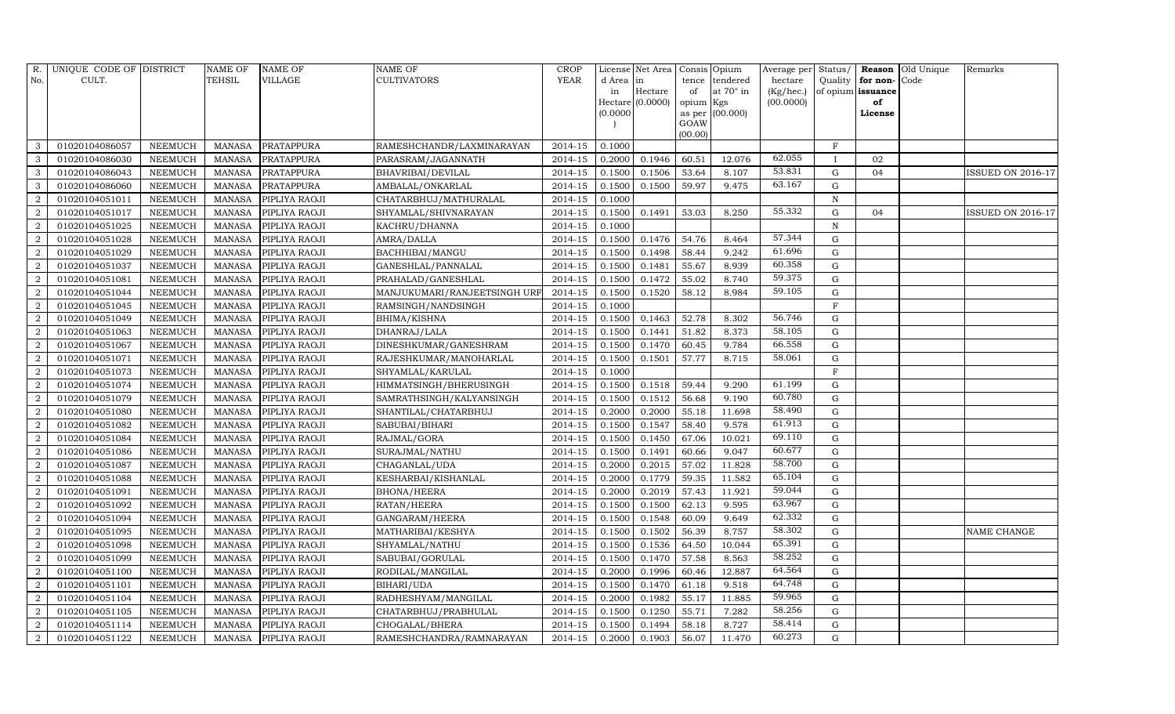| R.             | UNIQUE CODE OF DISTRICT |                | <b>NAME OF</b> | <b>NAME OF</b>    | <b>NAME OF</b>               | <b>CROP</b> |           | License Net Area |                 | Consis Opium     | Average per Status/ |             |                   | Reason Old Unique | Remarks                  |
|----------------|-------------------------|----------------|----------------|-------------------|------------------------------|-------------|-----------|------------------|-----------------|------------------|---------------------|-------------|-------------------|-------------------|--------------------------|
| No.            | CULT.                   |                | TEHSIL         | VILLAGE           | <b>CULTIVATORS</b>           | <b>YEAR</b> | d Area in |                  |                 | tence tendered   | hectare             | Quality     | for non-          | Code              |                          |
|                |                         |                |                |                   |                              |             | in        | Hectare          | of              | at $70^\circ$ in | (Kg/hec.)           |             | of opium issuance |                   |                          |
|                |                         |                |                |                   |                              |             |           | Hectare (0.0000) | opium Kgs       |                  | (00.0000)           |             | of                |                   |                          |
|                |                         |                |                |                   |                              |             | (0.0000)  |                  |                 | as per (00.000)  |                     |             | License           |                   |                          |
|                |                         |                |                |                   |                              |             |           |                  | GOAW<br>(00.00) |                  |                     |             |                   |                   |                          |
| 3              | 01020104086057          | <b>NEEMUCH</b> | <b>MANASA</b>  | <b>PRATAPPURA</b> | RAMESHCHANDR/LAXMINARAYAN    | 2014-15     | 0.1000    |                  |                 |                  |                     | $\rm F$     |                   |                   |                          |
| $\mathbf{3}$   | 01020104086030          | <b>NEEMUCH</b> | <b>MANASA</b>  | PRATAPPURA        | PARASRAM/JAGANNATH           | 2014-15     | 0.2000    | 0.1946           | 60.51           | 12.076           | 62.055              |             | 02                |                   |                          |
| $\mathbf{3}$   | 01020104086043          | <b>NEEMUCH</b> | <b>MANASA</b>  | PRATAPPURA        | BHAVRIBAI/DEVILAL            | 2014-15     | 0.1500    | 0.1506           | 53.64           | 8.107            | 53.831              | $\mathbf G$ | 04                |                   | ISSUED ON 2016-17        |
| 3              | 01020104086060          | <b>NEEMUCH</b> | <b>MANASA</b>  | PRATAPPURA        | AMBALAL/ONKARLAL             | 2014-15     | 0.1500    | 0.1500           | 59.97           | 9.475            | 63.167              | $\mathbf G$ |                   |                   |                          |
| 2              | 01020104051011          | <b>NEEMUCH</b> | <b>MANASA</b>  | PIPLIYA RAOJI     | CHATARBHUJ/MATHURALAL        | 2014-15     | 0.1000    |                  |                 |                  |                     | $\mathbf N$ |                   |                   |                          |
| $\overline{2}$ | 01020104051017          | <b>NEEMUCH</b> | <b>MANASA</b>  | PIPLIYA RAOJI     | SHYAMLAL/SHIVNARAYAN         | 2014-15     | 0.1500    | 0.1491           | 53.03           | 8.250            | 55.332              | $\mathbf G$ | 04                |                   | <b>ISSUED ON 2016-17</b> |
| 2              | 01020104051025          | <b>NEEMUCH</b> | <b>MANASA</b>  | PIPLIYA RAOJI     | KACHRU/DHANNA                | 2014-15     | 0.1000    |                  |                 |                  |                     | $\mathbf N$ |                   |                   |                          |
| $\overline{2}$ | 01020104051028          | <b>NEEMUCH</b> | <b>MANASA</b>  | PIPLIYA RAOJI     | AMRA/DALLA                   | 2014-15     | 0.1500    | 0.1476           | 54.76           | 8.464            | 57.344              | $\mathbf G$ |                   |                   |                          |
| 2              | 01020104051029          | <b>NEEMUCH</b> | <b>MANASA</b>  | PIPLIYA RAOJI     | BACHHIBAI/MANGU              | 2014-15     | 0.1500    | 0.1498           | 58.44           | 9.242            | 61.696              | $\mathbf G$ |                   |                   |                          |
| $\overline{a}$ | 01020104051037          | <b>NEEMUCH</b> | <b>MANASA</b>  | PIPLIYA RAOJI     | GANESHLAL/PANNALAL           | 2014-15     | 0.1500    | 0.1481           | 55.67           | 8.939            | 60.358              | ${\rm G}$   |                   |                   |                          |
| $\overline{a}$ | 01020104051081          | <b>NEEMUCH</b> | <b>MANASA</b>  | PIPLIYA RAOJI     | PRAHALAD/GANESHLAL           | 2014-15     | 0.1500    | 0.1472           | 55.02           | 8.740            | 59.375              | $\mathbf G$ |                   |                   |                          |
| $\overline{2}$ | 01020104051044          | <b>NEEMUCH</b> | <b>MANASA</b>  | PIPLIYA RAOJI     | MANJUKUMARI/RANJEETSINGH URF | 2014-15     | 0.1500    | 0.1520           | 58.12           | 8.984            | 59.105              | $\mathbf G$ |                   |                   |                          |
| 2              | 01020104051045          | <b>NEEMUCH</b> | <b>MANASA</b>  | PIPLIYA RAOJI     | RAMSINGH/NANDSINGH           | $2014 - 15$ | 0.1000    |                  |                 |                  |                     | F           |                   |                   |                          |
| $\overline{2}$ | 01020104051049          | <b>NEEMUCH</b> | <b>MANASA</b>  | PIPLIYA RAOJI     | BHIMA/KISHNA                 | 2014-15     | 0.1500    | 0.1463           | 52.78           | 8.302            | 56.746              | $\mathbf G$ |                   |                   |                          |
| 2              | 01020104051063          | <b>NEEMUCH</b> | <b>MANASA</b>  | PIPLIYA RAOJI     | DHANRAJ/LALA                 | 2014-15     | 0.1500    | 0.1441           | 51.82           | 8.373            | 58.105              | $\mathbf G$ |                   |                   |                          |
| 2              | 01020104051067          | <b>NEEMUCH</b> | <b>MANASA</b>  | PIPLIYA RAOJI     | DINESHKUMAR/GANESHRAM        | 2014-15     | 0.1500    | 0.1470           | 60.45           | 9.784            | 66.558              | G           |                   |                   |                          |
| $\overline{2}$ | 01020104051071          | <b>NEEMUCH</b> | <b>MANASA</b>  | PIPLIYA RAOJI     | RAJESHKUMAR/MANOHARLAL       | 2014-15     | 0.1500    | 0.1501           | 57.77           | 8.715            | 58.061              | ${\rm G}$   |                   |                   |                          |
| $\overline{a}$ | 01020104051073          | <b>NEEMUCH</b> | <b>MANASA</b>  | PIPLIYA RAOJI     | SHYAMLAL/KARULAL             | 2014-15     | 0.1000    |                  |                 |                  |                     | F           |                   |                   |                          |
| $\overline{2}$ | 01020104051074          | <b>NEEMUCH</b> | <b>MANASA</b>  | PIPLIYA RAOJI     | HIMMATSINGH/BHERUSINGH       | 2014-15     | 0.1500    | 0.1518           | 59.44           | 9.290            | 61.199              | $\mathbf G$ |                   |                   |                          |
| 2              | 01020104051079          | <b>NEEMUCH</b> | <b>MANASA</b>  | PIPLIYA RAOJI     | SAMRATHSINGH/KALYANSINGH     | $2014 - 15$ | 0.1500    | 0.1512           | 56.68           | 9.190            | 60.780              | $\mathbf G$ |                   |                   |                          |
| 2              | 01020104051080          | <b>NEEMUCH</b> | <b>MANASA</b>  | PIPLIYA RAOJI     | SHANTILAL/CHATARBHUJ         | 2014-15     | 0.2000    | 0.2000           | 55.18           | 11.698           | 58.490              | $\mathbf G$ |                   |                   |                          |
| 2              | 01020104051082          | <b>NEEMUCH</b> | <b>MANASA</b>  | PIPLIYA RAOJI     | SABUBAI/BIHARI               | 2014-15     | 0.1500    | 0.1547           | 58.40           | 9.578            | 61.913              | $\mathbf G$ |                   |                   |                          |
| 2              | 01020104051084          | <b>NEEMUCH</b> | <b>MANASA</b>  | PIPLIYA RAOJI     | RAJMAL/GORA                  | 2014-15     | 0.1500    | 0.1450           | 67.06           | 10.021           | 69.110              | $\mathbf G$ |                   |                   |                          |
| $\overline{2}$ | 01020104051086          | <b>NEEMUCH</b> | <b>MANASA</b>  | PIPLIYA RAOJI     | SURAJMAL/NATHU               | 2014-15     | 0.1500    | 0.1491           | 60.66           | 9.047            | 60.677              | $\mathbf G$ |                   |                   |                          |
| $\overline{a}$ | 01020104051087          | <b>NEEMUCH</b> | <b>MANASA</b>  | PIPLIYA RAOJI     | CHAGANLAL/UDA                | $2014 - 15$ | 0.2000    | 0.2015           | 57.02           | 11.828           | 58.700              | $\mathbf G$ |                   |                   |                          |
| $\overline{2}$ | 01020104051088          | <b>NEEMUCH</b> | <b>MANASA</b>  | PIPLIYA RAOJI     | KESHARBAI/KISHANLAL          | 2014-15     | 0.2000    | 0.1779           | 59.35           | 11.582           | 65.104              | $\mathbf G$ |                   |                   |                          |
| $\overline{2}$ | 01020104051091          | <b>NEEMUCH</b> | <b>MANASA</b>  | PIPLIYA RAOJI     | <b>BHONA/HEERA</b>           | 2014-15     | 0.2000    | 0.2019           | 57.43           | 11.921           | 59.044              | G           |                   |                   |                          |
| 2              | 01020104051092          | <b>NEEMUCH</b> | <b>MANASA</b>  | PIPLIYA RAOJI     | RATAN/HEERA                  | 2014-15     | 0.1500    | 0.1500           | 62.13           | 9.595            | 63.967              | $\mathbf G$ |                   |                   |                          |
| $\overline{2}$ | 01020104051094          | <b>NEEMUCH</b> | <b>MANASA</b>  | PIPLIYA RAOJI     | GANGARAM/HEERA               | 2014-15     | 0.1500    | 0.1548           | 60.09           | 9.649            | 62.332              | $\mathbf G$ |                   |                   |                          |
| 2              | 01020104051095          | <b>NEEMUCH</b> | <b>MANASA</b>  | PIPLIYA RAOJI     | MATHARIBAI/KESHYA            | 2014-15     | 0.1500    | 0.1502           | 56.39           | 8.757            | 58.302              | $\mathbf G$ |                   |                   | <b>NAME CHANGE</b>       |
| $\sqrt{2}$     | 01020104051098          | <b>NEEMUCH</b> | <b>MANASA</b>  | PIPLIYA RAOJI     | SHYAMLAL/NATHU               | 2014-15     | 0.1500    | 0.1536           | 64.50           | 10.044           | 65.391              | $\mathbf G$ |                   |                   |                          |
| $\overline{a}$ | 01020104051099          | <b>NEEMUCH</b> | <b>MANASA</b>  | PIPLIYA RAOJI     | SABUBAI/GORULAL              | $2014 - 15$ | 0.1500    | 0.1470           | 57.58           | 8.563            | 58.252              | ${\rm G}$   |                   |                   |                          |
| $\overline{2}$ | 01020104051100          | <b>NEEMUCH</b> | <b>MANASA</b>  | PIPLIYA RAOJI     | RODILAL/MANGILAL             | 2014-15     | 0.2000    | 0.1996           | 60.46           | 12.887           | 64.564              | $\mathbf G$ |                   |                   |                          |
| $\overline{2}$ | 01020104051101          | <b>NEEMUCH</b> | <b>MANASA</b>  | PIPLIYA RAOJI     | BIHARI/UDA                   | 2014-15     | 0.1500    | 0.1470           | 61.18           | 9.518            | 64.748              | $\mathbf G$ |                   |                   |                          |
| $\overline{a}$ | 01020104051104          | <b>NEEMUCH</b> | <b>MANASA</b>  | PIPLIYA RAOJI     | RADHESHYAM/MANGILAL          | 2014-15     | 0.2000    | 0.1982           | 55.17           | 11.885           | 59.965              | $\mathbf G$ |                   |                   |                          |
| $\overline{2}$ | 01020104051105          | <b>NEEMUCH</b> | <b>MANASA</b>  | PIPLIYA RAOJI     | CHATARBHUJ/PRABHULAL         | 2014-15     | 0.1500    | 0.1250           | 55.71           | 7.282            | 58.256              | $\mathbf G$ |                   |                   |                          |
| $\overline{a}$ | 01020104051114          | <b>NEEMUCH</b> | <b>MANASA</b>  | PIPLIYA RAOJI     | CHOGALAL/BHERA               | 2014-15     | 0.1500    | 0.1494           | 58.18           | 8.727            | 58.414              | ${\rm G}$   |                   |                   |                          |
| $\overline{a}$ | 01020104051122          | <b>NEEMUCH</b> | <b>MANASA</b>  | PIPLIYA RAOJI     | RAMESHCHANDRA/RAMNARAYAN     | 2014-15     | 0.2000    | 0.1903           | 56.07           | 11.470           | 60.273              | $\mathbf G$ |                   |                   |                          |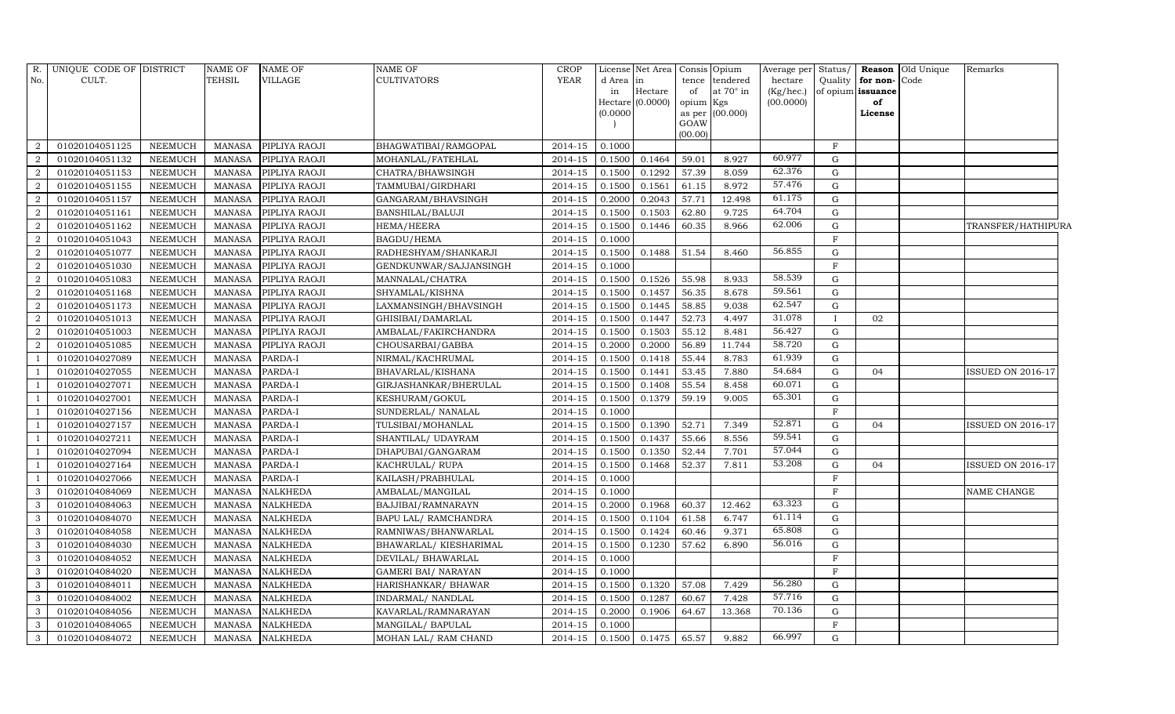| R.             | UNIQUE CODE OF DISTRICT |                | <b>NAME OF</b> | <b>NAME OF</b>  | <b>NAME OF</b>             | <b>CROP</b>          |           | License Net Area   Consis   Opium |           |                  | Average per | Status/     |                   | <b>Reason</b> Old Unique | Remarks                  |
|----------------|-------------------------|----------------|----------------|-----------------|----------------------------|----------------------|-----------|-----------------------------------|-----------|------------------|-------------|-------------|-------------------|--------------------------|--------------------------|
| No.            | CULT.                   |                | <b>TEHSIL</b>  | VILLAGE         | <b>CULTIVATORS</b>         | YEAR                 | d Area in |                                   | tence     | tendered         | hectare     | Quality     | for non-Code      |                          |                          |
|                |                         |                |                |                 |                            |                      | in        | Hectare                           | of        | at $70^\circ$ in | (Kg/hec.)   |             | of opium issuance |                          |                          |
|                |                         |                |                |                 |                            |                      |           | Hectare (0.0000)                  | opium Kgs |                  | (00.0000)   |             | of                |                          |                          |
|                |                         |                |                |                 |                            |                      | (0.0000)  |                                   | GOAW      | as per (00.000)  |             |             | License           |                          |                          |
|                |                         |                |                |                 |                            |                      |           |                                   | (00.00)   |                  |             |             |                   |                          |                          |
| $\mathcal{D}$  | 01020104051125          | <b>NEEMUCH</b> | <b>MANASA</b>  | PIPLIYA RAOJI   | BHAGWATIBAI/RAMGOPAL       | 2014-15              | 0.1000    |                                   |           |                  |             | $\rm F$     |                   |                          |                          |
| $\overline{2}$ | 01020104051132          | <b>NEEMUCH</b> | <b>MANASA</b>  | PIPLIYA RAOJI   | MOHANLAL/FATEHLAL          | 2014-15              | 0.1500    | 0.1464                            | 59.01     | 8.927            | 60.977      | G           |                   |                          |                          |
| $\overline{2}$ | 01020104051153          | <b>NEEMUCH</b> | <b>MANASA</b>  | PIPLIYA RAOJI   | CHATRA/BHAWSINGH           | 2014-15              | 0.1500    | 0.1292                            | 57.39     | 8.059            | 62.376      | G           |                   |                          |                          |
| $\mathfrak{D}$ | 01020104051155          | <b>NEEMUCH</b> | <b>MANASA</b>  | PIPLIYA RAOJI   | TAMMUBAI/GIRDHARI          | 2014-15              | 0.1500    | 0.1561                            | 61.15     | 8.972            | 57.476      | G           |                   |                          |                          |
| $\overline{2}$ | 01020104051157          | <b>NEEMUCH</b> | <b>MANASA</b>  | PIPLIYA RAOJI   | GANGARAM/BHAVSINGH         | 2014-15              | 0.2000    | 0.2043                            | 57.71     | 12.498           | 61.175      | G           |                   |                          |                          |
| $\overline{2}$ | 01020104051161          | <b>NEEMUCH</b> | <b>MANASA</b>  | PIPLIYA RAOJI   | BANSHILAL/BALUJI           | 2014-15              | 0.1500    | 0.1503                            | 62.80     | 9.725            | 64.704      | G           |                   |                          |                          |
| $\overline{2}$ | 01020104051162          | <b>NEEMUCH</b> | <b>MANASA</b>  | PIPLIYA RAOJI   | HEMA/HEERA                 | 2014-15              | 0.1500    | 0.1446                            | 60.35     | 8.966            | 62.006      | G           |                   |                          | TRANSFER/HATHIPURA       |
| 2              | 01020104051043          | <b>NEEMUCH</b> | <b>MANASA</b>  | PIPLIYA RAOJI   | BAGDU/HEMA                 | 2014-15              | 0.1000    |                                   |           |                  |             | $\rm F$     |                   |                          |                          |
|                | 01020104051077          | <b>NEEMUCH</b> | <b>MANASA</b>  | PIPLIYA RAOJI   | RADHESHYAM/SHANKARJI       | 2014-15              | 0.1500    | 0.1488                            | 51.54     | 8.460            | 56.855      | G           |                   |                          |                          |
| $\overline{2}$ | 01020104051030          | <b>NEEMUCH</b> | <b>MANASA</b>  | PIPLIYA RAOJI   | GENDKUNWAR/SAJJANSINGH     | 2014-15              | 0.1000    |                                   |           |                  |             | F           |                   |                          |                          |
| $\overline{2}$ | 01020104051083          | <b>NEEMUCH</b> | <b>MANASA</b>  | PIPLIYA RAOJI   | MANNALAL/CHATRA            | 2014-15              | 0.1500    | 0.1526                            | 55.98     | 8.933            | 58.539      | G           |                   |                          |                          |
| $\overline{2}$ | 01020104051168          | <b>NEEMUCH</b> | <b>MANASA</b>  | PIPLIYA RAOJI   | SHYAMLAL/KISHNA            | 2014-15              | 0.1500    | 0.1457                            | 56.35     | 8.678            | 59.561      | G           |                   |                          |                          |
| $\overline{2}$ | 01020104051173          | <b>NEEMUCH</b> | <b>MANASA</b>  | PIPLIYA RAOJI   | LAXMANSINGH/BHAVSINGH      | 2014-15              | 0.1500    | 0.1445                            | 58.85     | 9.038            | 62.547      | G           |                   |                          |                          |
|                | 01020104051013          | <b>NEEMUCH</b> | <b>MANASA</b>  | PIPLIYA RAOJI   | GHISIBAI/DAMARLAL          | 2014-15              | 0.1500    | 0.1447                            | 52.73     | 4.497            | 31.078      | $\bf{I}$    | 02                |                          |                          |
| $\mathcal{D}$  | 01020104051003          | <b>NEEMUCH</b> | <b>MANASA</b>  | PIPLIYA RAOJI   | AMBALAL/FAKIRCHANDRA       | 2014-15              | 0.1500    | 0.1503                            | 55.12     | 8.481            | 56.427      | G           |                   |                          |                          |
| 2              | 01020104051085          | <b>NEEMUCH</b> | <b>MANASA</b>  | PIPLIYA RAOJI   | CHOUSARBAI/GABBA           | 2014-15              | 0.2000    | 0.2000                            | 56.89     | 11.744           | 58.720      | G           |                   |                          |                          |
|                | 01020104027089          | <b>NEEMUCH</b> | <b>MANASA</b>  | PARDA-I         | NIRMAL/KACHRUMAL           | 2014-15              | 0.1500    | 0.1418                            | 55.44     | 8.783            | 61.939      | G           |                   |                          |                          |
|                | 01020104027055          | <b>NEEMUCH</b> | <b>MANASA</b>  | PARDA-I         | BHAVARLAL/KISHANA          | 2014-15              | 0.1500    | 0.1441                            | 53.45     | 7.880            | 54.684      | G           | 04                |                          | <b>ISSUED ON 2016-17</b> |
|                | 01020104027071          | <b>NEEMUCH</b> | <b>MANASA</b>  | PARDA-I         | GIRJASHANKAR/BHERULAL      | 2014-15              | 0.1500    | 0.1408                            | 55.54     | 8.458            | 60.071      | G           |                   |                          |                          |
|                | 01020104027001          | <b>NEEMUCH</b> | <b>MANASA</b>  | PARDA-I         | KESHURAM/GOKUL             | 2014-15              | 0.1500    | 0.1379                            | 59.19     | 9.005            | 65.301      | G           |                   |                          |                          |
|                | 01020104027156          | <b>NEEMUCH</b> | <b>MANASA</b>  | PARDA-I         | SUNDERLAL/ NANALAL         | 2014-15              | 0.1000    |                                   |           |                  |             | $\rm F$     |                   |                          |                          |
|                | 01020104027157          | <b>NEEMUCH</b> | <b>MANASA</b>  | PARDA-I         | TULSIBAI/MOHANLAL          | 2014-15              | 0.1500    | 0.1390                            | 52.71     | 7.349            | 52.871      | G           | 04                |                          | <b>ISSUED ON 2016-17</b> |
|                | 01020104027211          | <b>NEEMUCH</b> | <b>MANASA</b>  | PARDA-I         | SHANTILAL/ UDAYRAM         | 2014-15              | 0.1500    | 0.1437                            | 55.66     | 8.556            | 59.541      | G           |                   |                          |                          |
|                | 01020104027094          | <b>NEEMUCH</b> | <b>MANASA</b>  | PARDA-I         | DHAPUBAI/GANGARAM          | 2014-15              | 0.1500    | 0.1350                            | 52.44     | 7.701            | 57.044      | $\mathbf G$ |                   |                          |                          |
|                | 01020104027164          | <b>NEEMUCH</b> | <b>MANASA</b>  | PARDA-I         | KACHRULAL/RUPA             | 2014-15              | 0.1500    | 0.1468                            | 52.37     | 7.811            | 53.208      | G           | 04                |                          | <b>ISSUED ON 2016-17</b> |
|                | 01020104027066          | <b>NEEMUCH</b> | <b>MANASA</b>  | PARDA-I         | KAILASH/PRABHULAL          | 2014-15              | 0.1000    |                                   |           |                  |             | $\mathbf F$ |                   |                          |                          |
| 3              | 01020104084069          | <b>NEEMUCH</b> | <b>MANASA</b>  | <b>NALKHEDA</b> | AMBALAL/MANGILAL           | 2014-15              | 0.1000    |                                   |           |                  |             | $\rm F$     |                   |                          | NAME CHANGE              |
| 3              | 01020104084063          | <b>NEEMUCH</b> | <b>MANASA</b>  | <b>NALKHEDA</b> | BAJJIBAI/RAMNARAYN         | 2014-15              | 0.2000    | 0.1968                            | 60.37     | 12.462           | 63.323      | G           |                   |                          |                          |
| 3              | 01020104084070          | <b>NEEMUCH</b> | <b>MANASA</b>  | <b>NALKHEDA</b> | BAPU LAL/ RAMCHANDRA       | 2014-15              | 0.1500    | 0.1104                            | 61.58     | 6.747            | 61.114      | G           |                   |                          |                          |
| 3              | 01020104084058          | <b>NEEMUCH</b> | <b>MANASA</b>  | <b>NALKHEDA</b> | RAMNIWAS/BHANWARLAL        | 2014-15              | 0.1500    | 0.1424                            | 60.46     | 9.371            | 65.808      | G           |                   |                          |                          |
| 3              | 01020104084030          | <b>NEEMUCH</b> | <b>MANASA</b>  | <b>NALKHEDA</b> | BHAWARLAL/ KIESHARIMAL     | 2014-15              | 0.1500    | 0.1230                            | 57.62     | 6.890            | 56.016      | G           |                   |                          |                          |
| 3              | 01020104084052          | <b>NEEMUCH</b> | <b>MANASA</b>  | <b>NALKHEDA</b> | DEVILAL/ BHAWARLAL         | $\overline{2014-15}$ | 0.1000    |                                   |           |                  |             | $_{\rm F}$  |                   |                          |                          |
| 3              | 01020104084020          | <b>NEEMUCH</b> | <b>MANASA</b>  | <b>NALKHEDA</b> | <b>GAMERI BAI/ NARAYAN</b> | 2014-15              | 0.1000    |                                   |           |                  |             | F           |                   |                          |                          |
| 3              | 01020104084011          | <b>NEEMUCH</b> | <b>MANASA</b>  | <b>NALKHEDA</b> | HARISHANKAR/ BHAWAR        | 2014-15              | 0.1500    | 0.1320                            | 57.08     | 7.429            | 56.280      | G           |                   |                          |                          |
| 3              | 01020104084002          | <b>NEEMUCH</b> | <b>MANASA</b>  | <b>NALKHEDA</b> | INDARMAL/ NANDLAL          | 2014-15              | 0.1500    | 0.1287                            | 60.67     | 7.428            | 57.716      | G           |                   |                          |                          |
| 3              | 01020104084056          | <b>NEEMUCH</b> | <b>MANASA</b>  | NALKHEDA        | KAVARLAL/RAMNARAYAN        | 2014-15              | 0.2000    | 0.1906                            | 64.67     | 13.368           | 70.136      | G           |                   |                          |                          |
| 3              | 01020104084065          | <b>NEEMUCH</b> | <b>MANASA</b>  | NALKHEDA        | MANGILAL/ BAPULAL          | 2014-15              | 0.1000    |                                   |           |                  |             | $\rm F$     |                   |                          |                          |
| 3              | 01020104084072          | <b>NEEMUCH</b> | <b>MANASA</b>  | <b>NALKHEDA</b> | MOHAN LAL/ RAM CHAND       | 2014-15              | 0.1500    | 0.1475                            | 65.57     | 9.882            | 66.997      | $\mathbf G$ |                   |                          |                          |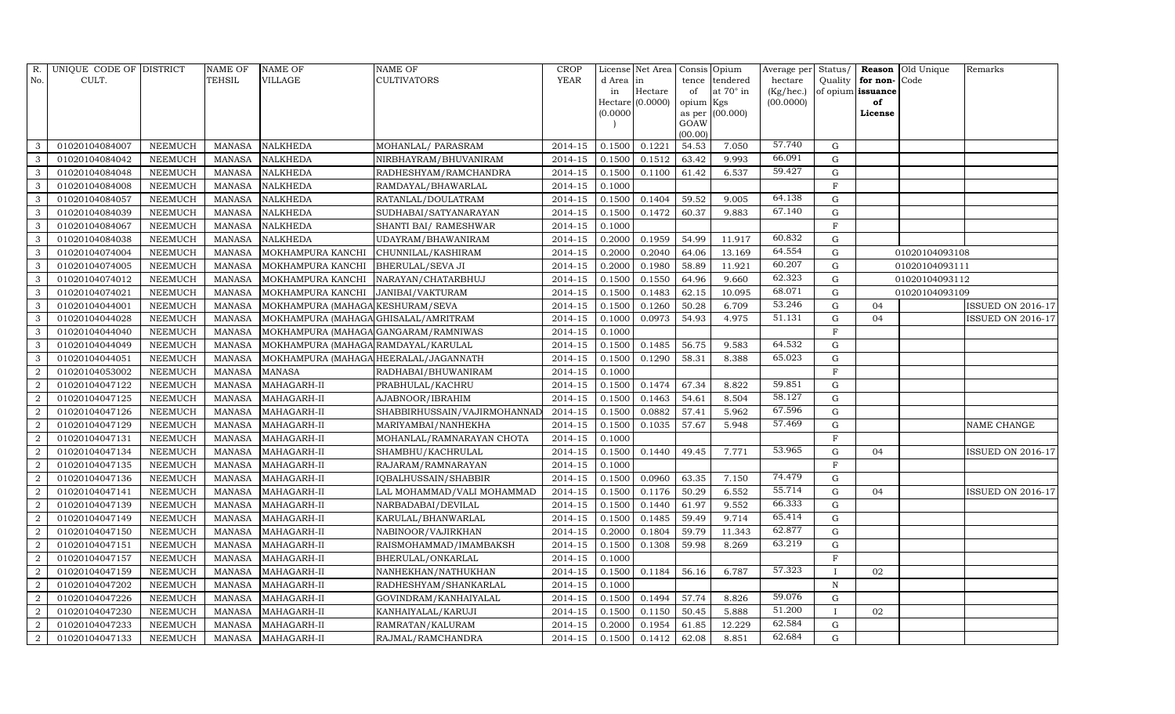| R.             | UNIQUE CODE OF DISTRICT |                | NAME OF       | <b>NAME OF</b>                        | <b>NAME OF</b>               | <b>CROP</b> |           | License Net Area   | Consis Opium   |                  | Average per Status/ |              |                   | <b>Reason</b> Old Unique | Remarks                  |
|----------------|-------------------------|----------------|---------------|---------------------------------------|------------------------------|-------------|-----------|--------------------|----------------|------------------|---------------------|--------------|-------------------|--------------------------|--------------------------|
| No.            | CULT.                   |                | TEHSIL        | <b>VILLAGE</b>                        | <b>CULTIVATORS</b>           | <b>YEAR</b> | d Area in |                    | tence          | tendered         | hectare             | Quality      | for non-          | Code                     |                          |
|                |                         |                |               |                                       |                              |             | in        | Hectare            | of             | at $70^\circ$ in | (Kg/hec.)           |              | of opium issuance |                          |                          |
|                |                         |                |               |                                       |                              |             |           | $Hectare$ (0.0000) | opium Kgs      |                  | (00.0000)           |              | of                |                          |                          |
|                |                         |                |               |                                       |                              |             | (0.0000)  |                    | as per<br>GOAW | (00.000)         |                     |              | License           |                          |                          |
|                |                         |                |               |                                       |                              |             |           |                    | (00.00)        |                  |                     |              |                   |                          |                          |
| 3              | 01020104084007          | <b>NEEMUCH</b> | MANASA        | <b>NALKHEDA</b>                       | MOHANLAL/ PARASRAM           | 2014-15     | 0.1500    | 0.1221             | 54.53          | 7.050            | 57.740              | G            |                   |                          |                          |
| 3              | 01020104084042          | <b>NEEMUCH</b> | <b>MANASA</b> | <b>NALKHEDA</b>                       | NIRBHAYRAM/BHUVANIRAM        | 2014-15     | 0.1500    | 0.1512             | 63.42          | 9.993            | 66.091              | G            |                   |                          |                          |
| $\mathbf{3}$   | 01020104084048          | <b>NEEMUCH</b> | <b>MANASA</b> | <b>NALKHEDA</b>                       | RADHESHYAM/RAMCHANDRA        | 2014-15     | 0.1500    | 0.1100             | 61.42          | 6.537            | 59.427              | G            |                   |                          |                          |
| 3              | 01020104084008          | <b>NEEMUCH</b> | <b>MANASA</b> | <b>NALKHEDA</b>                       | RAMDAYAL/BHAWARLAL           | 2014-15     | 0.1000    |                    |                |                  |                     | $\mathbf{F}$ |                   |                          |                          |
| 3              | 01020104084057          | <b>NEEMUCH</b> | <b>MANASA</b> | <b>NALKHEDA</b>                       | RATANLAL/DOULATRAM           | 2014-15     | 0.1500    | 0.1404             | 59.52          | 9.005            | 64.138              | $\mathbf G$  |                   |                          |                          |
| $\mathbf{3}$   | 01020104084039          | <b>NEEMUCH</b> | <b>MANASA</b> | <b>NALKHEDA</b>                       | SUDHABAI/SATYANARAYAN        | 2014-15     | 0.1500    | 0.1472             | 60.37          | 9.883            | 67.140              | $\mathbf G$  |                   |                          |                          |
| 3              | 01020104084067          | <b>NEEMUCH</b> | <b>MANASA</b> | <b>NALKHEDA</b>                       | SHANTI BAI/ RAMESHWAR        | 2014-15     | 0.1000    |                    |                |                  |                     | $\mathbf F$  |                   |                          |                          |
| 3              | 01020104084038          | <b>NEEMUCH</b> | <b>MANASA</b> | <b>NALKHEDA</b>                       | UDAYRAM/BHAWANIRAM           | 2014-15     | 0.2000    | 0.1959             | 54.99          | 11.917           | 60.832              | $\mathbf G$  |                   |                          |                          |
| 3              | 01020104074004          | <b>NEEMUCH</b> | <b>MANASA</b> | MOKHAMPURA KANCHI                     | CHUNNILAL/KASHIRAM           | 2014-15     | 0.2000    | 0.2040             | 64.06          | 13.169           | 64.554              | G            |                   | 01020104093108           |                          |
| 3              | 01020104074005          | <b>NEEMUCH</b> | <b>MANASA</b> | MOKHAMPURA KANCHI                     | <b>BHERULAL/SEVA JI</b>      | 2014-15     | 0.2000    | 0.1980             | 58.89          | 11.921           | 60.207              | G            |                   | 01020104093111           |                          |
| 3              | 01020104074012          | <b>NEEMUCH</b> | <b>MANASA</b> | MOKHAMPURA KANCHI                     | NARAYAN/CHATARBHUJ           | 2014-15     | 0.1500    | 0.1550             | 64.96          | 9.660            | 62.323              | $\mathbf G$  |                   | 01020104093112           |                          |
| $\mathbf{3}$   | 01020104074021          | <b>NEEMUCH</b> | <b>MANASA</b> | MOKHAMPURA KANCHI                     | JANIBAI/VAKTURAM             | 2014-15     | 0.1500    | 0.1483             | 62.15          | 10.095           | 68.071              | $\mathbf G$  |                   | 01020104093109           |                          |
| $\mathbf{3}$   | 01020104044001          | <b>NEEMUCH</b> | <b>MANASA</b> | MOKHAMPURA (MAHAGA KESHURAM/SEVA      |                              | 2014-15     | 0.1500    | 0.1260             | 50.28          | 6.709            | 53.246              | $\mathbf G$  | 04                |                          | <b>ISSUED ON 2016-17</b> |
| 3              | 01020104044028          | <b>NEEMUCH</b> | <b>MANASA</b> | MOKHAMPURA (MAHAGA GHISALAL/AMRITRAM  |                              | 2014-15     | 0.1000    | 0.0973             | 54.93          | 4.975            | 51.131              | G            | 04                |                          | <b>ISSUED ON 2016-17</b> |
| 3              | 01020104044040          | <b>NEEMUCH</b> | <b>MANASA</b> | MOKHAMPURA (MAHAGA GANGARAM/RAMNIWAS  |                              | 2014-15     | 0.1000    |                    |                |                  |                     | F            |                   |                          |                          |
| 3              | 01020104044049          | <b>NEEMUCH</b> | <b>MANASA</b> | MOKHAMPURA (MAHAGA RAMDAYAL/KARULAL   |                              | 2014-15     | 0.1500    | 0.1485             | 56.75          | 9.583            | 64.532              | G            |                   |                          |                          |
| $\mathbf{3}$   | 01020104044051          | <b>NEEMUCH</b> | <b>MANASA</b> | MOKHAMPURA (MAHAGA HEERALAL/JAGANNATH |                              | 2014-15     | 0.1500    | 0.1290             | 58.31          | 8.388            | 65.023              | $\mathbf G$  |                   |                          |                          |
| 2              | 01020104053002          | <b>NEEMUCH</b> | <b>MANASA</b> | <b>MANASA</b>                         | RADHABAI/BHUWANIRAM          | 2014-15     | 0.1000    |                    |                |                  |                     | $\mathbf F$  |                   |                          |                          |
| 2              | 01020104047122          | <b>NEEMUCH</b> | <b>MANASA</b> | MAHAGARH-II                           | PRABHULAL/KACHRU             | 2014-15     | 0.1500    | 0.1474             | 67.34          | 8.822            | 59.851              | $\mathbf G$  |                   |                          |                          |
| 2              | 01020104047125          | <b>NEEMUCH</b> | <b>MANASA</b> | MAHAGARH-II                           | AJABNOOR/IBRAHIM             | $2014 - 15$ | 0.1500    | 0.1463             | 54.61          | 8.504            | 58.127              | G            |                   |                          |                          |
| 2              | 01020104047126          | <b>NEEMUCH</b> | <b>MANASA</b> | MAHAGARH-II                           | SHABBIRHUSSAIN/VAJIRMOHANNAD | 2014-15     | 0.1500    | 0.0882             | 57.41          | 5.962            | 67.596              | G            |                   |                          |                          |
| 2              | 01020104047129          | <b>NEEMUCH</b> | <b>MANASA</b> | MAHAGARH-II                           | MARIYAMBAI/NANHEKHA          | 2014-15     | 0.1500    | 0.1035             | 57.67          | 5.948            | 57.469              | $\mathbf G$  |                   |                          | NAME CHANGE              |
| $\overline{2}$ | 01020104047131          | <b>NEEMUCH</b> | <b>MANASA</b> | MAHAGARH-II                           | MOHANLAL/RAMNARAYAN CHOTA    | 2014-15     | 0.1000    |                    |                |                  |                     | $\mathbf F$  |                   |                          |                          |
| $\overline{2}$ | 01020104047134          | <b>NEEMUCH</b> | <b>MANASA</b> | MAHAGARH-II                           | SHAMBHU/KACHRULAL            | 2014-15     | 0.1500    | 0.1440             | 49.45          | 7.771            | 53.965              | G            | 04                |                          | <b>ISSUED ON 2016-17</b> |
| 2              | 01020104047135          | <b>NEEMUCH</b> | <b>MANASA</b> | MAHAGARH-II                           | RAJARAM/RAMNARAYAN           | 2014-15     | 0.1000    |                    |                |                  |                     | $\mathbf F$  |                   |                          |                          |
| 2              | 01020104047136          | <b>NEEMUCH</b> | <b>MANASA</b> | MAHAGARH-II                           | IQBALHUSSAIN/SHABBIR         | 2014-15     | 0.1500    | 0.0960             | 63.35          | 7.150            | 74.479              | G            |                   |                          |                          |
| 2              | 01020104047141          | <b>NEEMUCH</b> | <b>MANASA</b> | MAHAGARH-II                           | LAL MOHAMMAD/VALI MOHAMMAD   | 2014-15     | 0.1500    | 0.1176             | 50.29          | 6.552            | 55.714              | G            | 04                |                          | ISSUED ON 2016-17        |
| 2              | 01020104047139          | <b>NEEMUCH</b> | <b>MANASA</b> | MAHAGARH-II                           | NARBADABAI/DEVILAL           | 2014-15     | 0.1500    | 0.1440             | 61.97          | 9.552            | 66.333              | $\mathbf G$  |                   |                          |                          |
| $\overline{2}$ | 01020104047149          | <b>NEEMUCH</b> | <b>MANASA</b> | MAHAGARH-II                           | KARULAL/BHANWARLAL           | 2014-15     | 0.1500    | 0.1485             | 59.49          | 9.714            | 65.414              | $\mathbf G$  |                   |                          |                          |
| $\overline{2}$ | 01020104047150          | <b>NEEMUCH</b> | <b>MANASA</b> | MAHAGARH-II                           | NABINOOR/VAJIRKHAN           | 2014-15     | 0.2000    | 0.1804             | 59.79          | 11.343           | 62.877              | $\mathbf G$  |                   |                          |                          |
| 2              | 01020104047151          | <b>NEEMUCH</b> | <b>MANASA</b> | MAHAGARH-II                           | RAISMOHAMMAD/IMAMBAKSH       | 2014-15     | 0.1500    | 0.1308             | 59.98          | 8.269            | 63.219              | $\mathbf G$  |                   |                          |                          |
| 2              | 01020104047157          | <b>NEEMUCH</b> | <b>MANASA</b> | MAHAGARH-II                           | BHERULAL/ONKARLAL            | 2014-15     | 0.1000    |                    |                |                  |                     | $\mathbf{F}$ |                   |                          |                          |
| 2              | 01020104047159          | <b>NEEMUCH</b> | <b>MANASA</b> | MAHAGARH-II                           | NANHEKHAN/NATHUKHAN          | $2014 - 15$ | 0.1500    | 0.1184             | 56.16          | 6.787            | 57.323              | $\mathbf I$  | 02                |                          |                          |
| $\overline{2}$ | 01020104047202          | <b>NEEMUCH</b> | <b>MANASA</b> | MAHAGARH-II                           | RADHESHYAM/SHANKARLAL        | 2014-15     | 0.1000    |                    |                |                  |                     | $\,$ N       |                   |                          |                          |
| $\overline{2}$ | 01020104047226          | <b>NEEMUCH</b> | <b>MANASA</b> | MAHAGARH-II                           | GOVINDRAM/KANHAIYALAL        | 2014-15     | 0.1500    | 0.1494             | 57.74          | 8.826            | 59.076              | $\mathbf G$  |                   |                          |                          |
| $\overline{2}$ | 01020104047230          | <b>NEEMUCH</b> | <b>MANASA</b> | MAHAGARH-II                           | KANHAIYALAL/KARUJI           | 2014-15     | 0.1500    | 0.1150             | 50.45          | 5.888            | 51.200              | $\mathbf I$  | 02                |                          |                          |
| $\overline{2}$ | 01020104047233          | <b>NEEMUCH</b> | <b>MANASA</b> | MAHAGARH-II                           | RAMRATAN/KALURAM             | 2014-15     | 0.2000    | 0.1954             | 61.85          | 12.229           | 62.584              | G            |                   |                          |                          |
| $\overline{2}$ | 01020104047133          | <b>NEEMUCH</b> | <b>MANASA</b> | MAHAGARH-II                           | RAJMAL/RAMCHANDRA            | 2014-15     | 0.1500    | 0.1412             | 62.08          | 8.851            | 62.684              | $\mathbf G$  |                   |                          |                          |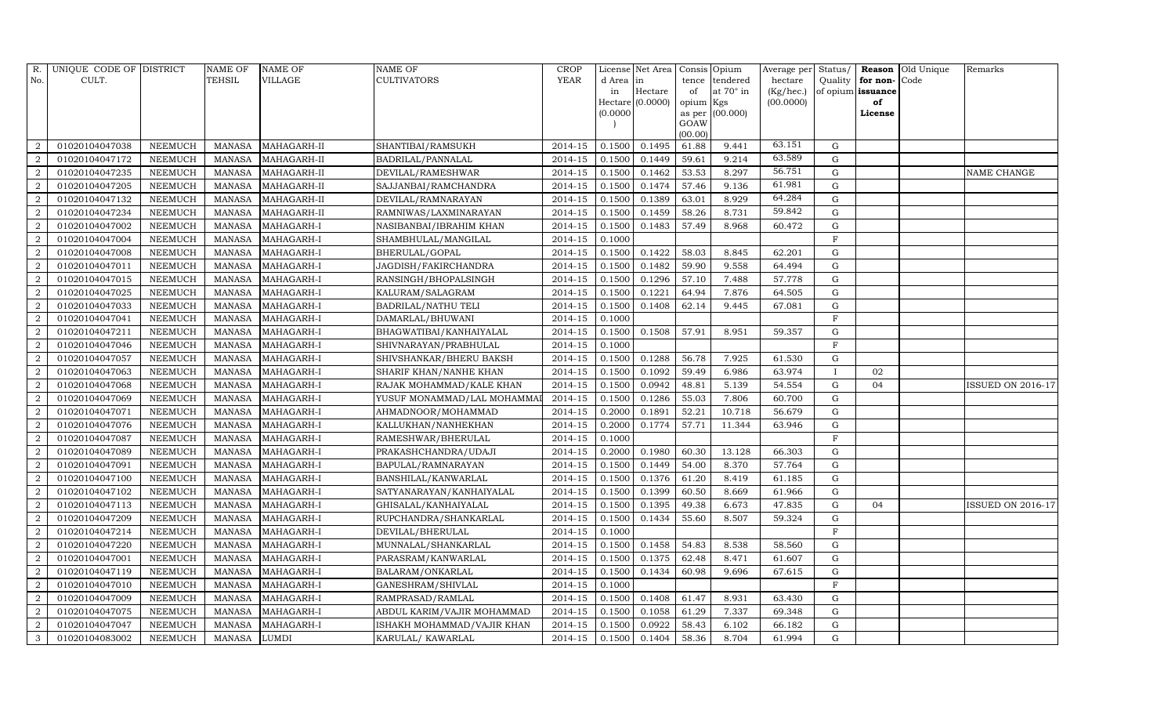| R.             | UNIQUE CODE OF DISTRICT |                | <b>NAME OF</b> | <b>NAME OF</b> | <b>NAME OF</b>             | <b>CROP</b> |           | License Net Area | Consis Opium |                 | Average per Status/ |             |                   | Reason Old Unique | Remarks                  |
|----------------|-------------------------|----------------|----------------|----------------|----------------------------|-------------|-----------|------------------|--------------|-----------------|---------------------|-------------|-------------------|-------------------|--------------------------|
| No.            | CULT.                   |                | TEHSIL         | VILLAGE        | CULTIVATORS                | <b>YEAR</b> | d Area in |                  |              | tence tendered  | hectare             | Quality     | for non-          | Code              |                          |
|                |                         |                |                |                |                            |             | in        | Hectare          | of           | at 70° in       | (Kg/hec.)           |             | of opium issuance |                   |                          |
|                |                         |                |                |                |                            |             |           | Hectare (0.0000) | opium Kgs    |                 | (00.0000)           |             | of                |                   |                          |
|                |                         |                |                |                |                            |             | (0.0000)  |                  | GOAW         | as per (00.000) |                     |             | License           |                   |                          |
|                |                         |                |                |                |                            |             |           |                  | (00.00)      |                 |                     |             |                   |                   |                          |
| 2              | 01020104047038          | <b>NEEMUCH</b> | <b>MANASA</b>  | MAHAGARH-II    | SHANTIBAI/RAMSUKH          | 2014-15     | 0.1500    | 0.1495           | 61.88        | 9.441           | 63.151              | $\mathbf G$ |                   |                   |                          |
| $\overline{2}$ | 01020104047172          | <b>NEEMUCH</b> | <b>MANASA</b>  | MAHAGARH-II    | BADRILAL/PANNALAL          | 2014-15     | 0.1500    | 0.1449           | 59.61        | 9.214           | 63.589              | ${\rm G}$   |                   |                   |                          |
| 2              | 01020104047235          | <b>NEEMUCH</b> | <b>MANASA</b>  | MAHAGARH-II    | DEVILAL/RAMESHWAR          | $2014 - 15$ | 0.1500    | 0.1462           | 53.53        | 8.297           | 56.751              | $\mathbf G$ |                   |                   | NAME CHANGE              |
| $\overline{2}$ | 01020104047205          | <b>NEEMUCH</b> | <b>MANASA</b>  | MAHAGARH-II    | SAJJANBAI/RAMCHANDRA       | 2014-15     | 0.1500    | 0.1474           | 57.46        | 9.136           | 61.981              | $\mathbf G$ |                   |                   |                          |
| 2              | 01020104047132          | <b>NEEMUCH</b> | <b>MANASA</b>  | MAHAGARH-II    | DEVILAL/RAMNARAYAN         | 2014-15     | 0.1500    | 0.1389           | 63.01        | 8.929           | 64.284              | G           |                   |                   |                          |
| $\overline{2}$ | 01020104047234          | <b>NEEMUCH</b> | <b>MANASA</b>  | MAHAGARH-II    | RAMNIWAS/LAXMINARAYAN      | $2014 - 15$ | 0.1500    | 0.1459           | 58.26        | 8.731           | 59.842              | $\mathbf G$ |                   |                   |                          |
| $\overline{2}$ | 01020104047002          | <b>NEEMUCH</b> | <b>MANASA</b>  | MAHAGARH-I     | NASIBANBAI/IBRAHIM KHAN    | 2014-15     | 0.1500    | 0.1483           | 57.49        | 8.968           | 60.472              | $\mathbf G$ |                   |                   |                          |
| $\overline{2}$ | 01020104047004          | <b>NEEMUCH</b> | <b>MANASA</b>  | MAHAGARH-I     | SHAMBHULAL/MANGILAL        | 2014-15     | 0.1000    |                  |              |                 |                     | $\mathbf F$ |                   |                   |                          |
| $\overline{2}$ | 01020104047008          | <b>NEEMUCH</b> | <b>MANASA</b>  | MAHAGARH-I     | BHERULAL/GOPAL             | 2014-15     | 0.1500    | 0.1422           | 58.03        | 8.845           | 62.201              | $\mathbf G$ |                   |                   |                          |
| 2              | 01020104047011          | <b>NEEMUCH</b> | <b>MANASA</b>  | MAHAGARH-I     | JAGDISH/FAKIRCHANDRA       | 2014-15     | 0.1500    | 0.1482           | 59.90        | 9.558           | 64.494              | G           |                   |                   |                          |
| $\overline{2}$ | 01020104047015          | <b>NEEMUCH</b> | <b>MANASA</b>  | MAHAGARH-I     | RANSINGH/BHOPALSINGH       | 2014-15     | 0.1500    | 0.1296           | 57.10        | 7.488           | 57.778              | $\mathbf G$ |                   |                   |                          |
| $\overline{2}$ | 01020104047025          | <b>NEEMUCH</b> | <b>MANASA</b>  | MAHAGARH-I     | KALURAM/SALAGRAM           | 2014-15     | 0.1500    | 0.1221           | 64.94        | 7.876           | 64.505              | $\mathbf G$ |                   |                   |                          |
| $\overline{2}$ | 01020104047033          | <b>NEEMUCH</b> | <b>MANASA</b>  | MAHAGARH-I     | BADRILAL/NATHU TELI        | $2014 - 15$ | 0.1500    | 0.1408           | 62.14        | 9.445           | 67.081              | $\mathbf G$ |                   |                   |                          |
| $\overline{2}$ | 01020104047041          | <b>NEEMUCH</b> | <b>MANASA</b>  | MAHAGARH-I     | DAMARLAL/BHUWANI           | 2014-15     | 0.1000    |                  |              |                 |                     | $\rm F$     |                   |                   |                          |
| 2              | 01020104047211          | <b>NEEMUCH</b> | <b>MANASA</b>  | MAHAGARH-I     | BHAGWATIBAI/KANHAIYALAL    | 2014-15     | 0.1500    | 0.1508           | 57.91        | 8.951           | 59.357              | ${\rm G}$   |                   |                   |                          |
| $\overline{2}$ | 01020104047046          | <b>NEEMUCH</b> | <b>MANASA</b>  | MAHAGARH-I     | SHIVNARAYAN/PRABHULAL      | 2014-15     | 0.1000    |                  |              |                 |                     | F           |                   |                   |                          |
| 2              | 01020104047057          | <b>NEEMUCH</b> | <b>MANASA</b>  | MAHAGARH-I     | SHIVSHANKAR/BHERU BAKSH    | 2014-15     | 0.1500    | 0.1288           | 56.78        | 7.925           | 61.530              | G           |                   |                   |                          |
| $\overline{a}$ | 01020104047063          | <b>NEEMUCH</b> | <b>MANASA</b>  | MAHAGARH-I     | SHARIF KHAN/NANHE KHAN     | $2014 - 15$ | 0.1500    | 0.1092           | 59.49        | 6.986           | 63.974              |             | 02                |                   |                          |
| 2              | 01020104047068          | <b>NEEMUCH</b> | <b>MANASA</b>  | MAHAGARH-I     | RAJAK MOHAMMAD/KALE KHAN   | 2014-15     | 0.1500    | 0.0942           | 48.81        | 5.139           | 54.554              | $\mathbf G$ | 04                |                   | <b>ISSUED ON 2016-17</b> |
| 2              | 01020104047069          | <b>NEEMUCH</b> | <b>MANASA</b>  | MAHAGARH-I     | YUSUF MONAMMAD/LAL MOHAMMA | 2014-15     | 0.1500    | 0.1286           | 55.03        | 7.806           | 60.700              | G           |                   |                   |                          |
| 2              | 01020104047071          | <b>NEEMUCH</b> | <b>MANASA</b>  | MAHAGARH-I     | AHMADNOOR/MOHAMMAD         | 2014-15     | 0.2000    | 0.1891           | 52.21        | 10.718          | 56.679              | $\mathbf G$ |                   |                   |                          |
| $\overline{2}$ | 01020104047076          | <b>NEEMUCH</b> | <b>MANASA</b>  | MAHAGARH-I     | KALLUKHAN/NANHEKHAN        | 2014-15     | 0.2000    | 0.1774           | 57.71        | 11.344          | 63.946              | $\mathbf G$ |                   |                   |                          |
| $\overline{2}$ | 01020104047087          | <b>NEEMUCH</b> | <b>MANASA</b>  | MAHAGARH-I     | RAMESHWAR/BHERULAL         | 2014-15     | 0.1000    |                  |              |                 |                     | F           |                   |                   |                          |
| $\overline{2}$ | 01020104047089          | <b>NEEMUCH</b> | <b>MANASA</b>  | MAHAGARH-I     | PRAKASHCHANDRA/UDAJI       | 2014-15     | 0.2000    | 0.1980           | 60.30        | 13.128          | 66.303              | $\mathbf G$ |                   |                   |                          |
| 2              | 01020104047091          | <b>NEEMUCH</b> | <b>MANASA</b>  | MAHAGARH-I     | BAPULAL/RAMNARAYAN         | 2014-15     | 0.1500    | 0.1449           | 54.00        | 8.370           | 57.764              | ${\rm G}$   |                   |                   |                          |
| $\overline{2}$ | 01020104047100          | <b>NEEMUCH</b> | <b>MANASA</b>  | MAHAGARH-I     | BANSHILAL/KANWARLAL        | 2014-15     | 0.1500    | 0.1376           | 61.20        | 8.419           | 61.185              | $\mathbf G$ |                   |                   |                          |
| 2              | 01020104047102          | <b>NEEMUCH</b> | <b>MANASA</b>  | MAHAGARH-I     | SATYANARAYAN/KANHAIYALAL   | 2014-15     | 0.1500    | 0.1399           | 60.50        | 8.669           | 61.966              | $\mathbf G$ |                   |                   |                          |
| 2              | 01020104047113          | <b>NEEMUCH</b> | <b>MANASA</b>  | MAHAGARH-I     | GHISALAL/KANHAIYALAL       | 2014-15     | 0.1500    | 0.1395           | 49.38        | 6.673           | 47.835              | ${\bf G}$   | 04                |                   | <b>ISSUED ON 2016-17</b> |
| $\overline{2}$ | 01020104047209          | <b>NEEMUCH</b> | <b>MANASA</b>  | MAHAGARH-I     | RUPCHANDRA/SHANKARLAL      | 2014-15     | 0.1500    | 0.1434           | 55.60        | 8.507           | 59.324              | G           |                   |                   |                          |
| $\overline{a}$ | 01020104047214          | <b>NEEMUCH</b> | <b>MANASA</b>  | MAHAGARH-I     | DEVILAL/BHERULAL           | 2014-15     | 0.1000    |                  |              |                 |                     | $\mathbf F$ |                   |                   |                          |
| 2              | 01020104047220          | <b>NEEMUCH</b> | <b>MANASA</b>  | MAHAGARH-I     | MUNNALAL/SHANKARLAL        | 2014-15     | 0.1500    | 0.1458           | 54.83        | 8.538           | 58.560              | $\mathbf G$ |                   |                   |                          |
| $\overline{2}$ | 01020104047001          | <b>NEEMUCH</b> | <b>MANASA</b>  | MAHAGARH-I     | PARASRAM/KANWARLAL         | 2014-15     | 0.1500    | 0.1375           | 62.48        | 8.471           | 61.607              | $\mathbf G$ |                   |                   |                          |
| 2              | 01020104047119          | <b>NEEMUCH</b> | <b>MANASA</b>  | MAHAGARH-I     | BALARAM/ONKARLAL           | 2014-15     | 0.1500    | 0.1434           | 60.98        | 9.696           | 67.615              | $\mathbf G$ |                   |                   |                          |
| $\overline{2}$ | 01020104047010          | <b>NEEMUCH</b> | <b>MANASA</b>  | MAHAGARH-I     | GANESHRAM/SHIVLAL          | 2014-15     | 0.1000    |                  |              |                 |                     | $\mathbf F$ |                   |                   |                          |
| $\overline{a}$ | 01020104047009          | <b>NEEMUCH</b> | <b>MANASA</b>  | MAHAGARH-I     | RAMPRASAD/RAMLAL           | 2014-15     | 0.1500    | 0.1408           | 61.47        | 8.931           | 63.430              | $\mathbf G$ |                   |                   |                          |
| $\overline{2}$ | 01020104047075          | <b>NEEMUCH</b> | <b>MANASA</b>  | MAHAGARH-I     | ABDUL KARIM/VAJIR MOHAMMAD | 2014-15     | 0.1500    | 0.1058           | 61.29        | 7.337           | 69.348              | $\mathbf G$ |                   |                   |                          |
| $\overline{2}$ | 01020104047047          | <b>NEEMUCH</b> | <b>MANASA</b>  | MAHAGARH-I     | ISHAKH MOHAMMAD/VAJIR KHAN | 2014-15     | 0.1500    | 0.0922           | 58.43        | 6.102           | 66.182              | ${\rm G}$   |                   |                   |                          |
| 3              | 01020104083002          | <b>NEEMUCH</b> | <b>MANASA</b>  | <b>LUMDI</b>   | KARULAL/KAWARLAL           | 2014-15     | 0.1500    | 0.1404           | 58.36        | 8.704           | 61.994              | $\mathbf G$ |                   |                   |                          |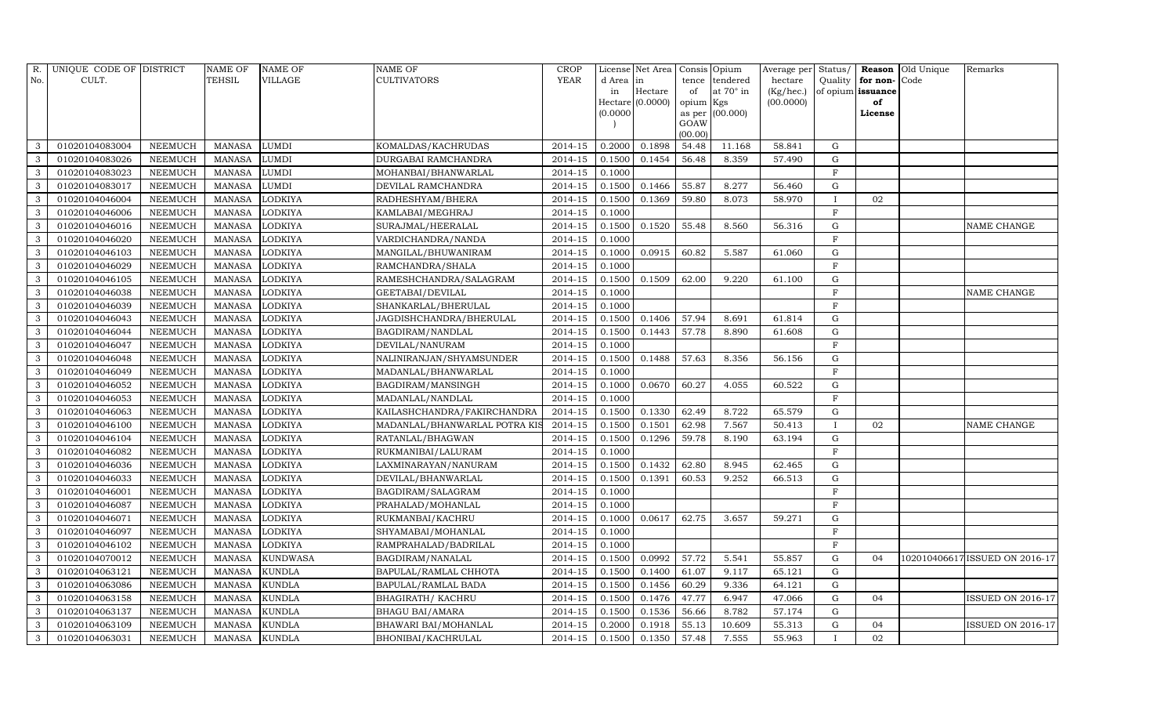| R.             | UNIQUE CODE OF DISTRICT |                | NAME OF       | <b>NAME OF</b>  | <b>NAME OF</b>               | <b>CROP</b> |           | License Net Area   | Consis Opium |                 | Average per Status/ |              |                   | <b>Reason</b> Old Unique | Remarks                        |
|----------------|-------------------------|----------------|---------------|-----------------|------------------------------|-------------|-----------|--------------------|--------------|-----------------|---------------------|--------------|-------------------|--------------------------|--------------------------------|
| No.            | CULT.                   |                | TEHSIL        | <b>VILLAGE</b>  | <b>CULTIVATORS</b>           | YEAR        | d Area in |                    | tence        | tendered        | hectare             | Quality      | for non-          | Code                     |                                |
|                |                         |                |               |                 |                              |             | in        | Hectare            | of           | at 70° in       | (Kg/hec.)           |              | of opium issuance |                          |                                |
|                |                         |                |               |                 |                              |             |           | $Hectare$ (0.0000) | opium Kgs    |                 | (00.0000)           |              | of                |                          |                                |
|                |                         |                |               |                 |                              |             | (0.0000)  |                    | GOAW         | as per (00.000) |                     |              | License           |                          |                                |
|                |                         |                |               |                 |                              |             |           |                    | (00.00)      |                 |                     |              |                   |                          |                                |
| 3              | 01020104083004          | <b>NEEMUCH</b> | <b>MANASA</b> | <b>LUMDI</b>    | KOMALDAS/KACHRUDAS           | 2014-15     | 0.2000    | 0.1898             | 54.48        | 11.168          | 58.841              | G            |                   |                          |                                |
| 3              | 01020104083026          | <b>NEEMUCH</b> | <b>MANASA</b> | <b>LUMDI</b>    | DURGABAI RAMCHANDRA          | 2014-15     | 0.1500    | 0.1454             | 56.48        | 8.359           | 57.490              | $\mathbf G$  |                   |                          |                                |
| $\mathbf{3}$   | 01020104083023          | <b>NEEMUCH</b> | <b>MANASA</b> | <b>LUMDI</b>    | MOHANBAI/BHANWARLAL          | 2014-15     | 0.1000    |                    |              |                 |                     | F            |                   |                          |                                |
| 3              | 01020104083017          | <b>NEEMUCH</b> | <b>MANASA</b> | <b>LUMDI</b>    | DEVILAL RAMCHANDRA           | 2014-15     | 0.1500    | 0.1466             | 55.87        | 8.277           | 56.460              | $\mathbf G$  |                   |                          |                                |
| 3              | 01020104046004          | <b>NEEMUCH</b> | <b>MANASA</b> | <b>LODKIYA</b>  | RADHESHYAM/BHERA             | 2014-15     | 0.1500    | 0.1369             | 59.80        | 8.073           | 58.970              | $\mathbf{I}$ | 02                |                          |                                |
| $\mathbf{3}$   | 01020104046006          | <b>NEEMUCH</b> | <b>MANASA</b> | <b>LODKIYA</b>  | KAMLABAI/MEGHRAJ             | 2014-15     | 0.1000    |                    |              |                 |                     | $_{\rm F}$   |                   |                          |                                |
| 3              | 01020104046016          | <b>NEEMUCH</b> | <b>MANASA</b> | <b>LODKIYA</b>  | SURAJMAL/HEERALAL            | 2014-15     | 0.1500    | 0.1520             | 55.48        | 8.560           | 56.316              | $\mathbf G$  |                   |                          | NAME CHANGE                    |
| 3              | 01020104046020          | <b>NEEMUCH</b> | <b>MANASA</b> | LODKIYA         | VARDICHANDRA/NANDA           | 2014-15     | 0.1000    |                    |              |                 |                     | $\mathbf F$  |                   |                          |                                |
| 3              | 01020104046103          | <b>NEEMUCH</b> | <b>MANASA</b> | <b>LODKIYA</b>  | MANGILAL/BHUWANIRAM          | 2014-15     | 0.1000    | 0.0915             | 60.82        | 5.587           | 61.060              | G            |                   |                          |                                |
| $\mathbf{3}$   | 01020104046029          | <b>NEEMUCH</b> | <b>MANASA</b> | LODKIYA         | RAMCHANDRA/SHALA             | 2014-15     | 0.1000    |                    |              |                 |                     | F            |                   |                          |                                |
| 3              | 01020104046105          | <b>NEEMUCH</b> | <b>MANASA</b> | <b>LODKIYA</b>  | RAMESHCHANDRA/SALAGRAM       | 2014-15     | 0.1500    | 0.1509             | 62.00        | 9.220           | 61.100              | G            |                   |                          |                                |
| $\mathbf{3}$   | 01020104046038          | <b>NEEMUCH</b> | <b>MANASA</b> | <b>LODKIYA</b>  | GEETABAI/DEVILAL             | 2014-15     | 0.1000    |                    |              |                 |                     | $\mathbf{F}$ |                   |                          | NAME CHANGE                    |
| $\mathbf{3}$   | 01020104046039          | <b>NEEMUCH</b> | <b>MANASA</b> | LODKIYA         | SHANKARLAL/BHERULAL          | 2014-15     | 0.1000    |                    |              |                 |                     | $\mathbf F$  |                   |                          |                                |
| 3              | 01020104046043          | <b>NEEMUCH</b> | <b>MANASA</b> | <b>LODKIYA</b>  | JAGDISHCHANDRA/BHERULAL      | 2014-15     | 0.1500    | 0.1406             | 57.94        | 8.691           | 61.814              | $\mathbf G$  |                   |                          |                                |
| $\mathbf{3}$   | 01020104046044          | <b>NEEMUCH</b> | <b>MANASA</b> | LODKIYA         | BAGDIRAM/NANDLAL             | 2014-15     | 0.1500    | 0.1443             | 57.78        | 8.890           | 61.608              | $\mathbf G$  |                   |                          |                                |
| 3              | 01020104046047          | <b>NEEMUCH</b> | <b>MANASA</b> | LODKIYA         | DEVILAL/NANURAM              | 2014-15     | 0.1000    |                    |              |                 |                     | F            |                   |                          |                                |
| 3              | 01020104046048          | <b>NEEMUCH</b> | <b>MANASA</b> | LODKIYA         | NALINIRANJAN/SHYAMSUNDER     | 2014-15     | 0.1500    | 0.1488             | 57.63        | 8.356           | 56.156              | $\mathbf G$  |                   |                          |                                |
| 3              | 01020104046049          | <b>NEEMUCH</b> | <b>MANASA</b> | <b>LODKIYA</b>  | MADANLAL/BHANWARLAL          | 2014-15     | 0.1000    |                    |              |                 |                     | $\mathbf F$  |                   |                          |                                |
| 3              | 01020104046052          | <b>NEEMUCH</b> | <b>MANASA</b> | <b>LODKIYA</b>  | BAGDIRAM/MANSINGH            | 2014-15     | 0.1000    | 0.0670             | 60.27        | 4.055           | 60.522              | ${\rm G}$    |                   |                          |                                |
| $\mathbf{3}$   | 01020104046053          | <b>NEEMUCH</b> | <b>MANASA</b> | LODKIYA         | MADANLAL/NANDLAL             | 2014-15     | 0.1000    |                    |              |                 |                     | F            |                   |                          |                                |
| 3              | 01020104046063          | <b>NEEMUCH</b> | <b>MANASA</b> | <b>LODKIYA</b>  | KAILASHCHANDRA/FAKIRCHANDRA  | 2014-15     | 0.1500    | 0.1330             | 62.49        | 8.722           | 65.579              | $\mathbf G$  |                   |                          |                                |
| 3              | 01020104046100          | <b>NEEMUCH</b> | <b>MANASA</b> | <b>LODKIYA</b>  | MADANLAL/BHANWARLAL POTRA KI | 2014-15     | 0.1500    | 0.1501             | 62.98        | 7.567           | 50.413              | $\mathbf I$  | 02                |                          | NAME CHANGE                    |
| $\overline{3}$ | 01020104046104          | <b>NEEMUCH</b> | <b>MANASA</b> | <b>LODKIYA</b>  | RATANLAL/BHAGWAN             | 2014-15     | 0.1500    | 0.1296             | 59.78        | 8.190           | 63.194              | $\mathbf G$  |                   |                          |                                |
| 3              | 01020104046082          | <b>NEEMUCH</b> | <b>MANASA</b> | LODKIYA         | RUKMANIBAI/LALURAM           | 2014-15     | 0.1000    |                    |              |                 |                     | F            |                   |                          |                                |
| $\mathbf{3}$   | 01020104046036          | <b>NEEMUCH</b> | <b>MANASA</b> | LODKIYA         | LAXMINARAYAN/NANURAM         | 2014-15     | 0.1500    | 0.1432             | 62.80        | 8.945           | 62.465              | ${\rm G}$    |                   |                          |                                |
| 3              | 01020104046033          | <b>NEEMUCH</b> | <b>MANASA</b> | <b>LODKIYA</b>  | DEVILAL/BHANWARLAL           | 2014-15     | 0.1500    | 0.1391             | 60.53        | 9.252           | 66.513              | G            |                   |                          |                                |
| 3              | 01020104046001          | <b>NEEMUCH</b> | <b>MANASA</b> | LODKIYA         | BAGDIRAM/SALAGRAM            | 2014-15     | 0.1000    |                    |              |                 |                     | $_{\rm F}$   |                   |                          |                                |
| 3              | 01020104046087          | <b>NEEMUCH</b> | <b>MANASA</b> | <b>LODKIYA</b>  | PRAHALAD/MOHANLAL            | 2014-15     | 0.1000    |                    |              |                 |                     | F            |                   |                          |                                |
| $\mathbf{3}$   | 01020104046071          | <b>NEEMUCH</b> | <b>MANASA</b> | LODKIYA         | RUKMANBAI/KACHRU             | 2014-15     | 0.1000    | 0.0617             | 62.75        | 3.657           | 59.271              | $\mathbf G$  |                   |                          |                                |
| $\overline{3}$ | 01020104046097          | <b>NEEMUCH</b> | <b>MANASA</b> | LODKIYA         | SHYAMABAI/MOHANLAL           | 2014-15     | 0.1000    |                    |              |                 |                     | F            |                   |                          |                                |
| 3              | 01020104046102          | <b>NEEMUCH</b> | <b>MANASA</b> | <b>LODKIYA</b>  | RAMPRAHALAD/BADRILAL         | 2014-15     | 0.1000    |                    |              |                 |                     | F            |                   |                          |                                |
| 3              | 01020104070012          | <b>NEEMUCH</b> | <b>MANASA</b> | <b>KUNDWASA</b> | BAGDIRAM/NANALAL             | 2014-15     | 0.1500    | 0.0992             | 57.72        | 5.541           | 55.857              | $\mathbf G$  | 0 <sub>4</sub>    |                          | 102010406617 ISSUED ON 2016-17 |
| $\mathbf{3}$   | 01020104063121          | <b>NEEMUCH</b> | <b>MANASA</b> | <b>KUNDLA</b>   | BAPULAL/RAMLAL CHHOTA        | 2014-15     | 0.1500    | 0.1400             | 61.07        | 9.117           | 65.121              | G            |                   |                          |                                |
| 3              | 01020104063086          | <b>NEEMUCH</b> | <b>MANASA</b> | <b>KUNDLA</b>   | BAPULAL/RAMLAL BADA          | 2014-15     | 0.1500    | 0.1456             | 60.29        | 9.336           | 64.121              | G            |                   |                          |                                |
| $\mathbf{3}$   | 01020104063158          | <b>NEEMUCH</b> | <b>MANASA</b> | <b>KUNDLA</b>   | BHAGIRATH / KACHRU           | 2014-15     | 0.1500    | 0.1476             | 47.77        | 6.947           | 47.066              | ${\rm G}$    | 04                |                          | <b>ISSUED ON 2016-17</b>       |
| 3              | 01020104063137          | <b>NEEMUCH</b> | <b>MANASA</b> | <b>KUNDLA</b>   | <b>BHAGU BAI/AMARA</b>       | 2014-15     | 0.1500    | 0.1536             | 56.66        | 8.782           | 57.174              | $\mathbf G$  |                   |                          |                                |
| $\mathbf{3}$   | 01020104063109          | <b>NEEMUCH</b> | <b>MANASA</b> | <b>KUNDLA</b>   | BHAWARI BAI/MOHANLAL         | 2014-15     | 0.2000    | 0.1918             | 55.13        | 10.609          | 55.313              | $\mathbf G$  | 04                |                          | <b>ISSUED ON 2016-17</b>       |
| 3              | 01020104063031          | <b>NEEMUCH</b> | <b>MANASA</b> | <b>KUNDLA</b>   | BHONIBAI/KACHRULAL           | 2014-15     | 0.1500    | 0.1350             | 57.48        | 7.555           | 55.963              | $\mathbf{I}$ | 02                |                          |                                |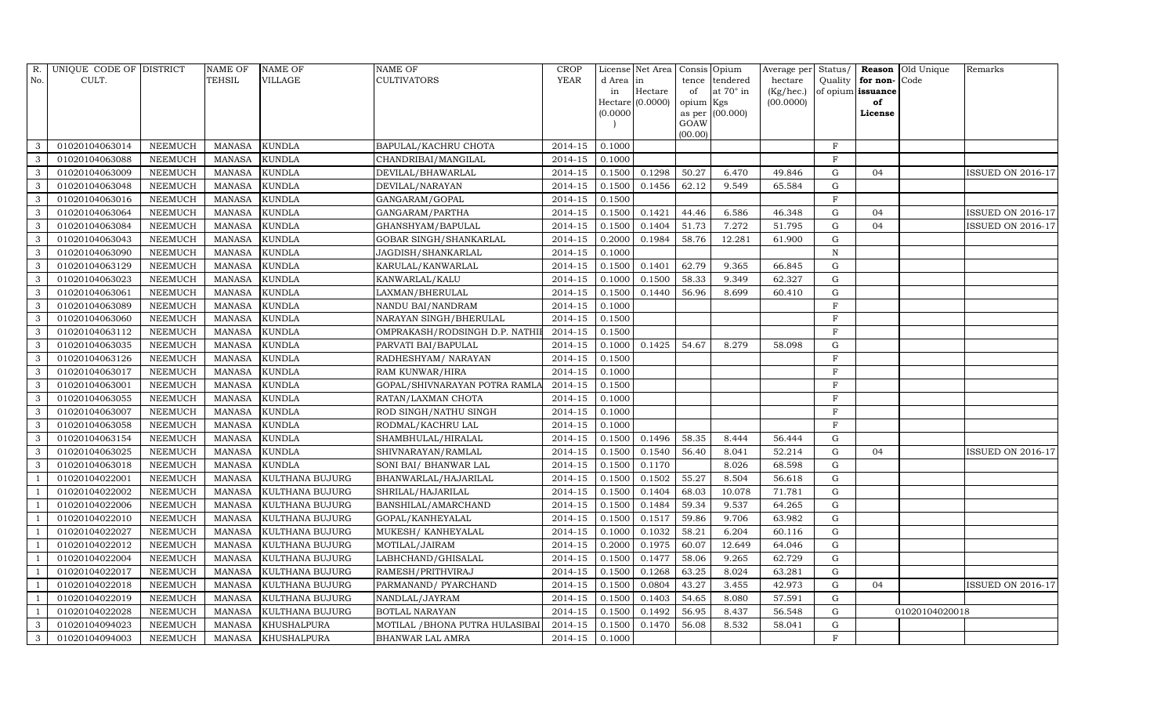| R.             | UNIQUE CODE OF DISTRICT |                | NAME OF       | <b>NAME OF</b>     | <b>NAME OF</b>                  | <b>CROP</b> |           | License Net Area   | Consis Opium |                 | Average per Status/ |             |                   | Reason Old Unique | Remarks                  |
|----------------|-------------------------|----------------|---------------|--------------------|---------------------------------|-------------|-----------|--------------------|--------------|-----------------|---------------------|-------------|-------------------|-------------------|--------------------------|
| No.            | CULT.                   |                | TEHSIL        | <b>VILLAGE</b>     | <b>CULTIVATORS</b>              | YEAR        | d Area in |                    | tence        | tendered        | hectare             | Quality     | for non-Code      |                   |                          |
|                |                         |                |               |                    |                                 |             | in        | Hectare            | of           | at 70° in       | (Kg/hec.)           |             | of opium issuance |                   |                          |
|                |                         |                |               |                    |                                 |             |           | $Hectare$ (0.0000) | opium Kgs    |                 | (00.0000)           |             | of                |                   |                          |
|                |                         |                |               |                    |                                 |             | (0.0000)  |                    | GOAW         | as per (00.000) |                     |             | License           |                   |                          |
|                |                         |                |               |                    |                                 |             |           |                    | (00.00)      |                 |                     |             |                   |                   |                          |
| 3              | 01020104063014          | <b>NEEMUCH</b> | <b>MANASA</b> | <b>KUNDLA</b>      | BAPULAL/KACHRU CHOTA            | 2014-15     | 0.1000    |                    |              |                 |                     | $\rm F$     |                   |                   |                          |
| 3              | 01020104063088          | <b>NEEMUCH</b> | <b>MANASA</b> | <b>KUNDLA</b>      | CHANDRIBAI/MANGILAL             | 2014-15     | 0.1000    |                    |              |                 |                     | $\mathbf F$ |                   |                   |                          |
| $\mathbf{3}$   | 01020104063009          | <b>NEEMUCH</b> | <b>MANASA</b> | <b>KUNDLA</b>      | DEVILAL/BHAWARLAL               | 2014-15     | 0.1500    | 0.1298             | 50.27        | 6.470           | 49.846              | G           | 04                |                   | <b>ISSUED ON 2016-17</b> |
| 3              | 01020104063048          | <b>NEEMUCH</b> | <b>MANASA</b> | <b>KUNDLA</b>      | DEVILAL/NARAYAN                 | 2014-15     | 0.1500    | 0.1456             | 62.12        | 9.549           | 65.584              | $\mathbf G$ |                   |                   |                          |
| 3              | 01020104063016          | <b>NEEMUCH</b> | <b>MANASA</b> | <b>KUNDLA</b>      | GANGARAM/GOPAL                  | 2014-15     | 0.1500    |                    |              |                 |                     | $\mathbf F$ |                   |                   |                          |
| $\mathbf{3}$   | 01020104063064          | <b>NEEMUCH</b> | <b>MANASA</b> | <b>KUNDLA</b>      | GANGARAM/PARTHA                 | $2014 - 15$ | 0.1500    | 0.1421             | 44.46        | 6.586           | 46.348              | G           | 04                |                   | <b>ISSUED ON 2016-17</b> |
| 3              | 01020104063084          | <b>NEEMUCH</b> | <b>MANASA</b> | <b>KUNDLA</b>      | GHANSHYAM/BAPULAL               | 2014-15     | 0.1500    | 0.1404             | 51.73        | 7.272           | 51.795              | G           | 04                |                   | ISSUED ON 2016-17        |
| 3              | 01020104063043          | <b>NEEMUCH</b> | <b>MANASA</b> | <b>KUNDLA</b>      | GOBAR SINGH/SHANKARLAL          | 2014-15     | 0.2000    | 0.1984             | 58.76        | 12.281          | 61.900              | G           |                   |                   |                          |
| $\mathbf{3}$   | 01020104063090          | <b>NEEMUCH</b> | <b>MANASA</b> | <b>KUNDLA</b>      | JAGDISH/SHANKARLAL              | 2014-15     | 0.1000    |                    |              |                 |                     | $\,$ N      |                   |                   |                          |
| $\mathbf{3}$   | 01020104063129          | <b>NEEMUCH</b> | <b>MANASA</b> | <b>KUNDLA</b>      | KARULAL/KANWARLAL               | 2014-15     | 0.1500    | 0.1401             | 62.79        | 9.365           | 66.845              | G           |                   |                   |                          |
| 3              | 01020104063023          | <b>NEEMUCH</b> | <b>MANASA</b> | <b>KUNDLA</b>      | KANWARLAL/KALU                  | 2014-15     | 0.1000    | 0.1500             | 58.33        | 9.349           | 62.327              | $\mathbf G$ |                   |                   |                          |
| 3              | 01020104063061          | <b>NEEMUCH</b> | <b>MANASA</b> | <b>KUNDLA</b>      | LAXMAN/BHERULAL                 | 2014-15     | 0.1500    | 0.1440             | 56.96        | 8.699           | 60.410              | ${\rm G}$   |                   |                   |                          |
| $\mathbf{3}$   | 01020104063089          | <b>NEEMUCH</b> | <b>MANASA</b> | <b>KUNDLA</b>      | NANDU BAI/NANDRAM               | 2014-15     | 0.1000    |                    |              |                 |                     | $\mathbf F$ |                   |                   |                          |
| 3              | 01020104063060          | <b>NEEMUCH</b> | <b>MANASA</b> | <b>KUNDLA</b>      | NARAYAN SINGH/BHERULAL          | 2014-15     | 0.1500    |                    |              |                 |                     | $_{\rm F}$  |                   |                   |                          |
| 3              | 01020104063112          | <b>NEEMUCH</b> | <b>MANASA</b> | <b>KUNDLA</b>      | OMPRAKASH/RODSINGH D.P. NATHII  | 2014-15     | 0.1500    |                    |              |                 |                     | $\mathbf F$ |                   |                   |                          |
| $\mathbf{3}$   | 01020104063035          | <b>NEEMUCH</b> | <b>MANASA</b> | <b>KUNDLA</b>      | PARVATI BAI/BAPULAL             | 2014-15     | 0.1000    | 0.1425             | 54.67        | 8.279           | 58.098              | G           |                   |                   |                          |
| 3              | 01020104063126          | <b>NEEMUCH</b> | <b>MANASA</b> | <b>KUNDLA</b>      | RADHESHYAM/ NARAYAN             | 2014-15     | 0.1500    |                    |              |                 |                     | $_{\rm F}$  |                   |                   |                          |
| 3              | 01020104063017          | <b>NEEMUCH</b> | <b>MANASA</b> | <b>KUNDLA</b>      | RAM KUNWAR/HIRA                 | 2014-15     | 0.1000    |                    |              |                 |                     | F           |                   |                   |                          |
| 3              | 01020104063001          | <b>NEEMUCH</b> | <b>MANASA</b> | <b>KUNDLA</b>      | GOPAL/SHIVNARAYAN POTRA RAMLA   | 2014-15     | 0.1500    |                    |              |                 |                     | $_{\rm F}$  |                   |                   |                          |
| 3              | 01020104063055          | <b>NEEMUCH</b> | <b>MANASA</b> | <b>KUNDLA</b>      | RATAN/LAXMAN CHOTA              | 2014-15     | 0.1000    |                    |              |                 |                     | $_{\rm F}$  |                   |                   |                          |
| 3              | 01020104063007          | <b>NEEMUCH</b> | <b>MANASA</b> | <b>KUNDLA</b>      | ROD SINGH/NATHU SINGH           | 2014-15     | 0.1000    |                    |              |                 |                     | $_{\rm F}$  |                   |                   |                          |
| 3              | 01020104063058          | <b>NEEMUCH</b> | <b>MANASA</b> | <b>KUNDLA</b>      | RODMAL/KACHRU LAL               | 2014-15     | 0.1000    |                    |              |                 |                     | F           |                   |                   |                          |
| $\mathbf{3}$   | 01020104063154          | <b>NEEMUCH</b> | <b>MANASA</b> | <b>KUNDLA</b>      | SHAMBHULAL/HIRALAL              | 2014-15     | 0.1500    | 0.1496             | 58.35        | 8.444           | 56.444              | G           |                   |                   |                          |
| 3              | 01020104063025          | <b>NEEMUCH</b> | <b>MANASA</b> | <b>KUNDLA</b>      | SHIVNARAYAN/RAMLAL              | 2014-15     | 0.1500    | 0.1540             | 56.40        | 8.041           | 52.214              | G           | 04                |                   | ISSUED ON 2016-17        |
| 3              | 01020104063018          | <b>NEEMUCH</b> | <b>MANASA</b> | <b>KUNDLA</b>      | SONI BAI/ BHANWAR LAL           | 2014-15     | 0.1500    | 0.1170             |              | 8.026           | 68.598              | $\mathbf G$ |                   |                   |                          |
| $\overline{1}$ | 01020104022001          | <b>NEEMUCH</b> | <b>MANASA</b> | KULTHANA BUJURG    | BHANWARLAL/HAJARILAL            | 2014-15     | 0.1500    | 0.1502             | 55.27        | 8.504           | 56.618              | G           |                   |                   |                          |
|                | 01020104022002          | <b>NEEMUCH</b> | <b>MANASA</b> | KULTHANA BUJURG    | SHRILAL/HAJARILAL               | 2014-15     | 0.1500    | 0.1404             | 68.03        | 10.078          | 71.781              | $\mathbf G$ |                   |                   |                          |
|                | 01020104022006          | <b>NEEMUCH</b> | <b>MANASA</b> | KULTHANA BUJURG    | BANSHILAL/AMARCHAND             | 2014-15     | 0.1500    | 0.1484             | 59.34        | 9.537           | 64.265              | $\mathbf G$ |                   |                   |                          |
|                | 01020104022010          | <b>NEEMUCH</b> | <b>MANASA</b> | KULTHANA BUJURG    | GOPAL/KANHEYALAL                | $2014 - 15$ | 0.1500    | 0.1517             | 59.86        | 9.706           | 63.982              | ${\rm G}$   |                   |                   |                          |
|                | 01020104022027          | <b>NEEMUCH</b> | <b>MANASA</b> | KULTHANA BUJURG    | MUKESH/KANHEYALAL               | $2014 - 15$ | 0.1000    | 0.1032             | 58.21        | 6.204           | 60.116              | $\mathbf G$ |                   |                   |                          |
|                | 01020104022012          | <b>NEEMUCH</b> | <b>MANASA</b> | KULTHANA BUJURG    | MOTILAL/JAIRAM                  | 2014-15     | 0.2000    | 0.1975             | 60.07        | 12.649          | 64.046              | $\mathbf G$ |                   |                   |                          |
|                | 01020104022004          | <b>NEEMUCH</b> | <b>MANASA</b> | KULTHANA BUJURG    | LABHCHAND/GHISALAL              | 2014-15     | 0.1500    | 0.1477             | 58.06        | 9.265           | 62.729              | $\mathbf G$ |                   |                   |                          |
| $\overline{1}$ | 01020104022017          | <b>NEEMUCH</b> | <b>MANASA</b> | KULTHANA BUJURG    | RAMESH/PRITHVIRAJ               | 2014-15     | 0.1500    | 0.1268             | 63.25        | 8.024           | 63.281              | $\mathbf G$ |                   |                   |                          |
|                | 01020104022018          | <b>NEEMUCH</b> | <b>MANASA</b> | KULTHANA BUJURG    | PARMANAND/ PYARCHAND            | 2014-15     | 0.1500    | 0.0804             | 43.27        | 3.455           | 42.973              | G           | 04                |                   | <b>ISSUED ON 2016-17</b> |
|                | 01020104022019          | <b>NEEMUCH</b> | <b>MANASA</b> | KULTHANA BUJURG    | NANDLAL/JAYRAM                  | 2014-15     | 0.1500    | 0.1403             | 54.65        | 8.080           | 57.591              | $\mathbf G$ |                   |                   |                          |
| $\overline{1}$ | 01020104022028          | <b>NEEMUCH</b> | <b>MANASA</b> | KULTHANA BUJURG    | <b>BOTLAL NARAYAN</b>           | 2014-15     | 0.1500    | 0.1492             | 56.95        | 8.437           | 56.548              | G           |                   | 01020104020018    |                          |
| $\mathbf{3}$   | 01020104094023          | <b>NEEMUCH</b> | <b>MANASA</b> | <b>KHUSHALPURA</b> | MOTILAL / BHONA PUTRA HULASIBAI | 2014-15     | 0.1500    | 0.1470             | 56.08        | 8.532           | 58.041              | G           |                   |                   |                          |
| 3              | 01020104094003          | <b>NEEMUCH</b> | <b>MANASA</b> | <b>KHUSHALPURA</b> | <b>BHANWAR LAL AMRA</b>         | 2014-15     | 0.1000    |                    |              |                 |                     | F           |                   |                   |                          |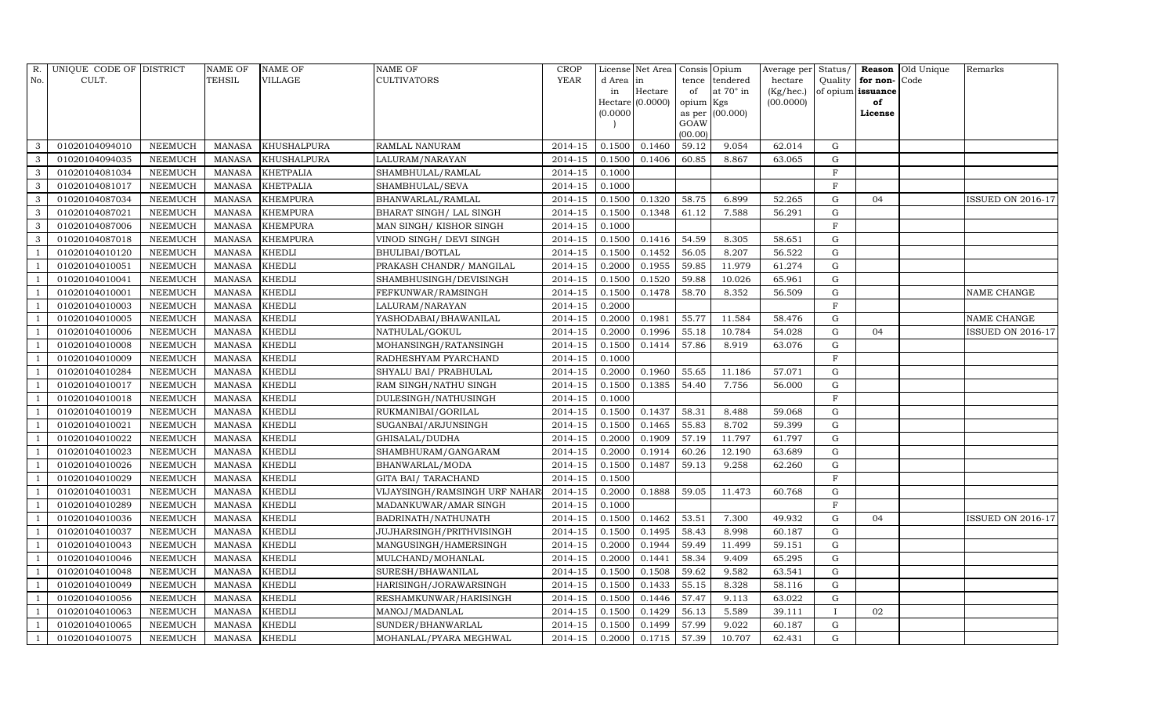| R.  | UNIQUE CODE OF DISTRICT |                | <b>NAME OF</b> | <b>NAME OF</b>     | <b>NAME OF</b>                | <b>CROP</b> |           | License Net Area Consis Opium |           |                  | Average per Status/ |             |                   | Reason Old Unique | Remarks                  |
|-----|-------------------------|----------------|----------------|--------------------|-------------------------------|-------------|-----------|-------------------------------|-----------|------------------|---------------------|-------------|-------------------|-------------------|--------------------------|
| No. | CULT.                   |                | <b>TEHSIL</b>  | <b>VILLAGE</b>     | CULTIVATORS                   | <b>YEAR</b> | d Area in |                               | tence     | tendered         | hectare             | Quality     | for non-Code      |                   |                          |
|     |                         |                |                |                    |                               |             | in        | Hectare                       | of        | at $70^\circ$ in | (Kg/hec.)           |             | of opium issuance |                   |                          |
|     |                         |                |                |                    |                               |             | (0.0000)  | $Hectare$ (0.0000)            | opium Kgs | as per (00.000)  | (00.0000)           |             | of<br>License     |                   |                          |
|     |                         |                |                |                    |                               |             |           |                               | GOAW      |                  |                     |             |                   |                   |                          |
|     |                         |                |                |                    |                               |             |           |                               | (00.00)   |                  |                     |             |                   |                   |                          |
|     | 01020104094010          | <b>NEEMUCH</b> | MANASA         | <b>KHUSHALPURA</b> | RAMLAL NANURAM                | 2014-15     | 0.1500    | 0.1460                        | 59.12     | 9.054            | 62.014              | G           |                   |                   |                          |
| 3   | 01020104094035          | <b>NEEMUCH</b> | <b>MANASA</b>  | <b>KHUSHALPURA</b> | LALURAM/NARAYAN               | 2014-15     | 0.1500    | 0.1406                        | 60.85     | 8.867            | 63.065              | G           |                   |                   |                          |
| 3   | 01020104081034          | <b>NEEMUCH</b> | <b>MANASA</b>  | <b>KHETPALIA</b>   | SHAMBHULAL/RAMLAL             | 2014-15     | 0.1000    |                               |           |                  |                     | F           |                   |                   |                          |
| 3   | 01020104081017          | <b>NEEMUCH</b> | <b>MANASA</b>  | <b>KHETPALIA</b>   | SHAMBHULAL/SEVA               | 2014-15     | 0.1000    |                               |           |                  |                     | $\mathbf F$ |                   |                   |                          |
| 3   | 01020104087034          | <b>NEEMUCH</b> | <b>MANASA</b>  | <b>KHEMPURA</b>    | BHANWARLAL/RAMLAL             | 2014-15     | 0.1500    | 0.1320                        | 58.75     | 6.899            | 52.265              | $\mathbf G$ | 04                |                   | <b>ISSUED ON 2016-17</b> |
| 3   | 01020104087021          | <b>NEEMUCH</b> | <b>MANASA</b>  | <b>KHEMPURA</b>    | BHARAT SINGH/ LAL SINGH       | 2014-15     | 0.1500    | 0.1348                        | 61.12     | 7.588            | 56.291              | $\mathbf G$ |                   |                   |                          |
| 3   | 01020104087006          | <b>NEEMUCH</b> | <b>MANASA</b>  | <b>KHEMPURA</b>    | MAN SINGH/ KISHOR SINGH       | 2014-15     | 0.1000    |                               |           |                  |                     | $\mathbf F$ |                   |                   |                          |
| 3   | 01020104087018          | NEEMUCH        | <b>MANASA</b>  | <b>KHEMPURA</b>    | VINOD SINGH/ DEVI SINGH       | $2014 - 15$ | 0.1500    | 0.1416                        | 54.59     | 8.305            | 58.651              | $\mathbf G$ |                   |                   |                          |
|     | 01020104010120          | NEEMUCH        | <b>MANASA</b>  | <b>KHEDLI</b>      | BHULIBAI/BOTLAL               | 2014-15     | 0.1500    | 0.1452                        | 56.05     | 8.207            | 56.522              | ${\rm G}$   |                   |                   |                          |
|     | 01020104010051          | <b>NEEMUCH</b> | <b>MANASA</b>  | <b>KHEDLI</b>      | PRAKASH CHANDR/ MANGILAL      | $2014 - 15$ | 0.2000    | 0.1955                        | 59.85     | 11.979           | 61.274              | G           |                   |                   |                          |
|     | 01020104010041          | <b>NEEMUCH</b> | <b>MANASA</b>  | <b>KHEDLI</b>      | SHAMBHUSINGH/DEVISINGH        | 2014-15     | 0.1500    | 0.1520                        | 59.88     | 10.026           | 65.961              | $\mathbf G$ |                   |                   |                          |
|     | 01020104010001          | <b>NEEMUCH</b> | <b>MANASA</b>  | <b>KHEDLI</b>      | FEFKUNWAR/RAMSINGH            | 2014-15     | 0.1500    | 0.1478                        | 58.70     | 8.352            | 56.509              | G           |                   |                   | NAME CHANGE              |
|     | 01020104010003          | <b>NEEMUCH</b> | <b>MANASA</b>  | <b>KHEDLI</b>      | LALURAM/NARAYAN               | 2014-15     | 0.2000    |                               |           |                  |                     | $_{\rm F}$  |                   |                   |                          |
|     | 01020104010005          | <b>NEEMUCH</b> | <b>MANASA</b>  | <b>KHEDLI</b>      | YASHODABAI/BHAWANILAL         | 2014-15     | 0.2000    | 0.1981                        | 55.77     | 11.584           | 58.476              | $\mathbf G$ |                   |                   | NAME CHANGE              |
|     | 01020104010006          | <b>NEEMUCH</b> | <b>MANASA</b>  | <b>KHEDLI</b>      | NATHULAL/GOKUL                | 2014-15     | 0.2000    | 0.1996                        | 55.18     | 10.784           | 54.028              | $\mathbf G$ | 04                |                   | <b>ISSUED ON 2016-17</b> |
|     | 01020104010008          | NEEMUCH        | <b>MANASA</b>  | <b>KHEDLI</b>      | MOHANSINGH/RATANSINGH         | 2014-15     | 0.1500    | 0.1414                        | 57.86     | 8.919            | 63.076              | $\mathbf G$ |                   |                   |                          |
|     | 01020104010009          | <b>NEEMUCH</b> | <b>MANASA</b>  | <b>KHEDLI</b>      | RADHESHYAM PYARCHAND          | 2014-15     | 0.1000    |                               |           |                  |                     | $_{\rm F}$  |                   |                   |                          |
|     | 01020104010284          | <b>NEEMUCH</b> | <b>MANASA</b>  | <b>KHEDLI</b>      | SHYALU BAI / PRABHULAL        | 2014-15     | 0.2000    | 0.1960                        | 55.65     | 11.186           | 57.071              | G           |                   |                   |                          |
|     | 01020104010017          | <b>NEEMUCH</b> | <b>MANASA</b>  | <b>KHEDLI</b>      | RAM SINGH/NATHU SINGH         | 2014-15     | 0.1500    | 0.1385                        | 54.40     | 7.756            | 56.000              | G           |                   |                   |                          |
|     | 01020104010018          | <b>NEEMUCH</b> | <b>MANASA</b>  | <b>KHEDLI</b>      | DULESINGH/NATHUSINGH          | 2014-15     | 0.1000    |                               |           |                  |                     | $\mathbf F$ |                   |                   |                          |
|     | 01020104010019          | <b>NEEMUCH</b> | <b>MANASA</b>  | <b>KHEDLI</b>      | RUKMANIBAI/GORILAL            | 2014-15     | 0.1500    | 0.1437                        | 58.31     | 8.488            | 59.068              | $\mathbf G$ |                   |                   |                          |
|     | 01020104010021          | <b>NEEMUCH</b> | <b>MANASA</b>  | <b>KHEDLI</b>      | SUGANBAI/ARJUNSINGH           | 2014-15     | 0.1500    | 0.1465                        | 55.83     | 8.702            | 59.399              | G           |                   |                   |                          |
|     | 01020104010022          | <b>NEEMUCH</b> | <b>MANASA</b>  | <b>KHEDLI</b>      | GHISALAL/DUDHA                | 2014-15     | 0.2000    | 0.1909                        | 57.19     | 11.797           | 61.797              | G           |                   |                   |                          |
|     | 01020104010023          | <b>NEEMUCH</b> | <b>MANASA</b>  | <b>KHEDLI</b>      | SHAMBHURAM/GANGARAM           | 2014-15     | 0.2000    | 0.1914                        | 60.26     | 12.190           | 63.689              | G           |                   |                   |                          |
|     | 01020104010026          | <b>NEEMUCH</b> | <b>MANASA</b>  | <b>KHEDLI</b>      | BHANWARLAL/MODA               | 2014-15     | 0.1500    | 0.1487                        | 59.13     | 9.258            | 62.260              | $\mathbf G$ |                   |                   |                          |
|     | 01020104010029          | <b>NEEMUCH</b> | <b>MANASA</b>  | <b>KHEDLI</b>      | GITA BAI/ TARACHAND           | 2014-15     | 0.1500    |                               |           |                  |                     | $\mathbf F$ |                   |                   |                          |
|     | 01020104010031          | <b>NEEMUCH</b> | <b>MANASA</b>  | <b>KHEDLI</b>      | VIJAYSINGH/RAMSINGH URF NAHAR | 2014-15     | 0.2000    | 0.1888                        | 59.05     | 11.473           | 60.768              | $\mathbf G$ |                   |                   |                          |
|     | 01020104010289          | <b>NEEMUCH</b> | <b>MANASA</b>  | <b>KHEDLI</b>      | MADANKUWAR/AMAR SINGH         | 2014-15     | 0.1000    |                               |           |                  |                     | F           |                   |                   |                          |
|     | 01020104010036          | <b>NEEMUCH</b> | <b>MANASA</b>  | <b>KHEDLI</b>      | BADRINATH/NATHUNATH           | 2014-15     | 0.1500    | 0.1462                        | 53.51     | 7.300            | 49.932              | $\mathbf G$ | 04                |                   | <b>ISSUED ON 2016-17</b> |
|     | 01020104010037          | NEEMUCH        | <b>MANASA</b>  | <b>KHEDLI</b>      | JUJHARSINGH/PRITHVISINGH      | 2014-15     | 0.1500    | 0.1495                        | 58.43     | 8.998            | 60.187              | G           |                   |                   |                          |
|     | 01020104010043          | <b>NEEMUCH</b> | <b>MANASA</b>  | <b>KHEDLI</b>      | MANGUSINGH/HAMERSINGH         | 2014-15     | 0.2000    | 0.1944                        | 59.49     | 11.499           | 59.151              | G           |                   |                   |                          |
|     | 01020104010046          | <b>NEEMUCH</b> | <b>MANASA</b>  | <b>KHEDLI</b>      | MULCHAND/MOHANLAL             | 2014-15     | 0.2000    | 0.1441                        | 58.34     | 9.409            | 65.295              | G           |                   |                   |                          |
|     | 01020104010048          | <b>NEEMUCH</b> | <b>MANASA</b>  | <b>KHEDLI</b>      | SURESH/BHAWANILAL             | 2014-15     | 0.1500    | 0.1508                        | 59.62     | 9.582            | 63.541              | G           |                   |                   |                          |
|     | 01020104010049          | <b>NEEMUCH</b> | <b>MANASA</b>  | <b>KHEDLI</b>      | HARISINGH/JORAWARSINGH        | 2014-15     | 0.1500    | 0.1433                        | 55.15     | 8.328            | 58.116              | $\mathbf G$ |                   |                   |                          |
|     | 01020104010056          | <b>NEEMUCH</b> | <b>MANASA</b>  | <b>KHEDLI</b>      | RESHAMKUNWAR/HARISINGH        | 2014-15     | 0.1500    | 0.1446                        | 57.47     | 9.113            | 63.022              | $\mathbf G$ |                   |                   |                          |
|     | 01020104010063          | <b>NEEMUCH</b> | <b>MANASA</b>  | <b>KHEDLI</b>      | MANOJ/MADANLAL                | 2014-15     | 0.1500    | 0.1429                        | 56.13     | 5.589            | 39.111              | $\mathbf I$ | 02                |                   |                          |
|     | 01020104010065          | <b>NEEMUCH</b> | <b>MANASA</b>  | <b>KHEDLI</b>      | SUNDER/BHANWARLAL             | 2014-15     | 0.1500    | 0.1499                        | 57.99     | 9.022            | 60.187              | G           |                   |                   |                          |
|     | 01020104010075          | <b>NEEMUCH</b> | <b>MANASA</b>  | <b>KHEDLI</b>      | MOHANLAL/PYARA MEGHWAL        | 2014-15     | 0.2000    | 0.1715                        | 57.39     | 10.707           | 62.431              | G           |                   |                   |                          |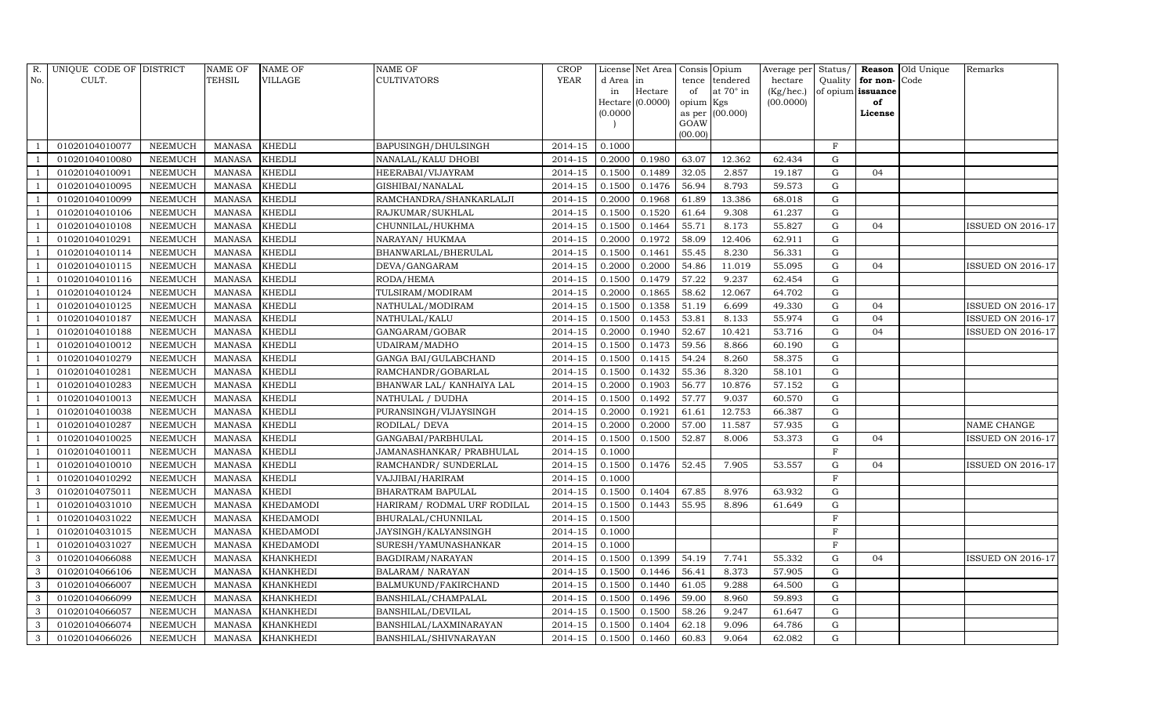| R.  | UNIQUE CODE OF DISTRICT |                | <b>NAME OF</b> | <b>NAME OF</b>   | NAME OF                     | <b>CROP</b> |           | License Net Area   | Consis Opium |                 | Average per Status/ |             |                   | <b>Reason</b> Old Unique | Remarks                  |
|-----|-------------------------|----------------|----------------|------------------|-----------------------------|-------------|-----------|--------------------|--------------|-----------------|---------------------|-------------|-------------------|--------------------------|--------------------------|
| No. | CULT.                   |                | <b>TEHSIL</b>  | VILLAGE          | CULTIVATORS                 | YEAR        | d Area in |                    | tence        | tendered        | hectare             | Quality     | for non-Code      |                          |                          |
|     |                         |                |                |                  |                             |             | in        | Hectare            | of           | at 70° in       | (Kg/hec.)           |             | of opium issuance |                          |                          |
|     |                         |                |                |                  |                             |             |           | $Hectare$ (0.0000) | opium Kgs    |                 | (00.0000)           |             | of                |                          |                          |
|     |                         |                |                |                  |                             |             | (0.0000)  |                    | GOAW         | as per (00.000) |                     |             | License           |                          |                          |
|     |                         |                |                |                  |                             |             |           |                    | (00.00)      |                 |                     |             |                   |                          |                          |
|     | 01020104010077          | <b>NEEMUCH</b> | <b>MANASA</b>  | <b>KHEDLI</b>    | BAPUSINGH/DHULSINGH         | 2014-15     | 0.1000    |                    |              |                 |                     | $\rm F$     |                   |                          |                          |
|     | 01020104010080          | <b>NEEMUCH</b> | <b>MANASA</b>  | <b>KHEDLI</b>    | NANALAL/KALU DHOBI          | 2014-15     | 0.2000    | 0.1980             | 63.07        | 12.362          | 62.434              | G           |                   |                          |                          |
|     | 01020104010091          | <b>NEEMUCH</b> | <b>MANASA</b>  | <b>KHEDLI</b>    | HEERABAI/VIJAYRAM           | 2014-15     | 0.1500    | 0.1489             | 32.05        | 2.857           | 19.187              | G           | 04                |                          |                          |
|     | 01020104010095          | <b>NEEMUCH</b> | <b>MANASA</b>  | <b>KHEDLI</b>    | GISHIBAI/NANALAL            | 2014-15     | 0.1500    | 0.1476             | 56.94        | 8.793           | 59.573              | G           |                   |                          |                          |
|     | 01020104010099          | <b>NEEMUCH</b> | <b>MANASA</b>  | <b>KHEDLI</b>    | RAMCHANDRA/SHANKARLALJI     | 2014-15     | 0.2000    | 0.1968             | 61.89        | 13.386          | 68.018              | G           |                   |                          |                          |
|     | 01020104010106          | NEEMUCH        | <b>MANASA</b>  | <b>KHEDLI</b>    | RAJKUMAR/SUKHLAL            | $2014 - 15$ | 0.1500    | 0.1520             | 61.64        | 9.308           | 61.237              | G           |                   |                          |                          |
|     | 01020104010108          | <b>NEEMUCH</b> | <b>MANASA</b>  | <b>KHEDLI</b>    | CHUNNILAL/HUKHMA            | 2014-15     | 0.1500    | 0.1464             | 55.71        | 8.173           | 55.827              | G           | 04                |                          | <b>ISSUED ON 2016-17</b> |
|     | 01020104010291          | <b>NEEMUCH</b> | <b>MANASA</b>  | <b>KHEDLI</b>    | NARAYAN/ HUKMAA             | 2014-15     | 0.2000    | 0.1972             | 58.09        | 12.406          | 62.911              | G           |                   |                          |                          |
|     | 01020104010114          | <b>NEEMUCH</b> | <b>MANASA</b>  | <b>KHEDLI</b>    | BHANWARLAL/BHERULAL         | 2014-15     | 0.1500    | 0.1461             | 55.45        | 8.230           | 56.331              | $\mathbf G$ |                   |                          |                          |
|     | 01020104010115          | <b>NEEMUCH</b> | <b>MANASA</b>  | <b>KHEDLI</b>    | DEVA/GANGARAM               | 2014-15     | 0.2000    | 0.2000             | 54.86        | 11.019          | 55.095              | G           | 04                |                          | <b>ISSUED ON 2016-17</b> |
|     | 01020104010116          | <b>NEEMUCH</b> | <b>MANASA</b>  | <b>KHEDLI</b>    | RODA/HEMA                   | 2014-15     | 0.1500    | 0.1479             | 57.22        | 9.237           | 62.454              | G           |                   |                          |                          |
|     | 01020104010124          | <b>NEEMUCH</b> | <b>MANASA</b>  | <b>KHEDLI</b>    | TULSIRAM/MODIRAM            | 2014-15     | 0.2000    | 0.1865             | 58.62        | 12.067          | 64.702              | $\mathbf G$ |                   |                          |                          |
|     | 01020104010125          | <b>NEEMUCH</b> | <b>MANASA</b>  | <b>KHEDLI</b>    | NATHULAL/MODIRAM            | 2014-15     | 0.1500    | 0.1358             | 51.19        | 6.699           | 49.330              | $\mathbf G$ | 04                |                          | <b>ISSUED ON 2016-17</b> |
|     | 01020104010187          | <b>NEEMUCH</b> | <b>MANASA</b>  | <b>KHEDLI</b>    | NATHULAL/KALU               | 2014-15     | 0.1500    | 0.1453             | 53.81        | 8.133           | 55.974              | $\mathbf G$ | 04                |                          | <b>ISSUED ON 2016-17</b> |
|     | 01020104010188          | <b>NEEMUCH</b> | <b>MANASA</b>  | <b>KHEDLI</b>    | GANGARAM/GOBAR              | 2014-15     | 0.2000    | 0.1940             | 52.67        | 10.421          | 53.716              | G           | 04                |                          | <b>ISSUED ON 2016-17</b> |
|     | 01020104010012          | <b>NEEMUCH</b> | <b>MANASA</b>  | <b>KHEDLI</b>    | UDAIRAM/MADHO               | 2014-15     | 0.1500    | 0.1473             | 59.56        | 8.866           | 60.190              | $\mathbf G$ |                   |                          |                          |
|     | 01020104010279          | NEEMUCH        | <b>MANASA</b>  | <b>KHEDLI</b>    | GANGA BAI/GULABCHAND        | $2014 - 15$ | 0.1500    | 0.1415             | 54.24        | 8.260           | 58.375              | $\mathbf G$ |                   |                          |                          |
|     | 01020104010281          | <b>NEEMUCH</b> | <b>MANASA</b>  | <b>KHEDLI</b>    | RAMCHANDR/GOBARLAL          | 2014-15     | 0.1500    | 0.1432             | 55.36        | 8.320           | 58.101              | ${\rm G}$   |                   |                          |                          |
|     | 01020104010283          | <b>NEEMUCH</b> | <b>MANASA</b>  | <b>KHEDLI</b>    | BHANWAR LAL/ KANHAIYA LAL   | 2014-15     | 0.2000    | 0.1903             | 56.77        | 10.876          | 57.152              | G           |                   |                          |                          |
|     | 01020104010013          | <b>NEEMUCH</b> | <b>MANASA</b>  | <b>KHEDLI</b>    | NATHULAL / DUDHA            | 2014-15     | 0.1500    | 0.1492             | 57.77        | 9.037           | 60.570              | $\mathbf G$ |                   |                          |                          |
|     | 01020104010038          | <b>NEEMUCH</b> | <b>MANASA</b>  | <b>KHEDLI</b>    | PURANSINGH/VIJAYSINGH       | 2014-15     | 0.2000    | 0.1921             | 61.61        | 12.753          | 66.387              | $\mathbf G$ |                   |                          |                          |
|     | 01020104010287          | <b>NEEMUCH</b> | <b>MANASA</b>  | <b>KHEDLI</b>    | RODILAL/ DEVA               | 2014-15     | 0.2000    | 0.2000             | 57.00        | 11.587          | 57.935              | G           |                   |                          | NAME CHANGE              |
|     | 01020104010025          | NEEMUCH        | <b>MANASA</b>  | <b>KHEDLI</b>    | GANGABAI/PARBHULAL          | $2014 - 15$ | 0.1500    | 0.1500             | 52.87        | 8.006           | 53.373              | $\mathbf G$ | 04                |                          | ISSUED ON 2016-17        |
|     | 01020104010011          | <b>NEEMUCH</b> | <b>MANASA</b>  | <b>KHEDLI</b>    | JAMANASHANKAR/ PRABHULAL    | 2014-15     | 0.1000    |                    |              |                 |                     | F           |                   |                          |                          |
|     | 01020104010010          | <b>NEEMUCH</b> | <b>MANASA</b>  | <b>KHEDLI</b>    | RAMCHANDR/ SUNDERLAL        | 2014-15     | 0.1500    | 0.1476             | 52.45        | 7.905           | 53.557              | G           | 04                |                          | <b>ISSUED ON 2016-17</b> |
|     | 01020104010292          | <b>NEEMUCH</b> | <b>MANASA</b>  | <b>KHEDLI</b>    | VAJJIBAI/HARIRAM            | 2014-15     | 0.1000    |                    |              |                 |                     | $_{\rm F}$  |                   |                          |                          |
| 3   | 01020104075011          | <b>NEEMUCH</b> | <b>MANASA</b>  | <b>KHEDI</b>     | BHARATRAM BAPULAL           | 2014-15     | 0.1500    | 0.1404             | 67.85        | 8.976           | 63.932              | $\mathbf G$ |                   |                          |                          |
|     | 01020104031010          | <b>NEEMUCH</b> | <b>MANASA</b>  | <b>KHEDAMODI</b> | HARIRAM/ RODMAL URF RODILAL | 2014-15     | 0.1500    | 0.1443             | 55.95        | 8.896           | 61.649              | G           |                   |                          |                          |
|     | 01020104031022          | <b>NEEMUCH</b> | <b>MANASA</b>  | <b>KHEDAMODI</b> | BHURALAL/CHUNNILAL          | 2014-15     | 0.1500    |                    |              |                 |                     | $_{\rm F}$  |                   |                          |                          |
|     | 01020104031015          | <b>NEEMUCH</b> | <b>MANASA</b>  | KHEDAMODI        | JAYSINGH/KALYANSINGH        | 2014-15     | 0.1000    |                    |              |                 |                     | $\rm F$     |                   |                          |                          |
|     | 01020104031027          | <b>NEEMUCH</b> | <b>MANASA</b>  | <b>KHEDAMODI</b> | SURESH/YAMUNASHANKAR        | 2014-15     | 0.1000    |                    |              |                 |                     | $_{\rm F}$  |                   |                          |                          |
| 3   | 01020104066088          | <b>NEEMUCH</b> | <b>MANASA</b>  | <b>KHANKHEDI</b> | BAGDIRAM/NARAYAN            | 2014-15     | 0.1500    | 0.1399             | 54.19        | 7.741           | 55.332              | $\mathbf G$ | 04                |                          | ISSUED ON 2016-17        |
| 3   | 01020104066106          | <b>NEEMUCH</b> | <b>MANASA</b>  | <b>KHANKHEDI</b> | BALARAM / NARAYAN           | 2014-15     | 0.1500    | 0.1446             | 56.41        | 8.373           | 57.905              | G           |                   |                          |                          |
| 3   | 01020104066007          | NEEMUCH        | <b>MANASA</b>  | <b>KHANKHEDI</b> | BALMUKUND/FAKIRCHAND        | 2014-15     | 0.1500    | 0.1440             | 61.05        | 9.288           | 64.500              | G           |                   |                          |                          |
| 3   | 01020104066099          | <b>NEEMUCH</b> | <b>MANASA</b>  | <b>KHANKHEDI</b> | BANSHILAL/CHAMPALAL         | 2014-15     | 0.1500    | 0.1496             | 59.00        | 8.960           | 59.893              | ${\rm G}$   |                   |                          |                          |
| 3   | 01020104066057          | <b>NEEMUCH</b> | <b>MANASA</b>  | <b>KHANKHEDI</b> | BANSHILAL/DEVILAL           | 2014-15     | 0.1500    | 0.1500             | 58.26        | 9.247           | 61.647              | G           |                   |                          |                          |
| 3   | 01020104066074          | <b>NEEMUCH</b> | <b>MANASA</b>  | <b>KHANKHEDI</b> | BANSHILAL/LAXMINARAYAN      | 2014-15     | 0.1500    | 0.1404             | 62.18        | 9.096           | 64.786              | $\mathbf G$ |                   |                          |                          |
| 3   | 01020104066026          | <b>NEEMUCH</b> | <b>MANASA</b>  | <b>KHANKHEDI</b> | BANSHILAL/SHIVNARAYAN       | 2014-15     | 0.1500    | 0.1460             | 60.83        | 9.064           | 62.082              | $\mathbf G$ |                   |                          |                          |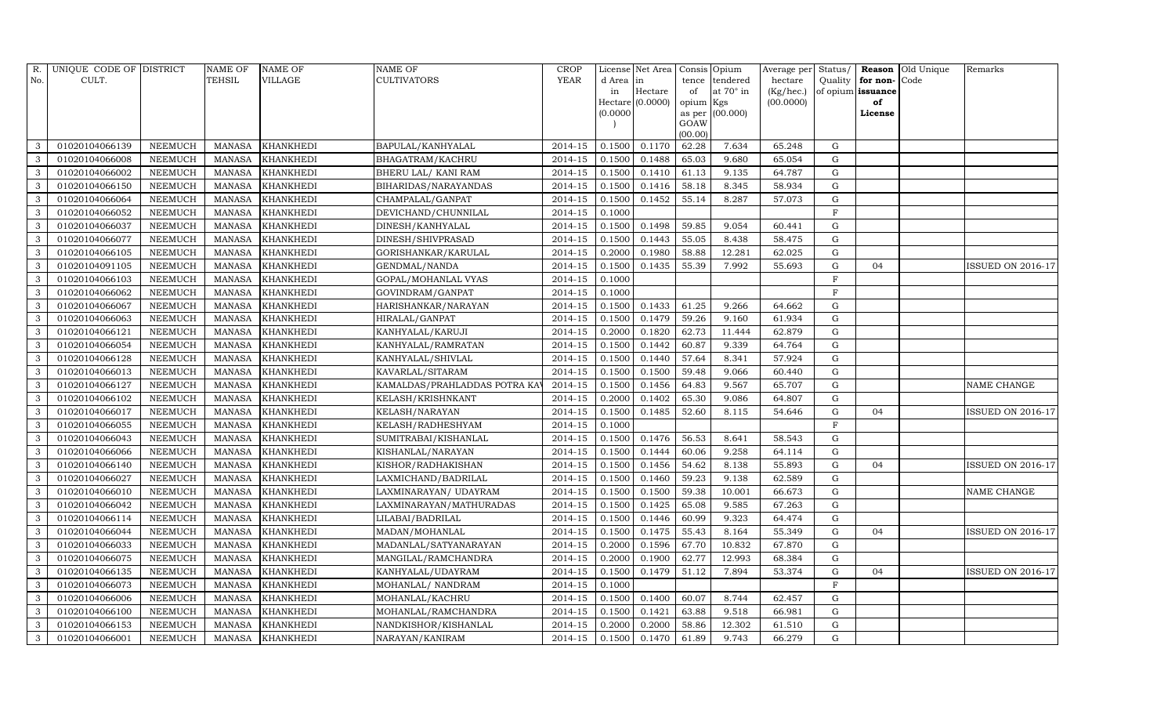|              | R. UNIQUE CODE OF DISTRICT |                | NAME OF       | <b>NAME OF</b>   | <b>NAME OF</b>                | <b>CROP</b> |           | License Net Area   Consis   Opium |           |                  | Average per Status/ |             |                   | <b>Reason Old Unique</b> | Remarks                  |
|--------------|----------------------------|----------------|---------------|------------------|-------------------------------|-------------|-----------|-----------------------------------|-----------|------------------|---------------------|-------------|-------------------|--------------------------|--------------------------|
| No.          | CULT.                      |                | TEHSIL        | <b>VILLAGE</b>   | <b>CULTIVATORS</b>            | <b>YEAR</b> | d Area in |                                   | tence     | tendered         | hectare             | Quality     | for non-Code      |                          |                          |
|              |                            |                |               |                  |                               |             | in        | Hectare                           | of        | at $70^\circ$ in | (Kg/hec.)           |             | of opium issuance |                          |                          |
|              |                            |                |               |                  |                               |             |           | $Hectare$ (0.0000)                | opium Kgs |                  | (00.0000)           |             | of                |                          |                          |
|              |                            |                |               |                  |                               |             | (0.0000)  |                                   | GOAW      | as per (00.000)  |                     |             | License           |                          |                          |
|              |                            |                |               |                  |                               |             |           |                                   | (00.00)   |                  |                     |             |                   |                          |                          |
| 3            | 01020104066139             | <b>NEEMUCH</b> | MANASA        | <b>KHANKHEDI</b> | BAPULAL/KANHYALAL             | 2014-15     | 0.1500    | 0.1170                            | 62.28     | 7.634            | 65.248              | G           |                   |                          |                          |
| 3            | 01020104066008             | <b>NEEMUCH</b> | <b>MANASA</b> | <b>KHANKHEDI</b> | BHAGATRAM/KACHRU              | 2014-15     | 0.1500    | 0.1488                            | 65.03     | 9.680            | 65.054              | $\mathbf G$ |                   |                          |                          |
| $\mathbf{3}$ | 01020104066002             | <b>NEEMUCH</b> | <b>MANASA</b> | <b>KHANKHEDI</b> | BHERU LAL/ KANI RAM           | 2014-15     | 0.1500    | 0.1410                            | 61.13     | 9.135            | 64.787              | G           |                   |                          |                          |
| 3            | 01020104066150             | <b>NEEMUCH</b> | <b>MANASA</b> | <b>KHANKHEDI</b> | BIHARIDAS/NARAYANDAS          | 2014-15     | 0.1500    | 0.1416                            | 58.18     | 8.345            | 58.934              | G           |                   |                          |                          |
| 3            | 01020104066064             | <b>NEEMUCH</b> | <b>MANASA</b> | <b>KHANKHEDI</b> | CHAMPALAL/GANPAT              | $2014 - 15$ | 0.1500    | 0.1452                            | 55.14     | 8.287            | 57.073              | G           |                   |                          |                          |
| 3            | 01020104066052             | <b>NEEMUCH</b> | <b>MANASA</b> | <b>KHANKHEDI</b> | DEVICHAND/CHUNNILAL           | 2014-15     | 0.1000    |                                   |           |                  |                     | F           |                   |                          |                          |
| 3            | 01020104066037             | <b>NEEMUCH</b> | <b>MANASA</b> | <b>KHANKHEDI</b> | DINESH/KANHYALAL              | 2014-15     | 0.1500    | 0.1498                            | 59.85     | 9.054            | 60.441              | G           |                   |                          |                          |
| 3            | 01020104066077             | <b>NEEMUCH</b> | <b>MANASA</b> | <b>KHANKHEDI</b> | DINESH/SHIVPRASAD             | 2014-15     | 0.1500    | 0.1443                            | 55.05     | 8.438            | 58.475              | $\mathbf G$ |                   |                          |                          |
| 3            | 01020104066105             | <b>NEEMUCH</b> | <b>MANASA</b> | <b>KHANKHEDI</b> | GORISHANKAR/KARULAL           | 2014-15     | 0.2000    | 0.1980                            | 58.88     | 12.281           | 62.025              | $\mathbf G$ |                   |                          |                          |
| $\mathbf{3}$ | 01020104091105             | <b>NEEMUCH</b> | <b>MANASA</b> | KHANKHEDI        | GENDMAL/NANDA                 | 2014-15     | 0.1500    | 0.1435                            | 55.39     | 7.992            | 55.693              | $\mathbf G$ | 04                |                          | <b>ISSUED ON 2016-17</b> |
| 3            | 01020104066103             | <b>NEEMUCH</b> | <b>MANASA</b> | <b>KHANKHEDI</b> | GOPAL/MOHANLAL VYAS           | 2014-15     | 0.1000    |                                   |           |                  |                     | F           |                   |                          |                          |
| 3            | 01020104066062             | <b>NEEMUCH</b> | <b>MANASA</b> | <b>KHANKHEDI</b> | GOVINDRAM/GANPAT              | 2014-15     | 0.1000    |                                   |           |                  |                     | $\rm F$     |                   |                          |                          |
| $\mathbf{3}$ | 01020104066067             | <b>NEEMUCH</b> | <b>MANASA</b> | <b>KHANKHEDI</b> | HARISHANKAR/NARAYAN           | $2014 - 15$ | 0.1500    | 0.1433                            | 61.25     | 9.266            | 64.662              | G           |                   |                          |                          |
| 3            | 01020104066063             | <b>NEEMUCH</b> | <b>MANASA</b> | <b>KHANKHEDI</b> | HIRALAL/GANPAT                | 2014-15     | 0.1500    | 0.1479                            | 59.26     | 9.160            | 61.934              | $\mathbf G$ |                   |                          |                          |
| 3            | 01020104066121             | <b>NEEMUCH</b> | <b>MANASA</b> | <b>KHANKHEDI</b> | KANHYALAL/KARUJI              | 2014-15     | 0.2000    | 0.1820                            | 62.73     | 11.444           | 62.879              | G           |                   |                          |                          |
| $\mathbf{3}$ | 01020104066054             | <b>NEEMUCH</b> | <b>MANASA</b> | <b>KHANKHEDI</b> | KANHYALAL/RAMRATAN            | 2014-15     | 0.1500    | 0.1442                            | 60.87     | 9.339            | 64.764              | $\mathbf G$ |                   |                          |                          |
| $\mathbf{3}$ | 01020104066128             | <b>NEEMUCH</b> | <b>MANASA</b> | <b>KHANKHEDI</b> | KANHYALAL/SHIVLAL             | 2014-15     | 0.1500    | 0.1440                            | 57.64     | 8.341            | 57.924              | G           |                   |                          |                          |
| 3            | 01020104066013             | <b>NEEMUCH</b> | <b>MANASA</b> | <b>KHANKHEDI</b> | KAVARLAL/SITARAM              | 2014-15     | 0.1500    | 0.1500                            | 59.48     | 9.066            | 60.440              | ${\rm G}$   |                   |                          |                          |
| 3            | 01020104066127             | <b>NEEMUCH</b> | <b>MANASA</b> | <b>KHANKHEDI</b> | KAMALDAS/PRAHLADDAS POTRA KAV | 2014-15     | 0.1500    | 0.1456                            | 64.83     | 9.567            | 65.707              | $\mathbf G$ |                   |                          | NAME CHANGE              |
| $\mathbf{3}$ | 01020104066102             | <b>NEEMUCH</b> | <b>MANASA</b> | <b>KHANKHEDI</b> | KELASH/KRISHNKANT             | 2014-15     | 0.2000    | 0.1402                            | 65.30     | 9.086            | 64.807              | $\mathbf G$ |                   |                          |                          |
| 3            | 01020104066017             | <b>NEEMUCH</b> | <b>MANASA</b> | <b>KHANKHEDI</b> | KELASH/NARAYAN                | 2014-15     | 0.1500    | 0.1485                            | 52.60     | 8.115            | 54.646              | $\mathbf G$ | 04                |                          | <b>ISSUED ON 2016-17</b> |
| 3            | 01020104066055             | <b>NEEMUCH</b> | <b>MANASA</b> | <b>KHANKHEDI</b> | KELASH/RADHESHYAM             | 2014-15     | 0.1000    |                                   |           |                  |                     | $_{\rm F}$  |                   |                          |                          |
| $\mathbf{3}$ | 01020104066043             | <b>NEEMUCH</b> | <b>MANASA</b> | <b>KHANKHEDI</b> | SUMITRABAI/KISHANLAL          | $2014 - 15$ | 0.1500    | 0.1476                            | 56.53     | 8.641            | 58.543              | G           |                   |                          |                          |
| 3            | 01020104066066             | <b>NEEMUCH</b> | <b>MANASA</b> | <b>KHANKHEDI</b> | KISHANLAL/NARAYAN             | 2014-15     | 0.1500    | 0.1444                            | 60.06     | 9.258            | 64.114              | G           |                   |                          |                          |
| 3            | 01020104066140             | <b>NEEMUCH</b> | <b>MANASA</b> | <b>KHANKHEDI</b> | KISHOR/RADHAKISHAN            | 2014-15     | 0.1500    | 0.1456                            | 54.62     | 8.138            | 55.893              | $\mathbf G$ | 04                |                          | <b>ISSUED ON 2016-17</b> |
| 3            | 01020104066027             | <b>NEEMUCH</b> | <b>MANASA</b> | <b>KHANKHEDI</b> | LAXMICHAND/BADRILAL           | 2014-15     | 0.1500    | 0.1460                            | 59.23     | 9.138            | 62.589              | $\mathbf G$ |                   |                          |                          |
| $\mathbf{3}$ | 01020104066010             | <b>NEEMUCH</b> | <b>MANASA</b> | <b>KHANKHEDI</b> | LAXMINARAYAN/UDAYRAM          | 2014-15     | 0.1500    | 0.1500                            | 59.38     | 10.001           | 66.673              | G           |                   |                          | NAME CHANGE              |
| 3            | 01020104066042             | <b>NEEMUCH</b> | <b>MANASA</b> | <b>KHANKHEDI</b> | LAXMINARAYAN/MATHURADAS       | 2014-15     | 0.1500    | 0.1425                            | 65.08     | 9.585            | 67.263              | $\mathbf G$ |                   |                          |                          |
| 3            | 01020104066114             | <b>NEEMUCH</b> | <b>MANASA</b> | <b>KHANKHEDI</b> | LILABAI/BADRILAL              | 2014-15     | 0.1500    | 0.1446                            | 60.99     | 9.323            | 64.474              | $\mathbf G$ |                   |                          |                          |
| $\mathbf{3}$ | 01020104066044             | <b>NEEMUCH</b> | <b>MANASA</b> | <b>KHANKHEDI</b> | MADAN/MOHANLAL                | 2014-15     | 0.1500    | 0.1475                            | 55.43     | 8.164            | 55.349              | G           | 04                |                          | <b>ISSUED ON 2016-17</b> |
| 3            | 01020104066033             | <b>NEEMUCH</b> | <b>MANASA</b> | <b>KHANKHEDI</b> | MADANLAL/SATYANARAYAN         | 2014-15     | 0.2000    | 0.1596                            | 67.70     | 10.832           | 67.870              | $\mathbf G$ |                   |                          |                          |
| 3            | 01020104066075             | <b>NEEMUCH</b> | <b>MANASA</b> | <b>KHANKHEDI</b> | MANGILAL/RAMCHANDRA           | 2014-15     | 0.2000    | 0.1900                            | 62.77     | 12.993           | 68.384              | $\mathbf G$ |                   |                          |                          |
| $\mathbf{3}$ | 01020104066135             | <b>NEEMUCH</b> | <b>MANASA</b> | <b>KHANKHEDI</b> | KANHYALAL/UDAYRAM             | 2014-15     | 0.1500    | 0.1479                            | 51.12     | 7.894            | 53.374              | $\mathbf G$ | 04                |                          | ISSUED ON 2016-17        |
| 3            | 01020104066073             | <b>NEEMUCH</b> | <b>MANASA</b> | <b>KHANKHEDI</b> | MOHANLAL/ NANDRAM             | 2014-15     | 0.1000    |                                   |           |                  |                     | $\mathbf F$ |                   |                          |                          |
| $\mathbf{3}$ | 01020104066006             | <b>NEEMUCH</b> | <b>MANASA</b> | <b>KHANKHEDI</b> | MOHANLAL/KACHRU               | 2014-15     | 0.1500    | 0.1400                            | 60.07     | 8.744            | 62.457              | $\mathbf G$ |                   |                          |                          |
| $\mathbf{3}$ | 01020104066100             | <b>NEEMUCH</b> | <b>MANASA</b> | <b>KHANKHEDI</b> | MOHANLAL/RAMCHANDRA           | 2014-15     | 0.1500    | 0.1421                            | 63.88     | 9.518            | 66.981              | G           |                   |                          |                          |
| $\mathbf{3}$ | 01020104066153             | <b>NEEMUCH</b> | <b>MANASA</b> | <b>KHANKHEDI</b> | NANDKISHOR/KISHANLAL          | 2014-15     | 0.2000    | 0.2000                            | 58.86     | 12.302           | 61.510              | $\mathbf G$ |                   |                          |                          |
| $\mathbf{3}$ | 01020104066001             | <b>NEEMUCH</b> | <b>MANASA</b> | <b>KHANKHEDI</b> | NARAYAN/KANIRAM               | 2014-15     | 0.1500    | 0.1470                            | 61.89     | 9.743            | 66.279              | $\mathbf G$ |                   |                          |                          |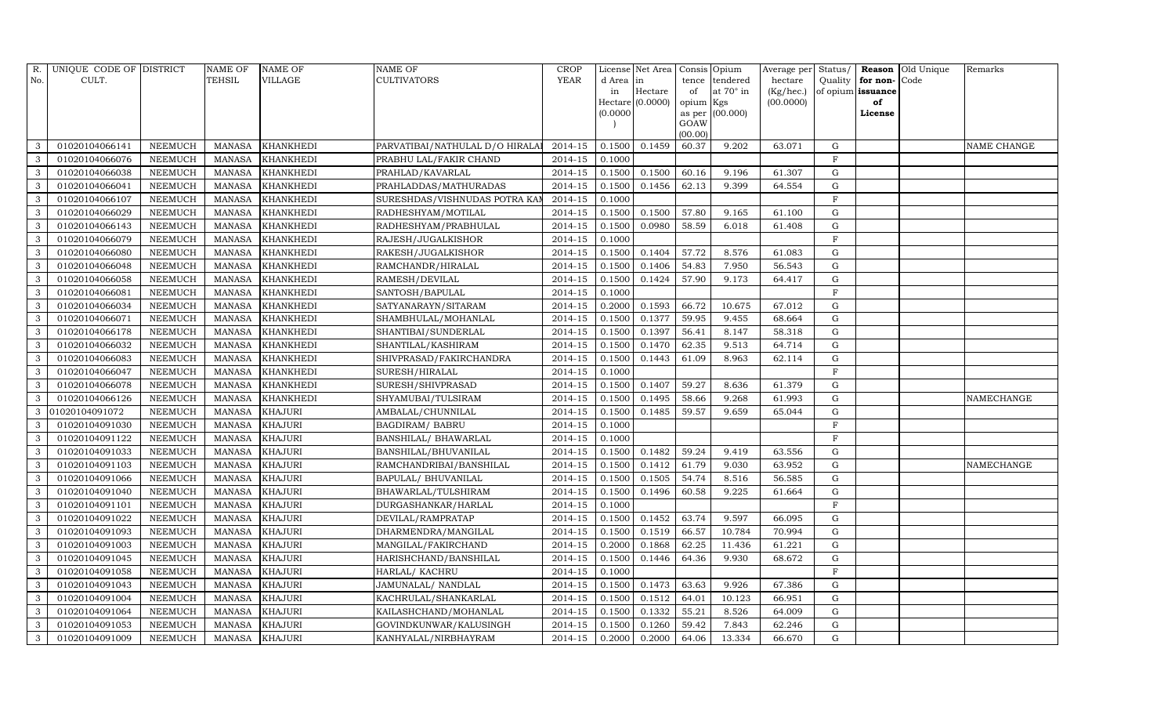| R.           | UNIQUE CODE OF DISTRICT |                | <b>NAME OF</b> | <b>NAME OF</b>   | <b>NAME OF</b>                 | <b>CROP</b>            |           | License Net Area | Consis Opium |                 | Average per Status/ |                |                   | Reason Old Unique | Remarks     |
|--------------|-------------------------|----------------|----------------|------------------|--------------------------------|------------------------|-----------|------------------|--------------|-----------------|---------------------|----------------|-------------------|-------------------|-------------|
| No.          | CULT.                   |                | TEHSIL         | VILLAGE          | <b>CULTIVATORS</b>             | YEAR                   | d Area in |                  |              | tence tendered  | hectare             | Quality        | for non-          | Code              |             |
|              |                         |                |                |                  |                                |                        | in        | Hectare          | of           | at 70° in       | (Kg/hec.)           |                | of opium issuance |                   |             |
|              |                         |                |                |                  |                                |                        | (0.0000)  | Hectare (0.0000) | opium Kgs    | as per (00.000) | (00.0000)           |                | of<br>License     |                   |             |
|              |                         |                |                |                  |                                |                        |           |                  | GOAW         |                 |                     |                |                   |                   |             |
|              |                         |                |                |                  |                                |                        |           |                  | (00.00)      |                 |                     |                |                   |                   |             |
| 3            | 01020104066141          | <b>NEEMUCH</b> | <b>MANASA</b>  | <b>KHANKHEDI</b> | PARVATIBAI/NATHULAL D/O HIRALA | 2014-15                | 0.1500    | 0.1459           | 60.37        | 9.202           | 63.071              | $\mathbf G$    |                   |                   | NAME CHANGE |
| 3            | 01020104066076          | <b>NEEMUCH</b> | <b>MANASA</b>  | <b>KHANKHEDI</b> | PRABHU LAL/FAKIR CHAND         | 2014-15                | 0.1000    |                  |              |                 |                     | $\mathbf F$    |                   |                   |             |
| $\mathbf{3}$ | 01020104066038          | <b>NEEMUCH</b> | <b>MANASA</b>  | <b>KHANKHEDI</b> | PRAHLAD/KAVARLAL               | $2014 - 15$            | 0.1500    | 0.1500           | 60.16        | 9.196           | 61.307              | $\mathbf G$    |                   |                   |             |
| 3            | 01020104066041          | <b>NEEMUCH</b> | <b>MANASA</b>  | <b>KHANKHEDI</b> | PRAHLADDAS/MATHURADAS          | 2014-15                | 0.1500    | 0.1456           | 62.13        | 9.399           | 64.554              | $\mathbf G$    |                   |                   |             |
| 3            | 01020104066107          | <b>NEEMUCH</b> | <b>MANASA</b>  | <b>KHANKHEDI</b> | SURESHDAS/VISHNUDAS POTRA KAI  | $\overline{2014} - 15$ | 0.1000    |                  |              |                 |                     | $\rm F$        |                   |                   |             |
| $\mathbf{3}$ | 01020104066029          | <b>NEEMUCH</b> | <b>MANASA</b>  | <b>KHANKHEDI</b> | RADHESHYAM/MOTILAL             | $2014 - 15$            | 0.1500    | 0.1500           | 57.80        | 9.165           | 61.100              | G              |                   |                   |             |
| $\mathbf{3}$ | 01020104066143          | <b>NEEMUCH</b> | <b>MANASA</b>  | <b>KHANKHEDI</b> | RADHESHYAM/PRABHULAL           | 2014-15                | 0.1500    | 0.0980           | 58.59        | 6.018           | 61.408              | $\mathbf G$    |                   |                   |             |
| 3            | 01020104066079          | <b>NEEMUCH</b> | <b>MANASA</b>  | <b>KHANKHEDI</b> | RAJESH/JUGALKISHOR             | 2014-15                | 0.1000    |                  |              |                 |                     | $\mathbf F$    |                   |                   |             |
| $\mathbf{3}$ | 01020104066080          | <b>NEEMUCH</b> | <b>MANASA</b>  | <b>KHANKHEDI</b> | RAKESH/JUGALKISHOR             | 2014-15                | 0.1500    | 0.1404           | 57.72        | 8.576           | 61.083              | $\mathbf G$    |                   |                   |             |
| 3            | 01020104066048          | <b>NEEMUCH</b> | <b>MANASA</b>  | KHANKHEDI        | RAMCHANDR/HIRALAL              | 2014-15                | 0.1500    | 0.1406           | 54.83        | 7.950           | 56.543              | G              |                   |                   |             |
| $\mathbf{3}$ | 01020104066058          | <b>NEEMUCH</b> | <b>MANASA</b>  | <b>KHANKHEDI</b> | RAMESH/DEVILAL                 | 2014-15                | 0.1500    | 0.1424           | 57.90        | 9.173           | 64.417              | $\mathbf G$    |                   |                   |             |
| $\mathbf{3}$ | 01020104066081          | <b>NEEMUCH</b> | <b>MANASA</b>  | <b>KHANKHEDI</b> | SANTOSH/BAPULAL                | 2014-15                | 0.1000    |                  |              |                 |                     | $\mathbf F$    |                   |                   |             |
| $\mathbf{3}$ | 01020104066034          | <b>NEEMUCH</b> | <b>MANASA</b>  | <b>KHANKHEDI</b> | SATYANARAYN/SITARAM            | $2014 - 15$            | 0.2000    | 0.1593           | 66.72        | 10.675          | 67.012              | $\mathbf G$    |                   |                   |             |
| 3            | 01020104066071          | <b>NEEMUCH</b> | <b>MANASA</b>  | <b>KHANKHEDI</b> | SHAMBHULAL/MOHANLAL            | 2014-15                | 0.1500    | 0.1377           | 59.95        | 9.455           | 68.664              | ${\bf G}$      |                   |                   |             |
| 3            | 01020104066178          | <b>NEEMUCH</b> | <b>MANASA</b>  | <b>KHANKHEDI</b> | SHANTIBAI/SUNDERLAL            | 2014-15                | 0.1500    | 0.1397           | 56.41        | 8.147           | 58.318              | ${\rm G}$      |                   |                   |             |
| $\mathbf{3}$ | 01020104066032          | <b>NEEMUCH</b> | <b>MANASA</b>  | <b>KHANKHEDI</b> | SHANTILAL/KASHIRAM             | 2014-15                | 0.1500    | 0.1470           | 62.35        | 9.513           | 64.714              | $\mathbf G$    |                   |                   |             |
| 3            | 01020104066083          | <b>NEEMUCH</b> | <b>MANASA</b>  | <b>KHANKHEDI</b> | SHIVPRASAD/FAKIRCHANDRA        | 2014-15                | 0.1500    | 0.1443           | 61.09        | 8.963           | 62.114              | $\mathbf G$    |                   |                   |             |
| $\mathbf{3}$ | 01020104066047          | <b>NEEMUCH</b> | <b>MANASA</b>  | <b>KHANKHEDI</b> | SURESH/HIRALAL                 | $2014 - 15$            | 0.1000    |                  |              |                 |                     | F              |                   |                   |             |
| 3            | 01020104066078          | <b>NEEMUCH</b> | <b>MANASA</b>  | <b>KHANKHEDI</b> | SURESH/SHIVPRASAD              | 2014-15                | 0.1500    | 0.1407           | 59.27        | 8.636           | 61.379              | $\mathbf G$    |                   |                   |             |
| 3            | 01020104066126          | <b>NEEMUCH</b> | <b>MANASA</b>  | KHANKHEDI        | SHYAMUBAI/TULSIRAM             | 2014-15                | 0.1500    | 0.1495           | 58.66        | 9.268           | 61.993              | $\mathbf G$    |                   |                   | NAMECHANGE  |
| 3            | 01020104091072          | <b>NEEMUCH</b> | MANASA         | <b>KHAJURI</b>   | AMBALAL/CHUNNILAL              | 2014-15                | 0.1500    | 0.1485           | 59.57        | 9.659           | 65.044              | $\mathbf G$    |                   |                   |             |
| 3            | 01020104091030          | <b>NEEMUCH</b> | <b>MANASA</b>  | <b>KHAJURI</b>   | <b>BAGDIRAM/ BABRU</b>         | 2014-15                | 0.1000    |                  |              |                 |                     | $\overline{F}$ |                   |                   |             |
| $\mathbf{3}$ | 01020104091122          | <b>NEEMUCH</b> | <b>MANASA</b>  | <b>KHAJURI</b>   | BANSHILAL/ BHAWARLAL           | 2014-15                | 0.1000    |                  |              |                 |                     | F              |                   |                   |             |
| 3            | 01020104091033          | <b>NEEMUCH</b> | <b>MANASA</b>  | <b>KHAJURI</b>   | BANSHILAL/BHUVANILAL           | 2014-15                | 0.1500    | 0.1482           | 59.24        | 9.419           | 63.556              | $\mathbf G$    |                   |                   |             |
| 3            | 01020104091103          | <b>NEEMUCH</b> | <b>MANASA</b>  | <b>KHAJURI</b>   | RAMCHANDRIBAI/BANSHILAL        | 2014-15                | 0.1500    | 0.1412           | 61.79        | 9.030           | 63.952              | ${\rm G}$      |                   |                   | NAMECHANGE  |
| $\mathbf{3}$ | 01020104091066          | <b>NEEMUCH</b> | <b>MANASA</b>  | <b>KHAJURI</b>   | BAPULAL/ BHUVANILAL            | 2014-15                | 0.1500    | 0.1505           | 54.74        | 8.516           | 56.585              | $\mathbf G$    |                   |                   |             |
| 3            | 01020104091040          | <b>NEEMUCH</b> | <b>MANASA</b>  | <b>KHAJURI</b>   | BHAWARLAL/TULSHIRAM            | 2014-15                | 0.1500    | 0.1496           | 60.58        | 9.225           | 61.664              | $\mathbf G$    |                   |                   |             |
| 3            | 01020104091101          | <b>NEEMUCH</b> | <b>MANASA</b>  | <b>KHAJURI</b>   | DURGASHANKAR/HARLAL            | 2014-15                | 0.1000    |                  |              |                 |                     | $\rm F$        |                   |                   |             |
| 3            | 01020104091022          | <b>NEEMUCH</b> | <b>MANASA</b>  | <b>KHAJURI</b>   | DEVILAL/RAMPRATAP              | 2014-15                | 0.1500    | 0.1452           | 63.74        | 9.597           | 66.095              | G              |                   |                   |             |
| $\mathbf{3}$ | 01020104091093          | <b>NEEMUCH</b> | <b>MANASA</b>  | <b>KHAJURI</b>   | DHARMENDRA/MANGILAL            | 2014-15                | 0.1500    | 0.1519           | 66.57        | 10.784          | 70.994              | ${\rm G}$      |                   |                   |             |
| 3            | 01020104091003          | <b>NEEMUCH</b> | <b>MANASA</b>  | <b>KHAJURI</b>   | MANGILAL/FAKIRCHAND            | 2014-15                | 0.2000    | 0.1868           | 62.25        | 11.436          | 61.221              | $\mathbf G$    |                   |                   |             |
| $\mathbf{3}$ | 01020104091045          | <b>NEEMUCH</b> | <b>MANASA</b>  | <b>KHAJURI</b>   | HARISHCHAND/BANSHILAL          | 2014-15                | 0.1500    | 0.1446           | 64.36        | 9.930           | 68.672              | $\mathbf G$    |                   |                   |             |
| $\mathbf{3}$ | 01020104091058          | <b>NEEMUCH</b> | <b>MANASA</b>  | <b>KHAJURI</b>   | HARLAL/ KACHRU                 | 2014-15                | 0.1000    |                  |              |                 |                     | $\rm F$        |                   |                   |             |
| 3            | 01020104091043          | <b>NEEMUCH</b> | <b>MANASA</b>  | <b>KHAJURI</b>   | JAMUNALAL/ NANDLAL             | 2014-15                | 0.1500    | 0.1473           | 63.63        | 9.926           | 67.386              | G              |                   |                   |             |
| 3            | 01020104091004          | <b>NEEMUCH</b> | <b>MANASA</b>  | <b>KHAJURI</b>   | KACHRULAL/SHANKARLAL           | 2014-15                | 0.1500    | 0.1512           | 64.01        | 10.123          | 66.951              | $\mathbf G$    |                   |                   |             |
| $\mathbf{3}$ | 01020104091064          | <b>NEEMUCH</b> | <b>MANASA</b>  | <b>KHAJURI</b>   | KAILASHCHAND/MOHANLAL          | 2014-15                | 0.1500    | 0.1332           | 55.21        | 8.526           | 64.009              | $\mathbf G$    |                   |                   |             |
| $\mathbf{3}$ | 01020104091053          | <b>NEEMUCH</b> | <b>MANASA</b>  | <b>KHAJURI</b>   | GOVINDKUNWAR/KALUSINGH         | 2014-15                | 0.1500    | 0.1260           | 59.42        | 7.843           | 62.246              | ${\rm G}$      |                   |                   |             |
| 3            | 01020104091009          | <b>NEEMUCH</b> | <b>MANASA</b>  | <b>KHAJURI</b>   | KANHYALAL/NIRBHAYRAM           | 2014-15                | 0.2000    | 0.2000           | 64.06        | 13.334          | 66.670              | $\mathbf G$    |                   |                   |             |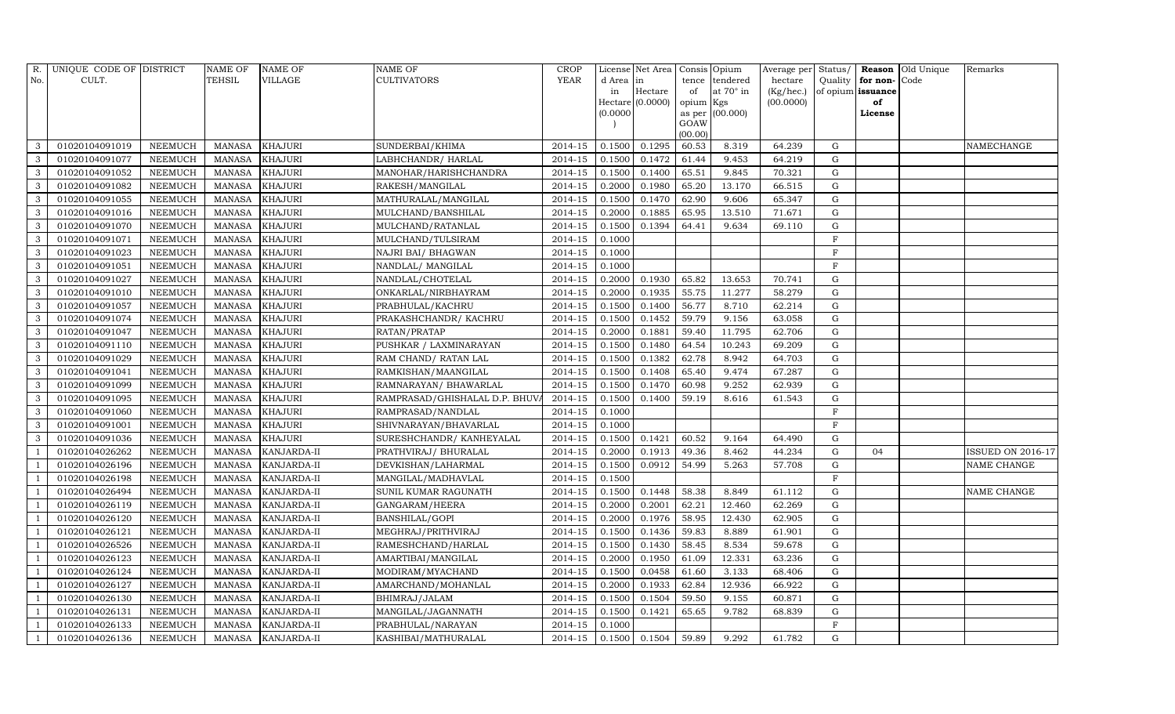| R.             | UNIQUE CODE OF DISTRICT |                | <b>NAME OF</b> | <b>NAME OF</b>     | <b>NAME OF</b>                | <b>CROP</b> |               | License Net Area |                 | Consis Opium    |           |              |                   | Average per Status/ <b>Reason</b> Old Unique | Remarks           |
|----------------|-------------------------|----------------|----------------|--------------------|-------------------------------|-------------|---------------|------------------|-----------------|-----------------|-----------|--------------|-------------------|----------------------------------------------|-------------------|
| No.            | CULT.                   |                | TEHSIL         | <b>VILLAGE</b>     | <b>CULTIVATORS</b>            | YEAR        | d Area in     |                  |                 | tence tendered  | hectare   | Quality      | for non-          | Code                                         |                   |
|                |                         |                |                |                    |                               |             | in            | Hectare          | of              | at 70° in       | (Kg/hec.) |              | of opium issuance |                                              |                   |
|                |                         |                |                |                    |                               |             |               | Hectare (0.0000) | opium Kgs       |                 | (00.0000) |              | of                |                                              |                   |
|                |                         |                |                |                    |                               |             | (0.0000)      |                  |                 | as per (00.000) |           |              | License           |                                              |                   |
|                |                         |                |                |                    |                               |             |               |                  | GOAW<br>(00.00) |                 |           |              |                   |                                              |                   |
| -3             | 01020104091019          | <b>NEEMUCH</b> | <b>MANASA</b>  | <b>KHAJURI</b>     | SUNDERBAI/KHIMA               | 2014-15     | 0.1500        | 0.1295           | 60.53           | 8.319           | 64.239    | G            |                   |                                              | <b>NAMECHANGE</b> |
| $\mathbf{3}$   | 01020104091077          | <b>NEEMUCH</b> | <b>MANASA</b>  | <b>KHAJURI</b>     | LABHCHANDR/HARLAL             | 2014-15     | 0.1500        | 0.1472           | 61.44           | 9.453           | 64.219    | $\mathbf G$  |                   |                                              |                   |
| $\mathbf{3}$   | 01020104091052          | <b>NEEMUCH</b> | <b>MANASA</b>  | <b>KHAJURI</b>     | MANOHAR/HARISHCHANDRA         | 2014-15     | 0.1500        | 0.1400           | 65.51           | 9.845           | 70.321    | G            |                   |                                              |                   |
| 3              | 01020104091082          | <b>NEEMUCH</b> | <b>MANASA</b>  | <b>KHAJURI</b>     | RAKESH/MANGILAL               | 2014-15     | 0.2000        | 0.1980           | 65.20           | 13.170          | 66.515    | ${\bf G}$    |                   |                                              |                   |
| 3              | 01020104091055          | <b>NEEMUCH</b> | <b>MANASA</b>  | <b>KHAJURI</b>     | MATHURALAL/MANGILAL           | 2014-15     | 0.1500        | 0.1470           | 62.90           | 9.606           | 65.347    | ${\rm G}$    |                   |                                              |                   |
| $\mathbf{3}$   | 01020104091016          | <b>NEEMUCH</b> | <b>MANASA</b>  | <b>KHAJURI</b>     | MULCHAND/BANSHILAL            | 2014-15     | 0.2000        | 0.1885           | 65.95           | 13.510          | 71.671    | $\mathbf G$  |                   |                                              |                   |
| 3              | 01020104091070          | <b>NEEMUCH</b> | <b>MANASA</b>  | <b>KHAJURI</b>     | MULCHAND/RATANLAL             | 2014-15     | 0.1500        | 0.1394           | 64.41           | 9.634           | 69.110    | $\mathbf G$  |                   |                                              |                   |
| 3              | 01020104091071          | <b>NEEMUCH</b> | <b>MANASA</b>  | <b>KHAJURI</b>     | MULCHAND/TULSIRAM             | 2014-15     | 0.1000        |                  |                 |                 |           | $\rm F$      |                   |                                              |                   |
| 3              | 01020104091023          | <b>NEEMUCH</b> | <b>MANASA</b>  | <b>KHAJURI</b>     | NAJRI BAI / BHAGWAN           | 2014-15     | 0.1000        |                  |                 |                 |           | $\mathbf{F}$ |                   |                                              |                   |
| $\mathbf{3}$   | 01020104091051          | <b>NEEMUCH</b> | <b>MANASA</b>  | <b>KHAJURI</b>     | NANDLAL/ MANGILAL             | 2014-15     | 0.1000        |                  |                 |                 |           | F            |                   |                                              |                   |
| 3              | 01020104091027          | <b>NEEMUCH</b> | <b>MANASA</b>  | <b>KHAJURI</b>     | NANDLAL/CHOTELAL              | 2014-15     | 0.2000        | 0.1930           | 65.82           | 13.653          | 70.741    | G            |                   |                                              |                   |
| 3              | 01020104091010          | <b>NEEMUCH</b> | <b>MANASA</b>  | <b>KHAJURI</b>     | ONKARLAL/NIRBHAYRAM           | 2014-15     | 0.2000        | 0.1935           | 55.75           | 11.277          | 58.279    | G            |                   |                                              |                   |
| $\mathbf{3}$   | 01020104091057          | <b>NEEMUCH</b> | <b>MANASA</b>  | <b>KHAJURI</b>     | PRABHULAL/KACHRU              | $2014 - 15$ | 0.1500        | 0.1400           | 56.77           | 8.710           | 62.214    | $\mathbf G$  |                   |                                              |                   |
| 3              | 01020104091074          | <b>NEEMUCH</b> | <b>MANASA</b>  | <b>KHAJURI</b>     | PRAKASHCHANDR/KACHRU          | 2014-15     | 0.1500        | 0.1452           | 59.79           | 9.156           | 63.058    | $\mathbf G$  |                   |                                              |                   |
| 3              | 01020104091047          | <b>NEEMUCH</b> | <b>MANASA</b>  | <b>KHAJURI</b>     | RATAN/PRATAP                  | 2014-15     | 0.2000        | 0.1881           | 59.40           | 11.795          | 62.706    | ${\rm G}$    |                   |                                              |                   |
| 3              | 01020104091110          | <b>NEEMUCH</b> | <b>MANASA</b>  | <b>KHAJURI</b>     | PUSHKAR / LAXMINARAYAN        | 2014-15     | 0.1500        | 0.1480           | 64.54           | 10.243          | 69.209    | G            |                   |                                              |                   |
| $\mathbf{3}$   | 01020104091029          | <b>NEEMUCH</b> | <b>MANASA</b>  | <b>KHAJURI</b>     | RAM CHAND/ RATAN LAL          | 2014-15     | 0.1500        | 0.1382           | 62.78           | 8.942           | 64.703    | G            |                   |                                              |                   |
| 3              | 01020104091041          | <b>NEEMUCH</b> | <b>MANASA</b>  | <b>KHAJURI</b>     | RAMKISHAN/MAANGILAL           | 2014-15     | 0.1500        | 0.1408           | 65.40           | 9.474           | 67.287    | $\mathbf G$  |                   |                                              |                   |
| $\mathbf{3}$   | 01020104091099          | <b>NEEMUCH</b> | <b>MANASA</b>  | <b>KHAJURI</b>     | RAMNARAYAN / BHAWARLAL        | 2014-15     | 0.1500        | 0.1470           | 60.98           | 9.252           | 62.939    | $\mathbf G$  |                   |                                              |                   |
| $\mathbf{3}$   | 01020104091095          | <b>NEEMUCH</b> | <b>MANASA</b>  | <b>KHAJURI</b>     | RAMPRASAD/GHISHALAL D.P. BHUV | $2014 - 15$ | 0.1500        | 0.1400           | 59.19           | 8.616           | 61.543    | $\mathbf G$  |                   |                                              |                   |
| 3              | 01020104091060          | <b>NEEMUCH</b> | <b>MANASA</b>  | <b>KHAJURI</b>     | RAMPRASAD/NANDLAL             | 2014-15     | 0.1000        |                  |                 |                 |           | $\rm F$      |                   |                                              |                   |
| 3              | 01020104091001          | <b>NEEMUCH</b> | <b>MANASA</b>  | <b>KHAJURI</b>     | SHIVNARAYAN/BHAVARLAL         | 2014-15     | 0.1000        |                  |                 |                 |           | $\rm F$      |                   |                                              |                   |
| $\mathbf{3}$   | 01020104091036          | <b>NEEMUCH</b> | <b>MANASA</b>  | <b>KHAJURI</b>     | SURESHCHANDR/ KANHEYALAL      | 2014-15     | 0.1500        | 0.1421           | 60.52           | 9.164           | 64.490    | $\mathbf G$  |                   |                                              |                   |
| -1             | 01020104026262          | <b>NEEMUCH</b> | <b>MANASA</b>  | KANJARDA-II        | PRATHVIRAJ/ BHURALAL          | 2014-15     | 0.2000        | 0.1913           | 49.36           | 8.462           | 44.234    | $\mathbf G$  | 04                |                                              | ISSUED ON 2016-17 |
|                | 01020104026196          | <b>NEEMUCH</b> | <b>MANASA</b>  | KANJARDA-II        | DEVKISHAN/LAHARMAL            | $2014 - 15$ | 0.1500        | 0.0912           | 54.99           | 5.263           | 57.708    | $\mathbf G$  |                   |                                              | NAME CHANGE       |
|                | 01020104026198          | <b>NEEMUCH</b> | <b>MANASA</b>  | KANJARDA-II        | MANGILAL/MADHAVLAL            | 2014-15     | 0.1500        |                  |                 |                 |           | $\rm F$      |                   |                                              |                   |
| -1             | 01020104026494          | <b>NEEMUCH</b> | <b>MANASA</b>  | KANJARDA-II        | SUNIL KUMAR RAGUNATH          | 2014-15     | 0.1500        | 0.1448           | 58.38           | 8.849           | 61.112    | ${\rm G}$    |                   |                                              | NAME CHANGE       |
|                | 01020104026119          | <b>NEEMUCH</b> | <b>MANASA</b>  | KANJARDA-II        | GANGARAM/HEERA                | 2014-15     | 0.2000        | 0.2001           | 62.21           | 12.460          | 62.269    | $\mathbf G$  |                   |                                              |                   |
|                | 01020104026120          | <b>NEEMUCH</b> | <b>MANASA</b>  | KANJARDA-II        | BANSHILAL/GOPI                | 2014-15     | 0.2000        | 0.1976           | 58.95           | 12.430          | 62.905    | $\mathbf G$  |                   |                                              |                   |
|                | 01020104026121          | <b>NEEMUCH</b> | <b>MANASA</b>  | KANJARDA-II        | MEGHRAJ/PRITHVIRAJ            | 2014-15     | 0.1500        | 0.1436           | 59.83           | 8.889           | 61.901    | $\mathbf G$  |                   |                                              |                   |
|                | 01020104026526          | <b>NEEMUCH</b> | <b>MANASA</b>  | KANJARDA-II        | RAMESHCHAND/HARLAL            | 2014-15     | 0.1500        | 0.1430           | 58.45           | 8.534           | 59.678    | $\mathbf G$  |                   |                                              |                   |
| - 1            | 01020104026123          | <b>NEEMUCH</b> | <b>MANASA</b>  | KANJARDA-II        | AMARTIBAI/MANGILAL            | 2014-15     | 0.2000        | 0.1950           | 61.09           | 12.331          | 63.236    | ${\rm G}$    |                   |                                              |                   |
| $\overline{1}$ | 01020104026124          | <b>NEEMUCH</b> | <b>MANASA</b>  | KANJARDA-II        | MODIRAM/MYACHAND              | 2014-15     | 0.1500        | 0.0458           | 61.60           | 3.133           | 68.406    | G            |                   |                                              |                   |
| - 1            | 01020104026127          | <b>NEEMUCH</b> | <b>MANASA</b>  | KANJARDA-II        | AMARCHAND/MOHANLAL            | 2014-15     | 0.2000        | 0.1933           | 62.84           | 12.936          | 66.922    | ${\rm G}$    |                   |                                              |                   |
|                | 01020104026130          | <b>NEEMUCH</b> | <b>MANASA</b>  | KANJARDA-II        | BHIMRAJ/JALAM                 | 2014-15     | 0.1500        | 0.1504           | 59.50           | 9.155           | 60.871    | ${\rm G}$    |                   |                                              |                   |
|                | 01020104026131          | <b>NEEMUCH</b> | <b>MANASA</b>  | KANJARDA-II        | MANGILAL/JAGANNATH            | 2014-15     | 0.1500        | 0.1421           | 65.65           | 9.782           | 68.839    | $\mathbf G$  |                   |                                              |                   |
| -1             | 01020104026133          | <b>NEEMUCH</b> | <b>MANASA</b>  | KANJARDA-II        | PRABHULAL/NARAYAN             | 2014-15     | 0.1000        |                  |                 |                 |           | $\mathbf F$  |                   |                                              |                   |
| $\overline{1}$ | 01020104026136          | <b>NEEMUCH</b> | <b>MANASA</b>  | <b>KANJARDA-II</b> | KASHIBAI/MATHURALAL           | 2014-15     | 0.1500 0.1504 |                  | 59.89           | 9.292           | 61.782    | G            |                   |                                              |                   |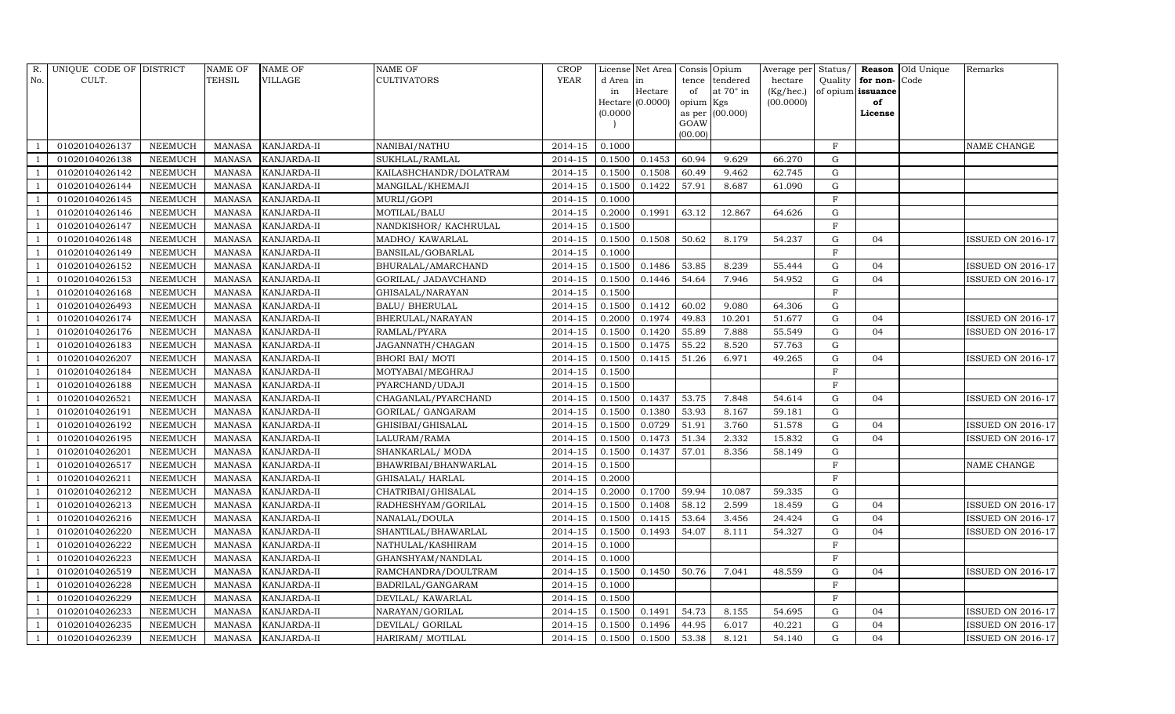| R.             | UNIQUE CODE OF DISTRICT |                | NAME OF       | <b>NAME OF</b> | <b>NAME OF</b>         | <b>CROP</b> |           | License Net Area   | Consis Opium    |                 | Average per Status/ |             |                   | <b>Reason</b> Old Unique | Remarks                  |
|----------------|-------------------------|----------------|---------------|----------------|------------------------|-------------|-----------|--------------------|-----------------|-----------------|---------------------|-------------|-------------------|--------------------------|--------------------------|
| No.            | CULT.                   |                | TEHSIL        | <b>VILLAGE</b> | <b>CULTIVATORS</b>     | YEAR        | d Area in |                    | tence           | tendered        | hectare             | Quality     | for non-Code      |                          |                          |
|                |                         |                |               |                |                        |             | in        | Hectare            | of              | at 70° in       | (Kg/hec.)           |             | of opium issuance |                          |                          |
|                |                         |                |               |                |                        |             |           | $Hectare$ (0.0000) | opium Kgs       |                 | (00.0000)           |             | of                |                          |                          |
|                |                         |                |               |                |                        |             | (0.0000   |                    |                 | as per (00.000) |                     |             | License           |                          |                          |
|                |                         |                |               |                |                        |             |           |                    | GOAW<br>(00.00) |                 |                     |             |                   |                          |                          |
|                | 01020104026137          | <b>NEEMUCH</b> | <b>MANASA</b> | KANJARDA-II    | NANIBAI/NATHU          | 2014-15     | 0.1000    |                    |                 |                 |                     | $\rm F$     |                   |                          | NAME CHANGE              |
|                | 01020104026138          | <b>NEEMUCH</b> | <b>MANASA</b> | KANJARDA-II    | SUKHLAL/RAMLAL         | 2014-15     | 0.1500    | 0.1453             | 60.94           | 9.629           | 66.270              | $\mathbf G$ |                   |                          |                          |
| $\overline{1}$ | 01020104026142          | <b>NEEMUCH</b> | <b>MANASA</b> | KANJARDA-II    | KAILASHCHANDR/DOLATRAM | 2014-15     | 0.1500    | 0.1508             | 60.49           | 9.462           | 62.745              | G           |                   |                          |                          |
| $\overline{1}$ | 01020104026144          | <b>NEEMUCH</b> | <b>MANASA</b> | KANJARDA-II    | MANGILAL/KHEMAJI       | 2014-15     | 0.1500    | 0.1422             | 57.91           | 8.687           | 61.090              | $\mathbf G$ |                   |                          |                          |
| -1             | 01020104026145          | <b>NEEMUCH</b> | <b>MANASA</b> | KANJARDA-II    | MURLI/GOPI             | 2014-15     | 0.1000    |                    |                 |                 |                     | $\mathbf F$ |                   |                          |                          |
| $\overline{1}$ | 01020104026146          | <b>NEEMUCH</b> | <b>MANASA</b> | KANJARDA-II    | MOTILAL/BALU           | $2014 - 15$ | 0.2000    | 0.1991             | 63.12           | 12.867          | 64.626              | G           |                   |                          |                          |
| - 1            | 01020104026147          | <b>NEEMUCH</b> | <b>MANASA</b> | KANJARDA-II    | NANDKISHOR/ KACHRULAL  | 2014-15     | 0.1500    |                    |                 |                 |                     | $\mathbf F$ |                   |                          |                          |
|                | 01020104026148          | <b>NEEMUCH</b> | <b>MANASA</b> | KANJARDA-II    | MADHO/ KAWARLAL        | 2014-15     | 0.1500    | 0.1508             | 50.62           | 8.179           | 54.237              | $\mathbf G$ | 04                |                          | <b>ISSUED ON 2016-17</b> |
|                | 01020104026149          | <b>NEEMUCH</b> | <b>MANASA</b> | KANJARDA-II    | BANSILAL/GOBARLAL      | 2014-15     | 0.1000    |                    |                 |                 |                     | $_{\rm F}$  |                   |                          |                          |
| -1             | 01020104026152          | <b>NEEMUCH</b> | <b>MANASA</b> | KANJARDA-II    | BHURALAL/AMARCHAND     | 2014-15     | 0.1500    | 0.1486             | 53.85           | 8.239           | 55.444              | $\mathbf G$ | 04                |                          | <b>ISSUED ON 2016-17</b> |
| $\overline{1}$ | 01020104026153          | <b>NEEMUCH</b> | <b>MANASA</b> | KANJARDA-II    | GORILAL/ JADAVCHAND    | 2014-15     | 0.1500    | 0.1446             | 54.64           | 7.946           | 54.952              | $\mathbf G$ | 04                |                          | <b>ISSUED ON 2016-17</b> |
|                | 01020104026168          | <b>NEEMUCH</b> | <b>MANASA</b> | KANJARDA-II    | GHISALAL/NARAYAN       | 2014-15     | 0.1500    |                    |                 |                 |                     | $_{\rm F}$  |                   |                          |                          |
|                | 01020104026493          | <b>NEEMUCH</b> | <b>MANASA</b> | KANJARDA-II    | <b>BALU/ BHERULAL</b>  | $2014 - 15$ | 0.1500    | 0.1412             | 60.02           | 9.080           | 64.306              | G           |                   |                          |                          |
|                | 01020104026174          | <b>NEEMUCH</b> | <b>MANASA</b> | KANJARDA-II    | BHERULAL/NARAYAN       | 2014-15     | 0.2000    | 0.1974             | 49.83           | 10.201          | 51.677              | $\mathbf G$ | 04                |                          | <b>ISSUED ON 2016-17</b> |
|                | 01020104026176          | <b>NEEMUCH</b> | <b>MANASA</b> | KANJARDA-II    | RAMLAL/PYARA           | 2014-15     | 0.1500    | 0.1420             | 55.89           | 7.888           | 55.549              | $\mathbf G$ | 04                |                          | <b>ISSUED ON 2016-17</b> |
| $\overline{1}$ | 01020104026183          | <b>NEEMUCH</b> | <b>MANASA</b> | KANJARDA-II    | JAGANNATH/CHAGAN       | 2014-15     | 0.1500    | 0.1475             | 55.22           | 8.520           | 57.763              | $\mathbf G$ |                   |                          |                          |
|                | 01020104026207          | <b>NEEMUCH</b> | <b>MANASA</b> | KANJARDA-II    | BHORI BAI/ MOTI        | 2014-15     | 0.1500    | 0.1415             | 51.26           | 6.971           | 49.265              | $\mathbf G$ | 04                |                          | <b>ISSUED ON 2016-17</b> |
|                | 01020104026184          | <b>NEEMUCH</b> | <b>MANASA</b> | KANJARDA-II    | MOTYABAI/MEGHRAJ       | 2014-15     | 0.1500    |                    |                 |                 |                     | F           |                   |                          |                          |
|                | 01020104026188          | <b>NEEMUCH</b> | <b>MANASA</b> | KANJARDA-II    | PYARCHAND/UDAJI        | 2014-15     | 0.1500    |                    |                 |                 |                     | $_{\rm F}$  |                   |                          |                          |
|                | 01020104026521          | <b>NEEMUCH</b> | <b>MANASA</b> | KANJARDA-II    | CHAGANLAL/PYARCHAND    | 2014-15     | 0.1500    | 0.1437             | 53.75           | 7.848           | 54.614              | $\mathbf G$ | 04                |                          | <b>ISSUED ON 2016-17</b> |
|                | 01020104026191          | <b>NEEMUCH</b> | <b>MANASA</b> | KANJARDA-II    | GORILAL/ GANGARAM      | 2014-15     | 0.1500    | 0.1380             | 53.93           | 8.167           | 59.181              | $\mathbf G$ |                   |                          |                          |
|                | 01020104026192          | <b>NEEMUCH</b> | <b>MANASA</b> | KANJARDA-II    | GHISIBAI/GHISALAL      | 2014-15     | 0.1500    | 0.0729             | 51.91           | 3.760           | 51.578              | $\mathbf G$ | 04                |                          | <b>ISSUED ON 2016-17</b> |
|                | 01020104026195          | <b>NEEMUCH</b> | <b>MANASA</b> | KANJARDA-II    | LALURAM/RAMA           | 2014-15     | 0.1500    | 0.1473             | 51.34           | 2.332           | 15.832              | $\mathbf G$ | 04                |                          | <b>ISSUED ON 2016-17</b> |
|                | 01020104026201          | <b>NEEMUCH</b> | <b>MANASA</b> | KANJARDA-II    | SHANKARLAL/ MODA       | 2014-15     | 0.1500    | 0.1437             | 57.01           | 8.356           | 58.149              | ${\rm G}$   |                   |                          |                          |
|                | 01020104026517          | <b>NEEMUCH</b> | <b>MANASA</b> | KANJARDA-II    | BHAWRIBAI/BHANWARLAL   | 2014-15     | 0.1500    |                    |                 |                 |                     | $\mathbf F$ |                   |                          | NAME CHANGE              |
|                | 01020104026211          | <b>NEEMUCH</b> | <b>MANASA</b> | KANJARDA-II    | GHISALAL/HARLAL        | 2014-15     | 0.2000    |                    |                 |                 |                     | $_{\rm F}$  |                   |                          |                          |
|                | 01020104026212          | <b>NEEMUCH</b> | <b>MANASA</b> | KANJARDA-II    | CHATRIBAI/GHISALAL     | 2014-15     | 0.2000    | 0.1700             | 59.94           | 10.087          | 59.335              | $\mathbf G$ |                   |                          |                          |
|                | 01020104026213          | <b>NEEMUCH</b> | <b>MANASA</b> | KANJARDA-II    | RADHESHYAM/GORILAL     | 2014-15     | 0.1500    | 0.1408             | 58.12           | 2.599           | 18.459              | $\mathbf G$ | 04                |                          | <b>ISSUED ON 2016-17</b> |
|                | 01020104026216          | <b>NEEMUCH</b> | <b>MANASA</b> | KANJARDA-II    | NANALAL/DOULA          | 2014-15     | 0.1500    | 0.1415             | 53.64           | 3.456           | 24.424              | ${\rm G}$   | 04                |                          | <b>ISSUED ON 2016-17</b> |
|                | 01020104026220          | <b>NEEMUCH</b> | <b>MANASA</b> | KANJARDA-II    | SHANTILAL/BHAWARLAL    | $2014 - 15$ | 0.1500    | 0.1493             | 54.07           | 8.111           | 54.327              | $\mathbf G$ | 04                |                          | <b>ISSUED ON 2016-17</b> |
|                | 01020104026222          | <b>NEEMUCH</b> | <b>MANASA</b> | KANJARDA-II    | NATHULAL/KASHIRAM      | 2014-15     | 0.1000    |                    |                 |                 |                     | F           |                   |                          |                          |
|                | 01020104026223          | <b>NEEMUCH</b> | <b>MANASA</b> | KANJARDA-II    | GHANSHYAM/NANDLAL      | 2014-15     | 0.1000    |                    |                 |                 |                     | $\mathbf F$ |                   |                          |                          |
| $\overline{1}$ | 01020104026519          | <b>NEEMUCH</b> | <b>MANASA</b> | KANJARDA-II    | RAMCHANDRA/DOULTRAM    | 2014-15     | 0.1500    | 0.1450             | 50.76           | 7.041           | 48.559              | $\mathbf G$ | 04                |                          | <b>ISSUED ON 2016-17</b> |
|                | 01020104026228          | <b>NEEMUCH</b> | <b>MANASA</b> | KANJARDA-II    | BADRILAL/GANGARAM      | 2014-15     | 0.1000    |                    |                 |                 |                     | $\mathbf F$ |                   |                          |                          |
|                | 01020104026229          | <b>NEEMUCH</b> | <b>MANASA</b> | KANJARDA-II    | DEVILAL/KAWARLAL       | 2014-15     | 0.1500    |                    |                 |                 |                     | $\mathbf F$ |                   |                          |                          |
| $\overline{1}$ | 01020104026233          | <b>NEEMUCH</b> | <b>MANASA</b> | KANJARDA-II    | NARAYAN/GORILAL        | 2014-15     | 0.1500    | 0.1491             | 54.73           | 8.155           | 54.695              | G           | 04                |                          | <b>ISSUED ON 2016-17</b> |
| -1             | 01020104026235          | <b>NEEMUCH</b> | <b>MANASA</b> | KANJARDA-II    | DEVILAL/ GORILAL       | 2014-15     | 0.1500    | 0.1496             | 44.95           | 6.017           | 40.221              | $\mathbf G$ | 04                |                          | <b>ISSUED ON 2016-17</b> |
| $\overline{1}$ | 01020104026239          | <b>NEEMUCH</b> | <b>MANASA</b> | KANJARDA-II    | HARIRAM/ MOTILAL       | 2014-15     | 0.1500    | 0.1500             | 53.38           | 8.121           | 54.140              | $\mathbf G$ | 04                |                          | <b>ISSUED ON 2016-17</b> |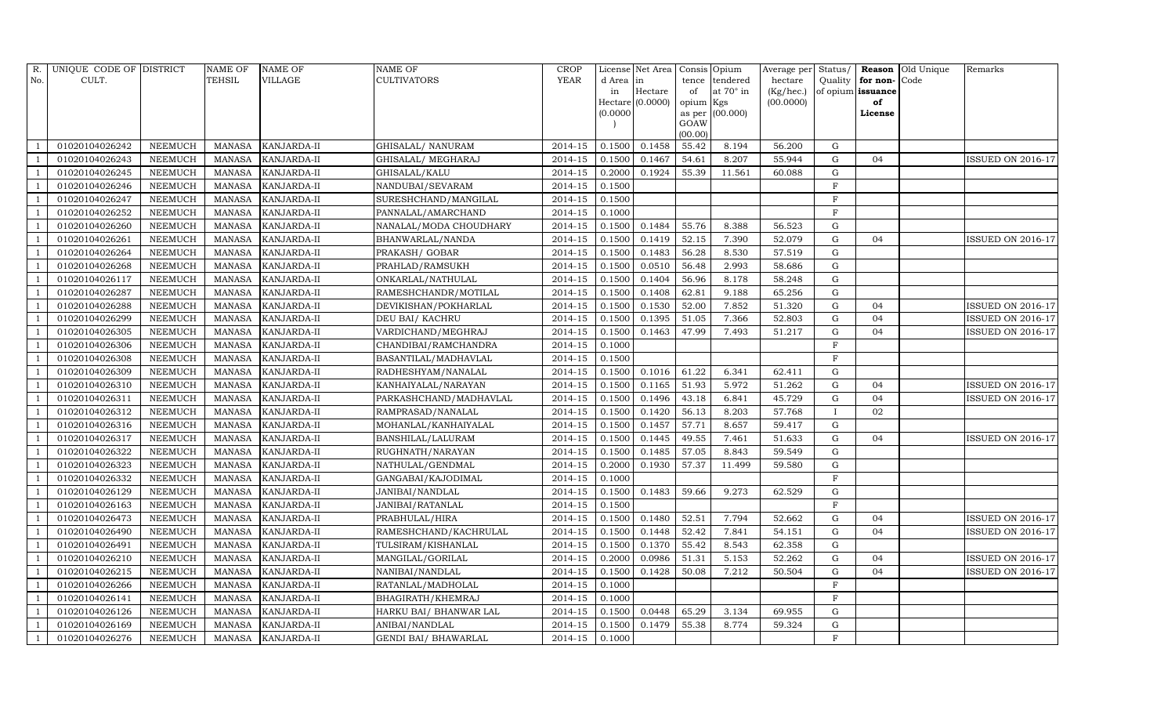| R.  | UNIQUE CODE OF DISTRICT |                | <b>NAME OF</b> | <b>NAME OF</b> | NAME OF                     | <b>CROP</b>          |           | License Net Area Consis Opium |           |                 |           |              |                      | Average per Status/ <b>Reason</b> Old Unique | Remarks                  |
|-----|-------------------------|----------------|----------------|----------------|-----------------------------|----------------------|-----------|-------------------------------|-----------|-----------------|-----------|--------------|----------------------|----------------------------------------------|--------------------------|
| No. | CULT.                   |                | TEHSIL         | <b>VILLAGE</b> | <b>CULTIVATORS</b>          | YEAR                 | d Area in |                               | tence     | tendered        | hectare   |              | Quality for non-Code |                                              |                          |
|     |                         |                |                |                |                             |                      | in        | Hectare                       | of        | at 70° in       | (Kg/hec.) |              | of opium issuance    |                                              |                          |
|     |                         |                |                |                |                             |                      |           | $Hectare$ (0.0000)            | opium Kgs |                 | (00.0000) |              | of                   |                                              |                          |
|     |                         |                |                |                |                             |                      | (0.0000)  |                               | GOAW      | as per (00.000) |           |              | License              |                                              |                          |
|     |                         |                |                |                |                             |                      |           |                               | (00.00)   |                 |           |              |                      |                                              |                          |
|     | 01020104026242          | <b>NEEMUCH</b> | <b>MANASA</b>  | KANJARDA-II    | GHISALAL/ NANURAM           | $\overline{2014-15}$ | 0.1500    | 0.1458                        | 55.42     | 8.194           | 56.200    | G            |                      |                                              |                          |
|     | 01020104026243          | <b>NEEMUCH</b> | <b>MANASA</b>  | KANJARDA-II    | GHISALAL/ MEGHARAJ          | 2014-15              | 0.1500    | 0.1467                        | 54.61     | 8.207           | 55.944    | G            | 04                   |                                              | <b>ISSUED ON 2016-17</b> |
|     | 01020104026245          | <b>NEEMUCH</b> | <b>MANASA</b>  | KANJARDA-II    | GHISALAL/KALU               | 2014-15              | 0.2000    | 0.1924                        | 55.39     | 11.561          | 60.088    | $\mathbf G$  |                      |                                              |                          |
|     | 01020104026246          | <b>NEEMUCH</b> | <b>MANASA</b>  | KANJARDA-II    | NANDUBAI/SEVARAM            | 2014-15              | 0.1500    |                               |           |                 |           | $\rm F$      |                      |                                              |                          |
|     | 01020104026247          | <b>NEEMUCH</b> | <b>MANASA</b>  | KANJARDA-II    | SURESHCHAND/MANGILAL        | 2014-15              | 0.1500    |                               |           |                 |           | $\mathbf{F}$ |                      |                                              |                          |
|     | 01020104026252          | <b>NEEMUCH</b> | <b>MANASA</b>  | KANJARDA-II    | PANNALAL/AMARCHAND          | $2014 - 15$          | 0.1000    |                               |           |                 |           | $\mathbf F$  |                      |                                              |                          |
|     | 01020104026260          | <b>NEEMUCH</b> | <b>MANASA</b>  | KANJARDA-II    | NANALAL/MODA CHOUDHARY      | 2014-15              | 0.1500    | 0.1484                        | 55.76     | 8.388           | 56.523    | $\mathbf G$  |                      |                                              |                          |
|     | 01020104026261          | <b>NEEMUCH</b> | <b>MANASA</b>  | KANJARDA-II    | BHANWARLAL/NANDA            | 2014-15              | 0.1500    | 0.1419                        | 52.15     | 7.390           | 52.079    | $\mathbf G$  | 04                   |                                              | <b>ISSUED ON 2016-17</b> |
|     | 01020104026264          | <b>NEEMUCH</b> | <b>MANASA</b>  | KANJARDA-II    | PRAKASH/ GOBAR              | 2014-15              | 0.1500    | 0.1483                        | 56.28     | 8.530           | 57.519    | $\mathbf G$  |                      |                                              |                          |
|     | 01020104026268          | <b>NEEMUCH</b> | <b>MANASA</b>  | KANJARDA-II    | PRAHLAD/RAMSUKH             | 2014-15              | 0.1500    | 0.0510                        | 56.48     | 2.993           | 58.686    | $\mathbf G$  |                      |                                              |                          |
|     | 01020104026117          | <b>NEEMUCH</b> | <b>MANASA</b>  | KANJARDA-II    | ONKARLAL/NATHULAL           | 2014-15              | 0.1500    | 0.1404                        | 56.96     | 8.178           | 58.248    | $\mathbf G$  |                      |                                              |                          |
|     | 01020104026287          | <b>NEEMUCH</b> | <b>MANASA</b>  | KANJARDA-II    | RAMESHCHANDR/MOTILAL        | 2014-15              | 0.1500    | 0.1408                        | 62.81     | 9.188           | 65.256    | $\mathbf G$  |                      |                                              |                          |
|     | 01020104026288          | <b>NEEMUCH</b> | <b>MANASA</b>  | KANJARDA-II    | DEVIKISHAN/POKHARLAL        | $2014 - 15$          | 0.1500    | 0.1530                        | 52.00     | 7.852           | 51.320    | $\mathbf G$  | 04                   |                                              | ISSUED ON 2016-17        |
|     | 01020104026299          | <b>NEEMUCH</b> | <b>MANASA</b>  | KANJARDA-II    | DEU BAI/ KACHRU             | 2014-15              | 0.1500    | 0.1395                        | 51.05     | 7.366           | 52.803    | $\mathbf G$  | 04                   |                                              | <b>ISSUED ON 2016-17</b> |
|     | 01020104026305          | <b>NEEMUCH</b> | <b>MANASA</b>  | KANJARDA-II    | VARDICHAND/MEGHRAJ          | 2014-15              | 0.1500    | 0.1463                        | 47.99     | 7.493           | 51.217    | $\mathbf G$  | 04                   |                                              | <b>ISSUED ON 2016-17</b> |
|     | 01020104026306          | <b>NEEMUCH</b> | <b>MANASA</b>  | KANJARDA-II    | CHANDIBAI/RAMCHANDRA        | 2014-15              | 0.1000    |                               |           |                 |           | $\rm F$      |                      |                                              |                          |
|     | 01020104026308          | NEEMUCH        | <b>MANASA</b>  | KANJARDA-II    | BASANTILAL/MADHAVLAL        | 2014-15              | 0.1500    |                               |           |                 |           | $_{\rm F}$   |                      |                                              |                          |
|     | 01020104026309          | <b>NEEMUCH</b> | <b>MANASA</b>  | KANJARDA-II    | RADHESHYAM/NANALAL          | 2014-15              | 0.1500    | 0.1016                        | 61.22     | 6.341           | 62.411    | $\mathbf G$  |                      |                                              |                          |
|     | 01020104026310          | <b>NEEMUCH</b> | <b>MANASA</b>  | KANJARDA-II    | KANHAIYALAL/NARAYAN         | 2014-15              | 0.1500    | 0.1165                        | 51.93     | 5.972           | 51.262    | ${\rm G}$    | 04                   |                                              | <b>ISSUED ON 2016-17</b> |
|     | 01020104026311          | <b>NEEMUCH</b> | <b>MANASA</b>  | KANJARDA-II    | PARKASHCHAND/MADHAVLAL      | $2014 - 15$          | 0.1500    | 0.1496                        | 43.18     | 6.841           | 45.729    | $\mathbf G$  | 04                   |                                              | ISSUED ON 2016-17        |
|     | 01020104026312          | <b>NEEMUCH</b> | <b>MANASA</b>  | KANJARDA-II    | RAMPRASAD/NANALAL           | 2014-15              | 0.1500    | 0.1420                        | 56.13     | 8.203           | 57.768    | $\bf{I}$     | 02                   |                                              |                          |
|     | 01020104026316          | <b>NEEMUCH</b> | <b>MANASA</b>  | KANJARDA-II    | MOHANLAL/KANHAIYALAL        | 2014-15              | 0.1500    | 0.1457                        | 57.71     | 8.657           | 59.417    | $\mathbf G$  |                      |                                              |                          |
|     | 01020104026317          | <b>NEEMUCH</b> | <b>MANASA</b>  | KANJARDA-II    | BANSHILAL/LALURAM           | 2014-15              | 0.1500    | 0.1445                        | 49.55     | 7.461           | 51.633    | $\mathbf G$  | 04                   |                                              | ISSUED ON 2016-17        |
|     | 01020104026322          | <b>NEEMUCH</b> | <b>MANASA</b>  | KANJARDA-II    | RUGHNATH/NARAYAN            | 2014-15              | 0.1500    | 0.1485                        | 57.05     | 8.843           | 59.549    | $\mathbf G$  |                      |                                              |                          |
|     | 01020104026323          | <b>NEEMUCH</b> | <b>MANASA</b>  | KANJARDA-II    | NATHULAL/GENDMAL            | 2014-15              | 0.2000    | 0.1930                        | 57.37     | 11.499          | 59.580    | $\mathbf G$  |                      |                                              |                          |
|     | 01020104026332          | <b>NEEMUCH</b> | <b>MANASA</b>  | KANJARDA-II    | GANGABAI/KAJODIMAL          | 2014-15              | 0.1000    |                               |           |                 |           | $\rm F$      |                      |                                              |                          |
|     | 01020104026129          | <b>NEEMUCH</b> | <b>MANASA</b>  | KANJARDA-II    | JANIBAI/NANDLAL             | 2014-15              | 0.1500    | 0.1483                        | 59.66     | 9.273           | 62.529    | $\mathbf G$  |                      |                                              |                          |
|     | 01020104026163          | <b>NEEMUCH</b> | <b>MANASA</b>  | KANJARDA-II    | JANIBAI/RATANLAL            | 2014-15              | 0.1500    |                               |           |                 |           | $\rm F$      |                      |                                              |                          |
|     | 01020104026473          | <b>NEEMUCH</b> | <b>MANASA</b>  | KANJARDA-II    | PRABHULAL/HIRA              | 2014-15              | 0.1500    | 0.1480                        | 52.51     | 7.794           | 52.662    | G            | 04                   |                                              | ISSUED ON 2016-17        |
|     | 01020104026490          | <b>NEEMUCH</b> | <b>MANASA</b>  | KANJARDA-II    | RAMESHCHAND/KACHRULAL       | $2014 - 15$          | 0.1500    | 0.1448                        | 52.42     | 7.841           | 54.151    | $\mathbf G$  | 04                   |                                              | ISSUED ON 2016-17        |
|     | 01020104026491          | <b>NEEMUCH</b> | <b>MANASA</b>  | KANJARDA-II    | TULSIRAM/KISHANLAL          | 2014-15              | 0.1500    | 0.1370                        | 55.42     | 8.543           | 62.358    | $\mathbf G$  |                      |                                              |                          |
|     | 01020104026210          | <b>NEEMUCH</b> | <b>MANASA</b>  | KANJARDA-II    | MANGILAL/GORILAL            | 2014-15              | 0.2000    | 0.0986                        | 51.31     | 5.153           | 52.262    | $\mathbf G$  | 04                   |                                              | <b>ISSUED ON 2016-17</b> |
|     | 01020104026215          | <b>NEEMUCH</b> | <b>MANASA</b>  | KANJARDA-II    | NANIBAI/NANDLAL             | 2014-15              | 0.1500    | 0.1428                        | 50.08     | 7.212           | 50.504    | $\mathbf G$  | 04                   |                                              | ISSUED ON 2016-17        |
|     | 01020104026266          | NEEMUCH        | <b>MANASA</b>  | KANJARDA-II    | RATANLAL/MADHOLAL           | 2014-15              | 0.1000    |                               |           |                 |           | $\mathbf F$  |                      |                                              |                          |
|     | 01020104026141          | <b>NEEMUCH</b> | <b>MANASA</b>  | KANJARDA-II    | BHAGIRATH/KHEMRAJ           | 2014-15              | 0.1000    |                               |           |                 |           | $\mathbf F$  |                      |                                              |                          |
|     | 01020104026126          | <b>NEEMUCH</b> | <b>MANASA</b>  | KANJARDA-II    | HARKU BAI/ BHANWAR LAL      | 2014-15              | 0.1500    | 0.0448                        | 65.29     | 3.134           | 69.955    | G            |                      |                                              |                          |
|     | 01020104026169          | <b>NEEMUCH</b> | <b>MANASA</b>  | KANJARDA-II    | ANIBAI/NANDLAL              | 2014-15              | 0.1500    | 0.1479                        | 55.38     | 8.774           | 59.324    | $\mathbf G$  |                      |                                              |                          |
|     | 01020104026276          | <b>NEEMUCH</b> | <b>MANASA</b>  | KANJARDA-II    | <b>GENDI BAI/ BHAWARLAL</b> | 2014-15              | 0.1000    |                               |           |                 |           | $\mathbf F$  |                      |                                              |                          |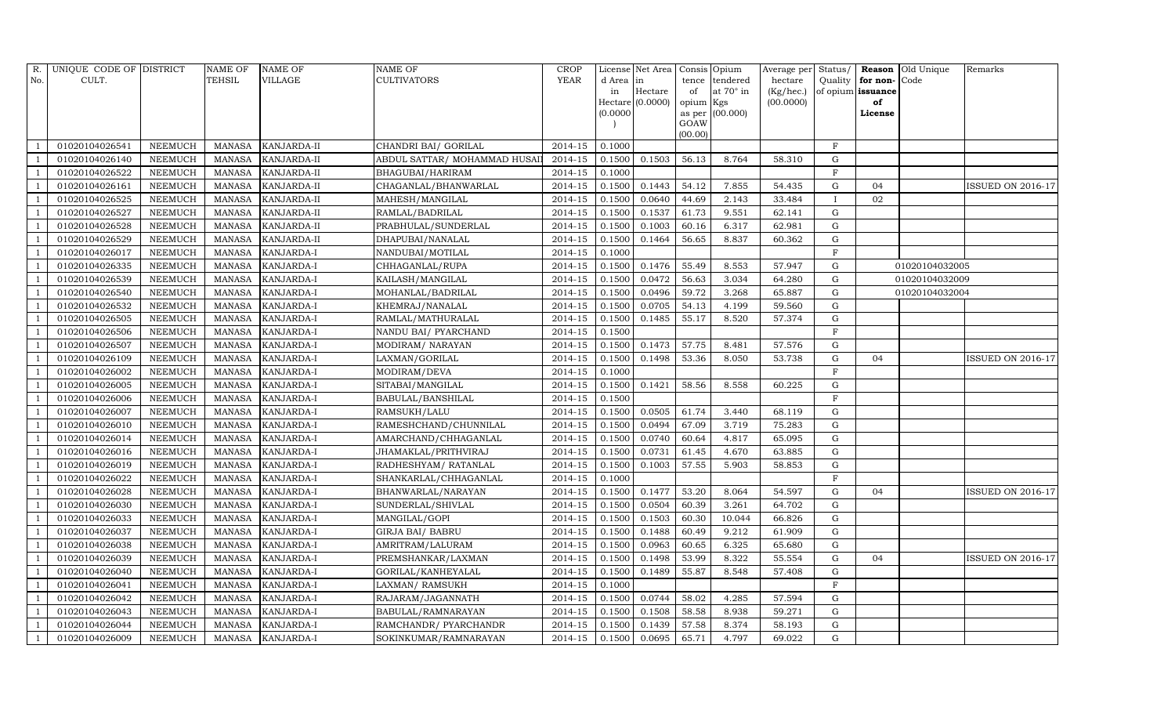| R.  | UNIQUE CODE OF DISTRICT |                | <b>NAME OF</b> | <b>NAME OF</b>    | <b>NAME OF</b>               | <b>CROP</b> |           | License Net Area | Consis Opium |                  | Average per Status/ |              |                   | <b>Reason</b> Old Unique | Remarks                  |
|-----|-------------------------|----------------|----------------|-------------------|------------------------------|-------------|-----------|------------------|--------------|------------------|---------------------|--------------|-------------------|--------------------------|--------------------------|
| No. | CULT.                   |                | <b>TEHSIL</b>  | <b>VILLAGE</b>    | <b>CULTIVATORS</b>           | YEAR        | d Area in |                  |              | tence tendered   | hectare             | Quality      | for non-Code      |                          |                          |
|     |                         |                |                |                   |                              |             | in        | Hectare          | of           | at $70^\circ$ in | (Kg/hec.)           |              | of opium issuance |                          |                          |
|     |                         |                |                |                   |                              |             |           | Hectare (0.0000) | opium Kgs    |                  | (00.0000)           |              | of                |                          |                          |
|     |                         |                |                |                   |                              |             | (0.0000)  |                  | GOAW         | as per (00.000)  |                     |              | License           |                          |                          |
|     |                         |                |                |                   |                              |             |           |                  | (00.00)      |                  |                     |              |                   |                          |                          |
|     | 01020104026541          | <b>NEEMUCH</b> | MANASA         | KANJARDA-II       | CHANDRI BAI/ GORILAL         | 2014-15     | 0.1000    |                  |              |                  |                     | $\rm F$      |                   |                          |                          |
|     | 01020104026140          | <b>NEEMUCH</b> | <b>MANASA</b>  | KANJARDA-II       | ABDUL SATTAR/ MOHAMMAD HUSAI | 2014-15     | 0.1500    | 0.1503           | 56.13        | 8.764            | 58.310              | ${\rm G}$    |                   |                          |                          |
|     | 01020104026522          | <b>NEEMUCH</b> | <b>MANASA</b>  | KANJARDA-II       | BHAGUBAI/HARIRAM             | 2014-15     | 0.1000    |                  |              |                  |                     | $_{\rm F}$   |                   |                          |                          |
|     | 01020104026161          | <b>NEEMUCH</b> | <b>MANASA</b>  | KANJARDA-II       | CHAGANLAL/BHANWARLAL         | 2014-15     | 0.1500    | 0.1443           | 54.12        | 7.855            | 54.435              | $\mathbf G$  | 04                |                          | <b>ISSUED ON 2016-17</b> |
|     | 01020104026525          | <b>NEEMUCH</b> | <b>MANASA</b>  | KANJARDA-II       | MAHESH/MANGILAL              | 2014-15     | 0.1500    | 0.0640           | 44.69        | 2.143            | 33.484              | $\mathbf{I}$ | 02                |                          |                          |
|     | 01020104026527          | <b>NEEMUCH</b> | <b>MANASA</b>  | KANJARDA-II       | RAMLAL/BADRILAL              | 2014-15     | 0.1500    | 0.1537           | 61.73        | 9.551            | 62.141              | $\mathbf G$  |                   |                          |                          |
|     | 01020104026528          | <b>NEEMUCH</b> | <b>MANASA</b>  | KANJARDA-II       | PRABHULAL/SUNDERLAL          | 2014-15     | 0.1500    | 0.1003           | 60.16        | 6.317            | 62.981              | G            |                   |                          |                          |
|     | 01020104026529          | <b>NEEMUCH</b> | <b>MANASA</b>  | KANJARDA-II       | DHAPUBAI/NANALAL             | 2014-15     | 0.1500    | 0.1464           | 56.65        | 8.837            | 60.362              | ${\rm G}$    |                   |                          |                          |
|     | 01020104026017          | <b>NEEMUCH</b> | <b>MANASA</b>  | KANJARDA-I        | NANDUBAI/MOTILAL             | 2014-15     | 0.1000    |                  |              |                  |                     | $\mathbf{F}$ |                   |                          |                          |
|     | 01020104026335          | <b>NEEMUCH</b> | <b>MANASA</b>  | KANJARDA-I        | CHHAGANLAL/RUPA              | 2014-15     | 0.1500    | 0.1476           | 55.49        | 8.553            | 57.947              | G            |                   | 01020104032005           |                          |
|     | 01020104026539          | <b>NEEMUCH</b> | <b>MANASA</b>  | KANJARDA-I        | KAILASH/MANGILAL             | 2014-15     | 0.1500    | 0.0472           | 56.63        | 3.034            | 64.280              | $\mathbf G$  |                   | 01020104032009           |                          |
|     | 01020104026540          | <b>NEEMUCH</b> | <b>MANASA</b>  | KANJARDA-I        | MOHANLAL/BADRILAL            | 2014-15     | 0.1500    | 0.0496           | 59.72        | 3.268            | 65.887              | G            |                   | 01020104032004           |                          |
|     | 01020104026532          | <b>NEEMUCH</b> | <b>MANASA</b>  | KANJARDA-I        | KHEMRAJ/NANALAL              | $2014 - 15$ | 0.1500    | 0.0705           | 54.13        | 4.199            | 59.560              | $\mathbf G$  |                   |                          |                          |
|     | 01020104026505          | <b>NEEMUCH</b> | <b>MANASA</b>  | KANJARDA-I        | RAMLAL/MATHURALAL            | 2014-15     | 0.1500    | 0.1485           | 55.17        | 8.520            | 57.374              | $\mathbf G$  |                   |                          |                          |
|     | 01020104026506          | <b>NEEMUCH</b> | <b>MANASA</b>  | KANJARDA-I        | NANDU BAI/ PYARCHAND         | 2014-15     | 0.1500    |                  |              |                  |                     | $\rm F$      |                   |                          |                          |
|     | 01020104026507          | <b>NEEMUCH</b> | <b>MANASA</b>  | KANJARDA-I        | MODIRAM/NARAYAN              | 2014-15     | 0.1500    | 0.1473           | 57.75        | 8.481            | 57.576              | G            |                   |                          |                          |
|     | 01020104026109          | <b>NEEMUCH</b> | <b>MANASA</b>  | KANJARDA-I        | LAXMAN/GORILAL               | 2014-15     | 0.1500    | 0.1498           | 53.36        | 8.050            | 53.738              | G            | 04                |                          | <b>ISSUED ON 2016-17</b> |
|     | 01020104026002          | <b>NEEMUCH</b> | <b>MANASA</b>  | KANJARDA-I        | MODIRAM/DEVA                 | 2014-15     | 0.1000    |                  |              |                  |                     | $\mathbf F$  |                   |                          |                          |
|     | 01020104026005          | <b>NEEMUCH</b> | <b>MANASA</b>  | KANJARDA-I        | SITABAI/MANGILAL             | 2014-15     | 0.1500    | 0.1421           | 58.56        | 8.558            | 60.225              | ${\rm G}$    |                   |                          |                          |
|     | 01020104026006          | <b>NEEMUCH</b> | <b>MANASA</b>  | KANJARDA-I        | BABULAL/BANSHILAL            | $2014 - 15$ | 0.1500    |                  |              |                  |                     | $\mathbf F$  |                   |                          |                          |
|     | 01020104026007          | <b>NEEMUCH</b> | <b>MANASA</b>  | KANJARDA-I        | RAMSUKH/LALU                 | 2014-15     | 0.1500    | 0.0505           | 61.74        | 3.440            | 68.119              | $\mathbf G$  |                   |                          |                          |
|     | 01020104026010          | <b>NEEMUCH</b> | <b>MANASA</b>  | KANJARDA-I        | RAMESHCHAND/CHUNNILAL        | 2014-15     | 0.1500    | 0.0494           | 67.09        | 3.719            | 75.283              | $\mathbf G$  |                   |                          |                          |
|     | 01020104026014          | <b>NEEMUCH</b> | <b>MANASA</b>  | KANJARDA-I        | AMARCHAND/CHHAGANLAL         | 2014-15     | 0.1500    | 0.0740           | 60.64        | 4.817            | 65.095              | $\mathbf G$  |                   |                          |                          |
|     | 01020104026016          | <b>NEEMUCH</b> | <b>MANASA</b>  | KANJARDA-I        | JHAMAKLAL/PRITHVIRAJ         | 2014-15     | 0.1500    | 0.0731           | 61.45        | 4.670            | 63.885              | ${\rm G}$    |                   |                          |                          |
|     | 01020104026019          | <b>NEEMUCH</b> | <b>MANASA</b>  | KANJARDA-I        | RADHESHYAM/ RATANLAL         | $2014 - 15$ | 0.1500    | 0.1003           | 57.55        | 5.903            | 58.853              | ${\rm G}$    |                   |                          |                          |
|     | 01020104026022          | <b>NEEMUCH</b> | <b>MANASA</b>  | KANJARDA-I        | SHANKARLAL/CHHAGANLAL        | 2014-15     | 0.1000    |                  |              |                  |                     | $\mathbf{F}$ |                   |                          |                          |
|     | 01020104026028          | <b>NEEMUCH</b> | <b>MANASA</b>  | KANJARDA-I        | BHANWARLAL/NARAYAN           | 2014-15     | 0.1500    | 0.1477           | 53.20        | 8.064            | 54.597              | G            | 04                |                          | <b>ISSUED ON 2016-17</b> |
|     | 01020104026030          | <b>NEEMUCH</b> | <b>MANASA</b>  | KANJARDA-I        | SUNDERLAL/SHIVLAL            | 2014-15     | 0.1500    | 0.0504           | 60.39        | 3.261            | 64.702              | $\mathbf G$  |                   |                          |                          |
|     | 01020104026033          | <b>NEEMUCH</b> | <b>MANASA</b>  | KANJARDA-I        | MANGILAL/GOPI                | 2014-15     | 0.1500    | 0.1503           | 60.30        | 10.044           | 66.826              | $\mathbf G$  |                   |                          |                          |
|     | 01020104026037          | <b>NEEMUCH</b> | <b>MANASA</b>  | KANJARDA-I        | GIRJA BAI/ BABRU             | 2014-15     | 0.1500    | 0.1488           | 60.49        | 9.212            | 61.909              | $\mathbf G$  |                   |                          |                          |
|     | 01020104026038          | <b>NEEMUCH</b> | <b>MANASA</b>  | KANJARDA-I        | AMRITRAM/LALURAM             | 2014-15     | 0.1500    | 0.0963           | 60.65        | 6.325            | 65.680              | $\mathbf G$  |                   |                          |                          |
|     | 01020104026039          | <b>NEEMUCH</b> | <b>MANASA</b>  | KANJARDA-I        | PREMSHANKAR/LAXMAN           | 2014-15     | 0.1500    | 0.1498           | 53.99        | 8.322            | 55.554              | G            | 04                |                          | <b>ISSUED ON 2016-17</b> |
|     | 01020104026040          | <b>NEEMUCH</b> | <b>MANASA</b>  | KANJARDA-I        | GORILAL/KANHEYALAL           | 2014-15     | 0.1500    | 0.1489           | 55.87        | 8.548            | 57.408              | $\mathbf G$  |                   |                          |                          |
|     | 01020104026041          | <b>NEEMUCH</b> | <b>MANASA</b>  | KANJARDA-I        | LAXMAN/ RAMSUKH              | 2014-15     | 0.1000    |                  |              |                  |                     | $\rm F$      |                   |                          |                          |
|     | 01020104026042          | <b>NEEMUCH</b> | <b>MANASA</b>  | KANJARDA-I        | RAJARAM/JAGANNATH            | 2014-15     | 0.1500    | 0.0744           | 58.02        | 4.285            | 57.594              | $\mathbf G$  |                   |                          |                          |
|     | 01020104026043          | <b>NEEMUCH</b> | <b>MANASA</b>  | KANJARDA-I        | BABULAL/RAMNARAYAN           | 2014-15     | 0.1500    | 0.1508           | 58.58        | 8.938            | 59.271              | $\mathbf G$  |                   |                          |                          |
|     | 01020104026044          | <b>NEEMUCH</b> | <b>MANASA</b>  | KANJARDA-I        | RAMCHANDR/ PYARCHANDR        | 2014-15     | 0.1500    | 0.1439           | 57.58        | 8.374            | 58.193              | G            |                   |                          |                          |
|     | 01020104026009          | <b>NEEMUCH</b> | <b>MANASA</b>  | <b>KANJARDA-I</b> | SOKINKUMAR/RAMNARAYAN        | 2014-15     | 0.1500    | 0.0695           | 65.71        | 4.797            | 69.022              | $\mathbf G$  |                   |                          |                          |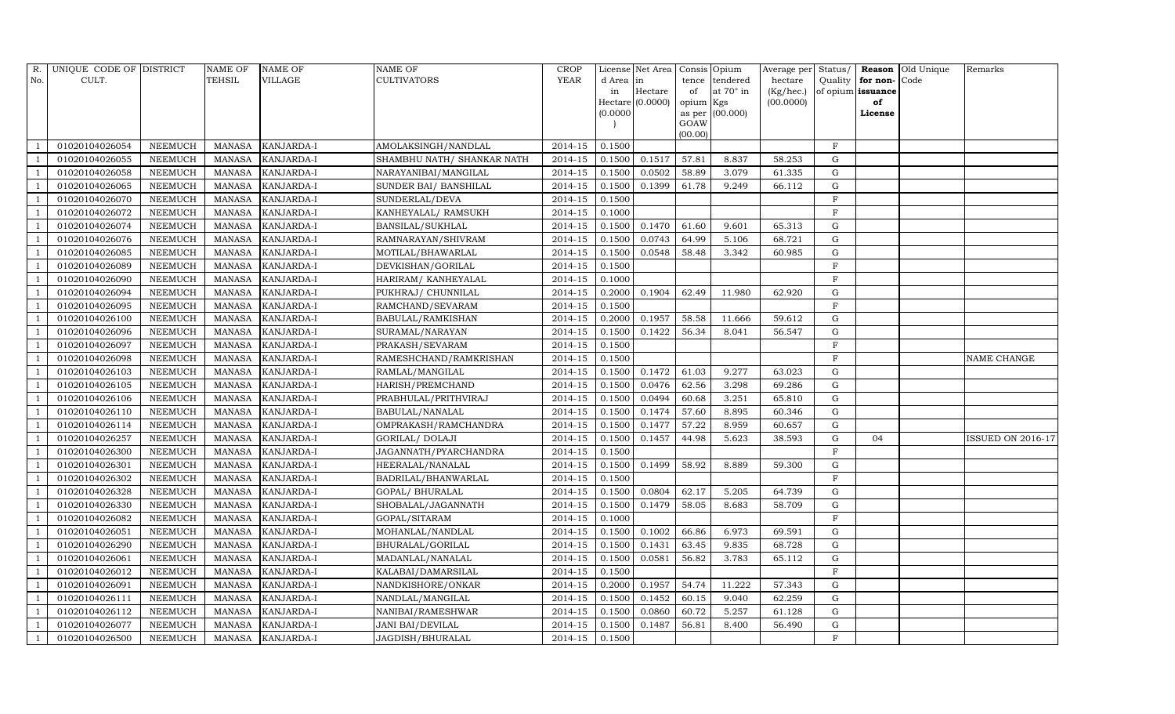| R.  | UNIQUE CODE OF DISTRICT |                | <b>NAME OF</b> | <b>NAME OF</b>    | <b>NAME OF</b>              | <b>CROP</b> |           | License Net Area   Consis   Opium |           |                  |           |                |                   | Average per Status/ Reason Old Unique | Remarks                  |
|-----|-------------------------|----------------|----------------|-------------------|-----------------------------|-------------|-----------|-----------------------------------|-----------|------------------|-----------|----------------|-------------------|---------------------------------------|--------------------------|
| No. | CULT.                   |                | <b>TEHSIL</b>  | <b>VILLAGE</b>    | <b>CULTIVATORS</b>          | YEAR        | d Area in |                                   |           | tence tendered   | hectare   | Quality        | for non-Code      |                                       |                          |
|     |                         |                |                |                   |                             |             | in        | Hectare                           | of        | at $70^\circ$ in | (Kg/hec.) |                | of opium issuance |                                       |                          |
|     |                         |                |                |                   |                             |             |           | Hectare (0.0000)                  | opium Kgs |                  | (00.0000) |                | of                |                                       |                          |
|     |                         |                |                |                   |                             |             | (0.0000)  |                                   |           | as per (00.000)  |           |                | License           |                                       |                          |
|     |                         |                |                |                   |                             |             |           |                                   | GOAW      |                  |           |                |                   |                                       |                          |
|     |                         |                |                |                   |                             |             |           |                                   | (00.00)   |                  |           |                |                   |                                       |                          |
|     | 01020104026054          | <b>NEEMUCH</b> | MANASA         | <b>KANJARDA-I</b> | AMOLAKSINGH/NANDLAL         | 2014-15     | 0.1500    |                                   |           |                  |           | $\mathbf F$    |                   |                                       |                          |
|     | 01020104026055          | <b>NEEMUCH</b> | <b>MANASA</b>  | KANJARDA-I        | SHAMBHU NATH / SHANKAR NATH | 2014-15     | 0.1500    | 0.1517                            | 57.81     | 8.837            | 58.253    | $\mathbf G$    |                   |                                       |                          |
|     | 01020104026058          | <b>NEEMUCH</b> | <b>MANASA</b>  | KANJARDA-I        | NARAYANIBAI/MANGILAL        | 2014-15     | 0.1500    | 0.0502                            | 58.89     | 3.079            | 61.335    | $\mathbf G$    |                   |                                       |                          |
|     | 01020104026065          | <b>NEEMUCH</b> | <b>MANASA</b>  | <b>KANJARDA-I</b> | SUNDER BAI/ BANSHILAL       | 2014-15     | 0.1500    | 0.1399                            | 61.78     | 9.249            | 66.112    | $\mathbf G$    |                   |                                       |                          |
|     | 01020104026070          | <b>NEEMUCH</b> | <b>MANASA</b>  | KANJARDA-I        | SUNDERLAL/DEVA              | 2014-15     | 0.1500    |                                   |           |                  |           | $\mathbf{F}$   |                   |                                       |                          |
|     | 01020104026072          | <b>NEEMUCH</b> | <b>MANASA</b>  | KANJARDA-I        | KANHEYALAL/ RAMSUKH         | 2014-15     | 0.1000    |                                   |           |                  |           | F              |                   |                                       |                          |
|     | 01020104026074          | <b>NEEMUCH</b> | <b>MANASA</b>  | KANJARDA-I        | BANSILAL/SUKHLAL            | 2014-15     | 0.1500    | 0.1470                            | 61.60     | 9.601            | 65.313    | $\mathbf G$    |                   |                                       |                          |
|     | 01020104026076          | <b>NEEMUCH</b> | <b>MANASA</b>  | KANJARDA-I        | RAMNARAYAN/SHIVRAM          | 2014-15     | 0.1500    | 0.0743                            | 64.99     | 5.106            | 68.721    | $\mathbf G$    |                   |                                       |                          |
|     | 01020104026085          | <b>NEEMUCH</b> | <b>MANASA</b>  | KANJARDA-I        | MOTILAL/BHAWARLAL           | 2014-15     | 0.1500    | 0.0548                            | 58.48     | 3.342            | 60.985    | $\mathbf G$    |                   |                                       |                          |
|     | 01020104026089          | <b>NEEMUCH</b> | <b>MANASA</b>  | KANJARDA-I        | DEVKISHAN/GORILAL           | 2014-15     | 0.1500    |                                   |           |                  |           | $\mathbf{F}$   |                   |                                       |                          |
|     | 01020104026090          | <b>NEEMUCH</b> | <b>MANASA</b>  | KANJARDA-I        | HARIRAM/KANHEYALAL          | 2014-15     | 0.1000    |                                   |           |                  |           | $\mathbf{F}$   |                   |                                       |                          |
|     | 01020104026094          | <b>NEEMUCH</b> | <b>MANASA</b>  | KANJARDA-I        | PUKHRAJ/ CHUNNILAL          | 2014-15     | 0.2000    | 0.1904                            | 62.49     | 11.980           | 62.920    | $\mathbf G$    |                   |                                       |                          |
|     | 01020104026095          | <b>NEEMUCH</b> | <b>MANASA</b>  | KANJARDA-I        | RAMCHAND/SEVARAM            | 2014-15     | 0.1500    |                                   |           |                  |           | $\mathbf{F}$   |                   |                                       |                          |
|     | 01020104026100          | <b>NEEMUCH</b> | <b>MANASA</b>  | KANJARDA-I        | <b>BABULAL/RAMKISHAN</b>    | 2014-15     | 0.2000    | 0.1957                            | 58.58     | 11.666           | 59.612    | $\mathbf G$    |                   |                                       |                          |
|     | 01020104026096          | <b>NEEMUCH</b> | <b>MANASA</b>  | KANJARDA-I        | SURAMAL/NARAYAN             | 2014-15     | 0.1500    | 0.1422                            | 56.34     | 8.041            | 56.547    | ${\rm G}$      |                   |                                       |                          |
|     | 01020104026097          | <b>NEEMUCH</b> | <b>MANASA</b>  | KANJARDA-I        | PRAKASH/SEVARAM             | 2014-15     | 0.1500    |                                   |           |                  |           | $\mathbf{F}$   |                   |                                       |                          |
|     | 01020104026098          | <b>NEEMUCH</b> | <b>MANASA</b>  | KANJARDA-I        | RAMESHCHAND/RAMKRISHAN      | 2014-15     | 0.1500    |                                   |           |                  |           | $\overline{F}$ |                   |                                       | NAME CHANGE              |
|     | 01020104026103          | <b>NEEMUCH</b> | <b>MANASA</b>  | KANJARDA-I        | RAMLAL/MANGILAL             | 2014-15     | 0.1500    | 0.1472                            | 61.03     | 9.277            | 63.023    | $\mathbf G$    |                   |                                       |                          |
|     | 01020104026105          | <b>NEEMUCH</b> | <b>MANASA</b>  | KANJARDA-I        | HARISH/PREMCHAND            | 2014-15     | 0.1500    | 0.0476                            | 62.56     | 3.298            | 69.286    | $\mathbf G$    |                   |                                       |                          |
|     | 01020104026106          | <b>NEEMUCH</b> | <b>MANASA</b>  | KANJARDA-I        | PRABHULAL/PRITHVIRAJ        | 2014-15     | 0.1500    | 0.0494                            | 60.68     | 3.251            | 65.810    | ${\rm G}$      |                   |                                       |                          |
|     | 01020104026110          | <b>NEEMUCH</b> | <b>MANASA</b>  | KANJARDA-I        | BABULAL/NANALAL             | 2014-15     | 0.1500    | 0.1474                            | 57.60     | 8.895            | 60.346    | $\mathbf G$    |                   |                                       |                          |
|     | 01020104026114          | <b>NEEMUCH</b> | <b>MANASA</b>  | KANJARDA-I        | OMPRAKASH/RAMCHANDRA        | 2014-15     | 0.1500    | 0.1477                            | 57.22     | 8.959            | 60.657    | $\mathbf G$    |                   |                                       |                          |
|     | 01020104026257          | <b>NEEMUCH</b> | <b>MANASA</b>  | KANJARDA-I        | GORILAL/ DOLAJI             | 2014-15     | 0.1500    | 0.1457                            | 44.98     | 5.623            | 38.593    | $\mathbf G$    | 04                |                                       | <b>ISSUED ON 2016-17</b> |
|     | 01020104026300          | <b>NEEMUCH</b> | <b>MANASA</b>  | KANJARDA-I        | JAGANNATH/PYARCHANDRA       | 2014-15     | 0.1500    |                                   |           |                  |           | $\overline{F}$ |                   |                                       |                          |
|     | 01020104026301          | <b>NEEMUCH</b> | <b>MANASA</b>  | KANJARDA-I        | HEERALAL/NANALAL            | 2014-15     | 0.1500    | 0.1499                            | 58.92     | 8.889            | 59.300    | ${\rm G}$      |                   |                                       |                          |
|     | 01020104026302          | <b>NEEMUCH</b> | <b>MANASA</b>  | KANJARDA-I        | BADRILAL/BHANWARLAL         | 2014-15     | 0.1500    |                                   |           |                  |           | $\mathbf{F}$   |                   |                                       |                          |
|     | 01020104026328          | <b>NEEMUCH</b> | <b>MANASA</b>  | KANJARDA-I        | GOPAL/ BHURALAL             | 2014-15     | 0.1500    | 0.0804                            | 62.17     | 5.205            | 64.739    | G              |                   |                                       |                          |
|     | 01020104026330          | <b>NEEMUCH</b> | <b>MANASA</b>  | KANJARDA-I        | SHOBALAL/JAGANNATH          | 2014-15     | 0.1500    | 0.1479                            | 58.05     | 8.683            | 58.709    | $\mathbf G$    |                   |                                       |                          |
|     | 01020104026082          | <b>NEEMUCH</b> | <b>MANASA</b>  | KANJARDA-I        | GOPAL/SITARAM               | 2014-15     | 0.1000    |                                   |           |                  |           | $\overline{F}$ |                   |                                       |                          |
|     | 01020104026051          | <b>NEEMUCH</b> | <b>MANASA</b>  | KANJARDA-I        | MOHANLAL/NANDLAL            | 2014-15     | 0.1500    | 0.1002                            | 66.86     | 6.973            | 69.591    | G              |                   |                                       |                          |
|     | 01020104026290          | <b>NEEMUCH</b> | <b>MANASA</b>  | KANJARDA-I        | BHURALAL/GORILAL            | 2014-15     | 0.1500    | 0.1431                            | 63.45     | 9.835            | 68.728    | $\mathbf G$    |                   |                                       |                          |
|     | 01020104026061          | <b>NEEMUCH</b> | <b>MANASA</b>  | KANJARDA-I        | MADANLAL/NANALAL            | 2014-15     | 0.1500    | 0.0581                            | 56.82     | 3.783            | 65.112    | ${\rm G}$      |                   |                                       |                          |
|     | 01020104026012          | <b>NEEMUCH</b> | <b>MANASA</b>  | KANJARDA-I        | KALABAI/DAMARSILAL          | 2014-15     | 0.1500    |                                   |           |                  |           | $\mathbf F$    |                   |                                       |                          |
|     | 01020104026091          | <b>NEEMUCH</b> | <b>MANASA</b>  | KANJARDA-I        | NANDKISHORE/ONKAR           | 2014-15     | 0.2000    | 0.1957                            | 54.74     | 11.222           | 57.343    | G              |                   |                                       |                          |
|     | 01020104026111          | <b>NEEMUCH</b> | <b>MANASA</b>  | KANJARDA-I        | NANDLAL/MANGILAL            | 2014-15     | 0.1500    | 0.1452                            | 60.15     | 9.040            | 62.259    | G              |                   |                                       |                          |
|     | 01020104026112          | <b>NEEMUCH</b> | <b>MANASA</b>  | KANJARDA-I        | NANIBAI/RAMESHWAR           | 2014-15     | 0.1500    | 0.0860                            | 60.72     | 5.257            | 61.128    | $\mathbf G$    |                   |                                       |                          |
|     | 01020104026077          | <b>NEEMUCH</b> | <b>MANASA</b>  | KANJARDA-I        | JANI BAI/DEVILAL            | 2014-15     | 0.1500    | 0.1487                            | 56.81     | 8.400            | 56.490    | ${\rm G}$      |                   |                                       |                          |
|     | 01020104026500          | <b>NEEMUCH</b> | <b>MANASA</b>  | <b>KANJARDA-I</b> | JAGDISH/BHURALAL            | 2014-15     | 0.1500    |                                   |           |                  |           | $\mathbf{F}$   |                   |                                       |                          |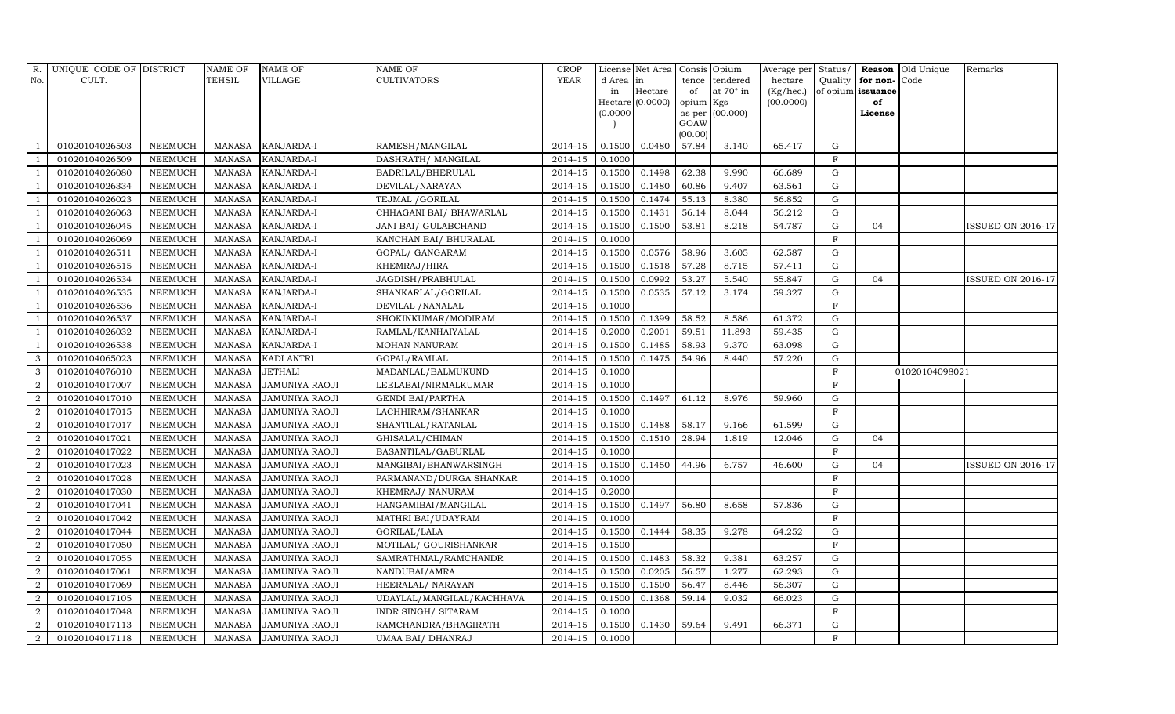| R.             | UNIQUE CODE OF DISTRICT |                | <b>NAME OF</b> | <b>NAME OF</b>        | NAME OF                   | <b>CROP</b> |           | License Net Area   | Consis Opium    |                 | Average per Status/ |             |                   | <b>Reason</b> Old Unique | Remarks                  |
|----------------|-------------------------|----------------|----------------|-----------------------|---------------------------|-------------|-----------|--------------------|-----------------|-----------------|---------------------|-------------|-------------------|--------------------------|--------------------------|
| No.            | CULT.                   |                | <b>TEHSIL</b>  | VILLAGE               | CULTIVATORS               | YEAR        | d Area in |                    | tence           | tendered        | hectare             | Quality     | for non-Code      |                          |                          |
|                |                         |                |                |                       |                           |             | in        | Hectare            | of              | at 70° in       | (Kg/hec.)           |             | of opium issuance |                          |                          |
|                |                         |                |                |                       |                           |             |           | $Hectare$ (0.0000) | opium Kgs       |                 | (00.0000)           |             | of                |                          |                          |
|                |                         |                |                |                       |                           |             | (0.0000)  |                    |                 | as per (00.000) |                     |             | License           |                          |                          |
|                |                         |                |                |                       |                           |             |           |                    | GOAW<br>(00.00) |                 |                     |             |                   |                          |                          |
|                | 01020104026503          | <b>NEEMUCH</b> | <b>MANASA</b>  | KANJARDA-I            | RAMESH/MANGILAL           | 2014-15     | 0.1500    | 0.0480             | 57.84           | 3.140           | 65.417              | G           |                   |                          |                          |
|                | 01020104026509          | <b>NEEMUCH</b> | <b>MANASA</b>  | KANJARDA-I            | DASHRATH / MANGILAL       | 2014-15     | 0.1000    |                    |                 |                 |                     | $\mathbf F$ |                   |                          |                          |
|                | 01020104026080          | <b>NEEMUCH</b> | <b>MANASA</b>  | KANJARDA-I            | BADRILAL/BHERULAL         | 2014-15     | 0.1500    | 0.1498             | 62.38           | 9.990           | 66.689              | G           |                   |                          |                          |
|                | 01020104026334          | <b>NEEMUCH</b> | <b>MANASA</b>  | KANJARDA-I            | DEVILAL/NARAYAN           | 2014-15     | 0.1500    | 0.1480             | 60.86           | 9.407           | 63.561              | G           |                   |                          |                          |
|                | 01020104026023          | <b>NEEMUCH</b> | <b>MANASA</b>  | KANJARDA-I            | TEJMAL / GORILAL          | 2014-15     | 0.1500    | 0.1474             | 55.13           | 8.380           | 56.852              | G           |                   |                          |                          |
|                | 01020104026063          | <b>NEEMUCH</b> | <b>MANASA</b>  | KANJARDA-I            | CHHAGANI BAI/ BHAWARLAL   | 2014-15     | 0.1500    | 0.1431             | 56.14           | 8.044           | 56.212              | G           |                   |                          |                          |
|                | 01020104026045          | <b>NEEMUCH</b> | <b>MANASA</b>  | KANJARDA-I            | JANI BAI/ GULABCHAND      | 2014-15     | 0.1500    | 0.1500             | 53.81           | 8.218           | 54.787              | G           | 04                |                          | <b>ISSUED ON 2016-17</b> |
|                | 01020104026069          | <b>NEEMUCH</b> | <b>MANASA</b>  | KANJARDA-I            | KANCHAN BAI/ BHURALAL     | 2014-15     | 0.1000    |                    |                 |                 |                     | $\mathbf F$ |                   |                          |                          |
|                | 01020104026511          | <b>NEEMUCH</b> | <b>MANASA</b>  | KANJARDA-I            | GOPAL/ GANGARAM           | 2014-15     | 0.1500    | 0.0576             | 58.96           | 3.605           | 62.587              | $\mathbf G$ |                   |                          |                          |
|                | 01020104026515          | <b>NEEMUCH</b> | <b>MANASA</b>  | KANJARDA-I            | KHEMRAJ/HIRA              | 2014-15     | 0.1500    | 0.1518             | 57.28           | 8.715           | 57.411              | G           |                   |                          |                          |
|                | 01020104026534          | <b>NEEMUCH</b> | <b>MANASA</b>  | KANJARDA-I            | JAGDISH/PRABHULAL         | 2014-15     | 0.1500    | 0.0992             | 53.27           | 5.540           | 55.847              | G           | 04                |                          | <b>ISSUED ON 2016-17</b> |
|                | 01020104026535          | <b>NEEMUCH</b> | <b>MANASA</b>  | KANJARDA-I            | SHANKARLAL/GORILAL        | 2014-15     | 0.1500    | 0.0535             | 57.12           | 3.174           | 59.327              | G           |                   |                          |                          |
|                | 01020104026536          | <b>NEEMUCH</b> | <b>MANASA</b>  | KANJARDA-I            | DEVILAL / NANALAL         | 2014-15     | 0.1000    |                    |                 |                 |                     | $\mathbf F$ |                   |                          |                          |
|                | 01020104026537          | <b>NEEMUCH</b> | <b>MANASA</b>  | KANJARDA-I            | SHOKINKUMAR/MODIRAM       | 2014-15     | 0.1500    | 0.1399             | 58.52           | 8.586           | 61.372              | $\mathbf G$ |                   |                          |                          |
|                | 01020104026032          | <b>NEEMUCH</b> | <b>MANASA</b>  | KANJARDA-I            | RAMLAL/KANHAIYALAL        | 2014-15     | 0.2000    | 0.2001             | 59.51           | 11.893          | 59.435              | G           |                   |                          |                          |
|                | 01020104026538          | <b>NEEMUCH</b> | <b>MANASA</b>  | KANJARDA-I            | MOHAN NANURAM             | 2014-15     | 0.1500    | 0.1485             | 58.93           | 9.370           | 63.098              | $\mathbf G$ |                   |                          |                          |
| 3              | 01020104065023          | NEEMUCH        | <b>MANASA</b>  | KADI ANTRI            | GOPAL/RAMLAL              | 2014-15     | 0.1500    | 0.1475             | 54.96           | 8.440           | 57.220              | $\mathbf G$ |                   |                          |                          |
| 3              | 01020104076010          | <b>NEEMUCH</b> | <b>MANASA</b>  | <b>JETHALI</b>        | MADANLAL/BALMUKUND        | $2014 - 15$ | 0.1000    |                    |                 |                 |                     | F           |                   | 01020104098021           |                          |
| $\overline{2}$ | 01020104017007          | <b>NEEMUCH</b> | <b>MANASA</b>  | <b>JAMUNIYA RAOJI</b> | LEELABAI/NIRMALKUMAR      | 2014-15     | 0.1000    |                    |                 |                 |                     | $\mathbf F$ |                   |                          |                          |
| $\overline{2}$ | 01020104017010          | <b>NEEMUCH</b> | <b>MANASA</b>  | JAMUNIYA RAOJI        | GENDI BAI/PARTHA          | 2014-15     | 0.1500    | 0.1497             | 61.12           | 8.976           | 59.960              | $\mathbf G$ |                   |                          |                          |
| 2              | 01020104017015          | <b>NEEMUCH</b> | <b>MANASA</b>  | <b>JAMUNIYA RAOJI</b> | LACHHIRAM/SHANKAR         | 2014-15     | 0.1000    |                    |                 |                 |                     | F           |                   |                          |                          |
| $\overline{2}$ | 01020104017017          | <b>NEEMUCH</b> | <b>MANASA</b>  | JAMUNIYA RAOJI        | SHANTILAL/RATANLAL        | 2014-15     | 0.1500    | 0.1488             | 58.17           | 9.166           | 61.599              | $\mathbf G$ |                   |                          |                          |
| $\overline{2}$ | 01020104017021          | NEEMUCH        | <b>MANASA</b>  | JAMUNIYA RAOJI        | GHISALAL/CHIMAN           | $2014 - 15$ | 0.1500    | 0.1510             | 28.94           | 1.819           | 12.046              | G           | 04                |                          |                          |
| $\overline{2}$ | 01020104017022          | <b>NEEMUCH</b> | <b>MANASA</b>  | JAMUNIYA RAOJI        | BASANTILAL/GABURLAL       | 2014-15     | 0.1000    |                    |                 |                 |                     | F           |                   |                          |                          |
| $\overline{2}$ | 01020104017023          | <b>NEEMUCH</b> | <b>MANASA</b>  | JAMUNIYA RAOJI        | MANGIBAI/BHANWARSINGH     | 2014-15     | 0.1500    | 0.1450             | 44.96           | 6.757           | 46.600              | G           | 04                |                          | <b>ISSUED ON 2016-17</b> |
| $\overline{2}$ | 01020104017028          | <b>NEEMUCH</b> | <b>MANASA</b>  | JAMUNIYA RAOJI        | PARMANAND/DURGA SHANKAR   | 2014-15     | 0.1000    |                    |                 |                 |                     | $_{\rm F}$  |                   |                          |                          |
| $\overline{2}$ | 01020104017030          | <b>NEEMUCH</b> | <b>MANASA</b>  | JAMUNIYA RAOJI        | KHEMRAJ/ NANURAM          | 2014-15     | 0.2000    |                    |                 |                 |                     | $\mathbf F$ |                   |                          |                          |
| $\overline{2}$ | 01020104017041          | <b>NEEMUCH</b> | <b>MANASA</b>  | JAMUNIYA RAOJI        | HANGAMIBAI/MANGILAL       | 2014-15     | 0.1500    | 0.1497             | 56.80           | 8.658           | 57.836              | $\mathbf G$ |                   |                          |                          |
| $\overline{2}$ | 01020104017042          | <b>NEEMUCH</b> | <b>MANASA</b>  | JAMUNIYA RAOJI        | MATHRI BAI/UDAYRAM        | 2014-15     | 0.1000    |                    |                 |                 |                     | $_{\rm F}$  |                   |                          |                          |
| $\overline{2}$ | 01020104017044          | <b>NEEMUCH</b> | <b>MANASA</b>  | JAMUNIYA RAOJI        | GORILAL/LALA              | 2014-15     | 0.1500    | 0.1444             | 58.35           | 9.278           | 64.252              | G           |                   |                          |                          |
| $\overline{2}$ | 01020104017050          | <b>NEEMUCH</b> | <b>MANASA</b>  | JAMUNIYA RAOJI        | MOTILAL/ GOURISHANKAR     | 2014-15     | 0.1500    |                    |                 |                 |                     | $_{\rm F}$  |                   |                          |                          |
| $\overline{2}$ | 01020104017055          | <b>NEEMUCH</b> | <b>MANASA</b>  | JAMUNIYA RAOJI        | SAMRATHMAL/RAMCHANDR      | 2014-15     | 0.1500    | 0.1483             | 58.32           | 9.381           | 63.257              | $\mathbf G$ |                   |                          |                          |
| $\overline{2}$ | 01020104017061          | <b>NEEMUCH</b> | <b>MANASA</b>  | <b>JAMUNIYA RAOJI</b> | NANDUBAI/AMRA             | 2014-15     | 0.1500    | 0.0205             | 56.57           | 1.277           | 62.293              | $\mathbf G$ |                   |                          |                          |
| $\overline{2}$ | 01020104017069          | NEEMUCH        | <b>MANASA</b>  | JAMUNIYA RAOJI        | HEERALAL/ NARAYAN         | 2014-15     | 0.1500    | 0.1500             | 56.47           | 8.446           | 56.307              | G           |                   |                          |                          |
| $\overline{2}$ | 01020104017105          | <b>NEEMUCH</b> | <b>MANASA</b>  | JAMUNIYA RAOJI        | UDAYLAL/MANGILAL/KACHHAVA | 2014-15     | 0.1500    | 0.1368             | 59.14           | 9.032           | 66.023              | G           |                   |                          |                          |
| $\overline{2}$ | 01020104017048          | <b>NEEMUCH</b> | <b>MANASA</b>  | JAMUNIYA RAOJI        | INDR SINGH/ SITARAM       | 2014-15     | 0.1000    |                    |                 |                 |                     | ${\bf F}$   |                   |                          |                          |
| $\overline{2}$ | 01020104017113          | <b>NEEMUCH</b> | <b>MANASA</b>  | JAMUNIYA RAOJI        | RAMCHANDRA/BHAGIRATH      | 2014-15     | 0.1500    | 0.1430             | 59.64           | 9.491           | 66.371              | G           |                   |                          |                          |
| $\overline{a}$ | 01020104017118          | <b>NEEMUCH</b> | <b>MANASA</b>  | <b>JAMUNIYA RAOJI</b> | UMAA BAI/ DHANRAJ         | 2014-15     | 0.1000    |                    |                 |                 |                     | F           |                   |                          |                          |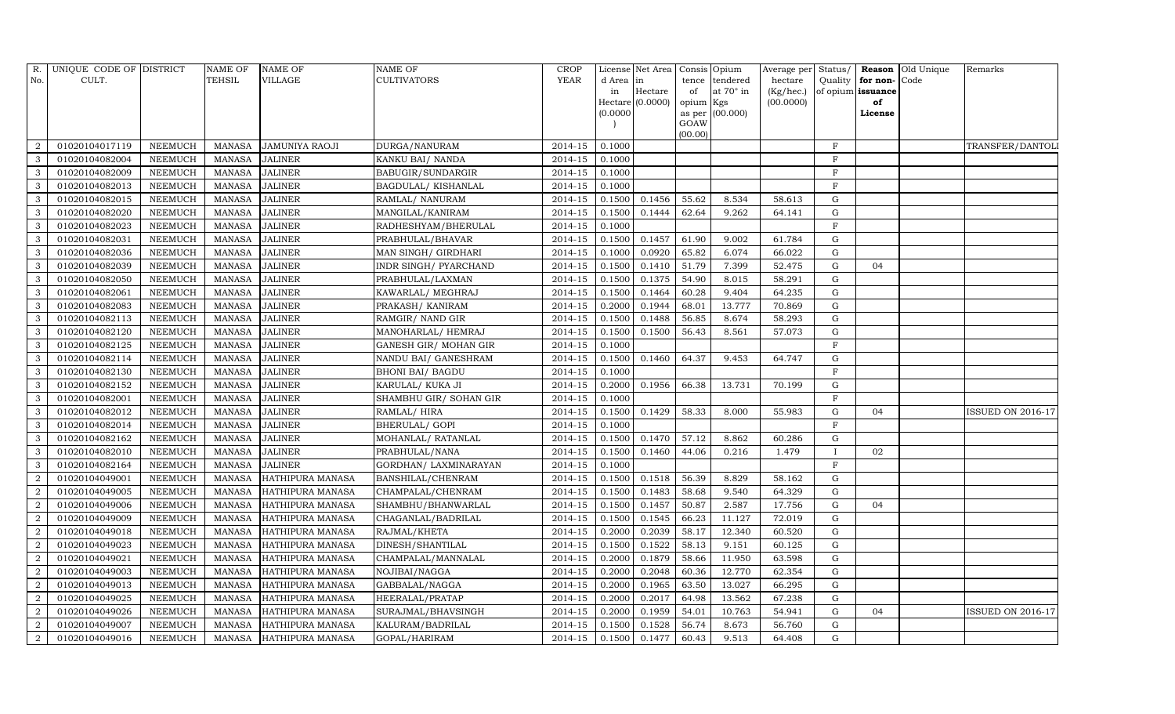| R.             | UNIQUE CODE OF DISTRICT |                | NAME OF       | <b>NAME OF</b>          | <b>NAME OF</b>          | <b>CROP</b> |           | License Net Area | Consis Opium |                 | Average per Status/ |             |                   | Reason Old Unique | Remarks                  |
|----------------|-------------------------|----------------|---------------|-------------------------|-------------------------|-------------|-----------|------------------|--------------|-----------------|---------------------|-------------|-------------------|-------------------|--------------------------|
| No.            | CULT.                   |                | TEHSIL        | <b>VILLAGE</b>          | <b>CULTIVATORS</b>      | YEAR        | d Area in |                  | tence        | tendered        | hectare             | Quality     | for non-Code      |                   |                          |
|                |                         |                |               |                         |                         |             | in        | Hectare          | of           | at 70° in       | (Kg/hec.)           |             | of opium issuance |                   |                          |
|                |                         |                |               |                         |                         |             |           | Hectare (0.0000) | opium Kgs    |                 | (00.0000)           |             | of                |                   |                          |
|                |                         |                |               |                         |                         |             | (0.0000)  |                  | GOAW         | as per (00.000) |                     |             | License           |                   |                          |
|                |                         |                |               |                         |                         |             |           |                  | (00.00)      |                 |                     |             |                   |                   |                          |
| 2              | 01020104017119          | <b>NEEMUCH</b> | MANASA        | <b>JAMUNIYA RAOJI</b>   | DURGA/NANURAM           | 2014-15     | 0.1000    |                  |              |                 |                     | $\mathbf F$ |                   |                   | TRANSFER/DANTOL          |
| $\mathbf{3}$   | 01020104082004          | <b>NEEMUCH</b> | <b>MANASA</b> | <b>JALINER</b>          | KANKU BAI/ NANDA        | 2014-15     | 0.1000    |                  |              |                 |                     | F           |                   |                   |                          |
| $\mathbf{3}$   | 01020104082009          | <b>NEEMUCH</b> | <b>MANASA</b> | <b>JALINER</b>          | BABUGIR/SUNDARGIR       | $2014 - 15$ | 0.1000    |                  |              |                 |                     | F           |                   |                   |                          |
| 3              | 01020104082013          | <b>NEEMUCH</b> | <b>MANASA</b> | <b>JALINER</b>          | BAGDULAL/KISHANLAL      | 2014-15     | 0.1000    |                  |              |                 |                     | $\mathbf F$ |                   |                   |                          |
| 3              | 01020104082015          | <b>NEEMUCH</b> | <b>MANASA</b> | <b>JALINER</b>          | RAMLAL/ NANURAM         | 2014-15     | 0.1500    | 0.1456           | 55.62        | 8.534           | 58.613              | $\mathbf G$ |                   |                   |                          |
| $\mathbf{3}$   | 01020104082020          | <b>NEEMUCH</b> | <b>MANASA</b> | <b>JALINER</b>          | MANGILAL/KANIRAM        | 2014-15     | 0.1500    | 0.1444           | 62.64        | 9.262           | 64.141              | G           |                   |                   |                          |
| $\mathbf{3}$   | 01020104082023          | <b>NEEMUCH</b> | <b>MANASA</b> | <b>JALINER</b>          | RADHESHYAM/BHERULAL     | 2014-15     | 0.1000    |                  |              |                 |                     | $\mathbf F$ |                   |                   |                          |
| 3              | 01020104082031          | <b>NEEMUCH</b> | <b>MANASA</b> | <b>JALINER</b>          | PRABHULAL/BHAVAR        | 2014-15     | 0.1500    | 0.1457           | 61.90        | 9.002           | 61.784              | $\mathbf G$ |                   |                   |                          |
| 3              | 01020104082036          | <b>NEEMUCH</b> | <b>MANASA</b> | <b>JALINER</b>          | MAN SINGH/ GIRDHARI     | 2014-15     | 0.1000    | 0.0920           | 65.82        | 6.074           | 66.022              | G           |                   |                   |                          |
| $\mathbf{3}$   | 01020104082039          | <b>NEEMUCH</b> | <b>MANASA</b> | <b>JALINER</b>          | INDR SINGH/ PYARCHAND   | $2014 - 15$ | 0.1500    | 0.1410           | 51.79        | 7.399           | 52.475              | G           | 04                |                   |                          |
| 3              | 01020104082050          | <b>NEEMUCH</b> | <b>MANASA</b> | <b>JALINER</b>          | PRABHULAL/LAXMAN        | 2014-15     | 0.1500    | 0.1375           | 54.90        | 8.015           | 58.291              | G           |                   |                   |                          |
| $\mathbf{3}$   | 01020104082061          | <b>NEEMUCH</b> | <b>MANASA</b> | <b>JALINER</b>          | KAWARLAL/ MEGHRAJ       | 2014-15     | 0.1500    | 0.1464           | 60.28        | 9.404           | 64.235              | $\mathbf G$ |                   |                   |                          |
| $\mathbf{3}$   | 01020104082083          | <b>NEEMUCH</b> | <b>MANASA</b> | <b>JALINER</b>          | PRAKASH / KANIRAM       | 2014-15     | 0.2000    | 0.1944           | 68.01        | 13.777          | 70.869              | $\mathbf G$ |                   |                   |                          |
| 3              | 01020104082113          | <b>NEEMUCH</b> | <b>MANASA</b> | <b>JALINER</b>          | RAMGIR/ NAND GIR        | 2014-15     | 0.1500    | 0.1488           | 56.85        | 8.674           | 58.293              | $\mathbf G$ |                   |                   |                          |
| $\mathbf{3}$   | 01020104082120          | <b>NEEMUCH</b> | <b>MANASA</b> | <b>JALINER</b>          | MANOHARLAL/ HEMRAJ      | 2014-15     | 0.1500    | 0.1500           | 56.43        | 8.561           | 57.073              | $\mathbf G$ |                   |                   |                          |
| 3              | 01020104082125          | <b>NEEMUCH</b> | <b>MANASA</b> | <b>JALINER</b>          | GANESH GIR / MOHAN GIR  | 2014-15     | 0.1000    |                  |              |                 |                     | F           |                   |                   |                          |
| $\mathbf{3}$   | 01020104082114          | <b>NEEMUCH</b> | <b>MANASA</b> | <b>JALINER</b>          | NANDU BAI/ GANESHRAM    | 2014-15     | 0.1500    | 0.1460           | 64.37        | 9.453           | 64.747              | $\mathbf G$ |                   |                   |                          |
| $\mathbf{3}$   | 01020104082130          | <b>NEEMUCH</b> | <b>MANASA</b> | <b>JALINER</b>          | <b>BHONI BAI/ BAGDU</b> | 2014-15     | 0.1000    |                  |              |                 |                     | $\mathbf F$ |                   |                   |                          |
| 3              | 01020104082152          | <b>NEEMUCH</b> | <b>MANASA</b> | <b>JALINER</b>          | KARULAL/KUKA JI         | 2014-15     | 0.2000    | 0.1956           | 66.38        | 13.731          | 70.199              | ${\rm G}$   |                   |                   |                          |
| $\mathbf{3}$   | 01020104082001          | <b>NEEMUCH</b> | <b>MANASA</b> | <b>JALINER</b>          | SHAMBHU GIR/ SOHAN GIR  | 2014-15     | 0.1000    |                  |              |                 |                     | F           |                   |                   |                          |
| 3              | 01020104082012          | <b>NEEMUCH</b> | <b>MANASA</b> | <b>JALINER</b>          | RAMLAL/HIRA             | 2014-15     | 0.1500    | 0.1429           | 58.33        | 8.000           | 55.983              | $\mathbf G$ | 04                |                   | <b>ISSUED ON 2016-17</b> |
| 3              | 01020104082014          | <b>NEEMUCH</b> | <b>MANASA</b> | <b>JALINER</b>          | <b>BHERULAL/ GOPI</b>   | 2014-15     | 0.1000    |                  |              |                 |                     | F           |                   |                   |                          |
| $\overline{3}$ | 01020104082162          | <b>NEEMUCH</b> | <b>MANASA</b> | <b>JALINER</b>          | MOHANLAL/ RATANLAL      | 2014-15     | 0.1500    | 0.1470           | 57.12        | 8.862           | 60.286              | $\mathbf G$ |                   |                   |                          |
| 3              | 01020104082010          | <b>NEEMUCH</b> | <b>MANASA</b> | <b>JALINER</b>          | PRABHULAL/NANA          | 2014-15     | 0.1500    | 0.1460           | 44.06        | 0.216           | 1.479               |             | 02                |                   |                          |
| $\mathbf{3}$   | 01020104082164          | <b>NEEMUCH</b> | <b>MANASA</b> | <b>JALINER</b>          | GORDHAN/ LAXMINARAYAN   | 2014-15     | 0.1000    |                  |              |                 |                     | $\mathbf F$ |                   |                   |                          |
| $\overline{2}$ | 01020104049001          | <b>NEEMUCH</b> | <b>MANASA</b> | HATHIPURA MANASA        | BANSHILAL/CHENRAM       | 2014-15     | 0.1500    | 0.1518           | 56.39        | 8.829           | 58.162              | $\mathbf G$ |                   |                   |                          |
| $\overline{2}$ | 01020104049005          | <b>NEEMUCH</b> | <b>MANASA</b> | HATHIPURA MANASA        | CHAMPALAL/CHENRAM       | 2014-15     | 0.1500    | 0.1483           | 58.68        | 9.540           | 64.329              | $\mathbf G$ |                   |                   |                          |
| 2              | 01020104049006          | <b>NEEMUCH</b> | <b>MANASA</b> | HATHIPURA MANASA        | SHAMBHU/BHANWARLAL      | 2014-15     | 0.1500    | 0.1457           | 50.87        | 2.587           | 17.756              | $\mathbf G$ | 04                |                   |                          |
| $\overline{2}$ | 01020104049009          | <b>NEEMUCH</b> | <b>MANASA</b> | HATHIPURA MANASA        | CHAGANLAL/BADRILAL      | 2014-15     | 0.1500    | 0.1545           | 66.23        | 11.127          | 72.019              | $\mathbf G$ |                   |                   |                          |
| 2              | 01020104049018          | <b>NEEMUCH</b> | <b>MANASA</b> | HATHIPURA MANASA        | RAJMAL/KHETA            | 2014-15     | 0.2000    | 0.2039           | 58.17        | 12.340          | 60.520              | G           |                   |                   |                          |
| 2              | 01020104049023          | <b>NEEMUCH</b> | <b>MANASA</b> | HATHIPURA MANASA        | DINESH/SHANTILAL        | 2014-15     | 0.1500    | 0.1522           | 58.13        | 9.151           | 60.125              | $\mathbf G$ |                   |                   |                          |
| $\overline{2}$ | 01020104049021          | <b>NEEMUCH</b> | <b>MANASA</b> | HATHIPURA MANASA        | CHAMPALAL/MANNALAL      | $2014 - 15$ | 0.2000    | 0.1879           | 58.66        | 11.950          | 63.598              | G           |                   |                   |                          |
| $\overline{2}$ | 01020104049003          | <b>NEEMUCH</b> | <b>MANASA</b> | HATHIPURA MANASA        | NOJIBAI/NAGGA           | 2014-15     | 0.2000    | 0.2048           | 60.36        | 12.770          | 62.354              | G           |                   |                   |                          |
| $\overline{2}$ | 01020104049013          | <b>NEEMUCH</b> | <b>MANASA</b> | HATHIPURA MANASA        | GABBALAL/NAGGA          | $2014 - 15$ | 0.2000    | 0.1965           | 63.50        | 13.027          | 66.295              | G           |                   |                   |                          |
| 2              | 01020104049025          | <b>NEEMUCH</b> | <b>MANASA</b> | HATHIPURA MANASA        | HEERALAL/PRATAP         | 2014-15     | 0.2000    | 0.2017           | 64.98        | 13.562          | 67.238              | $\mathbf G$ |                   |                   |                          |
| $\overline{2}$ | 01020104049026          | <b>NEEMUCH</b> | <b>MANASA</b> | HATHIPURA MANASA        | SURAJMAL/BHAVSINGH      | 2014-15     | 0.2000    | 0.1959           | 54.01        | 10.763          | 54.941              | $\mathbf G$ | 04                |                   | <b>ISSUED ON 2016-17</b> |
| $\overline{a}$ | 01020104049007          | <b>NEEMUCH</b> | <b>MANASA</b> | HATHIPURA MANASA        | KALURAM/BADRILAL        | 2014-15     | 0.1500    | 0.1528           | 56.74        | 8.673           | 56.760              | G           |                   |                   |                          |
| $\overline{a}$ | 01020104049016          | <b>NEEMUCH</b> | <b>MANASA</b> | <b>HATHIPURA MANASA</b> | GOPAL/HARIRAM           | 2014-15     | 0.1500    | 0.1477           | 60.43        | 9.513           | 64.408              | G           |                   |                   |                          |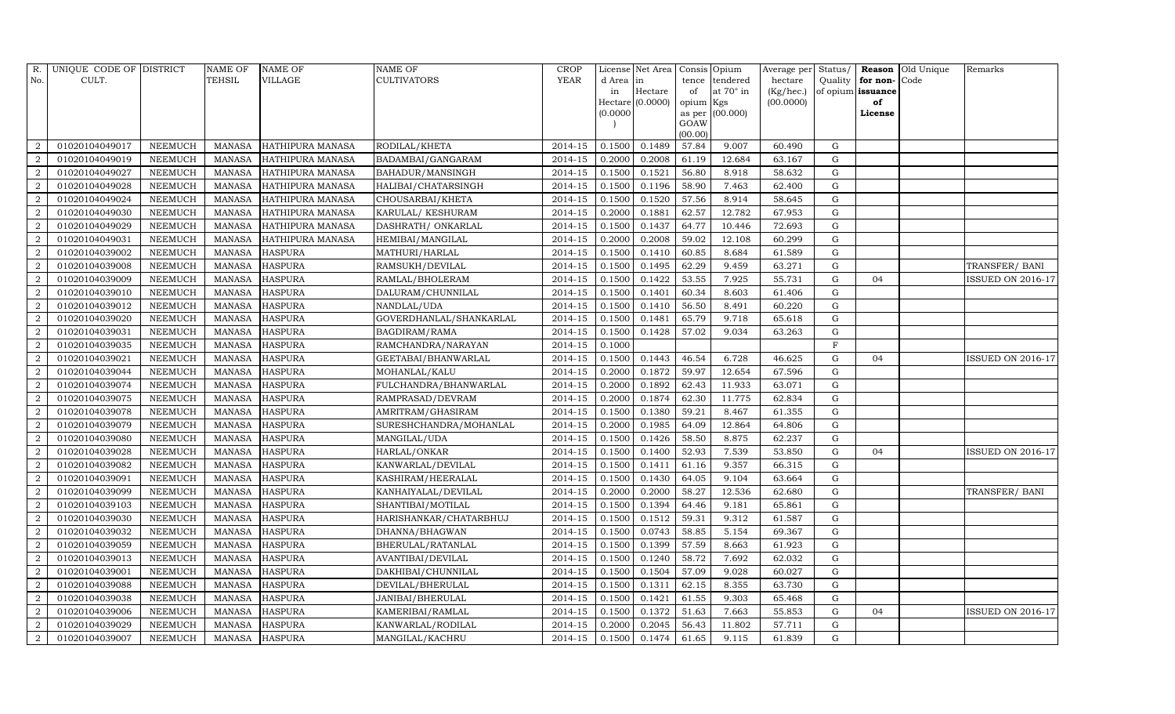| R.               | UNIQUE CODE OF DISTRICT |                | NAME OF       | <b>NAME OF</b>          | <b>NAME OF</b>          | <b>CROP</b> |           | License Net Area   |                | Consis Opium | Average per Status/ |             |                   | <b>Reason</b> Old Unique | Remarks                  |
|------------------|-------------------------|----------------|---------------|-------------------------|-------------------------|-------------|-----------|--------------------|----------------|--------------|---------------------|-------------|-------------------|--------------------------|--------------------------|
| No.              | CULT.                   |                | TEHSIL        | <b>VILLAGE</b>          | <b>CULTIVATORS</b>      | <b>YEAR</b> | d Area in |                    | tence          | tendered     | hectare             | Quality     | for non-          | Code                     |                          |
|                  |                         |                |               |                         |                         |             | in        | Hectare            | of             | at 70° in    | (Kg/hec.)           |             | of opium issuance |                          |                          |
|                  |                         |                |               |                         |                         |             |           | $Hectare$ (0.0000) | opium          | Kgs          | (00.0000)           |             | of                |                          |                          |
|                  |                         |                |               |                         |                         |             | (0.0000)  |                    | as per<br>GOAW | (00.000)     |                     |             | License           |                          |                          |
|                  |                         |                |               |                         |                         |             |           |                    | (00.00)        |              |                     |             |                   |                          |                          |
| $\overline{2}$   | 01020104049017          | <b>NEEMUCH</b> | <b>MANASA</b> | HATHIPURA MANASA        | RODILAL/KHETA           | 2014-15     | 0.1500    | 0.1489             | 57.84          | 9.007        | 60.490              | G           |                   |                          |                          |
| $\overline{2}$   | 01020104049019          | <b>NEEMUCH</b> | <b>MANASA</b> | HATHIPURA MANASA        | BADAMBAI/GANGARAM       | 2014-15     | 0.2000    | 0.2008             | 61.19          | 12.684       | 63.167              | $\mathbf G$ |                   |                          |                          |
| 2                | 01020104049027          | <b>NEEMUCH</b> | <b>MANASA</b> | HATHIPURA MANASA        | BAHADUR/MANSINGH        | $2014 - 15$ | 0.1500    | 0.1521             | 56.80          | 8.918        | 58.632              | $\mathbf G$ |                   |                          |                          |
| $\overline{2}$   | 01020104049028          | <b>NEEMUCH</b> | <b>MANASA</b> | HATHIPURA MANASA        | HALIBAI/CHATARSINGH     | 2014-15     | 0.1500    | 0.1196             | 58.90          | 7.463        | 62.400              | $\mathbf G$ |                   |                          |                          |
| 2                | 01020104049024          | <b>NEEMUCH</b> | <b>MANASA</b> | HATHIPURA MANASA        | CHOUSARBAI/KHETA        | 2014-15     | 0.1500    | 0.1520             | 57.56          | 8.914        | 58.645              | $\mathbf G$ |                   |                          |                          |
| $\overline{2}$   | 01020104049030          | <b>NEEMUCH</b> | <b>MANASA</b> | HATHIPURA MANASA        | KARULAL/ KESHURAM       | $2014 - 15$ | 0.2000    | 0.1881             | 62.57          | 12.782       | 67.953              | G           |                   |                          |                          |
| $\overline{a}$   | 01020104049029          | <b>NEEMUCH</b> | <b>MANASA</b> | <b>HATHIPURA MANASA</b> | DASHRATH / ONKARLAL     | 2014-15     | 0.1500    | 0.1437             | 64.77          | 10.446       | 72.693              | G           |                   |                          |                          |
| $\overline{2}$   | 01020104049031          | <b>NEEMUCH</b> | <b>MANASA</b> | HATHIPURA MANASA        | HEMIBAI/MANGILAL        | 2014-15     | 0.2000    | 0.2008             | 59.02          | 12.108       | 60.299              | $\mathbf G$ |                   |                          |                          |
| $\overline{2}$   | 01020104039002          | <b>NEEMUCH</b> | <b>MANASA</b> | <b>HASPURA</b>          | MATHURI/HARLAL          | 2014-15     | 0.1500    | 0.1410             | 60.85          | 8.684        | 61.589              | G           |                   |                          |                          |
| 2                | 01020104039008          | <b>NEEMUCH</b> | <b>MANASA</b> | <b>HASPURA</b>          | RAMSUKH/DEVILAL         | 2014-15     | 0.1500    | 0.1495             | 62.29          | 9.459        | 63.271              | $\mathbf G$ |                   |                          | TRANSFER/ BANI           |
| 2                | 01020104039009          | <b>NEEMUCH</b> | <b>MANASA</b> | <b>HASPURA</b>          | RAMLAL/BHOLERAM         | 2014-15     | 0.1500    | 0.1422             | 53.55          | 7.925        | 55.731              | $\mathbf G$ | 04                |                          | <b>ISSUED ON 2016-17</b> |
| $\overline{2}$   | 01020104039010          | <b>NEEMUCH</b> | <b>MANASA</b> | <b>HASPURA</b>          | DALURAM/CHUNNILAL       | 2014-15     | 0.1500    | 0.1401             | 60.34          | 8.603        | 61.406              | $\mathbf G$ |                   |                          |                          |
| 2                | 01020104039012          | <b>NEEMUCH</b> | <b>MANASA</b> | <b>HASPURA</b>          | NANDLAL/UDA             | 2014-15     | 0.1500    | 0.1410             | 56.50          | 8.491        | 60.220              | $\mathbf G$ |                   |                          |                          |
| $\overline{2}$   | 01020104039020          | <b>NEEMUCH</b> | <b>MANASA</b> | <b>HASPURA</b>          | GOVERDHANLAL/SHANKARLAL | 2014-15     | 0.1500    | 0.1481             | 65.79          | 9.718        | 65.618              | $\mathbf G$ |                   |                          |                          |
| $\overline{2}$   | 01020104039031          | <b>NEEMUCH</b> | <b>MANASA</b> | <b>HASPURA</b>          | BAGDIRAM/RAMA           | 2014-15     | 0.1500    | 0.1428             | 57.02          | 9.034        | 63.263              | $\mathbf G$ |                   |                          |                          |
| $\overline{2}$   | 01020104039035          | <b>NEEMUCH</b> | <b>MANASA</b> | <b>HASPURA</b>          | RAMCHANDRA/NARAYAN      | 2014-15     | 0.1000    |                    |                |              |                     | $_{\rm F}$  |                   |                          |                          |
| 2                | 01020104039021          | <b>NEEMUCH</b> | <b>MANASA</b> | <b>HASPURA</b>          | GEETABAI/BHANWARLAL     | 2014-15     | 0.1500    | 0.1443             | 46.54          | 6.728        | 46.625              | G           | 04                |                          | ISSUED ON 2016-17        |
| $\overline{2}$   | 01020104039044          | <b>NEEMUCH</b> | <b>MANASA</b> | <b>HASPURA</b>          | MOHANLAL/KALU           | 2014-15     | 0.2000    | 0.1872             | 59.97          | 12.654       | 67.596              | ${\rm G}$   |                   |                          |                          |
| $\boldsymbol{2}$ | 01020104039074          | <b>NEEMUCH</b> | <b>MANASA</b> | <b>HASPURA</b>          | FULCHANDRA/BHANWARLAL   | 2014-15     | 0.2000    | 0.1892             | 62.43          | 11.933       | 63.071              | G           |                   |                          |                          |
| 2                | 01020104039075          | <b>NEEMUCH</b> | <b>MANASA</b> | <b>HASPURA</b>          | RAMPRASAD/DEVRAM        | 2014-15     | 0.2000    | 0.1874             | 62.30          | 11.775       | 62.834              | $\mathbf G$ |                   |                          |                          |
| $\overline{2}$   | 01020104039078          | <b>NEEMUCH</b> | <b>MANASA</b> | <b>HASPURA</b>          | AMRITRAM/GHASIRAM       | 2014-15     | 0.1500    | 0.1380             | 59.21          | 8.467        | 61.355              | $\mathbf G$ |                   |                          |                          |
| $\overline{2}$   | 01020104039079          | <b>NEEMUCH</b> | <b>MANASA</b> | <b>HASPURA</b>          | SURESHCHANDRA/MOHANLAL  | 2014-15     | 0.2000    | 0.1985             | 64.09          | 12.864       | 64.806              | $\mathbf G$ |                   |                          |                          |
| $\overline{2}$   | 01020104039080          | <b>NEEMUCH</b> | <b>MANASA</b> | <b>HASPURA</b>          | MANGILAL/UDA            | 2014-15     | 0.1500    | 0.1426             | 58.50          | 8.875        | 62.237              | $\mathbf G$ |                   |                          |                          |
| $\overline{2}$   | 01020104039028          | <b>NEEMUCH</b> | <b>MANASA</b> | <b>HASPURA</b>          | HARLAL/ONKAR            | 2014-15     | 0.1500    | 0.1400             | 52.93          | 7.539        | 53.850              | ${\rm G}$   | 04                |                          | <b>ISSUED ON 2016-17</b> |
| $\overline{2}$   | 01020104039082          | <b>NEEMUCH</b> | <b>MANASA</b> | <b>HASPURA</b>          | KANWARLAL/DEVILAL       | 2014-15     | 0.1500    | 0.1411             | 61.16          | 9.357        | 66.315              | $\mathbf G$ |                   |                          |                          |
| $\overline{2}$   | 01020104039091          | <b>NEEMUCH</b> | <b>MANASA</b> | <b>HASPURA</b>          | KASHIRAM/HEERALAL       | 2014-15     | 0.1500    | 0.1430             | 64.05          | 9.104        | 63.664              | G           |                   |                          |                          |
| $\overline{2}$   | 01020104039099          | <b>NEEMUCH</b> | <b>MANASA</b> | <b>HASPURA</b>          | KANHAIYALAL/DEVILAL     | 2014-15     | 0.2000    | 0.2000             | 58.27          | 12.536       | 62.680              | $\mathbf G$ |                   |                          | TRANSFER/ BANI           |
| 2                | 01020104039103          | <b>NEEMUCH</b> | <b>MANASA</b> | <b>HASPURA</b>          | SHANTIBAI/MOTILAL       | 2014-15     | 0.1500    | 0.1394             | 64.46          | 9.181        | 65.861              | $\mathbf G$ |                   |                          |                          |
| $\overline{2}$   | 01020104039030          | <b>NEEMUCH</b> | <b>MANASA</b> | <b>HASPURA</b>          | HARISHANKAR/CHATARBHUJ  | 2014-15     | 0.1500    | 0.1512             | 59.31          | 9.312        | 61.587              | ${\rm G}$   |                   |                          |                          |
| $\overline{2}$   | 01020104039032          | <b>NEEMUCH</b> | <b>MANASA</b> | <b>HASPURA</b>          | DHANNA/BHAGWAN          | $2014 - 15$ | 0.1500    | 0.0743             | 58.85          | 5.154        | 69.367              | $\mathbf G$ |                   |                          |                          |
| 2                | 01020104039059          | <b>NEEMUCH</b> | <b>MANASA</b> | <b>HASPURA</b>          | BHERULAL/RATANLAL       | 2014-15     | 0.1500    | 0.1399             | 57.59          | 8.663        | 61.923              | $\mathbf G$ |                   |                          |                          |
| $\overline{2}$   | 01020104039013          | <b>NEEMUCH</b> | <b>MANASA</b> | <b>HASPURA</b>          | AVANTIBAI/DEVILAL       | 2014-15     | 0.1500    | 0.1240             | 58.72          | 7.692        | 62.032              | $\mathbf G$ |                   |                          |                          |
| 2                | 01020104039001          | <b>NEEMUCH</b> | <b>MANASA</b> | <b>HASPURA</b>          | DAKHIBAI/CHUNNILAL      | 2014-15     | 0.1500    | 0.1504             | 57.09          | 9.028        | 60.027              | $\mathbf G$ |                   |                          |                          |
| $\overline{2}$   | 01020104039088          | <b>NEEMUCH</b> | <b>MANASA</b> | <b>HASPURA</b>          | DEVILAL/BHERULAL        | 2014-15     | 0.1500    | 0.1311             | 62.15          | 8.355        | 63.730              | G           |                   |                          |                          |
| $\overline{2}$   | 01020104039038          | <b>NEEMUCH</b> | <b>MANASA</b> | <b>HASPURA</b>          | JANIBAI/BHERULAL        | 2014-15     | 0.1500    | 0.1421             | 61.55          | 9.303        | 65.468              | ${\rm G}$   |                   |                          |                          |
| $\overline{2}$   | 01020104039006          | <b>NEEMUCH</b> | <b>MANASA</b> | <b>HASPURA</b>          | KAMERIBAI/RAMLAL        | 2014-15     | 0.1500    | 0.1372             | 51.63          | 7.663        | 55.853              | G           | 04                |                          | <b>ISSUED ON 2016-17</b> |
| $\overline{2}$   | 01020104039029          | <b>NEEMUCH</b> | <b>MANASA</b> | <b>HASPURA</b>          | KANWARLAL/RODILAL       | 2014-15     | 0.2000    | 0.2045             | 56.43          | 11.802       | 57.711              | G           |                   |                          |                          |
| $\overline{a}$   | 01020104039007          | <b>NEEMUCH</b> | <b>MANASA</b> | <b>HASPURA</b>          | MANGILAL/KACHRU         | 2014-15     | 0.1500    | 0.1474             | 61.65          | 9.115        | 61.839              | $\mathbf G$ |                   |                          |                          |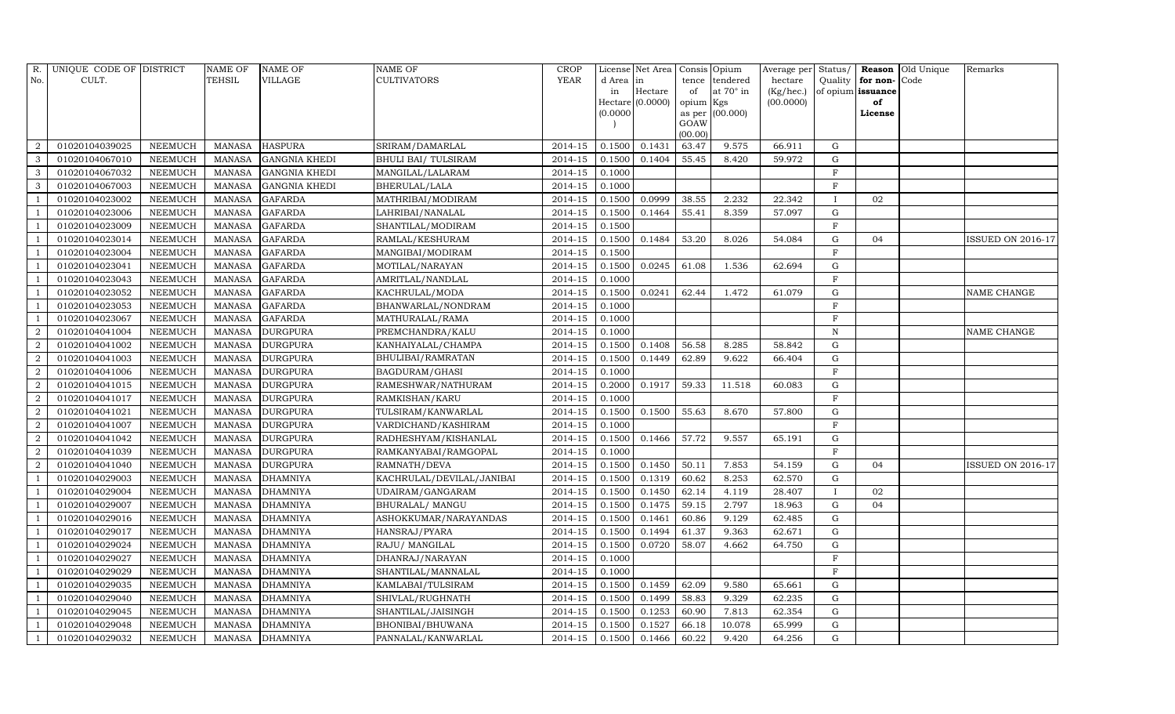| R.               | UNIQUE CODE OF DISTRICT |                | NAME OF       | <b>NAME OF</b>       | <b>NAME OF</b>            | <b>CROP</b> |           | License Net Area   | Consis Opium    |                 | Average per Status/ |                   |              | Reason Old Unique | Remarks                  |
|------------------|-------------------------|----------------|---------------|----------------------|---------------------------|-------------|-----------|--------------------|-----------------|-----------------|---------------------|-------------------|--------------|-------------------|--------------------------|
| No.              | CULT.                   |                | TEHSIL        | <b>VILLAGE</b>       | <b>CULTIVATORS</b>        | YEAR        | d Area in |                    | tence           | tendered        | hectare             | Quality           | for non-Code |                   |                          |
|                  |                         |                |               |                      |                           |             | in        | Hectare            | of              | at 70° in       | (Kg/hec.)           | of opium issuance |              |                   |                          |
|                  |                         |                |               |                      |                           |             |           | $Hectare$ (0.0000) | opium Kgs       |                 | (00.0000)           |                   | of           |                   |                          |
|                  |                         |                |               |                      |                           |             | (0.0000)  |                    |                 | as per (00.000) |                     |                   | License      |                   |                          |
|                  |                         |                |               |                      |                           |             |           |                    | GOAW<br>(00.00) |                 |                     |                   |              |                   |                          |
| 2                | 01020104039025          | <b>NEEMUCH</b> | <b>MANASA</b> | <b>HASPURA</b>       | SRIRAM/DAMARLAL           | 2014-15     | 0.1500    | 0.1431             | 63.47           | 9.575           | 66.911              | G                 |              |                   |                          |
| 3                | 01020104067010          | <b>NEEMUCH</b> | <b>MANASA</b> | <b>GANGNIA KHEDI</b> | BHULI BAI/TULSIRAM        | 2014-15     | 0.1500    | 0.1404             | 55.45           | 8.420           | 59.972              | $\mathbf G$       |              |                   |                          |
| $\mathbf{3}$     | 01020104067032          | <b>NEEMUCH</b> | <b>MANASA</b> | <b>GANGNIA KHEDI</b> | MANGILAL/LALARAM          | 2014-15     | 0.1000    |                    |                 |                 |                     | $\mathbf F$       |              |                   |                          |
| 3                | 01020104067003          | <b>NEEMUCH</b> | <b>MANASA</b> | <b>GANGNIA KHEDI</b> | BHERULAL/LALA             | 2014-15     | 0.1000    |                    |                 |                 |                     | F                 |              |                   |                          |
| - 1              | 01020104023002          | <b>NEEMUCH</b> | <b>MANASA</b> | <b>GAFARDA</b>       | MATHRIBAI/MODIRAM         | 2014-15     | 0.1500    | 0.0999             | 38.55           | 2.232           | 22.342              | $\mathbf{I}$      | 02           |                   |                          |
| $\overline{1}$   | 01020104023006          | <b>NEEMUCH</b> | <b>MANASA</b> | <b>GAFARDA</b>       | LAHRIBAI/NANALAL          | $2014 - 15$ | 0.1500    | 0.1464             | 55.41           | 8.359           | 57.097              | G                 |              |                   |                          |
| - 1              | 01020104023009          | <b>NEEMUCH</b> | <b>MANASA</b> | <b>GAFARDA</b>       | SHANTILAL/MODIRAM         | 2014-15     | 0.1500    |                    |                 |                 |                     | $\mathbf F$       |              |                   |                          |
|                  | 01020104023014          | <b>NEEMUCH</b> | <b>MANASA</b> | <b>GAFARDA</b>       | RAMLAL/KESHURAM           | 2014-15     | 0.1500    | 0.1484             | 53.20           | 8.026           | 54.084              | $\mathbf G$       | 04           |                   | <b>ISSUED ON 2016-17</b> |
|                  | 01020104023004          | <b>NEEMUCH</b> | <b>MANASA</b> | <b>GAFARDA</b>       | MANGIBAI/MODIRAM          | 2014-15     | 0.1500    |                    |                 |                 |                     | $_{\rm F}$        |              |                   |                          |
| -1               | 01020104023041          | <b>NEEMUCH</b> | <b>MANASA</b> | <b>GAFARDA</b>       | MOTILAL/NARAYAN           | 2014-15     | 0.1500    | 0.0245             | 61.08           | 1.536           | 62.694              | $\mathbf G$       |              |                   |                          |
| $\overline{1}$   | 01020104023043          | <b>NEEMUCH</b> | <b>MANASA</b> | <b>GAFARDA</b>       | AMRITLAL/NANDLAL          | 2014-15     | 0.1000    |                    |                 |                 |                     | F                 |              |                   |                          |
|                  | 01020104023052          | <b>NEEMUCH</b> | <b>MANASA</b> | <b>GAFARDA</b>       | KACHRULAL/MODA            | 2014-15     | 0.1500    | 0.0241             | 62.44           | 1.472           | 61.079              | $\mathbf G$       |              |                   | NAME CHANGE              |
| -1               | 01020104023053          | <b>NEEMUCH</b> | <b>MANASA</b> | <b>GAFARDA</b>       | BHANWARLAL/NONDRAM        | 2014-15     | 0.1000    |                    |                 |                 |                     | $\mathbf F$       |              |                   |                          |
|                  | 01020104023067          | <b>NEEMUCH</b> | <b>MANASA</b> | <b>GAFARDA</b>       | MATHURALAL/RAMA           | 2014-15     | 0.1000    |                    |                 |                 |                     | $_{\rm F}$        |              |                   |                          |
| $\overline{2}$   | 01020104041004          | <b>NEEMUCH</b> | <b>MANASA</b> | <b>DURGPURA</b>      | PREMCHANDRA/KALU          | 2014-15     | 0.1000    |                    |                 |                 |                     | $\mathbf N$       |              |                   | NAME CHANGE              |
| $\overline{2}$   | 01020104041002          | <b>NEEMUCH</b> | <b>MANASA</b> | <b>DURGPURA</b>      | KANHAIYALAL/CHAMPA        | 2014-15     | 0.1500    | 0.1408             | 56.58           | 8.285           | 58.842              | $\mathbf G$       |              |                   |                          |
| 2                | 01020104041003          | <b>NEEMUCH</b> | <b>MANASA</b> | <b>DURGPURA</b>      | BHULIBAI/RAMRATAN         | 2014-15     | 0.1500    | 0.1449             | 62.89           | 9.622           | 66.404              | $\mathbf G$       |              |                   |                          |
| $\overline{2}$   | 01020104041006          | <b>NEEMUCH</b> | <b>MANASA</b> | <b>DURGPURA</b>      | BAGDURAM/GHASI            | 2014-15     | 0.1000    |                    |                 |                 |                     | F                 |              |                   |                          |
| $\boldsymbol{2}$ | 01020104041015          | <b>NEEMUCH</b> | <b>MANASA</b> | <b>DURGPURA</b>      | RAMESHWAR/NATHURAM        | 2014-15     | 0.2000    | 0.1917             | 59.33           | 11.518          | 60.083              | G                 |              |                   |                          |
| 2                | 01020104041017          | <b>NEEMUCH</b> | <b>MANASA</b> | <b>DURGPURA</b>      | RAMKISHAN/KARU            | 2014-15     | 0.1000    |                    |                 |                 |                     | $_{\rm F}$        |              |                   |                          |
| $\overline{2}$   | 01020104041021          | <b>NEEMUCH</b> | <b>MANASA</b> | <b>DURGPURA</b>      | TULSIRAM/KANWARLAL        | 2014-15     | 0.1500    | 0.1500             | 55.63           | 8.670           | 57.800              | $\mathbf G$       |              |                   |                          |
| $\overline{2}$   | 01020104041007          | <b>NEEMUCH</b> | <b>MANASA</b> | <b>DURGPURA</b>      | VARDICHAND/KASHIRAM       | 2014-15     | 0.1000    |                    |                 |                 |                     | $\mathbf{F}$      |              |                   |                          |
| $\overline{2}$   | 01020104041042          | <b>NEEMUCH</b> | <b>MANASA</b> | <b>DURGPURA</b>      | RADHESHYAM/KISHANLAL      | $2014 - 15$ | 0.1500    | 0.1466             | 57.72           | 9.557           | 65.191              | G                 |              |                   |                          |
| $\overline{2}$   | 01020104041039          | <b>NEEMUCH</b> | <b>MANASA</b> | <b>DURGPURA</b>      | RAMKANYABAI/RAMGOPAL      | 2014-15     | 0.1000    |                    |                 |                 |                     | F                 |              |                   |                          |
| 2                | 01020104041040          | <b>NEEMUCH</b> | <b>MANASA</b> | <b>DURGPURA</b>      | RAMNATH/DEVA              | 2014-15     | 0.1500    | 0.1450             | 50.11           | 7.853           | 54.159              | $\mathbf G$       | 04           |                   | <b>ISSUED ON 2016-17</b> |
| $\overline{1}$   | 01020104029003          | <b>NEEMUCH</b> | <b>MANASA</b> | <b>DHAMNIYA</b>      | KACHRULAL/DEVILAL/JANIBAI | 2014-15     | 0.1500    | 0.1319             | 60.62           | 8.253           | 62.570              | G                 |              |                   |                          |
|                  | 01020104029004          | <b>NEEMUCH</b> | <b>MANASA</b> | <b>DHAMNIYA</b>      | UDAIRAM/GANGARAM          | 2014-15     | 0.1500    | 0.1450             | 62.14           | 4.119           | 28.407              |                   | 02           |                   |                          |
|                  | 01020104029007          | <b>NEEMUCH</b> | <b>MANASA</b> | <b>DHAMNIYA</b>      | BHURALAL/ MANGU           | 2014-15     | 0.1500    | 0.1475             | 59.15           | 2.797           | 18.963              | $\mathbf G$       | 04           |                   |                          |
|                  | 01020104029016          | <b>NEEMUCH</b> | <b>MANASA</b> | <b>DHAMNIYA</b>      | ASHOKKUMAR/NARAYANDAS     | $2014 - 15$ | 0.1500    | 0.1461             | 60.86           | 9.129           | 62.485              | ${\rm G}$         |              |                   |                          |
|                  | 01020104029017          | <b>NEEMUCH</b> | <b>MANASA</b> | <b>DHAMNIYA</b>      | HANSRAJ/PYARA             | $2014 - 15$ | 0.1500    | 0.1494             | 61.37           | 9.363           | 62.671              | $\mathbf G$       |              |                   |                          |
|                  | 01020104029024          | <b>NEEMUCH</b> | <b>MANASA</b> | <b>DHAMNIYA</b>      | RAJU/ MANGILAL            | 2014-15     | 0.1500    | 0.0720             | 58.07           | 4.662           | 64.750              | $\mathbf G$       |              |                   |                          |
|                  | 01020104029027          | <b>NEEMUCH</b> | <b>MANASA</b> | <b>DHAMNIYA</b>      | DHANRAJ/NARAYAN           | 2014-15     | 0.1000    |                    |                 |                 |                     | $\mathbf F$       |              |                   |                          |
| $\overline{1}$   | 01020104029029          | <b>NEEMUCH</b> | <b>MANASA</b> | <b>DHAMNIYA</b>      | SHANTILAL/MANNALAL        | 2014-15     | 0.1000    |                    |                 |                 |                     | $\mathbf F$       |              |                   |                          |
|                  | 01020104029035          | <b>NEEMUCH</b> | <b>MANASA</b> | <b>DHAMNIYA</b>      | KAMLABAI/TULSIRAM         | 2014-15     | 0.1500    | 0.1459             | 62.09           | 9.580           | 65.661              | G                 |              |                   |                          |
|                  | 01020104029040          | <b>NEEMUCH</b> | <b>MANASA</b> | <b>DHAMNIYA</b>      | SHIVLAL/RUGHNATH          | 2014-15     | 0.1500    | 0.1499             | 58.83           | 9.329           | 62.235              | ${\rm G}$         |              |                   |                          |
| $\overline{1}$   | 01020104029045          | <b>NEEMUCH</b> | <b>MANASA</b> | <b>DHAMNIYA</b>      | SHANTILAL/JAISINGH        | 2014-15     | 0.1500    | 0.1253             | 60.90           | 7.813           | 62.354              | G                 |              |                   |                          |
| -1               | 01020104029048          | <b>NEEMUCH</b> | <b>MANASA</b> | <b>DHAMNIYA</b>      | BHONIBAI/BHUWANA          | 2014-15     | 0.1500    | 0.1527             | 66.18           | 10.078          | 65.999              | G                 |              |                   |                          |
| $\overline{1}$   | 01020104029032          | <b>NEEMUCH</b> | <b>MANASA</b> | <b>DHAMNIYA</b>      | PANNALAL/KANWARLAL        | 2014-15     | 0.1500    | 0.1466             | 60.22           | 9.420           | 64.256              | $\mathbf G$       |              |                   |                          |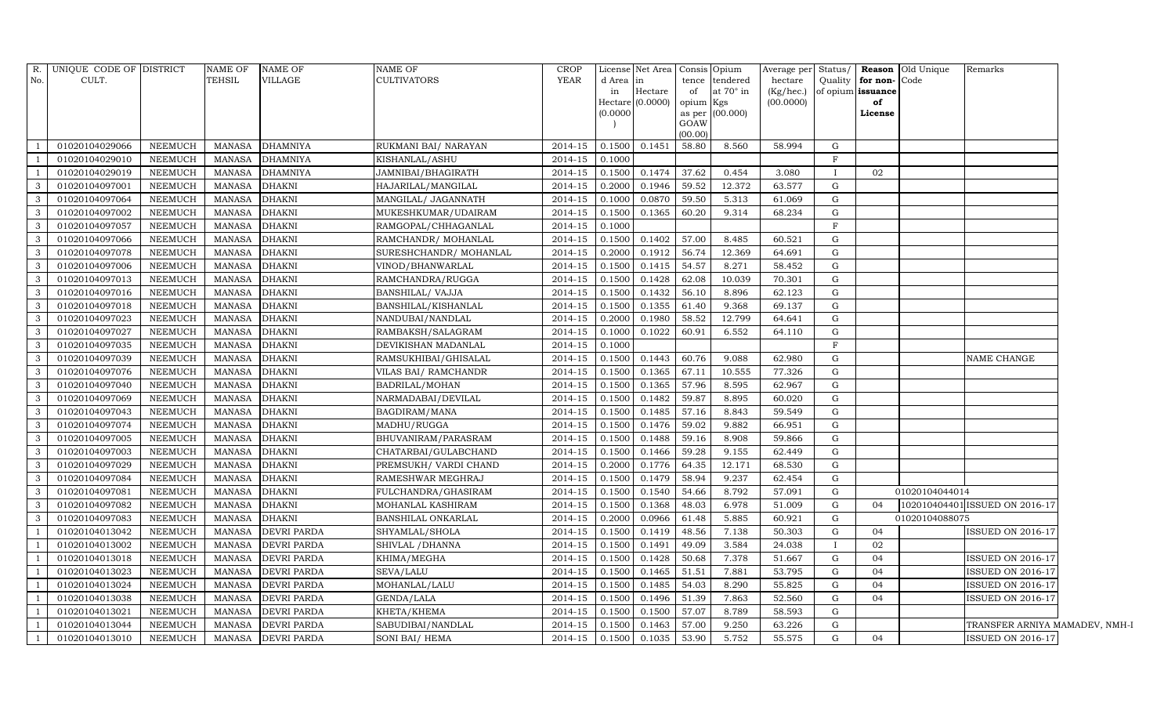| R.<br>No.            | UNIQUE CODE OF DISTRICT<br>CULT. |                                  | <b>NAME OF</b><br><b>TEHSIL</b> | <b>NAME OF</b><br>VILLAGE          | NAME OF<br>CULTIVATORS               | <b>CROP</b><br>YEAR | d Area in<br>in<br>(0.0000) | License Net Area   Consis   Opium<br>Hectare<br>Hectare (0.0000) | tence<br>of<br>opium Kgs<br>GOAW | tendered<br>at $70^\circ$ in<br>as per $(00.000)$ | hectare<br>(Kg/hec.)<br>(00.0000) | Quality<br>of opium issuance | for non-Code<br>of<br>License | Average per Status/   Reason   Old Unique<br>Remarks |  |
|----------------------|----------------------------------|----------------------------------|---------------------------------|------------------------------------|--------------------------------------|---------------------|-----------------------------|------------------------------------------------------------------|----------------------------------|---------------------------------------------------|-----------------------------------|------------------------------|-------------------------------|------------------------------------------------------|--|
|                      |                                  |                                  |                                 |                                    |                                      |                     |                             |                                                                  | (00.00)                          |                                                   |                                   |                              |                               |                                                      |  |
| $\mathbf{1}$         | 01020104029066<br>01020104029010 | <b>NEEMUCH</b>                   | <b>MANASA</b>                   | <b>DHAMNIYA</b>                    | RUKMANI BAI/ NARAYAN                 | 2014-15             | 0.1500                      | 0.1451                                                           | 58.80                            | 8.560                                             | 58.994                            | G<br>F                       |                               |                                                      |  |
| -1<br>$\overline{1}$ | 01020104029019                   | <b>NEEMUCH</b><br><b>NEEMUCH</b> | <b>MANASA</b><br><b>MANASA</b>  | <b>DHAMNIYA</b><br><b>DHAMNIYA</b> | KISHANLAL/ASHU<br>JAMNIBAI/BHAGIRATH | 2014-15<br>2014-15  | 0.1000<br>0.1500            | 0.1474                                                           | 37.62                            | 0.454                                             | 3.080                             | $\mathbf{I}$                 | 02                            |                                                      |  |
| $\mathbf{3}$         | 01020104097001                   | <b>NEEMUCH</b>                   | <b>MANASA</b>                   | <b>DHAKNI</b>                      | HAJARILAL/MANGILAL                   | 2014-15             | 0.2000                      | 0.1946                                                           | 59.52                            | 12.372                                            | 63.577                            | G                            |                               |                                                      |  |
| 3                    | 01020104097064                   | <b>NEEMUCH</b>                   | <b>MANASA</b>                   | <b>DHAKNI</b>                      | MANGILAL/ JAGANNATH                  | 2014-15             | 0.1000                      | 0.0870                                                           | 59.50                            | 5.313                                             | 61.069                            | G                            |                               |                                                      |  |
| 3                    | 01020104097002                   | <b>NEEMUCH</b>                   | <b>MANASA</b>                   | <b>DHAKNI</b>                      | MUKESHKUMAR/UDAIRAM                  | 2014-15             | 0.1500                      | 0.1365                                                           | 60.20                            | 9.314                                             | 68.234                            | G                            |                               |                                                      |  |
| $\mathbf{3}$         | 01020104097057                   | <b>NEEMUCH</b>                   | <b>MANASA</b>                   | <b>DHAKNI</b>                      | RAMGOPAL/CHHAGANLAL                  | 2014-15             | 0.1000                      |                                                                  |                                  |                                                   |                                   | F                            |                               |                                                      |  |
| 3                    | 01020104097066                   | <b>NEEMUCH</b>                   | <b>MANASA</b>                   | <b>DHAKNI</b>                      | RAMCHANDR/ MOHANLAL                  | 2014-15             | 0.1500                      | 0.1402                                                           | 57.00                            | 8.485                                             | 60.521                            | $\mathbf G$                  |                               |                                                      |  |
| $\mathbf{3}$         | 01020104097078                   | <b>NEEMUCH</b>                   | <b>MANASA</b>                   | <b>DHAKNI</b>                      | SURESHCHANDR/ MOHANLAL               | 2014-15             | 0.2000                      | 0.1912                                                           | 56.74                            | 12.369                                            | 64.691                            | $\mathbf G$                  |                               |                                                      |  |
| 3                    | 01020104097006                   | <b>NEEMUCH</b>                   | <b>MANASA</b>                   | <b>DHAKNI</b>                      | VINOD/BHANWARLAL                     | 2014-15             | 0.1500                      | 0.1415                                                           | 54.57                            | 8.271                                             | 58.452                            | G                            |                               |                                                      |  |
| 3                    | 01020104097013                   | <b>NEEMUCH</b>                   | <b>MANASA</b>                   | <b>DHAKNI</b>                      | RAMCHANDRA/RUGGA                     | 2014-15             | 0.1500                      | 0.1428                                                           | 62.08                            | 10.039                                            | 70.301                            | ${\rm G}$                    |                               |                                                      |  |
| 3                    | 01020104097016                   | <b>NEEMUCH</b>                   | <b>MANASA</b>                   | <b>DHAKNI</b>                      | BANSHILAL/ VAJJA                     | 2014-15             | 0.1500                      | 0.1432                                                           | 56.10                            | 8.896                                             | 62.123                            | G                            |                               |                                                      |  |
| $\mathbf{3}$         | 01020104097018                   | <b>NEEMUCH</b>                   | <b>MANASA</b>                   | <b>DHAKNI</b>                      | BANSHILAL/KISHANLAL                  | 2014-15             | 0.1500                      | 0.1355                                                           | 61.40                            | 9.368                                             | 69.137                            | G                            |                               |                                                      |  |
| 3                    | 01020104097023                   | <b>NEEMUCH</b>                   | <b>MANASA</b>                   | <b>DHAKNI</b>                      | NANDUBAI/NANDLAL                     | 2014-15             | 0.2000                      | 0.1980                                                           | 58.52                            | 12.799                                            | 64.641                            | $\mathbf G$                  |                               |                                                      |  |
| 3                    | 01020104097027                   | <b>NEEMUCH</b>                   | <b>MANASA</b>                   | <b>DHAKNI</b>                      | RAMBAKSH/SALAGRAM                    | 2014-15             | 0.1000                      | 0.1022                                                           | 60.91                            | 6.552                                             | 64.110                            | $\mathbf G$                  |                               |                                                      |  |
| $\mathbf{3}$         | 01020104097035                   | <b>NEEMUCH</b>                   | <b>MANASA</b>                   | <b>DHAKNI</b>                      | DEVIKISHAN MADANLAL                  | 2014-15             | 0.1000                      |                                                                  |                                  |                                                   |                                   | F                            |                               |                                                      |  |
| $\mathbf{3}$         | 01020104097039                   | <b>NEEMUCH</b>                   | <b>MANASA</b>                   | <b>DHAKNI</b>                      | RAMSUKHIBAI/GHISALAL                 | 2014-15             | 0.1500                      | 0.1443                                                           | 60.76                            | 9.088                                             | 62.980                            | G                            |                               | NAME CHANGE                                          |  |
| 3                    | 01020104097076                   | <b>NEEMUCH</b>                   | <b>MANASA</b>                   | <b>DHAKNI</b>                      | VILAS BAI/ RAMCHANDR                 | 2014-15             | 0.1500                      | 0.1365                                                           | 67.11                            | 10.555                                            | 77.326                            | G                            |                               |                                                      |  |
| $\mathbf{3}$         | 01020104097040                   | <b>NEEMUCH</b>                   | <b>MANASA</b>                   | <b>DHAKNI</b>                      | BADRILAL/MOHAN                       | 2014-15             | 0.1500                      | 0.1365                                                           | 57.96                            | 8.595                                             | 62.967                            | G                            |                               |                                                      |  |
| $\mathbf{3}$         | 01020104097069                   | <b>NEEMUCH</b>                   | <b>MANASA</b>                   | <b>DHAKNI</b>                      | NARMADABAI/DEVILAL                   | $2014 - 15$         | 0.1500                      | 0.1482                                                           | 59.87                            | 8.895                                             | 60.020                            | G                            |                               |                                                      |  |
| 3                    | 01020104097043                   | <b>NEEMUCH</b>                   | <b>MANASA</b>                   | <b>DHAKNI</b>                      | BAGDIRAM/MANA                        | 2014-15             | 0.1500                      | 0.1485                                                           | 57.16                            | 8.843                                             | 59.549                            | $\mathbf G$                  |                               |                                                      |  |
| 3                    | 01020104097074                   | <b>NEEMUCH</b>                   | <b>MANASA</b>                   | <b>DHAKNI</b>                      | MADHU/RUGGA                          | 2014-15             | 0.1500                      | 0.1476                                                           | 59.02                            | 9.882                                             | 66.951                            | G                            |                               |                                                      |  |
| 3                    | 01020104097005                   | <b>NEEMUCH</b>                   | <b>MANASA</b>                   | <b>DHAKNI</b>                      | BHUVANIRAM/PARASRAM                  | 2014-15             | 0.1500                      | 0.1488                                                           | 59.16                            | 8.908                                             | 59.866                            | G                            |                               |                                                      |  |
| $\mathbf{3}$         | 01020104097003                   | <b>NEEMUCH</b>                   | <b>MANASA</b>                   | <b>DHAKNI</b>                      | CHATARBAI/GULABCHAND                 | 2014-15             | 0.1500                      | 0.1466                                                           | 59.28                            | 9.155                                             | 62.449                            | ${\rm G}$                    |                               |                                                      |  |
| 3                    | 01020104097029                   | <b>NEEMUCH</b>                   | <b>MANASA</b>                   | <b>DHAKNI</b>                      | PREMSUKH/ VARDI CHAND                | 2014-15             | 0.2000                      | 0.1776                                                           | 64.35                            | 12.171                                            | 68.530                            | G                            |                               |                                                      |  |
| $\mathbf{3}$         | 01020104097084                   | <b>NEEMUCH</b>                   | <b>MANASA</b>                   | <b>DHAKNI</b>                      | RAMESHWAR MEGHRAJ                    | 2014-15             | 0.1500                      | 0.1479                                                           | 58.94                            | 9.237                                             | 62.454                            | G                            |                               |                                                      |  |
| $\mathbf{3}$         | 01020104097081                   | <b>NEEMUCH</b>                   | <b>MANASA</b>                   | <b>DHAKNI</b>                      | FULCHANDRA/GHASIRAM                  | 2014-15             | 0.1500                      | 0.1540                                                           | 54.66                            | 8.792                                             | 57.091                            | ${\rm G}$                    |                               | 01020104044014                                       |  |
| 3                    | 01020104097082                   | <b>NEEMUCH</b>                   | <b>MANASA</b>                   | <b>DHAKNI</b>                      | MOHANLAL KASHIRAM                    | 2014-15             | 0.1500                      | 0.1368                                                           | 48.03                            | 6.978                                             | 51.009                            | G                            | 04                            | 102010404401 ISSUED ON 2016-17                       |  |
| 3                    | 01020104097083                   | <b>NEEMUCH</b>                   | <b>MANASA</b>                   | <b>DHAKNI</b>                      | BANSHILAL ONKARLAL                   | 2014-15             | 0.2000                      | 0.0966                                                           | 61.48                            | 5.885                                             | 60.921                            | ${\rm G}$                    |                               | 01020104088075                                       |  |
| $\overline{1}$       | 01020104013042                   | <b>NEEMUCH</b>                   | <b>MANASA</b>                   | <b>DEVRI PARDA</b>                 | SHYAMLAL/SHOLA                       | 2014-15             | 0.1500                      | 0.1419                                                           | 48.56                            | 7.138                                             | 50.303                            | G                            | 04                            | ISSUED ON 2016-17                                    |  |
| <sup>1</sup>         | 01020104013002                   | <b>NEEMUCH</b>                   | <b>MANASA</b>                   | <b>DEVRI PARDA</b>                 | SHIVLAL / DHANNA                     | 2014-15             | 0.1500                      | 0.1491                                                           | 49.09                            | 3.584                                             | 24.038                            | $\mathbf{I}$                 | 02                            |                                                      |  |
| $\mathbf{1}$         | 01020104013018                   | <b>NEEMUCH</b>                   | <b>MANASA</b>                   | <b>DEVRI PARDA</b>                 | KHIMA/MEGHA                          | 2014-15             | 0.1500                      | 0.1428                                                           | 50.68                            | 7.378                                             | 51.667                            | G                            | 04                            | <b>ISSUED ON 2016-17</b>                             |  |
| $\mathbf{1}$         | 01020104013023                   | <b>NEEMUCH</b>                   | <b>MANASA</b>                   | <b>DEVRI PARDA</b>                 | SEVA/LALU                            | 2014-15             | 0.1500                      | 0.1465                                                           | 51.51                            | 7.881                                             | 53.795                            | G                            | 04                            | <b>ISSUED ON 2016-17</b>                             |  |
| $\mathbf{1}$         | 01020104013024                   | <b>NEEMUCH</b>                   | <b>MANASA</b>                   | <b>DEVRI PARDA</b>                 | MOHANLAL/LALU                        | 2014-15             | 0.1500                      | 0.1485                                                           | 54.03                            | 8.290                                             | 55.825                            | $\mathbf G$                  | 04                            | <b>ISSUED ON 2016-17</b>                             |  |
| -1                   | 01020104013038                   | <b>NEEMUCH</b>                   | <b>MANASA</b>                   | <b>DEVRI PARDA</b>                 | GENDA/LALA                           | 2014-15             | 0.1500                      | 0.1496                                                           | 51.39                            | 7.863                                             | 52.560                            | $\mathbf G$                  | 04                            | <b>ISSUED ON 2016-17</b>                             |  |
| $\mathbf{1}$         | 01020104013021                   | <b>NEEMUCH</b>                   | <b>MANASA</b>                   | <b>DEVRI PARDA</b>                 | KHETA/KHEMA                          | 2014-15             | 0.1500                      | 0.1500                                                           | 57.07                            | 8.789                                             | 58.593                            | G                            |                               |                                                      |  |
| $\mathbf{1}$         | 01020104013044                   | <b>NEEMUCH</b>                   | <b>MANASA</b>                   | <b>DEVRI PARDA</b>                 | SABUDIBAI/NANDLAL                    | 2014-15             | 0.1500                      | 0.1463                                                           | 57.00                            | 9.250                                             | 63.226                            | G                            |                               | TRANSFER ARNIYA MAMADEV, NMH-1                       |  |
| $\mathbf{1}$         | 01020104013010                   | <b>NEEMUCH</b>                   | <b>MANASA</b>                   | <b>DEVRI PARDA</b>                 | SONI BAI/ HEMA                       | 2014-15             | 0.1500                      | 0.1035                                                           | 53.90                            | 5.752                                             | 55.575                            | $\mathbf G$                  | 04                            | <b>ISSUED ON 2016-17</b>                             |  |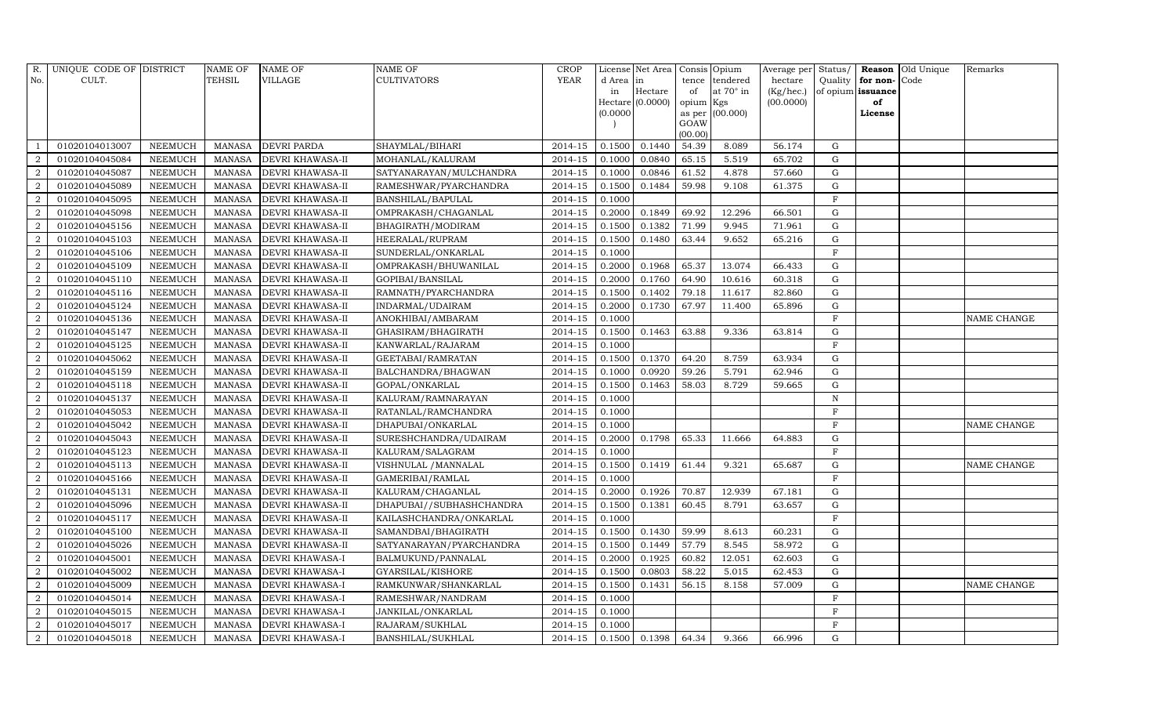| R.             | UNIQUE CODE OF DISTRICT |                | <b>NAME OF</b> | <b>NAME OF</b>          | <b>NAME OF</b>           | <b>CROP</b> |           | License Net Area   Consis   Opium |           |                  | Average per Status/ |                |                   | <b>Reason</b> Old Unique | Remarks            |
|----------------|-------------------------|----------------|----------------|-------------------------|--------------------------|-------------|-----------|-----------------------------------|-----------|------------------|---------------------|----------------|-------------------|--------------------------|--------------------|
| No.            | CULT.                   |                | <b>TEHSIL</b>  | <b>VILLAGE</b>          | <b>CULTIVATORS</b>       | YEAR        | d Area in |                                   |           | tence tendered   | hectare             | Quality        | for non-Code      |                          |                    |
|                |                         |                |                |                         |                          |             | in        | Hectare                           | of        | at $70^\circ$ in | (Kg/hec.)           |                | of opium issuance |                          |                    |
|                |                         |                |                |                         |                          |             |           | $Hectare$ (0.0000)                | opium Kgs |                  | (00.0000)           |                | of                |                          |                    |
|                |                         |                |                |                         |                          |             | (0.0000)  |                                   | GOAW      | as per (00.000)  |                     |                | License           |                          |                    |
|                |                         |                |                |                         |                          |             |           |                                   | (00.00)   |                  |                     |                |                   |                          |                    |
|                | 01020104013007          | <b>NEEMUCH</b> | MANASA         | <b>DEVRI PARDA</b>      | SHAYMLAL/BIHARI          | 2014-15     | 0.1500    | 0.1440                            | 54.39     | 8.089            | 56.174              | G              |                   |                          |                    |
|                | 01020104045084          | <b>NEEMUCH</b> | <b>MANASA</b>  | DEVRI KHAWASA-II        | MOHANLAL/KALURAM         | 2014-15     | 0.1000    | 0.0840                            | 65.15     | 5.519            | 65.702              | $\mathbf G$    |                   |                          |                    |
| $\overline{2}$ | 01020104045087          | <b>NEEMUCH</b> | <b>MANASA</b>  | <b>DEVRI KHAWASA-II</b> | SATYANARAYAN/MULCHANDRA  | $2014 - 15$ | 0.1000    | 0.0846                            | 61.52     | 4.878            | 57.660              | $\mathbf G$    |                   |                          |                    |
| $\overline{2}$ | 01020104045089          | <b>NEEMUCH</b> | <b>MANASA</b>  | <b>DEVRI KHAWASA-II</b> | RAMESHWAR/PYARCHANDRA    | 2014-15     | 0.1500    | 0.1484                            | 59.98     | 9.108            | 61.375              | $\mathbf G$    |                   |                          |                    |
| $\overline{2}$ | 01020104045095          | <b>NEEMUCH</b> | <b>MANASA</b>  | <b>DEVRI KHAWASA-II</b> | <b>BANSHILAL/BAPULAL</b> | 2014-15     | 0.1000    |                                   |           |                  |                     | $\overline{F}$ |                   |                          |                    |
| 2              | 01020104045098          | <b>NEEMUCH</b> | <b>MANASA</b>  | <b>DEVRI KHAWASA-II</b> | OMPRAKASH/CHAGANLAL      | 2014-15     | 0.2000    | 0.1849                            | 69.92     | 12.296           | 66.501              | $\mathbf G$    |                   |                          |                    |
| $\overline{2}$ | 01020104045156          | <b>NEEMUCH</b> | <b>MANASA</b>  | <b>DEVRI KHAWASA-II</b> | BHAGIRATH/MODIRAM        | 2014-15     | 0.1500    | 0.1382                            | 71.99     | 9.945            | 71.961              | ${\rm G}$      |                   |                          |                    |
| 2              | 01020104045103          | <b>NEEMUCH</b> | <b>MANASA</b>  | <b>DEVRI KHAWASA-II</b> | HEERALAL/RUPRAM          | 2014-15     | 0.1500    | 0.1480                            | 63.44     | 9.652            | 65.216              | ${\rm G}$      |                   |                          |                    |
|                | 01020104045106          | <b>NEEMUCH</b> | <b>MANASA</b>  | <b>DEVRI KHAWASA-II</b> | SUNDERLAL/ONKARLAL       | 2014-15     | 0.1000    |                                   |           |                  |                     | $\mathbf F$    |                   |                          |                    |
| $\overline{2}$ | 01020104045109          | <b>NEEMUCH</b> | <b>MANASA</b>  | DEVRI KHAWASA-II        | OMPRAKASH/BHUWANILAL     | 2014-15     | 0.2000    | 0.1968                            | 65.37     | 13.074           | 66.433              | $\mathbf G$    |                   |                          |                    |
| $\overline{2}$ | 01020104045110          | <b>NEEMUCH</b> | <b>MANASA</b>  | <b>DEVRI KHAWASA-II</b> | GOPIBAI/BANSILAL         | 2014-15     | 0.2000    | 0.1760                            | 64.90     | 10.616           | 60.318              | $\mathbf G$    |                   |                          |                    |
| $\overline{2}$ | 01020104045116          | <b>NEEMUCH</b> | <b>MANASA</b>  | <b>DEVRI KHAWASA-II</b> | RAMNATH/PYARCHANDRA      | 2014-15     | 0.1500    | 0.1402                            | 79.18     | 11.617           | 82.860              | G              |                   |                          |                    |
| $\overline{2}$ | 01020104045124          | <b>NEEMUCH</b> | <b>MANASA</b>  | <b>DEVRI KHAWASA-II</b> | INDARMAL/UDAIRAM         | 2014-15     | 0.2000    | 0.1730                            | 67.97     | 11.400           | 65.896              | $\mathbf G$    |                   |                          |                    |
| $\overline{2}$ | 01020104045136          | <b>NEEMUCH</b> | <b>MANASA</b>  | <b>DEVRI KHAWASA-II</b> | ANOKHIBAI/AMBARAM        | 2014-15     | 0.1000    |                                   |           |                  |                     | $\mathbf{F}$   |                   |                          | NAME CHANGE        |
| $\overline{2}$ | 01020104045147          | <b>NEEMUCH</b> | <b>MANASA</b>  | <b>DEVRI KHAWASA-II</b> | GHASIRAM/BHAGIRATH       | 2014-15     | 0.1500    | 0.1463                            | 63.88     | 9.336            | 63.814              | $\mathbf G$    |                   |                          |                    |
| $\overline{2}$ | 01020104045125          | <b>NEEMUCH</b> | <b>MANASA</b>  | <b>DEVRI KHAWASA-II</b> | KANWARLAL/RAJARAM        | 2014-15     | 0.1000    |                                   |           |                  |                     | $\mathbf{F}$   |                   |                          |                    |
| $\overline{2}$ | 01020104045062          | <b>NEEMUCH</b> | <b>MANASA</b>  | <b>DEVRI KHAWASA-II</b> | GEETABAI/RAMRATAN        | 2014-15     | 0.1500    | 0.1370                            | 64.20     | 8.759            | 63.934              | G              |                   |                          |                    |
| $\overline{2}$ | 01020104045159          | <b>NEEMUCH</b> | <b>MANASA</b>  | <b>DEVRI KHAWASA-II</b> | BALCHANDRA/BHAGWAN       | 2014-15     | 0.1000    | 0.0920                            | 59.26     | 5.791            | 62.946              | $\mathbf G$    |                   |                          |                    |
| $\overline{2}$ | 01020104045118          | <b>NEEMUCH</b> | <b>MANASA</b>  | <b>DEVRI KHAWASA-II</b> | GOPAL/ONKARLAL           | 2014-15     | 0.1500    | 0.1463                            | 58.03     | 8.729            | 59.665              | $\mathbf G$    |                   |                          |                    |
| $\overline{2}$ | 01020104045137          | <b>NEEMUCH</b> | <b>MANASA</b>  | DEVRI KHAWASA-II        | KALURAM/RAMNARAYAN       | 2014-15     | 0.1000    |                                   |           |                  |                     | N              |                   |                          |                    |
| $\overline{2}$ | 01020104045053          | <b>NEEMUCH</b> | <b>MANASA</b>  | <b>DEVRI KHAWASA-II</b> | RATANLAL/RAMCHANDRA      | 2014-15     | 0.1000    |                                   |           |                  |                     | $\mathbf{F}$   |                   |                          |                    |
| $\overline{2}$ | 01020104045042          | <b>NEEMUCH</b> | <b>MANASA</b>  | <b>DEVRI KHAWASA-II</b> | DHAPUBAI/ONKARLAL        | 2014-15     | 0.1000    |                                   |           |                  |                     | $\mathbf{F}$   |                   |                          | <b>NAME CHANGE</b> |
| $\overline{2}$ | 01020104045043          | <b>NEEMUCH</b> | <b>MANASA</b>  | <b>DEVRI KHAWASA-II</b> | SURESHCHANDRA/UDAIRAM    | 2014-15     | 0.2000    | 0.1798                            | 65.33     | 11.666           | 64.883              | $\mathbf G$    |                   |                          |                    |
| $\overline{2}$ | 01020104045123          | <b>NEEMUCH</b> | <b>MANASA</b>  | <b>DEVRI KHAWASA-II</b> | KALURAM/SALAGRAM         | 2014-15     | 0.1000    |                                   |           |                  |                     | $\mathbf F$    |                   |                          |                    |
| 2              | 01020104045113          | <b>NEEMUCH</b> | <b>MANASA</b>  | <b>DEVRI KHAWASA-II</b> | VISHNULAL / MANNALAL     | 2014-15     | 0.1500    | 0.1419                            | 61.44     | 9.321            | 65.687              | $\mathbf G$    |                   |                          | <b>NAME CHANGE</b> |
| $\mathfrak{D}$ | 01020104045166          | <b>NEEMUCH</b> | <b>MANASA</b>  | <b>DEVRI KHAWASA-II</b> | GAMERIBAI/RAMLAL         | 2014-15     | 0.1000    |                                   |           |                  |                     | $\mathbf{F}$   |                   |                          |                    |
| $\overline{2}$ | 01020104045131          | <b>NEEMUCH</b> | <b>MANASA</b>  | <b>DEVRI KHAWASA-II</b> | KALURAM/CHAGANLAL        | 2014-15     | 0.2000    | 0.1926                            | 70.87     | 12.939           | 67.181              | G              |                   |                          |                    |
| $\overline{2}$ | 01020104045096          | <b>NEEMUCH</b> | <b>MANASA</b>  | <b>DEVRI KHAWASA-II</b> | DHAPUBAI//SUBHASHCHANDRA | 2014-15     | 0.1500    | 0.1381                            | 60.45     | 8.791            | 63.657              | $\mathbf G$    |                   |                          |                    |
| $\overline{2}$ | 01020104045117          | <b>NEEMUCH</b> | <b>MANASA</b>  | <b>DEVRI KHAWASA-II</b> | KAILASHCHANDRA/ONKARLAL  | 2014-15     | 0.1000    |                                   |           |                  |                     | $\mathbf F$    |                   |                          |                    |
| $\overline{2}$ | 01020104045100          | <b>NEEMUCH</b> | <b>MANASA</b>  | <b>DEVRI KHAWASA-II</b> | SAMANDBAI/BHAGIRATH      | $2014 - 15$ | 0.1500    | 0.1430                            | 59.99     | 8.613            | 60.231              | $\mathbf G$    |                   |                          |                    |
| $\overline{2}$ | 01020104045026          | <b>NEEMUCH</b> | <b>MANASA</b>  | <b>DEVRI KHAWASA-II</b> | SATYANARAYAN/PYARCHANDRA | 2014-15     | 0.1500    | 0.1449                            | 57.79     | 8.545            | 58.972              | $\mathbf G$    |                   |                          |                    |
| $\overline{2}$ | 01020104045001          | <b>NEEMUCH</b> | <b>MANASA</b>  | <b>DEVRI KHAWASA-I</b>  | BALMUKUND/PANNALAL       | 2014-15     | 0.2000    | 0.1925                            | 60.82     | 12.051           | 62.603              | G              |                   |                          |                    |
| $\overline{2}$ | 01020104045002          | <b>NEEMUCH</b> | <b>MANASA</b>  | <b>DEVRI KHAWASA-I</b>  | GYARSILAL/KISHORE        | 2014-15     | 0.1500    | 0.0803                            | 58.22     | 5.015            | 62.453              | $\mathbf G$    |                   |                          |                    |
| 2              | 01020104045009          | <b>NEEMUCH</b> | <b>MANASA</b>  | DEVRI KHAWASA-I         | RAMKUNWAR/SHANKARLAL     | 2014-15     | 0.1500    | 0.1431                            | 56.15     | 8.158            | 57.009              | G              |                   |                          | NAME CHANGE        |
| $\overline{2}$ | 01020104045014          | <b>NEEMUCH</b> | <b>MANASA</b>  | <b>DEVRI KHAWASA-I</b>  | RAMESHWAR/NANDRAM        | 2014-15     | 0.1000    |                                   |           |                  |                     | $\overline{F}$ |                   |                          |                    |
| $\overline{2}$ | 01020104045015          | <b>NEEMUCH</b> | <b>MANASA</b>  | <b>DEVRI KHAWASA-I</b>  | JANKILAL/ONKARLAL        | 2014-15     | 0.1000    |                                   |           |                  |                     | $\mathbf{F}$   |                   |                          |                    |
| $\overline{2}$ | 01020104045017          | <b>NEEMUCH</b> | <b>MANASA</b>  | <b>DEVRI KHAWASA-I</b>  | RAJARAM/SUKHLAL          | 2014-15     | 0.1000    |                                   |           |                  |                     | $\rm F$        |                   |                          |                    |
| $\overline{a}$ | 01020104045018          | <b>NEEMUCH</b> | <b>MANASA</b>  | <b>DEVRI KHAWASA-I</b>  | <b>BANSHILAL/SUKHLAL</b> | 2014-15     |           | $0.1500$ 0.1398                   | 64.34     | 9.366            | 66.996              | $\mathbf G$    |                   |                          |                    |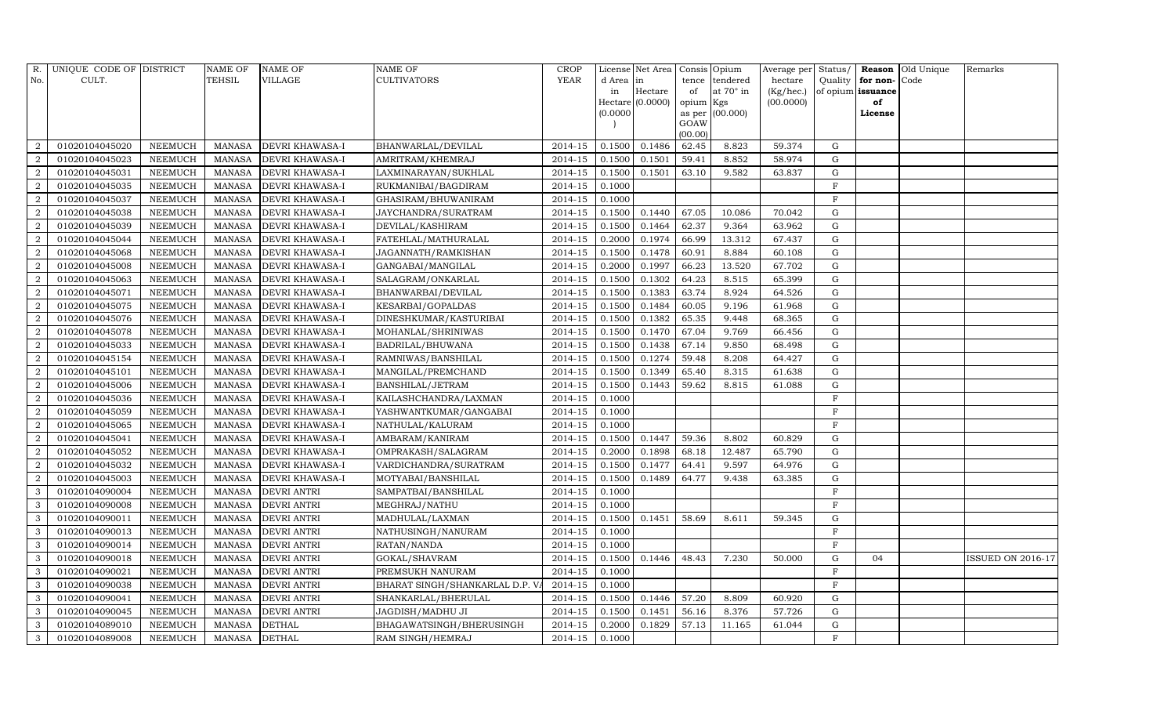|                | R. UNIQUE CODE OF DISTRICT |                | <b>NAME OF</b> | <b>NAME OF</b>         | <b>NAME OF</b>                 | <b>CROP</b>            |           | License Net Area   Consis   Opium |           |                  |           |              |                   | Average per Status/ Reason Old Unique | Remarks                  |
|----------------|----------------------------|----------------|----------------|------------------------|--------------------------------|------------------------|-----------|-----------------------------------|-----------|------------------|-----------|--------------|-------------------|---------------------------------------|--------------------------|
| No.            | CULT.                      |                | TEHSIL         | <b>VILLAGE</b>         | <b>CULTIVATORS</b>             | <b>YEAR</b>            | d Area in |                                   |           | tence tendered   | hectare   | Quality      | for non-          | Code                                  |                          |
|                |                            |                |                |                        |                                |                        | in        | Hectare                           | of        | at $70^\circ$ in | (Kg/hec.) |              | of opium issuance |                                       |                          |
|                |                            |                |                |                        |                                |                        |           | $Hectare$ (0.0000)                | opium Kgs |                  | (00.0000) |              | of                |                                       |                          |
|                |                            |                |                |                        |                                |                        | (0.0000)  |                                   | GOAW      | as per (00.000)  |           |              | License           |                                       |                          |
|                |                            |                |                |                        |                                |                        |           |                                   | (00.00)   |                  |           |              |                   |                                       |                          |
| 2              | 01020104045020             | <b>NEEMUCH</b> | <b>MANASA</b>  | <b>DEVRI KHAWASA-I</b> | BHANWARLAL/DEVILAL             | 2014-15                | 0.1500    | 0.1486                            | 62.45     | 8.823            | 59.374    | G            |                   |                                       |                          |
| $\overline{2}$ | 01020104045023             | <b>NEEMUCH</b> | <b>MANASA</b>  | DEVRI KHAWASA-I        | AMRITRAM/KHEMRAJ               | 2014-15                | 0.1500    | 0.1501                            | 59.41     | 8.852            | 58.974    | $\mathbf G$  |                   |                                       |                          |
| 2              | 01020104045031             | <b>NEEMUCH</b> | <b>MANASA</b>  | <b>DEVRI KHAWASA-I</b> | LAXMINARAYAN/SUKHLAL           | 2014-15                | 0.1500    | 0.1501                            | 63.10     | 9.582            | 63.837    | $\mathbf G$  |                   |                                       |                          |
| $\overline{2}$ | 01020104045035             | <b>NEEMUCH</b> | <b>MANASA</b>  | <b>DEVRI KHAWASA-I</b> | RUKMANIBAI/BAGDIRAM            | 2014-15                | 0.1000    |                                   |           |                  |           | F            |                   |                                       |                          |
| $\overline{2}$ | 01020104045037             | <b>NEEMUCH</b> | <b>MANASA</b>  | DEVRI KHAWASA-I        | GHASIRAM/BHUWANIRAM            | 2014-15                | 0.1000    |                                   |           |                  |           | F            |                   |                                       |                          |
| 2              | 01020104045038             | <b>NEEMUCH</b> | <b>MANASA</b>  | <b>DEVRI KHAWASA-I</b> | JAYCHANDRA/SURATRAM            | 2014-15                | 0.1500    | 0.1440                            | 67.05     | 10.086           | 70.042    | G            |                   |                                       |                          |
| 2              | 01020104045039             | <b>NEEMUCH</b> | <b>MANASA</b>  | <b>DEVRI KHAWASA-I</b> | DEVILAL/KASHIRAM               | 2014-15                | 0.1500    | 0.1464                            | 62.37     | 9.364            | 63.962    | $\mathbf G$  |                   |                                       |                          |
| 2              | 01020104045044             | <b>NEEMUCH</b> | <b>MANASA</b>  | <b>DEVRI KHAWASA-I</b> | FATEHLAL/MATHURALAL            | 2014-15                | 0.2000    | 0.1974                            | 66.99     | 13.312           | 67.437    | ${\bf G}$    |                   |                                       |                          |
| $\overline{2}$ | 01020104045068             | <b>NEEMUCH</b> | <b>MANASA</b>  | DEVRI KHAWASA-I        | JAGANNATH/RAMKISHAN            | 2014-15                | 0.1500    | 0.1478                            | 60.91     | 8.884            | 60.108    | G            |                   |                                       |                          |
| $\overline{a}$ | 01020104045008             | <b>NEEMUCH</b> | <b>MANASA</b>  | DEVRI KHAWASA-I        | GANGABAI/MANGILAL              | 2014-15                | 0.2000    | 0.1997                            | 66.23     | 13.520           | 67.702    | $\mathbf G$  |                   |                                       |                          |
| 2              | 01020104045063             | <b>NEEMUCH</b> | <b>MANASA</b>  | <b>DEVRI KHAWASA-I</b> | SALAGRAM/ONKARLAL              | 2014-15                | 0.1500    | 0.1302                            | 64.23     | 8.515            | 65.399    | G            |                   |                                       |                          |
| 2              | 01020104045071             | <b>NEEMUCH</b> | <b>MANASA</b>  | <b>DEVRI KHAWASA-I</b> | BHANWARBAI/DEVILAL             | 2014-15                | 0.1500    | 0.1383                            | 63.74     | 8.924            | 64.526    | $\mathbf G$  |                   |                                       |                          |
| 2              | 01020104045075             | <b>NEEMUCH</b> | <b>MANASA</b>  | <b>DEVRI KHAWASA-I</b> | KESARBAI/GOPALDAS              | $2014 - 15$            | 0.1500    | 0.1484                            | 60.05     | 9.196            | 61.968    | $\mathbf G$  |                   |                                       |                          |
| $\overline{2}$ | 01020104045076             | <b>NEEMUCH</b> | <b>MANASA</b>  | <b>DEVRI KHAWASA-I</b> | DINESHKUMAR/KASTURIBAI         | 2014-15                | 0.1500    | 0.1382                            | 65.35     | 9.448            | 68.365    | $\mathbf G$  |                   |                                       |                          |
| $\overline{2}$ | 01020104045078             | <b>NEEMUCH</b> | <b>MANASA</b>  | <b>DEVRI KHAWASA-I</b> | MOHANLAL/SHRINIWAS             | $2014 - 15$            | 0.1500    | 0.1470                            | 67.04     | 9.769            | 66.456    | $\mathbf G$  |                   |                                       |                          |
| $\overline{2}$ | 01020104045033             | <b>NEEMUCH</b> | <b>MANASA</b>  | <b>DEVRI KHAWASA-I</b> | BADRILAL/BHUWANA               | 2014-15                | 0.1500    | 0.1438                            | 67.14     | 9.850            | 68.498    | G            |                   |                                       |                          |
| 2              | 01020104045154             | <b>NEEMUCH</b> | <b>MANASA</b>  | <b>DEVRI KHAWASA-I</b> | RAMNIWAS/BANSHILAL             | 2014-15                | 0.1500    | 0.1274                            | 59.48     | 8.208            | 64.427    | $\mathbf G$  |                   |                                       |                          |
| 2              | 01020104045101             | <b>NEEMUCH</b> | <b>MANASA</b>  | <b>DEVRI KHAWASA-I</b> | MANGILAL/PREMCHAND             | 2014-15                | 0.1500    | 0.1349                            | 65.40     | 8.315            | 61.638    | ${\rm G}$    |                   |                                       |                          |
| 2              | 01020104045006             | <b>NEEMUCH</b> | <b>MANASA</b>  | DEVRI KHAWASA-I        | BANSHILAL/JETRAM               | 2014-15                | 0.1500    | 0.1443                            | 59.62     | 8.815            | 61.088    | $\mathbf G$  |                   |                                       |                          |
| $\overline{2}$ | 01020104045036             | <b>NEEMUCH</b> | <b>MANASA</b>  | DEVRI KHAWASA-I        | KAILASHCHANDRA/LAXMAN          | 2014-15                | 0.1000    |                                   |           |                  |           | F            |                   |                                       |                          |
| 2              | 01020104045059             | <b>NEEMUCH</b> | <b>MANASA</b>  | <b>DEVRI KHAWASA-I</b> | YASHWANTKUMAR/GANGABAI         | 2014-15                | 0.1000    |                                   |           |                  |           | F            |                   |                                       |                          |
| 2              | 01020104045065             | <b>NEEMUCH</b> | <b>MANASA</b>  | <b>DEVRI KHAWASA-I</b> | NATHULAL/KALURAM               | 2014-15                | 0.1000    |                                   |           |                  |           | $\rm F$      |                   |                                       |                          |
| 2              | 01020104045041             | <b>NEEMUCH</b> | <b>MANASA</b>  | <b>DEVRI KHAWASA-I</b> | AMBARAM/KANIRAM                | $2014 - 15$            | 0.1500    | 0.1447                            | 59.36     | 8.802            | 60.829    | $\mathbf G$  |                   |                                       |                          |
| $\overline{2}$ | 01020104045052             | <b>NEEMUCH</b> | <b>MANASA</b>  | <b>DEVRI KHAWASA-I</b> | OMPRAKASH/SALAGRAM             | 2014-15                | 0.2000    | 0.1898                            | 68.18     | 12.487           | 65.790    | $\mathbf G$  |                   |                                       |                          |
| $\overline{2}$ | 01020104045032             | <b>NEEMUCH</b> | <b>MANASA</b>  | DEVRI KHAWASA-I        | VARDICHANDRA/SURATRAM          | 2014-15                | 0.1500    | 0.1477                            | 64.41     | 9.597            | 64.976    | G            |                   |                                       |                          |
| 2              | 01020104045003             | <b>NEEMUCH</b> | <b>MANASA</b>  | DEVRI KHAWASA-I        | MOTYABAI/BANSHILAL             | 2014-15                | 0.1500    | 0.1489                            | 64.77     | 9.438            | 63.385    | G            |                   |                                       |                          |
| $\mathbf{3}$   | 01020104090004             | <b>NEEMUCH</b> | <b>MANASA</b>  | <b>DEVRI ANTRI</b>     | SAMPATBAI/BANSHILAL            | 2014-15                | 0.1000    |                                   |           |                  |           | $\mathbf F$  |                   |                                       |                          |
| 3              | 01020104090008             | <b>NEEMUCH</b> | <b>MANASA</b>  | <b>DEVRI ANTRI</b>     | MEGHRAJ/NATHU                  | 2014-15                | 0.1000    |                                   |           |                  |           | $\rm F$      |                   |                                       |                          |
| 3              | 01020104090011             | <b>NEEMUCH</b> | <b>MANASA</b>  | <b>DEVRI ANTRI</b>     | MADHULAL/LAXMAN                | 2014-15                | 0.1500    | 0.1451                            | 58.69     | 8.611            | 59.345    | G            |                   |                                       |                          |
| $\mathbf{3}$   | 01020104090013             | <b>NEEMUCH</b> | <b>MANASA</b>  | <b>DEVRI ANTRI</b>     | NATHUSINGH/NANURAM             | 2014-15                | 0.1000    |                                   |           |                  |           | $_{\rm F}$   |                   |                                       |                          |
| 3              | 01020104090014             | <b>NEEMUCH</b> | <b>MANASA</b>  | <b>DEVRI ANTRI</b>     | RATAN/NANDA                    | 2014-15                | 0.1000    |                                   |           |                  |           | $\mathbf{F}$ |                   |                                       |                          |
| 3              | 01020104090018             | <b>NEEMUCH</b> | <b>MANASA</b>  | <b>DEVRI ANTRI</b>     | GOKAL/SHAVRAM                  | 2014-15                | 0.1500    | 0.1446                            | 48.43     | 7.230            | 50.000    | G            | 04                |                                       | <b>ISSUED ON 2016-17</b> |
| $\mathbf{3}$   | 01020104090021             | <b>NEEMUCH</b> | <b>MANASA</b>  | <b>DEVRI ANTRI</b>     | PREMSUKH NANURAM               | 2014-15                | 0.1000    |                                   |           |                  |           | F            |                   |                                       |                          |
| 3              | 01020104090038             | <b>NEEMUCH</b> | <b>MANASA</b>  | <b>DEVRI ANTRI</b>     | BHARAT SINGH/SHANKARLAL D.P. V | 2014-15                | 0.1000    |                                   |           |                  |           | $_{\rm F}$   |                   |                                       |                          |
| 3              | 01020104090041             | <b>NEEMUCH</b> | <b>MANASA</b>  | <b>DEVRI ANTRI</b>     | SHANKARLAL/BHERULAL            | $\overline{2014} - 15$ | 0.1500    | 0.1446                            | 57.20     | 8.809            | 60.920    | G            |                   |                                       |                          |
| $\mathbf{3}$   | 01020104090045             | <b>NEEMUCH</b> | <b>MANASA</b>  | <b>DEVRI ANTRI</b>     | JAGDISH/MADHU JI               | 2014-15                | 0.1500    | 0.1451                            | 56.16     | 8.376            | 57.726    | ${\rm G}$    |                   |                                       |                          |
| $\mathbf{3}$   | 01020104089010             | <b>NEEMUCH</b> | <b>MANASA</b>  | <b>DETHAL</b>          | BHAGAWATSINGH/BHERUSINGH       | 2014-15                | 0.2000    | 0.1829                            | 57.13     | 11.165           | 61.044    | G            |                   |                                       |                          |
| 3              | 01020104089008             | <b>NEEMUCH</b> | <b>MANASA</b>  | <b>DETHAL</b>          | RAM SINGH/HEMRAJ               | 2014-15                | 0.1000    |                                   |           |                  |           | $\mathbf{F}$ |                   |                                       |                          |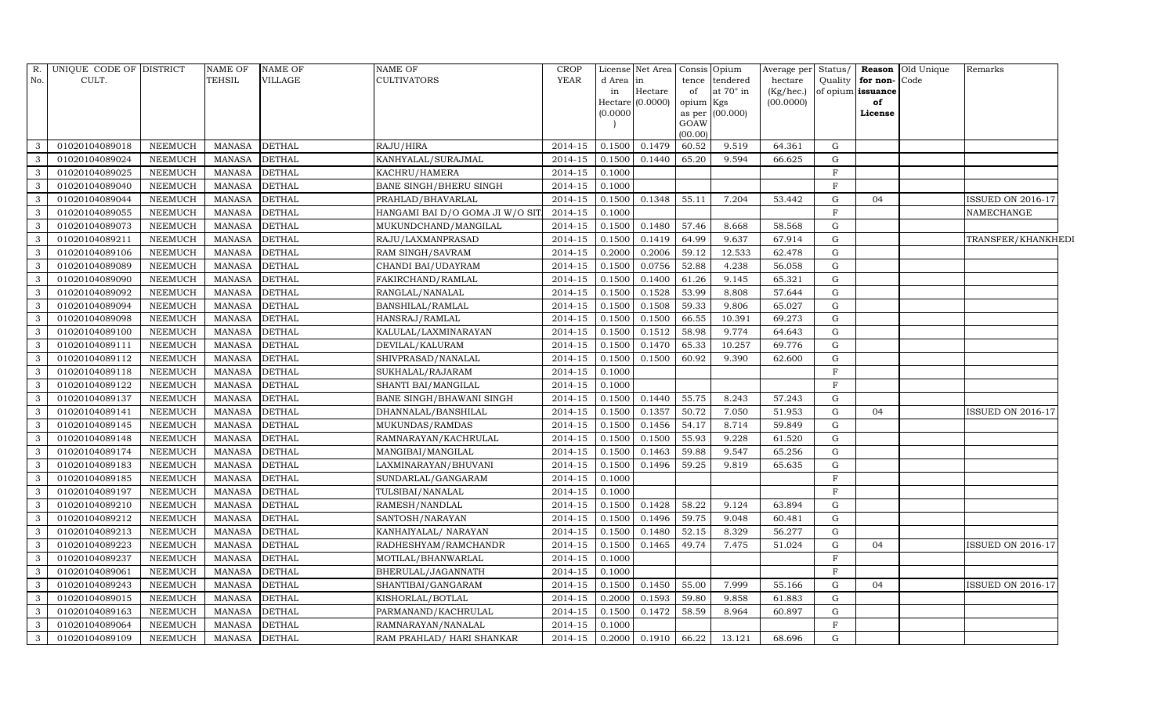|                         | R. UNIQUE CODE OF DISTRICT |                | <b>NAME OF</b> | <b>NAME OF</b> | <b>NAME OF</b>                   | <b>CROP</b> |           | License Net Area |           | Consis Opium     | Average per Status/ |              |                   | <b>Reason</b> Old Unique | Remarks                  |  |
|-------------------------|----------------------------|----------------|----------------|----------------|----------------------------------|-------------|-----------|------------------|-----------|------------------|---------------------|--------------|-------------------|--------------------------|--------------------------|--|
| No.                     | CULT.                      |                | TEHSIL         | <b>VILLAGE</b> | <b>CULTIVATORS</b>               | YEAR        | d Area in |                  |           | tence tendered   | hectare             | Quality      | for non-Code      |                          |                          |  |
|                         |                            |                |                |                |                                  |             | in        | Hectare          | of        | at $70^\circ$ in | (Kg/hec.)           |              | of opium issuance |                          |                          |  |
|                         |                            |                |                |                |                                  |             |           | Hectare (0.0000) | opium Kgs |                  | (00.0000)           |              | of                |                          |                          |  |
|                         |                            |                |                |                |                                  |             | (0.0000)  |                  | GOAW      | as per (00.000)  |                     |              | License           |                          |                          |  |
|                         |                            |                |                |                |                                  |             |           |                  | (00.00)   |                  |                     |              |                   |                          |                          |  |
| $\mathbf{3}$            | 01020104089018             | <b>NEEMUCH</b> | <b>MANASA</b>  | <b>DETHAL</b>  | RAJU/HIRA                        | 2014-15     | 0.1500    | 0.1479           | 60.52     | 9.519            | 64.361              | G            |                   |                          |                          |  |
| $\mathbf{3}$            | 01020104089024             | <b>NEEMUCH</b> | <b>MANASA</b>  | <b>DETHAL</b>  | KANHYALAL/SURAJMAL               | 2014-15     | 0.1500    | 0.1440           | 65.20     | 9.594            | 66.625              | G            |                   |                          |                          |  |
| $\overline{\mathbf{3}}$ | 01020104089025             | <b>NEEMUCH</b> | <b>MANASA</b>  | <b>DETHAL</b>  | KACHRU/HAMERA                    | 2014-15     | 0.1000    |                  |           |                  |                     | F            |                   |                          |                          |  |
| $\mathbf{3}$            | 01020104089040             | <b>NEEMUCH</b> | <b>MANASA</b>  | <b>DETHAL</b>  | <b>BANE SINGH/BHERU SINGH</b>    | 2014-15     | 0.1000    |                  |           |                  |                     | F            |                   |                          |                          |  |
| $\mathbf{3}$            | 01020104089044             | <b>NEEMUCH</b> | <b>MANASA</b>  | <b>DETHAL</b>  | PRAHLAD/BHAVARLAL                | 2014-15     | 0.1500    | 0.1348           | 55.11     | 7.204            | 53.442              | G            | 04                |                          | <b>ISSUED ON 2016-17</b> |  |
| $\mathbf{3}$            | 01020104089055             | <b>NEEMUCH</b> | <b>MANASA</b>  | <b>DETHAL</b>  | HANGAMI BAI D/O GOMA JI W/O SIT. | 2014-15     | 0.1000    |                  |           |                  |                     | F            |                   |                          | NAMECHANGE               |  |
| $\overline{\mathbf{3}}$ | 01020104089073             | <b>NEEMUCH</b> | <b>MANASA</b>  | <b>DETHAL</b>  | MUKUNDCHAND/MANGILAL             | 2014-15     | 0.1500    | 0.1480           | 57.46     | 8.668            | 58.568              | G            |                   |                          |                          |  |
| $\mathbf{3}$            | 01020104089211             | <b>NEEMUCH</b> | <b>MANASA</b>  | <b>DETHAL</b>  | RAJU/LAXMANPRASAD                | 2014-15     | 0.1500    | 0.1419           | 64.99     | 9.637            | 67.914              | ${\rm G}$    |                   |                          | TRANSFER/KHANKHEDI       |  |
| $\mathbf{3}$            | 01020104089106             | <b>NEEMUCH</b> | <b>MANASA</b>  | <b>DETHAL</b>  | RAM SINGH/SAVRAM                 | $2014 - 15$ | 0.2000    | 0.2006           | 59.12     | 12.533           | 62.478              | G            |                   |                          |                          |  |
| $\overline{\mathbf{3}}$ | 01020104089089             | <b>NEEMUCH</b> | <b>MANASA</b>  | <b>DETHAL</b>  | CHANDI BAI/UDAYRAM               | 2014-15     | 0.1500    | 0.0756           | 52.88     | 4.238            | 56.058              | G            |                   |                          |                          |  |
| $\mathbf{3}$            | 01020104089090             | <b>NEEMUCH</b> | <b>MANASA</b>  | <b>DETHAL</b>  | FAKIRCHAND/RAMLAL                | 2014-15     | 0.1500    | 0.1400           | 61.26     | 9.145            | 65.321              | G            |                   |                          |                          |  |
| $\mathbf{3}$            | 01020104089092             | <b>NEEMUCH</b> | <b>MANASA</b>  | <b>DETHAL</b>  | RANGLAL/NANALAL                  | 2014-15     | 0.1500    | 0.1528           | 53.99     | 8.808            | 57.644              | G            |                   |                          |                          |  |
| $\mathbf{3}$            | 01020104089094             | <b>NEEMUCH</b> | <b>MANASA</b>  | <b>DETHAL</b>  | BANSHILAL/RAMLAL                 | 2014-15     | 0.1500    | 0.1508           | 59.33     | 9.806            | 65.027              | G            |                   |                          |                          |  |
| $\mathbf{3}$            | 01020104089098             | <b>NEEMUCH</b> | <b>MANASA</b>  | <b>DETHAL</b>  | HANSRAJ/RAMLAL                   | 2014-15     | 0.1500    | 0.1500           | 66.55     | 10.391           | 69.273              | G            |                   |                          |                          |  |
| $\mathbf{3}$            | 01020104089100             | <b>NEEMUCH</b> | <b>MANASA</b>  | <b>DETHAL</b>  | KALULAL/LAXMINARAYAN             | 2014-15     | 0.1500    | 0.1512           | 58.98     | 9.774            | 64.643              | $\mathbf G$  |                   |                          |                          |  |
| $\overline{\mathbf{3}}$ | 01020104089111             | <b>NEEMUCH</b> | <b>MANASA</b>  | <b>DETHAL</b>  | DEVILAL/KALURAM                  | 2014-15     | 0.1500    | 0.1470           | 65.33     | 10.257           | 69.776              | G            |                   |                          |                          |  |
| $\overline{\mathbf{3}}$ | 01020104089112             | <b>NEEMUCH</b> | <b>MANASA</b>  | <b>DETHAL</b>  | SHIVPRASAD/NANALAL               | 2014-15     | 0.1500    | 0.1500           | 60.92     | 9.390            | 62.600              | G            |                   |                          |                          |  |
| $\mathbf{3}$            | 01020104089118             | <b>NEEMUCH</b> | <b>MANASA</b>  | <b>DETHAL</b>  | SUKHALAL/RAJARAM                 | 2014-15     | 0.1000    |                  |           |                  |                     | $\mathbf F$  |                   |                          |                          |  |
| $\mathbf{3}$            | 01020104089122             | <b>NEEMUCH</b> | <b>MANASA</b>  | <b>DETHAL</b>  | SHANTI BAI/MANGILAL              | 2014-15     | 0.1000    |                  |           |                  |                     | $\,$ F       |                   |                          |                          |  |
| $\mathbf{3}$            | 01020104089137             | <b>NEEMUCH</b> | <b>MANASA</b>  | <b>DETHAL</b>  | BANE SINGH/BHAWANI SINGH         | 2014-15     | 0.1500    | 0.1440           | 55.75     | 8.243            | 57.243              | G            |                   |                          |                          |  |
| $\mathbf{3}$            | 01020104089141             | <b>NEEMUCH</b> | <b>MANASA</b>  | <b>DETHAL</b>  | DHANNALAL/BANSHILAL              | 2014-15     | 0.1500    | 0.1357           | 50.72     | 7.050            | 51.953              | G            | 04                |                          | ISSUED ON 2016-17        |  |
| 3                       | 01020104089145             | <b>NEEMUCH</b> | <b>MANASA</b>  | <b>DETHAL</b>  | MUKUNDAS/RAMDAS                  | 2014-15     | 0.1500    | 0.1456           | 54.17     | 8.714            | 59.849              | G            |                   |                          |                          |  |
| $\overline{\mathbf{3}}$ | 01020104089148             | <b>NEEMUCH</b> | <b>MANASA</b>  | <b>DETHAL</b>  | RAMNARAYAN/KACHRULAL             | 2014-15     | 0.1500    | 0.1500           | 55.93     | 9.228            | 61.520              | $\mathbf G$  |                   |                          |                          |  |
| $\overline{\mathbf{3}}$ | 01020104089174             | <b>NEEMUCH</b> | <b>MANASA</b>  | <b>DETHAL</b>  | MANGIBAI/MANGILAL                | 2014-15     | 0.1500    | 0.1463           | 59.88     | 9.547            | 65.256              | $\mathbf G$  |                   |                          |                          |  |
| $\mathbf{3}$            | 01020104089183             | <b>NEEMUCH</b> | <b>MANASA</b>  | <b>DETHAL</b>  | LAXMINARAYAN/BHUVANI             | 2014-15     | 0.1500    | 0.1496           | 59.25     | 9.819            | 65.635              | $\mathbf G$  |                   |                          |                          |  |
| $\mathbf{3}$            | 01020104089185             | <b>NEEMUCH</b> | <b>MANASA</b>  | <b>DETHAL</b>  | SUNDARLAL/GANGARAM               | 2014-15     | 0.1000    |                  |           |                  |                     | $\,$ F       |                   |                          |                          |  |
| $\mathbf{3}$            | 01020104089197             | <b>NEEMUCH</b> | <b>MANASA</b>  | <b>DETHAL</b>  | TULSIBAI/NANALAL                 | 2014-15     | 0.1000    |                  |           |                  |                     | $\mathbf{F}$ |                   |                          |                          |  |
| $\mathbf{3}$            | 01020104089210             | <b>NEEMUCH</b> | <b>MANASA</b>  | <b>DETHAL</b>  | RAMESH/NANDLAL                   | 2014-15     | 0.1500    | 0.1428           | 58.22     | 9.124            | 63.894              | G            |                   |                          |                          |  |
| $\mathbf{3}$            | 01020104089212             | <b>NEEMUCH</b> | <b>MANASA</b>  | <b>DETHAL</b>  | SANTOSH/NARAYAN                  | 2014-15     | 0.1500    | 0.1496           | 59.75     | 9.048            | 60.481              | G            |                   |                          |                          |  |
| $\overline{\mathbf{3}}$ | 01020104089213             | <b>NEEMUCH</b> | <b>MANASA</b>  | <b>DETHAL</b>  | KANHAIYALAL/ NARAYAN             | 2014-15     | 0.1500    | 0.1480           | 52.15     | 8.329            | 56.277              | $\mathbf G$  |                   |                          |                          |  |
| $\mathbf{3}$            | 01020104089223             | <b>NEEMUCH</b> | <b>MANASA</b>  | <b>DETHAL</b>  | RADHESHYAM/RAMCHANDR             | 2014-15     | 0.1500    | 0.1465           | 49.74     | 7.475            | 51.024              | G            | 04                |                          | <b>ISSUED ON 2016-17</b> |  |
| $\mathbf{3}$            | 01020104089237             | <b>NEEMUCH</b> | <b>MANASA</b>  | <b>DETHAL</b>  | MOTILAL/BHANWARLAL               | 2014-15     | 0.1000    |                  |           |                  |                     | $\mathbf{F}$ |                   |                          |                          |  |
| $\mathbf{3}$            | 01020104089061             | <b>NEEMUCH</b> | <b>MANASA</b>  | <b>DETHAL</b>  | BHERULAL/JAGANNATH               | 2014-15     | 0.1000    |                  |           |                  |                     | F            |                   |                          |                          |  |
| $\overline{\mathbf{3}}$ | 01020104089243             | <b>NEEMUCH</b> | <b>MANASA</b>  | <b>DETHAL</b>  | SHANTIBAI/GANGARAM               | 2014-15     | 0.1500    | 0.1450           | 55.00     | 7.999            | 55.166              | G            | 04                |                          | ISSUED ON 2016-17        |  |
| $\mathbf{3}$            | 01020104089015             | <b>NEEMUCH</b> | <b>MANASA</b>  | <b>DETHAL</b>  | KISHORLAL/BOTLAL                 | 2014-15     | 0.2000    | 0.1593           | 59.80     | 9.858            | 61.883              | G            |                   |                          |                          |  |
| $\mathbf{3}$            | 01020104089163             | <b>NEEMUCH</b> | <b>MANASA</b>  | <b>DETHAL</b>  | PARMANAND/KACHRULAL              | 2014-15     | 0.1500    | 0.1472           | 58.59     | 8.964            | 60.897              | G            |                   |                          |                          |  |
| $\mathbf{3}$            | 01020104089064             | <b>NEEMUCH</b> | <b>MANASA</b>  | <b>DETHAL</b>  | RAMNARAYAN/NANALAL               | 2014-15     | 0.1000    |                  |           |                  |                     | $\mathbf{F}$ |                   |                          |                          |  |
| $\mathbf{3}$            | 01020104089109             | <b>NEEMUCH</b> | <b>MANASA</b>  | <b>DETHAL</b>  | RAM PRAHLAD/ HARI SHANKAR        | 2014-15     |           | $0.2000$ 0.1910  | 66.22     | 13.121           | 68.696              | G            |                   |                          |                          |  |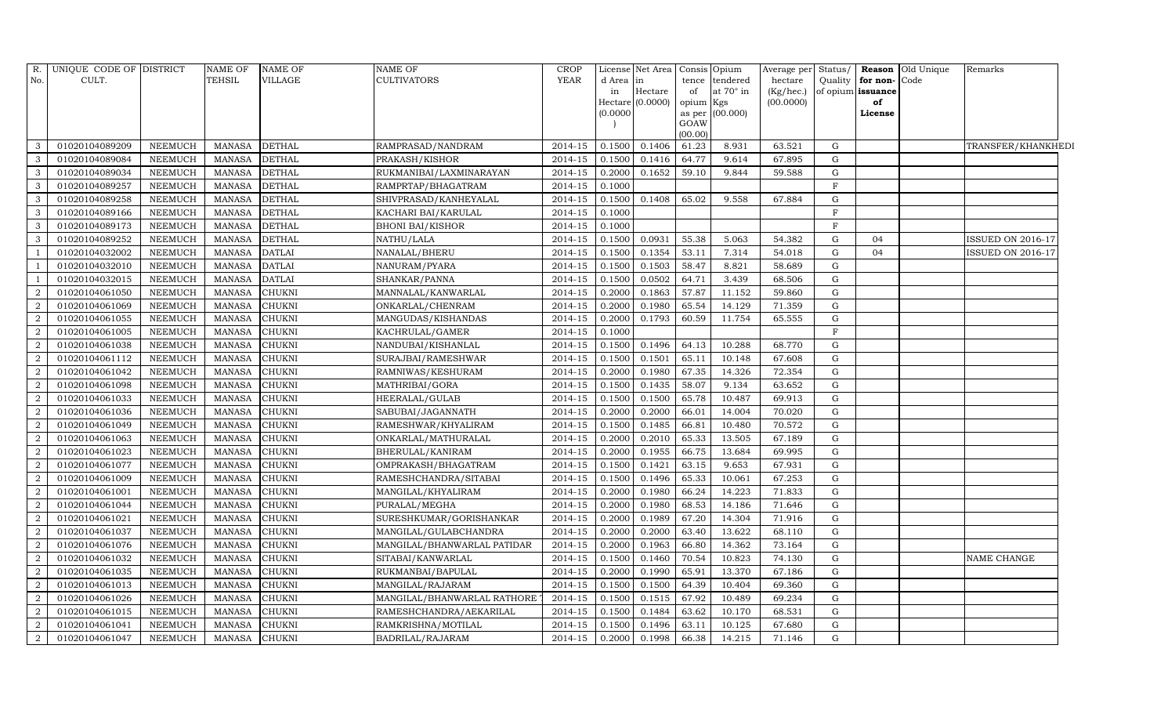| R.             | UNIQUE CODE OF DISTRICT |                | <b>NAME OF</b> | <b>NAME OF</b> | <b>NAME OF</b>              | <b>CROP</b>          |           | License Net Area   |           | Consis Opium     | Average per | Status/      |                   | <b>Reason</b> Old Unique | Remarks            |  |
|----------------|-------------------------|----------------|----------------|----------------|-----------------------------|----------------------|-----------|--------------------|-----------|------------------|-------------|--------------|-------------------|--------------------------|--------------------|--|
| No.            | CULT.                   |                | <b>TEHSIL</b>  | <b>VILLAGE</b> | <b>CULTIVATORS</b>          | <b>YEAR</b>          | d Area in |                    | tence     | tendered         | hectare     | Quality      | for non-Code      |                          |                    |  |
|                |                         |                |                |                |                             |                      | in        | Hectare            | of        | at $70^\circ$ in | (Kg/hec.)   |              | of opium issuance |                          |                    |  |
|                |                         |                |                |                |                             |                      |           | Hectare $(0.0000)$ | opium Kgs |                  | (00.0000)   |              | of                |                          |                    |  |
|                |                         |                |                |                |                             |                      | (0.0000)  |                    | GOAW      | as per (00.000)  |             |              | License           |                          |                    |  |
|                |                         |                |                |                |                             |                      |           |                    | (00.00)   |                  |             |              |                   |                          |                    |  |
|                | 01020104089209          | <b>NEEMUCH</b> | <b>MANASA</b>  | <b>DETHAL</b>  | RAMPRASAD/NANDRAM           | 2014-15              | 0.1500    | 0.1406             | 61.23     | 8.931            | 63.521      | G            |                   |                          | TRANSFER/KHANKHEDI |  |
| 3              | 01020104089084          | <b>NEEMUCH</b> | <b>MANASA</b>  | <b>DETHAL</b>  | PRAKASH/KISHOR              | 2014-15              | 0.1500    | 0.1416             | 64.77     | 9.614            | 67.895      | G            |                   |                          |                    |  |
| 3              | 01020104089034          | <b>NEEMUCH</b> | <b>MANASA</b>  | <b>DETHAL</b>  | RUKMANIBAI/LAXMINARAYAN     | 2014-15              | 0.2000    | 0.1652             | 59.10     | 9.844            | 59.588      | G            |                   |                          |                    |  |
| 3              | 01020104089257          | <b>NEEMUCH</b> | <b>MANASA</b>  | <b>DETHAL</b>  | RAMPRTAP/BHAGATRAM          | 2014-15              | 0.1000    |                    |           |                  |             | $\mathbf{F}$ |                   |                          |                    |  |
| 3              | 01020104089258          | <b>NEEMUCH</b> | <b>MANASA</b>  | <b>DETHAL</b>  | SHIVPRASAD/KANHEYALAL       | 2014-15              | 0.1500    | 0.1408             | 65.02     | 9.558            | 67.884      | G            |                   |                          |                    |  |
| 3              | 01020104089166          | <b>NEEMUCH</b> | <b>MANASA</b>  | <b>DETHAL</b>  | KACHARI BAI/KARULAL         | 2014-15              | 0.1000    |                    |           |                  |             | $_{\rm F}$   |                   |                          |                    |  |
| 3              | 01020104089173          | <b>NEEMUCH</b> | <b>MANASA</b>  | <b>DETHAL</b>  | <b>BHONI BAI/KISHOR</b>     | 2014-15              | 0.1000    |                    |           |                  |             | $\,$ F       |                   |                          |                    |  |
| 3              | 01020104089252          | <b>NEEMUCH</b> | <b>MANASA</b>  | <b>DETHAL</b>  | NATHU/LALA                  | $\overline{2014-15}$ | 0.1500    | 0.0931             | 55.38     | 5.063            | 54.382      | G            | 04                |                          | ISSUED ON 2016-17  |  |
|                | 01020104032002          | <b>NEEMUCH</b> | <b>MANASA</b>  | <b>DATLAI</b>  | NANALAL/BHERU               | 2014-15              | 0.1500    | 0.1354             | 53.11     | 7.314            | 54.018      | G            | 04                |                          | ISSUED ON 2016-17  |  |
|                | 01020104032010          | <b>NEEMUCH</b> | <b>MANASA</b>  | <b>DATLAI</b>  | NANURAM/PYARA               | 2014-15              | 0.1500    | 0.1503             | 58.47     | 8.821            | 58.689      | G            |                   |                          |                    |  |
|                | 01020104032015          | <b>NEEMUCH</b> | <b>MANASA</b>  | <b>DATLAI</b>  | SHANKAR/PANNA               | 2014-15              | 0.1500    | 0.0502             | 64.71     | 3.439            | 68.506      | G            |                   |                          |                    |  |
| $\overline{2}$ | 01020104061050          | <b>NEEMUCH</b> | <b>MANASA</b>  | <b>CHUKNI</b>  | MANNALAL/KANWARLAL          | 2014-15              | 0.2000    | 0.1863             | 57.87     | 11.152           | 59.860      | G            |                   |                          |                    |  |
| $\overline{2}$ | 01020104061069          | <b>NEEMUCH</b> | <b>MANASA</b>  | <b>CHUKNI</b>  | ONKARLAL/CHENRAM            | 2014-15              | 0.2000    | 0.1980             | 65.54     | 14.129           | 71.359      | $\mathbf G$  |                   |                          |                    |  |
|                | 01020104061055          | <b>NEEMUCH</b> | <b>MANASA</b>  | <b>CHUKNI</b>  | MANGUDAS/KISHANDAS          | 2014-15              | 0.2000    | 0.1793             | 60.59     | 11.754           | 65.555      | G            |                   |                          |                    |  |
| 2              | 01020104061005          | <b>NEEMUCH</b> | <b>MANASA</b>  | <b>CHUKNI</b>  | KACHRULAL/GAMER             | 2014-15              | 0.1000    |                    |           |                  |             | F            |                   |                          |                    |  |
| $\overline{2}$ | 01020104061038          | <b>NEEMUCH</b> | <b>MANASA</b>  | <b>CHUKNI</b>  | NANDUBAI/KISHANLAL          | 2014-15              | 0.1500    | 0.1496             | 64.13     | 10.288           | 68.770      | G            |                   |                          |                    |  |
| $\overline{2}$ | 01020104061112          | <b>NEEMUCH</b> | <b>MANASA</b>  | <b>CHUKNI</b>  | SURAJBAI/RAMESHWAR          | 2014-15              | 0.1500    | 0.1501             | 65.11     | 10.148           | 67.608      | G            |                   |                          |                    |  |
| $\overline{2}$ | 01020104061042          | <b>NEEMUCH</b> | <b>MANASA</b>  | <b>CHUKNI</b>  | RAMNIWAS/KESHURAM           | 2014-15              | 0.2000    | 0.1980             | 67.35     | 14.326           | 72.354      | $\mathbf G$  |                   |                          |                    |  |
| $\overline{2}$ | 01020104061098          | <b>NEEMUCH</b> | <b>MANASA</b>  | <b>CHUKNI</b>  | MATHRIBAI/GORA              | 2014-15              | 0.1500    | 0.1435             | 58.07     | 9.134            | 63.652      | ${\rm G}$    |                   |                          |                    |  |
| $\overline{2}$ | 01020104061033          | <b>NEEMUCH</b> | <b>MANASA</b>  | <b>CHUKNI</b>  | HEERALAL/GULAB              | 2014-15              | 0.1500    | 0.1500             | 65.78     | 10.487           | 69.913      | G            |                   |                          |                    |  |
| 2              | 01020104061036          | <b>NEEMUCH</b> | <b>MANASA</b>  | <b>CHUKNI</b>  | SABUBAI/JAGANNATH           | 2014-15              | 0.2000    | 0.2000             | 66.01     | 14.004           | 70.020      | G            |                   |                          |                    |  |
| $\overline{2}$ | 01020104061049          | <b>NEEMUCH</b> | <b>MANASA</b>  | <b>CHUKNI</b>  | RAMESHWAR/KHYALIRAM         | 2014-15              | 0.1500    | 0.1485             | 66.81     | 10.480           | 70.572      | G            |                   |                          |                    |  |
| $\overline{2}$ | 01020104061063          | <b>NEEMUCH</b> | <b>MANASA</b>  | <b>CHUKNI</b>  | ONKARLAL/MATHURALAL         | 2014-15              | 0.2000    | 0.2010             | 65.33     | 13.505           | 67.189      | $\mathbf G$  |                   |                          |                    |  |
| $\overline{2}$ | 01020104061023          | <b>NEEMUCH</b> | <b>MANASA</b>  | <b>CHUKNI</b>  | BHERULAL/KANIRAM            | 2014-15              | 0.2000    | 0.1955             | 66.75     | 13.684           | 69.995      | G            |                   |                          |                    |  |
| $\overline{2}$ | 01020104061077          | <b>NEEMUCH</b> | <b>MANASA</b>  | <b>CHUKNI</b>  | OMPRAKASH/BHAGATRAM         | 2014-15              | 0.1500    | 0.1421             | 63.15     | 9.653            | 67.931      | G            |                   |                          |                    |  |
| $\overline{2}$ | 01020104061009          | <b>NEEMUCH</b> | <b>MANASA</b>  | <b>CHUKNI</b>  | RAMESHCHANDRA/SITABAI       | 2014-15              | 0.1500    | 0.1496             | 65.33     | 10.061           | 67.253      | G            |                   |                          |                    |  |
| $\overline{2}$ | 01020104061001          | <b>NEEMUCH</b> | <b>MANASA</b>  | <b>CHUKNI</b>  | MANGILAL/KHYALIRAM          | 2014-15              | 0.2000    | 0.1980             | 66.24     | 14.223           | 71.833      | G            |                   |                          |                    |  |
| $\overline{2}$ | 01020104061044          | <b>NEEMUCH</b> | <b>MANASA</b>  | <b>CHUKNI</b>  | PURALAL/MEGHA               | 2014-15              | 0.2000    | 0.1980             | 68.53     | 14.186           | 71.646      | $\mathbf G$  |                   |                          |                    |  |
| $\overline{2}$ | 01020104061021          | <b>NEEMUCH</b> | <b>MANASA</b>  | <b>CHUKNI</b>  | SURESHKUMAR/GORISHANKAR     | 2014-15              | 0.2000    | 0.1989             | 67.20     | 14.304           | 71.916      | G            |                   |                          |                    |  |
| $\overline{2}$ | 01020104061037          | <b>NEEMUCH</b> | <b>MANASA</b>  | <b>CHUKNI</b>  | MANGILAL/GULABCHANDRA       | 2014-15              | 0.2000    | 0.2000             | 63.40     | 13.622           | 68.110      | G            |                   |                          |                    |  |
| 2              | 01020104061076          | <b>NEEMUCH</b> | <b>MANASA</b>  | <b>CHUKNI</b>  | MANGILAL/BHANWARLAL PATIDAR | 2014-15              | 0.2000    | 0.1963             | 66.80     | 14.362           | 73.164      | G            |                   |                          |                    |  |
| $\overline{2}$ | 01020104061032          | <b>NEEMUCH</b> | <b>MANASA</b>  | <b>CHUKNI</b>  | SITABAI/KANWARLAL           | 2014-15              | 0.1500    | 0.1460             | 70.54     | 10.823           | 74.130      | G            |                   |                          | NAME CHANGE        |  |
| 2              | 01020104061035          | <b>NEEMUCH</b> | <b>MANASA</b>  | <b>CHUKNI</b>  | RUKMANBAI/BAPULAL           | 2014-15              | 0.2000    | 0.1990             | 65.91     | 13.370           | 67.186      | $\mathbf G$  |                   |                          |                    |  |
| $\overline{2}$ | 01020104061013          | <b>NEEMUCH</b> | <b>MANASA</b>  | <b>CHUKNI</b>  | MANGILAL/RAJARAM            | 2014-15              | 0.1500    | 0.1500             | 64.39     | 10.404           | 69.360      | $\mathbf G$  |                   |                          |                    |  |
| 2              | 01020104061026          | <b>NEEMUCH</b> | <b>MANASA</b>  | <b>CHUKNI</b>  | MANGILAL/BHANWARLAL RATHORE | 2014-15              | 0.1500    | 0.1515             | 67.92     | 10.489           | 69.234      | G            |                   |                          |                    |  |
| $\overline{2}$ | 01020104061015          | <b>NEEMUCH</b> | <b>MANASA</b>  | <b>CHUKNI</b>  | RAMESHCHANDRA/AEKARILAL     | 2014-15              | 0.1500    | 0.1484             | 63.62     | 10.170           | 68.531      | G            |                   |                          |                    |  |
| $\overline{2}$ | 01020104061041          | <b>NEEMUCH</b> | <b>MANASA</b>  | <b>CHUKNI</b>  | RAMKRISHNA/MOTILAL          | 2014-15              | 0.1500    | 0.1496             | 63.11     | 10.125           | 67.680      | $\mathbf G$  |                   |                          |                    |  |
| 2              | 01020104061047          | <b>NEEMUCH</b> | <b>MANASA</b>  | <b>CHUKNI</b>  | BADRILAL/RAJARAM            | 2014-15              | 0.2000    | 0.1998             | 66.38     | 14.215           | 71.146      | ${\rm G}$    |                   |                          |                    |  |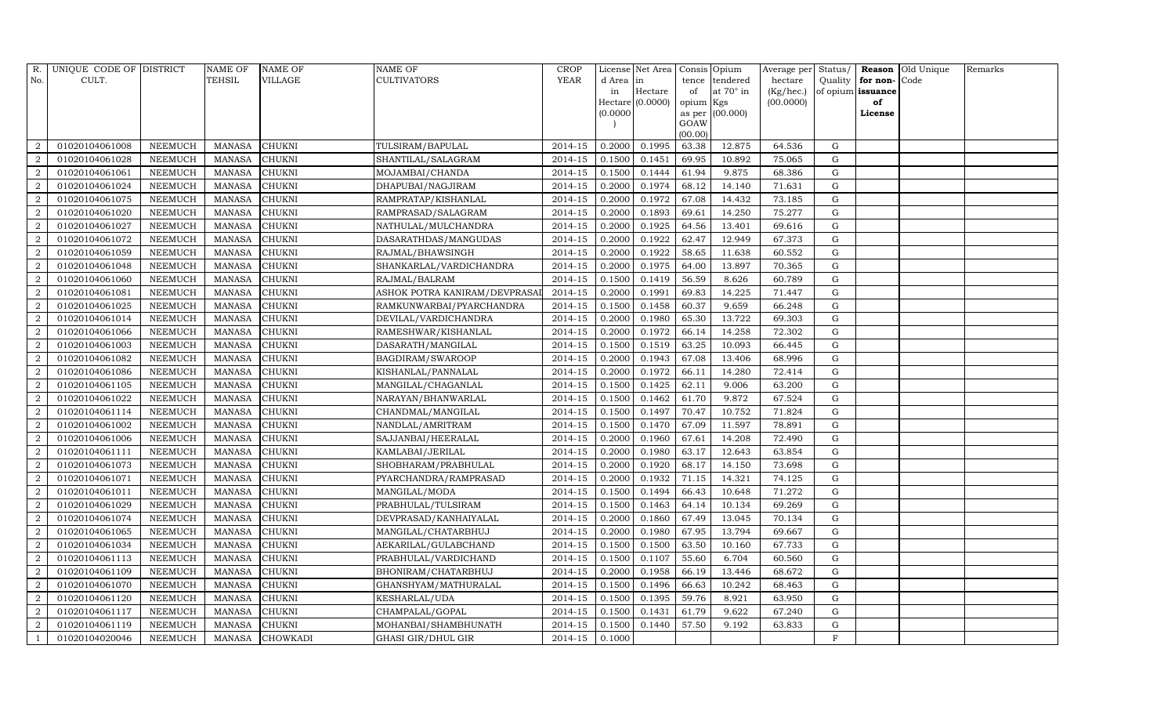| R.             | UNIQUE CODE OF DISTRICT |                | <b>NAME OF</b> | <b>NAME OF</b>  | <b>NAME OF</b>                | <b>CROP</b> |           | License Net Area   |                 | Consis Opium    | Average per Status/ |              |                   | Reason Old Unique | Remarks |
|----------------|-------------------------|----------------|----------------|-----------------|-------------------------------|-------------|-----------|--------------------|-----------------|-----------------|---------------------|--------------|-------------------|-------------------|---------|
| No.            | CULT.                   |                | TEHSIL         | VILLAGE         | CULTIVATORS                   | <b>YEAR</b> | d Area in |                    |                 | tence tendered  | hectare             | Quality      | for non-          | Code              |         |
|                |                         |                |                |                 |                               |             | in        | Hectare            | of              | at 70° in       | (Kg/hec.)           |              | of opium issuance |                   |         |
|                |                         |                |                |                 |                               |             |           | $Hectare$ (0.0000) | opium Kgs       |                 | (00.0000)           |              | of                |                   |         |
|                |                         |                |                |                 |                               |             | (0.0000)  |                    |                 | as per (00.000) |                     |              | License           |                   |         |
|                |                         |                |                |                 |                               |             |           |                    | GOAW<br>(00.00) |                 |                     |              |                   |                   |         |
| 2              | 01020104061008          | <b>NEEMUCH</b> | <b>MANASA</b>  | <b>CHUKNI</b>   | TULSIRAM/BAPULAL              | 2014-15     | 0.2000    | 0.1995             | 63.38           | 12.875          | 64.536              | $\mathbf G$  |                   |                   |         |
| $\overline{2}$ | 01020104061028          | <b>NEEMUCH</b> | <b>MANASA</b>  | <b>CHUKNI</b>   | SHANTILAL/SALAGRAM            | 2014-15     | 0.1500    | 0.1451             | 69.95           | 10.892          | 75.065              | ${\rm G}$    |                   |                   |         |
| 2              | 01020104061061          | <b>NEEMUCH</b> | <b>MANASA</b>  | CHUKNI          | MOJAMBAI/CHANDA               | 2014-15     | 0.1500    | 0.1444             | 61.94           | 9.875           | 68.386              | G            |                   |                   |         |
| $\overline{2}$ | 01020104061024          | <b>NEEMUCH</b> | <b>MANASA</b>  | <b>CHUKNI</b>   | DHAPUBAI/NAGJIRAM             | 2014-15     | 0.2000    | 0.1974             | 68.12           | 14.140          | 71.631              | $\mathbf G$  |                   |                   |         |
| 2              | 01020104061075          | <b>NEEMUCH</b> | <b>MANASA</b>  | <b>CHUKNI</b>   | RAMPRATAP/KISHANLAL           | 2014-15     | 0.2000    | 0.1972             | 67.08           | 14.432          | 73.185              | ${\rm G}$    |                   |                   |         |
| $\overline{2}$ | 01020104061020          | <b>NEEMUCH</b> | <b>MANASA</b>  | <b>CHUKNI</b>   | RAMPRASAD/SALAGRAM            | 2014-15     | 0.2000    | 0.1893             | 69.61           | 14.250          | 75.277              | $\mathbf G$  |                   |                   |         |
| $\overline{2}$ | 01020104061027          | <b>NEEMUCH</b> | <b>MANASA</b>  | <b>CHUKNI</b>   | NATHULAL/MULCHANDRA           | 2014-15     | 0.2000    | 0.1925             | 64.56           | 13.401          | 69.616              | $\mathbf G$  |                   |                   |         |
| $\overline{2}$ | 01020104061072          | <b>NEEMUCH</b> | <b>MANASA</b>  | CHUKNI          | DASARATHDAS/MANGUDAS          | 2014-15     | 0.2000    | 0.1922             | 62.47           | 12.949          | 67.373              | $\mathbf G$  |                   |                   |         |
| $\overline{2}$ | 01020104061059          | <b>NEEMUCH</b> | <b>MANASA</b>  | <b>CHUKNI</b>   | RAJMAL/BHAWSINGH              | 2014-15     | 0.2000    | 0.1922             | 58.65           | 11.638          | 60.552              | $\mathbf G$  |                   |                   |         |
| 2              | 01020104061048          | <b>NEEMUCH</b> | <b>MANASA</b>  | <b>CHUKNI</b>   | SHANKARLAL/VARDICHANDRA       | $2014 - 15$ | 0.2000    | 0.1975             | 64.00           | 13.897          | 70.365              | $\mathbf G$  |                   |                   |         |
| $\overline{2}$ | 01020104061060          | <b>NEEMUCH</b> | <b>MANASA</b>  | <b>CHUKNI</b>   | RAJMAL/BALRAM                 | 2014-15     | 0.1500    | 0.1419             | 56.59           | 8.626           | 60.789              | $\mathbf G$  |                   |                   |         |
| $\overline{2}$ | 01020104061081          | <b>NEEMUCH</b> | <b>MANASA</b>  | <b>CHUKNI</b>   | ASHOK POTRA KANIRAM/DEVPRASAI | 2014-15     | 0.2000    | 0.1991             | 69.83           | 14.225          | 71.447              | $\mathbf G$  |                   |                   |         |
| $\overline{2}$ | 01020104061025          | <b>NEEMUCH</b> | <b>MANASA</b>  | CHUKNI          | RAMKUNWARBAI/PYARCHANDRA      | $2014 - 15$ | 0.1500    | 0.1458             | 60.37           | 9.659           | 66.248              | $\mathbf G$  |                   |                   |         |
| $\overline{2}$ | 01020104061014          | <b>NEEMUCH</b> | <b>MANASA</b>  | <b>CHUKNI</b>   | DEVILAL/VARDICHANDRA          | 2014-15     | 0.2000    | 0.1980             | 65.30           | 13.722          | 69.303              | $\mathbf G$  |                   |                   |         |
| 2              | 01020104061066          | <b>NEEMUCH</b> | <b>MANASA</b>  | <b>CHUKNI</b>   | RAMESHWAR/KISHANLAL           | 2014-15     | 0.2000    | 0.1972             | 66.14           | 14.258          | 72.302              | $\mathbf G$  |                   |                   |         |
| $\overline{2}$ | 01020104061003          | <b>NEEMUCH</b> | <b>MANASA</b>  | <b>CHUKNI</b>   | DASARATH/MANGILAL             | 2014-15     | 0.1500    | 0.1519             | 63.25           | 10.093          | 66.445              | $\mathbf G$  |                   |                   |         |
| 2              | 01020104061082          | <b>NEEMUCH</b> | <b>MANASA</b>  | <b>CHUKNI</b>   | BAGDIRAM/SWAROOP              | 2014-15     | 0.2000    | 0.1943             | 67.08           | 13.406          | 68.996              | $\mathbf G$  |                   |                   |         |
| $\overline{a}$ | 01020104061086          | <b>NEEMUCH</b> | <b>MANASA</b>  | CHUKNI          | KISHANLAL/PANNALAL            | $2014 - 15$ | 0.2000    | 0.1972             | 66.11           | 14.280          | 72.414              | $\mathbf G$  |                   |                   |         |
| 2              | 01020104061105          | <b>NEEMUCH</b> | <b>MANASA</b>  | <b>CHUKNI</b>   | MANGILAL/CHAGANLAL            | 2014-15     | 0.1500    | 0.1425             | 62.11           | 9.006           | 63.200              | $\mathbf G$  |                   |                   |         |
| 2              | 01020104061022          | <b>NEEMUCH</b> | <b>MANASA</b>  | CHUKNI          | NARAYAN/BHANWARLAL            | 2014-15     | 0.1500    | 0.1462             | 61.70           | 9.872           | 67.524              | $\mathbf G$  |                   |                   |         |
| 2              | 01020104061114          | <b>NEEMUCH</b> | <b>MANASA</b>  | <b>CHUKNI</b>   | CHANDMAL/MANGILAL             | 2014-15     | 0.1500    | 0.1497             | 70.47           | 10.752          | 71.824              | $\mathbf G$  |                   |                   |         |
| $\overline{2}$ | 01020104061002          | <b>NEEMUCH</b> | <b>MANASA</b>  | <b>CHUKNI</b>   | NANDLAL/AMRITRAM              | 2014-15     | 0.1500    | 0.1470             | 67.09           | 11.597          | 78.891              | $\mathbf G$  |                   |                   |         |
| $\overline{2}$ | 01020104061006          | <b>NEEMUCH</b> | <b>MANASA</b>  | CHUKNI          | SAJJANBAI/HEERALAL            | 2014-15     | 0.2000    | 0.1960             | 67.61           | 14.208          | 72.490              | G            |                   |                   |         |
| $\overline{2}$ | 01020104061111          | <b>NEEMUCH</b> | <b>MANASA</b>  | CHUKNI          | KAMLABAI/JERILAL              | 2014-15     | 0.2000    | 0.1980             | 63.17           | 12.643          | 63.854              | ${\bf G}$    |                   |                   |         |
| 2              | 01020104061073          | <b>NEEMUCH</b> | <b>MANASA</b>  | <b>CHUKNI</b>   | SHOBHARAM/PRABHULAL           | $2014 - 15$ | 0.2000    | 0.1920             | 68.17           | 14.150          | 73.698              | ${\rm G}$    |                   |                   |         |
| $\overline{2}$ | 01020104061071          | <b>NEEMUCH</b> | <b>MANASA</b>  | <b>CHUKNI</b>   | PYARCHANDRA/RAMPRASAD         | 2014-15     | 0.2000    | 0.1932             | 71.15           | 14.321          | 74.125              | $\mathbf G$  |                   |                   |         |
| $\overline{2}$ | 01020104061011          | <b>NEEMUCH</b> | <b>MANASA</b>  | <b>CHUKNI</b>   | MANGILAL/MODA                 | 2014-15     | 0.1500    | 0.1494             | 66.43           | 10.648          | 71.272              | $\mathbf G$  |                   |                   |         |
| 2              | 01020104061029          | <b>NEEMUCH</b> | <b>MANASA</b>  | <b>CHUKNI</b>   | PRABHULAL/TULSIRAM            | 2014-15     | 0.1500    | 0.1463             | 64.14           | 10.134          | 69.269              | $\mathbf G$  |                   |                   |         |
| $\overline{2}$ | 01020104061074          | <b>NEEMUCH</b> | <b>MANASA</b>  | <b>CHUKNI</b>   | DEVPRASAD/KANHAIYALAL         | 2014-15     | 0.2000    | 0.1860             | 67.49           | 13.045          | 70.134              | $\mathbf G$  |                   |                   |         |
| $\overline{a}$ | 01020104061065          | <b>NEEMUCH</b> | <b>MANASA</b>  | CHUKNI          | MANGILAL/CHATARBHUJ           | $2014 - 15$ | 0.2000    | 0.1980             | 67.95           | 13.794          | 69.667              | ${\rm G}$    |                   |                   |         |
| 2              | 01020104061034          | <b>NEEMUCH</b> | <b>MANASA</b>  | <b>CHUKNI</b>   | AEKARILAL/GULABCHAND          | 2014-15     | 0.1500    | 0.1500             | 63.50           | 10.160          | 67.733              | $\mathbf G$  |                   |                   |         |
| $\overline{2}$ | 01020104061113          | <b>NEEMUCH</b> | <b>MANASA</b>  | <b>CHUKNI</b>   | PRABHULAL/VARDICHAND          | 2014-15     | 0.1500    | 0.1107             | 55.60           | 6.704           | 60.560              | $\mathbf G$  |                   |                   |         |
| $\overline{2}$ | 01020104061109          | <b>NEEMUCH</b> | <b>MANASA</b>  | <b>CHUKNI</b>   | BHONIRAM/CHATARBHUJ           | 2014-15     | 0.2000    | 0.1958             | 66.19           | 13.446          | 68.672              | $\mathbf G$  |                   |                   |         |
| $\overline{2}$ | 01020104061070          | <b>NEEMUCH</b> | <b>MANASA</b>  | <b>CHUKNI</b>   | GHANSHYAM/MATHURALAL          | 2014-15     | 0.1500    | 0.1496             | 66.63           | 10.242          | 68.463              | G            |                   |                   |         |
| $\overline{a}$ | 01020104061120          | <b>NEEMUCH</b> | <b>MANASA</b>  | <b>CHUKNI</b>   | KESHARLAL/UDA                 | 2014-15     | 0.1500    | 0.1395             | 59.76           | 8.921           | 63.950              | $\mathbf G$  |                   |                   |         |
| $\overline{2}$ | 01020104061117          | <b>NEEMUCH</b> | <b>MANASA</b>  | <b>CHUKNI</b>   | CHAMPALAL/GOPAL               | 2014-15     | 0.1500    | 0.1431             | 61.79           | 9.622           | 67.240              | $\mathbf G$  |                   |                   |         |
| $\overline{a}$ | 01020104061119          | <b>NEEMUCH</b> | <b>MANASA</b>  | CHUKNI          | MOHANBAI/SHAMBHUNATH          | 2014-15     | 0.1500    | 0.1440             | 57.50           | 9.192           | 63.833              | $\mathbf G$  |                   |                   |         |
| $\mathbf{1}$   | 01020104020046          | <b>NEEMUCH</b> | <b>MANASA</b>  | <b>CHOWKADI</b> | <b>GHASI GIR/DHUL GIR</b>     | 2014-15     | 0.1000    |                    |                 |                 |                     | $\mathbf{F}$ |                   |                   |         |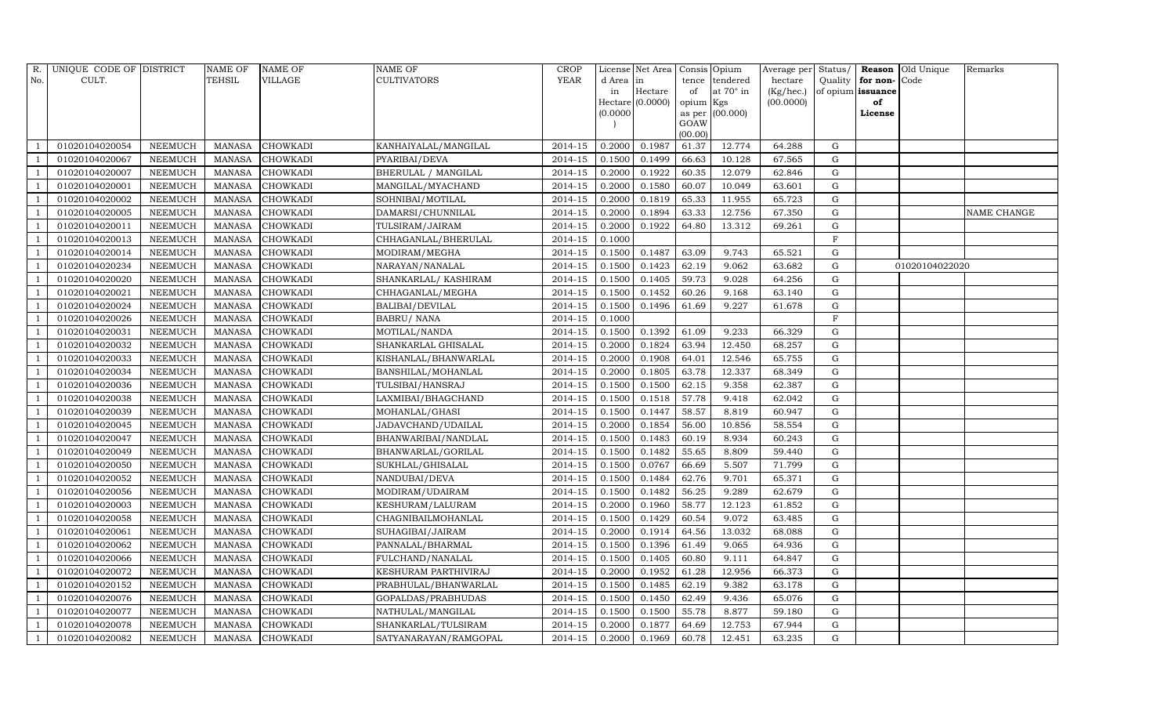| R.                       | UNIQUE CODE OF DISTRICT |                | NAME OF       | <b>NAME OF</b>  | <b>NAME OF</b>        | <b>CROP</b> |          | License Net Area   Consis   Opium |                 |                  | Average per Status/ |             |                   | Reason Old Unique | Remarks     |
|--------------------------|-------------------------|----------------|---------------|-----------------|-----------------------|-------------|----------|-----------------------------------|-----------------|------------------|---------------------|-------------|-------------------|-------------------|-------------|
| No.                      | CULT.                   |                | TEHSIL        | <b>VILLAGE</b>  | <b>CULTIVATORS</b>    | YEAR        | d Area   | in                                | tence           | tendered         | hectare             | Quality     | for non-          | Code              |             |
|                          |                         |                |               |                 |                       |             | in       | Hectare                           | of              | at $70^\circ$ in | (Kg/hec.)           |             | of opium issuance |                   |             |
|                          |                         |                |               |                 |                       |             |          | $Hectare$ (0.0000)                | opium Kgs       |                  | (00.0000)           |             | of                |                   |             |
|                          |                         |                |               |                 |                       |             | (0.0000) |                                   |                 | as per (00.000)  |                     |             | License           |                   |             |
|                          |                         |                |               |                 |                       |             |          |                                   | GOAW<br>(00.00) |                  |                     |             |                   |                   |             |
|                          | 01020104020054          | <b>NEEMUCH</b> | MANASA        | <b>CHOWKADI</b> | KANHAIYALAL/MANGILAL  | 2014-15     | 0.2000   | 0.1987                            | 61.37           | 12.774           | 64.288              | ${\rm G}$   |                   |                   |             |
|                          | 01020104020067          | <b>NEEMUCH</b> | <b>MANASA</b> | <b>CHOWKADI</b> | PYARIBAI/DEVA         | 2014-15     | 0.1500   | 0.1499                            | 66.63           | 10.128           | 67.565              | $\mathbf G$ |                   |                   |             |
| $\overline{1}$           | 01020104020007          | <b>NEEMUCH</b> | <b>MANASA</b> | <b>CHOWKADI</b> | BHERULAL / MANGILAL   | 2014-15     | 0.2000   | 0.1922                            | 60.35           | 12.079           | 62.846              | G           |                   |                   |             |
|                          | 01020104020001          | <b>NEEMUCH</b> | <b>MANASA</b> | <b>CHOWKADI</b> | MANGILAL/MYACHAND     | 2014-15     | 0.2000   | 0.1580                            | 60.07           | 10.049           | 63.601              | ${\rm G}$   |                   |                   |             |
| - 1                      | 01020104020002          | <b>NEEMUCH</b> | <b>MANASA</b> | <b>CHOWKADI</b> | SOHNIBAI/MOTILAL      | 2014-15     | 0.2000   | 0.1819                            | 65.33           | 11.955           | 65.723              | $\mathbf G$ |                   |                   |             |
| $\overline{\phantom{0}}$ | 01020104020005          | <b>NEEMUCH</b> | <b>MANASA</b> | <b>CHOWKADI</b> | DAMARSI/CHUNNILAL     | 2014-15     | 0.2000   | 0.1894                            | 63.33           | 12.756           | 67.350              | $\mathbf G$ |                   |                   | NAME CHANGE |
| $\overline{1}$           | 01020104020011          | <b>NEEMUCH</b> | <b>MANASA</b> | <b>CHOWKADI</b> | TULSIRAM/JAIRAM       | 2014-15     | 0.2000   | 0.1922                            | 64.80           | 13.312           | 69.261              | ${\rm G}$   |                   |                   |             |
| - 1                      | 01020104020013          | <b>NEEMUCH</b> | <b>MANASA</b> | <b>CHOWKADI</b> | CHHAGANLAL/BHERULAL   | 2014-15     | 0.1000   |                                   |                 |                  |                     | F           |                   |                   |             |
|                          | 01020104020014          | <b>NEEMUCH</b> | <b>MANASA</b> | <b>CHOWKADI</b> | MODIRAM/MEGHA         | 2014-15     | 0.1500   | 0.1487                            | 63.09           | 9.743            | 65.521              | $\mathbf G$ |                   |                   |             |
| $\overline{1}$           | 01020104020234          | <b>NEEMUCH</b> | <b>MANASA</b> | <b>CHOWKADI</b> | NARAYAN/NANALAL       | 2014-15     | 0.1500   | 0.1423                            | 62.19           | 9.062            | 63.682              | $\mathbf G$ |                   | 01020104022020    |             |
| $\overline{1}$           | 01020104020020          | <b>NEEMUCH</b> | <b>MANASA</b> | <b>CHOWKADI</b> | SHANKARLAL/KASHIRAM   | 2014-15     | 0.1500   | 0.1405                            | 59.73           | 9.028            | 64.256              | $\mathbf G$ |                   |                   |             |
| - 1                      | 01020104020021          | <b>NEEMUCH</b> | <b>MANASA</b> | <b>CHOWKADI</b> | CHHAGANLAL/MEGHA      | 2014-15     | 0.1500   | 0.1452                            | 60.26           | 9.168            | 63.140              | $\mathbf G$ |                   |                   |             |
| $\overline{1}$           | 01020104020024          | <b>NEEMUCH</b> | <b>MANASA</b> | <b>CHOWKADI</b> | BALIBAI/DEVILAL       | 2014-15     | 0.1500   | 0.1496                            | 61.69           | 9.227            | 61.678              | $\mathbf G$ |                   |                   |             |
|                          | 01020104020026          | <b>NEEMUCH</b> | <b>MANASA</b> | <b>CHOWKADI</b> | <b>BABRU/ NANA</b>    | 2014-15     | 0.1000   |                                   |                 |                  |                     | $\rm F$     |                   |                   |             |
| -1                       | 01020104020031          | <b>NEEMUCH</b> | <b>MANASA</b> | <b>CHOWKADI</b> | MOTILAL/NANDA         | 2014-15     | 0.1500   | 0.1392                            | 61.09           | 9.233            | 66.329              | ${\rm G}$   |                   |                   |             |
| $\overline{1}$           | 01020104020032          | <b>NEEMUCH</b> | <b>MANASA</b> | <b>CHOWKADI</b> | SHANKARLAL GHISALAL   | 2014-15     | 0.2000   | 0.1824                            | 63.94           | 12.450           | 68.257              | G           |                   |                   |             |
| - 1                      | 01020104020033          | <b>NEEMUCH</b> | <b>MANASA</b> | <b>CHOWKADI</b> | KISHANLAL/BHANWARLAL  | 2014-15     | 0.2000   | 0.1908                            | 64.01           | 12.546           | 65.755              | G           |                   |                   |             |
| $\overline{\phantom{0}}$ | 01020104020034          | <b>NEEMUCH</b> | <b>MANASA</b> | <b>CHOWKADI</b> | BANSHILAL/MOHANLAL    | $2014 - 15$ | 0.2000   | 0.1805                            | 63.78           | 12.337           | 68.349              | $\mathbf G$ |                   |                   |             |
|                          | 01020104020036          | <b>NEEMUCH</b> | <b>MANASA</b> | <b>CHOWKADI</b> | TULSIBAI/HANSRAJ      | 2014-15     | 0.1500   | 0.1500                            | 62.15           | 9.358            | 62.387              | G           |                   |                   |             |
| $\overline{1}$           | 01020104020038          | <b>NEEMUCH</b> | <b>MANASA</b> | <b>CHOWKADI</b> | LAXMIBAI/BHAGCHAND    | 2014-15     | 0.1500   | 0.1518                            | 57.78           | 9.418            | 62.042              | G           |                   |                   |             |
|                          | 01020104020039          | <b>NEEMUCH</b> | <b>MANASA</b> | <b>CHOWKADI</b> | MOHANLAL/GHASI        | 2014-15     | 0.1500   | 0.1447                            | 58.57           | 8.819            | 60.947              | $\mathbf G$ |                   |                   |             |
| - 1                      | 01020104020045          | <b>NEEMUCH</b> | <b>MANASA</b> | <b>CHOWKADI</b> | JADAVCHAND/UDAILAL    | 2014-15     | 0.2000   | 0.1854                            | 56.00           | 10.856           | 58.554              | G           |                   |                   |             |
| $\overline{\phantom{0}}$ | 01020104020047          | NEEMUCH        | <b>MANASA</b> | <b>CHOWKADI</b> | BHANWARIBAI/NANDLAL   | 2014-15     | 0.1500   | 0.1483                            | 60.19           | 8.934            | 60.243              | $\mathbf G$ |                   |                   |             |
| $\overline{1}$           | 01020104020049          | <b>NEEMUCH</b> | <b>MANASA</b> | <b>CHOWKADI</b> | BHANWARLAL/GORILAL    | 2014-15     | 0.1500   | 0.1482                            | 55.65           | 8.809            | 59.440              | ${\bf G}$   |                   |                   |             |
| $\overline{1}$           | 01020104020050          | <b>NEEMUCH</b> | <b>MANASA</b> | <b>CHOWKADI</b> | SUKHLAL/GHISALAL      | 2014-15     | 0.1500   | 0.0767                            | 66.69           | 5.507            | 71.799              | ${\rm G}$   |                   |                   |             |
|                          | 01020104020052          | <b>NEEMUCH</b> | <b>MANASA</b> | <b>CHOWKADI</b> | NANDUBAI/DEVA         | 2014-15     | 0.1500   | 0.1484                            | 62.76           | 9.701            | 65.371              | $\mathbf G$ |                   |                   |             |
| $\overline{1}$           | 01020104020056          | <b>NEEMUCH</b> | <b>MANASA</b> | <b>CHOWKADI</b> | MODIRAM/UDAIRAM       | 2014-15     | 0.1500   | 0.1482                            | 56.25           | 9.289            | 62.679              | G           |                   |                   |             |
| $\overline{\phantom{0}}$ | 01020104020003          | <b>NEEMUCH</b> | <b>MANASA</b> | <b>CHOWKADI</b> | KESHURAM/LALURAM      | 2014-15     | 0.2000   | 0.1960                            | 58.77           | 12.123           | 61.852              | $\mathbf G$ |                   |                   |             |
| - 1                      | 01020104020058          | <b>NEEMUCH</b> | <b>MANASA</b> | <b>CHOWKADI</b> | CHAGNIBAILMOHANLAL    | 2014-15     | 0.1500   | 0.1429                            | 60.54           | 9.072            | 63.485              | ${\rm G}$   |                   |                   |             |
| $\overline{1}$           | 01020104020061          | <b>NEEMUCH</b> | <b>MANASA</b> | <b>CHOWKADI</b> | SUHAGIBAI/JAIRAM      | 2014-15     | 0.2000   | 0.1914                            | 64.56           | 13.032           | 68.088              | ${\rm G}$   |                   |                   |             |
|                          | 01020104020062          | <b>NEEMUCH</b> | <b>MANASA</b> | <b>CHOWKADI</b> | PANNALAL/BHARMAL      | 2014-15     | 0.1500   | 0.1396                            | 61.49           | 9.065            | 64.936              | $\mathbf G$ |                   |                   |             |
| - 1                      | 01020104020066          | <b>NEEMUCH</b> | <b>MANASA</b> | <b>CHOWKADI</b> | FULCHAND/NANALAL      | 2014-15     | 0.1500   | 0.1405                            | 60.80           | 9.111            | 64.847              | $\mathbf G$ |                   |                   |             |
| $\overline{\phantom{0}}$ | 01020104020072          | <b>NEEMUCH</b> | <b>MANASA</b> | <b>CHOWKADI</b> | KESHURAM PARTHIVIRAJ  | 2014-15     | 0.2000   | 0.1952                            | 61.28           | 12.956           | 66.373              | $\mathbf G$ |                   |                   |             |
| $\overline{1}$           | 01020104020152          | <b>NEEMUCH</b> | <b>MANASA</b> | <b>CHOWKADI</b> | PRABHULAL/BHANWARLAL  | 2014-15     | 0.1500   | 0.1485                            | 62.19           | 9.382            | 63.178              | $\mathbf G$ |                   |                   |             |
| $\overline{1}$           | 01020104020076          | <b>NEEMUCH</b> | <b>MANASA</b> | <b>CHOWKADI</b> | GOPALDAS/PRABHUDAS    | 2014-15     | 0.1500   | 0.1450                            | 62.49           | 9.436            | 65.076              | ${\rm G}$   |                   |                   |             |
|                          | 01020104020077          | <b>NEEMUCH</b> | <b>MANASA</b> | CHOWKADI        | NATHULAL/MANGILAL     | 2014-15     | 0.1500   | 0.1500                            | 55.78           | 8.877            | 59.180              | G           |                   |                   |             |
| -1                       | 01020104020078          | <b>NEEMUCH</b> | <b>MANASA</b> | <b>CHOWKADI</b> | SHANKARLAL/TULSIRAM   | 2014-15     | 0.2000   | 0.1877                            | 64.69           | 12.753           | 67.944              | ${\rm G}$   |                   |                   |             |
| $\overline{1}$           | 01020104020082          | <b>NEEMUCH</b> |               | MANASA CHOWKADI | SATYANARAYAN/RAMGOPAL | 2014-15     | 0.2000   | 0.1969                            | 60.78           | 12.451           | 63.235              | G           |                   |                   |             |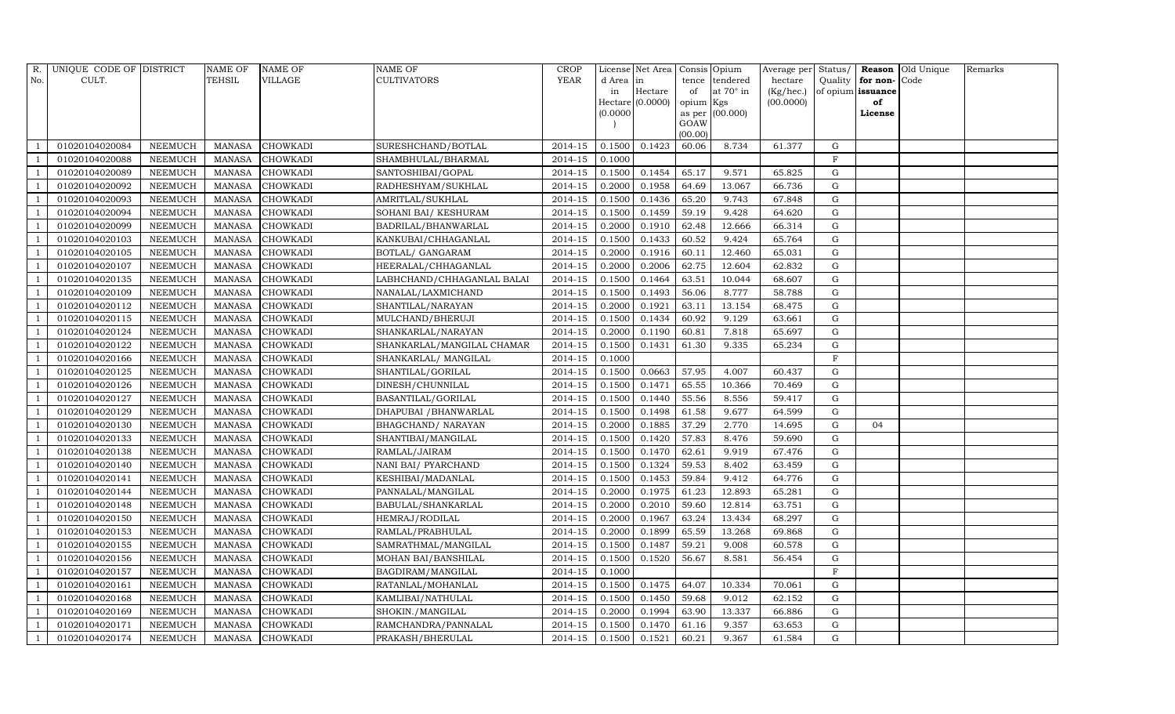| R.  | UNIQUE CODE OF DISTRICT |                | <b>NAME OF</b> | <b>NAME OF</b>  | NAME OF                    | <b>CROP</b>          |          | License Net Area   Consis   Opium |           |                  | Average per Status/           |              |          | Reason Old Unique | Remarks |
|-----|-------------------------|----------------|----------------|-----------------|----------------------------|----------------------|----------|-----------------------------------|-----------|------------------|-------------------------------|--------------|----------|-------------------|---------|
| No. | CULT.                   |                | TEHSIL         | <b>VILLAGE</b>  | <b>CULTIVATORS</b>         | YEAR                 | d Area   | in                                | tence     | tendered         | hectare                       | Quality      | for non- | Code              |         |
|     |                         |                |                |                 |                            |                      | in       | Hectare                           | of        | at $70^\circ$ in | $(Kg/hec.)$ of opium issuance |              |          |                   |         |
|     |                         |                |                |                 |                            |                      |          | Hectare (0.0000)                  | opium Kgs |                  | (00.0000)                     |              | of       |                   |         |
|     |                         |                |                |                 |                            |                      | (0.0000) |                                   | GOAW      | as per (00.000)  |                               |              | License  |                   |         |
|     |                         |                |                |                 |                            |                      |          |                                   | (00.00)   |                  |                               |              |          |                   |         |
|     | 01020104020084          | <b>NEEMUCH</b> | <b>MANASA</b>  | <b>CHOWKADI</b> | SURESHCHAND/BOTLAL         | $\overline{2014-15}$ | 0.1500   | 0.1423                            | 60.06     | 8.734            | 61.377                        | ${\rm G}$    |          |                   |         |
|     | 01020104020088          | <b>NEEMUCH</b> | <b>MANASA</b>  | <b>CHOWKADI</b> | SHAMBHULAL/BHARMAL         | 2014-15              | 0.1000   |                                   |           |                  |                               | $\rm F$      |          |                   |         |
|     | 01020104020089          | <b>NEEMUCH</b> | <b>MANASA</b>  | <b>CHOWKADI</b> | SANTOSHIBAI/GOPAL          | 2014-15              | 0.1500   | 0.1454                            | 65.17     | 9.571            | 65.825                        | G            |          |                   |         |
|     | 01020104020092          | <b>NEEMUCH</b> | <b>MANASA</b>  | <b>CHOWKADI</b> | RADHESHYAM/SUKHLAL         | 2014-15              | 0.2000   | 0.1958                            | 64.69     | 13.067           | 66.736                        | ${\rm G}$    |          |                   |         |
|     | 01020104020093          | <b>NEEMUCH</b> | <b>MANASA</b>  | <b>CHOWKADI</b> | AMRITLAL/SUKHLAL           | 2014-15              | 0.1500   | 0.1436                            | 65.20     | 9.743            | 67.848                        | $\mathbf G$  |          |                   |         |
|     | 01020104020094          | <b>NEEMUCH</b> | <b>MANASA</b>  | <b>CHOWKADI</b> | SOHANI BAI/ KESHURAM       | 2014-15              | 0.1500   | 0.1459                            | 59.19     | 9.428            | 64.620                        | G            |          |                   |         |
|     | 01020104020099          | <b>NEEMUCH</b> | <b>MANASA</b>  | <b>CHOWKADI</b> | BADRILAL/BHANWARLAL        | 2014-15              | 0.2000   | 0.1910                            | 62.48     | 12.666           | 66.314                        | ${\rm G}$    |          |                   |         |
|     | 01020104020103          | <b>NEEMUCH</b> | <b>MANASA</b>  | <b>CHOWKADI</b> | KANKUBAI/CHHAGANLAL        | 2014-15              | 0.1500   | 0.1433                            | 60.52     | 9.424            | 65.764                        | $\mathbf G$  |          |                   |         |
|     | 01020104020105          | <b>NEEMUCH</b> | <b>MANASA</b>  | <b>CHOWKADI</b> | BOTLAL/ GANGARAM           | 2014-15              | 0.2000   | 0.1916                            | 60.11     | 12.460           | 65.031                        | G            |          |                   |         |
|     | 01020104020107          | <b>NEEMUCH</b> | <b>MANASA</b>  | <b>CHOWKADI</b> | HEERALAL/CHHAGANLAL        | 2014-15              | 0.2000   | 0.2006                            | 62.75     | 12.604           | 62.832                        | G            |          |                   |         |
|     | 01020104020135          | <b>NEEMUCH</b> | <b>MANASA</b>  | <b>CHOWKADI</b> | LABHCHAND/CHHAGANLAL BALAI | 2014-15              | 0.1500   | 0.1464                            | 63.51     | 10.044           | 68.607                        | G            |          |                   |         |
|     | 01020104020109          | <b>NEEMUCH</b> | <b>MANASA</b>  | <b>CHOWKADI</b> | NANALAL/LAXMICHAND         | 2014-15              | 0.1500   | 0.1493                            | 56.06     | 8.777            | 58.788                        | $\mathbf G$  |          |                   |         |
|     | 01020104020112          | <b>NEEMUCH</b> | <b>MANASA</b>  | <b>CHOWKADI</b> | SHANTILAL/NARAYAN          | 2014-15              | 0.2000   | 0.1921                            | 63.11     | 13.154           | 68.475                        | $\mathbf G$  |          |                   |         |
|     | 01020104020115          | <b>NEEMUCH</b> | <b>MANASA</b>  | <b>CHOWKADI</b> | MULCHAND/BHERUJI           | 2014-15              | 0.1500   | 0.1434                            | 60.92     | 9.129            | 63.661                        | $\mathbf G$  |          |                   |         |
|     | 01020104020124          | <b>NEEMUCH</b> | <b>MANASA</b>  | <b>CHOWKADI</b> | SHANKARLAL/NARAYAN         | 2014-15              | 0.2000   | 0.1190                            | 60.81     | 7.818            | 65.697                        | ${\rm G}$    |          |                   |         |
|     | 01020104020122          | <b>NEEMUCH</b> | <b>MANASA</b>  | <b>CHOWKADI</b> | SHANKARLAL/MANGILAL CHAMAR | 2014-15              | 0.1500   | 0.1431                            | 61.30     | 9.335            | 65.234                        | G            |          |                   |         |
|     | 01020104020166          | <b>NEEMUCH</b> | <b>MANASA</b>  | <b>CHOWKADI</b> | SHANKARLAL/ MANGILAL       | 2014-15              | 0.1000   |                                   |           |                  |                               | $\mathbf F$  |          |                   |         |
|     | 01020104020125          | <b>NEEMUCH</b> | <b>MANASA</b>  | <b>CHOWKADI</b> | SHANTILAL/GORILAL          | 2014-15              | 0.1500   | 0.0663                            | 57.95     | 4.007            | 60.437                        | ${\rm G}$    |          |                   |         |
|     | 01020104020126          | <b>NEEMUCH</b> | <b>MANASA</b>  | <b>CHOWKADI</b> | DINESH/CHUNNILAL           | 2014-15              | 0.1500   | 0.1471                            | 65.55     | 10.366           | 70.469                        | ${\rm G}$    |          |                   |         |
|     | 01020104020127          | <b>NEEMUCH</b> | <b>MANASA</b>  | CHOWKADI        | BASANTILAL/GORILAL         | 2014-15              | 0.1500   | 0.1440                            | 55.56     | 8.556            | 59.417                        | ${\rm G}$    |          |                   |         |
|     | 01020104020129          | <b>NEEMUCH</b> | <b>MANASA</b>  | <b>CHOWKADI</b> | DHAPUBAI / BHANWARLAL      | 2014-15              | 0.1500   | 0.1498                            | 61.58     | 9.677            | 64.599                        | ${\rm G}$    |          |                   |         |
|     | 01020104020130          | <b>NEEMUCH</b> | <b>MANASA</b>  | <b>CHOWKADI</b> | BHAGCHAND/ NARAYAN         | $2014 - 15$          | 0.2000   | 0.1885                            | 37.29     | 2.770            | 14.695                        | ${\rm G}$    | 04       |                   |         |
|     | 01020104020133          | <b>NEEMUCH</b> | <b>MANASA</b>  | <b>CHOWKADI</b> | SHANTIBAI/MANGILAL         | 2014-15              | 0.1500   | 0.1420                            | 57.83     | 8.476            | 59.690                        | $\mathbf G$  |          |                   |         |
|     | 01020104020138          | <b>NEEMUCH</b> | <b>MANASA</b>  | <b>CHOWKADI</b> | RAMLAL/JAIRAM              | 2014-15              | 0.1500   | 0.1470                            | 62.61     | 9.919            | 67.476                        | ${\rm G}$    |          |                   |         |
|     | 01020104020140          | <b>NEEMUCH</b> | <b>MANASA</b>  | <b>CHOWKADI</b> | NANI BAI/ PYARCHAND        | 2014-15              | 0.1500   | 0.1324                            | 59.53     | 8.402            | 63.459                        | ${\rm G}$    |          |                   |         |
|     | 01020104020141          | <b>NEEMUCH</b> | MANASA         | <b>CHOWKADI</b> | KESHIBAI/MADANLAL          | 2014-15              | 0.1500   | 0.1453                            | 59.84     | 9.412            | 64.776                        | G            |          |                   |         |
|     | 01020104020144          | <b>NEEMUCH</b> | <b>MANASA</b>  | <b>CHOWKADI</b> | PANNALAL/MANGILAL          | 2014-15              | 0.2000   | 0.1975                            | 61.23     | 12.893           | 65.281                        | ${\rm G}$    |          |                   |         |
|     | 01020104020148          | <b>NEEMUCH</b> | <b>MANASA</b>  | <b>CHOWKADI</b> | BABULAL/SHANKARLAL         | 2014-15              | 0.2000   | 0.2010                            | 59.60     | 12.814           | 63.751                        | ${\rm G}$    |          |                   |         |
|     | 01020104020150          | <b>NEEMUCH</b> | <b>MANASA</b>  | <b>CHOWKADI</b> | HEMRAJ/RODILAL             | 2014-15              | 0.2000   | 0.1967                            | 63.24     | 13.434           | 68.297                        | $\mathbf G$  |          |                   |         |
|     | 01020104020153          | <b>NEEMUCH</b> | <b>MANASA</b>  | CHOWKADI        | RAMLAL/PRABHULAL           | 2014-15              | 0.2000   | 0.1899                            | 65.59     | 13.268           | 69.868                        | ${\rm G}$    |          |                   |         |
|     | 01020104020155          | <b>NEEMUCH</b> | <b>MANASA</b>  | <b>CHOWKADI</b> | SAMRATHMAL/MANGILAL        | 2014-15              | 0.1500   | 0.1487                            | 59.21     | 9.008            | 60.578                        | G            |          |                   |         |
|     | 01020104020156          | <b>NEEMUCH</b> | <b>MANASA</b>  | <b>CHOWKADI</b> | MOHAN BAI/BANSHILAL        | 2014-15              | 0.1500   | 0.1520                            | 56.67     | 8.581            | 56.454                        | $\mathbf G$  |          |                   |         |
|     | 01020104020157          | <b>NEEMUCH</b> | <b>MANASA</b>  | <b>CHOWKADI</b> | BAGDIRAM/MANGILAL          | $2014 - 15$          | 0.1000   |                                   |           |                  |                               | $\mathbf{F}$ |          |                   |         |
|     | 01020104020161          | <b>NEEMUCH</b> | <b>MANASA</b>  | <b>CHOWKADI</b> | RATANLAL/MOHANLAL          | 2014-15              | 0.1500   | 0.1475                            | 64.07     | 10.334           | 70.061                        | $\mathbf G$  |          |                   |         |
|     | 01020104020168          | <b>NEEMUCH</b> | <b>MANASA</b>  | <b>CHOWKADI</b> | KAMLIBAI/NATHULAL          | 2014-15              | 0.1500   | 0.1450                            | 59.68     | 9.012            | 62.152                        | ${\rm G}$    |          |                   |         |
|     | 01020104020169          | <b>NEEMUCH</b> | <b>MANASA</b>  | <b>CHOWKADI</b> | SHOKIN./MANGILAL           | 2014-15              | 0.2000   | 0.1994                            | 63.90     | 13.337           | 66.886                        | G            |          |                   |         |
|     | 01020104020171          | NEEMUCH        | <b>MANASA</b>  | <b>CHOWKADI</b> | RAMCHANDRA/PANNALAL        | 2014-15              | 0.1500   | 0.1470                            | 61.16     | 9.357            | 63.653                        | ${\rm G}$    |          |                   |         |
| -1  | 01020104020174          | <b>NEEMUCH</b> |                | MANASA CHOWKADI | PRAKASH/BHERULAL           | 2014-15              | 0.1500   | 0.1521                            | 60.21     | 9.367            | 61.584                        | $\mathbf G$  |          |                   |         |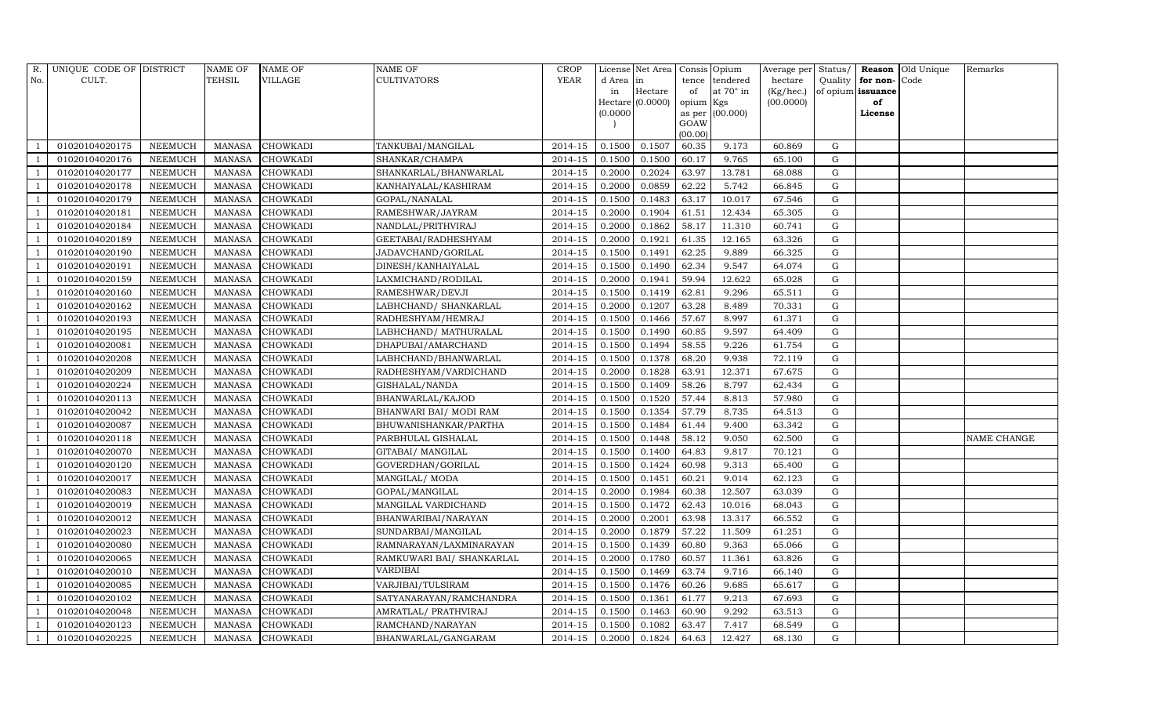| R.                       | UNIQUE CODE OF DISTRICT |                | <b>NAME OF</b> | <b>NAME OF</b>  | <b>NAME OF</b>            | <b>CROP</b> |          | License Net Area   Consis   Opium |                 |                   | Average per | Status/     |                   | <b>Reason</b> Old Unique | Remarks     |
|--------------------------|-------------------------|----------------|----------------|-----------------|---------------------------|-------------|----------|-----------------------------------|-----------------|-------------------|-------------|-------------|-------------------|--------------------------|-------------|
| No.                      | CULT.                   |                | <b>TEHSIL</b>  | <b>VILLAGE</b>  | <b>CULTIVATORS</b>        | YEAR        | d Area   | in                                | tence           | tendered          | hectare     | Quality     | for non-          | Code                     |             |
|                          |                         |                |                |                 |                           |             | in       | Hectare                           | of              | at $70^\circ$ in  | (Kg/hec.)   |             | of opium issuance |                          |             |
|                          |                         |                |                |                 |                           |             |          | $Hectare$ (0.0000)                | opium Kgs       |                   | (00.0000)   |             | of                |                          |             |
|                          |                         |                |                |                 |                           |             | (0.0000) |                                   |                 | as per $(00.000)$ |             |             | License           |                          |             |
|                          |                         |                |                |                 |                           |             |          |                                   | GOAW<br>(00.00) |                   |             |             |                   |                          |             |
|                          | 01020104020175          | <b>NEEMUCH</b> | MANASA         | <b>CHOWKADI</b> | TANKUBAI/MANGILAL         | 2014-15     | 0.1500   | 0.1507                            | 60.35           | 9.173             | 60.869      | G           |                   |                          |             |
|                          | 01020104020176          | <b>NEEMUCH</b> | <b>MANASA</b>  | <b>CHOWKADI</b> | SHANKAR/CHAMPA            | 2014-15     | 0.1500   | 0.1500                            | 60.17           | 9.765             | 65.100      | $\mathbf G$ |                   |                          |             |
| $\overline{1}$           | 01020104020177          | <b>NEEMUCH</b> | <b>MANASA</b>  | <b>CHOWKADI</b> | SHANKARLAL/BHANWARLAL     | $2014 - 15$ | 0.2000   | 0.2024                            | 63.97           | 13.781            | 68.088      | G           |                   |                          |             |
|                          | 01020104020178          | <b>NEEMUCH</b> | <b>MANASA</b>  | <b>CHOWKADI</b> | KANHAIYALAL/KASHIRAM      | 2014-15     | 0.2000   | 0.0859                            | 62.22           | 5.742             | 66.845      | ${\bf G}$   |                   |                          |             |
| - 1                      | 01020104020179          | <b>NEEMUCH</b> | <b>MANASA</b>  | <b>CHOWKADI</b> | GOPAL/NANALAL             | 2014-15     | 0.1500   | 0.1483                            | 63.17           | 10.017            | 67.546      | $\mathbf G$ |                   |                          |             |
| $\overline{1}$           | 01020104020181          | <b>NEEMUCH</b> | <b>MANASA</b>  | <b>CHOWKADI</b> | RAMESHWAR/JAYRAM          | 2014-15     | 0.2000   | 0.1904                            | 61.51           | 12.434            | 65.305      | $\mathbf G$ |                   |                          |             |
| $\overline{1}$           | 01020104020184          | <b>NEEMUCH</b> | <b>MANASA</b>  | <b>CHOWKADI</b> | NANDLAL/PRITHVIRAJ        | 2014-15     | 0.2000   | 0.1862                            | 58.17           | 11.310            | 60.741      | ${\rm G}$   |                   |                          |             |
|                          | 01020104020189          | <b>NEEMUCH</b> | <b>MANASA</b>  | <b>CHOWKADI</b> | GEETABAI/RADHESHYAM       | 2014-15     | 0.2000   | 0.1921                            | 61.35           | 12.165            | 63.326      | $\mathbf G$ |                   |                          |             |
|                          | 01020104020190          | <b>NEEMUCH</b> | <b>MANASA</b>  | <b>CHOWKADI</b> | JADAVCHAND/GORILAL        | $2014 - 15$ | 0.1500   | 0.1491                            | 62.25           | 9.889             | 66.325      | $\mathbf G$ |                   |                          |             |
| $\overline{1}$           | 01020104020191          | <b>NEEMUCH</b> | <b>MANASA</b>  | <b>CHOWKADI</b> | DINESH/KANHAIYALAL        | 2014-15     | 0.1500   | 0.1490                            | 62.34           | 9.547             | 64.074      | $\mathbf G$ |                   |                          |             |
| $\overline{1}$           | 01020104020159          | <b>NEEMUCH</b> | <b>MANASA</b>  | <b>CHOWKADI</b> | LAXMICHAND/RODILAL        | 2014-15     | 0.2000   | 0.1941                            | 59.94           | 12.622            | 65.028      | $\mathbf G$ |                   |                          |             |
| - 1                      | 01020104020160          | <b>NEEMUCH</b> | <b>MANASA</b>  | <b>CHOWKADI</b> | RAMESHWAR/DEVJI           | 2014-15     | 0.1500   | 0.1419                            | 62.81           | 9.296             | 65.511      | G           |                   |                          |             |
| $\overline{1}$           | 01020104020162          | <b>NEEMUCH</b> | <b>MANASA</b>  | <b>CHOWKADI</b> | LABHCHAND/ SHANKARLAL     | $2014 - 15$ | 0.2000   | 0.1207                            | 63.28           | 8.489             | 70.331      | $\mathbf G$ |                   |                          |             |
|                          | 01020104020193          | <b>NEEMUCH</b> | <b>MANASA</b>  | <b>CHOWKADI</b> | RADHESHYAM/HEMRAJ         | 2014-15     | 0.1500   | 0.1466                            | 57.67           | 8.997             | 61.371      | G           |                   |                          |             |
|                          | 01020104020195          | <b>NEEMUCH</b> | <b>MANASA</b>  | <b>CHOWKADI</b> | LABHCHAND/ MATHURALAL     | 2014-15     | 0.1500   | 0.1490                            | 60.85           | 9.597             | 64.409      | ${\rm G}$   |                   |                          |             |
| $\overline{\phantom{0}}$ | 01020104020081          | <b>NEEMUCH</b> | <b>MANASA</b>  | <b>CHOWKADI</b> | DHAPUBAI/AMARCHAND        | 2014-15     | 0.1500   | 0.1494                            | 58.55           | 9.226             | 61.754      | G           |                   |                          |             |
| $\overline{1}$           | 01020104020208          | <b>NEEMUCH</b> | <b>MANASA</b>  | <b>CHOWKADI</b> | LABHCHAND/BHANWARLAL      | 2014-15     | 0.1500   | 0.1378                            | 68.20           | 9.938             | 72.119      | G           |                   |                          |             |
| $\overline{\phantom{0}}$ | 01020104020209          | <b>NEEMUCH</b> | <b>MANASA</b>  | <b>CHOWKADI</b> | RADHESHYAM/VARDICHAND     | 2014-15     | 0.2000   | 0.1828                            | 63.91           | 12.371            | 67.675      | $\mathbf G$ |                   |                          |             |
|                          | 01020104020224          | <b>NEEMUCH</b> | <b>MANASA</b>  | <b>CHOWKADI</b> | GISHALAL/NANDA            | 2014-15     | 0.1500   | 0.1409                            | 58.26           | 8.797             | 62.434      | $\mathbf G$ |                   |                          |             |
| $\overline{1}$           | 01020104020113          | <b>NEEMUCH</b> | <b>MANASA</b>  | <b>CHOWKADI</b> | BHANWARLAL/KAJOD          | 2014-15     | 0.1500   | 0.1520                            | 57.44           | 8.813             | 57.980      | G           |                   |                          |             |
|                          | 01020104020042          | <b>NEEMUCH</b> | <b>MANASA</b>  | <b>CHOWKADI</b> | BHANWARI BAI/ MODI RAM    | 2014-15     | 0.1500   | 0.1354                            | 57.79           | 8.735             | 64.513      | $\mathbf G$ |                   |                          |             |
| - 1                      | 01020104020087          | <b>NEEMUCH</b> | <b>MANASA</b>  | <b>CHOWKADI</b> | BHUWANISHANKAR/PARTHA     | 2014-15     | 0.1500   | 0.1484                            | 61.44           | 9.400             | 63.342      | G           |                   |                          |             |
| $\overline{\phantom{0}}$ | 01020104020118          | <b>NEEMUCH</b> | <b>MANASA</b>  | CHOWKADI        | PARBHULAL GISHALAL        | 2014-15     | 0.1500   | 0.1448                            | 58.12           | 9.050             | 62.500      | $\mathbf G$ |                   |                          | NAME CHANGE |
| $\overline{1}$           | 01020104020070          | <b>NEEMUCH</b> | <b>MANASA</b>  | <b>CHOWKADI</b> | GITABAI/ MANGILAL         | 2014-15     | 0.1500   | 0.1400                            | 64.83           | 9.817             | 70.121      | ${\bf G}$   |                   |                          |             |
| - 1                      | 01020104020120          | <b>NEEMUCH</b> | <b>MANASA</b>  | <b>CHOWKADI</b> | GOVERDHAN/GORILAL         | $2014 - 15$ | 0.1500   | 0.1424                            | 60.98           | 9.313             | 65.400      | ${\rm G}$   |                   |                          |             |
|                          | 01020104020017          | <b>NEEMUCH</b> | <b>MANASA</b>  | CHOWKADI        | MANGILAL/ MODA            | 2014-15     | 0.1500   | 0.1451                            | 60.21           | 9.014             | 62.123      | $\mathbf G$ |                   |                          |             |
| $\overline{1}$           | 01020104020083          | <b>NEEMUCH</b> | <b>MANASA</b>  | <b>CHOWKADI</b> | GOPAL/MANGILAL            | 2014-15     | 0.2000   | 0.1984                            | 60.38           | 12.507            | 63.039      | G           |                   |                          |             |
|                          | 01020104020019          | <b>NEEMUCH</b> | <b>MANASA</b>  | <b>CHOWKADI</b> | MANGILAL VARDICHAND       | 2014-15     | 0.1500   | 0.1472                            | 62.43           | 10.016            | 68.043      | $\mathbf G$ |                   |                          |             |
| - 1                      | 01020104020012          | <b>NEEMUCH</b> | <b>MANASA</b>  | <b>CHOWKADI</b> | BHANWARIBAI/NARAYAN       | 2014-15     | 0.2000   | 0.2001                            | 63.98           | 13.317            | 66.552      | $\mathbf G$ |                   |                          |             |
| $\overline{1}$           | 01020104020023          | <b>NEEMUCH</b> | <b>MANASA</b>  | CHOWKADI        | SUNDARBAI/MANGILAL        | 2014-15     | 0.2000   | 0.1879                            | 57.22           | 11.509            | 61.251      | $\mathbf G$ |                   |                          |             |
|                          | 01020104020080          | <b>NEEMUCH</b> | <b>MANASA</b>  | <b>CHOWKADI</b> | RAMNARAYAN/LAXMINARAYAN   | 2014-15     | 0.1500   | 0.1439                            | 60.80           | 9.363             | 65.066      | $\mathbf G$ |                   |                          |             |
| - 1                      | 01020104020065          | <b>NEEMUCH</b> | <b>MANASA</b>  | <b>CHOWKADI</b> | RAMKUWARI BAI/ SHANKARLAL | 2014-15     | 0.2000   | 0.1780                            | 60.57           | 11.361            | 63.826      | $\mathbf G$ |                   |                          |             |
| $\overline{\phantom{0}}$ | 01020104020010          | <b>NEEMUCH</b> | <b>MANASA</b>  | <b>CHOWKADI</b> | <b>VARDIBAI</b>           | 2014-15     | 0.1500   | 0.1469                            | 63.74           | 9.716             | 66.140      | G           |                   |                          |             |
| $\overline{1}$           | 01020104020085          | <b>NEEMUCH</b> | <b>MANASA</b>  | <b>CHOWKADI</b> | VARJIBAI/TULSIRAM         | 2014-15     | 0.1500   | 0.1476                            | 60.26           | 9.685             | 65.617      | $\mathbf G$ |                   |                          |             |
| $\overline{\phantom{0}}$ | 01020104020102          | <b>NEEMUCH</b> | <b>MANASA</b>  | <b>CHOWKADI</b> | SATYANARAYAN/RAMCHANDRA   | 2014-15     | 0.1500   | 0.1361                            | 61.77           | 9.213             | 67.693      | ${\rm G}$   |                   |                          |             |
|                          | 01020104020048          | <b>NEEMUCH</b> | <b>MANASA</b>  | CHOWKADI        | AMRATLAL/ PRATHVIRAJ      | 2014-15     | 0.1500   | 0.1463                            | 60.90           | 9.292             | 63.513      | $\mathbf G$ |                   |                          |             |
| -1                       | 01020104020123          | <b>NEEMUCH</b> | <b>MANASA</b>  | <b>CHOWKADI</b> | RAMCHAND/NARAYAN          | 2014-15     | 0.1500   | 0.1082                            | 63.47           | 7.417             | 68.549      | G           |                   |                          |             |
| $\overline{1}$           | 01020104020225          | <b>NEEMUCH</b> | MANASA         | <b>CHOWKADI</b> | BHANWARLAL/GANGARAM       | 2014-15     | 0.2000   | 0.1824                            | 64.63           | 12.427            | 68.130      | G           |                   |                          |             |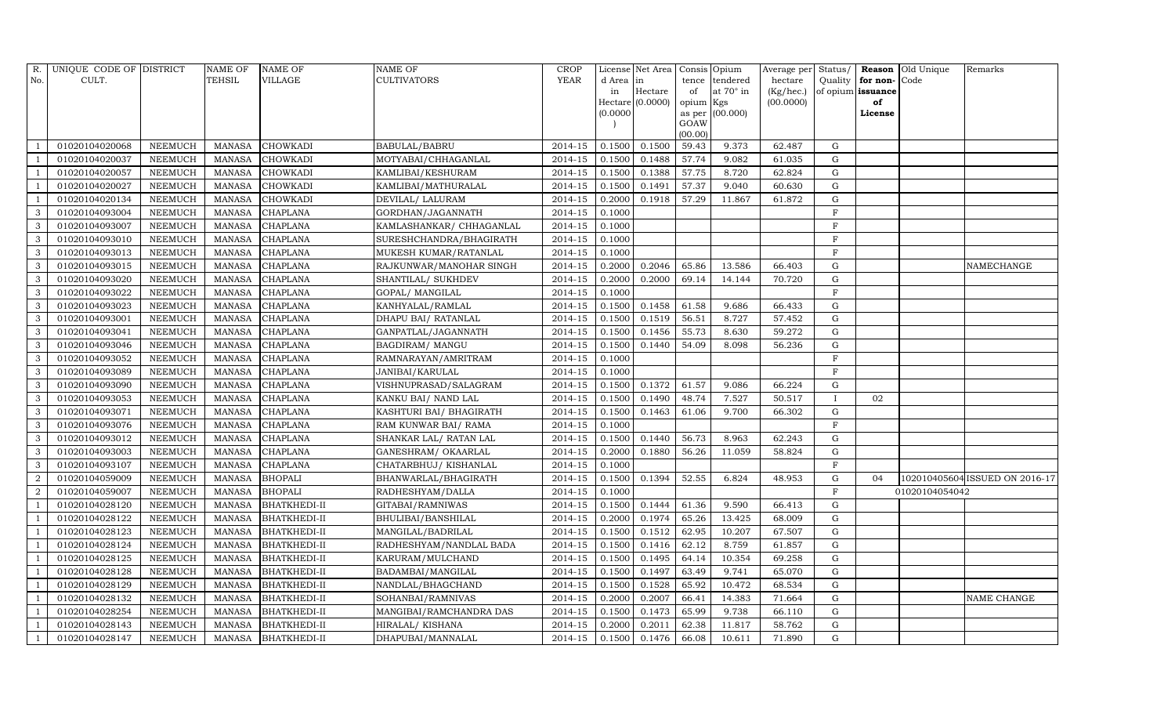| R.             | UNIQUE CODE OF DISTRICT |                | <b>NAME OF</b> | <b>NAME OF</b>      | <b>NAME OF</b>           | <b>CROP</b> |           | License Net Area | Consis Opium    |                 |           |             |                   | Average per Status/ <b>Reason</b> Old Unique | Remarks                        |
|----------------|-------------------------|----------------|----------------|---------------------|--------------------------|-------------|-----------|------------------|-----------------|-----------------|-----------|-------------|-------------------|----------------------------------------------|--------------------------------|
| No.            | CULT.                   |                | TEHSIL         | <b>VILLAGE</b>      | <b>CULTIVATORS</b>       | YEAR        | d Area in |                  |                 | tence tendered  | hectare   | Quality     | for non-          | Code                                         |                                |
|                |                         |                |                |                     |                          |             | in        | Hectare          | of              | at 70° in       | (Kg/hec.) |             | of opium issuance |                                              |                                |
|                |                         |                |                |                     |                          |             |           | Hectare (0.0000) | opium Kgs       |                 | (00.0000) |             | of                |                                              |                                |
|                |                         |                |                |                     |                          |             | (0.0000)  |                  |                 | as per (00.000) |           |             | License           |                                              |                                |
|                |                         |                |                |                     |                          |             |           |                  | GOAW<br>(00.00) |                 |           |             |                   |                                              |                                |
|                | 01020104020068          | <b>NEEMUCH</b> | <b>MANASA</b>  | <b>CHOWKADI</b>     | BABULAL/BABRU            | 2014-15     | 0.1500    | 0.1500           | 59.43           | 9.373           | 62.487    | $\mathbf G$ |                   |                                              |                                |
|                | 01020104020037          | <b>NEEMUCH</b> | <b>MANASA</b>  | CHOWKADI            | MOTYABAI/CHHAGANLAL      | 2014-15     | 0.1500    | 0.1488           | 57.74           | 9.082           | 61.035    | $\mathbf G$ |                   |                                              |                                |
|                | 01020104020057          | <b>NEEMUCH</b> | <b>MANASA</b>  | CHOWKADI            | KAMLIBAI/KESHURAM        | 2014-15     | 0.1500    | 0.1388           | 57.75           | 8.720           | 62.824    | G           |                   |                                              |                                |
|                | 01020104020027          | <b>NEEMUCH</b> | <b>MANASA</b>  | <b>CHOWKADI</b>     | KAMLIBAI/MATHURALAL      | 2014-15     | 0.1500    | 0.1491           | 57.37           | 9.040           | 60.630    | ${\bf G}$   |                   |                                              |                                |
| $\overline{1}$ | 01020104020134          | <b>NEEMUCH</b> | <b>MANASA</b>  | CHOWKADI            | DEVILAL/ LALURAM         | 2014-15     | 0.2000    | 0.1918           | 57.29           | 11.867          | 61.872    | ${\rm G}$   |                   |                                              |                                |
| 3              | 01020104093004          | <b>NEEMUCH</b> | <b>MANASA</b>  | <b>CHAPLANA</b>     | GORDHAN/JAGANNATH        | 2014-15     | 0.1000    |                  |                 |                 |           | $\rm F$     |                   |                                              |                                |
| 3              | 01020104093007          | <b>NEEMUCH</b> | <b>MANASA</b>  | <b>CHAPLANA</b>     | KAMLASHANKAR/ CHHAGANLAL | 2014-15     | 0.1000    |                  |                 |                 |           | $\mathbf F$ |                   |                                              |                                |
| 3              | 01020104093010          | <b>NEEMUCH</b> | <b>MANASA</b>  | <b>CHAPLANA</b>     | SURESHCHANDRA/BHAGIRATH  | 2014-15     | 0.1000    |                  |                 |                 |           | $\rm F$     |                   |                                              |                                |
| 3              | 01020104093013          | <b>NEEMUCH</b> | <b>MANASA</b>  | CHAPLANA            | MUKESH KUMAR/RATANLAL    | 2014-15     | 0.1000    |                  |                 |                 |           | $\rm F$     |                   |                                              |                                |
| $\mathbf{3}$   | 01020104093015          | <b>NEEMUCH</b> | <b>MANASA</b>  | CHAPLANA            | RAJKUNWAR/MANOHAR SINGH  | 2014-15     | 0.2000    | 0.2046           | 65.86           | 13.586          | 66.403    | G           |                   |                                              | NAMECHANGE                     |
| 3              | 01020104093020          | <b>NEEMUCH</b> | <b>MANASA</b>  | <b>CHAPLANA</b>     | SHANTILAL/ SUKHDEV       | 2014-15     | 0.2000    | 0.2000           | 69.14           | 14.144          | 70.720    | $\mathbf G$ |                   |                                              |                                |
| 3              | 01020104093022          | <b>NEEMUCH</b> | <b>MANASA</b>  | <b>CHAPLANA</b>     | GOPAL/ MANGILAL          | 2014-15     | 0.1000    |                  |                 |                 |           | $\rm F$     |                   |                                              |                                |
| $\mathbf{3}$   | 01020104093023          | <b>NEEMUCH</b> | <b>MANASA</b>  | <b>CHAPLANA</b>     | KANHYALAL/RAMLAL         | $2014 - 15$ | 0.1500    | 0.1458           | 61.58           | 9.686           | 66.433    | $\mathbf G$ |                   |                                              |                                |
| 3              | 01020104093001          | <b>NEEMUCH</b> | <b>MANASA</b>  | <b>CHAPLANA</b>     | DHAPU BAI/ RATANLAL      | 2014-15     | 0.1500    | 0.1519           | 56.51           | 8.727           | 57.452    | $\mathbf G$ |                   |                                              |                                |
| 3              | 01020104093041          | <b>NEEMUCH</b> | <b>MANASA</b>  | <b>CHAPLANA</b>     | GANPATLAL/JAGANNATH      | 2014-15     | 0.1500    | 0.1456           | 55.73           | 8.630           | 59.272    | ${\rm G}$   |                   |                                              |                                |
| 3              | 01020104093046          | <b>NEEMUCH</b> | <b>MANASA</b>  | <b>CHAPLANA</b>     | <b>BAGDIRAM/ MANGU</b>   | 2014-15     | 0.1500    | 0.1440           | 54.09           | 8.098           | 56.236    | G           |                   |                                              |                                |
| $\mathbf{3}$   | 01020104093052          | <b>NEEMUCH</b> | <b>MANASA</b>  | CHAPLANA            | RAMNARAYAN/AMRITRAM      | 2014-15     | 0.1000    |                  |                 |                 |           | $\rm F$     |                   |                                              |                                |
| 3              | 01020104093089          | <b>NEEMUCH</b> | <b>MANASA</b>  | <b>CHAPLANA</b>     | JANIBAI/KARULAL          | $2014 - 15$ | 0.1000    |                  |                 |                 |           | F           |                   |                                              |                                |
| $\mathbf{3}$   | 01020104093090          | <b>NEEMUCH</b> | <b>MANASA</b>  | <b>CHAPLANA</b>     | VISHNUPRASAD/SALAGRAM    | 2014-15     | 0.1500    | 0.1372           | 61.57           | 9.086           | 66.224    | $\mathbf G$ |                   |                                              |                                |
| $\mathbf{3}$   | 01020104093053          | <b>NEEMUCH</b> | <b>MANASA</b>  | <b>CHAPLANA</b>     | KANKU BAI/ NAND LAL      | $2014 - 15$ | 0.1500    | 0.1490           | 48.74           | 7.527           | 50.517    | - 1         | 02                |                                              |                                |
| 3              | 01020104093071          | <b>NEEMUCH</b> | <b>MANASA</b>  | <b>CHAPLANA</b>     | KASHTURI BAI/ BHAGIRATH  | 2014-15     | 0.1500    | 0.1463           | 61.06           | 9.700           | 66.302    | $\mathbf G$ |                   |                                              |                                |
| 3              | 01020104093076          | <b>NEEMUCH</b> | <b>MANASA</b>  | <b>CHAPLANA</b>     | RAM KUNWAR BAI/ RAMA     | 2014-15     | 0.1000    |                  |                 |                 |           | $\rm F$     |                   |                                              |                                |
| $\mathbf{3}$   | 01020104093012          | <b>NEEMUCH</b> | <b>MANASA</b>  | <b>CHAPLANA</b>     | SHANKAR LAL/ RATAN LAL   | 2014-15     | 0.1500    | 0.1440           | 56.73           | 8.963           | 62.243    | $\mathbf G$ |                   |                                              |                                |
| $\mathbf{3}$   | 01020104093003          | <b>NEEMUCH</b> | <b>MANASA</b>  | <b>CHAPLANA</b>     | GANESHRAM/ OKAARLAL      | 2014-15     | 0.2000    | 0.1880           | 56.26           | 11.059          | 58.824    | $\mathbf G$ |                   |                                              |                                |
| $\mathbf{3}$   | 01020104093107          | <b>NEEMUCH</b> | <b>MANASA</b>  | <b>CHAPLANA</b>     | CHATARBHUJ/ KISHANLAL    | $2014 - 15$ | 0.1000    |                  |                 |                 |           | $\mathbf F$ |                   |                                              |                                |
| $\overline{2}$ | 01020104059009          | <b>NEEMUCH</b> | <b>MANASA</b>  | <b>BHOPALI</b>      | BHANWARLAL/BHAGIRATH     | 2014-15     | 0.1500    | 0.1394           | 52.55           | 6.824           | 48.953    | $\mathbf G$ | 04                |                                              | 102010405604 ISSUED ON 2016-17 |
| $\overline{2}$ | 01020104059007          | <b>NEEMUCH</b> | <b>MANASA</b>  | <b>BHOPALI</b>      | RADHESHYAM/DALLA         | 2014-15     | 0.1000    |                  |                 |                 |           | $\rm F$     |                   | 01020104054042                               |                                |
| $\overline{1}$ | 01020104028120          | <b>NEEMUCH</b> | <b>MANASA</b>  | <b>BHATKHEDI-II</b> | GITABAI/RAMNIWAS         | 2014-15     | 0.1500    | 0.1444           | 61.36           | 9.590           | 66.413    | $\mathbf G$ |                   |                                              |                                |
| - 1            | 01020104028122          | <b>NEEMUCH</b> | <b>MANASA</b>  | <b>BHATKHEDI-II</b> | BHULIBAI/BANSHILAL       | 2014-15     | 0.2000    | 0.1974           | 65.26           | 13.425          | 68.009    | $\mathbf G$ |                   |                                              |                                |
| $\overline{1}$ | 01020104028123          | <b>NEEMUCH</b> | <b>MANASA</b>  | <b>BHATKHEDI-II</b> | MANGILAL/BADRILAL        | 2014-15     | 0.1500    | 0.1512           | 62.95           | 10.207          | 67.507    | $\mathbf G$ |                   |                                              |                                |
|                | 01020104028124          | <b>NEEMUCH</b> | <b>MANASA</b>  | <b>BHATKHEDI-II</b> | RADHESHYAM/NANDLAL BADA  | 2014-15     | 0.1500    | 0.1416           | 62.12           | 8.759           | 61.857    | $\mathbf G$ |                   |                                              |                                |
| - 1            | 01020104028125          | <b>NEEMUCH</b> | <b>MANASA</b>  | <b>BHATKHEDI-II</b> | KARURAM/MULCHAND         | 2014-15     | 0.1500    | 0.1495           | 64.14           | 10.354          | 69.258    | ${\rm G}$   |                   |                                              |                                |
| $\overline{1}$ | 01020104028128          | <b>NEEMUCH</b> | <b>MANASA</b>  | <b>BHATKHEDI-II</b> | BADAMBAI/MANGILAL        | 2014-15     | 0.1500    | 0.1497           | 63.49           | 9.741           | 65.070    | $\mathbf G$ |                   |                                              |                                |
| - 1            | 01020104028129          | <b>NEEMUCH</b> | <b>MANASA</b>  | <b>BHATKHEDI-II</b> | NANDLAL/BHAGCHAND        | 2014-15     | 0.1500    | 0.1528           | 65.92           | 10.472          | 68.534    | ${\rm G}$   |                   |                                              |                                |
|                | 01020104028132          | <b>NEEMUCH</b> | <b>MANASA</b>  | <b>BHATKHEDI-II</b> | SOHANBAI/RAMNIVAS        | 2014-15     | 0.2000    | 0.2007           | 66.41           | 14.383          | 71.664    | ${\bf G}$   |                   |                                              | NAME CHANGE                    |
|                | 01020104028254          | <b>NEEMUCH</b> | <b>MANASA</b>  | <b>BHATKHEDI-II</b> | MANGIBAI/RAMCHANDRA DAS  | 2014-15     | 0.1500    | 0.1473           | 65.99           | 9.738           | 66.110    | $\mathbf G$ |                   |                                              |                                |
| -1             | 01020104028143          | <b>NEEMUCH</b> | <b>MANASA</b>  | <b>BHATKHEDI-II</b> | HIRALAL/ KISHANA         | 2014-15     | 0.2000    | 0.2011           | 62.38           | 11.817          | 58.762    | $\mathbf G$ |                   |                                              |                                |
| $\mathbf{1}$   | 01020104028147          | <b>NEEMUCH</b> | <b>MANASA</b>  | <b>BHATKHEDI-II</b> | DHAPUBAI/MANNALAL        | 2014-15     | 0.1500    | 0.1476           | 66.08           | 10.611          | 71.890    | G           |                   |                                              |                                |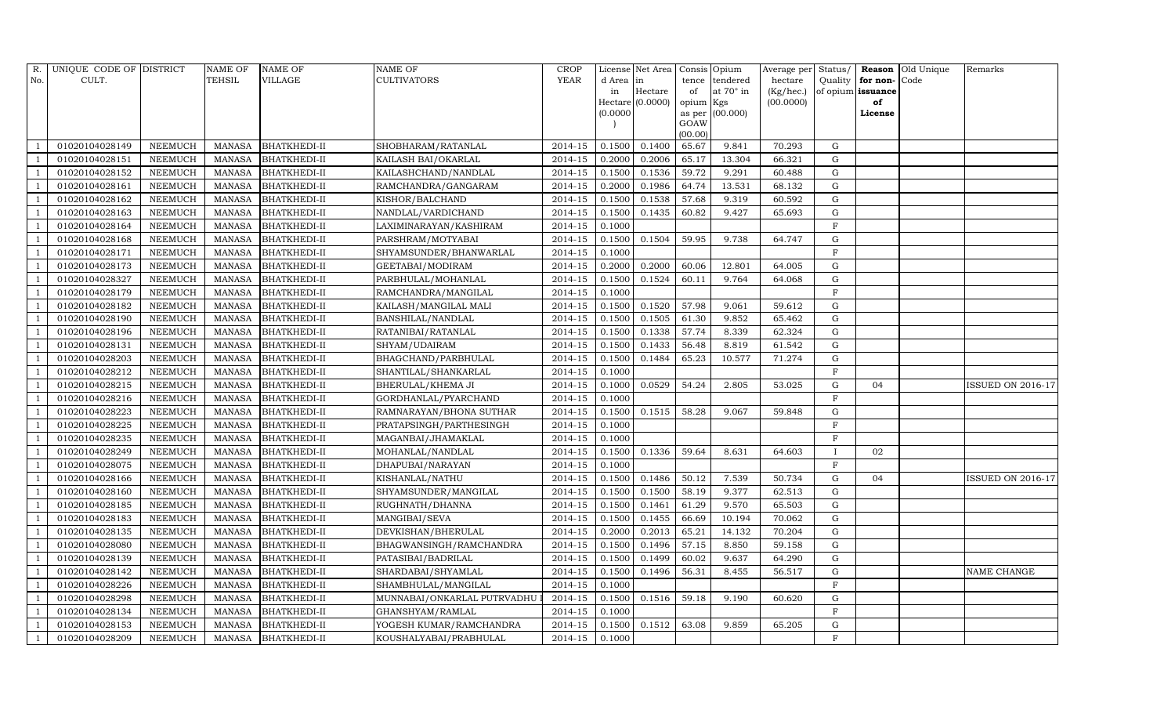| R.                       | UNIQUE CODE OF DISTRICT |                | NAME OF       | <b>NAME OF</b>      | NAME OF                     | <b>CROP</b> |          | License Net Area Consis Opium |                    |                  |           |              |                   | Average per Status/ Reason Old Unique | Remarks                  |
|--------------------------|-------------------------|----------------|---------------|---------------------|-----------------------------|-------------|----------|-------------------------------|--------------------|------------------|-----------|--------------|-------------------|---------------------------------------|--------------------------|
| No.                      | CULT.                   |                | <b>TEHSIL</b> | <b>VILLAGE</b>      | <b>CULTIVATORS</b>          | <b>YEAR</b> | d Area   | in                            | tence              | tendered         | hectare   | Quality      | for non-          | Code                                  |                          |
|                          |                         |                |               |                     |                             |             | in       | Hectare                       | of                 | at $70^\circ$ in | (Kg/hec.) |              | of opium issuance |                                       |                          |
|                          |                         |                |               |                     |                             |             | (0.0000) | Hectare (0.0000)              | opium Kgs          | as per (00.000)  | (00.0000) |              | of<br>License     |                                       |                          |
|                          |                         |                |               |                     |                             |             |          |                               | GOAW               |                  |           |              |                   |                                       |                          |
|                          |                         |                |               |                     |                             |             |          |                               | (00.00)            |                  |           |              |                   |                                       |                          |
|                          | 01020104028149          | <b>NEEMUCH</b> |               | MANASA BHATKHEDI-II | SHOBHARAM/RATANLAL          | 2014-15     | 0.1500   | 0.1400                        | 65.67              | 9.841            | 70.293    | G            |                   |                                       |                          |
|                          | 01020104028151          | <b>NEEMUCH</b> | <b>MANASA</b> | <b>BHATKHEDI-II</b> | KAILASH BAI/OKARLAL         | 2014-15     | 0.2000   | 0.2006                        | 65.17              | 13.304           | 66.321    | $\mathbf G$  |                   |                                       |                          |
| $\overline{1}$           | 01020104028152          | <b>NEEMUCH</b> | MANASA        | <b>BHATKHEDI-II</b> | KAILASHCHAND/NANDLAL        | 2014-15     | 0.1500   | 0.1536                        | 59.72              | 9.291            | 60.488    | $\mathbf G$  |                   |                                       |                          |
|                          | 01020104028161          | <b>NEEMUCH</b> | MANASA        | <b>BHATKHEDI-II</b> | RAMCHANDRA/GANGARAM         | 2014-15     | 0.2000   | 0.1986                        | 64.74              | 13.531           | 68.132    | G            |                   |                                       |                          |
|                          | 01020104028162          | <b>NEEMUCH</b> | <b>MANASA</b> | <b>BHATKHEDI-II</b> | KISHOR/BALCHAND             | 2014-15     | 0.1500   | 0.1538                        | $\overline{57.68}$ | 9.319            | 60.592    | $\mathbf G$  |                   |                                       |                          |
| $\overline{1}$           | 01020104028163          | <b>NEEMUCH</b> | MANASA        | <b>BHATKHEDI-II</b> | NANDLAL/VARDICHAND          | 2014-15     | 0.1500   | 0.1435                        | 60.82              | 9.427            | 65.693    | G            |                   |                                       |                          |
|                          | 01020104028164          | <b>NEEMUCH</b> | <b>MANASA</b> | <b>BHATKHEDI-II</b> | LAXIMINARAYAN/KASHIRAM      | 2014-15     | 0.1000   |                               |                    |                  |           | $\mathbf F$  |                   |                                       |                          |
| $\overline{1}$           | 01020104028168          | <b>NEEMUCH</b> | MANASA        | <b>BHATKHEDI-II</b> | PARSHRAM/MOTYABAI           | 2014-15     | 0.1500   | 0.1504                        | 59.95              | 9.738            | 64.747    | ${\rm G}$    |                   |                                       |                          |
|                          | 01020104028171          | <b>NEEMUCH</b> | MANASA        | <b>BHATKHEDI-II</b> | SHYAMSUNDER/BHANWARLAL      | 2014-15     | 0.1000   |                               |                    |                  |           | $\mathbf{F}$ |                   |                                       |                          |
| - 1                      | 01020104028173          | <b>NEEMUCH</b> | <b>MANASA</b> | <b>BHATKHEDI-II</b> | GEETABAI/MODIRAM            | 2014-15     | 0.2000   | 0.2000                        | 60.06              | 12.801           | 64.005    | G            |                   |                                       |                          |
| $\overline{1}$           | 01020104028327          | <b>NEEMUCH</b> | MANASA        | <b>BHATKHEDI-II</b> | PARBHULAL/MOHANLAL          | 2014-15     | 0.1500   | 0.1524                        | 60.11              | 9.764            | 64.068    | G            |                   |                                       |                          |
|                          | 01020104028179          | <b>NEEMUCH</b> | <b>MANASA</b> | <b>BHATKHEDI-II</b> | RAMCHANDRA/MANGILAL         | 2014-15     | 0.1000   |                               |                    |                  |           | $\mathbf F$  |                   |                                       |                          |
| -1                       | 01020104028182          | <b>NEEMUCH</b> | MANASA        | <b>BHATKHEDI-II</b> | KAILASH/MANGILAL MALI       | 2014-15     | 0.1500   | 0.1520                        | 57.98              | 9.061            | 59.612    | $\mathbf G$  |                   |                                       |                          |
|                          | 01020104028190          | <b>NEEMUCH</b> | MANASA        | <b>BHATKHEDI-II</b> | BANSHILAL/NANDLAL           | 2014-15     | 0.1500   | 0.1505                        | 61.30              | 9.852            | 65.462    | $\mathbf G$  |                   |                                       |                          |
|                          | 01020104028196          | <b>NEEMUCH</b> | <b>MANASA</b> | <b>BHATKHEDI-II</b> | RATANIBAI/RATANLAL          | 2014-15     | 0.1500   | 0.1338                        | 57.74              | 8.339            | 62.324    | $\mathbf G$  |                   |                                       |                          |
| $\overline{1}$           | 01020104028131          | <b>NEEMUCH</b> | MANASA        | <b>BHATKHEDI-II</b> | SHYAM/UDAIRAM               | 2014-15     | 0.1500   | 0.1433                        | 56.48              | 8.819            | 61.542    | $\mathbf G$  |                   |                                       |                          |
| $\overline{1}$           | 01020104028203          | <b>NEEMUCH</b> | <b>MANASA</b> | <b>BHATKHEDI-II</b> | BHAGCHAND/PARBHULAL         | 2014-15     | 0.1500   | 0.1484                        | 65.23              | 10.577           | 71.274    | $\mathbf G$  |                   |                                       |                          |
| $\overline{1}$           | 01020104028212          | <b>NEEMUCH</b> | MANASA        | <b>BHATKHEDI-II</b> | SHANTILAL/SHANKARLAL        | 2014-15     | 0.1000   |                               |                    |                  |           | $\mathbf F$  |                   |                                       |                          |
|                          | 01020104028215          | <b>NEEMUCH</b> | MANASA        | <b>BHATKHEDI-II</b> | BHERULAL/KHEMA JI           | 2014-15     | 0.1000   | 0.0529                        | 54.24              | 2.805            | 53.025    | G            | 04                |                                       | <b>ISSUED ON 2016-17</b> |
| $\overline{\phantom{0}}$ | 01020104028216          | <b>NEEMUCH</b> | <b>MANASA</b> | <b>BHATKHEDI-II</b> | GORDHANLAL/PYARCHAND        | 2014-15     | 0.1000   |                               |                    |                  |           | $\mathbf{F}$ |                   |                                       |                          |
|                          | 01020104028223          | <b>NEEMUCH</b> | <b>MANASA</b> | <b>BHATKHEDI-II</b> | RAMNARAYAN/BHONA SUTHAR     | 2014-15     | 0.1500   | 0.1515                        | 58.28              | 9.067            | 59.848    | G            |                   |                                       |                          |
|                          | 01020104028225          | <b>NEEMUCH</b> | <b>MANASA</b> | <b>BHATKHEDI-II</b> | PRATAPSINGH/PARTHESINGH     | 2014-15     | 0.1000   |                               |                    |                  |           | $_{\rm F}$   |                   |                                       |                          |
| $\overline{1}$           | 01020104028235          | <b>NEEMUCH</b> | MANASA        | <b>BHATKHEDI-II</b> | MAGANBAI/JHAMAKLAL          | 2014-15     | 0.1000   |                               |                    |                  |           | $\mathbf{F}$ |                   |                                       |                          |
| $\overline{1}$           | 01020104028249          | <b>NEEMUCH</b> | MANASA        | <b>BHATKHEDI-II</b> | MOHANLAL/NANDLAL            | 2014-15     | 0.1500   | 0.1336                        | 59.64              | 8.631            | 64.603    |              | 02                |                                       |                          |
|                          | 01020104028075          | <b>NEEMUCH</b> | <b>MANASA</b> | <b>BHATKHEDI-II</b> | DHAPUBAI/NARAYAN            | 2014-15     | 0.1000   |                               |                    |                  |           | $\rm F$      |                   |                                       |                          |
|                          | 01020104028166          | <b>NEEMUCH</b> | MANASA        | <b>BHATKHEDI-II</b> | KISHANLAL/NATHU             | 2014-15     | 0.1500   | 0.1486                        | 50.12              | 7.539            | 50.734    | G            | 04                |                                       | <b>ISSUED ON 2016-17</b> |
| $\overline{1}$           | 01020104028160          | <b>NEEMUCH</b> | <b>MANASA</b> | <b>BHATKHEDI-II</b> | SHYAMSUNDER/MANGILAL        | 2014-15     | 0.1500   | 0.1500                        | 58.19              | 9.377            | 62.513    | ${\rm G}$    |                   |                                       |                          |
| $\overline{1}$           | 01020104028185          | <b>NEEMUCH</b> | MANASA        | <b>BHATKHEDI-II</b> | RUGHNATH/DHANNA             | 2014-15     | 0.1500   | 0.1461                        | 61.29              | 9.570            | 65.503    | G            |                   |                                       |                          |
|                          | 01020104028183          | <b>NEEMUCH</b> | <b>MANASA</b> | <b>BHATKHEDI-II</b> | MANGIBAI/SEVA               | 2014-15     | 0.1500   | 0.1455                        | 66.69              | 10.194           | 70.062    | $\mathbf G$  |                   |                                       |                          |
| $\overline{1}$           | 01020104028135          | <b>NEEMUCH</b> | <b>MANASA</b> | <b>BHATKHEDI-II</b> | DEVKISHAN/BHERULAL          | 2014-15     | 0.2000   | 0.2013                        | 65.21              | 14.132           | 70.204    | G            |                   |                                       |                          |
| $\overline{1}$           | 01020104028080          | <b>NEEMUCH</b> | <b>MANASA</b> | <b>BHATKHEDI-II</b> | BHAGWANSINGH/RAMCHANDRA     | 2014-15     | 0.1500   | 0.1496                        | 57.15              | 8.850            | 59.158    | $\mathbf G$  |                   |                                       |                          |
|                          | 01020104028139          | <b>NEEMUCH</b> | <b>MANASA</b> | <b>BHATKHEDI-II</b> | PATASIBAI/BADRILAL          | 2014-15     | 0.1500   | 0.1499                        | 60.02              | 9.637            | 64.290    | $\mathbf G$  |                   |                                       |                          |
| $\overline{1}$           | 01020104028142          | <b>NEEMUCH</b> | MANASA        | <b>BHATKHEDI-II</b> | SHARDABAI/SHYAMLAL          | 2014-15     | 0.1500   | 0.1496                        | 56.31              | 8.455            | 56.517    | $\mathbf G$  |                   |                                       | NAME CHANGE              |
| $\overline{1}$           | 01020104028226          | <b>NEEMUCH</b> | <b>MANASA</b> | <b>BHATKHEDI-II</b> | SHAMBHULAL/MANGILAL         | 2014-15     | 0.1000   |                               |                    |                  |           | $\mathbf F$  |                   |                                       |                          |
| $\overline{1}$           | 01020104028298          | <b>NEEMUCH</b> | <b>MANASA</b> | <b>BHATKHEDI-II</b> | MUNNABAI/ONKARLAL PUTRVADHU | 2014-15     | 0.1500   | 0.1516                        | 59.18              | 9.190            | 60.620    | G            |                   |                                       |                          |
| $\overline{1}$           | 01020104028134          | <b>NEEMUCH</b> | <b>MANASA</b> | <b>BHATKHEDI-II</b> | GHANSHYAM/RAMLAL            | 2014-15     | 0.1000   |                               |                    |                  |           | $_{\rm F}$   |                   |                                       |                          |
| -1                       | 01020104028153          | <b>NEEMUCH</b> | <b>MANASA</b> | <b>BHATKHEDI-II</b> | YOGESH KUMAR/RAMCHANDRA     | 2014-15     | 0.1500   | 0.1512                        | 63.08              | 9.859            | 65.205    | $\mathbf G$  |                   |                                       |                          |
| -1                       | 01020104028209          | <b>NEEMUCH</b> |               | MANASA BHATKHEDI-II | KOUSHALYABAI/PRABHULAL      | 2014-15     | 0.1000   |                               |                    |                  |           | $\rm F$      |                   |                                       |                          |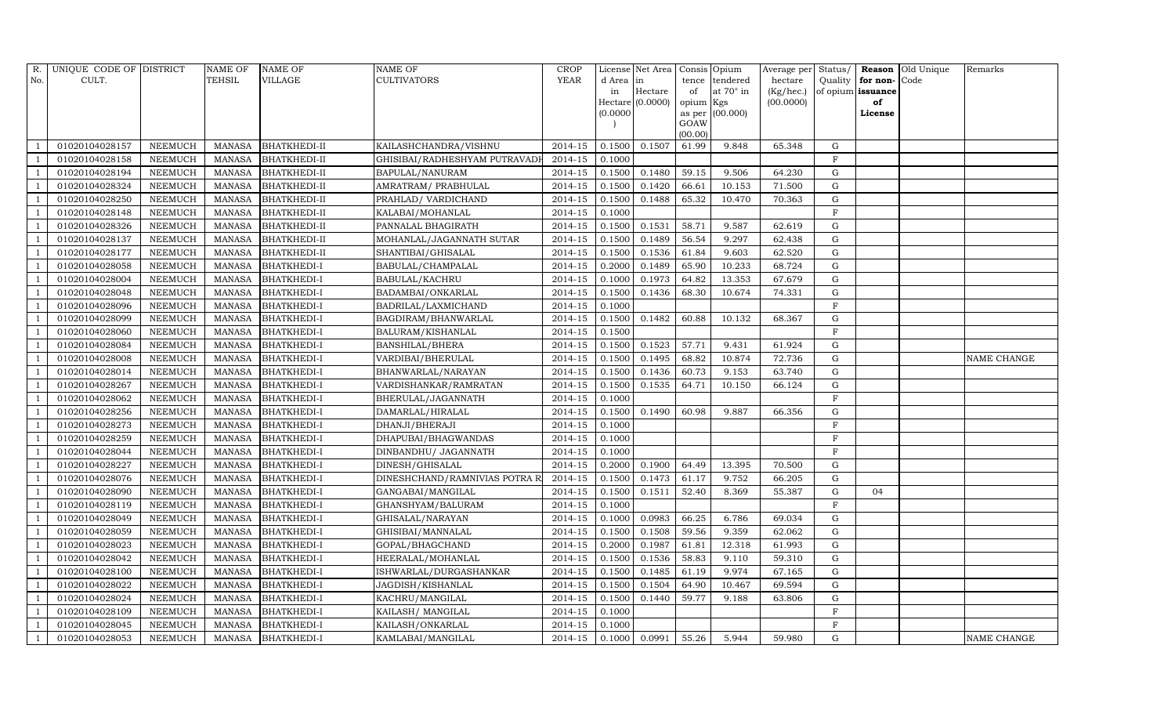| R.  | UNIQUE CODE OF DISTRICT |                | <b>NAME OF</b> | <b>NAME OF</b>      | <b>NAME OF</b>                | <b>CROP</b> |           | License Net Area Consis Opium |                 |                  |           |             |                   | Average per Status/ Reason Old Unique | Remarks            |
|-----|-------------------------|----------------|----------------|---------------------|-------------------------------|-------------|-----------|-------------------------------|-----------------|------------------|-----------|-------------|-------------------|---------------------------------------|--------------------|
| No. | CULT.                   |                | <b>TEHSIL</b>  | <b>VILLAGE</b>      | <b>CULTIVATORS</b>            | YEAR        | d Area in |                               |                 | tence tendered   | hectare   | Quality     | for non-          | Code                                  |                    |
|     |                         |                |                |                     |                               |             | in        | Hectare                       | of              | at $70^\circ$ in | (Kg/hec.) |             | of opium issuance |                                       |                    |
|     |                         |                |                |                     |                               |             |           | Hectare (0.0000)              | opium Kgs       |                  | (00.0000) |             | of                |                                       |                    |
|     |                         |                |                |                     |                               |             | (0.0000)  |                               |                 | as per (00.000)  |           |             | License           |                                       |                    |
|     |                         |                |                |                     |                               |             |           |                               | GOAW<br>(00.00) |                  |           |             |                   |                                       |                    |
|     | 01020104028157          | <b>NEEMUCH</b> | MANASA         | <b>BHATKHEDI-II</b> | KAILASHCHANDRA/VISHNU         | 2014-15     | 0.1500    | 0.1507                        | 61.99           | 9.848            | 65.348    | $\mathbf G$ |                   |                                       |                    |
|     | 01020104028158          | <b>NEEMUCH</b> | <b>MANASA</b>  | <b>BHATKHEDI-II</b> | GHISIBAI/RADHESHYAM PUTRAVADI | 2014-15     | 0.1000    |                               |                 |                  |           | $\rm F$     |                   |                                       |                    |
|     | 01020104028194          | <b>NEEMUCH</b> | <b>MANASA</b>  | <b>BHATKHEDI-II</b> | BAPULAL/NANURAM               | 2014-15     | 0.1500    | 0.1480                        | 59.15           | 9.506            | 64.230    | G           |                   |                                       |                    |
|     | 01020104028324          | <b>NEEMUCH</b> | <b>MANASA</b>  | <b>BHATKHEDI-II</b> | AMRATRAM/ PRABHULAL           | 2014-15     | 0.1500    | 0.1420                        | 66.61           | 10.153           | 71.500    | ${\bf G}$   |                   |                                       |                    |
|     | 01020104028250          | <b>NEEMUCH</b> | <b>MANASA</b>  | <b>BHATKHEDI-II</b> | PRAHLAD/ VARDICHAND           | 2014-15     | 0.1500    | 0.1488                        | 65.32           | 10.470           | 70.363    | ${\rm G}$   |                   |                                       |                    |
|     | 01020104028148          | <b>NEEMUCH</b> | <b>MANASA</b>  | <b>BHATKHEDI-II</b> | KALABAI/MOHANLAL              | 2014-15     | 0.1000    |                               |                 |                  |           | $\rm F$     |                   |                                       |                    |
|     | 01020104028326          | <b>NEEMUCH</b> | <b>MANASA</b>  | <b>BHATKHEDI-II</b> | PANNALAL BHAGIRATH            | 2014-15     | 0.1500    | 0.1531                        | 58.71           | 9.587            | 62.619    | ${\rm G}$   |                   |                                       |                    |
|     | 01020104028137          | <b>NEEMUCH</b> | <b>MANASA</b>  | <b>BHATKHEDI-II</b> | MOHANLAL/JAGANNATH SUTAR      | 2014-15     | 0.1500    | 0.1489                        | 56.54           | 9.297            | 62.438    | ${\rm G}$   |                   |                                       |                    |
|     | 01020104028177          | <b>NEEMUCH</b> | <b>MANASA</b>  | <b>BHATKHEDI-II</b> | SHANTIBAI/GHISALAL            | 2014-15     | 0.1500    | 0.1536                        | 61.84           | 9.603            | 62.520    | $\mathbf G$ |                   |                                       |                    |
|     | 01020104028058          | <b>NEEMUCH</b> | <b>MANASA</b>  | <b>BHATKHEDI-I</b>  | BABULAL/CHAMPALAL             | 2014-15     | 0.2000    | 0.1489                        | 65.90           | 10.233           | 68.724    | ${\rm G}$   |                   |                                       |                    |
|     | 01020104028004          | <b>NEEMUCH</b> | <b>MANASA</b>  | <b>BHATKHEDI-I</b>  | BABULAL/KACHRU                | 2014-15     | 0.1000    | 0.1973                        | 64.82           | 13.353           | 67.679    | $\mathbf G$ |                   |                                       |                    |
|     | 01020104028048          | <b>NEEMUCH</b> | <b>MANASA</b>  | <b>BHATKHEDI-I</b>  | BADAMBAI/ONKARLAL             | 2014-15     | 0.1500    | 0.1436                        | 68.30           | 10.674           | 74.331    | ${\rm G}$   |                   |                                       |                    |
|     | 01020104028096          | <b>NEEMUCH</b> | <b>MANASA</b>  | <b>BHATKHEDI-I</b>  | BADRILAL/LAXMICHAND           | $2014 - 15$ | 0.1000    |                               |                 |                  |           | $\rm F$     |                   |                                       |                    |
|     | 01020104028099          | <b>NEEMUCH</b> | <b>MANASA</b>  | <b>BHATKHEDI-I</b>  | BAGDIRAM/BHANWARLAL           | 2014-15     | 0.1500    | 0.1482                        | 60.88           | 10.132           | 68.367    | $\mathbf G$ |                   |                                       |                    |
|     | 01020104028060          | <b>NEEMUCH</b> | <b>MANASA</b>  | <b>BHATKHEDI-I</b>  | BALURAM/KISHANLAL             | 2014-15     | 0.1500    |                               |                 |                  |           | $\rm F$     |                   |                                       |                    |
|     | 01020104028084          | <b>NEEMUCH</b> | <b>MANASA</b>  | <b>BHATKHEDI-I</b>  | BANSHILAL/BHERA               | 2014-15     | 0.1500    | 0.1523                        | 57.71           | 9.431            | 61.924    | G           |                   |                                       |                    |
|     | 01020104028008          | <b>NEEMUCH</b> | <b>MANASA</b>  | <b>BHATKHEDI-I</b>  | VARDIBAI/BHERULAL             | 2014-15     | 0.1500    | 0.1495                        | 68.82           | 10.874           | 72.736    | ${\rm G}$   |                   |                                       | <b>NAME CHANGE</b> |
|     | 01020104028014          | <b>NEEMUCH</b> | <b>MANASA</b>  | <b>BHATKHEDI-I</b>  | BHANWARLAL/NARAYAN            | $2014 - 15$ | 0.1500    | 0.1436                        | 60.73           | 9.153            | 63.740    | ${\bf G}$   |                   |                                       |                    |
|     | 01020104028267          | <b>NEEMUCH</b> | <b>MANASA</b>  | <b>BHATKHEDI-I</b>  | VARDISHANKAR/RAMRATAN         | 2014-15     | 0.1500    | 0.1535                        | 64.71           | 10.150           | 66.124    | $\mathbf G$ |                   |                                       |                    |
|     | 01020104028062          | <b>NEEMUCH</b> | <b>MANASA</b>  | <b>BHATKHEDI-I</b>  | BHERULAL/JAGANNATH            | 2014-15     | 0.1000    |                               |                 |                  |           | $\rm F$     |                   |                                       |                    |
|     | 01020104028256          | <b>NEEMUCH</b> | <b>MANASA</b>  | <b>BHATKHEDI-I</b>  | DAMARLAL/HIRALAL              | 2014-15     | 0.1500    | 0.1490                        | 60.98           | 9.887            | 66.356    | $\mathbf G$ |                   |                                       |                    |
|     | 01020104028273          | <b>NEEMUCH</b> | <b>MANASA</b>  | <b>BHATKHEDI-I</b>  | DHANJI/BHERAJI                | 2014-15     | 0.1000    |                               |                 |                  |           | $\rm F$     |                   |                                       |                    |
|     | 01020104028259          | <b>NEEMUCH</b> | <b>MANASA</b>  | <b>BHATKHEDI-I</b>  | DHAPUBAI/BHAGWANDAS           | 2014-15     | 0.1000    |                               |                 |                  |           | $\rm F$     |                   |                                       |                    |
|     | 01020104028044          | <b>NEEMUCH</b> | <b>MANASA</b>  | <b>BHATKHEDI-I</b>  | DINBANDHU/ JAGANNATH          | 2014-15     | 0.1000    |                               |                 |                  |           | $\rm F$     |                   |                                       |                    |
|     | 01020104028227          | <b>NEEMUCH</b> | <b>MANASA</b>  | <b>BHATKHEDI-I</b>  | DINESH/GHISALAL               | 2014-15     | 0.2000    | 0.1900                        | 64.49           | 13.395           | 70.500    | ${\rm G}$   |                   |                                       |                    |
|     | 01020104028076          | <b>NEEMUCH</b> | <b>MANASA</b>  | <b>BHATKHEDI-I</b>  | DINESHCHAND/RAMNIVIAS POTRA R | 2014-15     | 0.1500    | 0.1473                        | 61.17           | 9.752            | 66.205    | $\mathbf G$ |                   |                                       |                    |
|     | 01020104028090          | <b>NEEMUCH</b> | <b>MANASA</b>  | <b>BHATKHEDI-I</b>  | GANGABAI/MANGILAL             | 2014-15     | 0.1500    | 0.1511                        | 52.40           | 8.369            | 55.387    | ${\rm G}$   | 04                |                                       |                    |
|     | 01020104028119          | <b>NEEMUCH</b> | <b>MANASA</b>  | <b>BHATKHEDI-I</b>  | GHANSHYAM/BALURAM             | 2014-15     | 0.1000    |                               |                 |                  |           | $\rm F$     |                   |                                       |                    |
|     | 01020104028049          | <b>NEEMUCH</b> | <b>MANASA</b>  | <b>BHATKHEDI-I</b>  | GHISALAL/NARAYAN              | 2014-15     | 0.1000    | 0.0983                        | 66.25           | 6.786            | 69.034    | ${\rm G}$   |                   |                                       |                    |
|     | 01020104028059          | <b>NEEMUCH</b> | <b>MANASA</b>  | <b>BHATKHEDI-I</b>  | GHISIBAI/MANNALAL             | 2014-15     | 0.1500    | 0.1508                        | 59.56           | 9.359            | 62.062    | ${\rm G}$   |                   |                                       |                    |
|     | 01020104028023          | <b>NEEMUCH</b> | <b>MANASA</b>  | <b>BHATKHEDI-I</b>  | GOPAL/BHAGCHAND               | 2014-15     | 0.2000    | 0.1987                        | 61.81           | 12.318           | 61.993    | $\mathbf G$ |                   |                                       |                    |
|     | 01020104028042          | <b>NEEMUCH</b> | <b>MANASA</b>  | <b>BHATKHEDI-I</b>  | HEERALAL/MOHANLAL             | 2014-15     | 0.1500    | 0.1536                        | 58.83           | 9.110            | 59.310    | ${\bf G}$   |                   |                                       |                    |
|     | 01020104028100          | <b>NEEMUCH</b> | <b>MANASA</b>  | <b>BHATKHEDI-I</b>  | ISHWARLAL/DURGASHANKAR        | 2014-15     | 0.1500    | 0.1485                        | 61.19           | 9.974            | 67.165    | $\mathbf G$ |                   |                                       |                    |
|     | 01020104028022          | <b>NEEMUCH</b> | <b>MANASA</b>  | <b>BHATKHEDI-I</b>  | JAGDISH/KISHANLAL             | 2014-15     | 0.1500    | 0.1504                        | 64.90           | 10.467           | 69.594    | ${\rm G}$   |                   |                                       |                    |
|     | 01020104028024          | <b>NEEMUCH</b> | <b>MANASA</b>  | <b>BHATKHEDI-I</b>  | KACHRU/MANGILAL               | 2014-15     | 0.1500    | 0.1440                        | 59.77           | 9.188            | 63.806    | ${\rm G}$   |                   |                                       |                    |
|     | 01020104028109          | <b>NEEMUCH</b> | <b>MANASA</b>  | <b>BHATKHEDI-I</b>  | KAILASH/ MANGILAL             | 2014-15     | 0.1000    |                               |                 |                  |           | $\mathbf F$ |                   |                                       |                    |
|     | 01020104028045          | <b>NEEMUCH</b> | <b>MANASA</b>  | <b>BHATKHEDI-I</b>  | KAILASH/ONKARLAL              | 2014-15     | 0.1000    |                               |                 |                  |           | $\rm F$     |                   |                                       |                    |
|     | 01020104028053          | <b>NEEMUCH</b> | MANASA         | <b>BHATKHEDI-I</b>  | KAMLABAI/MANGILAL             | 2014-15     | 0.1000    | 0.0991                        | 55.26           | 5.944            | 59.980    | G           |                   |                                       | <b>NAME CHANGE</b> |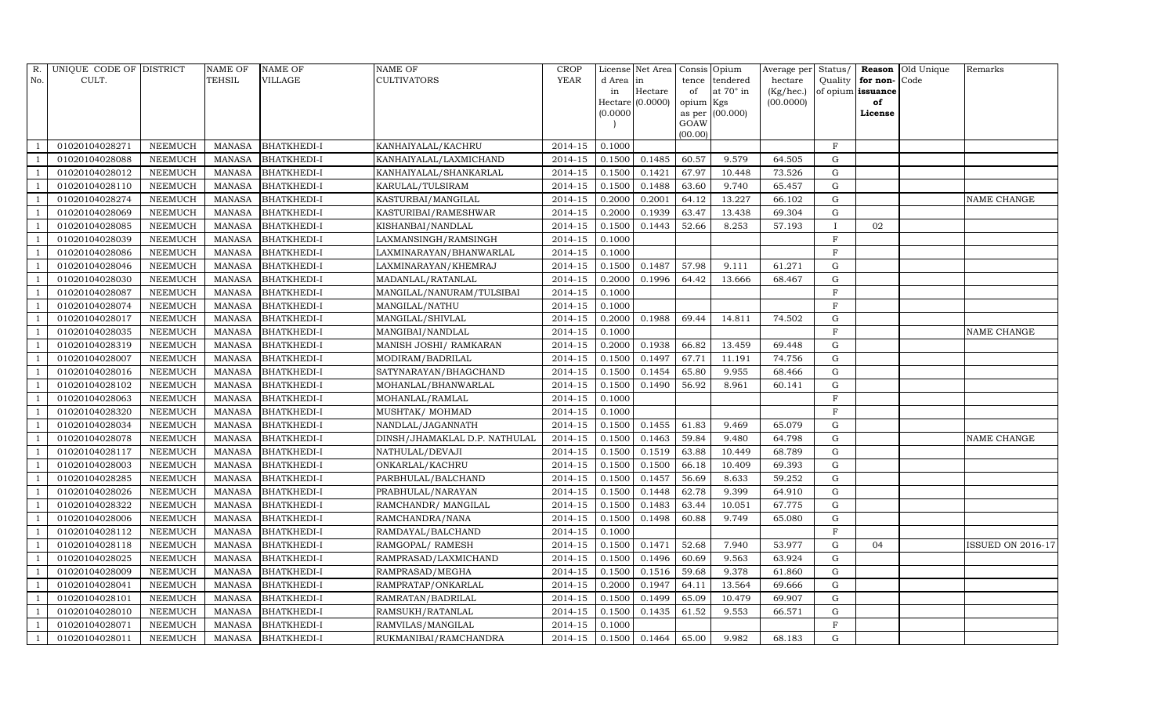| R.                       | UNIQUE CODE OF DISTRICT |                | <b>NAME OF</b> | <b>NAME OF</b>     | <b>NAME OF</b>                | <b>CROP</b> |           | License Net Area   Consis   Opium |                         |                  | Average per Status/ |                   |          | Reason Old Unique | Remarks           |
|--------------------------|-------------------------|----------------|----------------|--------------------|-------------------------------|-------------|-----------|-----------------------------------|-------------------------|------------------|---------------------|-------------------|----------|-------------------|-------------------|
| No.                      | CULT.                   |                | TEHSIL         | <b>VILLAGE</b>     | <b>CULTIVATORS</b>            | YEAR        | d Area in |                                   | tence                   | tendered         | hectare             | Quality           | for non- | Code              |                   |
|                          |                         |                |                |                    |                               |             | in        | Hectare                           | of                      | at $70^\circ$ in | (Kg/hec.)           | of opium issuance |          |                   |                   |
|                          |                         |                |                |                    |                               |             |           | Hectare (0.0000)                  | opium Kgs               |                  | (00.0000)           |                   | of       |                   |                   |
|                          |                         |                |                |                    |                               |             | (0.0000)  |                                   | as per (00.000)<br>GOAW |                  |                     |                   | License  |                   |                   |
|                          |                         |                |                |                    |                               |             |           |                                   | (00.00)                 |                  |                     |                   |          |                   |                   |
|                          | 01020104028271          | <b>NEEMUCH</b> | MANASA         | <b>BHATKHEDI-I</b> | KANHAIYALAL/KACHRU            | 2014-15     | 0.1000    |                                   |                         |                  |                     | $_{\rm F}$        |          |                   |                   |
|                          | 01020104028088          | <b>NEEMUCH</b> | <b>MANASA</b>  | <b>BHATKHEDI-I</b> | KANHAIYALAL/LAXMICHAND        | 2014-15     | 0.1500    | 0.1485                            | 60.57                   | 9.579            | 64.505              | G                 |          |                   |                   |
| $\overline{\phantom{0}}$ | 01020104028012          | <b>NEEMUCH</b> | <b>MANASA</b>  | <b>BHATKHEDI-I</b> | KANHAIYALAL/SHANKARLAL        | 2014-15     | 0.1500    | 0.1421                            | 67.97                   | 10.448           | 73.526              | G                 |          |                   |                   |
|                          | 01020104028110          | <b>NEEMUCH</b> | <b>MANASA</b>  | <b>BHATKHEDI-I</b> | KARULAL/TULSIRAM              | 2014-15     | 0.1500    | 0.1488                            | 63.60                   | 9.740            | 65.457              | $\mathbf G$       |          |                   |                   |
| -1                       | 01020104028274          | <b>NEEMUCH</b> | <b>MANASA</b>  | <b>BHATKHEDI-I</b> | KASTURBAI/MANGILAL            | 2014-15     | 0.2000    | 0.2001                            | 64.12                   | 13.227           | 66.102              | $\mathbf G$       |          |                   | NAME CHANGE       |
|                          | 01020104028069          | <b>NEEMUCH</b> | <b>MANASA</b>  | <b>BHATKHEDI-I</b> | KASTURIBAI/RAMESHWAR          | 2014-15     | 0.2000    | 0.1939                            | 63.47                   | 13.438           | 69.304              | G                 |          |                   |                   |
| $\overline{1}$           | 01020104028085          | <b>NEEMUCH</b> | <b>MANASA</b>  | <b>BHATKHEDI-I</b> | KISHANBAI/NANDLAL             | 2014-15     | 0.1500    | 0.1443                            | 52.66                   | 8.253            | 57.193              | I                 | 02       |                   |                   |
| $\overline{\phantom{0}}$ | 01020104028039          | <b>NEEMUCH</b> | <b>MANASA</b>  | <b>BHATKHEDI-I</b> | LAXMANSINGH/RAMSINGH          | 2014-15     | 0.1000    |                                   |                         |                  |                     | $\mathbf F$       |          |                   |                   |
|                          | 01020104028086          | <b>NEEMUCH</b> | <b>MANASA</b>  | <b>BHATKHEDI-I</b> | LAXMINARAYAN/BHANWARLAL       | 2014-15     | 0.1000    |                                   |                         |                  |                     | $\mathbf F$       |          |                   |                   |
| $\overline{1}$           | 01020104028046          | <b>NEEMUCH</b> | <b>MANASA</b>  | <b>BHATKHEDI-I</b> | LAXMINARAYAN/KHEMRAJ          | 2014-15     | 0.1500    | 0.1487                            | 57.98                   | 9.111            | 61.271              | G                 |          |                   |                   |
| $\overline{1}$           | 01020104028030          | <b>NEEMUCH</b> | <b>MANASA</b>  | <b>BHATKHEDI-I</b> | MADANLAL/RATANLAL             | 2014-15     | 0.2000    | 0.1996                            | 64.42                   | 13.666           | 68.467              | G                 |          |                   |                   |
| $\overline{1}$           | 01020104028087          | <b>NEEMUCH</b> | <b>MANASA</b>  | <b>BHATKHEDI-I</b> | MANGILAL/NANURAM/TULSIBAI     | 2014-15     | 0.1000    |                                   |                         |                  |                     | $\rm F$           |          |                   |                   |
| $\overline{1}$           | 01020104028074          | <b>NEEMUCH</b> | <b>MANASA</b>  | <b>BHATKHEDI-I</b> | MANGILAL/NATHU                | $2014 - 15$ | 0.1000    |                                   |                         |                  |                     | $\rm F$           |          |                   |                   |
|                          | 01020104028017          | <b>NEEMUCH</b> | <b>MANASA</b>  | <b>BHATKHEDI-I</b> | MANGILAL/SHIVLAL              | 2014-15     | 0.2000    | 0.1988                            | 69.44                   | 14.811           | 74.502              | ${\rm G}$         |          |                   |                   |
| - 1                      | 01020104028035          | <b>NEEMUCH</b> | <b>MANASA</b>  | <b>BHATKHEDI-I</b> | MANGIBAI/NANDLAL              | 2014-15     | 0.1000    |                                   |                         |                  |                     | $\rm F$           |          |                   | NAME CHANGE       |
|                          | 01020104028319          | <b>NEEMUCH</b> | <b>MANASA</b>  | <b>BHATKHEDI-I</b> | MANISH JOSHI/ RAMKARAN        | 2014-15     | 0.2000    | 0.1938                            | 66.82                   | 13.459           | 69.448              | G                 |          |                   |                   |
| -1                       | 01020104028007          | <b>NEEMUCH</b> | <b>MANASA</b>  | <b>BHATKHEDI-I</b> | MODIRAM/BADRILAL              | 2014-15     | 0.1500    | 0.1497                            | 67.71                   | 11.191           | 74.756              | G                 |          |                   |                   |
| $\overline{1}$           | 01020104028016          | <b>NEEMUCH</b> | <b>MANASA</b>  | <b>BHATKHEDI-I</b> | SATYNARAYAN/BHAGCHAND         | 2014-15     | 0.1500    | 0.1454                            | 65.80                   | 9.955            | 68.466              | $\mathbf G$       |          |                   |                   |
|                          | 01020104028102          | <b>NEEMUCH</b> | <b>MANASA</b>  | <b>BHATKHEDI-I</b> | MOHANLAL/BHANWARLAL           | 2014-15     | 0.1500    | 0.1490                            | 56.92                   | 8.961            | 60.141              | $\mathbf G$       |          |                   |                   |
| $\overline{1}$           | 01020104028063          | <b>NEEMUCH</b> | <b>MANASA</b>  | <b>BHATKHEDI-I</b> | MOHANLAL/RAMLAL               | $2014 - 15$ | 0.1000    |                                   |                         |                  |                     | F                 |          |                   |                   |
|                          | 01020104028320          | <b>NEEMUCH</b> | <b>MANASA</b>  | <b>BHATKHEDI-I</b> | MUSHTAK/ MOHMAD               | 2014-15     | 0.1000    |                                   |                         |                  |                     | F                 |          |                   |                   |
|                          | 01020104028034          | <b>NEEMUCH</b> | <b>MANASA</b>  | <b>BHATKHEDI-I</b> | NANDLAL/JAGANNATH             | 2014-15     | 0.1500    | 0.1455                            | 61.83                   | 9.469            | 65.079              | $\mathbf G$       |          |                   |                   |
| $\overline{1}$           | 01020104028078          | <b>NEEMUCH</b> | <b>MANASA</b>  | <b>BHATKHEDI-I</b> | DINSH/JHAMAKLAL D.P. NATHULAL | 2014-15     | 0.1500    | 0.1463                            | 59.84                   | 9.480            | 64.798              | G                 |          |                   | NAME CHANGE       |
|                          | 01020104028117          | <b>NEEMUCH</b> | <b>MANASA</b>  | <b>BHATKHEDI-I</b> | NATHULAL/DEVAJI               | 2014-15     | 0.1500    | 0.1519                            | 63.88                   | 10.449           | 68.789              | ${\rm G}$         |          |                   |                   |
| - 1                      | 01020104028003          | <b>NEEMUCH</b> | <b>MANASA</b>  | <b>BHATKHEDI-I</b> | ONKARLAL/KACHRU               | 2014-15     | 0.1500    | 0.1500                            | 66.18                   | 10.409           | 69.393              | $\mathbf G$       |          |                   |                   |
|                          | 01020104028285          | <b>NEEMUCH</b> | <b>MANASA</b>  | <b>BHATKHEDI-I</b> | PARBHULAL/BALCHAND            | 2014-15     | 0.1500    | 0.1457                            | 56.69                   | 8.633            | 59.252              | G                 |          |                   |                   |
|                          | 01020104028026          | <b>NEEMUCH</b> | <b>MANASA</b>  | <b>BHATKHEDI-I</b> | PRABHULAL/NARAYAN             | 2014-15     | 0.1500    | 0.1448                            | 62.78                   | 9.399            | 64.910              | $\mathbf G$       |          |                   |                   |
|                          | 01020104028322          | <b>NEEMUCH</b> | <b>MANASA</b>  | <b>BHATKHEDI-I</b> | RAMCHANDR/ MANGILAL           | 2014-15     | 0.1500    | 0.1483                            | 63.44                   | 10.051           | 67.775              | G                 |          |                   |                   |
|                          | 01020104028006          | <b>NEEMUCH</b> | <b>MANASA</b>  | <b>BHATKHEDI-I</b> | RAMCHANDRA/NANA               | 2014-15     | 0.1500    | 0.1498                            | 60.88                   | 9.749            | 65.080              | G                 |          |                   |                   |
| $\overline{1}$           | 01020104028112          | <b>NEEMUCH</b> | <b>MANASA</b>  | <b>BHATKHEDI-I</b> | RAMDAYAL/BALCHAND             | 2014-15     | 0.1000    |                                   |                         |                  |                     | $\rm F$           |          |                   |                   |
|                          | 01020104028118          | <b>NEEMUCH</b> | <b>MANASA</b>  | <b>BHATKHEDI-I</b> | RAMGOPAL/ RAMESH              | 2014-15     | 0.1500    | 0.1471                            | 52.68                   | 7.940            | 53.977              | $\mathbf G$       | 04       |                   | ISSUED ON 2016-17 |
|                          | 01020104028025          | <b>NEEMUCH</b> | <b>MANASA</b>  | <b>BHATKHEDI-I</b> | RAMPRASAD/LAXMICHAND          | 2014-15     | 0.1500    | 0.1496                            | 60.69                   | 9.563            | 63.924              | G                 |          |                   |                   |
| $\overline{\phantom{0}}$ | 01020104028009          | <b>NEEMUCH</b> | <b>MANASA</b>  | <b>BHATKHEDI-I</b> | RAMPRASAD/MEGHA               | 2014-15     | 0.1500    | 0.1516                            | 59.68                   | 9.378            | 61.860              | G                 |          |                   |                   |
| - 1                      | 01020104028041          | <b>NEEMUCH</b> | <b>MANASA</b>  | <b>BHATKHEDI-I</b> | RAMPRATAP/ONKARLAL            | 2014-15     | 0.2000    | 0.1947                            | 64.11                   | 13.564           | 69.666              | G                 |          |                   |                   |
| $\overline{\phantom{0}}$ | 01020104028101          | <b>NEEMUCH</b> | <b>MANASA</b>  | <b>BHATKHEDI-I</b> | RAMRATAN/BADRILAL             | 2014-15     | 0.1500    | 0.1499                            | 65.09                   | 10.479           | 69.907              | $\mathbf G$       |          |                   |                   |
|                          | 01020104028010          | <b>NEEMUCH</b> | <b>MANASA</b>  | <b>BHATKHEDI-I</b> | RAMSUKH/RATANLAL              | 2014-15     | 0.1500    | 0.1435                            | 61.52                   | 9.553            | 66.571              | $\mathbf G$       |          |                   |                   |
| -1                       | 01020104028071          | <b>NEEMUCH</b> | <b>MANASA</b>  | <b>BHATKHEDI-I</b> | RAMVILAS/MANGILAL             | 2014-15     | 0.1000    |                                   |                         |                  |                     | $\mathbf F$       |          |                   |                   |
| -1                       | 01020104028011          | <b>NEEMUCH</b> | <b>MANASA</b>  | <b>BHATKHEDI-I</b> | RUKMANIBAI/RAMCHANDRA         | 2014-15     | 0.1500    | 0.1464                            | 65.00                   | 9.982            | 68.183              | G                 |          |                   |                   |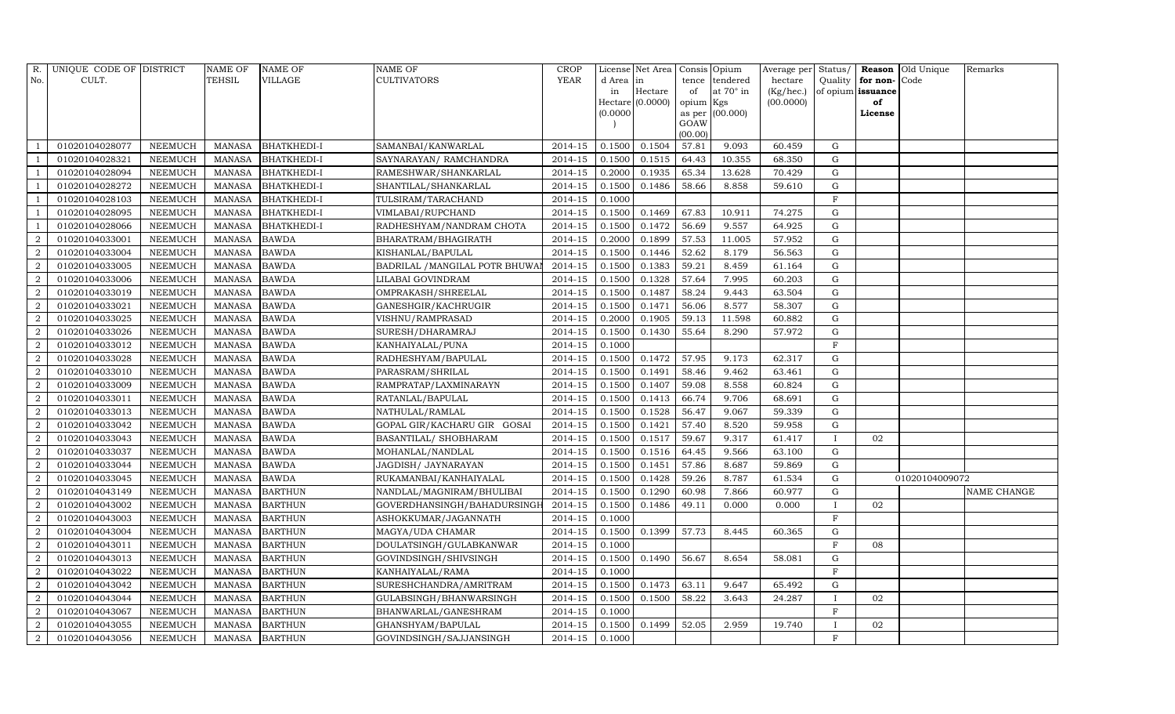|                | R. UNIQUE CODE OF DISTRICT |                | <b>NAME OF</b> | <b>NAME OF</b>     | <b>NAME OF</b>                 | <b>CROP</b> |          | License Net Area   Consis   Opium |                 |                  |           |              |                   | Average per Status/ Reason Old Unique | Remarks            |
|----------------|----------------------------|----------------|----------------|--------------------|--------------------------------|-------------|----------|-----------------------------------|-----------------|------------------|-----------|--------------|-------------------|---------------------------------------|--------------------|
| No.            | CULT.                      |                | <b>TEHSIL</b>  | <b>VILLAGE</b>     | <b>CULTIVATORS</b>             | YEAR        | d Area   | in                                |                 | tence tendered   | hectare   | Quality      | for non-          | Code                                  |                    |
|                |                            |                |                |                    |                                |             | in       | Hectare                           | of              | at $70^\circ$ in | (Kg/hec.) |              | of opium issuance |                                       |                    |
|                |                            |                |                |                    |                                |             |          | $Hectare$ (0.0000)                | opium Kgs       |                  | (00.0000) |              | of                |                                       |                    |
|                |                            |                |                |                    |                                |             | (0.0000) |                                   |                 | as per (00.000)  |           |              | License           |                                       |                    |
|                |                            |                |                |                    |                                |             |          |                                   | GOAW<br>(00.00) |                  |           |              |                   |                                       |                    |
|                | 01020104028077             | <b>NEEMUCH</b> | MANASA         | <b>BHATKHEDI-I</b> | SAMANBAI/KANWARLAL             | 2014-15     | 0.1500   | 0.1504                            | 57.81           | 9.093            | 60.459    | G            |                   |                                       |                    |
|                | 01020104028321             | <b>NEEMUCH</b> | <b>MANASA</b>  | <b>BHATKHEDI-I</b> | SAYNARAYAN / RAMCHANDRA        | 2014-15     | 0.1500   | 0.1515                            | 64.43           | 10.355           | 68.350    | ${\rm G}$    |                   |                                       |                    |
| -1             | 01020104028094             | <b>NEEMUCH</b> | <b>MANASA</b>  | <b>BHATKHEDI-I</b> | RAMESHWAR/SHANKARLAL           | 2014-15     | 0.2000   | 0.1935                            | 65.34           | 13.628           | 70.429    | $\mathbf G$  |                   |                                       |                    |
|                | 01020104028272             | <b>NEEMUCH</b> | <b>MANASA</b>  | <b>BHATKHEDI-I</b> | SHANTILAL/SHANKARLAL           | 2014-15     | 0.1500   | 0.1486                            | 58.66           | 8.858            | 59.610    | $\mathbf G$  |                   |                                       |                    |
|                | 01020104028103             | <b>NEEMUCH</b> | <b>MANASA</b>  | <b>BHATKHEDI-I</b> | TULSIRAM/TARACHAND             | 2014-15     | 0.1000   |                                   |                 |                  |           | $\rm F$      |                   |                                       |                    |
|                | 01020104028095             | <b>NEEMUCH</b> | <b>MANASA</b>  | <b>BHATKHEDI-I</b> | VIMLABAI/RUPCHAND              | 2014-15     | 0.1500   | 0.1469                            | 67.83           | 10.911           | 74.275    | G            |                   |                                       |                    |
| $\overline{1}$ | 01020104028066             | <b>NEEMUCH</b> | <b>MANASA</b>  | BHATKHEDI-I        | RADHESHYAM/NANDRAM CHOTA       | 2014-15     | 0.1500   | 0.1472                            | 56.69           | 9.557            | 64.925    | $\mathbf G$  |                   |                                       |                    |
| $\overline{2}$ | 01020104033001             | <b>NEEMUCH</b> | <b>MANASA</b>  | <b>BAWDA</b>       | BHARATRAM/BHAGIRATH            | 2014-15     | 0.2000   | 0.1899                            | 57.53           | 11.005           | 57.952    | $\mathbf G$  |                   |                                       |                    |
| $\overline{2}$ | 01020104033004             | <b>NEEMUCH</b> | <b>MANASA</b>  | <b>BAWDA</b>       | KISHANLAL/BAPULAL              | 2014-15     | 0.1500   | 0.1446                            | 52.62           | 8.179            | 56.563    | $\mathbf G$  |                   |                                       |                    |
| 2              | 01020104033005             | <b>NEEMUCH</b> | <b>MANASA</b>  | <b>BAWDA</b>       | BADRILAL / MANGILAL POTR BHUWA | 2014-15     | 0.1500   | 0.1383                            | 59.21           | 8.459            | 61.164    | $\mathbf G$  |                   |                                       |                    |
| $\overline{2}$ | 01020104033006             | <b>NEEMUCH</b> | <b>MANASA</b>  | <b>BAWDA</b>       | LILABAI GOVINDRAM              | 2014-15     | 0.1500   | 0.1328                            | 57.64           | 7.995            | 60.203    | $\mathbf G$  |                   |                                       |                    |
| 2              | 01020104033019             | <b>NEEMUCH</b> | <b>MANASA</b>  | <b>BAWDA</b>       | OMPRAKASH/SHREELAL             | 2014-15     | 0.1500   | 0.1487                            | 58.24           | 9.443            | 63.504    | $\mathbf G$  |                   |                                       |                    |
| $\overline{2}$ | 01020104033021             | <b>NEEMUCH</b> | <b>MANASA</b>  | <b>BAWDA</b>       | GANESHGIR/KACHRUGIR            | $2014 - 15$ | 0.1500   | 0.1471                            | 56.06           | 8.577            | 58.307    | $\mathbf G$  |                   |                                       |                    |
| $\overline{2}$ | 01020104033025             | <b>NEEMUCH</b> | <b>MANASA</b>  | <b>BAWDA</b>       | VISHNU/RAMPRASAD               | 2014-15     | 0.2000   | 0.1905                            | 59.13           | 11.598           | 60.882    | G            |                   |                                       |                    |
| $\overline{2}$ | 01020104033026             | <b>NEEMUCH</b> | <b>MANASA</b>  | <b>BAWDA</b>       | SURESH/DHARAMRAJ               | 2014-15     | 0.1500   | 0.1430                            | 55.64           | 8.290            | 57.972    | $\mathbf G$  |                   |                                       |                    |
| 2              | 01020104033012             | <b>NEEMUCH</b> | <b>MANASA</b>  | <b>BAWDA</b>       | KANHAIYALAL/PUNA               | 2014-15     | 0.1000   |                                   |                 |                  |           | $\mathbf F$  |                   |                                       |                    |
| 2              | 01020104033028             | <b>NEEMUCH</b> | <b>MANASA</b>  | <b>BAWDA</b>       | RADHESHYAM/BAPULAL             | 2014-15     | 0.1500   | 0.1472                            | 57.95           | 9.173            | 62.317    | $\mathbf G$  |                   |                                       |                    |
| 2              | 01020104033010             | <b>NEEMUCH</b> | <b>MANASA</b>  | <b>BAWDA</b>       | PARASRAM/SHRILAL               | 2014-15     | 0.1500   | 0.1491                            | 58.46           | 9.462            | 63.461    | $\mathbf G$  |                   |                                       |                    |
| 2              | 01020104033009             | <b>NEEMUCH</b> | <b>MANASA</b>  | <b>BAWDA</b>       | RAMPRATAP/LAXMINARAYN          | 2014-15     | 0.1500   | 0.1407                            | 59.08           | 8.558            | 60.824    | $\mathbf G$  |                   |                                       |                    |
| $\overline{2}$ | 01020104033011             | <b>NEEMUCH</b> | <b>MANASA</b>  | <b>BAWDA</b>       | RATANLAL/BAPULAL               | $2014 - 15$ | 0.1500   | 0.1413                            | 66.74           | 9.706            | 68.691    | G            |                   |                                       |                    |
| $\overline{2}$ | 01020104033013             | <b>NEEMUCH</b> | <b>MANASA</b>  | <b>BAWDA</b>       | NATHULAL/RAMLAL                | 2014-15     | 0.1500   | 0.1528                            | 56.47           | 9.067            | 59.339    | $\mathbf G$  |                   |                                       |                    |
| 2              | 01020104033042             | <b>NEEMUCH</b> | <b>MANASA</b>  | <b>BAWDA</b>       | GOPAL GIR/KACHARU GIR GOSAI    | 2014-15     | 0.1500   | 0.1421                            | 57.40           | 8.520            | 59.958    | $\mathbf G$  |                   |                                       |                    |
| $\overline{2}$ | 01020104033043             | <b>NEEMUCH</b> | <b>MANASA</b>  | <b>BAWDA</b>       | BASANTILAL/ SHOBHARAM          | 2014-15     | 0.1500   | 0.1517                            | 59.67           | 9.317            | 61.417    | $\mathbf{I}$ | 02                |                                       |                    |
| 2              | 01020104033037             | <b>NEEMUCH</b> | <b>MANASA</b>  | <b>BAWDA</b>       | MOHANLAL/NANDLAL               | 2014-15     | 0.1500   | 0.1516                            | 64.45           | 9.566            | 63.100    | ${\rm G}$    |                   |                                       |                    |
| 2              | 01020104033044             | <b>NEEMUCH</b> | <b>MANASA</b>  | <b>BAWDA</b>       | JAGDISH/ JAYNARAYAN            | 2014-15     | 0.1500   | 0.1451                            | 57.86           | 8.687            | 59.869    | ${\rm G}$    |                   |                                       |                    |
| 2              | 01020104033045             | <b>NEEMUCH</b> | <b>MANASA</b>  | <b>BAWDA</b>       | RUKAMANBAI/KANHAIYALAL         | 2014-15     | 0.1500   | 0.1428                            | 59.26           | 8.787            | 61.534    | G            |                   | 01020104009072                        |                    |
| $\overline{a}$ | 01020104043149             | <b>NEEMUCH</b> | <b>MANASA</b>  | <b>BARTHUN</b>     | NANDLAL/MAGNIRAM/BHULIBAI      | 2014-15     | 0.1500   | 0.1290                            | 60.98           | 7.866            | 60.977    | $\mathbf G$  |                   |                                       | <b>NAME CHANGE</b> |
| 2              | 01020104043002             | <b>NEEMUCH</b> | <b>MANASA</b>  | <b>BARTHUN</b>     | GOVERDHANSINGH/BAHADURSINGF    | 2014-15     | 0.1500   | 0.1486                            | 49.11           | 0.000            | 0.000     | $\mathbf{I}$ | 02                |                                       |                    |
| $\overline{2}$ | 01020104043003             | <b>NEEMUCH</b> | <b>MANASA</b>  | <b>BARTHUN</b>     | ASHOKKUMAR/JAGANNATH           | 2014-15     | 0.1000   |                                   |                 |                  |           | $\rm F$      |                   |                                       |                    |
| 2              | 01020104043004             | <b>NEEMUCH</b> | <b>MANASA</b>  | <b>BARTHUN</b>     | MAGYA/UDA CHAMAR               | $2014 - 15$ | 0.1500   | 0.1399                            | 57.73           | 8.445            | 60.365    | $\mathbf G$  |                   |                                       |                    |
| $\overline{2}$ | 01020104043011             | <b>NEEMUCH</b> | <b>MANASA</b>  | <b>BARTHUN</b>     | DOULATSINGH/GULABKANWAR        | 2014-15     | 0.1000   |                                   |                 |                  |           | $\rm F$      | 08                |                                       |                    |
| 2              | 01020104043013             | <b>NEEMUCH</b> | <b>MANASA</b>  | <b>BARTHUN</b>     | GOVINDSINGH/SHIVSINGH          | 2014-15     | 0.1500   | 0.1490                            | 56.67           | 8.654            | 58.081    | G            |                   |                                       |                    |
| $\overline{2}$ | 01020104043022             | <b>NEEMUCH</b> | <b>MANASA</b>  | <b>BARTHUN</b>     | KANHAIYALAL/RAMA               | 2014-15     | 0.1000   |                                   |                 |                  |           | $_{\rm F}$   |                   |                                       |                    |
| $\overline{2}$ | 01020104043042             | <b>NEEMUCH</b> | <b>MANASA</b>  | <b>BARTHUN</b>     | SURESHCHANDRA/AMRITRAM         | 2014-15     | 0.1500   | 0.1473                            | 63.11           | 9.647            | 65.492    | G            |                   |                                       |                    |
| 2              | 01020104043044             | <b>NEEMUCH</b> | <b>MANASA</b>  | <b>BARTHUN</b>     | GULABSINGH/BHANWARSINGH        | 2014-15     | 0.1500   | 0.1500                            | 58.22           | 3.643            | 24.287    |              | 02                |                                       |                    |
| $\overline{2}$ | 01020104043067             | <b>NEEMUCH</b> | <b>MANASA</b>  | <b>BARTHUN</b>     | BHANWARLAL/GANESHRAM           | 2014-15     | 0.1000   |                                   |                 |                  |           | $\mathbf F$  |                   |                                       |                    |
| $\overline{2}$ | 01020104043055             | <b>NEEMUCH</b> | <b>MANASA</b>  | <b>BARTHUN</b>     | GHANSHYAM/BAPULAL              | 2014-15     | 0.1500   | 0.1499                            | 52.05           | 2.959            | 19.740    |              | 02                |                                       |                    |
| $\overline{a}$ | 01020104043056             | <b>NEEMUCH</b> | <b>MANASA</b>  | <b>BARTHUN</b>     | GOVINDSINGH/SAJJANSINGH        | 2014-15     | 0.1000   |                                   |                 |                  |           | F            |                   |                                       |                    |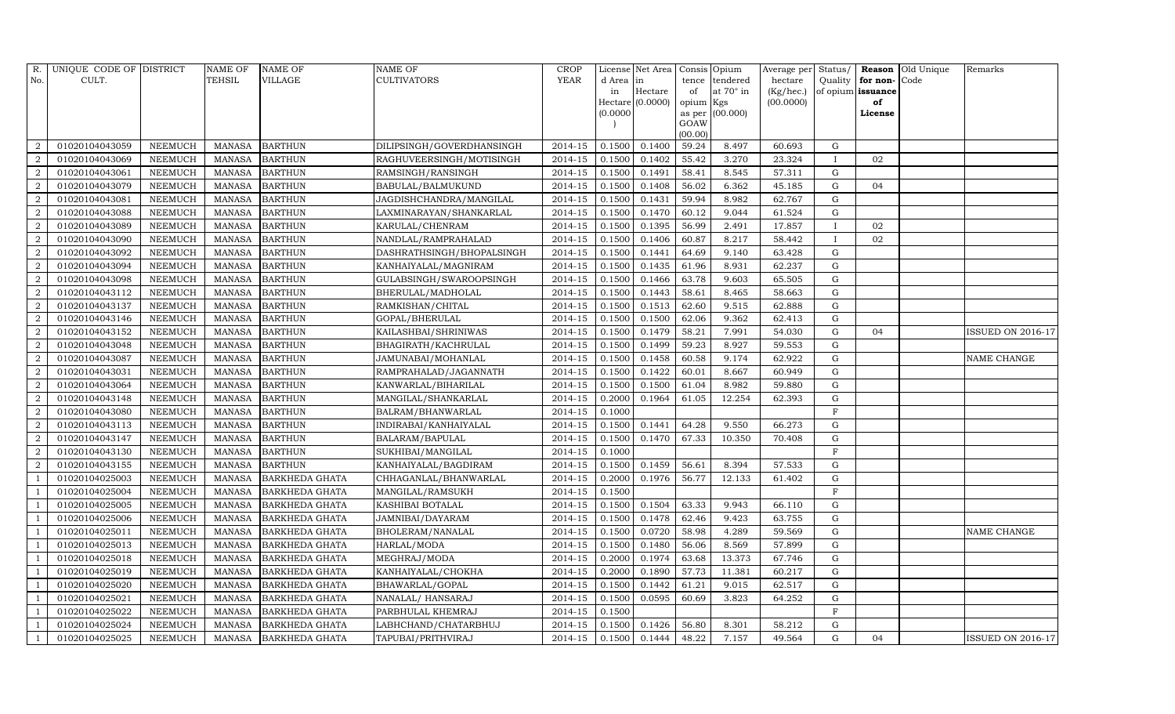| R.             | UNIQUE CODE OF DISTRICT |                | <b>NAME OF</b> | <b>NAME OF</b>        | NAME OF                   | <b>CROP</b> |           | License Net Area   | Consis Opium    |                 | Average per Status/ |                |                   | Reason Old Unique | Remarks                  |
|----------------|-------------------------|----------------|----------------|-----------------------|---------------------------|-------------|-----------|--------------------|-----------------|-----------------|---------------------|----------------|-------------------|-------------------|--------------------------|
| No.            | CULT.                   |                | TEHSIL         | <b>VILLAGE</b>        | CULTIVATORS               | <b>YEAR</b> | d Area in |                    | tence           | tendered        | hectare             | Quality        | for non-Code      |                   |                          |
|                |                         |                |                |                       |                           |             | in        | Hectare            | of              | at 70° in       | (Kg/hec.)           |                | of opium issuance |                   |                          |
|                |                         |                |                |                       |                           |             |           | $Hectare$ (0.0000) | opium Kgs       |                 | (00.0000)           |                | of                |                   |                          |
|                |                         |                |                |                       |                           |             | (0.0000)  |                    |                 | as per (00.000) |                     |                | License           |                   |                          |
|                |                         |                |                |                       |                           |             |           |                    | GOAW<br>(00.00) |                 |                     |                |                   |                   |                          |
| 2              | 01020104043059          | <b>NEEMUCH</b> | <b>MANASA</b>  | <b>BARTHUN</b>        | DILIPSINGH/GOVERDHANSINGH | 2014-15     | 0.1500    | 0.1400             | 59.24           | 8.497           | 60.693              | $\mathbf G$    |                   |                   |                          |
| 2              | 01020104043069          | <b>NEEMUCH</b> | <b>MANASA</b>  | <b>BARTHUN</b>        | RAGHUVEERSINGH/MOTISINGH  | 2014-15     | 0.1500    | 0.1402             | 55.42           | 3.270           | 23.324              | $\mathbf{I}$   | 02                |                   |                          |
| 2              | 01020104043061          | <b>NEEMUCH</b> | <b>MANASA</b>  | <b>BARTHUN</b>        | RAMSINGH/RANSINGH         | 2014-15     | 0.1500    | 0.1491             | 58.41           | 8.545           | 57.311              | G              |                   |                   |                          |
| $\overline{2}$ | 01020104043079          | <b>NEEMUCH</b> | <b>MANASA</b>  | <b>BARTHUN</b>        | BABULAL/BALMUKUND         | 2014-15     | 0.1500    | 0.1408             | 56.02           | 6.362           | 45.185              | ${\rm G}$      | 04                |                   |                          |
| 2              | 01020104043081          | <b>NEEMUCH</b> | <b>MANASA</b>  | <b>BARTHUN</b>        | JAGDISHCHANDRA/MANGILAL   | 2014-15     | 0.1500    | 0.1431             | 59.94           | 8.982           | 62.767              | $\mathbf G$    |                   |                   |                          |
| $\overline{2}$ | 01020104043088          | <b>NEEMUCH</b> | <b>MANASA</b>  | <b>BARTHUN</b>        | LAXMINARAYAN/SHANKARLAL   | 2014-15     | 0.1500    | 0.1470             | 60.12           | 9.044           | 61.524              | G              |                   |                   |                          |
| 2              | 01020104043089          | <b>NEEMUCH</b> | <b>MANASA</b>  | <b>BARTHUN</b>        | KARULAL/CHENRAM           | 2014-15     | 0.1500    | 0.1395             | 56.99           | 2.491           | 17.857              | $\bf{I}$       | 02                |                   |                          |
| $\overline{2}$ | 01020104043090          | <b>NEEMUCH</b> | <b>MANASA</b>  | <b>BARTHUN</b>        | NANDLAL/RAMPRAHALAD       | 2014-15     | 0.1500    | 0.1406             | 60.87           | 8.217           | 58.442              | $\mathbf{I}$   | 02                |                   |                          |
| 2              | 01020104043092          | <b>NEEMUCH</b> | <b>MANASA</b>  | <b>BARTHUN</b>        | DASHRATHSINGH/BHOPALSINGH | 2014-15     | 0.1500    | 0.1441             | 64.69           | 9.140           | 63.428              | G              |                   |                   |                          |
| $\overline{2}$ | 01020104043094          | <b>NEEMUCH</b> | <b>MANASA</b>  | <b>BARTHUN</b>        | KANHAIYALAL/MAGNIRAM      | 2014-15     | 0.1500    | 0.1435             | 61.96           | 8.931           | 62.237              | $\mathbf G$    |                   |                   |                          |
| 2              | 01020104043098          | <b>NEEMUCH</b> | <b>MANASA</b>  | <b>BARTHUN</b>        | GULABSINGH/SWAROOPSINGH   | 2014-15     | 0.1500    | 0.1466             | 63.78           | 9.603           | 65.505              | $\mathbf G$    |                   |                   |                          |
| $\overline{a}$ | 01020104043112          | <b>NEEMUCH</b> | <b>MANASA</b>  | <b>BARTHUN</b>        | BHERULAL/MADHOLAL         | $2014 - 15$ | 0.1500    | 0.1443             | 58.61           | 8.465           | 58.663              | G              |                   |                   |                          |
| $\overline{2}$ | 01020104043137          | <b>NEEMUCH</b> | <b>MANASA</b>  | <b>BARTHUN</b>        | RAMKISHAN/CHITAL          | 2014-15     | 0.1500    | 0.1513             | 62.60           | 9.515           | 62.888              | ${\rm G}$      |                   |                   |                          |
| $\overline{2}$ | 01020104043146          | <b>NEEMUCH</b> | <b>MANASA</b>  | <b>BARTHUN</b>        | GOPAL/BHERULAL            | 2014-15     | 0.1500    | 0.1500             | 62.06           | 9.362           | 62.413              | ${\rm G}$      |                   |                   |                          |
| $\overline{2}$ | 01020104043152          | <b>NEEMUCH</b> | <b>MANASA</b>  | <b>BARTHUN</b>        | KAILASHBAI/SHRINIWAS      | 2014-15     | 0.1500    | 0.1479             | 58.21           | 7.991           | 54.030              | G              | 04                |                   | <b>ISSUED ON 2016-17</b> |
| $\overline{2}$ | 01020104043048          | <b>NEEMUCH</b> | <b>MANASA</b>  | <b>BARTHUN</b>        | BHAGIRATH/KACHRULAL       | 2014-15     | 0.1500    | 0.1499             | 59.23           | 8.927           | 59.553              | G              |                   |                   |                          |
| 2              | 01020104043087          | <b>NEEMUCH</b> | <b>MANASA</b>  | <b>BARTHUN</b>        | JAMUNABAI/MOHANLAL        | 2014-15     | 0.1500    | 0.1458             | 60.58           | 9.174           | 62.922              | $\mathbf G$    |                   |                   | NAME CHANGE              |
| 2              | 01020104043031          | <b>NEEMUCH</b> | <b>MANASA</b>  | <b>BARTHUN</b>        | RAMPRAHALAD/JAGANNATH     | 2014-15     | 0.1500    | 0.1422             | 60.01           | 8.667           | 60.949              | $\mathbf G$    |                   |                   |                          |
| 2              | 01020104043064          | <b>NEEMUCH</b> | <b>MANASA</b>  | <b>BARTHUN</b>        | KANWARLAL/BIHARILAL       | 2014-15     | 0.1500    | 0.1500             | 61.04           | 8.982           | 59.880              | G              |                   |                   |                          |
| 2              | 01020104043148          | <b>NEEMUCH</b> | <b>MANASA</b>  | <b>BARTHUN</b>        | MANGILAL/SHANKARLAL       | 2014-15     | 0.2000    | 0.1964             | 61.05           | 12.254          | 62.393              | $\mathbf G$    |                   |                   |                          |
| $\overline{2}$ | 01020104043080          | <b>NEEMUCH</b> | <b>MANASA</b>  | <b>BARTHUN</b>        | BALRAM/BHANWARLAL         | 2014-15     | 0.1000    |                    |                 |                 |                     | $\overline{F}$ |                   |                   |                          |
| 2              | 01020104043113          | <b>NEEMUCH</b> | <b>MANASA</b>  | <b>BARTHUN</b>        | INDIRABAI/KANHAIYALAL     | 2014-15     | 0.1500    | 0.1441             | 64.28           | 9.550           | 66.273              | ${\rm G}$      |                   |                   |                          |
| $\overline{2}$ | 01020104043147          | <b>NEEMUCH</b> | <b>MANASA</b>  | <b>BARTHUN</b>        | BALARAM/BAPULAL           | 2014-15     | 0.1500    | 0.1470             | 67.33           | 10.350          | 70.408              | G              |                   |                   |                          |
| $\overline{2}$ | 01020104043130          | <b>NEEMUCH</b> | <b>MANASA</b>  | <b>BARTHUN</b>        | SUKHIBAI/MANGILAL         | 2014-15     | 0.1000    |                    |                 |                 |                     | $\overline{F}$ |                   |                   |                          |
| 2              | 01020104043155          | <b>NEEMUCH</b> | <b>MANASA</b>  | <b>BARTHUN</b>        | KANHAIYALAL/BAGDIRAM      | 2014-15     | 0.1500    | 0.1459             | 56.61           | 8.394           | 57.533              | $\mathbf G$    |                   |                   |                          |
|                | 01020104025003          | <b>NEEMUCH</b> | <b>MANASA</b>  | <b>BARKHEDA GHATA</b> | CHHAGANLAL/BHANWARLAL     | 2014-15     | 0.2000    | 0.1976             | 56.77           | 12.133          | 61.402              | G              |                   |                   |                          |
|                | 01020104025004          | <b>NEEMUCH</b> | <b>MANASA</b>  | <b>BARKHEDA GHATA</b> | MANGILAL/RAMSUKH          | 2014-15     | 0.1500    |                    |                 |                 |                     | $\mathbf{F}$   |                   |                   |                          |
| $\overline{1}$ | 01020104025005          | <b>NEEMUCH</b> | <b>MANASA</b>  | BARKHEDA GHATA        | KASHIBAI BOTALAL          | 2014-15     | 0.1500    | 0.1504             | 63.33           | 9.943           | 66.110              | G              |                   |                   |                          |
|                | 01020104025006          | <b>NEEMUCH</b> | <b>MANASA</b>  | BARKHEDA GHATA        | JAMNIBAI/DAYARAM          | 2014-15     | 0.1500    | 0.1478             | 62.46           | 9.423           | 63.755              | ${\rm G}$      |                   |                   |                          |
| $\overline{1}$ | 01020104025011          | <b>NEEMUCH</b> | <b>MANASA</b>  | BARKHEDA GHATA        | BHOLERAM/NANALAL          | 2014-15     | 0.1500    | 0.0720             | 58.98           | 4.289           | 59.569              | $\mathbf G$    |                   |                   | <b>NAME CHANGE</b>       |
|                | 01020104025013          | <b>NEEMUCH</b> | <b>MANASA</b>  | <b>BARKHEDA GHATA</b> | HARLAL/MODA               | 2014-15     | 0.1500    | 0.1480             | 56.06           | 8.569           | 57.899              | ${\rm G}$      |                   |                   |                          |
|                | 01020104025018          | <b>NEEMUCH</b> | <b>MANASA</b>  | <b>BARKHEDA GHATA</b> | MEGHRAJ/MODA              | 2014-15     | 0.2000    | 0.1974             | 63.68           | 13.373          | 67.746              | $\mathbf G$    |                   |                   |                          |
|                | 01020104025019          | <b>NEEMUCH</b> | <b>MANASA</b>  | <b>BARKHEDA GHATA</b> | KANHAIYALAL/CHOKHA        | 2014-15     | 0.2000    | 0.1890             | 57.73           | 11.381          | 60.217              | G              |                   |                   |                          |
| -1             | 01020104025020          | <b>NEEMUCH</b> | <b>MANASA</b>  | <b>BARKHEDA GHATA</b> | BHAWARLAL/GOPAL           | 2014-15     | 0.1500    | 0.1442             | 61.21           | 9.015           | 62.517              | $\mathbf G$    |                   |                   |                          |
| - 1            | 01020104025021          | <b>NEEMUCH</b> | <b>MANASA</b>  | <b>BARKHEDA GHATA</b> | NANALAL/HANSARAJ          | 2014-15     | 0.1500    | 0.0595             | 60.69           | 3.823           | 64.252              | $\mathbf G$    |                   |                   |                          |
|                | 01020104025022          | <b>NEEMUCH</b> | <b>MANASA</b>  | BARKHEDA GHATA        | PARBHULAL KHEMRAJ         | 2014-15     | 0.1500    |                    |                 |                 |                     | $\mathbf{F}$   |                   |                   |                          |
| $\overline{1}$ | 01020104025024          | <b>NEEMUCH</b> | <b>MANASA</b>  | BARKHEDA GHATA        | LABHCHAND/CHATARBHUJ      | 2014-15     | 0.1500    | 0.1426             | 56.80           | 8.301           | 58.212              | $\mathbf G$    |                   |                   |                          |
| 1              | 01020104025025          | <b>NEEMUCH</b> | <b>MANASA</b>  | <b>BARKHEDA GHATA</b> | TAPUBAI/PRITHVIRAJ        | 2014-15     | 0.1500    | 0.1444             | 48.22           | 7.157           | 49.564              | $\mathbf G$    | 04                |                   | <b>ISSUED ON 2016-17</b> |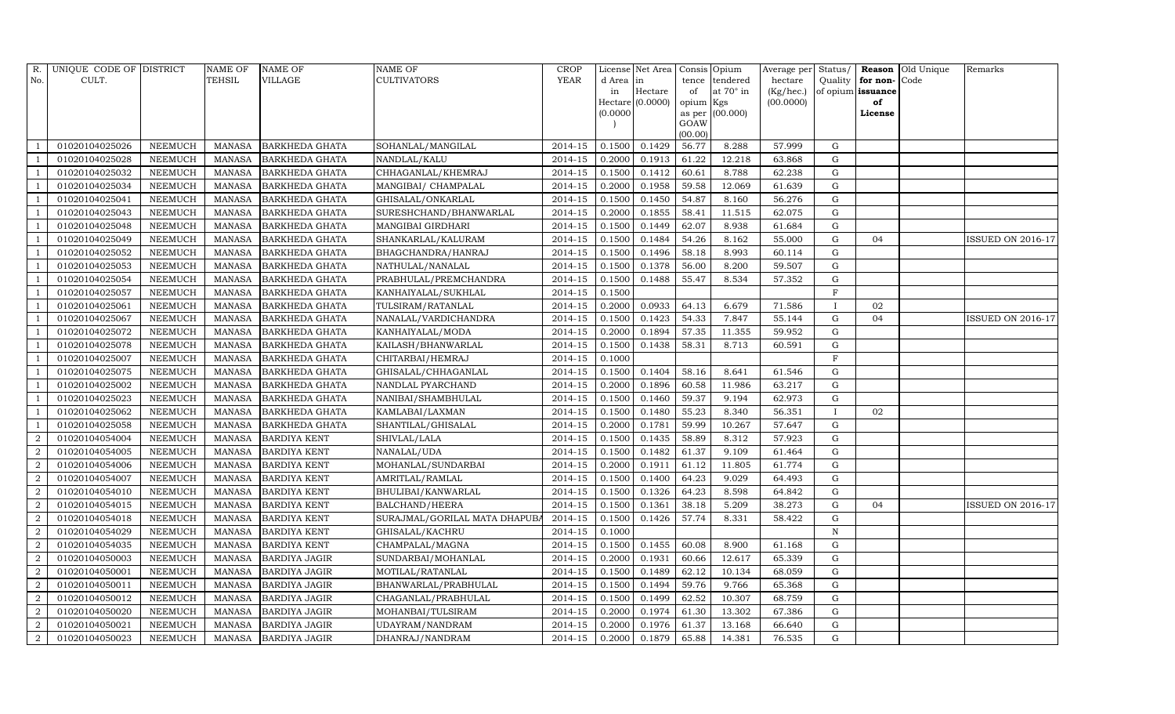| R.             | UNIQUE CODE OF DISTRICT |                | <b>NAME OF</b> | <b>NAME OF</b>        | <b>NAME OF</b>                | <b>CROP</b> |           | License Net Area   Consis   Opium |           |                  |           |              |                   | Average per Status/ Reason Old Unique | Remarks                  |
|----------------|-------------------------|----------------|----------------|-----------------------|-------------------------------|-------------|-----------|-----------------------------------|-----------|------------------|-----------|--------------|-------------------|---------------------------------------|--------------------------|
| No.            | CULT.                   |                | <b>TEHSIL</b>  | <b>VILLAGE</b>        | CULTIVATORS                   | <b>YEAR</b> | d Area in |                                   | tence     | tendered         | hectare   | Quality      | for non-Code      |                                       |                          |
|                |                         |                |                |                       |                               |             | in        | Hectare                           | of        | at $70^\circ$ in | (Kg/hec.) |              | of opium issuance |                                       |                          |
|                |                         |                |                |                       |                               |             |           | $Hectare$ (0.0000)                | opium Kgs |                  | (00.0000) |              | of                |                                       |                          |
|                |                         |                |                |                       |                               |             | (0.0000)  |                                   | GOAW      | as per (00.000)  |           |              | License           |                                       |                          |
|                |                         |                |                |                       |                               |             |           |                                   | (00.00)   |                  |           |              |                   |                                       |                          |
|                | 01020104025026          | <b>NEEMUCH</b> | MANASA         | <b>BARKHEDA GHATA</b> | SOHANLAL/MANGILAL             | 2014-15     | 0.1500    | 0.1429                            | 56.77     | 8.288            | 57.999    | G            |                   |                                       |                          |
|                | 01020104025028          | <b>NEEMUCH</b> | <b>MANASA</b>  | <b>BARKHEDA GHATA</b> | NANDLAL/KALU                  | 2014-15     | 0.2000    | 0.1913                            | 61.22     | 12.218           | 63.868    | G            |                   |                                       |                          |
|                | 01020104025032          | <b>NEEMUCH</b> | <b>MANASA</b>  | <b>BARKHEDA GHATA</b> | CHHAGANLAL/KHEMRAJ            | 2014-15     | 0.1500    | 0.1412                            | 60.61     | 8.788            | 62.238    | $\mathbf G$  |                   |                                       |                          |
|                | 01020104025034          | <b>NEEMUCH</b> | <b>MANASA</b>  | <b>BARKHEDA GHATA</b> | MANGIBAI/ CHAMPALAL           | 2014-15     | 0.2000    | 0.1958                            | 59.58     | 12.069           | 61.639    | $\mathbf G$  |                   |                                       |                          |
|                | 01020104025041          | <b>NEEMUCH</b> | <b>MANASA</b>  | <b>BARKHEDA GHATA</b> | GHISALAL/ONKARLAL             | 2014-15     | 0.1500    | 0.1450                            | 54.87     | 8.160            | 56.276    | $\mathbf G$  |                   |                                       |                          |
|                | 01020104025043          | <b>NEEMUCH</b> | <b>MANASA</b>  | <b>BARKHEDA GHATA</b> | SURESHCHAND/BHANWARLAL        | 2014-15     | 0.2000    | 0.1855                            | 58.41     | 11.515           | 62.075    | G            |                   |                                       |                          |
|                | 01020104025048          | <b>NEEMUCH</b> | <b>MANASA</b>  | BARKHEDA GHATA        | MANGIBAI GIRDHARI             | 2014-15     | 0.1500    | 0.1449                            | 62.07     | 8.938            | 61.684    | G            |                   |                                       |                          |
|                | 01020104025049          | <b>NEEMUCH</b> | <b>MANASA</b>  | <b>BARKHEDA GHATA</b> | SHANKARLAL/KALURAM            | 2014-15     | 0.1500    | 0.1484                            | 54.26     | 8.162            | 55.000    | $\mathbf G$  | 04                |                                       | <b>ISSUED ON 2016-17</b> |
|                | 01020104025052          | <b>NEEMUCH</b> | <b>MANASA</b>  | BARKHEDA GHATA        | BHAGCHANDRA/HANRAJ            | 2014-15     | 0.1500    | 0.1496                            | 58.18     | 8.993            | 60.114    | G            |                   |                                       |                          |
|                | 01020104025053          | <b>NEEMUCH</b> | <b>MANASA</b>  | BARKHEDA GHATA        | NATHULAL/NANALAL              | 2014-15     | 0.1500    | 0.1378                            | 56.00     | 8.200            | 59.507    | G            |                   |                                       |                          |
|                | 01020104025054          | <b>NEEMUCH</b> | <b>MANASA</b>  | <b>BARKHEDA GHATA</b> | PRABHULAL/PREMCHANDRA         | 2014-15     | 0.1500    | 0.1488                            | 55.47     | 8.534            | 57.352    | G            |                   |                                       |                          |
|                | 01020104025057          | <b>NEEMUCH</b> | <b>MANASA</b>  | BARKHEDA GHATA        | KANHAIYALAL/SUKHLAL           | 2014-15     | 0.1500    |                                   |           |                  |           | $\rm F$      |                   |                                       |                          |
|                | 01020104025061          | <b>NEEMUCH</b> | <b>MANASA</b>  | <b>BARKHEDA GHATA</b> | TULSIRAM/RATANLAL             | 2014-15     | 0.2000    | 0.0933                            | 64.13     | 6.679            | 71.586    | $\mathbf I$  | 02                |                                       |                          |
|                | 01020104025067          | <b>NEEMUCH</b> | <b>MANASA</b>  | <b>BARKHEDA GHATA</b> | NANALAL/VARDICHANDRA          | 2014-15     | 0.1500    | 0.1423                            | 54.33     | 7.847            | 55.144    | ${\rm G}$    | 04                |                                       | <b>ISSUED ON 2016-17</b> |
|                | 01020104025072          | <b>NEEMUCH</b> | <b>MANASA</b>  | <b>BARKHEDA GHATA</b> | KANHAIYALAL/MODA              | 2014-15     | 0.2000    | 0.1894                            | 57.35     | 11.355           | 59.952    | G            |                   |                                       |                          |
|                | 01020104025078          | <b>NEEMUCH</b> | <b>MANASA</b>  | BARKHEDA GHATA        | KAILASH/BHANWARLAL            | 2014-15     | 0.1500    | 0.1438                            | 58.31     | 8.713            | 60.591    | $\mathbf G$  |                   |                                       |                          |
|                | 01020104025007          | <b>NEEMUCH</b> | <b>MANASA</b>  | <b>BARKHEDA GHATA</b> | CHITARBAI/HEMRAJ              | 2014-15     | 0.1000    |                                   |           |                  |           | $_{\rm F}$   |                   |                                       |                          |
|                | 01020104025075          | <b>NEEMUCH</b> | <b>MANASA</b>  | <b>BARKHEDA GHATA</b> | GHISALAL/CHHAGANLAL           | $2014 - 15$ | 0.1500    | 0.1404                            | 58.16     | 8.641            | 61.546    | ${\rm G}$    |                   |                                       |                          |
|                | 01020104025002          | <b>NEEMUCH</b> | <b>MANASA</b>  | <b>BARKHEDA GHATA</b> | NANDLAL PYARCHAND             | 2014-15     | 0.2000    | 0.1896                            | 60.58     | 11.986           | 63.217    | G            |                   |                                       |                          |
|                | 01020104025023          | <b>NEEMUCH</b> | <b>MANASA</b>  | <b>BARKHEDA GHATA</b> | NANIBAI/SHAMBHULAL            | 2014-15     | 0.1500    | 0.1460                            | 59.37     | 9.194            | 62.973    | $\mathbf G$  |                   |                                       |                          |
|                | 01020104025062          | <b>NEEMUCH</b> | <b>MANASA</b>  | <b>BARKHEDA GHATA</b> | KAMLABAI/LAXMAN               | 2014-15     | 0.1500    | 0.1480                            | 55.23     | 8.340            | 56.351    | $\mathbf{I}$ | 02                |                                       |                          |
|                | 01020104025058          | <b>NEEMUCH</b> | <b>MANASA</b>  | BARKHEDA GHATA        | SHANTILAL/GHISALAL            | 2014-15     | 0.2000    | 0.1781                            | 59.99     | 10.267           | 57.647    | G            |                   |                                       |                          |
| 2              | 01020104054004          | <b>NEEMUCH</b> | <b>MANASA</b>  | <b>BARDIYA KENT</b>   | SHIVLAL/LALA                  | $2014 - 15$ | 0.1500    | 0.1435                            | 58.89     | 8.312            | 57.923    | G            |                   |                                       |                          |
| $\overline{2}$ | 01020104054005          | <b>NEEMUCH</b> | <b>MANASA</b>  | <b>BARDIYA KENT</b>   | NANALAL/UDA                   | 2014-15     | 0.1500    | 0.1482                            | 61.37     | 9.109            | 61.464    | G            |                   |                                       |                          |
| 2              | 01020104054006          | <b>NEEMUCH</b> | <b>MANASA</b>  | <b>BARDIYA KENT</b>   | MOHANLAL/SUNDARBAI            | 2014-15     | 0.2000    | 0.1911                            | 61.12     | 11.805           | 61.774    | G            |                   |                                       |                          |
| $\overline{2}$ | 01020104054007          | <b>NEEMUCH</b> | <b>MANASA</b>  | <b>BARDIYA KENT</b>   | AMRITLAL/RAMLAL               | 2014-15     | 0.1500    | 0.1400                            | 64.23     | 9.029            | 64.493    | $\mathbf G$  |                   |                                       |                          |
| 2              | 01020104054010          | <b>NEEMUCH</b> | <b>MANASA</b>  | <b>BARDIYA KENT</b>   | BHULIBAI/KANWARLAL            | 2014-15     | 0.1500    | 0.1326                            | 64.23     | 8.598            | 64.842    | G            |                   |                                       |                          |
| 2              | 01020104054015          | <b>NEEMUCH</b> | <b>MANASA</b>  | <b>BARDIYA KENT</b>   | BALCHAND/HEERA                | 2014-15     | 0.1500    | 0.1361                            | 38.18     | 5.209            | 38.273    | G            | 04                |                                       | <b>ISSUED ON 2016-17</b> |
| $\overline{2}$ | 01020104054018          | <b>NEEMUCH</b> | <b>MANASA</b>  | <b>BARDIYA KENT</b>   | SURAJMAL/GORILAL MATA DHAPUBA | 2014-15     | 0.1500    | 0.1426                            | 57.74     | 8.331            | 58.422    | $\mathbf G$  |                   |                                       |                          |
| $\overline{2}$ | 01020104054029          | <b>NEEMUCH</b> | <b>MANASA</b>  | <b>BARDIYA KENT</b>   | GHISALAL/KACHRU               | 2014-15     | 0.1000    |                                   |           |                  |           | $\mathbf N$  |                   |                                       |                          |
| $\overline{2}$ | 01020104054035          | <b>NEEMUCH</b> | <b>MANASA</b>  | <b>BARDIYA KENT</b>   | CHAMPALAL/MAGNA               | 2014-15     | 0.1500    | 0.1455                            | 60.08     | 8.900            | 61.168    | $\mathbf G$  |                   |                                       |                          |
| $\overline{2}$ | 01020104050003          | <b>NEEMUCH</b> | <b>MANASA</b>  | <b>BARDIYA JAGIR</b>  | SUNDARBAI/MOHANLAL            | 2014-15     | 0.2000    | 0.1931                            | 60.66     | 12.617           | 65.339    | $\mathbf G$  |                   |                                       |                          |
| 2              | 01020104050001          | <b>NEEMUCH</b> | <b>MANASA</b>  | <b>BARDIYA JAGIR</b>  | MOTILAL/RATANLAL              | 2014-15     | 0.1500    | 0.1489                            | 62.12     | 10.134           | 68.059    | $\mathbf G$  |                   |                                       |                          |
| $\overline{2}$ | 01020104050011          | <b>NEEMUCH</b> | <b>MANASA</b>  | <b>BARDIYA JAGIR</b>  | BHANWARLAL/PRABHULAL          | 2014-15     | 0.1500    | 0.1494                            | 59.76     | 9.766            | 65.368    | G            |                   |                                       |                          |
| 2              | 01020104050012          | <b>NEEMUCH</b> | <b>MANASA</b>  | <b>BARDIYA JAGIR</b>  | CHAGANLAL/PRABHULAL           | 2014-15     | 0.1500    | 0.1499                            | 62.52     | 10.307           | 68.759    | $\mathbf G$  |                   |                                       |                          |
| $\overline{2}$ | 01020104050020          | <b>NEEMUCH</b> | <b>MANASA</b>  | <b>BARDIYA JAGIR</b>  | MOHANBAI/TULSIRAM             | 2014-15     | 0.2000    | 0.1974                            | 61.30     | 13.302           | 67.386    | G            |                   |                                       |                          |
| $\overline{2}$ | 01020104050021          | <b>NEEMUCH</b> | <b>MANASA</b>  | <b>BARDIYA JAGIR</b>  | UDAYRAM/NANDRAM               | 2014-15     | 0.2000    | 0.1976                            | 61.37     | 13.168           | 66.640    | G            |                   |                                       |                          |
| $\overline{2}$ | 01020104050023          | <b>NEEMUCH</b> | <b>MANASA</b>  | <b>BARDIYA JAGIR</b>  | DHANRAJ/NANDRAM               | 2014-15     | 0.2000    | 0.1879                            | 65.88     | 14.381           | 76.535    | $\mathbf G$  |                   |                                       |                          |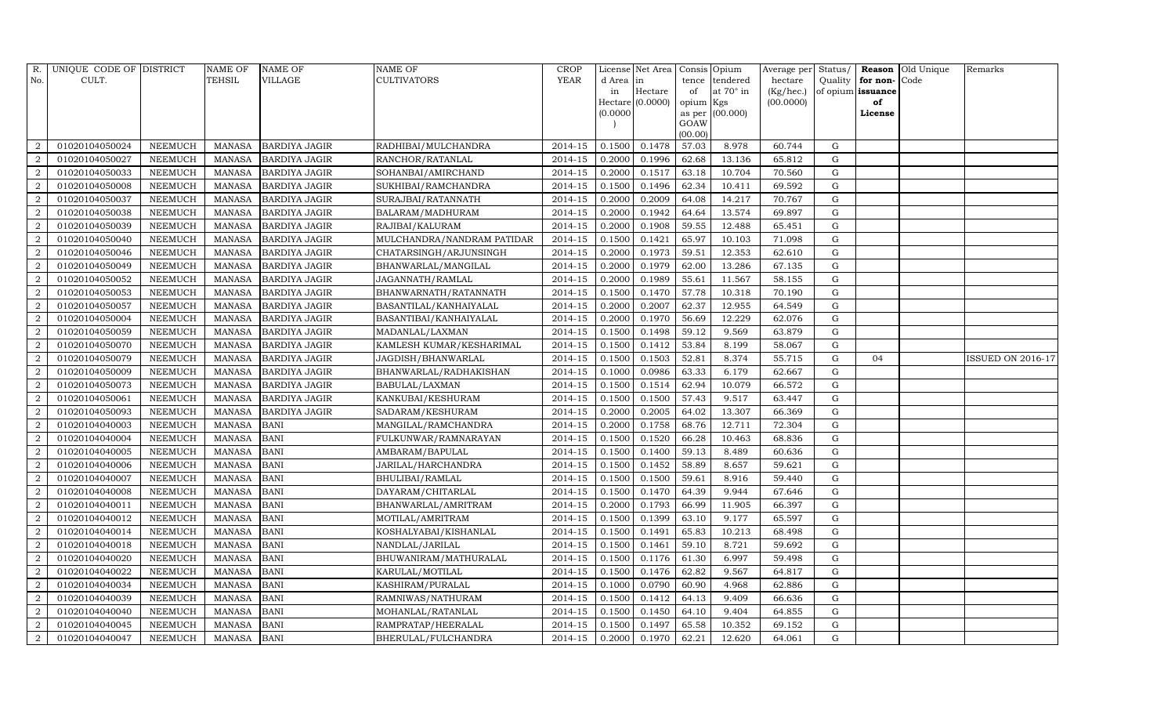|                | R. UNIQUE CODE OF DISTRICT |                | <b>NAME OF</b> | <b>NAME OF</b>       | <b>NAME OF</b>             | <b>CROP</b> |          | License Net Area   Consis   Opium |           |                  |           |             |                   | Average per Status/ Reason Old Unique | Remarks           |
|----------------|----------------------------|----------------|----------------|----------------------|----------------------------|-------------|----------|-----------------------------------|-----------|------------------|-----------|-------------|-------------------|---------------------------------------|-------------------|
| No.            | CULT.                      |                | TEHSIL         | <b>VILLAGE</b>       | <b>CULTIVATORS</b>         | YEAR        | d Area   | in                                |           | tence tendered   | hectare   | Quality     | for non-          | Code                                  |                   |
|                |                            |                |                |                      |                            |             | in       | Hectare                           | of        | at $70^\circ$ in | (Kg/hec.) |             | of opium issuance |                                       |                   |
|                |                            |                |                |                      |                            |             |          | $Hectare$ (0.0000)                | opium Kgs |                  | (00.0000) |             | of                |                                       |                   |
|                |                            |                |                |                      |                            |             | (0.0000) |                                   | GOAW      | as per (00.000)  |           |             | License           |                                       |                   |
|                |                            |                |                |                      |                            |             |          |                                   | (00.00)   |                  |           |             |                   |                                       |                   |
| 2              | 01020104050024             | <b>NEEMUCH</b> | MANASA         | <b>BARDIYA JAGIR</b> | RADHIBAI/MULCHANDRA        | 2014-15     | 0.1500   | 0.1478                            | 57.03     | 8.978            | 60.744    | G           |                   |                                       |                   |
| 2              | 01020104050027             | <b>NEEMUCH</b> | <b>MANASA</b>  | <b>BARDIYA JAGIR</b> | RANCHOR/RATANLAL           | 2014-15     | 0.2000   | 0.1996                            | 62.68     | 13.136           | 65.812    | $\mathbf G$ |                   |                                       |                   |
| $\overline{2}$ | 01020104050033             | <b>NEEMUCH</b> | <b>MANASA</b>  | <b>BARDIYA JAGIR</b> | SOHANBAI/AMIRCHAND         | 2014-15     | 0.2000   | 0.1517                            | 63.18     | 10.704           | 70.560    | $\mathbf G$ |                   |                                       |                   |
| $\overline{2}$ | 01020104050008             | <b>NEEMUCH</b> | <b>MANASA</b>  | <b>BARDIYA JAGIR</b> | SUKHIBAI/RAMCHANDRA        | 2014-15     | 0.1500   | 0.1496                            | 62.34     | 10.411           | 69.592    | $\mathbf G$ |                   |                                       |                   |
| $\overline{2}$ | 01020104050037             | <b>NEEMUCH</b> | <b>MANASA</b>  | <b>BARDIYA JAGIR</b> | SURAJBAI/RATANNATH         | $2014 - 15$ | 0.2000   | 0.2009                            | 64.08     | 14.217           | 70.767    | $\mathbf G$ |                   |                                       |                   |
| -2             | 01020104050038             | <b>NEEMUCH</b> | <b>MANASA</b>  | <b>BARDIYA JAGIR</b> | BALARAM/MADHURAM           | 2014-15     | 0.2000   | 0.1942                            | 64.64     | 13.574           | 69.897    | G           |                   |                                       |                   |
| 2              | 01020104050039             | <b>NEEMUCH</b> | <b>MANASA</b>  | <b>BARDIYA JAGIR</b> | RAJIBAI/KALURAM            | 2014-15     | 0.2000   | 0.1908                            | 59.55     | 12.488           | 65.451    | $\mathbf G$ |                   |                                       |                   |
| 2              | 01020104050040             | <b>NEEMUCH</b> | <b>MANASA</b>  | <b>BARDIYA JAGIR</b> | MULCHANDRA/NANDRAM PATIDAR | 2014-15     | 0.1500   | 0.1421                            | 65.97     | 10.103           | 71.098    | ${\bf G}$   |                   |                                       |                   |
| $\overline{2}$ | 01020104050046             | <b>NEEMUCH</b> | <b>MANASA</b>  | <b>BARDIYA JAGIR</b> | CHATARSINGH/ARJUNSINGH     | 2014-15     | 0.2000   | 0.1973                            | 59.51     | 12.353           | 62.610    | $\mathbf G$ |                   |                                       |                   |
| 2              | 01020104050049             | <b>NEEMUCH</b> | <b>MANASA</b>  | <b>BARDIYA JAGIR</b> | BHANWARLAL/MANGILAL        | 2014-15     | 0.2000   | 0.1979                            | 62.00     | 13.286           | 67.135    | $\mathbf G$ |                   |                                       |                   |
| 2              | 01020104050052             | <b>NEEMUCH</b> | <b>MANASA</b>  | <b>BARDIYA JAGIR</b> | JAGANNATH/RAMLAL           | 2014-15     | 0.2000   | 0.1989                            | 55.61     | 11.567           | 58.155    | G           |                   |                                       |                   |
| $\overline{2}$ | 01020104050053             | <b>NEEMUCH</b> | <b>MANASA</b>  | <b>BARDIYA JAGIR</b> | BHANWARNATH/RATANNATH      | $2014 - 15$ | 0.1500   | 0.1470                            | 57.78     | 10.318           | 70.190    | $\mathbf G$ |                   |                                       |                   |
| $\overline{2}$ | 01020104050057             | <b>NEEMUCH</b> | <b>MANASA</b>  | <b>BARDIYA JAGIR</b> | BASANTILAL/KANHAIYALAL     | $2014 - 15$ | 0.2000   | 0.2007                            | 62.37     | 12.955           | 64.549    | $\mathbf G$ |                   |                                       |                   |
| $\overline{2}$ | 01020104050004             | <b>NEEMUCH</b> | <b>MANASA</b>  | <b>BARDIYA JAGIR</b> | BASANTIBAI/KANHAIYALAL     | 2014-15     | 0.2000   | 0.1970                            | 56.69     | 12.229           | 62.076    | $\mathbf G$ |                   |                                       |                   |
| $\overline{2}$ | 01020104050059             | <b>NEEMUCH</b> | <b>MANASA</b>  | <b>BARDIYA JAGIR</b> | MADANLAL/LAXMAN            | 2014-15     | 0.1500   | 0.1498                            | 59.12     | 9.569            | 63.879    | $\mathbf G$ |                   |                                       |                   |
| $\overline{2}$ | 01020104050070             | <b>NEEMUCH</b> | <b>MANASA</b>  | <b>BARDIYA JAGIR</b> | KAMLESH KUMAR/KESHARIMAL   | 2014-15     | 0.1500   | 0.1412                            | 53.84     | 8.199            | 58.067    | G           |                   |                                       |                   |
| $\overline{a}$ | 01020104050079             | <b>NEEMUCH</b> | <b>MANASA</b>  | <b>BARDIYA JAGIR</b> | JAGDISH/BHANWARLAL         | 2014-15     | 0.1500   | 0.1503                            | 52.81     | 8.374            | 55.715    | $\mathbf G$ | 04                |                                       | ISSUED ON 2016-17 |
| $\overline{a}$ | 01020104050009             | <b>NEEMUCH</b> | <b>MANASA</b>  | <b>BARDIYA JAGIR</b> | BHANWARLAL/RADHAKISHAN     | 2014-15     | 0.1000   | 0.0986                            | 63.33     | 6.179            | 62.667    | $\mathbf G$ |                   |                                       |                   |
| $\overline{2}$ | 01020104050073             | <b>NEEMUCH</b> | <b>MANASA</b>  | <b>BARDIYA JAGIR</b> | BABULAL/LAXMAN             | 2014-15     | 0.1500   | 0.1514                            | 62.94     | 10.079           | 66.572    | $\mathbf G$ |                   |                                       |                   |
| $\overline{2}$ | 01020104050061             | <b>NEEMUCH</b> | <b>MANASA</b>  | <b>BARDIYA JAGIR</b> | KANKUBAI/KESHURAM          | 2014-15     | 0.1500   | 0.1500                            | 57.43     | 9.517            | 63.447    | $\mathbf G$ |                   |                                       |                   |
| 2              | 01020104050093             | <b>NEEMUCH</b> | <b>MANASA</b>  | <b>BARDIYA JAGIR</b> | SADARAM/KESHURAM           | 2014-15     | 0.2000   | 0.2005                            | 64.02     | 13.307           | 66.369    | $\mathbf G$ |                   |                                       |                   |
| 2              | 01020104040003             | <b>NEEMUCH</b> | <b>MANASA</b>  | <b>BANI</b>          | MANGILAL/RAMCHANDRA        | 2014-15     | 0.2000   | 0.1758                            | 68.76     | 12.711           | 72.304    | $\mathbf G$ |                   |                                       |                   |
| $\overline{2}$ | 01020104040004             | <b>NEEMUCH</b> | <b>MANASA</b>  | <b>BANI</b>          | FULKUNWAR/RAMNARAYAN       | $2014 - 15$ | 0.1500   | 0.1520                            | 66.28     | 10.463           | 68.836    | $\mathbf G$ |                   |                                       |                   |
| $\overline{2}$ | 01020104040005             | <b>NEEMUCH</b> | <b>MANASA</b>  | <b>BANI</b>          | AMBARAM/BAPULAL            | 2014-15     | 0.1500   | 0.1400                            | 59.13     | 8.489            | 60.636    | $\mathbf G$ |                   |                                       |                   |
| $\overline{2}$ | 01020104040006             | <b>NEEMUCH</b> | <b>MANASA</b>  | <b>BANI</b>          | JARILAL/HARCHANDRA         | 2014-15     | 0.1500   | 0.1452                            | 58.89     | 8.657            | 59.621    | $\mathbf G$ |                   |                                       |                   |
| $\overline{2}$ | 01020104040007             | <b>NEEMUCH</b> | <b>MANASA</b>  | <b>BANI</b>          | BHULIBAI/RAMLAL            | 2014-15     | 0.1500   | 0.1500                            | 59.61     | 8.916            | 59.440    | G           |                   |                                       |                   |
| 2              | 01020104040008             | <b>NEEMUCH</b> | <b>MANASA</b>  | <b>BANI</b>          | DAYARAM/CHITARLAL          | 2014-15     | 0.1500   | 0.1470                            | 64.39     | 9.944            | 67.646    | $\mathbf G$ |                   |                                       |                   |
| 2              | 01020104040011             | <b>NEEMUCH</b> | <b>MANASA</b>  | <b>BANI</b>          | BHANWARLAL/AMRITRAM        | 2014-15     | 0.2000   | 0.1793                            | 66.99     | 11.905           | 66.397    | $\mathbf G$ |                   |                                       |                   |
| $\overline{2}$ | 01020104040012             | <b>NEEMUCH</b> | <b>MANASA</b>  | <b>BANI</b>          | MOTILAL/AMRITRAM           | 2014-15     | 0.1500   | 0.1399                            | 63.10     | 9.177            | 65.597    | ${\rm G}$   |                   |                                       |                   |
| 2              | 01020104040014             | <b>NEEMUCH</b> | <b>MANASA</b>  | <b>BANI</b>          | KOSHALYABAI/KISHANLAL      | $2014 - 15$ | 0.1500   | 0.1491                            | 65.83     | 10.213           | 68.498    | $\mathbf G$ |                   |                                       |                   |
| $\overline{2}$ | 01020104040018             | <b>NEEMUCH</b> | <b>MANASA</b>  | <b>BANI</b>          | NANDLAL/JARILAL            | 2014-15     | 0.1500   | 0.1461                            | 59.10     | 8.721            | 59.692    | $\mathbf G$ |                   |                                       |                   |
| $\overline{2}$ | 01020104040020             | <b>NEEMUCH</b> | <b>MANASA</b>  | <b>BANI</b>          | BHUWANIRAM/MATHURALAL      | 2014-15     | 0.1500   | 0.1176                            | 61.30     | 6.997            | 59.498    | $\mathbf G$ |                   |                                       |                   |
| <sup>2</sup>   | 01020104040022             | <b>NEEMUCH</b> | <b>MANASA</b>  | <b>BANI</b>          | KARULAL/MOTILAL            | 2014-15     | 0.1500   | 0.1476                            | 62.82     | 9.567            | 64.817    | $\mathbf G$ |                   |                                       |                   |
| $\overline{2}$ | 01020104040034             | <b>NEEMUCH</b> | <b>MANASA</b>  | <b>BANI</b>          | KASHIRAM/PURALAL           | 2014-15     | 0.1000   | 0.0790                            | 60.90     | 4.968            | 62.886    | $\mathbf G$ |                   |                                       |                   |
| $\overline{2}$ | 01020104040039             | <b>NEEMUCH</b> | <b>MANASA</b>  | <b>BANI</b>          | RAMNIWAS/NATHURAM          | 2014-15     | 0.1500   | 0.1412                            | 64.13     | 9.409            | 66.636    | $\mathbf G$ |                   |                                       |                   |
| $\overline{2}$ | 01020104040040             | <b>NEEMUCH</b> | <b>MANASA</b>  | <b>BANI</b>          | MOHANLAL/RATANLAL          | 2014-15     | 0.1500   | 0.1450                            | 64.10     | 9.404            | 64.855    | $\mathbf G$ |                   |                                       |                   |
| $\overline{a}$ | 01020104040045             | <b>NEEMUCH</b> | <b>MANASA</b>  | <b>BANI</b>          | RAMPRATAP/HEERALAL         | 2014-15     | 0.1500   | 0.1497                            | 65.58     | 10.352           | 69.152    | G           |                   |                                       |                   |
| $\overline{a}$ | 01020104040047             | <b>NEEMUCH</b> | MANASA         | <b>BANI</b>          | BHERULAL/FULCHANDRA        | 2014-15     | 0.2000   | 0.1970                            | 62.21     | 12.620           | 64.061    | $\mathbf G$ |                   |                                       |                   |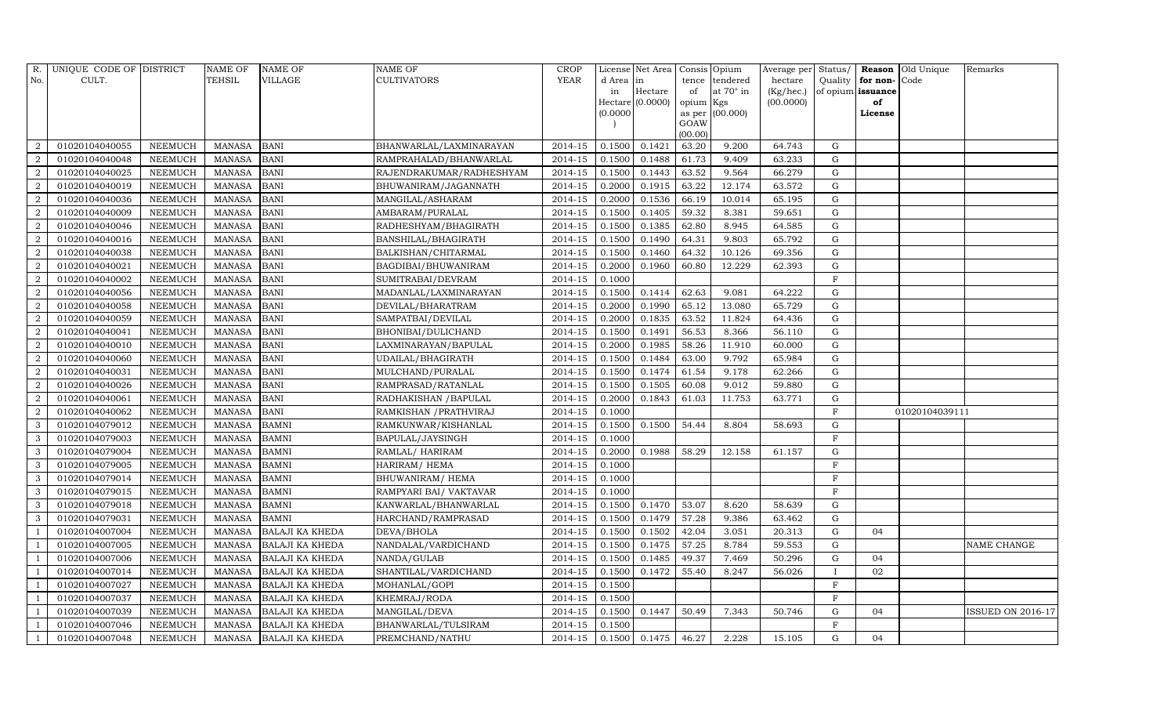| R.             | UNIQUE CODE OF DISTRICT |                | <b>NAME OF</b> | <b>NAME OF</b>         | <b>NAME OF</b>           | <b>CROP</b> |           | License Net Area |                 | Consis Opium     | Average per Status/ |                |                   | Reason Old Unique | Remarks                  |
|----------------|-------------------------|----------------|----------------|------------------------|--------------------------|-------------|-----------|------------------|-----------------|------------------|---------------------|----------------|-------------------|-------------------|--------------------------|
| No.            | CULT.                   |                | TEHSIL         | <b>VILLAGE</b>         | <b>CULTIVATORS</b>       | YEAR        | d Area in |                  |                 | tence tendered   | hectare             | Quality        | for non-          | Code              |                          |
|                |                         |                |                |                        |                          |             | in        | Hectare          | of              | at $70^\circ$ in | (Kg/hec.)           |                | of opium issuance |                   |                          |
|                |                         |                |                |                        |                          |             |           | Hectare (0.0000) | opium Kgs       |                  | (00.0000)           |                | of                |                   |                          |
|                |                         |                |                |                        |                          |             | (0.0000)  |                  |                 | as per (00.000)  |                     |                | License           |                   |                          |
|                |                         |                |                |                        |                          |             |           |                  | GOAW<br>(00.00) |                  |                     |                |                   |                   |                          |
| 2              | 01020104040055          | <b>NEEMUCH</b> | <b>MANASA</b>  | <b>BANI</b>            | BHANWARLAL/LAXMINARAYAN  | $2014 - 15$ | 0.1500    | 0.1421           | 63.20           | 9.200            | 64.743              | $\mathbf G$    |                   |                   |                          |
| 2              | 01020104040048          | <b>NEEMUCH</b> | <b>MANASA</b>  | <b>BANI</b>            | RAMPRAHALAD/BHANWARLAL   | 2014-15     | 0.1500    | 0.1488           | 61.73           | 9.409            | 63.233              | $\mathbf G$    |                   |                   |                          |
| 2              | 01020104040025          | NEEMUCH        | <b>MANASA</b>  | <b>BANI</b>            | RAJENDRAKUMAR/RADHESHYAM | $2014 - 15$ | 0.1500    | 0.1443           | 63.52           | 9.564            | 66.279              | G              |                   |                   |                          |
| $\overline{2}$ | 01020104040019          | <b>NEEMUCH</b> | <b>MANASA</b>  | <b>BANI</b>            | BHUWANIRAM/JAGANNATH     | 2014-15     | 0.2000    | 0.1915           | 63.22           | 12.174           | 63.572              | $\mathbf G$    |                   |                   |                          |
| 2              | 01020104040036          | <b>NEEMUCH</b> | <b>MANASA</b>  | <b>BANI</b>            | MANGILAL/ASHARAM         | 2014-15     | 0.2000    | 0.1536           | 66.19           | 10.014           | 65.195              | ${\rm G}$      |                   |                   |                          |
| $\overline{2}$ | 01020104040009          | <b>NEEMUCH</b> | <b>MANASA</b>  | <b>BANI</b>            | AMBARAM/PURALAL          | 2014-15     | 0.1500    | 0.1405           | 59.32           | 8.381            | 59.651              | $\mathbf G$    |                   |                   |                          |
| $\overline{2}$ | 01020104040046          | <b>NEEMUCH</b> | <b>MANASA</b>  | <b>BANI</b>            | RADHESHYAM/BHAGIRATH     | $2014 - 15$ | 0.1500    | 0.1385           | 62.80           | 8.945            | 64.585              | $\mathbf G$    |                   |                   |                          |
| $\overline{2}$ | 01020104040016          | <b>NEEMUCH</b> | <b>MANASA</b>  | <b>BANI</b>            | BANSHILAL/BHAGIRATH      | 2014-15     | 0.1500    | 0.1490           | 64.31           | 9.803            | 65.792              | ${\bf G}$      |                   |                   |                          |
| 2              | 01020104040038          | <b>NEEMUCH</b> | <b>MANASA</b>  | <b>BANI</b>            | BALKISHAN/CHITARMAL      | 2014-15     | 0.1500    | 0.1460           | 64.32           | 10.126           | 69.356              | $\mathbf G$    |                   |                   |                          |
| 2              | 01020104040021          | <b>NEEMUCH</b> | <b>MANASA</b>  | <b>BANI</b>            | BAGDIBAI/BHUWANIRAM      | 2014-15     | 0.2000    | 0.1960           | 60.80           | 12.229           | 62.393              | ${\rm G}$      |                   |                   |                          |
| 2              | 01020104040002          | <b>NEEMUCH</b> | <b>MANASA</b>  | <b>BANI</b>            | SUMITRABAI/DEVRAM        | 2014-15     | 0.1000    |                  |                 |                  |                     | $\rm F$        |                   |                   |                          |
| $\overline{a}$ | 01020104040056          | <b>NEEMUCH</b> | <b>MANASA</b>  | <b>BANI</b>            | MADANLAL/LAXMINARAYAN    | $2014 - 15$ | 0.1500    | 0.1414           | 62.63           | 9.081            | 64.222              | G              |                   |                   |                          |
| $\overline{2}$ | 01020104040058          | <b>NEEMUCH</b> | <b>MANASA</b>  | <b>BANI</b>            | DEVILAL/BHARATRAM        | $2014 - 15$ | 0.2000    | 0.1990           | 65.12           | 13.080           | 65.729              | ${\rm G}$      |                   |                   |                          |
| $\overline{2}$ | 01020104040059          | <b>NEEMUCH</b> | <b>MANASA</b>  | <b>BANI</b>            | SAMPATBAI/DEVILAL        | 2014-15     | 0.2000    | 0.1835           | 63.52           | 11.824           | 64.436              | $\mathbf G$    |                   |                   |                          |
| $\overline{2}$ | 01020104040041          | <b>NEEMUCH</b> | <b>MANASA</b>  | <b>BANI</b>            | BHONIBAI/DULICHAND       | 2014-15     | 0.1500    | 0.1491           | 56.53           | 8.366            | 56.110              | ${\rm G}$      |                   |                   |                          |
| $\overline{2}$ | 01020104040010          | <b>NEEMUCH</b> | <b>MANASA</b>  | <b>BANI</b>            | LAXMINARAYAN/BAPULAL     | 2014-15     | 0.2000    | 0.1985           | 58.26           | 11.910           | 60.000              | $\mathbf G$    |                   |                   |                          |
| 2              | 01020104040060          | <b>NEEMUCH</b> | <b>MANASA</b>  | <b>BANI</b>            | UDAILAL/BHAGIRATH        | 2014-15     | 0.1500    | 0.1484           | 63.00           | 9.792            | 65.984              | G              |                   |                   |                          |
| $\overline{2}$ | 01020104040031          | <b>NEEMUCH</b> | <b>MANASA</b>  | <b>BANI</b>            | MULCHAND/PURALAL         | 2014-15     | 0.1500    | 0.1474           | 61.54           | 9.178            | 62.266              | $\mathbf G$    |                   |                   |                          |
| 2              | 01020104040026          | <b>NEEMUCH</b> | <b>MANASA</b>  | <b>BANI</b>            | RAMPRASAD/RATANLAL       | 2014-15     | 0.1500    | 0.1505           | 60.08           | 9.012            | 59.880              | $\mathbf G$    |                   |                   |                          |
| 2              | 01020104040061          | <b>NEEMUCH</b> | <b>MANASA</b>  | <b>BANI</b>            | RADHAKISHAN / BAPULAL    | $2014 - 15$ | 0.2000    | 0.1843           | 61.03           | 11.753           | 63.771              | $\mathbf G$    |                   |                   |                          |
| $\overline{2}$ | 01020104040062          | <b>NEEMUCH</b> | <b>MANASA</b>  | <b>BANI</b>            | RAMKISHAN / PRATHVIRAJ   | 2014-15     | 0.1000    |                  |                 |                  |                     | $\rm F$        |                   | 01020104039111    |                          |
| 3              | 01020104079012          | <b>NEEMUCH</b> | <b>MANASA</b>  | <b>BAMNI</b>           | RAMKUNWAR/KISHANLAL      | 2014-15     | 0.1500    | 0.1500           | 54.44           | 8.804            | 58.693              | $\mathbf G$    |                   |                   |                          |
| $\mathbf{3}$   | 01020104079003          | <b>NEEMUCH</b> | <b>MANASA</b>  | <b>BAMNI</b>           | BAPULAL/JAYSINGH         | 2014-15     | 0.1000    |                  |                 |                  |                     | $\mathbf{F}$   |                   |                   |                          |
| 3              | 01020104079004          | <b>NEEMUCH</b> | <b>MANASA</b>  | <b>BAMNI</b>           | RAMLAL/ HARIRAM          | 2014-15     | 0.2000    | 0.1988           | 58.29           | 12.158           | 61.157              | $\mathbf G$    |                   |                   |                          |
| $\mathbf{3}$   | 01020104079005          | <b>NEEMUCH</b> | <b>MANASA</b>  | <b>BAMNI</b>           | HARIRAM/ HEMA            | 2014-15     | 0.1000    |                  |                 |                  |                     | $\rm F$        |                   |                   |                          |
| 3              | 01020104079014          | <b>NEEMUCH</b> | <b>MANASA</b>  | <b>BAMNI</b>           | BHUWANIRAM/HEMA          | 2014-15     | 0.1000    |                  |                 |                  |                     | $\rm F$        |                   |                   |                          |
| $\mathbf{3}$   | 01020104079015          | <b>NEEMUCH</b> | <b>MANASA</b>  | <b>BAMNI</b>           | RAMPYARI BAI/ VAKTAVAR   | 2014-15     | 0.1000    |                  |                 |                  |                     | F              |                   |                   |                          |
| 3              | 01020104079018          | <b>NEEMUCH</b> | <b>MANASA</b>  | <b>BAMNI</b>           | KANWARLAL/BHANWARLAL     | 2014-15     | 0.1500    | 0.1470           | 53.07           | 8.620            | 58.639              | $\mathbf G$    |                   |                   |                          |
| 3              | 01020104079031          | <b>NEEMUCH</b> | <b>MANASA</b>  | <b>BAMNI</b>           | HARCHAND/RAMPRASAD       | $2014 - 15$ | 0.1500    | 0.1479           | 57.28           | 9.386            | 63.462              | $\mathbf G$    |                   |                   |                          |
| $\overline{1}$ | 01020104007004          | <b>NEEMUCH</b> | <b>MANASA</b>  | <b>BALAJI KA KHEDA</b> | DEVA/BHOLA               | $2014 - 15$ | 0.1500    | 0.1502           | 42.04           | 3.051            | 20.313              | $\mathbf G$    | 04                |                   |                          |
|                | 01020104007005          | <b>NEEMUCH</b> | <b>MANASA</b>  | <b>BALAJI KA KHEDA</b> | NANDALAL/VARDICHAND      | 2014-15     | 0.1500    | 0.1475           | 57.25           | 8.784            | 59.553              | $\mathbf G$    |                   |                   | <b>NAME CHANGE</b>       |
|                | 01020104007006          | <b>NEEMUCH</b> | <b>MANASA</b>  | <b>BALAJI KA KHEDA</b> | NANDA/GULAB              | 2014-15     | 0.1500    | 0.1485           | 49.37           | 7.469            | 50.296              | ${\bf G}$      | 04                |                   |                          |
|                | 01020104007014          | <b>NEEMUCH</b> | <b>MANASA</b>  | <b>BALAJI KA KHEDA</b> | SHANTILAL/VARDICHAND     | 2014-15     | 0.1500    | 0.1472           | 55.40           | 8.247            | 56.026              | $\mathbf{I}$   | 02                |                   |                          |
| -1             | 01020104007027          | <b>NEEMUCH</b> | <b>MANASA</b>  | <b>BALAJI KA KHEDA</b> | MOHANLAL/GOPI            | 2014-15     | 0.1500    |                  |                 |                  |                     | $\rm F$        |                   |                   |                          |
| - 1            | 01020104007037          | <b>NEEMUCH</b> | <b>MANASA</b>  | <b>BALAJI KA KHEDA</b> | KHEMRAJ/RODA             | 2014-15     | 0.1500    |                  |                 |                  |                     | $\overline{F}$ |                   |                   |                          |
|                | 01020104007039          | <b>NEEMUCH</b> | <b>MANASA</b>  | <b>BALAJI KA KHEDA</b> | MANGILAL/DEVA            | 2014-15     | 0.1500    | 0.1447           | 50.49           | 7.343            | 50.746              | $\mathbf G$    | 04                |                   | <b>ISSUED ON 2016-17</b> |
| $\overline{1}$ | 01020104007046          | <b>NEEMUCH</b> | <b>MANASA</b>  | BALAJI KA KHEDA        | BHANWARLAL/TULSIRAM      | 2014-15     | 0.1500    |                  |                 |                  |                     | F              |                   |                   |                          |
| $\mathbf{1}$   | 01020104007048          | <b>NEEMUCH</b> | <b>MANASA</b>  | <b>BALAJI KA KHEDA</b> | PREMCHAND/NATHU          | 2014-15     |           | $0.1500$ 0.1475  | 46.27           | 2.228            | 15.105              | G              | 04                |                   |                          |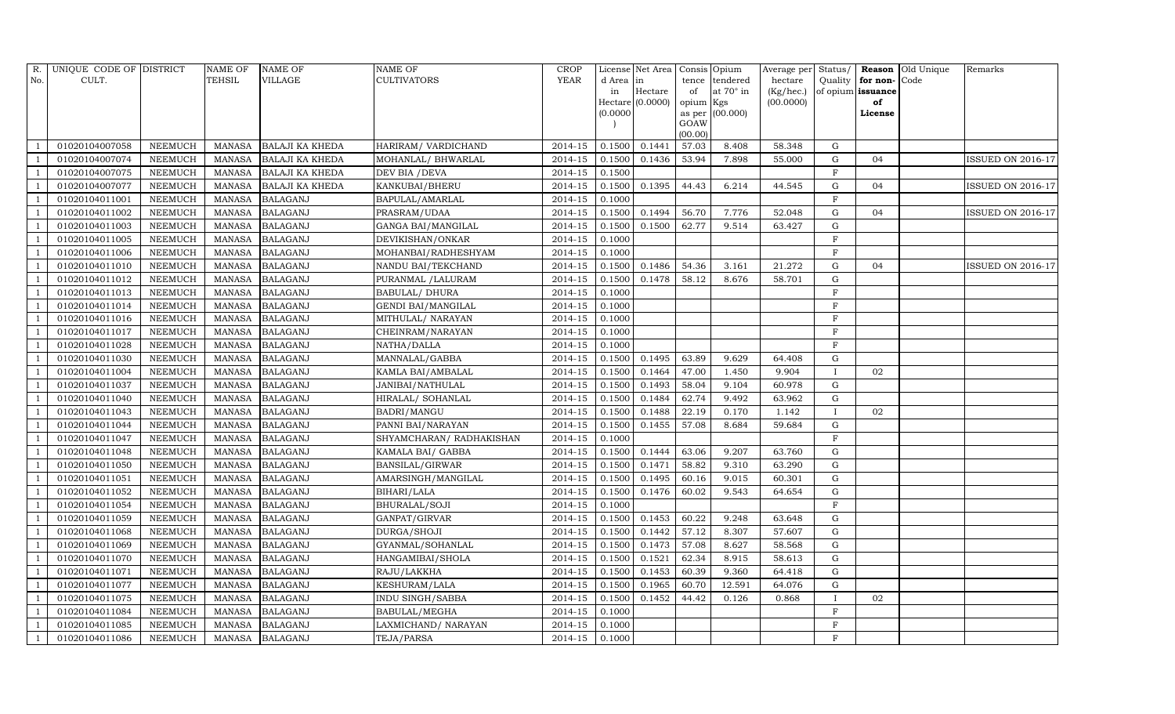| R.             | UNIQUE CODE OF DISTRICT |                | <b>NAME OF</b> | <b>NAME OF</b>         | <b>NAME OF</b>           | <b>CROP</b> |           | License Net Area | Consis Opium |                 | Average per Status/ |              |                   | Reason Old Unique | Remarks                  |
|----------------|-------------------------|----------------|----------------|------------------------|--------------------------|-------------|-----------|------------------|--------------|-----------------|---------------------|--------------|-------------------|-------------------|--------------------------|
| No.            | CULT.                   |                | TEHSIL         | <b>VILLAGE</b>         | <b>CULTIVATORS</b>       | YEAR        | d Area in |                  | tence        | tendered        | hectare             | Quality      | for non-Code      |                   |                          |
|                |                         |                |                |                        |                          |             | in        | Hectare          | of           | at 70° in       | (Kg/hec.)           |              | of opium issuance |                   |                          |
|                |                         |                |                |                        |                          |             |           | Hectare (0.0000) | opium Kgs    |                 | (00.0000)           |              | of                |                   |                          |
|                |                         |                |                |                        |                          |             | (0.0000)  |                  | GOAW         | as per (00.000) |                     |              | License           |                   |                          |
|                |                         |                |                |                        |                          |             |           |                  | (00.00)      |                 |                     |              |                   |                   |                          |
|                | 01020104007058          | <b>NEEMUCH</b> | MANASA         | <b>BALAJI KA KHEDA</b> | HARIRAM/ VARDICHAND      | 2014-15     | 0.1500    | 0.1441           | 57.03        | 8.408           | 58.348              | G            |                   |                   |                          |
|                | 01020104007074          | <b>NEEMUCH</b> | <b>MANASA</b>  | <b>BALAJI KA KHEDA</b> | MOHANLAL/ BHWARLAL       | 2014-15     | 0.1500    | 0.1436           | 53.94        | 7.898           | 55.000              | $\mathbf G$  | 04                |                   | <b>ISSUED ON 2016-17</b> |
| $\overline{1}$ | 01020104007075          | <b>NEEMUCH</b> | <b>MANASA</b>  | <b>BALAJI KA KHEDA</b> | DEV BIA / DEVA           | $2014 - 15$ | 0.1500    |                  |              |                 |                     | F            |                   |                   |                          |
|                | 01020104007077          | <b>NEEMUCH</b> | <b>MANASA</b>  | <b>BALAJI KA KHEDA</b> | KANKUBAI/BHERU           | 2014-15     | 0.1500    | 0.1395           | 44.43        | 6.214           | 44.545              | $\mathbf G$  | 04                |                   | <b>ISSUED ON 2016-17</b> |
| -1             | 01020104011001          | <b>NEEMUCH</b> | <b>MANASA</b>  | <b>BALAGANJ</b>        | BAPULAL/AMARLAL          | 2014-15     | 0.1000    |                  |              |                 |                     | $\mathbf F$  |                   |                   |                          |
| $\overline{1}$ | 01020104011002          | <b>NEEMUCH</b> | <b>MANASA</b>  | <b>BALAGANJ</b>        | PRASRAM/UDAA             | 2014-15     | 0.1500    | 0.1494           | 56.70        | 7.776           | 52.048              | $\mathbf G$  | 04                |                   | <b>ISSUED ON 2016-17</b> |
| - 1            | 01020104011003          | <b>NEEMUCH</b> | <b>MANASA</b>  | <b>BALAGANJ</b>        | GANGA BAI/MANGILAL       | 2014-15     | 0.1500    | 0.1500           | 62.77        | 9.514           | 63.427              | $\mathbf G$  |                   |                   |                          |
| -1             | 01020104011005          | <b>NEEMUCH</b> | <b>MANASA</b>  | <b>BALAGANJ</b>        | DEVIKISHAN/ONKAR         | 2014-15     | 0.1000    |                  |              |                 |                     | $\mathbf F$  |                   |                   |                          |
|                | 01020104011006          | <b>NEEMUCH</b> | <b>MANASA</b>  | <b>BALAGANJ</b>        | MOHANBAI/RADHESHYAM      | 2014-15     | 0.1000    |                  |              |                 |                     | $\mathbf F$  |                   |                   |                          |
| $\overline{1}$ | 01020104011010          | <b>NEEMUCH</b> | <b>MANASA</b>  | <b>BALAGANJ</b>        | NANDU BAI/TEKCHAND       | 2014-15     | 0.1500    | 0.1486           | 54.36        | 3.161           | 21.272              | G            | 04                |                   | <b>ISSUED ON 2016-17</b> |
|                | 01020104011012          | <b>NEEMUCH</b> | <b>MANASA</b>  | <b>BALAGANJ</b>        | PURANMAL / LALURAM       | 2014-15     | 0.1500    | 0.1478           | 58.12        | 8.676           | 58.701              | G            |                   |                   |                          |
|                | 01020104011013          | <b>NEEMUCH</b> | <b>MANASA</b>  | <b>BALAGANJ</b>        | <b>BABULAL/ DHURA</b>    | 2014-15     | 0.1000    |                  |              |                 |                     | $\mathbf{F}$ |                   |                   |                          |
| - 1            | 01020104011014          | <b>NEEMUCH</b> | <b>MANASA</b>  | <b>BALAGANJ</b>        | GENDI BAI/MANGILAL       | 2014-15     | 0.1000    |                  |              |                 |                     | $\mathbf F$  |                   |                   |                          |
|                | 01020104011016          | <b>NEEMUCH</b> | <b>MANASA</b>  | <b>BALAGANJ</b>        | MITHULAL/ NARAYAN        | 2014-15     | 0.1000    |                  |              |                 |                     | $\mathbf F$  |                   |                   |                          |
|                | 01020104011017          | <b>NEEMUCH</b> | <b>MANASA</b>  | <b>BALAGANJ</b>        | CHEINRAM/NARAYAN         | 2014-15     | 0.1000    |                  |              |                 |                     | F            |                   |                   |                          |
|                | 01020104011028          | <b>NEEMUCH</b> | <b>MANASA</b>  | <b>BALAGANJ</b>        | NATHA/DALLA              | 2014-15     | 0.1000    |                  |              |                 |                     | F            |                   |                   |                          |
| $\overline{1}$ | 01020104011030          | <b>NEEMUCH</b> | <b>MANASA</b>  | <b>BALAGANJ</b>        | MANNALAL/GABBA           | 2014-15     | 0.1500    | 0.1495           | 63.89        | 9.629           | 64.408              | G            |                   |                   |                          |
| $\overline{1}$ | 01020104011004          | <b>NEEMUCH</b> | <b>MANASA</b>  | <b>BALAGANJ</b>        | KAMLA BAI/AMBALAL        | 2014-15     | 0.1500    | 0.1464           | 47.00        | 1.450           | 9.904               | $\mathbf{I}$ | 02                |                   |                          |
|                | 01020104011037          | <b>NEEMUCH</b> | <b>MANASA</b>  | <b>BALAGANJ</b>        | JANIBAI/NATHULAL         | 2014-15     | 0.1500    | 0.1493           | 58.04        | 9.104           | 60.978              | $\mathbf G$  |                   |                   |                          |
|                | 01020104011040          | <b>NEEMUCH</b> | <b>MANASA</b>  | <b>BALAGANJ</b>        | HIRALAL/ SOHANLAL        | $2014 - 15$ | 0.1500    | 0.1484           | 62.74        | 9.492           | 63.962              | $\mathbf G$  |                   |                   |                          |
|                | 01020104011043          | <b>NEEMUCH</b> | <b>MANASA</b>  | <b>BALAGANJ</b>        | BADRI/MANGU              | 2014-15     | 0.1500    | 0.1488           | 22.19        | 0.170           | 1.142               | $\mathbf{I}$ | 02                |                   |                          |
|                | 01020104011044          | <b>NEEMUCH</b> | <b>MANASA</b>  | <b>BALAGANJ</b>        | PANNI BAI/NARAYAN        | 2014-15     | 0.1500    | 0.1455           | 57.08        | 8.684           | 59.684              | $\mathbf G$  |                   |                   |                          |
| $\overline{1}$ | 01020104011047          | <b>NEEMUCH</b> | <b>MANASA</b>  | <b>BALAGANJ</b>        | SHYAMCHARAN/ RADHAKISHAN | 2014-15     | 0.1000    |                  |              |                 |                     | F            |                   |                   |                          |
|                | 01020104011048          | <b>NEEMUCH</b> | <b>MANASA</b>  | <b>BALAGANJ</b>        | KAMALA BAI/ GABBA        | 2014-15     | 0.1500    | 0.1444           | 63.06        | 9.207           | 63.760              | G            |                   |                   |                          |
|                | 01020104011050          | <b>NEEMUCH</b> | <b>MANASA</b>  | <b>BALAGANJ</b>        | BANSILAL/GIRWAR          | $2014 - 15$ | 0.1500    | 0.1471           | 58.82        | 9.310           | 63.290              | ${\rm G}$    |                   |                   |                          |
|                | 01020104011051          | <b>NEEMUCH</b> | <b>MANASA</b>  | <b>BALAGANJ</b>        | AMARSINGH/MANGILAL       | 2014-15     | 0.1500    | 0.1495           | 60.16        | 9.015           | 60.301              | $\mathbf G$  |                   |                   |                          |
|                | 01020104011052          | <b>NEEMUCH</b> | <b>MANASA</b>  | <b>BALAGANJ</b>        | BIHARI/LALA              | 2014-15     | 0.1500    | 0.1476           | 60.02        | 9.543           | 64.654              | $\mathbf G$  |                   |                   |                          |
|                | 01020104011054          | <b>NEEMUCH</b> | <b>MANASA</b>  | <b>BALAGANJ</b>        | BHURALAL/SOJI            | 2014-15     | 0.1000    |                  |              |                 |                     | F            |                   |                   |                          |
|                | 01020104011059          | <b>NEEMUCH</b> | <b>MANASA</b>  | <b>BALAGANJ</b>        | GANPAT/GIRVAR            | 2014-15     | 0.1500    | 0.1453           | 60.22        | 9.248           | 63.648              | $\mathbf G$  |                   |                   |                          |
|                | 01020104011068          | <b>NEEMUCH</b> | <b>MANASA</b>  | <b>BALAGANJ</b>        | DURGA/SHOJI              | 2014-15     | 0.1500    | 0.1442           | 57.12        | 8.307           | 57.607              | $\mathbf G$  |                   |                   |                          |
|                | 01020104011069          | <b>NEEMUCH</b> | <b>MANASA</b>  | <b>BALAGANJ</b>        | GYANMAL/SOHANLAL         | 2014-15     | 0.1500    | 0.1473           | 57.08        | 8.627           | 58.568              | $\mathbf G$  |                   |                   |                          |
|                | 01020104011070          | <b>NEEMUCH</b> | <b>MANASA</b>  | <b>BALAGANJ</b>        | HANGAMIBAI/SHOLA         | 2014-15     | 0.1500    | 0.1521           | 62.34        | 8.915           | 58.613              | G            |                   |                   |                          |
|                | 01020104011071          | <b>NEEMUCH</b> | <b>MANASA</b>  | <b>BALAGANJ</b>        | RAJU/LAKKHA              | 2014-15     | 0.1500    | 0.1453           | 60.39        | 9.360           | 64.418              | G            |                   |                   |                          |
| - 1            | 01020104011077          | <b>NEEMUCH</b> | <b>MANASA</b>  | <b>BALAGANJ</b>        | KESHURAM/LALA            | $2014 - 15$ | 0.1500    | 0.1965           | 60.70        | 12.591          | 64.076              | G            |                   |                   |                          |
|                | 01020104011075          | <b>NEEMUCH</b> | <b>MANASA</b>  | <b>BALAGANJ</b>        | INDU SINGH/SABBA         | 2014-15     | 0.1500    | 0.1452           | 44.42        | 0.126           | 0.868               | $\mathbf I$  | 02                |                   |                          |
|                | 01020104011084          | <b>NEEMUCH</b> | <b>MANASA</b>  | <b>BALAGANJ</b>        | BABULAL/MEGHA            | 2014-15     | 0.1000    |                  |              |                 |                     | $_{\rm F}$   |                   |                   |                          |
| -1             | 01020104011085          | <b>NEEMUCH</b> | <b>MANASA</b>  | <b>BALAGANJ</b>        | LAXMICHAND/NARAYAN       | 2014-15     | 0.1000    |                  |              |                 |                     | $\mathbf F$  |                   |                   |                          |
| $\mathbf{1}$   | 01020104011086          | <b>NEEMUCH</b> | <b>MANASA</b>  | <b>BALAGANJ</b>        | TEJA/PARSA               | 2014-15     | 0.1000    |                  |              |                 |                     | F            |                   |                   |                          |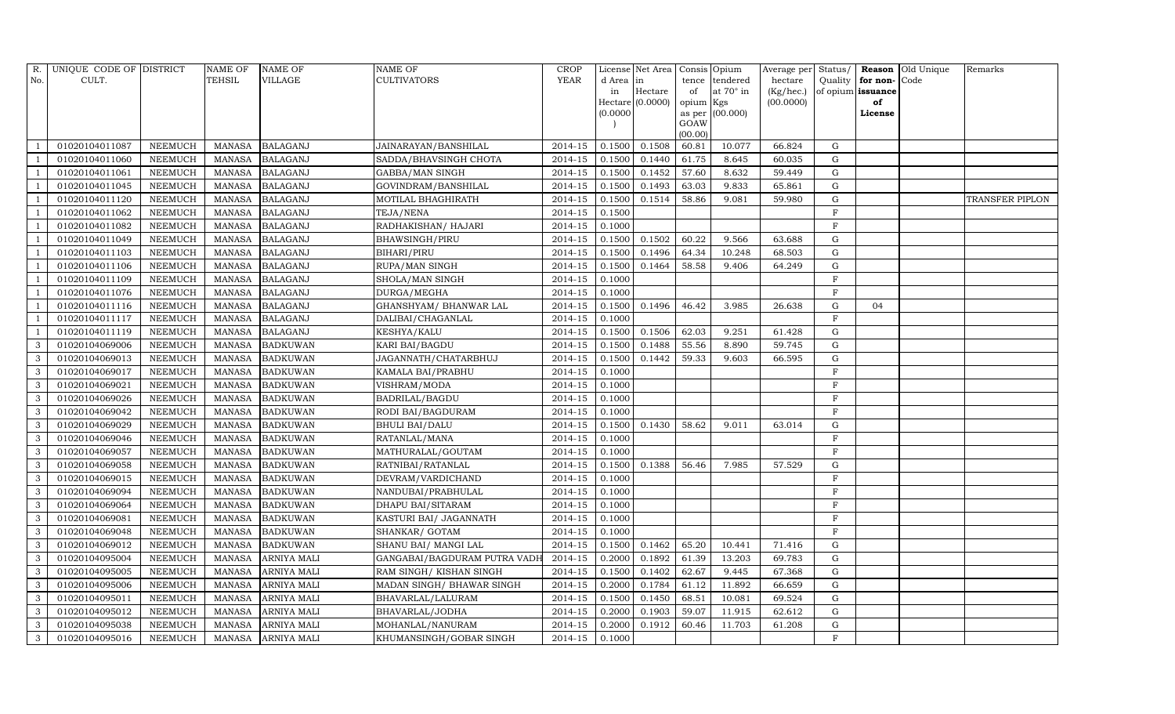| R.             | UNIQUE CODE OF DISTRICT |                | <b>NAME OF</b> | <b>NAME OF</b>     | <b>NAME OF</b>               | <b>CROP</b> |           | License Net Area |           | Consis Opium     |           |                |                   | Average per Status/ <b>Reason</b> Old Unique | Remarks                |
|----------------|-------------------------|----------------|----------------|--------------------|------------------------------|-------------|-----------|------------------|-----------|------------------|-----------|----------------|-------------------|----------------------------------------------|------------------------|
| No.            | CULT.                   |                | TEHSIL         | <b>VILLAGE</b>     | <b>CULTIVATORS</b>           | YEAR        | d Area in |                  |           | tence tendered   | hectare   | Quality        | for non-          | Code                                         |                        |
|                |                         |                |                |                    |                              |             | in        | Hectare          | of        | at $70^\circ$ in | (Kg/hec.) |                | of opium issuance |                                              |                        |
|                |                         |                |                |                    |                              |             |           | Hectare (0.0000) | opium Kgs |                  | (00.0000) |                | of                |                                              |                        |
|                |                         |                |                |                    |                              |             | (0.0000)  |                  | GOAW      | as per (00.000)  |           |                | License           |                                              |                        |
|                |                         |                |                |                    |                              |             |           |                  | (00.00)   |                  |           |                |                   |                                              |                        |
|                | 01020104011087          | <b>NEEMUCH</b> | <b>MANASA</b>  | <b>BALAGANJ</b>    | JAINARAYAN/BANSHILAL         | 2014-15     | 0.1500    | 0.1508           | 60.81     | 10.077           | 66.824    | $\mathbf G$    |                   |                                              |                        |
|                | 01020104011060          | <b>NEEMUCH</b> | <b>MANASA</b>  | <b>BALAGANJ</b>    | SADDA/BHAVSINGH CHOTA        | 2014-15     | 0.1500    | 0.1440           | 61.75     | 8.645            | 60.035    | $\mathbf G$    |                   |                                              |                        |
|                | 01020104011061          | <b>NEEMUCH</b> | <b>MANASA</b>  | <b>BALAGANJ</b>    | GABBA/MAN SINGH              | $2014 - 15$ | 0.1500    | 0.1452           | 57.60     | 8.632            | 59.449    | $\mathbf G$    |                   |                                              |                        |
|                | 01020104011045          | <b>NEEMUCH</b> | <b>MANASA</b>  | <b>BALAGANJ</b>    | GOVINDRAM/BANSHILAL          | 2014-15     | 0.1500    | 0.1493           | 63.03     | 9.833            | 65.861    | $\mathbf G$    |                   |                                              |                        |
| - 1            | 01020104011120          | <b>NEEMUCH</b> | <b>MANASA</b>  | <b>BALAGANJ</b>    | MOTILAL BHAGHIRATH           | 2014-15     | 0.1500    | 0.1514           | 58.86     | 9.081            | 59.980    | ${\rm G}$      |                   |                                              | <b>TRANSFER PIPLON</b> |
|                | 01020104011062          | <b>NEEMUCH</b> | <b>MANASA</b>  | <b>BALAGANJ</b>    | TEJA/NENA                    | 2014-15     | 0.1500    |                  |           |                  |           | $\rm F$        |                   |                                              |                        |
|                | 01020104011082          | <b>NEEMUCH</b> | <b>MANASA</b>  | <b>BALAGANJ</b>    | RADHAKISHAN/ HAJARI          | 2014-15     | 0.1000    |                  |           |                  |           | $\mathbf F$    |                   |                                              |                        |
|                | 01020104011049          | <b>NEEMUCH</b> | <b>MANASA</b>  | <b>BALAGANJ</b>    | <b>BHAWSINGH/PIRU</b>        | $2014 - 15$ | 0.1500    | 0.1502           | 60.22     | 9.566            | 63.688    | $\mathbf G$    |                   |                                              |                        |
|                | 01020104011103          | <b>NEEMUCH</b> | <b>MANASA</b>  | <b>BALAGANJ</b>    | <b>BIHARI/PIRU</b>           | 2014-15     | 0.1500    | 0.1496           | 64.34     | 10.248           | 68.503    | $\mathbf G$    |                   |                                              |                        |
| $\overline{1}$ | 01020104011106          | <b>NEEMUCH</b> | <b>MANASA</b>  | <b>BALAGANJ</b>    | RUPA/MAN SINGH               | 2014-15     | 0.1500    | 0.1464           | 58.58     | 9.406            | 64.249    | ${\rm G}$      |                   |                                              |                        |
|                | 01020104011109          | <b>NEEMUCH</b> | <b>MANASA</b>  | <b>BALAGANJ</b>    | SHOLA/MAN SINGH              | 2014-15     | 0.1000    |                  |           |                  |           | $\rm F$        |                   |                                              |                        |
|                | 01020104011076          | <b>NEEMUCH</b> | <b>MANASA</b>  | <b>BALAGANJ</b>    | DURGA/MEGHA                  | 2014-15     | 0.1000    |                  |           |                  |           | $\rm F$        |                   |                                              |                        |
|                | 01020104011116          | <b>NEEMUCH</b> | <b>MANASA</b>  | <b>BALAGANJ</b>    | GHANSHYAM/ BHANWAR LAL       | 2014-15     | 0.1500    | 0.1496           | 46.42     | 3.985            | 26.638    | $\mathbf G$    | 04                |                                              |                        |
|                | 01020104011117          | NEEMUCH        | <b>MANASA</b>  | <b>BALAGANJ</b>    | DALIBAI/CHAGANLAL            | 2014-15     | 0.1000    |                  |           |                  |           | $\rm F$        |                   |                                              |                        |
|                | 01020104011119          | <b>NEEMUCH</b> | <b>MANASA</b>  | <b>BALAGANJ</b>    | KESHYA/KALU                  | 2014-15     | 0.1500    | 0.1506           | 62.03     | 9.251            | 61.428    | $\mathbf G$    |                   |                                              |                        |
| 3              | 01020104069006          | <b>NEEMUCH</b> | <b>MANASA</b>  | <b>BADKUWAN</b>    | KARI BAI/BAGDU               | 2014-15     | 0.1500    | 0.1488           | 55.56     | 8.890            | 59.745    | $\mathbf G$    |                   |                                              |                        |
| $\mathbf{3}$   | 01020104069013          | <b>NEEMUCH</b> | <b>MANASA</b>  | <b>BADKUWAN</b>    | JAGANNATH/CHATARBHUJ         | 2014-15     | 0.1500    | 0.1442           | 59.33     | 9.603            | 66.595    | $\mathbf G$    |                   |                                              |                        |
| $\mathbf{3}$   | 01020104069017          | <b>NEEMUCH</b> | <b>MANASA</b>  | <b>BADKUWAN</b>    | KAMALA BAI/PRABHU            | 2014-15     | 0.1000    |                  |           |                  |           | $\rm F$        |                   |                                              |                        |
| 3              | 01020104069021          | <b>NEEMUCH</b> | <b>MANASA</b>  | <b>BADKUWAN</b>    | VISHRAM/MODA                 | 2014-15     | 0.1000    |                  |           |                  |           | $\overline{F}$ |                   |                                              |                        |
| $\mathbf{3}$   | 01020104069026          | <b>NEEMUCH</b> | <b>MANASA</b>  | <b>BADKUWAN</b>    | BADRILAL/BAGDU               | 2014-15     | 0.1000    |                  |           |                  |           | $\mathbf{F}$   |                   |                                              |                        |
| 3              | 01020104069042          | <b>NEEMUCH</b> | <b>MANASA</b>  | <b>BADKUWAN</b>    | RODI BAI/BAGDURAM            | 2014-15     | 0.1000    |                  |           |                  |           | F              |                   |                                              |                        |
| $\mathbf{3}$   | 01020104069029          | <b>NEEMUCH</b> | <b>MANASA</b>  | <b>BADKUWAN</b>    | <b>BHULI BAI/DALU</b>        | 2014-15     | 0.1500    | 0.1430           | 58.62     | 9.011            | 63.014    | $\mathbf G$    |                   |                                              |                        |
| $\mathbf{3}$   | 01020104069046          | <b>NEEMUCH</b> | <b>MANASA</b>  | <b>BADKUWAN</b>    | RATANLAL/MANA                | 2014-15     | 0.1000    |                  |           |                  |           | $\rm F$        |                   |                                              |                        |
| $\mathbf{3}$   | 01020104069057          | <b>NEEMUCH</b> | <b>MANASA</b>  | <b>BADKUWAN</b>    | MATHURALAL/GOUTAM            | 2014-15     | 0.1000    |                  |           |                  |           | $\overline{F}$ |                   |                                              |                        |
| $\mathbf{3}$   | 01020104069058          | <b>NEEMUCH</b> | <b>MANASA</b>  | <b>BADKUWAN</b>    | RATNIBAI/RATANLAL            | 2014-15     | 0.1500    | 0.1388           | 56.46     | 7.985            | 57.529    | $\mathbf G$    |                   |                                              |                        |
| $\mathbf{3}$   | 01020104069015          | <b>NEEMUCH</b> | <b>MANASA</b>  | <b>BADKUWAN</b>    | DEVRAM/VARDICHAND            | 2014-15     | 0.1000    |                  |           |                  |           | $\mathbf{F}$   |                   |                                              |                        |
| 3              | 01020104069094          | <b>NEEMUCH</b> | <b>MANASA</b>  | <b>BADKUWAN</b>    | NANDUBAI/PRABHULAL           | 2014-15     | 0.1000    |                  |           |                  |           | $\mathbf{F}$   |                   |                                              |                        |
| 3              | 01020104069064          | <b>NEEMUCH</b> | <b>MANASA</b>  | <b>BADKUWAN</b>    | DHAPU BAI/SITARAM            | 2014-15     | 0.1000    |                  |           |                  |           | F              |                   |                                              |                        |
| $\mathbf{3}$   | 01020104069081          | <b>NEEMUCH</b> | <b>MANASA</b>  | <b>BADKUWAN</b>    | KASTURI BAI / JAGANNATH      | 2014-15     | 0.1000    |                  |           |                  |           | $\mathbf F$    |                   |                                              |                        |
| $\mathbf{3}$   | 01020104069048          | <b>NEEMUCH</b> | <b>MANASA</b>  | <b>BADKUWAN</b>    | SHANKAR/ GOTAM               | 2014-15     | 0.1000    |                  |           |                  |           | $\mathbf F$    |                   |                                              |                        |
| 3              | 01020104069012          | <b>NEEMUCH</b> | <b>MANASA</b>  | <b>BADKUWAN</b>    | SHANU BAI/ MANGI LAL         | 2014-15     | 0.1500    | 0.1462           | 65.20     | 10.441           | 71.416    | G              |                   |                                              |                        |
| $\mathbf{3}$   | 01020104095004          | <b>NEEMUCH</b> | <b>MANASA</b>  | ARNIYA MALI        | GANGABAI/BAGDURAM PUTRA VADI | 2014-15     | 0.2000    | 0.1892           | 61.39     | 13.203           | 69.783    | $\mathbf G$    |                   |                                              |                        |
| $\mathbf{3}$   | 01020104095005          | <b>NEEMUCH</b> | <b>MANASA</b>  | ARNIYA MALI        | RAM SINGH/KISHAN SINGH       | $2014 - 15$ | 0.1500    | 0.1402           | 62.67     | 9.445            | 67.368    | $\mathbf G$    |                   |                                              |                        |
| 3              | 01020104095006          | <b>NEEMUCH</b> | <b>MANASA</b>  | ARNIYA MALI        | MADAN SINGH / BHAWAR SINGH   | 2014-15     | 0.2000    | 0.1784           | 61.12     | 11.892           | 66.659    | $\mathbf G$    |                   |                                              |                        |
| 3              | 01020104095011          | <b>NEEMUCH</b> | <b>MANASA</b>  | ARNIYA MALI        | BHAVARLAL/LALURAM            | 2014-15     | 0.1500    | 0.1450           | 68.51     | 10.081           | 69.524    | $\mathbf G$    |                   |                                              |                        |
| $\mathbf{3}$   | 01020104095012          | <b>NEEMUCH</b> | <b>MANASA</b>  | ARNIYA MALI        | BHAVARLAL/JODHA              | 2014-15     | 0.2000    | 0.1903           | 59.07     | 11.915           | 62.612    | $\mathbf G$    |                   |                                              |                        |
| $\mathbf{3}$   | 01020104095038          | <b>NEEMUCH</b> | <b>MANASA</b>  | ARNIYA MALI        | MOHANLAL/NANURAM             | 2014-15     | 0.2000    | 0.1912           | 60.46     | 11.703           | 61.208    | G              |                   |                                              |                        |
| $\mathbf{3}$   | 01020104095016          | <b>NEEMUCH</b> | <b>MANASA</b>  | <b>ARNIYA MALI</b> | KHUMANSINGH/GOBAR SINGH      | 2014-15     | 0.1000    |                  |           |                  |           | $\rm F$        |                   |                                              |                        |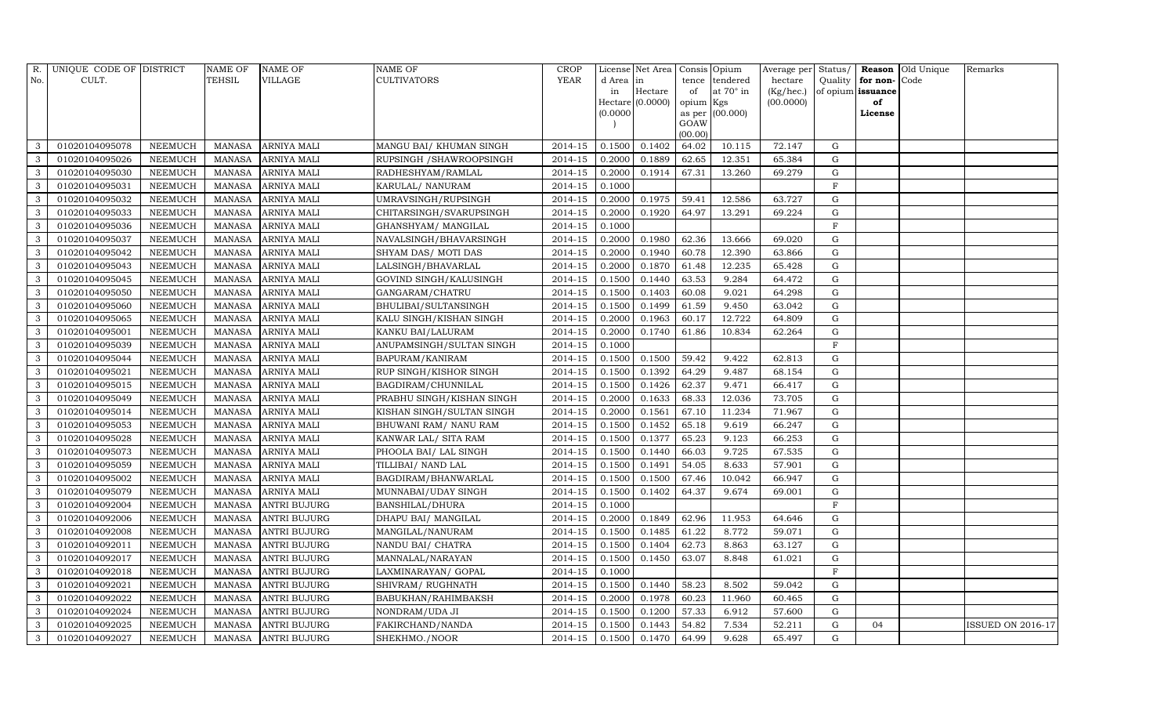|              | R. UNIQUE CODE OF DISTRICT |                | <b>NAME OF</b> | <b>NAME OF</b>      | <b>NAME OF</b>            | <b>CROP</b> |           | License Net Area   Consis   Opium |           |                 |           |             |                   | Average per Status/ Reason Old Unique | Remarks                  |
|--------------|----------------------------|----------------|----------------|---------------------|---------------------------|-------------|-----------|-----------------------------------|-----------|-----------------|-----------|-------------|-------------------|---------------------------------------|--------------------------|
| No.          | CULT.                      |                | TEHSIL         | <b>VILLAGE</b>      | <b>CULTIVATORS</b>        | YEAR        | d Area in |                                   |           | tence tendered  | hectare   | Quality     | for non-          | Code                                  |                          |
|              |                            |                |                |                     |                           |             | in        | Hectare                           | of        | at 70° in       | (Kg/hec.) |             | of opium issuance |                                       |                          |
|              |                            |                |                |                     |                           |             |           | $Hectare$ (0.0000)                | opium Kgs |                 | (00.0000) |             | of                |                                       |                          |
|              |                            |                |                |                     |                           |             | (0.0000)  |                                   | GOAW      | as per (00.000) |           |             | License           |                                       |                          |
|              |                            |                |                |                     |                           |             |           |                                   | (00.00)   |                 |           |             |                   |                                       |                          |
| 3            | 01020104095078             | <b>NEEMUCH</b> | MANASA         | <b>ARNIYA MALI</b>  | MANGU BAI/ KHUMAN SINGH   | 2014-15     | 0.1500    | 0.1402                            | 64.02     | 10.115          | 72.147    | G           |                   |                                       |                          |
| 3            | 01020104095026             | <b>NEEMUCH</b> | <b>MANASA</b>  | <b>ARNIYA MALI</b>  | RUPSINGH / SHAWROOPSINGH  | 2014-15     | 0.2000    | 0.1889                            | 62.65     | 12.351          | 65.384    | $\mathbf G$ |                   |                                       |                          |
| $\mathbf{3}$ | 01020104095030             | <b>NEEMUCH</b> | <b>MANASA</b>  | ARNIYA MALI         | RADHESHYAM/RAMLAL         | 2014-15     | 0.2000    | 0.1914                            | 67.31     | 13.260          | 69.279    | $\mathbf G$ |                   |                                       |                          |
| 3            | 01020104095031             | <b>NEEMUCH</b> | <b>MANASA</b>  | <b>ARNIYA MALI</b>  | KARULAL/ NANURAM          | 2014-15     | 0.1000    |                                   |           |                 |           | $\mathbf F$ |                   |                                       |                          |
| 3            | 01020104095032             | <b>NEEMUCH</b> | <b>MANASA</b>  | ARNIYA MALI         | UMRAVSINGH/RUPSINGH       | 2014-15     | 0.2000    | 0.1975                            | 59.41     | 12.586          | 63.727    | $\mathbf G$ |                   |                                       |                          |
| 3            | 01020104095033             | <b>NEEMUCH</b> | <b>MANASA</b>  | ARNIYA MALI         | CHITARSINGH/SVARUPSINGH   | 2014-15     | 0.2000    | 0.1920                            | 64.97     | 13.291          | 69.224    | G           |                   |                                       |                          |
| 3            | 01020104095036             | <b>NEEMUCH</b> | <b>MANASA</b>  | ARNIYA MALI         | GHANSHYAM/ MANGILAL       | 2014-15     | 0.1000    |                                   |           |                 |           | $\mathbf F$ |                   |                                       |                          |
| 3            | 01020104095037             | <b>NEEMUCH</b> | <b>MANASA</b>  | ARNIYA MALI         | NAVALSINGH/BHAVARSINGH    | 2014-15     | 0.2000    | 0.1980                            | 62.36     | 13.666          | 69.020    | $\mathbf G$ |                   |                                       |                          |
| 3            | 01020104095042             | <b>NEEMUCH</b> | <b>MANASA</b>  | ARNIYA MALI         | SHYAM DAS/ MOTI DAS       | 2014-15     | 0.2000    | 0.1940                            | 60.78     | 12.390          | 63.866    | $\mathbf G$ |                   |                                       |                          |
| $\mathbf{3}$ | 01020104095043             | <b>NEEMUCH</b> | <b>MANASA</b>  | ARNIYA MALI         | LALSINGH/BHAVARLAL        | 2014-15     | 0.2000    | 0.1870                            | 61.48     | 12.235          | 65.428    | $\mathbf G$ |                   |                                       |                          |
| 3            | 01020104095045             | <b>NEEMUCH</b> | <b>MANASA</b>  | ARNIYA MALI         | GOVIND SINGH/KALUSINGH    | 2014-15     | 0.1500    | 0.1440                            | 63.53     | 9.284           | 64.472    | G           |                   |                                       |                          |
| $\mathbf{3}$ | 01020104095050             | <b>NEEMUCH</b> | <b>MANASA</b>  | ARNIYA MALI         | GANGARAM/CHATRU           | 2014-15     | 0.1500    | 0.1403                            | 60.08     | 9.021           | 64.298    | $\mathbf G$ |                   |                                       |                          |
| $\mathbf{3}$ | 01020104095060             | <b>NEEMUCH</b> | <b>MANASA</b>  | ARNIYA MALI         | BHULIBAI/SULTANSINGH      | 2014-15     | 0.1500    | 0.1499                            | 61.59     | 9.450           | 63.042    | $\mathbf G$ |                   |                                       |                          |
| 3            | 01020104095065             | <b>NEEMUCH</b> | <b>MANASA</b>  | ARNIYA MALI         | KALU SINGH/KISHAN SINGH   | 2014-15     | 0.2000    | 0.1963                            | 60.17     | 12.722          | 64.809    | $\mathbf G$ |                   |                                       |                          |
| $\mathbf{3}$ | 01020104095001             | <b>NEEMUCH</b> | <b>MANASA</b>  | ARNIYA MALI         | KANKU BAI/LALURAM         | 2014-15     | 0.2000    | 0.1740                            | 61.86     | 10.834          | 62.264    | $\mathbf G$ |                   |                                       |                          |
| $\mathbf{3}$ | 01020104095039             | <b>NEEMUCH</b> | <b>MANASA</b>  | ARNIYA MALI         | ANUPAMSINGH/SULTAN SINGH  | 2014-15     | 0.1000    |                                   |           |                 |           | F           |                   |                                       |                          |
| 3            | 01020104095044             | <b>NEEMUCH</b> | <b>MANASA</b>  | ARNIYA MALI         | BAPURAM/KANIRAM           | 2014-15     | 0.1500    | 0.1500                            | 59.42     | 9.422           | 62.813    | G           |                   |                                       |                          |
| 3            | 01020104095021             | <b>NEEMUCH</b> | <b>MANASA</b>  | <b>ARNIYA MALI</b>  | RUP SINGH/KISHOR SINGH    | 2014-15     | 0.1500    | 0.1392                            | 64.29     | 9.487           | 68.154    | $\mathbf G$ |                   |                                       |                          |
| 3            | 01020104095015             | <b>NEEMUCH</b> | <b>MANASA</b>  | ARNIYA MALI         | BAGDIRAM/CHUNNILAL        | 2014-15     | 0.1500    | 0.1426                            | 62.37     | 9.471           | 66.417    | $\mathbf G$ |                   |                                       |                          |
| $\mathbf{3}$ | 01020104095049             | <b>NEEMUCH</b> | <b>MANASA</b>  | ARNIYA MALI         | PRABHU SINGH/KISHAN SINGH | 2014-15     | 0.2000    | 0.1633                            | 68.33     | 12.036          | 73.705    | $\mathbf G$ |                   |                                       |                          |
| 3            | 01020104095014             | <b>NEEMUCH</b> | <b>MANASA</b>  | ARNIYA MALI         | KISHAN SINGH/SULTAN SINGH | 2014-15     | 0.2000    | 0.1561                            | 67.10     | 11.234          | 71.967    | $\mathbf G$ |                   |                                       |                          |
| 3            | 01020104095053             | <b>NEEMUCH</b> | <b>MANASA</b>  | ARNIYA MALI         | BHUWANI RAM/ NANU RAM     | 2014-15     | 0.1500    | 0.1452                            | 65.18     | 9.619           | 66.247    | $\mathbf G$ |                   |                                       |                          |
| $\mathbf{3}$ | 01020104095028             | <b>NEEMUCH</b> | <b>MANASA</b>  | ARNIYA MALI         | KANWAR LAL/ SITA RAM      | 2014-15     | 0.1500    | 0.1377                            | 65.23     | 9.123           | 66.253    | $\mathbf G$ |                   |                                       |                          |
| 3            | 01020104095073             | <b>NEEMUCH</b> | <b>MANASA</b>  | ARNIYA MALI         | PHOOLA BAI/ LAL SINGH     | 2014-15     | 0.1500    | 0.1440                            | 66.03     | 9.725           | 67.535    | ${\rm G}$   |                   |                                       |                          |
| 3            | 01020104095059             | <b>NEEMUCH</b> | <b>MANASA</b>  | ARNIYA MALI         | TILLIBAI/ NAND LAL        | 2014-15     | 0.1500    | 0.1491                            | 54.05     | 8.633           | 57.901    | $\mathbf G$ |                   |                                       |                          |
| 3            | 01020104095002             | <b>NEEMUCH</b> | <b>MANASA</b>  | ARNIYA MALI         | BAGDIRAM/BHANWARLAL       | 2014-15     | 0.1500    | 0.1500                            | 67.46     | 10.042          | 66.947    | $\mathbf G$ |                   |                                       |                          |
| $\mathbf{3}$ | 01020104095079             | <b>NEEMUCH</b> | <b>MANASA</b>  | ARNIYA MALI         | MUNNABAI/UDAY SINGH       | 2014-15     | 0.1500    | 0.1402                            | 64.37     | 9.674           | 69.001    | $\mathbf G$ |                   |                                       |                          |
| 3            | 01020104092004             | <b>NEEMUCH</b> | <b>MANASA</b>  | <b>ANTRI BUJURG</b> | BANSHILAL/DHURA           | 2014-15     | 0.1000    |                                   |           |                 |           | $\mathbf F$ |                   |                                       |                          |
| 3            | 01020104092006             | <b>NEEMUCH</b> | <b>MANASA</b>  | <b>ANTRI BUJURG</b> | DHAPU BAI/ MANGILAL       | 2014-15     | 0.2000    | 0.1849                            | 62.96     | 11.953          | 64.646    | $\mathbf G$ |                   |                                       |                          |
| $\mathbf{3}$ | 01020104092008             | <b>NEEMUCH</b> | <b>MANASA</b>  | <b>ANTRI BUJURG</b> | MANGILAL/NANURAM          | 2014-15     | 0.1500    | 0.1485                            | 61.22     | 8.772           | 59.071    | $\mathbf G$ |                   |                                       |                          |
| 3            | 01020104092011             | <b>NEEMUCH</b> | <b>MANASA</b>  | <b>ANTRI BUJURG</b> | NANDU BAI/ CHATRA         | 2014-15     | 0.1500    | 0.1404                            | 62.73     | 8.863           | 63.127    | $\mathbf G$ |                   |                                       |                          |
| $\mathbf{3}$ | 01020104092017             | <b>NEEMUCH</b> | <b>MANASA</b>  | <b>ANTRI BUJURG</b> | MANNALAL/NARAYAN          | 2014-15     | 0.1500    | 0.1450                            | 63.07     | 8.848           | 61.021    | $\mathbf G$ |                   |                                       |                          |
| $\mathbf{3}$ | 01020104092018             | <b>NEEMUCH</b> | <b>MANASA</b>  | <b>ANTRI BUJURG</b> | LAXMINARAYAN/ GOPAL       | 2014-15     | 0.1000    |                                   |           |                 |           | $\rm F$     |                   |                                       |                          |
| 3            | 01020104092021             | <b>NEEMUCH</b> | <b>MANASA</b>  | <b>ANTRI BUJURG</b> | SHIVRAM/ RUGHNATH         | 2014-15     | 0.1500    | 0.1440                            | 58.23     | 8.502           | 59.042    | $\mathbf G$ |                   |                                       |                          |
| 3            | 01020104092022             | <b>NEEMUCH</b> | <b>MANASA</b>  | <b>ANTRI BUJURG</b> | BABUKHAN/RAHIMBAKSH       | 2014-15     | 0.2000    | 0.1978                            | 60.23     | 11.960          | 60.465    | $\mathbf G$ |                   |                                       |                          |
| $\mathbf{3}$ | 01020104092024             | <b>NEEMUCH</b> | <b>MANASA</b>  | <b>ANTRI BUJURG</b> | NONDRAM/UDA JI            | 2014-15     | 0.1500    | 0.1200                            | 57.33     | 6.912           | 57.600    | G           |                   |                                       |                          |
| $\mathbf{3}$ | 01020104092025             | <b>NEEMUCH</b> | <b>MANASA</b>  | <b>ANTRI BUJURG</b> | FAKIRCHAND/NANDA          | 2014-15     | 0.1500    | 0.1443                            | 54.82     | 7.534           | 52.211    | G           | 04                |                                       | <b>ISSUED ON 2016-17</b> |
| $\mathbf{3}$ | 01020104092027             | <b>NEEMUCH</b> | <b>MANASA</b>  | <b>ANTRI BUJURG</b> | SHEKHMO./NOOR             | 2014-15     | 0.1500    | 0.1470                            | 64.99     | 9.628           | 65.497    | G           |                   |                                       |                          |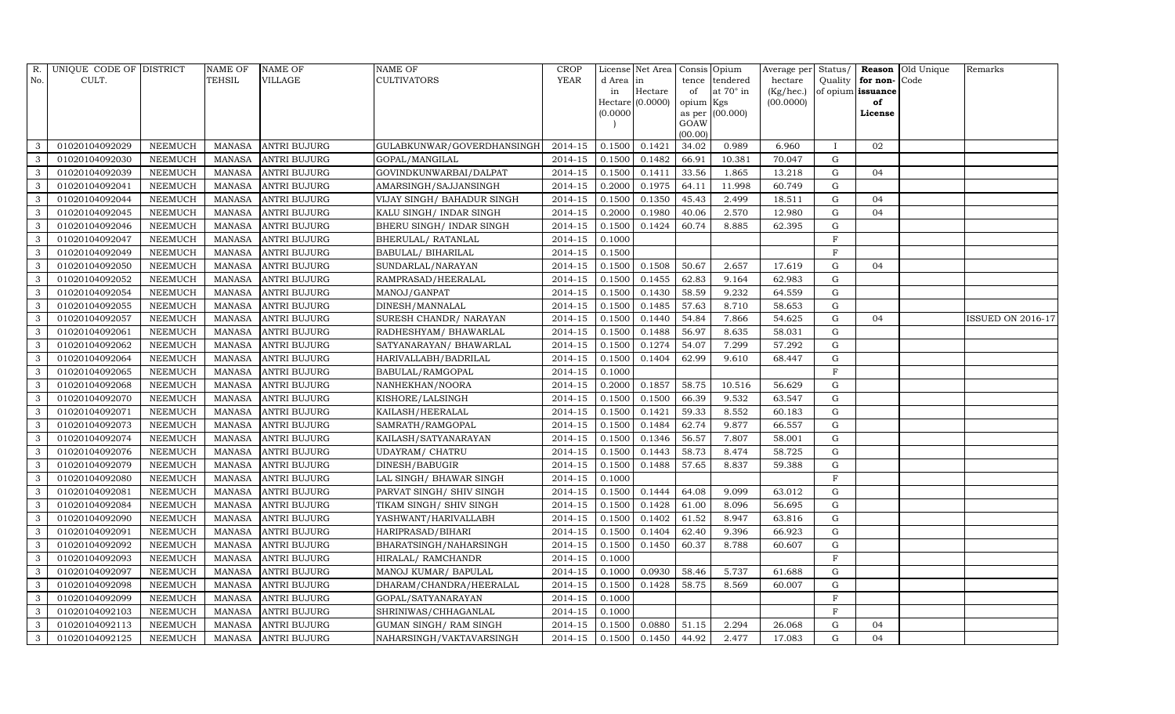| R.  | UNIQUE CODE OF DISTRICT |                | <b>NAME OF</b> | <b>NAME OF</b>      | <b>NAME OF</b>             | <b>CROP</b> |                 | License Net Area   Consis   Opium |                 |                  |           |                |                   | Average per Status/ Reason Old Unique | Remarks                  |
|-----|-------------------------|----------------|----------------|---------------------|----------------------------|-------------|-----------------|-----------------------------------|-----------------|------------------|-----------|----------------|-------------------|---------------------------------------|--------------------------|
| No. | CULT.                   |                | <b>TEHSIL</b>  | <b>VILLAGE</b>      | <b>CULTIVATORS</b>         | YEAR        | d Area in       |                                   |                 | tence tendered   | hectare   | Quality        | for non-Code      |                                       |                          |
|     |                         |                |                |                     |                            |             | in              | Hectare                           | of              | at $70^\circ$ in | (Kg/hec.) |                | of opium issuance |                                       |                          |
|     |                         |                |                |                     |                            |             |                 | Hectare (0.0000)                  | opium Kgs       |                  | (00.0000) |                | of                |                                       |                          |
|     |                         |                |                |                     |                            |             | (0.0000)        |                                   |                 | as per (00.000)  |           |                | License           |                                       |                          |
|     |                         |                |                |                     |                            |             |                 |                                   | GOAW<br>(00.00) |                  |           |                |                   |                                       |                          |
| 3   | 01020104092029          | <b>NEEMUCH</b> | MANASA         | <b>ANTRI BUJURG</b> | GULABKUNWAR/GOVERDHANSINGH | 2014-15     | 0.1500          | 0.1421                            | 34.02           | 0.989            | 6.960     | $\mathbf{I}$   | 02                |                                       |                          |
| 3   | 01020104092030          | <b>NEEMUCH</b> | <b>MANASA</b>  | <b>ANTRI BUJURG</b> | GOPAL/MANGILAL             | 2014-15     | 0.1500          | 0.1482                            | 66.91           | 10.381           | 70.047    | $\mathbf G$    |                   |                                       |                          |
| 3   | 01020104092039          | <b>NEEMUCH</b> | <b>MANASA</b>  | <b>ANTRI BUJURG</b> | GOVINDKUNWARBAI/DALPAT     | 2014-15     | 0.1500          | 0.1411                            | 33.56           | 1.865            | 13.218    | $\mathbf G$    | 04                |                                       |                          |
| 3   | 01020104092041          | <b>NEEMUCH</b> | <b>MANASA</b>  | <b>ANTRI BUJURG</b> | AMARSINGH/SAJJANSINGH      | 2014-15     | 0.2000          | 0.1975                            | 64.11           | 11.998           | 60.749    | $\mathbf G$    |                   |                                       |                          |
| 3   | 01020104092044          | <b>NEEMUCH</b> | <b>MANASA</b>  | <b>ANTRI BUJURG</b> | VIJAY SINGH/ BAHADUR SINGH | 2014-15     | 0.1500          | 0.1350                            | 45.43           | 2.499            | 18.511    | $\mathbf G$    | 04                |                                       |                          |
| 3   | 01020104092045          | <b>NEEMUCH</b> | MANASA         | <b>ANTRI BUJURG</b> | KALU SINGH/ INDAR SINGH    | 2014-15     | 0.2000          | 0.1980                            | 40.06           | 2.570            | 12.980    | $\mathbf G$    | 04                |                                       |                          |
| 3   | 01020104092046          | <b>NEEMUCH</b> | <b>MANASA</b>  | <b>ANTRI BUJURG</b> | BHERU SINGH / INDAR SINGH  | 2014-15     | 0.1500          | 0.1424                            | 60.74           | 8.885            | 62.395    | ${\rm G}$      |                   |                                       |                          |
| 3   | 01020104092047          | <b>NEEMUCH</b> | <b>MANASA</b>  | <b>ANTRI BUJURG</b> | BHERULAL/ RATANLAL         | 2014-15     | 0.1000          |                                   |                 |                  |           | $\mathbf{F}$   |                   |                                       |                          |
| 3   | 01020104092049          | <b>NEEMUCH</b> | <b>MANASA</b>  | <b>ANTRI BUJURG</b> | BABULAL/ BIHARILAL         | 2014-15     | 0.1500          |                                   |                 |                  |           | $\mathbf{F}$   |                   |                                       |                          |
| 3   | 01020104092050          | <b>NEEMUCH</b> | <b>MANASA</b>  | <b>ANTRI BUJURG</b> | SUNDARLAL/NARAYAN          | 2014-15     | 0.1500          | 0.1508                            | 50.67           | 2.657            | 17.619    | $\mathbf G$    | 04                |                                       |                          |
| 3   | 01020104092052          | <b>NEEMUCH</b> | <b>MANASA</b>  | <b>ANTRI BUJURG</b> | RAMPRASAD/HEERALAL         | 2014-15     | 0.1500          | 0.1455                            | 62.83           | 9.164            | 62.983    | $\mathbf G$    |                   |                                       |                          |
| 3   | 01020104092054          | <b>NEEMUCH</b> | <b>MANASA</b>  | <b>ANTRI BUJURG</b> | MANOJ/GANPAT               | 2014-15     | 0.1500          | 0.1430                            | 58.59           | 9.232            | 64.559    | G              |                   |                                       |                          |
| 3   | 01020104092055          | <b>NEEMUCH</b> | <b>MANASA</b>  | <b>ANTRI BUJURG</b> | DINESH/MANNALAL            | $2014 - 15$ | 0.1500          | 0.1485                            | 57.63           | 8.710            | 58.653    | G              |                   |                                       |                          |
| 3   | 01020104092057          | <b>NEEMUCH</b> | <b>MANASA</b>  | <b>ANTRI BUJURG</b> | SURESH CHANDR/ NARAYAN     | 2014-15     | 0.1500          | 0.1440                            | 54.84           | 7.866            | 54.625    | G              | 04                |                                       | <b>ISSUED ON 2016-17</b> |
| 3   | 01020104092061          | <b>NEEMUCH</b> | <b>MANASA</b>  | <b>ANTRI BUJURG</b> | RADHESHYAM/ BHAWARLAL      | $2014 - 15$ | 0.1500          | 0.1488                            | 56.97           | 8.635            | 58.031    | $\mathbf G$    |                   |                                       |                          |
| 3   | 01020104092062          | <b>NEEMUCH</b> | <b>MANASA</b>  | <b>ANTRI BUJURG</b> | SATYANARAYAN/ BHAWARLAL    | 2014-15     | 0.1500          | 0.1274                            | 54.07           | 7.299            | 57.292    | $\mathbf G$    |                   |                                       |                          |
| 3   | 01020104092064          | <b>NEEMUCH</b> | <b>MANASA</b>  | <b>ANTRI BUJURG</b> | HARIVALLABH/BADRILAL       | 2014-15     | 0.1500          | 0.1404                            | 62.99           | 9.610            | 68.447    | G              |                   |                                       |                          |
| 3   | 01020104092065          | <b>NEEMUCH</b> | <b>MANASA</b>  | <b>ANTRI BUJURG</b> | BABULAL/RAMGOPAL           | 2014-15     | 0.1000          |                                   |                 |                  |           | $\overline{F}$ |                   |                                       |                          |
| 3   | 01020104092068          | <b>NEEMUCH</b> | <b>MANASA</b>  | <b>ANTRI BUJURG</b> | NANHEKHAN/NOORA            | 2014-15     | 0.2000          | 0.1857                            | 58.75           | 10.516           | 56.629    | G              |                   |                                       |                          |
| 3   | 01020104092070          | <b>NEEMUCH</b> | <b>MANASA</b>  | <b>ANTRI BUJURG</b> | KISHORE/LALSINGH           | 2014-15     | 0.1500          | 0.1500                            | 66.39           | 9.532            | 63.547    | ${\rm G}$      |                   |                                       |                          |
| 3   | 01020104092071          | <b>NEEMUCH</b> | <b>MANASA</b>  | <b>ANTRI BUJURG</b> | KAILASH/HEERALAL           | 2014-15     | 0.1500          | 0.1421                            | 59.33           | 8.552            | 60.183    | $\mathbf G$    |                   |                                       |                          |
| 3   | 01020104092073          | <b>NEEMUCH</b> | <b>MANASA</b>  | <b>ANTRI BUJURG</b> | SAMRATH/RAMGOPAL           | 2014-15     | 0.1500          | 0.1484                            | 62.74           | 9.877            | 66.557    | G              |                   |                                       |                          |
| 3   | 01020104092074          | <b>NEEMUCH</b> | <b>MANASA</b>  | <b>ANTRI BUJURG</b> | KAILASH/SATYANARAYAN       | 2014-15     | 0.1500          | 0.1346                            | 56.57           | 7.807            | 58.001    | $\mathbf G$    |                   |                                       |                          |
| 3   | 01020104092076          | <b>NEEMUCH</b> | <b>MANASA</b>  | <b>ANTRI BUJURG</b> | <b>UDAYRAM/ CHATRU</b>     | 2014-15     | 0.1500          | 0.1443                            | 58.73           | 8.474            | 58.725    | $\mathbf G$    |                   |                                       |                          |
| 3   | 01020104092079          | <b>NEEMUCH</b> | <b>MANASA</b>  | <b>ANTRI BUJURG</b> | DINESH/BABUGIR             | 2014-15     | 0.1500          | 0.1488                            | 57.65           | 8.837            | 59.388    | ${\rm G}$      |                   |                                       |                          |
| 3   | 01020104092080          | <b>NEEMUCH</b> | <b>MANASA</b>  | <b>ANTRI BUJURG</b> | LAL SINGH/ BHAWAR SINGH    | 2014-15     | 0.1000          |                                   |                 |                  |           | $\mathbf{F}$   |                   |                                       |                          |
| 3   | 01020104092081          | <b>NEEMUCH</b> | <b>MANASA</b>  | <b>ANTRI BUJURG</b> | PARVAT SINGH/ SHIV SINGH   | 2014-15     | 0.1500          | 0.1444                            | 64.08           | 9.099            | 63.012    | G              |                   |                                       |                          |
| 3   | 01020104092084          | <b>NEEMUCH</b> | <b>MANASA</b>  | <b>ANTRI BUJURG</b> | TIKAM SINGH/ SHIV SINGH    | 2014-15     | 0.1500          | 0.1428                            | 61.00           | 8.096            | 56.695    | $\mathbf G$    |                   |                                       |                          |
| 3   | 01020104092090          | <b>NEEMUCH</b> | <b>MANASA</b>  | <b>ANTRI BUJURG</b> | YASHWANT/HARIVALLABH       | 2014-15     | 0.1500          | 0.1402                            | 61.52           | 8.947            | 63.816    | $\mathbf G$    |                   |                                       |                          |
| 3   | 01020104092091          | <b>NEEMUCH</b> | <b>MANASA</b>  | <b>ANTRI BUJURG</b> | HARIPRASAD/BIHARI          | $2014 - 15$ | 0.1500          | 0.1404                            | 62.40           | 9.396            | 66.923    | $\mathbf G$    |                   |                                       |                          |
| 3   | 01020104092092          | <b>NEEMUCH</b> | <b>MANASA</b>  | <b>ANTRI BUJURG</b> | BHARATSINGH/NAHARSINGH     | 2014-15     | 0.1500          | 0.1450                            | 60.37           | 8.788            | 60.607    | $\mathbf G$    |                   |                                       |                          |
| 3   | 01020104092093          | <b>NEEMUCH</b> | <b>MANASA</b>  | <b>ANTRI BUJURG</b> | HIRALAL/ RAMCHANDR         | 2014-15     | 0.1000          |                                   |                 |                  |           | $\rm F$        |                   |                                       |                          |
| 3   | 01020104092097          | <b>NEEMUCH</b> | <b>MANASA</b>  | <b>ANTRI BUJURG</b> | MANOJ KUMAR/ BAPULAL       | 2014-15     | 0.1000          | 0.0930                            | 58.46           | 5.737            | 61.688    | G              |                   |                                       |                          |
| 3   | 01020104092098          | <b>NEEMUCH</b> | <b>MANASA</b>  | <b>ANTRI BUJURG</b> | DHARAM/CHANDRA/HEERALAL    | 2014-15     | 0.1500          | 0.1428                            | 58.75           | 8.569            | 60.007    | G              |                   |                                       |                          |
| 3   | 01020104092099          | <b>NEEMUCH</b> | <b>MANASA</b>  | <b>ANTRI BUJURG</b> | GOPAL/SATYANARAYAN         | 2014-15     | 0.1000          |                                   |                 |                  |           | $\mathbf{F}$   |                   |                                       |                          |
| 3   | 01020104092103          | <b>NEEMUCH</b> | <b>MANASA</b>  | <b>ANTRI BUJURG</b> | SHRINIWAS/CHHAGANLAL       | 2014-15     | 0.1000          |                                   |                 |                  |           | $\mathbf{F}$   |                   |                                       |                          |
| 3   | 01020104092113          | <b>NEEMUCH</b> | <b>MANASA</b>  | <b>ANTRI BUJURG</b> | GUMAN SINGH/ RAM SINGH     | 2014-15     | 0.1500          | 0.0880                            | 51.15           | 2.294            | 26.068    | $\mathbf G$    | 04                |                                       |                          |
| 3   | 01020104092125          | <b>NEEMUCH</b> | <b>MANASA</b>  | <b>ANTRI BUJURG</b> | NAHARSINGH/VAKTAVARSINGH   | 2014-15     | $0.1500$ 0.1450 |                                   | 44.92           | 2.477            | 17.083    | $\mathbf G$    | 04                |                                       |                          |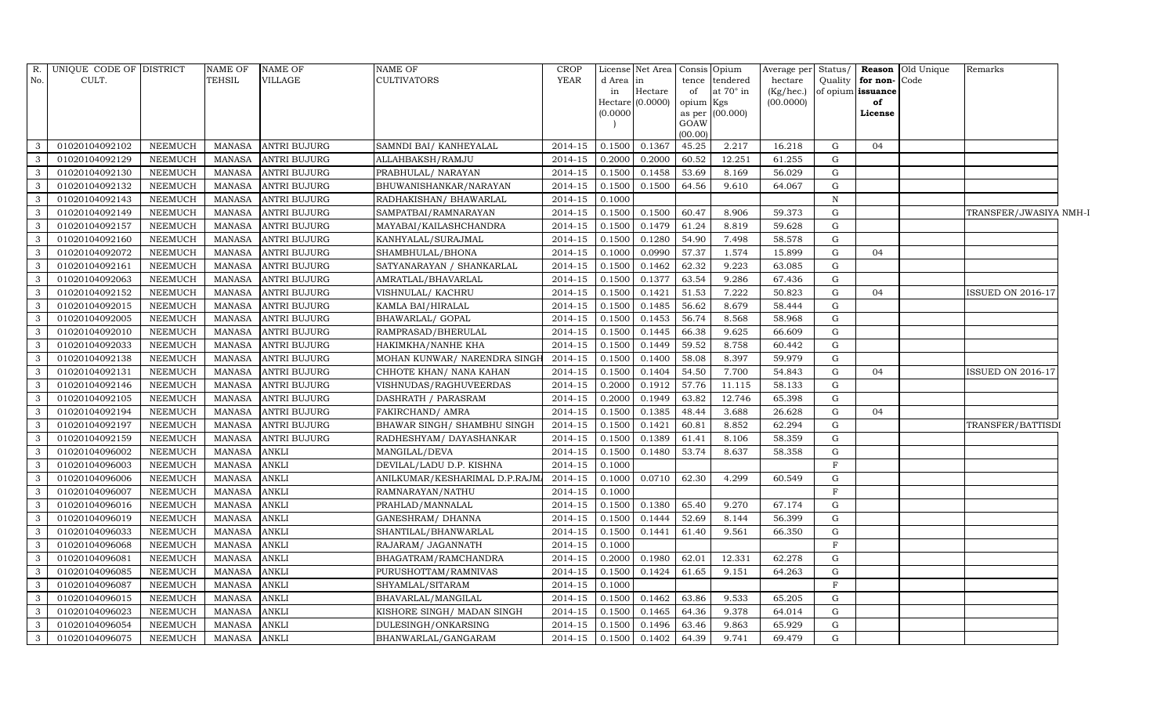| R.                      | UNIQUE CODE OF DISTRICT |                | <b>NAME OF</b> | <b>NAME OF</b>      | <b>NAME OF</b>                | <b>CROP</b> |           | License Net Area Consis Opium |           |                  | Average per Status/ |             |                   | Reason Old Unique | Remarks                  |
|-------------------------|-------------------------|----------------|----------------|---------------------|-------------------------------|-------------|-----------|-------------------------------|-----------|------------------|---------------------|-------------|-------------------|-------------------|--------------------------|
| No.                     | CULT.                   |                | <b>TEHSIL</b>  | VILLAGE             | <b>CULTIVATORS</b>            | <b>YEAR</b> | d Area in |                               | tence     | tendered         | hectare             | Quality     | for non-Code      |                   |                          |
|                         |                         |                |                |                     |                               |             | in        | Hectare                       | of        | at $70^\circ$ in | (Kg/hec.)           |             | of opium issuance |                   |                          |
|                         |                         |                |                |                     |                               |             |           | Hectare (0.0000)              | opium Kgs |                  | (00.0000)           |             | of                |                   |                          |
|                         |                         |                |                |                     |                               |             | (0.0000)  |                               | GOAW      | as per (00.000)  |                     |             | License           |                   |                          |
|                         |                         |                |                |                     |                               |             |           |                               | (00.00)   |                  |                     |             |                   |                   |                          |
| 3                       | 01020104092102          | NEEMUCH        | <b>MANASA</b>  | <b>ANTRI BUJURG</b> | SAMNDI BAI/ KANHEYALAL        | 2014-15     | 0.1500    | 0.1367                        | 45.25     | 2.217            | 16.218              | G           | 04                |                   |                          |
| $\mathbf{3}$            | 01020104092129          | <b>NEEMUCH</b> | <b>MANASA</b>  | <b>ANTRI BUJURG</b> | ALLAHBAKSH/RAMJU              | 2014-15     | 0.2000    | 0.2000                        | 60.52     | 12.251           | 61.255              | G           |                   |                   |                          |
| $\mathbf{3}$            | 01020104092130          | NEEMUCH        | <b>MANASA</b>  | <b>ANTRI BUJURG</b> | PRABHULAL/ NARAYAN            | 2014-15     | 0.1500    | 0.1458                        | 53.69     | 8.169            | 56.029              | G           |                   |                   |                          |
| $\mathbf{3}$            | 01020104092132          | <b>NEEMUCH</b> | <b>MANASA</b>  | ANTRI BUJURG        | BHUWANISHANKAR/NARAYAN        | 2014-15     | 0.1500    | 0.1500                        | 64.56     | 9.610            | 64.067              | G           |                   |                   |                          |
| $\mathbf{3}$            | 01020104092143          | <b>NEEMUCH</b> | <b>MANASA</b>  | <b>ANTRI BUJURG</b> | RADHAKISHAN / BHAWARLAL       | 2014-15     | 0.1000    |                               |           |                  |                     | $\mathbf N$ |                   |                   |                          |
| $\overline{\mathbf{3}}$ | 01020104092149          | <b>NEEMUCH</b> | <b>MANASA</b>  | <b>ANTRI BUJURG</b> | SAMPATBAI/RAMNARAYAN          | 2014-15     | 0.1500    | 0.1500                        | 60.47     | 8.906            | 59.373              | G           |                   |                   | TRANSFER/JWASIYA NMH-1   |
| $\overline{\mathbf{3}}$ | 01020104092157          | <b>NEEMUCH</b> | <b>MANASA</b>  | ANTRI BUJURG        | MAYABAI/KAILASHCHANDRA        | 2014-15     | 0.1500    | 0.1479                        | 61.24     | 8.819            | 59.628              | G           |                   |                   |                          |
| $\mathbf{3}$            | 01020104092160          | NEEMUCH        | <b>MANASA</b>  | <b>ANTRI BUJURG</b> | KANHYALAL/SURAJMAL            | 2014-15     | 0.1500    | 0.1280                        | 54.90     | 7.498            | 58.578              | G           |                   |                   |                          |
| $\overline{\mathbf{3}}$ | 01020104092072          | <b>NEEMUCH</b> | <b>MANASA</b>  | <b>ANTRI BUJURG</b> | SHAMBHULAL/BHONA              | 2014-15     | 0.1000    | 0.0990                        | 57.37     | 1.574            | 15.899              | G           | 04                |                   |                          |
| $\mathbf{3}$            | 01020104092161          | <b>NEEMUCH</b> | <b>MANASA</b>  | ANTRI BUJURG        | SATYANARAYAN / SHANKARLAL     | 2014-15     | 0.1500    | 0.1462                        | 62.32     | 9.223            | 63.085              | G           |                   |                   |                          |
| $\overline{\mathbf{3}}$ | 01020104092063          | <b>NEEMUCH</b> | <b>MANASA</b>  | <b>ANTRI BUJURG</b> | AMRATLAL/BHAVARLAL            | 2014-15     | 0.1500    | 0.1377                        | 63.54     | 9.286            | 67.436              | G           |                   |                   |                          |
| $\mathbf{3}$            | 01020104092152          | <b>NEEMUCH</b> | <b>MANASA</b>  | <b>ANTRI BUJURG</b> | VISHNULAL/ KACHRU             | 2014-15     | 0.1500    | 0.1421                        | 51.53     | 7.222            | 50.823              | G           | 04                |                   | <b>ISSUED ON 2016-17</b> |
| $\mathbf{3}$            | 01020104092015          | <b>NEEMUCH</b> | <b>MANASA</b>  | ANTRI BUJURG        | KAMLA BAI/HIRALAL             | $2014 - 15$ | 0.1500    | 0.1485                        | 56.62     | 8.679            | 58.444              | G           |                   |                   |                          |
| $\mathbf{3}$            | 01020104092005          | <b>NEEMUCH</b> | <b>MANASA</b>  | ANTRI BUJURG        | BHAWARLAL/ GOPAL              | 2014-15     | 0.1500    | 0.1453                        | 56.74     | 8.568            | 58.968              | G           |                   |                   |                          |
| $\mathbf{3}$            | 01020104092010          | <b>NEEMUCH</b> | <b>MANASA</b>  | <b>ANTRI BUJURG</b> | RAMPRASAD/BHERULAL            | 2014-15     | 0.1500    | 0.1445                        | 66.38     | 9.625            | 66.609              | G           |                   |                   |                          |
| $\overline{\mathbf{3}}$ | 01020104092033          | <b>NEEMUCH</b> | <b>MANASA</b>  | ANTRI BUJURG        | HAKIMKHA/NANHE KHA            | 2014-15     | 0.1500    | 0.1449                        | 59.52     | 8.758            | 60.442              | G           |                   |                   |                          |
| $\overline{\mathbf{3}}$ | 01020104092138          | <b>NEEMUCH</b> | <b>MANASA</b>  | ANTRI BUJURG        | MOHAN KUNWAR/ NARENDRA SINGF  | $2014 - 15$ | 0.1500    | 0.1400                        | 58.08     | 8.397            | 59.979              | G           |                   |                   |                          |
| $\mathbf{3}$            | 01020104092131          | <b>NEEMUCH</b> | <b>MANASA</b>  | ANTRI BUJURG        | CHHOTE KHAN/ NANA KAHAN       | 2014-15     | 0.1500    | 0.1404                        | 54.50     | 7.700            | 54.843              | G           | 04                |                   | <b>ISSUED ON 2016-17</b> |
| $\mathbf{3}$            | 01020104092146          | <b>NEEMUCH</b> | <b>MANASA</b>  | ANTRI BUJURG        | VISHNUDAS/RAGHUVEERDAS        | 2014-15     | 0.2000    | 0.1912                        | 57.76     | 11.115           | 58.133              | G           |                   |                   |                          |
| $\mathbf{3}$            | 01020104092105          | <b>NEEMUCH</b> | <b>MANASA</b>  | ANTRI BUJURG        | DASHRATH / PARASRAM           | 2014-15     | 0.2000    | 0.1949                        | 63.82     | 12.746           | 65.398              | G           |                   |                   |                          |
| $\overline{\mathbf{3}}$ | 01020104092194          | <b>NEEMUCH</b> | <b>MANASA</b>  | ANTRI BUJURG        | FAKIRCHAND/ AMRA              | 2014-15     | 0.1500    | 0.1385                        | 48.44     | 3.688            | 26.628              | G           | 04                |                   |                          |
| $\overline{\mathbf{3}}$ | 01020104092197          | <b>NEEMUCH</b> | <b>MANASA</b>  | <b>ANTRI BUJURG</b> | BHAWAR SINGH/ SHAMBHU SINGH   | 2014-15     | 0.1500    | 0.1421                        | 60.81     | 8.852            | 62.294              | G           |                   |                   | TRANSFER/BATTISDI        |
| $\mathbf{3}$            | 01020104092159          | NEEMUCH        | <b>MANASA</b>  | ANTRI BUJURG        | RADHESHYAM / DAYASHANKAR      | 2014-15     | 0.1500    | 0.1389                        | 61.41     | 8.106            | 58.359              | G           |                   |                   |                          |
| $\overline{\mathbf{3}}$ | 01020104096002          | <b>NEEMUCH</b> | <b>MANASA</b>  | ANKLI               | MANGILAL/DEVA                 | 2014-15     | 0.1500    | 0.1480                        | 53.74     | 8.637            | 58.358              | $\mathbf G$ |                   |                   |                          |
| $\mathbf{3}$            | 01020104096003          | <b>NEEMUCH</b> | <b>MANASA</b>  | ANKLI               | DEVILAL/LADU D.P. KISHNA      | 2014-15     | 0.1000    |                               |           |                  |                     | F           |                   |                   |                          |
| $\overline{3}$          | 01020104096006          | <b>NEEMUCH</b> | <b>MANASA</b>  | ANKLI               | ANILKUMAR/KESHARIMAL D.P.RAJM | 2014-15     | 0.1000    | 0.0710                        | 62.30     | 4.299            | 60.549              | G           |                   |                   |                          |
| $\mathbf{3}$            | 01020104096007          | <b>NEEMUCH</b> | <b>MANASA</b>  | ANKLI               | RAMNARAYAN/NATHU              | 2014-15     | 0.1000    |                               |           |                  |                     | F           |                   |                   |                          |
| $\mathbf{3}$            | 01020104096016          | <b>NEEMUCH</b> | <b>MANASA</b>  | ANKLI               | PRAHLAD/MANNALAL              | 2014-15     | 0.1500    | 0.1380                        | 65.40     | 9.270            | 67.174              | G           |                   |                   |                          |
| $\mathbf{3}$            | 01020104096019          | <b>NEEMUCH</b> | <b>MANASA</b>  | ANKLI               | GANESHRAM/ DHANNA             | 2014-15     | 0.1500    | 0.1444                        | 52.69     | 8.144            | 56.399              | G           |                   |                   |                          |
| $\mathbf{3}$            | 01020104096033          | NEEMUCH        | <b>MANASA</b>  | ANKLI               | SHANTILAL/BHANWARLAL          | 2014-15     | 0.1500    | 0.1441                        | 61.40     | 9.561            | 66.350              | G           |                   |                   |                          |
| $\mathbf{3}$            | 01020104096068          | <b>NEEMUCH</b> | <b>MANASA</b>  | ANKLI               | RAJARAM/ JAGANNATH            | 2014-15     | 0.1000    |                               |           |                  |                     | F           |                   |                   |                          |
| $\mathbf{3}$            | 01020104096081          | <b>NEEMUCH</b> | <b>MANASA</b>  | ANKLI               | BHAGATRAM/RAMCHANDRA          | 2014-15     | 0.2000    | 0.1980                        | 62.01     | 12.331           | 62.278              | G           |                   |                   |                          |
| $\mathbf{3}$            | 01020104096085          | <b>NEEMUCH</b> | <b>MANASA</b>  | ANKLI               | PURUSHOTTAM/RAMNIVAS          | 2014-15     | 0.1500    | 0.1424                        | 61.65     | 9.151            | 64.263              | G           |                   |                   |                          |
| $\overline{\mathbf{3}}$ | 01020104096087          | <b>NEEMUCH</b> | <b>MANASA</b>  | ANKLI               | SHYAMLAL/SITARAM              | 2014-15     | 0.1000    |                               |           |                  |                     | F           |                   |                   |                          |
| $\overline{\mathbf{3}}$ | 01020104096015          | NEEMUCH        | <b>MANASA</b>  | <b>ANKLI</b>        | BHAVARLAL/MANGILAL            | 2014-15     | 0.1500    | 0.1462                        | 63.86     | 9.533            | 65.205              | G           |                   |                   |                          |
| $\overline{\mathbf{3}}$ | 01020104096023          | <b>NEEMUCH</b> | <b>MANASA</b>  | ANKLI               | KISHORE SINGH/ MADAN SINGH    | 2014-15     | 0.1500    | 0.1465                        | 64.36     | 9.378            | 64.014              | G           |                   |                   |                          |
| $\mathbf{3}$            | 01020104096054          | NEEMUCH        | <b>MANASA</b>  | ANKLI               | DULESINGH/ONKARSING           | 2014-15     | 0.1500    | 0.1496                        | 63.46     | 9.863            | 65.929              | G           |                   |                   |                          |
| $\mathbf{3}$            | 01020104096075          | NEEMUCH        | <b>MANASA</b>  | <b>ANKLI</b>        | BHANWARLAL/GANGARAM           | 2014-15     | 0.1500    | 0.1402                        | 64.39     | 9.741            | 69.479              | G           |                   |                   |                          |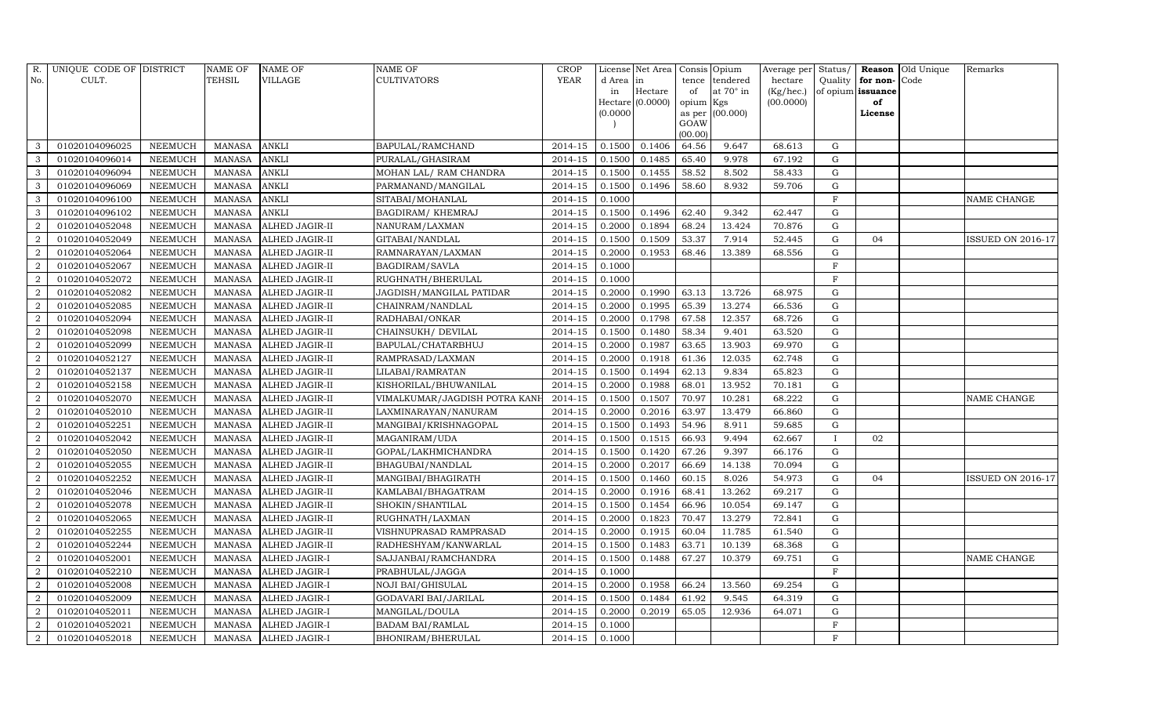| R.             | UNIQUE CODE OF DISTRICT |                | NAME OF       | <b>NAME OF</b>        | NAME OF                       | <b>CROP</b> |           | License Net Area   | Consis Opium    |                 | Average per Status/ |              |                   | Reason Old Unique | Remarks                  |
|----------------|-------------------------|----------------|---------------|-----------------------|-------------------------------|-------------|-----------|--------------------|-----------------|-----------------|---------------------|--------------|-------------------|-------------------|--------------------------|
| No.            | CULT.                   |                | TEHSIL        | <b>VILLAGE</b>        | CULTIVATORS                   | <b>YEAR</b> | d Area in |                    | tence           | tendered        | hectare             | Quality      | for non-Code      |                   |                          |
|                |                         |                |               |                       |                               |             | in        | Hectare            | of              | at 70° in       | (Kg/hec.)           |              | of opium issuance |                   |                          |
|                |                         |                |               |                       |                               |             |           | $Hectare$ (0.0000) | opium Kgs       |                 | (00.0000)           |              | of                |                   |                          |
|                |                         |                |               |                       |                               |             | (0.0000)  |                    |                 | as per (00.000) |                     |              | License           |                   |                          |
|                |                         |                |               |                       |                               |             |           |                    | GOAW<br>(00.00) |                 |                     |              |                   |                   |                          |
| 3              | 01020104096025          | <b>NEEMUCH</b> | <b>MANASA</b> | <b>ANKLI</b>          | BAPULAL/RAMCHAND              | 2014-15     | 0.1500    | 0.1406             | 64.56           | 9.647           | 68.613              | $\mathbf G$  |                   |                   |                          |
| 3              | 01020104096014          | <b>NEEMUCH</b> | <b>MANASA</b> | <b>ANKLI</b>          | PURALAL/GHASIRAM              | 2014-15     | 0.1500    | 0.1485             | 65.40           | 9.978           | 67.192              | ${\rm G}$    |                   |                   |                          |
| $\mathbf{3}$   | 01020104096094          | <b>NEEMUCH</b> | <b>MANASA</b> | <b>ANKLI</b>          | MOHAN LAL/ RAM CHANDRA        | 2014-15     | 0.1500    | 0.1455             | 58.52           | 8.502           | 58.433              | $\mathbf G$  |                   |                   |                          |
| 3              | 01020104096069          | <b>NEEMUCH</b> | <b>MANASA</b> | <b>ANKLI</b>          | PARMANAND/MANGILAL            | 2014-15     | 0.1500    | 0.1496             | 58.60           | 8.932           | 59.706              | G            |                   |                   |                          |
| 3              | 01020104096100          | <b>NEEMUCH</b> | <b>MANASA</b> | <b>ANKLI</b>          | SITABAI/MOHANLAL              | 2014-15     | 0.1000    |                    |                 |                 |                     | $\mathbf F$  |                   |                   | <b>NAME CHANGE</b>       |
| $\mathbf{3}$   | 01020104096102          | <b>NEEMUCH</b> | <b>MANASA</b> | <b>ANKLI</b>          | BAGDIRAM/KHEMRAJ              | 2014-15     | 0.1500    | 0.1496             | 62.40           | 9.342           | 62.447              | G            |                   |                   |                          |
| $\overline{2}$ | 01020104052048          | <b>NEEMUCH</b> | <b>MANASA</b> | ALHED JAGIR-II        | NANURAM/LAXMAN                | 2014-15     | 0.2000    | 0.1894             | 68.24           | 13.424          | 70.876              | $\mathbf G$  |                   |                   |                          |
| $\overline{2}$ | 01020104052049          | <b>NEEMUCH</b> | <b>MANASA</b> | ALHED JAGIR-II        | GITABAI/NANDLAL               | 2014-15     | 0.1500    | 0.1509             | 53.37           | 7.914           | 52.445              | G            | 04                |                   | <b>ISSUED ON 2016-17</b> |
| $\overline{2}$ | 01020104052064          | <b>NEEMUCH</b> | <b>MANASA</b> | ALHED JAGIR-II        | RAMNARAYAN/LAXMAN             | 2014-15     | 0.2000    | 0.1953             | 68.46           | 13.389          | 68.556              | G            |                   |                   |                          |
| 2              | 01020104052067          | <b>NEEMUCH</b> | <b>MANASA</b> | ALHED JAGIR-II        | BAGDIRAM/SAVLA                | 2014-15     | 0.1000    |                    |                 |                 |                     | $\mathbf F$  |                   |                   |                          |
| $\overline{2}$ | 01020104052072          | <b>NEEMUCH</b> | <b>MANASA</b> | <b>ALHED JAGIR-II</b> | RUGHNATH/BHERULAL             | 2014-15     | 0.1000    |                    |                 |                 |                     | F            |                   |                   |                          |
| $\overline{2}$ | 01020104052082          | <b>NEEMUCH</b> | <b>MANASA</b> | ALHED JAGIR-II        | JAGDISH/MANGILAL PATIDAR      | 2014-15     | 0.2000    | 0.1990             | 63.13           | 13.726          | 68.975              | G            |                   |                   |                          |
| $\overline{2}$ | 01020104052085          | <b>NEEMUCH</b> | <b>MANASA</b> | ALHED JAGIR-II        | CHAINRAM/NANDLAL              | $2014 - 15$ | 0.2000    | 0.1995             | 65.39           | 13.274          | 66.536              | G            |                   |                   |                          |
| $\overline{2}$ | 01020104052094          | <b>NEEMUCH</b> | <b>MANASA</b> | ALHED JAGIR-II        | RADHABAI/ONKAR                | 2014-15     | 0.2000    | 0.1798             | 67.58           | 12.357          | 68.726              | G            |                   |                   |                          |
| 2              | 01020104052098          | <b>NEEMUCH</b> | <b>MANASA</b> | ALHED JAGIR-II        | CHAINSUKH/ DEVILAL            | 2014-15     | 0.1500    | 0.1480             | 58.34           | 9.401           | 63.520              | $\mathbf G$  |                   |                   |                          |
| $\overline{2}$ | 01020104052099          | <b>NEEMUCH</b> | <b>MANASA</b> | ALHED JAGIR-II        | BAPULAL/CHATARBHUJ            | 2014-15     | 0.2000    | 0.1987             | 63.65           | 13.903          | 69.970              | G            |                   |                   |                          |
| 2              | 01020104052127          | <b>NEEMUCH</b> | <b>MANASA</b> | ALHED JAGIR-II        | RAMPRASAD/LAXMAN              | 2014-15     | 0.2000    | 0.1918             | 61.36           | 12.035          | 62.748              | $\mathbf G$  |                   |                   |                          |
| $\overline{a}$ | 01020104052137          | <b>NEEMUCH</b> | <b>MANASA</b> | ALHED JAGIR-II        | LILABAI/RAMRATAN              | $2014 - 15$ | 0.1500    | 0.1494             | 62.13           | 9.834           | 65.823              | ${\rm G}$    |                   |                   |                          |
| 2              | 01020104052158          | <b>NEEMUCH</b> | <b>MANASA</b> | ALHED JAGIR-II        | KISHORILAL/BHUWANILAL         | 2014-15     | 0.2000    | 0.1988             | 68.01           | 13.952          | 70.181              | G            |                   |                   |                          |
| 2              | 01020104052070          | <b>NEEMUCH</b> | <b>MANASA</b> | ALHED JAGIR-II        | VIMALKUMAR/JAGDISH POTRA KANH | 2014-15     | 0.1500    | 0.1507             | 70.97           | 10.281          | 68.222              | $\mathbf G$  |                   |                   | NAME CHANGE              |
| 2              | 01020104052010          | <b>NEEMUCH</b> | <b>MANASA</b> | ALHED JAGIR-II        | LAXMINARAYAN/NANURAM          | 2014-15     | 0.2000    | 0.2016             | 63.97           | 13.479          | 66.860              | G            |                   |                   |                          |
| $\overline{2}$ | 01020104052251          | <b>NEEMUCH</b> | <b>MANASA</b> | ALHED JAGIR-II        | MANGIBAI/KRISHNAGOPAL         | 2014-15     | 0.1500    | 0.1493             | 54.96           | 8.911           | 59.685              | G            |                   |                   |                          |
| $\overline{2}$ | 01020104052042          | <b>NEEMUCH</b> | <b>MANASA</b> | ALHED JAGIR-II        | MAGANIRAM/UDA                 | $2014 - 15$ | 0.1500    | 0.1515             | 66.93           | 9.494           | 62.667              | $\mathbf{I}$ | 02                |                   |                          |
| $\overline{2}$ | 01020104052050          | <b>NEEMUCH</b> | <b>MANASA</b> | <b>ALHED JAGIR-II</b> | GOPAL/LAKHMICHANDRA           | 2014-15     | 0.1500    | 0.1420             | 67.26           | 9.397           | 66.176              | ${\rm G}$    |                   |                   |                          |
| 2              | 01020104052055          | <b>NEEMUCH</b> | <b>MANASA</b> | ALHED JAGIR-II        | BHAGUBAI/NANDLAL              | 2014-15     | 0.2000    | 0.2017             | 66.69           | 14.138          | 70.094              | $\mathbf G$  |                   |                   |                          |
| $\overline{2}$ | 01020104052252          | <b>NEEMUCH</b> | <b>MANASA</b> | ALHED JAGIR-II        | MANGIBAI/BHAGIRATH            | 2014-15     | 0.1500    | 0.1460             | 60.15           | 8.026           | 54.973              | G            | 04                |                   | <b>ISSUED ON 2016-17</b> |
| 2              | 01020104052046          | <b>NEEMUCH</b> | <b>MANASA</b> | ALHED JAGIR-II        | KAMLABAI/BHAGATRAM            | 2014-15     | 0.2000    | 0.1916             | 68.41           | 13.262          | 69.217              | $\mathbf G$  |                   |                   |                          |
| 2              | 01020104052078          | <b>NEEMUCH</b> | <b>MANASA</b> | ALHED JAGIR-II        | SHOKIN/SHANTILAL              | 2014-15     | 0.1500    | 0.1454             | 66.96           | 10.054          | 69.147              | G            |                   |                   |                          |
| $\overline{2}$ | 01020104052065          | <b>NEEMUCH</b> | <b>MANASA</b> | ALHED JAGIR-II        | RUGHNATH/LAXMAN               | 2014-15     | 0.2000    | 0.1823             | 70.47           | 13.279          | 72.841              | ${\rm G}$    |                   |                   |                          |
| $\overline{2}$ | 01020104052255          | <b>NEEMUCH</b> | <b>MANASA</b> | ALHED JAGIR-II        | VISHNUPRASAD RAMPRASAD        | 2014-15     | 0.2000    | 0.1915             | 60.04           | 11.785          | 61.540              | $\mathbf G$  |                   |                   |                          |
| 2              | 01020104052244          | <b>NEEMUCH</b> | <b>MANASA</b> | ALHED JAGIR-II        | RADHESHYAM/KANWARLAL          | 2014-15     | 0.1500    | 0.1483             | 63.71           | 10.139          | 68.368              | G            |                   |                   |                          |
| $\overline{2}$ | 01020104052001          | <b>NEEMUCH</b> | <b>MANASA</b> | <b>ALHED JAGIR-I</b>  | SAJJANBAI/RAMCHANDRA          | 2014-15     | 0.1500    | 0.1488             | 67.27           | 10.379          | 69.751              | ${\rm G}$    |                   |                   | NAME CHANGE              |
| 2              | 01020104052210          | <b>NEEMUCH</b> | <b>MANASA</b> | ALHED JAGIR-I         | PRABHULAL/JAGGA               | 2014-15     | 0.1000    |                    |                 |                 |                     | $_{\rm F}$   |                   |                   |                          |
| $\overline{2}$ | 01020104052008          | <b>NEEMUCH</b> | <b>MANASA</b> | <b>ALHED JAGIR-I</b>  | <b>NOJI BAI/GHISULAL</b>      | 2014-15     | 0.2000    | 0.1958             | 66.24           | 13.560          | 69.254              | G            |                   |                   |                          |
| $\overline{a}$ | 01020104052009          | <b>NEEMUCH</b> | <b>MANASA</b> | ALHED JAGIR-I         | GODAVARI BAI/JARILAL          | 2014-15     | 0.1500    | 0.1484             | 61.92           | 9.545           | 64.319              | $\mathbf G$  |                   |                   |                          |
| $\overline{2}$ | 01020104052011          | <b>NEEMUCH</b> | <b>MANASA</b> | ALHED JAGIR-I         | MANGILAL/DOULA                | 2014-15     | 0.2000    | 0.2019             | 65.05           | 12.936          | 64.071              | G            |                   |                   |                          |
| $\overline{2}$ | 01020104052021          | <b>NEEMUCH</b> | <b>MANASA</b> | ALHED JAGIR-I         | <b>BADAM BAI/RAMLAL</b>       | 2014-15     | 0.1000    |                    |                 |                 |                     | $\mathbf{F}$ |                   |                   |                          |
| $\overline{2}$ | 01020104052018          | <b>NEEMUCH</b> | <b>MANASA</b> | <b>ALHED JAGIR-I</b>  | BHONIRAM/BHERULAL             | 2014-15     | 0.1000    |                    |                 |                 |                     | $\mathbf{F}$ |                   |                   |                          |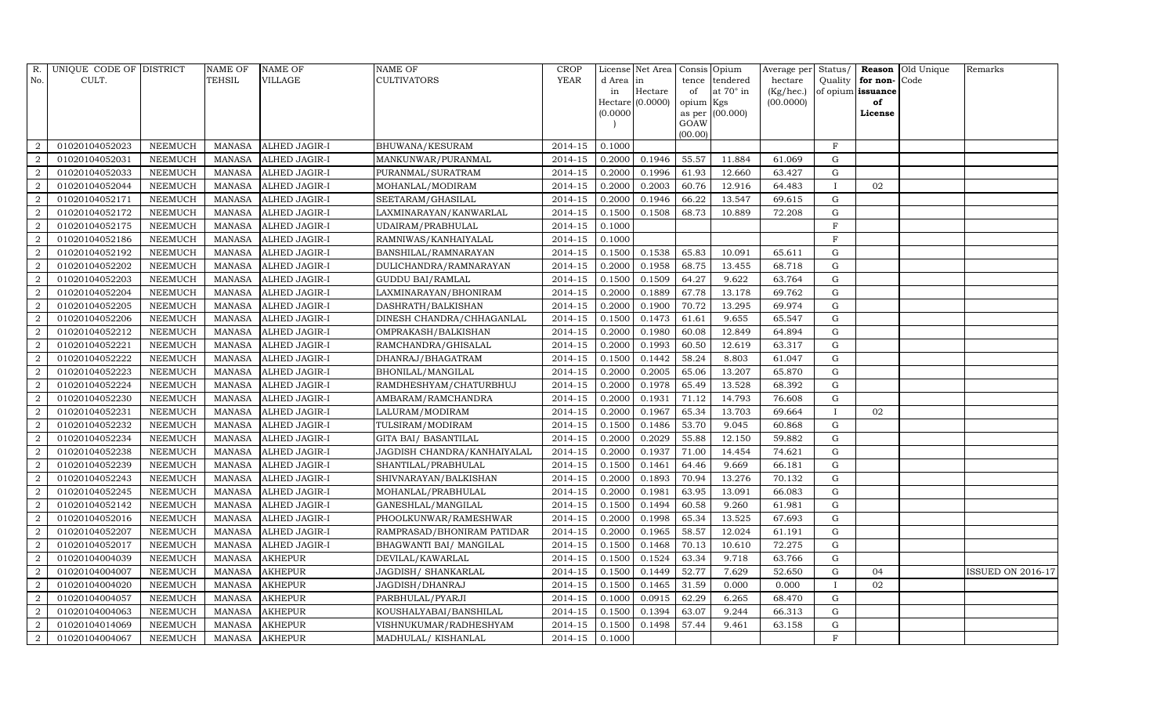|                | R. UNIQUE CODE OF DISTRICT |                | <b>NAME OF</b> | <b>NAME OF</b>       | <b>NAME OF</b>              | <b>CROP</b> |          | License Net Area   Consis   Opium |                 |                  |           |                |                   | Average per Status/ Reason Old Unique | Remarks                  |
|----------------|----------------------------|----------------|----------------|----------------------|-----------------------------|-------------|----------|-----------------------------------|-----------------|------------------|-----------|----------------|-------------------|---------------------------------------|--------------------------|
| No.            | CULT.                      |                | TEHSIL         | <b>VILLAGE</b>       | <b>CULTIVATORS</b>          | <b>YEAR</b> | d Area   | in                                |                 | tence tendered   | hectare   | Quality        | for non-          | Code                                  |                          |
|                |                            |                |                |                      |                             |             | in       | Hectare                           | of              | at $70^\circ$ in | (Kg/hec.) |                | of opium issuance |                                       |                          |
|                |                            |                |                |                      |                             |             |          | $Hectare$ (0.0000)                | opium Kgs       |                  | (00.0000) |                | of                |                                       |                          |
|                |                            |                |                |                      |                             |             | (0.0000) |                                   |                 | as per (00.000)  |           |                | License           |                                       |                          |
|                |                            |                |                |                      |                             |             |          |                                   | GOAW<br>(00.00) |                  |           |                |                   |                                       |                          |
| 2              | 01020104052023             | <b>NEEMUCH</b> | MANASA         | <b>ALHED JAGIR-I</b> | BHUWANA/KESURAM             | 2014-15     | 0.1000   |                                   |                 |                  |           | $\rm F$        |                   |                                       |                          |
| $\overline{2}$ | 01020104052031             | <b>NEEMUCH</b> | <b>MANASA</b>  | ALHED JAGIR-I        | MANKUNWAR/PURANMAL          | 2014-15     | 0.2000   | 0.1946                            | 55.57           | 11.884           | 61.069    | $\mathbf G$    |                   |                                       |                          |
| 2              | 01020104052033             | <b>NEEMUCH</b> | <b>MANASA</b>  | ALHED JAGIR-I        | PURANMAL/SURATRAM           | 2014-15     | 0.2000   | 0.1996                            | 61.93           | 12.660           | 63.427    | $\mathbf G$    |                   |                                       |                          |
| $\overline{2}$ | 01020104052044             | <b>NEEMUCH</b> | <b>MANASA</b>  | <b>ALHED JAGIR-I</b> | MOHANLAL/MODIRAM            | 2014-15     | 0.2000   | 0.2003                            | 60.76           | 12.916           | 64.483    | $\mathbf{I}$   | 02                |                                       |                          |
| $\overline{2}$ | 01020104052171             | <b>NEEMUCH</b> | <b>MANASA</b>  | ALHED JAGIR-I        | SEETARAM/GHASILAL           | $2014 - 15$ | 0.2000   | 0.1946                            | 66.22           | 13.547           | 69.615    | $\mathbf G$    |                   |                                       |                          |
| 2              | 01020104052172             | <b>NEEMUCH</b> | <b>MANASA</b>  | ALHED JAGIR-I        | LAXMINARAYAN/KANWARLAL      | 2014-15     | 0.1500   | 0.1508                            | 68.73           | 10.889           | 72.208    | G              |                   |                                       |                          |
| 2              | 01020104052175             | <b>NEEMUCH</b> | <b>MANASA</b>  | ALHED JAGIR-I        | UDAIRAM/PRABHULAL           | 2014-15     | 0.1000   |                                   |                 |                  |           | $\overline{F}$ |                   |                                       |                          |
| 2              | 01020104052186             | <b>NEEMUCH</b> | <b>MANASA</b>  | ALHED JAGIR-I        | RAMNIWAS/KANHAIYALAL        | 2014-15     | 0.1000   |                                   |                 |                  |           | $\rm F$        |                   |                                       |                          |
| $\overline{2}$ | 01020104052192             | <b>NEEMUCH</b> | <b>MANASA</b>  | ALHED JAGIR-I        | BANSHILAL/RAMNARAYAN        | 2014-15     | 0.1500   | 0.1538                            | 65.83           | 10.091           | 65.611    | G              |                   |                                       |                          |
| $\overline{a}$ | 01020104052202             | <b>NEEMUCH</b> | <b>MANASA</b>  | ALHED JAGIR-I        | DULICHANDRA/RAMNARAYAN      | 2014-15     | 0.2000   | 0.1958                            | 68.75           | 13.455           | 68.718    | $\mathbf G$    |                   |                                       |                          |
| 2              | 01020104052203             | <b>NEEMUCH</b> | <b>MANASA</b>  | <b>ALHED JAGIR-I</b> | <b>GUDDU BAI/RAMLAL</b>     | 2014-15     | 0.1500   | 0.1509                            | 64.27           | 9.622            | 63.764    | G              |                   |                                       |                          |
| $\overline{2}$ | 01020104052204             | <b>NEEMUCH</b> | <b>MANASA</b>  | ALHED JAGIR-I        | LAXMINARAYAN/BHONIRAM       | 2014-15     | 0.2000   | 0.1889                            | 67.78           | 13.178           | 69.762    | $\mathbf G$    |                   |                                       |                          |
| 2              | 01020104052205             | <b>NEEMUCH</b> | <b>MANASA</b>  | ALHED JAGIR-I        | DASHRATH/BALKISHAN          | $2014 - 15$ | 0.2000   | 0.1900                            | 70.72           | 13.295           | 69.974    | $\mathbf G$    |                   |                                       |                          |
| $\overline{2}$ | 01020104052206             | <b>NEEMUCH</b> | <b>MANASA</b>  | ALHED JAGIR-I        | DINESH CHANDRA/CHHAGANLAL   | 2014-15     | 0.1500   | 0.1473                            | 61.61           | 9.655            | 65.547    | $\mathbf G$    |                   |                                       |                          |
| $\overline{2}$ | 01020104052212             | <b>NEEMUCH</b> | <b>MANASA</b>  | ALHED JAGIR-I        | OMPRAKASH/BALKISHAN         | 2014-15     | 0.2000   | 0.1980                            | 60.08           | 12.849           | 64.894    | $\mathbf G$    |                   |                                       |                          |
| 2              | 01020104052221             | <b>NEEMUCH</b> | <b>MANASA</b>  | ALHED JAGIR-I        | RAMCHANDRA/GHISALAL         | 2014-15     | 0.2000   | 0.1993                            | 60.50           | 12.619           | 63.317    | G              |                   |                                       |                          |
| 2              | 01020104052222             | <b>NEEMUCH</b> | <b>MANASA</b>  | ALHED JAGIR-I        | DHANRAJ/BHAGATRAM           | 2014-15     | 0.1500   | 0.1442                            | 58.24           | 8.803            | 61.047    | $\mathbf G$    |                   |                                       |                          |
| 2              | 01020104052223             | <b>NEEMUCH</b> | <b>MANASA</b>  | <b>ALHED JAGIR-I</b> | BHONILAL/MANGILAL           | 2014-15     | 0.2000   | 0.2005                            | 65.06           | 13.207           | 65.870    | $\mathbf G$    |                   |                                       |                          |
| 2              | 01020104052224             | NEEMUCH        | <b>MANASA</b>  | ALHED JAGIR-I        | RAMDHESHYAM/CHATURBHUJ      | 2014-15     | 0.2000   | 0.1978                            | 65.49           | 13.528           | 68.392    | $\mathbf G$    |                   |                                       |                          |
| $\overline{a}$ | 01020104052230             | <b>NEEMUCH</b> | <b>MANASA</b>  | ALHED JAGIR-I        | AMBARAM/RAMCHANDRA          | 2014-15     | 0.2000   | 0.1931                            | 71.12           | 14.793           | 76.608    | $\mathbf G$    |                   |                                       |                          |
| 2              | 01020104052231             | <b>NEEMUCH</b> | <b>MANASA</b>  | ALHED JAGIR-I        | LALURAM/MODIRAM             | 2014-15     | 0.2000   | 0.1967                            | 65.34           | 13.703           | 69.664    | $\mathbf{I}$   | 02                |                                       |                          |
| 2              | 01020104052232             | <b>NEEMUCH</b> | <b>MANASA</b>  | ALHED JAGIR-I        | TULSIRAM/MODIRAM            | 2014-15     | 0.1500   | 0.1486                            | 53.70           | 9.045            | 60.868    | $\mathbf G$    |                   |                                       |                          |
| 2              | 01020104052234             | <b>NEEMUCH</b> | <b>MANASA</b>  | ALHED JAGIR-I        | GITA BAI/ BASANTILAL        | $2014 - 15$ | 0.2000   | 0.2029                            | 55.88           | 12.150           | 59.882    | $\mathbf G$    |                   |                                       |                          |
| $\overline{2}$ | 01020104052238             | <b>NEEMUCH</b> | <b>MANASA</b>  | <b>ALHED JAGIR-I</b> | JAGDISH CHANDRA/KANHAIYALAL | 2014-15     | 0.2000   | 0.1937                            | 71.00           | 14.454           | 74.621    | $\mathbf G$    |                   |                                       |                          |
| $\overline{a}$ | 01020104052239             | <b>NEEMUCH</b> | <b>MANASA</b>  | ALHED JAGIR-I        | SHANTILAL/PRABHULAL         | 2014-15     | 0.1500   | 0.1461                            | 64.46           | 9.669            | 66.181    | $\mathbf G$    |                   |                                       |                          |
| $\overline{2}$ | 01020104052243             | <b>NEEMUCH</b> | <b>MANASA</b>  | ALHED JAGIR-I        | SHIVNARAYAN/BALKISHAN       | 2014-15     | 0.2000   | 0.1893                            | 70.94           | 13.276           | 70.132    | G              |                   |                                       |                          |
| 2              | 01020104052245             | <b>NEEMUCH</b> | <b>MANASA</b>  | ALHED JAGIR-I        | MOHANLAL/PRABHULAL          | 2014-15     | 0.2000   | 0.1981                            | 63.95           | 13.091           | 66.083    | $\mathbf G$    |                   |                                       |                          |
| 2              | 01020104052142             | <b>NEEMUCH</b> | <b>MANASA</b>  | ALHED JAGIR-I        | GANESHLAL/MANGILAL          | 2014-15     | 0.1500   | 0.1494                            | 60.58           | 9.260            | 61.981    | $\mathbf G$    |                   |                                       |                          |
| $\overline{2}$ | 01020104052016             | <b>NEEMUCH</b> | <b>MANASA</b>  | ALHED JAGIR-I        | PHOOLKUNWAR/RAMESHWAR       | 2014-15     | 0.2000   | 0.1998                            | 65.34           | 13.525           | 67.693    | G              |                   |                                       |                          |
| $\overline{2}$ | 01020104052207             | <b>NEEMUCH</b> | <b>MANASA</b>  | ALHED JAGIR-I        | RAMPRASAD/BHONIRAM PATIDAR  | 2014-15     | 0.2000   | 0.1965                            | 58.57           | 12.024           | 61.191    | G              |                   |                                       |                          |
| 2              | 01020104052017             | <b>NEEMUCH</b> | <b>MANASA</b>  | ALHED JAGIR-I        | BHAGWANTI BAI/ MANGILAL     | 2014-15     | 0.1500   | 0.1468                            | 70.13           | 10.610           | 72.275    | $\mathbf G$    |                   |                                       |                          |
| $\overline{2}$ | 01020104004039             | <b>NEEMUCH</b> | <b>MANASA</b>  | <b>AKHEPUR</b>       | DEVILAL/KAWARLAL            | 2014-15     | 0.1500   | 0.1524                            | 63.34           | 9.718            | 63.766    | G              |                   |                                       |                          |
| $\overline{2}$ | 01020104004007             | <b>NEEMUCH</b> | <b>MANASA</b>  | <b>AKHEPUR</b>       | JAGDISH/ SHANKARLAL         | 2014-15     | 0.1500   | 0.1449                            | 52.77           | 7.629            | 52.650    | $\mathbf G$    | 04                |                                       | <b>ISSUED ON 2016-17</b> |
| 2              | 01020104004020             | <b>NEEMUCH</b> | <b>MANASA</b>  | <b>AKHEPUR</b>       | JAGDISH/DHANRAJ             | 2014-15     | 0.1500   | 0.1465                            | 31.59           | 0.000            | 0.000     | $\mathbf I$    | 02                |                                       |                          |
| $\overline{a}$ | 01020104004057             | <b>NEEMUCH</b> | <b>MANASA</b>  | <b>AKHEPUR</b>       | PARBHULAL/PYARJI            | $2014 - 15$ | 0.1000   | 0.0915                            | 62.29           | 6.265            | 68.470    | ${\rm G}$      |                   |                                       |                          |
| 2              | 01020104004063             | <b>NEEMUCH</b> | <b>MANASA</b>  | AKHEPUR              | KOUSHALYABAI/BANSHILAL      | 2014-15     | 0.1500   | 0.1394                            | 63.07           | 9.244            | 66.313    | $\mathbf G$    |                   |                                       |                          |
| $\overline{2}$ | 01020104014069             | <b>NEEMUCH</b> | <b>MANASA</b>  | <b>AKHEPUR</b>       | VISHNUKUMAR/RADHESHYAM      | 2014-15     | 0.1500   | 0.1498                            | 57.44           | 9.461            | 63.158    | G              |                   |                                       |                          |
| $\overline{2}$ | 01020104004067             | <b>NEEMUCH</b> | <b>MANASA</b>  | <b>AKHEPUR</b>       | MADHULAL/ KISHANLAL         | 2014-15     | 0.1000   |                                   |                 |                  |           | $\mathbf{F}$   |                   |                                       |                          |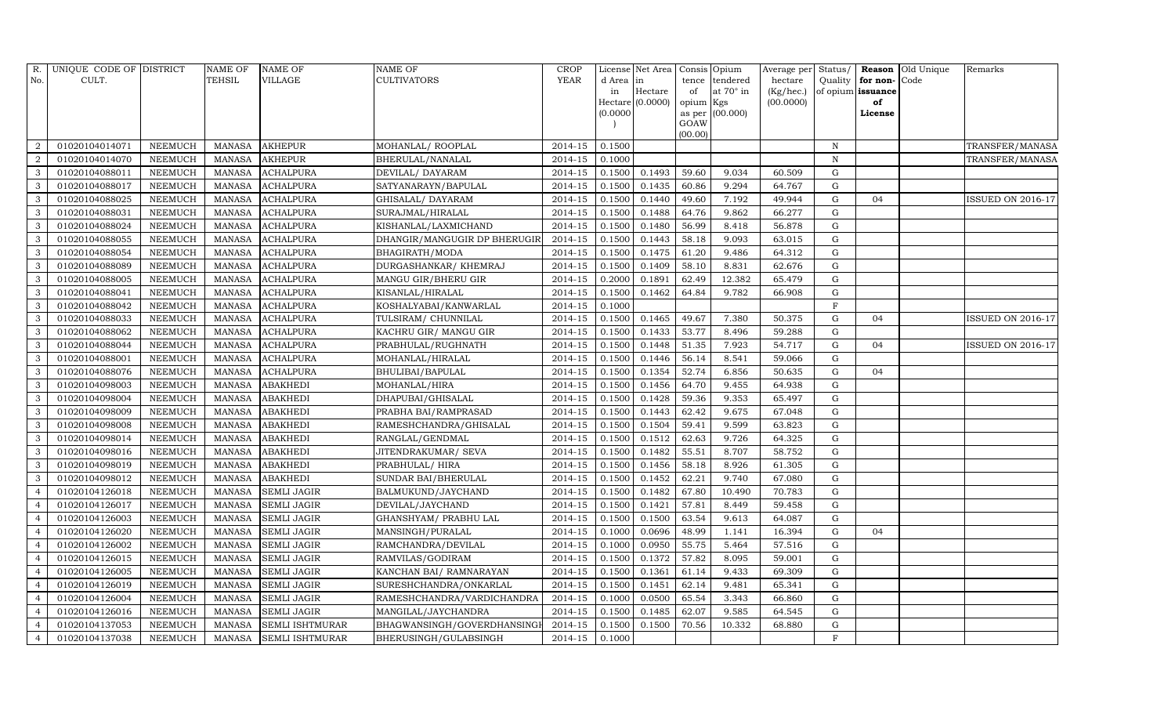| R.             | UNIQUE CODE OF DISTRICT |                | NAME OF       | NAME OF                | NAME OF                      | <b>CROP</b> |          | License Net Area Consis Opium |                 |                  | Average per Status/ |              |                   | <b>Reason</b> Old Unique | Remarks                  |
|----------------|-------------------------|----------------|---------------|------------------------|------------------------------|-------------|----------|-------------------------------|-----------------|------------------|---------------------|--------------|-------------------|--------------------------|--------------------------|
| No.            | CULT.                   |                | TEHSIL        | <b>VILLAGE</b>         | CULTIVATORS                  | <b>YEAR</b> | d Area   | in                            | tence           | tendered         | hectare             | Quality      | for non-Code      |                          |                          |
|                |                         |                |               |                        |                              |             | in       | Hectare                       | of              | at $70^\circ$ in | (Kg/hec.)           |              | of opium issuance |                          |                          |
|                |                         |                |               |                        |                              |             |          | Hectare (0.0000)              | opium Kgs       |                  | (00.0000)           |              | of                |                          |                          |
|                |                         |                |               |                        |                              |             | (0.0000) |                               |                 | as per (00.000)  |                     |              | License           |                          |                          |
|                |                         |                |               |                        |                              |             |          |                               | GOAW<br>(00.00) |                  |                     |              |                   |                          |                          |
| 2              | 01020104014071          | <b>NEEMUCH</b> | MANASA        | <b>AKHEPUR</b>         | MOHANLAL/ROOPLAL             | 2014-15     | 0.1500   |                               |                 |                  |                     | $\, {\bf N}$ |                   |                          | TRANSFER/MANASA          |
| $\overline{2}$ | 01020104014070          | <b>NEEMUCH</b> | <b>MANASA</b> | <b>AKHEPUR</b>         | BHERULAL/NANALAL             | 2014-15     | 0.1000   |                               |                 |                  |                     | $\mathbf N$  |                   |                          | TRANSFER/MANASA          |
| $\mathbf{3}$   | 01020104088011          | <b>NEEMUCH</b> | <b>MANASA</b> | ACHALPURA              | DEVILAL/DAYARAM              | 2014-15     | 0.1500   | 0.1493                        | 59.60           | 9.034            | 60.509              | G            |                   |                          |                          |
| 3              | 01020104088017          | <b>NEEMUCH</b> | <b>MANASA</b> | <b>ACHALPURA</b>       | SATYANARAYN/BAPULAL          | 2014-15     | 0.1500   | 0.1435                        | 60.86           | 9.294            | 64.767              | $\mathbf G$  |                   |                          |                          |
| 3              | 01020104088025          | <b>NEEMUCH</b> | <b>MANASA</b> | <b>ACHALPURA</b>       | GHISALAL/DAYARAM             | 2014-15     | 0.1500   | 0.1440                        | 49.60           | 7.192            | 49.944              | $\mathbf G$  | 04                |                          | <b>ISSUED ON 2016-17</b> |
| $\mathbf{3}$   | 01020104088031          | <b>NEEMUCH</b> | <b>MANASA</b> | <b>ACHALPURA</b>       | SURAJMAL/HIRALAL             | 2014-15     | 0.1500   | 0.1488                        | 64.76           | 9.862            | 66.277              | G            |                   |                          |                          |
| 3              | 01020104088024          | <b>NEEMUCH</b> | <b>MANASA</b> | <b>ACHALPURA</b>       | KISHANLAL/LAXMICHAND         | 2014-15     | 0.1500   | 0.1480                        | 56.99           | 8.418            | 56.878              | G            |                   |                          |                          |
| 3              | 01020104088055          | <b>NEEMUCH</b> | <b>MANASA</b> | <b>ACHALPURA</b>       | DHANGIR/MANGUGIR DP BHERUGIR | 2014-15     | 0.1500   | 0.1443                        | 58.18           | 9.093            | 63.015              | ${\rm G}$    |                   |                          |                          |
| 3              | 01020104088054          | <b>NEEMUCH</b> | <b>MANASA</b> | ACHALPURA              | BHAGIRATH/MODA               | $2014 - 15$ | 0.1500   | 0.1475                        | 61.20           | 9.486            | 64.312              | G            |                   |                          |                          |
| $\mathbf{3}$   | 01020104088089          | <b>NEEMUCH</b> | <b>MANASA</b> | <b>ACHALPURA</b>       | DURGASHANKAR/KHEMRAJ         | 2014-15     | 0.1500   | 0.1409                        | 58.10           | 8.831            | 62.676              | G            |                   |                          |                          |
| 3              | 01020104088005          | <b>NEEMUCH</b> | <b>MANASA</b> | <b>ACHALPURA</b>       | MANGU GIR/BHERU GIR          | 2014-15     | 0.2000   | 0.1891                        | 62.49           | 12.382           | 65.479              | G            |                   |                          |                          |
| $\mathbf{3}$   | 01020104088041          | <b>NEEMUCH</b> | <b>MANASA</b> | <b>ACHALPURA</b>       | KISANLAL/HIRALAL             | 2014-15     | 0.1500   | 0.1462                        | 64.84           | 9.782            | 66.908              | $\mathbf G$  |                   |                          |                          |
| $\mathbf{3}$   | 01020104088042          | <b>NEEMUCH</b> | <b>MANASA</b> | ACHALPURA              | KOSHALYABAI/KANWARLAL        | 2014-15     | 0.1000   |                               |                 |                  |                     | $\rm F$      |                   |                          |                          |
| 3              | 01020104088033          | <b>NEEMUCH</b> | <b>MANASA</b> | <b>ACHALPURA</b>       | TULSIRAM/ CHUNNILAL          | 2014-15     | 0.1500   | 0.1465                        | 49.67           | 7.380            | 50.375              | $\mathbf G$  | 04                |                          | <b>ISSUED ON 2016-17</b> |
| $\mathbf{3}$   | 01020104088062          | <b>NEEMUCH</b> | <b>MANASA</b> | <b>ACHALPURA</b>       | KACHRU GIR / MANGU GIR       | 2014-15     | 0.1500   | 0.1433                        | 53.77           | 8.496            | 59.288              | $\mathbf G$  |                   |                          |                          |
| 3              | 01020104088044          | <b>NEEMUCH</b> | <b>MANASA</b> | <b>ACHALPURA</b>       | PRABHULAL/RUGHNATH           | 2014-15     | 0.1500   | 0.1448                        | 51.35           | 7.923            | 54.717              | G            | 04                |                          | ISSUED ON 2016-17        |
| $\mathbf{3}$   | 01020104088001          | <b>NEEMUCH</b> | <b>MANASA</b> | ACHALPURA              | MOHANLAL/HIRALAL             | 2014-15     | 0.1500   | 0.1446                        | 56.14           | 8.541            | 59.066              | G            |                   |                          |                          |
| 3              | 01020104088076          | <b>NEEMUCH</b> | <b>MANASA</b> | <b>ACHALPURA</b>       | BHULIBAI/BAPULAL             | 2014-15     | 0.1500   | 0.1354                        | 52.74           | 6.856            | 50.635              | $\mathbf G$  | 04                |                          |                          |
| 3              | 01020104098003          | <b>NEEMUCH</b> | <b>MANASA</b> | <b>ABAKHEDI</b>        | MOHANLAL/HIRA                | 2014-15     | 0.1500   | 0.1456                        | 64.70           | 9.455            | 64.938              | ${\rm G}$    |                   |                          |                          |
| $\mathbf{3}$   | 01020104098004          | <b>NEEMUCH</b> | <b>MANASA</b> | ABAKHEDI               | DHAPUBAI/GHISALAL            | 2014-15     | 0.1500   | 0.1428                        | 59.36           | 9.353            | 65.497              | G            |                   |                          |                          |
| 3              | 01020104098009          | <b>NEEMUCH</b> | <b>MANASA</b> | <b>ABAKHEDI</b>        | PRABHA BAI/RAMPRASAD         | 2014-15     | 0.1500   | 0.1443                        | 62.42           | 9.675            | 67.048              | $\mathbf G$  |                   |                          |                          |
| 3              | 01020104098008          | <b>NEEMUCH</b> | <b>MANASA</b> | <b>ABAKHEDI</b>        | RAMESHCHANDRA/GHISALAL       | 2014-15     | 0.1500   | 0.1504                        | 59.41           | 9.599            | 63.823              | ${\rm G}$    |                   |                          |                          |
| $\mathbf{3}$   | 01020104098014          | <b>NEEMUCH</b> | <b>MANASA</b> | ABAKHEDI               | RANGLAL/GENDMAL              | 2014-15     | 0.1500   | 0.1512                        | 62.63           | 9.726            | 64.325              | ${\rm G}$    |                   |                          |                          |
| 3              | 01020104098016          | <b>NEEMUCH</b> | <b>MANASA</b> | <b>ABAKHEDI</b>        | JITENDRAKUMAR/ SEVA          | 2014-15     | 0.1500   | 0.1482                        | 55.51           | 8.707            | 58.752              | ${\rm G}$    |                   |                          |                          |
| 3              | 01020104098019          | <b>NEEMUCH</b> | <b>MANASA</b> | <b>ABAKHEDI</b>        | PRABHULAL/ HIRA              | 2014-15     | 0.1500   | 0.1456                        | 58.18           | 8.926            | 61.305              | ${\rm G}$    |                   |                          |                          |
| 3              | 01020104098012          | <b>NEEMUCH</b> | <b>MANASA</b> | ABAKHEDI               | SUNDAR BAI/BHERULAL          | 2014-15     | 0.1500   | 0.1452                        | 62.21           | 9.740            | 67.080              | $\mathbf G$  |                   |                          |                          |
| $\overline{4}$ | 01020104126018          | <b>NEEMUCH</b> | <b>MANASA</b> | <b>SEMLI JAGIR</b>     | BALMUKUND/JAYCHAND           | $2014 - 15$ | 0.1500   | 0.1482                        | 67.80           | 10.490           | 70.783              | G            |                   |                          |                          |
| $\overline{4}$ | 01020104126017          | <b>NEEMUCH</b> | <b>MANASA</b> | <b>SEMLI JAGIR</b>     | DEVILAL/JAYCHAND             | 2014-15     | 0.1500   | 0.1421                        | 57.81           | 8.449            | 59.458              | $\mathbf G$  |                   |                          |                          |
| $\overline{4}$ | 01020104126003          | <b>NEEMUCH</b> | <b>MANASA</b> | <b>SEMLI JAGIR</b>     | GHANSHYAM / PRABHU LAL       | 2014-15     | 0.1500   | 0.1500                        | 63.54           | 9.613            | 64.087              | $\mathbf G$  |                   |                          |                          |
| $\overline{4}$ | 01020104126020          | <b>NEEMUCH</b> | <b>MANASA</b> | <b>SEMLI JAGIR</b>     | MANSINGH/PURALAL             | 2014-15     | 0.1000   | 0.0696                        | 48.99           | 1.141            | 16.394              | ${\rm G}$    | 04                |                          |                          |
| $\overline{4}$ | 01020104126002          | <b>NEEMUCH</b> | <b>MANASA</b> | <b>SEMLI JAGIR</b>     | RAMCHANDRA/DEVILAL           | $2014 - 15$ | 0.1000   | 0.0950                        | 55.75           | 5.464            | 57.516              | ${\rm G}$    |                   |                          |                          |
| $\overline{4}$ | 01020104126015          | <b>NEEMUCH</b> | <b>MANASA</b> | <b>SEMLI JAGIR</b>     | RAMVILAS/GODIRAM             | 2014-15     | 0.1500   | 0.1372                        | 57.82           | 8.095            | 59.001              | ${\rm G}$    |                   |                          |                          |
| $\overline{4}$ | 01020104126005          | <b>NEEMUCH</b> | <b>MANASA</b> | <b>SEMLI JAGIR</b>     | KANCHAN BAI/RAMNARAYAN       | 2014-15     | 0.1500   | 0.1361                        | 61.14           | 9.433            | 69.309              | G            |                   |                          |                          |
| 4              | 01020104126019          | <b>NEEMUCH</b> | <b>MANASA</b> | <b>SEMLI JAGIR</b>     | SURESHCHANDRA/ONKARLAL       | $2014 - 15$ | 0.1500   | 0.1451                        | 62.14           | 9.481            | 65.341              | G            |                   |                          |                          |
| $\overline{4}$ | 01020104126004          | <b>NEEMUCH</b> | <b>MANASA</b> | <b>SEMLI JAGIR</b>     | RAMESHCHANDRA/VARDICHANDRA   | 2014-15     | 0.1000   | 0.0500                        | 65.54           | 3.343            | 66.860              | ${\rm G}$    |                   |                          |                          |
|                | 01020104126016          | <b>NEEMUCH</b> | <b>MANASA</b> | <b>SEMLI JAGIR</b>     | MANGILAL/JAYCHANDRA          | 2014-15     | 0.1500   | 0.1485                        | 62.07           | 9.585            | 64.545              | $\mathbf G$  |                   |                          |                          |
| $\overline{4}$ | 01020104137053          | <b>NEEMUCH</b> | <b>MANASA</b> | SEMLI ISHTMURAR        | BHAGWANSINGH/GOVERDHANSING   | 2014-15     | 0.1500   | 0.1500                        | 70.56           | 10.332           | 68.880              | $\mathbf G$  |                   |                          |                          |
| $\overline{4}$ | 01020104137038          | <b>NEEMUCH</b> | <b>MANASA</b> | <b>SEMLI ISHTMURAR</b> | BHERUSINGH/GULABSINGH        | 2014-15     | 0.1000   |                               |                 |                  |                     | $\rm F$      |                   |                          |                          |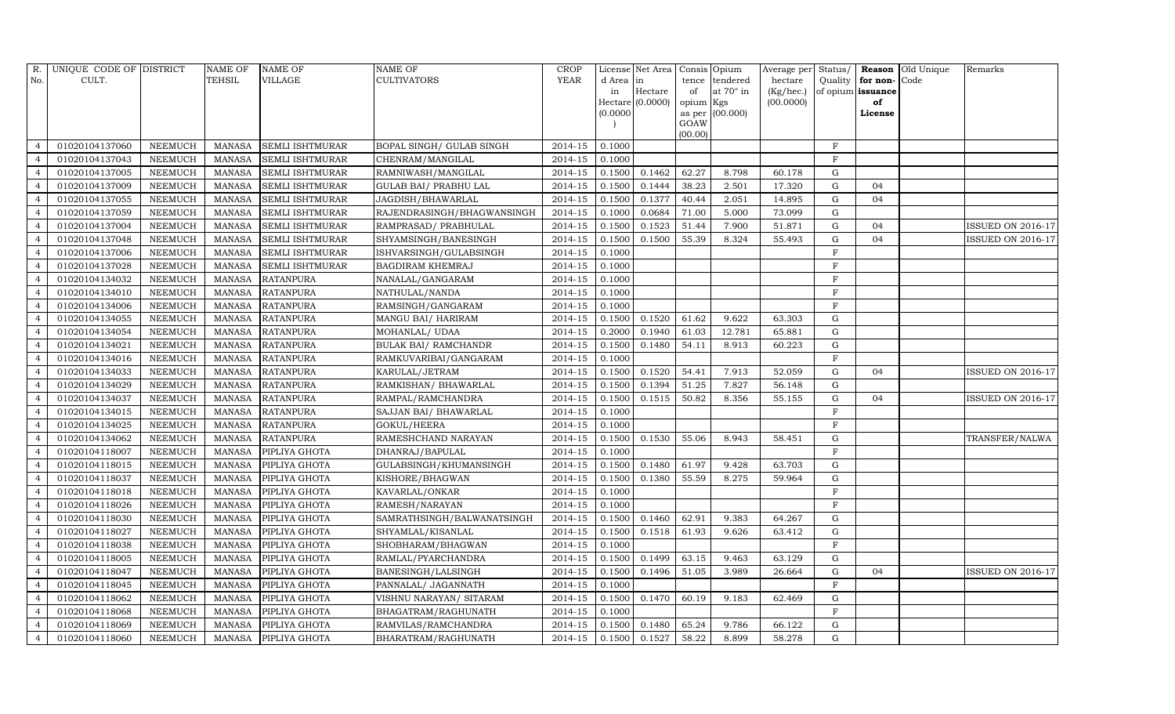| R.             | UNIQUE CODE OF DISTRICT |                | <b>NAME OF</b> | <b>NAME OF</b>         | <b>NAME OF</b>              | <b>CROP</b> |           | License Net Area   Consis   Opium |           |                  | Average per Status/ |                |                   | Reason Old Unique | Remarks                  |
|----------------|-------------------------|----------------|----------------|------------------------|-----------------------------|-------------|-----------|-----------------------------------|-----------|------------------|---------------------|----------------|-------------------|-------------------|--------------------------|
| No.            | CULT.                   |                | TEHSIL         | <b>VILLAGE</b>         | <b>CULTIVATORS</b>          | <b>YEAR</b> | d Area in |                                   | tence     | tendered         | hectare             | Quality        | for non-          | Code              |                          |
|                |                         |                |                |                        |                             |             | in        | Hectare                           | of        | at $70^\circ$ in | (Kg/hec.)           |                | of opium issuance |                   |                          |
|                |                         |                |                |                        |                             |             |           | $Hectare (0.0000)$                | opium Kgs |                  | (00.0000)           |                | of                |                   |                          |
|                |                         |                |                |                        |                             |             | (0.0000)  |                                   | GOAW      | as per (00.000)  |                     |                | License           |                   |                          |
|                |                         |                |                |                        |                             |             |           |                                   | (00.00)   |                  |                     |                |                   |                   |                          |
|                | 01020104137060          | <b>NEEMUCH</b> | <b>MANASA</b>  | <b>SEMLI ISHTMURAR</b> | BOPAL SINGH / GULAB SINGH   | 2014-15     | 0.1000    |                                   |           |                  |                     | $_{\rm F}$     |                   |                   |                          |
| $\overline{4}$ | 01020104137043          | <b>NEEMUCH</b> | <b>MANASA</b>  | <b>SEMLI ISHTMURAR</b> | CHENRAM/MANGILAL            | 2014-15     | 0.1000    |                                   |           |                  |                     | $\rm F$        |                   |                   |                          |
| $\overline{4}$ | 01020104137005          | <b>NEEMUCH</b> | <b>MANASA</b>  | <b>SEMLI ISHTMURAR</b> | RAMNIWASH/MANGILAL          | 2014-15     | 0.1500    | 0.1462                            | 62.27     | 8.798            | 60.178              | G              |                   |                   |                          |
| $\overline{4}$ | 01020104137009          | <b>NEEMUCH</b> | <b>MANASA</b>  | <b>SEMLI ISHTMURAR</b> | GULAB BAI / PRABHU LAL      | 2014-15     | 0.1500    | 0.1444                            | 38.23     | 2.501            | 17.320              | $\mathbf G$    | 04                |                   |                          |
| $\overline{4}$ | 01020104137055          | <b>NEEMUCH</b> | <b>MANASA</b>  | <b>SEMLI ISHTMURAR</b> | JAGDISH/BHAWARLAL           | 2014-15     | 0.1500    | 0.1377                            | 40.44     | 2.051            | 14.895              | G              | 04                |                   |                          |
| $\overline{4}$ | 01020104137059          | <b>NEEMUCH</b> | <b>MANASA</b>  | <b>SEMLI ISHTMURAR</b> | RAJENDRASINGH/BHAGWANSINGH  | 2014-15     | 0.1000    | 0.0684                            | 71.00     | 5.000            | 73.099              | G              |                   |                   |                          |
| $\overline{4}$ | 01020104137004          | <b>NEEMUCH</b> | <b>MANASA</b>  | <b>SEMLI ISHTMURAR</b> | RAMPRASAD/ PRABHULAL        | 2014-15     | 0.1500    | 0.1523                            | 51.44     | 7.900            | 51.871              | G              | 04                |                   | <b>ISSUED ON 2016-17</b> |
| $\overline{4}$ | 01020104137048          | <b>NEEMUCH</b> | <b>MANASA</b>  | <b>SEMLI ISHTMURAR</b> | SHYAMSINGH/BANESINGH        | 2014-15     | 0.1500    | 0.1500                            | 55.39     | 8.324            | 55.493              | $\mathbf G$    | 04                |                   | <b>ISSUED ON 2016-17</b> |
| $\overline{4}$ | 01020104137006          | <b>NEEMUCH</b> | <b>MANASA</b>  | <b>SEMLI ISHTMURAR</b> | ISHVARSINGH/GULABSINGH      | 2014-15     | 0.1000    |                                   |           |                  |                     | $\mathbf F$    |                   |                   |                          |
| $\overline{4}$ | 01020104137028          | <b>NEEMUCH</b> | <b>MANASA</b>  | SEMLI ISHTMURAR        | <b>BAGDIRAM KHEMRAJ</b>     | 2014-15     | 0.1000    |                                   |           |                  |                     | $\rm F$        |                   |                   |                          |
| $\overline{4}$ | 01020104134032          | <b>NEEMUCH</b> | <b>MANASA</b>  | <b>RATANPURA</b>       | NANALAL/GANGARAM            | 2014-15     | 0.1000    |                                   |           |                  |                     | $\rm F$        |                   |                   |                          |
| $\overline{4}$ | 01020104134010          | <b>NEEMUCH</b> | <b>MANASA</b>  | <b>RATANPURA</b>       | NATHULAL/NANDA              | 2014-15     | 0.1000    |                                   |           |                  |                     | $\mathbf F$    |                   |                   |                          |
| $\overline{4}$ | 01020104134006          | <b>NEEMUCH</b> | <b>MANASA</b>  | <b>RATANPURA</b>       | RAMSINGH/GANGARAM           | $2014 - 15$ | 0.1000    |                                   |           |                  |                     | $\rm F$        |                   |                   |                          |
| $\overline{4}$ | 01020104134055          | <b>NEEMUCH</b> | <b>MANASA</b>  | <b>RATANPURA</b>       | MANGU BAI/ HARIRAM          | 2014-15     | 0.1500    | 0.1520                            | 61.62     | 9.622            | 63.303              | ${\rm G}$      |                   |                   |                          |
| $\overline{4}$ | 01020104134054          | <b>NEEMUCH</b> | <b>MANASA</b>  | <b>RATANPURA</b>       | MOHANLAL/ UDAA              | 2014-15     | 0.2000    | 0.1940                            | 61.03     | 12.781           | 65.881              | G              |                   |                   |                          |
| $\overline{4}$ | 01020104134021          | <b>NEEMUCH</b> | <b>MANASA</b>  | <b>RATANPURA</b>       | <b>BULAK BAI/ RAMCHANDR</b> | 2014-15     | 0.1500    | 0.1480                            | 54.11     | 8.913            | 60.223              | $\mathbf G$    |                   |                   |                          |
| $\overline{4}$ | 01020104134016          | <b>NEEMUCH</b> | <b>MANASA</b>  | <b>RATANPURA</b>       | RAMKUVARIBAI/GANGARAM       | 2014-15     | 0.1000    |                                   |           |                  |                     | $\mathbf F$    |                   |                   |                          |
| $\overline{4}$ | 01020104134033          | <b>NEEMUCH</b> | <b>MANASA</b>  | <b>RATANPURA</b>       | KARULAL/JETRAM              | 2014-15     | 0.1500    | 0.1520                            | 54.41     | 7.913            | 52.059              | $\mathbf G$    | 04                |                   | <b>ISSUED ON 2016-17</b> |
| $\overline{4}$ | 01020104134029          | <b>NEEMUCH</b> | <b>MANASA</b>  | <b>RATANPURA</b>       | RAMKISHAN/ BHAWARLAL        | 2014-15     | 0.1500    | 0.1394                            | 51.25     | 7.827            | 56.148              | $\mathbf G$    |                   |                   |                          |
| $\overline{4}$ | 01020104134037          | <b>NEEMUCH</b> | <b>MANASA</b>  | <b>RATANPURA</b>       | RAMPAL/RAMCHANDRA           | $2014 - 15$ | 0.1500    | 0.1515                            | 50.82     | 8.356            | 55.155              | G              | 04                |                   | <b>ISSUED ON 2016-17</b> |
| $\overline{4}$ | 01020104134015          | <b>NEEMUCH</b> | <b>MANASA</b>  | <b>RATANPURA</b>       | SAJJAN BAI / BHAWARLAL      | 2014-15     | 0.1000    |                                   |           |                  |                     | F              |                   |                   |                          |
| $\overline{4}$ | 01020104134025          | <b>NEEMUCH</b> | <b>MANASA</b>  | <b>RATANPURA</b>       | GOKUL/HEERA                 | 2014-15     | 0.1000    |                                   |           |                  |                     | $\rm F$        |                   |                   |                          |
| $\overline{4}$ | 01020104134062          | <b>NEEMUCH</b> | <b>MANASA</b>  | <b>RATANPURA</b>       | RAMESHCHAND NARAYAN         | 2014-15     | 0.1500    | 0.1530                            | 55.06     | 8.943            | 58.451              | G              |                   |                   | TRANSFER/NALWA           |
| $\overline{4}$ | 01020104118007          | <b>NEEMUCH</b> | <b>MANASA</b>  | PIPLIYA GHOTA          | DHANRAJ/BAPULAL             | 2014-15     | 0.1000    |                                   |           |                  |                     | $\overline{F}$ |                   |                   |                          |
| $\overline{4}$ | 01020104118015          | <b>NEEMUCH</b> | <b>MANASA</b>  | PIPLIYA GHOTA          | GULABSINGH/KHUMANSINGH      | 2014-15     | 0.1500    | 0.1480                            | 61.97     | 9.428            | 63.703              | $\mathbf G$    |                   |                   |                          |
| $\overline{4}$ | 01020104118037          | <b>NEEMUCH</b> | <b>MANASA</b>  | PIPLIYA GHOTA          | KISHORE/BHAGWAN             | 2014-15     | 0.1500    | 0.1380                            | 55.59     | 8.275            | 59.964              | G              |                   |                   |                          |
| $\overline{4}$ | 01020104118018          | <b>NEEMUCH</b> | <b>MANASA</b>  | PIPLIYA GHOTA          | KAVARLAL/ONKAR              | 2014-15     | 0.1000    |                                   |           |                  |                     | F              |                   |                   |                          |
| $\overline{4}$ | 01020104118026          | <b>NEEMUCH</b> | <b>MANASA</b>  | PIPLIYA GHOTA          | RAMESH/NARAYAN              | 2014-15     | 0.1000    |                                   |           |                  |                     | $\rm F$        |                   |                   |                          |
| $\overline{4}$ | 01020104118030          | <b>NEEMUCH</b> | <b>MANASA</b>  | PIPLIYA GHOTA          | SAMRATHSINGH/BALWANATSINGH  | 2014-15     | 0.1500    | 0.1460                            | 62.91     | 9.383            | 64.267              | $\mathbf G$    |                   |                   |                          |
| $\overline{4}$ | 01020104118027          | <b>NEEMUCH</b> | <b>MANASA</b>  | PIPLIYA GHOTA          | SHYAMLAL/KISANLAL           | 2014-15     | 0.1500    | 0.1518                            | 61.93     | 9.626            | 63.412              | $\mathbf G$    |                   |                   |                          |
| $\overline{4}$ | 01020104118038          | <b>NEEMUCH</b> | <b>MANASA</b>  | PIPLIYA GHOTA          | SHOBHARAM/BHAGWAN           | 2014-15     | 0.1000    |                                   |           |                  |                     | $\rm F$        |                   |                   |                          |
| $\overline{4}$ | 01020104118005          | <b>NEEMUCH</b> | <b>MANASA</b>  | PIPLIYA GHOTA          | RAMLAL/PYARCHANDRA          | 2014-15     | 0.1500    | 0.1499                            | 63.15     | 9.463            | 63.129              | G              |                   |                   |                          |
| $\overline{4}$ | 01020104118047          | <b>NEEMUCH</b> | <b>MANASA</b>  | PIPLIYA GHOTA          | BANESINGH/LALSINGH          | 2014-15     | 0.1500    | 0.1496                            | 51.05     | 3.989            | 26.664              | G              | 04                |                   | <b>ISSUED ON 2016-17</b> |
| $\overline{4}$ | 01020104118045          | <b>NEEMUCH</b> | <b>MANASA</b>  | PIPLIYA GHOTA          | PANNALAL/ JAGANNATH         | 2014-15     | 0.1000    |                                   |           |                  |                     | $\mathbf F$    |                   |                   |                          |
| $\overline{4}$ | 01020104118062          | <b>NEEMUCH</b> | <b>MANASA</b>  | PIPLIYA GHOTA          | VISHNU NARAYAN/ SITARAM     | 2014-15     | 0.1500    | 0.1470                            | 60.19     | 9.183            | 62.469              | $\mathbf G$    |                   |                   |                          |
| $\overline{4}$ | 01020104118068          | <b>NEEMUCH</b> | <b>MANASA</b>  | PIPLIYA GHOTA          | BHAGATRAM/RAGHUNATH         | 2014-15     | 0.1000    |                                   |           |                  |                     | $\mathbf{F}$   |                   |                   |                          |
| $\overline{4}$ | 01020104118069          | <b>NEEMUCH</b> | <b>MANASA</b>  | PIPLIYA GHOTA          | RAMVILAS/RAMCHANDRA         | 2014-15     | 0.1500    | 0.1480                            | 65.24     | 9.786            | 66.122              | G              |                   |                   |                          |
| $\overline{4}$ | 01020104118060          | <b>NEEMUCH</b> | <b>MANASA</b>  | PIPLIYA GHOTA          | BHARATRAM/RAGHUNATH         | 2014-15     | 0.1500    | 0.1527                            | 58.22     | 8.899            | 58.278              | G              |                   |                   |                          |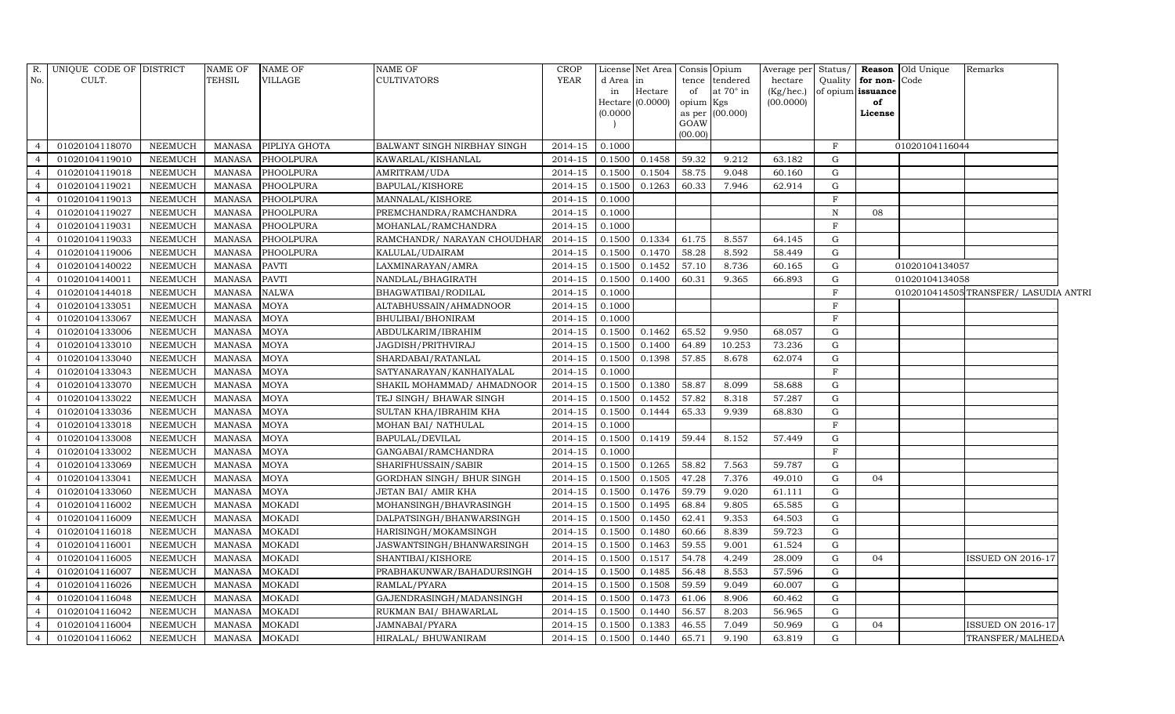| R.             | UNIQUE CODE OF DISTRICT |                | <b>NAME OF</b> | <b>NAME OF</b>   | <b>NAME OF</b>              | <b>CROP</b> |          | License Net Area   Consis   Opium |           |                  | Average per Status/ |              |                   | <b>Reason</b> Old Unique | Remarks                               |  |
|----------------|-------------------------|----------------|----------------|------------------|-----------------------------|-------------|----------|-----------------------------------|-----------|------------------|---------------------|--------------|-------------------|--------------------------|---------------------------------------|--|
| No.            | CULT.                   |                | <b>TEHSIL</b>  | VILLAGE          | <b>CULTIVATORS</b>          | YEAR        | d Area   | lin                               |           | tence tendered   | hectare             | Quality      | for non-Code      |                          |                                       |  |
|                |                         |                |                |                  |                             |             | in       | Hectare                           | of        | at $70^\circ$ in | (Kg/hec.)           |              | of opium issuance |                          |                                       |  |
|                |                         |                |                |                  |                             |             |          | Hectare $(0.0000)$                | opium Kgs |                  | (00.0000)           |              | of                |                          |                                       |  |
|                |                         |                |                |                  |                             |             | (0.0000) |                                   | GOAW      | as per (00.000)  |                     |              | License           |                          |                                       |  |
|                |                         |                |                |                  |                             |             |          |                                   | (00.00)   |                  |                     |              |                   |                          |                                       |  |
| $\overline{4}$ | 01020104118070          | <b>NEEMUCH</b> | <b>MANASA</b>  | PIPLIYA GHOTA    | BALWANT SINGH NIRBHAY SINGH | 2014-15     | 0.1000   |                                   |           |                  |                     | F            |                   | 01020104116044           |                                       |  |
| $\overline{4}$ | 01020104119010          | <b>NEEMUCH</b> | <b>MANASA</b>  | <b>PHOOLPURA</b> | KAWARLAL/KISHANLAL          | 2014-15     | 0.1500   | 0.1458                            | 59.32     | 9.212            | 63.182              | $\mathbf G$  |                   |                          |                                       |  |
| $\overline{4}$ | 01020104119018          | <b>NEEMUCH</b> | <b>MANASA</b>  | PHOOLPURA        | AMRITRAM/UDA                | 2014-15     | 0.1500   | 0.1504                            | 58.75     | 9.048            | 60.160              | G            |                   |                          |                                       |  |
| $\overline{4}$ | 01020104119021          | <b>NEEMUCH</b> | <b>MANASA</b>  | PHOOLPURA        | BAPULAL/KISHORE             | 2014-15     | 0.1500   | 0.1263                            | 60.33     | 7.946            | 62.914              | G            |                   |                          |                                       |  |
| $\overline{4}$ | 01020104119013          | <b>NEEMUCH</b> | <b>MANASA</b>  | PHOOLPURA        | MANNALAL/KISHORE            | 2014-15     | 0.1000   |                                   |           |                  |                     | $\mathbf{F}$ |                   |                          |                                       |  |
| $\overline{4}$ | 01020104119027          | <b>NEEMUCH</b> | <b>MANASA</b>  | PHOOLPURA        | PREMCHANDRA/RAMCHANDRA      | 2014-15     | 0.1000   |                                   |           |                  |                     | $\mathbf N$  | 08                |                          |                                       |  |
| $\overline{4}$ | 01020104119031          | <b>NEEMUCH</b> | <b>MANASA</b>  | PHOOLPURA        | MOHANLAL/RAMCHANDRA         | 2014-15     | 0.1000   |                                   |           |                  |                     | $\mathbf{F}$ |                   |                          |                                       |  |
| $\overline{4}$ | 01020104119033          | <b>NEEMUCH</b> | <b>MANASA</b>  | PHOOLPURA        | RAMCHANDR/ NARAYAN CHOUDHAR | $2014 - 15$ | 0.1500   | 0.1334                            | 61.75     | 8.557            | 64.145              | G            |                   |                          |                                       |  |
| $\overline{4}$ | 01020104119006          | <b>NEEMUCH</b> | <b>MANASA</b>  | PHOOLPURA        | KALULAL/UDAIRAM             | 2014-15     | 0.1500   | 0.1470                            | 58.28     | 8.592            | 58.449              | G            |                   |                          |                                       |  |
| $\overline{4}$ | 01020104140022          | <b>NEEMUCH</b> | <b>MANASA</b>  | <b>PAVTI</b>     | LAXMINARAYAN/AMRA           | 2014-15     | 0.1500   | 0.1452                            | 57.10     | 8.736            | 60.165              | G            |                   | 01020104134057           |                                       |  |
| $\overline{4}$ | 01020104140011          | <b>NEEMUCH</b> | <b>MANASA</b>  | <b>PAVTI</b>     | NANDLAL/BHAGIRATH           | 2014-15     | 0.1500   | 0.1400                            | 60.31     | 9.365            | 66.893              | $\mathbf G$  |                   | 01020104134058           |                                       |  |
| $\overline{4}$ | 01020104144018          | <b>NEEMUCH</b> | <b>MANASA</b>  | <b>NALWA</b>     | BHAGWATIBAI/RODILAL         | 2014-15     | 0.1000   |                                   |           |                  |                     | $_{\rm F}$   |                   |                          | 0102010414505 TRANSFER/ LASUDIA ANTRI |  |
| $\overline{4}$ | 01020104133051          | <b>NEEMUCH</b> | <b>MANASA</b>  | <b>MOYA</b>      | ALTABHUSSAIN/AHMADNOOR      | 2014-15     | 0.1000   |                                   |           |                  |                     | $_{\rm F}$   |                   |                          |                                       |  |
| $\overline{4}$ | 01020104133067          | <b>NEEMUCH</b> | <b>MANASA</b>  | <b>MOYA</b>      | BHULIBAI/BHONIRAM           | 2014-15     | 0.1000   |                                   |           |                  |                     | F            |                   |                          |                                       |  |
| $\overline{4}$ | 01020104133006          | <b>NEEMUCH</b> | <b>MANASA</b>  | <b>MOYA</b>      | ABDULKARIM/IBRAHIM          | 2014-15     | 0.1500   | 0.1462                            | 65.52     | 9.950            | 68.057              | G            |                   |                          |                                       |  |
| $\overline{4}$ | 01020104133010          | <b>NEEMUCH</b> | <b>MANASA</b>  | MOYA             | JAGDISH/PRITHVIRAJ          | 2014-15     | 0.1500   | 0.1400                            | 64.89     | 10.253           | 73.236              | G            |                   |                          |                                       |  |
| $\overline{4}$ | 01020104133040          | <b>NEEMUCH</b> | <b>MANASA</b>  | <b>MOYA</b>      | SHARDABAI/RATANLAL          | 2014-15     | 0.1500   | 0.1398                            | 57.85     | 8.678            | 62.074              | G            |                   |                          |                                       |  |
| $\overline{4}$ | 01020104133043          | <b>NEEMUCH</b> | <b>MANASA</b>  | <b>MOYA</b>      | SATYANARAYAN/KANHAIYALAL    | $2014 - 15$ | 0.1000   |                                   |           |                  |                     | F            |                   |                          |                                       |  |
| $\overline{4}$ | 01020104133070          | <b>NEEMUCH</b> | <b>MANASA</b>  | MOYA             | SHAKIL MOHAMMAD/ AHMADNOOR  | 2014-15     | 0.1500   | 0.1380                            | 58.87     | 8.099            | 58.688              | G            |                   |                          |                                       |  |
| $\overline{4}$ | 01020104133022          | <b>NEEMUCH</b> | <b>MANASA</b>  | <b>MOYA</b>      | TEJ SINGH/ BHAWAR SINGH     | 2014-15     | 0.1500   | 0.1452                            | 57.82     | 8.318            | 57.287              | G            |                   |                          |                                       |  |
| $\overline{4}$ | 01020104133036          | <b>NEEMUCH</b> | <b>MANASA</b>  | <b>MOYA</b>      | SULTAN KHA/IBRAHIM KHA      | 2014-15     | 0.1500   | 0.1444                            | 65.33     | 9.939            | 68.830              | $\mathbf G$  |                   |                          |                                       |  |
| $\overline{4}$ | 01020104133018          | <b>NEEMUCH</b> | <b>MANASA</b>  | MOYA             | MOHAN BAI/ NATHULAL         | 2014-15     | 0.1000   |                                   |           |                  |                     | F            |                   |                          |                                       |  |
| $\overline{4}$ | 01020104133008          | <b>NEEMUCH</b> | <b>MANASA</b>  | MOYA             | BAPULAL/DEVILAL             | 2014-15     | 0.1500   | 0.1419                            | 59.44     | 8.152            | 57.449              | G            |                   |                          |                                       |  |
| $\overline{4}$ | 01020104133002          | <b>NEEMUCH</b> | <b>MANASA</b>  | <b>MOYA</b>      | GANGABAI/RAMCHANDRA         | 2014-15     | 0.1000   |                                   |           |                  |                     | F            |                   |                          |                                       |  |
| $\overline{4}$ | 01020104133069          | <b>NEEMUCH</b> | <b>MANASA</b>  | <b>MOYA</b>      | SHARIFHUSSAIN/SABIR         | 2014-15     | 0.1500   | 0.1265                            | 58.82     | 7.563            | 59.787              | G            |                   |                          |                                       |  |
| $\overline{4}$ | 01020104133041          | <b>NEEMUCH</b> | <b>MANASA</b>  | MOYA             | GORDHAN SINGH/ BHUR SINGH   | 2014-15     | 0.1500   | 0.1505                            | 47.28     | 7.376            | 49.010              | G            | 04                |                          |                                       |  |
| $\overline{4}$ | 01020104133060          | <b>NEEMUCH</b> | <b>MANASA</b>  | MOYA             | JETAN BAI/ AMIR KHA         | 2014-15     | 0.1500   | 0.1476                            | 59.79     | 9.020            | 61.111              | G            |                   |                          |                                       |  |
| $\overline{4}$ | 01020104116002          | <b>NEEMUCH</b> | <b>MANASA</b>  | <b>MOKADI</b>    | MOHANSINGH/BHAVRASINGH      | 2014-15     | 0.1500   | 0.1495                            | 68.84     | 9.805            | 65.585              | $\mathbf G$  |                   |                          |                                       |  |
| $\overline{4}$ | 01020104116009          | <b>NEEMUCH</b> | <b>MANASA</b>  | <b>MOKADI</b>    | DALPATSINGH/BHANWARSINGH    | 2014-15     | 0.1500   | 0.1450                            | 62.41     | 9.353            | 64.503              | G            |                   |                          |                                       |  |
| $\overline{4}$ | 01020104116018          | <b>NEEMUCH</b> | <b>MANASA</b>  | <b>MOKADI</b>    | HARISINGH/MOKAMSINGH        | 2014-15     | 0.1500   | 0.1480                            | 60.66     | 8.839            | 59.723              | G            |                   |                          |                                       |  |
| $\overline{4}$ | 01020104116001          | <b>NEEMUCH</b> | <b>MANASA</b>  | <b>MOKADI</b>    | JASWANTSINGH/BHANWARSINGH   | 2014-15     | 0.1500   | 0.1463                            | 59.55     | 9.001            | 61.524              | G            |                   |                          |                                       |  |
| $\overline{4}$ | 01020104116005          | <b>NEEMUCH</b> | <b>MANASA</b>  | <b>MOKADI</b>    | SHANTIBAI/KISHORE           | 2014-15     | 0.1500   | 0.1517                            | 54.78     | 4.249            | 28.009              | G            | 04                |                          | ISSUED ON 2016-17                     |  |
| $\overline{4}$ | 01020104116007          | <b>NEEMUCH</b> | <b>MANASA</b>  | <b>MOKADI</b>    | PRABHAKUNWAR/BAHADURSINGH   | 2014-15     | 0.1500   | 0.1485                            | 56.48     | 8.553            | 57.596              | G            |                   |                          |                                       |  |
| $\overline{4}$ | 01020104116026          | <b>NEEMUCH</b> | <b>MANASA</b>  | <b>MOKADI</b>    | RAMLAL/PYARA                | 2014-15     | 0.1500   | 0.1508                            | 59.59     | 9.049            | 60.007              | G            |                   |                          |                                       |  |
| $\overline{4}$ | 01020104116048          | <b>NEEMUCH</b> | <b>MANASA</b>  | <b>MOKADI</b>    | GAJENDRASINGH/MADANSINGH    | 2014-15     | 0.1500   | 0.1473                            | 61.06     | 8.906            | 60.462              | G            |                   |                          |                                       |  |
| $\overline{4}$ | 01020104116042          | <b>NEEMUCH</b> | <b>MANASA</b>  | <b>MOKADI</b>    | RUKMAN BAI/ BHAWARLAL       | 2014-15     | 0.1500   | 0.1440                            | 56.57     | 8.203            | 56.965              | G            |                   |                          |                                       |  |
| $\overline{4}$ | 01020104116004          | <b>NEEMUCH</b> | <b>MANASA</b>  | <b>MOKADI</b>    | JAMNABAI/PYARA              | 2014-15     | 0.1500   | 0.1383                            | 46.55     | 7.049            | 50.969              | G            | 04                |                          | <b>ISSUED ON 2016-17</b>              |  |
| $\overline{4}$ | 01020104116062          | <b>NEEMUCH</b> | <b>MANASA</b>  | <b>MOKADI</b>    | HIRALAL/ BHUWANIRAM         | 2014-15     | 0.1500   | 0.1440                            | 65.71     | 9.190            | 63.819              | G            |                   |                          | TRANSFER/MALHEDA                      |  |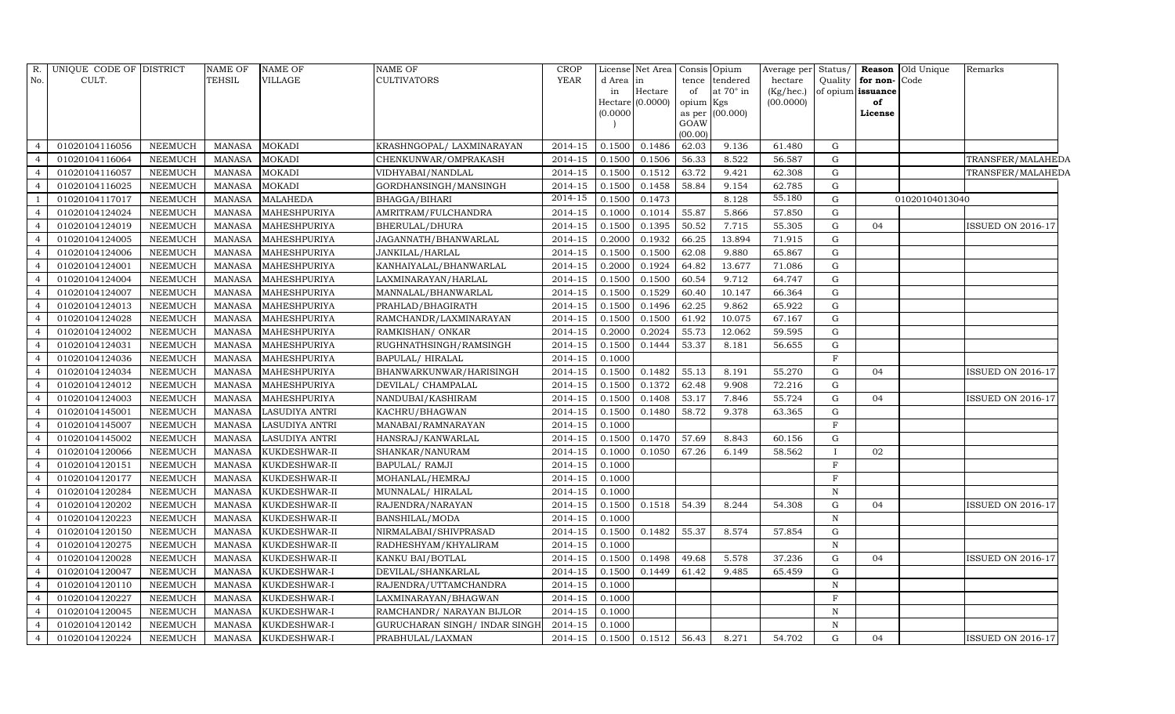| No.<br>CULT.<br><b>TEHSIL</b><br>VILLAGE<br><b>CULTIVATORS</b><br>YEAR<br>Quality<br>Code<br>d Area<br>in<br>tendered<br>hectare<br>for non-<br>tence<br>Hectare<br>at $70^\circ$ in<br>of<br>(Kg/hec.)<br>of opium issuance<br>in<br>Hectare (0.0000)<br>(00.0000)<br>opium Kgs<br>of<br>as per (00.000)<br>(0.0000)<br>License<br>GOAW<br>(00.00)<br>01020104116056<br>0.1486<br>62.03<br><b>NEEMUCH</b><br><b>MANASA</b><br><b>MOKADI</b><br>KRASHNGOPAL/ LAXMINARAYAN<br>2014-15<br>0.1500<br>9.136<br>61.480<br>G<br>$\overline{a}$<br>01020104116064<br><b>MOKADI</b><br>0.1500<br>0.1506<br>56.33<br>8.522<br>56.587<br>G<br><b>NEEMUCH</b><br><b>MANASA</b><br>CHENKUNWAR/OMPRAKASH<br>2014-15<br>TRANSFER/MALAHEDA<br>4<br>01020104116057<br><b>NEEMUCH</b><br><b>MOKADI</b><br>0.1500<br>0.1512<br>63.72<br>G<br>$\overline{4}$<br><b>MANASA</b><br>VIDHYABAI/NANDLAL<br>2014-15<br>9.421<br>62.308<br>TRANSFER/MALAHEDA<br><b>MOKADI</b><br>58.84<br>$\mathbf G$<br>01020104116025<br><b>NEEMUCH</b><br><b>MANASA</b><br>GORDHANSINGH/MANSINGH<br>2014-15<br>0.1500<br>0.1458<br>9.154<br>62.785<br>$\overline{4}$<br>2014-15<br>55.180<br>01020104117017<br><b>MALAHEDA</b><br>0.1500<br>0.1473<br>G<br><b>NEEMUCH</b><br><b>MANASA</b><br>BHAGGA/BIHARI<br>8.128<br>01020104013040<br>$\overline{1}$<br>01020104124024<br><b>NEEMUCH</b><br><b>MANASA</b><br>MAHESHPURIYA<br>AMRITRAM/FULCHANDRA<br>2014-15<br>0.1000<br>0.1014<br>55.87<br>5.866<br>57.850<br>G<br>$\overline{4}$<br>${\rm G}$<br>0.1395<br>50.52<br>7.715<br>04<br>01020104124019<br><b>NEEMUCH</b><br><b>MANASA</b><br>MAHESHPURIYA<br>2014-15<br>0.1500<br>55.305<br>BHERULAL/DHURA<br>ISSUED ON 2016-17<br>$\overline{4}$<br>01020104124005<br>0.1932<br>${\rm G}$<br><b>NEEMUCH</b><br>2014-15<br>0.2000<br>66.25<br>13.894<br>71.915<br><b>MANASA</b><br>MAHESHPURIYA<br>JAGANNATH/BHANWARLAL<br>$\overline{4}$<br>01020104124006<br><b>NEEMUCH</b><br>MAHESHPURIYA<br>JANKILAL/HARLAL<br>0.1500<br>0.1500<br>62.08<br>9.880<br>65.867<br>G<br><b>MANASA</b><br>2014-15<br>$\overline{4}$<br>01020104124001<br><b>NEEMUCH</b><br>KANHAIYALAL/BHANWARLAL<br>$2014 - 15$<br>0.2000<br>0.1924<br>64.82<br>13.677<br>71.086<br>G<br><b>MANASA</b><br>MAHESHPURIYA<br>$\overline{4}$<br>01020104124004<br>$\mathbf G$<br><b>NEEMUCH</b><br><b>MANASA</b><br>MAHESHPURIYA<br>LAXMINARAYAN/HARLAL<br>2014-15<br>0.1500<br>0.1500<br>60.54<br>9.712<br>64.747<br>$\overline{4}$<br>01020104124007<br><b>NEEMUCH</b><br><b>MANASA</b><br>MAHESHPURIYA<br>MANNALAL/BHANWARLAL<br>2014-15<br>0.1500<br>0.1529<br>60.40<br>10.147<br>66.364<br>G<br>$\overline{4}$<br>01020104124013<br><b>NEEMUCH</b><br>0.1500<br>0.1496<br>62.25<br>$\mathbf G$<br>$\overline{4}$<br><b>MANASA</b><br>MAHESHPURIYA<br>PRAHLAD/BHAGIRATH<br>2014-15<br>9.862<br>65.922<br>${\rm G}$<br>01020104124028<br><b>NEEMUCH</b><br>0.1500<br>61.92<br>10.075<br>67.167<br><b>MANASA</b><br>MAHESHPURIYA<br>RAMCHANDR/LAXMINARAYAN<br>2014-15<br>0.1500<br>$\overline{4}$<br>01020104124002<br><b>NEEMUCH</b><br><b>MANASA</b><br>MAHESHPURIYA<br>RAMKISHAN/ONKAR<br>2014-15<br>0.2000<br>0.2024<br>55.73<br>12.062<br>59.595<br>$\mathbf G$<br>$\overline{4}$<br>$\mathbf G$<br>01020104124031<br><b>NEEMUCH</b><br><b>MANASA</b><br>MAHESHPURIYA<br>RUGHNATHSINGH/RAMSINGH<br>2014-15<br>0.1500<br>0.1444<br>53.37<br>8.181<br>56.655<br>$\overline{4}$<br>$\rm F$<br>01020104124036<br><b>NEEMUCH</b><br>2014-15<br>0.1000<br><b>MANASA</b><br>MAHESHPURIYA<br>BAPULAL/HIRALAL<br>$\overline{4}$<br>01020104124034<br>0.1482<br>55.13<br>$\mathbf G$<br>04<br><b>NEEMUCH</b><br>BHANWARKUNWAR/HARISINGH<br>2014-15<br>0.1500<br>8.191<br>55.270<br><b>ISSUED ON 2016-17</b><br><b>MANASA</b><br>MAHESHPURIYA<br>$\overline{4}$<br>01020104124012<br><b>NEEMUCH</b><br>0.1372<br>62.48<br><b>MANASA</b><br>MAHESHPURIYA<br>DEVILAL/ CHAMPALAL<br>2014-15<br>0.1500<br>9.908<br>72.216<br>G<br>$\overline{4}$<br>01020104124003<br><b>NEEMUCH</b><br>0.1500<br>0.1408<br>53.17<br>55.724<br>$\mathbf G$<br>04<br><b>MANASA</b><br>MAHESHPURIYA<br>NANDUBAI/KASHIRAM<br>2014-15<br>7.846<br><b>ISSUED ON 2016-17</b><br>$\overline{4}$<br>$\mathbf G$<br>01020104145001<br><b>NEEMUCH</b><br><b>MANASA</b><br>LASUDIYA ANTRI<br>2014-15<br>0.1500<br>0.1480<br>58.72<br>9.378<br>63.365<br>KACHRU/BHAGWAN<br>$\overline{4}$<br>01020104145007<br><b>NEEMUCH</b><br><b>MANASA</b><br><b>LASUDIYA ANTRI</b><br>MANABAI/RAMNARAYAN<br>2014-15<br>0.1000<br>$\mathbf{F}$<br>$\overline{4}$<br>0.1470<br>57.69<br>01020104145002<br><b>NEEMUCH</b><br>2014-15<br>0.1500<br>8.843<br>G<br>$\overline{4}$<br><b>MANASA</b><br><b>LASUDIYA ANTRI</b><br>HANSRAJ/KANWARLAL<br>60.156<br>67.26<br>02<br>01020104120066<br><b>NEEMUCH</b><br><b>MANASA</b><br>KUKDESHWAR-II<br>0.1000<br>0.1050<br>6.149<br>58.562<br>SHANKAR/NANURAM<br>2014-15<br>$\overline{4}$<br>$\mathbf F$<br>01020104120151<br>0.1000<br><b>NEEMUCH</b><br><b>MANASA</b><br>KUKDESHWAR-II<br>BAPULAL/ RAMJI<br>2014-15<br>$\overline{4}$<br>01020104120177<br><b>NEEMUCH</b><br>$\rm F$<br><b>MANASA</b><br>KUKDESHWAR-II<br>MOHANLAL/HEMRAJ<br>2014-15<br>0.1000<br>$\overline{4}$<br>$2014 - 15$<br>0.1000<br>$\mathbf N$<br>01020104120284<br><b>NEEMUCH</b><br><b>MANASA</b><br>KUKDESHWAR-II<br>MUNNALAL/ HIRALAL<br>$\overline{4}$<br>01020104120202<br><b>NEEMUCH</b><br>2014-15<br>0.1500<br>0.1518<br>54.39<br>G<br>04<br><b>MANASA</b><br>KUKDESHWAR-II<br>RAJENDRA/NARAYAN<br>8.244<br>54.308<br>ISSUED ON 2016-17<br>$\overline{4}$<br>01020104120223<br><b>NEEMUCH</b><br>KUKDESHWAR-II<br>0.1000<br>$\mathbf N$<br><b>MANASA</b><br>BANSHILAL/MODA<br>2014-15<br>$\overline{4}$<br>0.1482<br>55.37<br>8.574<br>01020104120150<br><b>NEEMUCH</b><br>0.1500<br>57.854<br>G<br>$\overline{4}$<br><b>MANASA</b><br>KUKDESHWAR-II<br>NIRMALABAI/SHIVPRASAD<br>2014-15<br>01020104120275<br>${\bf N}$<br><b>NEEMUCH</b><br><b>MANASA</b><br>KUKDESHWAR-II<br>RADHESHYAM/KHYALIRAM<br>2014-15<br>0.1000<br>$\overline{4}$<br>01020104120028<br>$2014 - 15$<br>0.1500<br>0.1498<br>49.68<br>5.578<br>37.236<br>$\mathbf G$<br>04<br><b>NEEMUCH</b><br><b>MANASA</b><br>KUKDESHWAR-II<br>KANKU BAI/BOTLAL<br><b>ISSUED ON 2016-17</b><br>$\overline{4}$<br>01020104120047<br><b>NEEMUCH</b><br>0.1449<br>61.42<br>G<br><b>MANASA</b><br>KUKDESHWAR-I<br>DEVILAL/SHANKARLAL<br>2014-15<br>0.1500<br>9.485<br>65.459<br>$\overline{4}$<br>$\mathbf N$<br>01020104120110<br><b>NEEMUCH</b><br><b>MANASA</b><br>KUKDESHWAR-I<br>RAJENDRA/UTTAMCHANDRA<br>2014-15<br>0.1000<br>$\overline{4}$<br>01020104120227<br>$\mathbf F$<br><b>NEEMUCH</b><br>KUKDESHWAR-I<br>LAXMINARAYAN/BHAGWAN<br>2014-15<br>0.1000<br><b>MANASA</b><br>$\overline{4}$<br>01020104120045<br><b>NEEMUCH</b><br><b>MANASA</b><br>KUKDESHWAR-I<br>RAMCHANDR/ NARAYAN BIJLOR<br>2014-15<br>0.1000<br>$\, {\bf N}$<br>$\overline{4}$<br>01020104120142<br><b>NEEMUCH</b><br><b>MANASA</b><br>GURUCHARAN SINGH/ INDAR SINGH<br>2014-15<br>0.1000<br>$\, {\bf N}$<br>KUKDESHWAR-I<br>$\overline{4}$<br>${\rm G}$<br>01020104120224<br><b>NEEMUCH</b><br><b>MANASA</b><br>KUKDESHWAR-I<br>2014-15<br>0.1500<br>0.1512<br>56.43<br>8.271<br>54.702<br>04<br>$\overline{4}$<br>PRABHULAL/LAXMAN<br><b>ISSUED ON 2016-17</b> | R. UNIQUE CODE OF DISTRICT | <b>NAME OF</b> | <b>NAME OF</b> | <b>NAME OF</b> | <b>CROP</b> | License Net Area Consis Opium |  | Average per Status/ |  | <b>Reason</b> Old Unique | Remarks |
|-----------------------------------------------------------------------------------------------------------------------------------------------------------------------------------------------------------------------------------------------------------------------------------------------------------------------------------------------------------------------------------------------------------------------------------------------------------------------------------------------------------------------------------------------------------------------------------------------------------------------------------------------------------------------------------------------------------------------------------------------------------------------------------------------------------------------------------------------------------------------------------------------------------------------------------------------------------------------------------------------------------------------------------------------------------------------------------------------------------------------------------------------------------------------------------------------------------------------------------------------------------------------------------------------------------------------------------------------------------------------------------------------------------------------------------------------------------------------------------------------------------------------------------------------------------------------------------------------------------------------------------------------------------------------------------------------------------------------------------------------------------------------------------------------------------------------------------------------------------------------------------------------------------------------------------------------------------------------------------------------------------------------------------------------------------------------------------------------------------------------------------------------------------------------------------------------------------------------------------------------------------------------------------------------------------------------------------------------------------------------------------------------------------------------------------------------------------------------------------------------------------------------------------------------------------------------------------------------------------------------------------------------------------------------------------------------------------------------------------------------------------------------------------------------------------------------------------------------------------------------------------------------------------------------------------------------------------------------------------------------------------------------------------------------------------------------------------------------------------------------------------------------------------------------------------------------------------------------------------------------------------------------------------------------------------------------------------------------------------------------------------------------------------------------------------------------------------------------------------------------------------------------------------------------------------------------------------------------------------------------------------------------------------------------------------------------------------------------------------------------------------------------------------------------------------------------------------------------------------------------------------------------------------------------------------------------------------------------------------------------------------------------------------------------------------------------------------------------------------------------------------------------------------------------------------------------------------------------------------------------------------------------------------------------------------------------------------------------------------------------------------------------------------------------------------------------------------------------------------------------------------------------------------------------------------------------------------------------------------------------------------------------------------------------------------------------------------------------------------------------------------------------------------------------------------------------------------------------------------------------------------------------------------------------------------------------------------------------------------------------------------------------------------------------------------------------------------------------------------------------------------------------------------------------------------------------------------------------------------------------------------------------------------------------------------------------------------------------------------------------------------------------------------------------------------------------------------------------------------------------------------------------------------------------------------------------------------------------------------------------------------------------------------------------------------------------------------------------------------------------------------------------------------------------------------------------------------------------------------------------------------------------------------------------------------------------------------------------------------------------------------------------------------------------------------------------------------------------------------------------------------------------------------------------------------------------------------------------------------------------------------------------------------------------------------------------------------------------------------------------------------------------------------------------------------------------------------------------------------------------------------------------------------------------------------------------------------------------------------------------------------------------------------------------------------------------------------------------------------------------------------------------------------------------------------------------------------------------------------------------------------------------------------------------------------------------------------------------------------------------------------------------------------------------------------------------------------------------------------------------------------------------------------------------------------------------------------------------------------------------------------------------------------------------------------|----------------------------|----------------|----------------|----------------|-------------|-------------------------------|--|---------------------|--|--------------------------|---------|
|                                                                                                                                                                                                                                                                                                                                                                                                                                                                                                                                                                                                                                                                                                                                                                                                                                                                                                                                                                                                                                                                                                                                                                                                                                                                                                                                                                                                                                                                                                                                                                                                                                                                                                                                                                                                                                                                                                                                                                                                                                                                                                                                                                                                                                                                                                                                                                                                                                                                                                                                                                                                                                                                                                                                                                                                                                                                                                                                                                                                                                                                                                                                                                                                                                                                                                                                                                                                                                                                                                                                                                                                                                                                                                                                                                                                                                                                                                                                                                                                                                                                                                                                                                                                                                                                                                                                                                                                                                                                                                                                                                                                                                                                                                                                                                                                                                                                                                                                                                                                                                                                                                                                                                                                                                                                                                                                                                                                                                                                                                                                                                                                                                                                                                                                                                                                                                                                                                                                                                                                                                                                                                                                                                                                                                                                                                                                                                                                                                                                                                                                                                                                                                                                                                                                                                                                                                                                                                                                                                                                                                                                                                                                                                                                                                                                                                           |                            |                |                |                |             |                               |  |                     |  |                          |         |
|                                                                                                                                                                                                                                                                                                                                                                                                                                                                                                                                                                                                                                                                                                                                                                                                                                                                                                                                                                                                                                                                                                                                                                                                                                                                                                                                                                                                                                                                                                                                                                                                                                                                                                                                                                                                                                                                                                                                                                                                                                                                                                                                                                                                                                                                                                                                                                                                                                                                                                                                                                                                                                                                                                                                                                                                                                                                                                                                                                                                                                                                                                                                                                                                                                                                                                                                                                                                                                                                                                                                                                                                                                                                                                                                                                                                                                                                                                                                                                                                                                                                                                                                                                                                                                                                                                                                                                                                                                                                                                                                                                                                                                                                                                                                                                                                                                                                                                                                                                                                                                                                                                                                                                                                                                                                                                                                                                                                                                                                                                                                                                                                                                                                                                                                                                                                                                                                                                                                                                                                                                                                                                                                                                                                                                                                                                                                                                                                                                                                                                                                                                                                                                                                                                                                                                                                                                                                                                                                                                                                                                                                                                                                                                                                                                                                                                           |                            |                |                |                |             |                               |  |                     |  |                          |         |
|                                                                                                                                                                                                                                                                                                                                                                                                                                                                                                                                                                                                                                                                                                                                                                                                                                                                                                                                                                                                                                                                                                                                                                                                                                                                                                                                                                                                                                                                                                                                                                                                                                                                                                                                                                                                                                                                                                                                                                                                                                                                                                                                                                                                                                                                                                                                                                                                                                                                                                                                                                                                                                                                                                                                                                                                                                                                                                                                                                                                                                                                                                                                                                                                                                                                                                                                                                                                                                                                                                                                                                                                                                                                                                                                                                                                                                                                                                                                                                                                                                                                                                                                                                                                                                                                                                                                                                                                                                                                                                                                                                                                                                                                                                                                                                                                                                                                                                                                                                                                                                                                                                                                                                                                                                                                                                                                                                                                                                                                                                                                                                                                                                                                                                                                                                                                                                                                                                                                                                                                                                                                                                                                                                                                                                                                                                                                                                                                                                                                                                                                                                                                                                                                                                                                                                                                                                                                                                                                                                                                                                                                                                                                                                                                                                                                                                           |                            |                |                |                |             |                               |  |                     |  |                          |         |
|                                                                                                                                                                                                                                                                                                                                                                                                                                                                                                                                                                                                                                                                                                                                                                                                                                                                                                                                                                                                                                                                                                                                                                                                                                                                                                                                                                                                                                                                                                                                                                                                                                                                                                                                                                                                                                                                                                                                                                                                                                                                                                                                                                                                                                                                                                                                                                                                                                                                                                                                                                                                                                                                                                                                                                                                                                                                                                                                                                                                                                                                                                                                                                                                                                                                                                                                                                                                                                                                                                                                                                                                                                                                                                                                                                                                                                                                                                                                                                                                                                                                                                                                                                                                                                                                                                                                                                                                                                                                                                                                                                                                                                                                                                                                                                                                                                                                                                                                                                                                                                                                                                                                                                                                                                                                                                                                                                                                                                                                                                                                                                                                                                                                                                                                                                                                                                                                                                                                                                                                                                                                                                                                                                                                                                                                                                                                                                                                                                                                                                                                                                                                                                                                                                                                                                                                                                                                                                                                                                                                                                                                                                                                                                                                                                                                                                           |                            |                |                |                |             |                               |  |                     |  |                          |         |
|                                                                                                                                                                                                                                                                                                                                                                                                                                                                                                                                                                                                                                                                                                                                                                                                                                                                                                                                                                                                                                                                                                                                                                                                                                                                                                                                                                                                                                                                                                                                                                                                                                                                                                                                                                                                                                                                                                                                                                                                                                                                                                                                                                                                                                                                                                                                                                                                                                                                                                                                                                                                                                                                                                                                                                                                                                                                                                                                                                                                                                                                                                                                                                                                                                                                                                                                                                                                                                                                                                                                                                                                                                                                                                                                                                                                                                                                                                                                                                                                                                                                                                                                                                                                                                                                                                                                                                                                                                                                                                                                                                                                                                                                                                                                                                                                                                                                                                                                                                                                                                                                                                                                                                                                                                                                                                                                                                                                                                                                                                                                                                                                                                                                                                                                                                                                                                                                                                                                                                                                                                                                                                                                                                                                                                                                                                                                                                                                                                                                                                                                                                                                                                                                                                                                                                                                                                                                                                                                                                                                                                                                                                                                                                                                                                                                                                           |                            |                |                |                |             |                               |  |                     |  |                          |         |
|                                                                                                                                                                                                                                                                                                                                                                                                                                                                                                                                                                                                                                                                                                                                                                                                                                                                                                                                                                                                                                                                                                                                                                                                                                                                                                                                                                                                                                                                                                                                                                                                                                                                                                                                                                                                                                                                                                                                                                                                                                                                                                                                                                                                                                                                                                                                                                                                                                                                                                                                                                                                                                                                                                                                                                                                                                                                                                                                                                                                                                                                                                                                                                                                                                                                                                                                                                                                                                                                                                                                                                                                                                                                                                                                                                                                                                                                                                                                                                                                                                                                                                                                                                                                                                                                                                                                                                                                                                                                                                                                                                                                                                                                                                                                                                                                                                                                                                                                                                                                                                                                                                                                                                                                                                                                                                                                                                                                                                                                                                                                                                                                                                                                                                                                                                                                                                                                                                                                                                                                                                                                                                                                                                                                                                                                                                                                                                                                                                                                                                                                                                                                                                                                                                                                                                                                                                                                                                                                                                                                                                                                                                                                                                                                                                                                                                           |                            |                |                |                |             |                               |  |                     |  |                          |         |
|                                                                                                                                                                                                                                                                                                                                                                                                                                                                                                                                                                                                                                                                                                                                                                                                                                                                                                                                                                                                                                                                                                                                                                                                                                                                                                                                                                                                                                                                                                                                                                                                                                                                                                                                                                                                                                                                                                                                                                                                                                                                                                                                                                                                                                                                                                                                                                                                                                                                                                                                                                                                                                                                                                                                                                                                                                                                                                                                                                                                                                                                                                                                                                                                                                                                                                                                                                                                                                                                                                                                                                                                                                                                                                                                                                                                                                                                                                                                                                                                                                                                                                                                                                                                                                                                                                                                                                                                                                                                                                                                                                                                                                                                                                                                                                                                                                                                                                                                                                                                                                                                                                                                                                                                                                                                                                                                                                                                                                                                                                                                                                                                                                                                                                                                                                                                                                                                                                                                                                                                                                                                                                                                                                                                                                                                                                                                                                                                                                                                                                                                                                                                                                                                                                                                                                                                                                                                                                                                                                                                                                                                                                                                                                                                                                                                                                           |                            |                |                |                |             |                               |  |                     |  |                          |         |
|                                                                                                                                                                                                                                                                                                                                                                                                                                                                                                                                                                                                                                                                                                                                                                                                                                                                                                                                                                                                                                                                                                                                                                                                                                                                                                                                                                                                                                                                                                                                                                                                                                                                                                                                                                                                                                                                                                                                                                                                                                                                                                                                                                                                                                                                                                                                                                                                                                                                                                                                                                                                                                                                                                                                                                                                                                                                                                                                                                                                                                                                                                                                                                                                                                                                                                                                                                                                                                                                                                                                                                                                                                                                                                                                                                                                                                                                                                                                                                                                                                                                                                                                                                                                                                                                                                                                                                                                                                                                                                                                                                                                                                                                                                                                                                                                                                                                                                                                                                                                                                                                                                                                                                                                                                                                                                                                                                                                                                                                                                                                                                                                                                                                                                                                                                                                                                                                                                                                                                                                                                                                                                                                                                                                                                                                                                                                                                                                                                                                                                                                                                                                                                                                                                                                                                                                                                                                                                                                                                                                                                                                                                                                                                                                                                                                                                           |                            |                |                |                |             |                               |  |                     |  |                          |         |
|                                                                                                                                                                                                                                                                                                                                                                                                                                                                                                                                                                                                                                                                                                                                                                                                                                                                                                                                                                                                                                                                                                                                                                                                                                                                                                                                                                                                                                                                                                                                                                                                                                                                                                                                                                                                                                                                                                                                                                                                                                                                                                                                                                                                                                                                                                                                                                                                                                                                                                                                                                                                                                                                                                                                                                                                                                                                                                                                                                                                                                                                                                                                                                                                                                                                                                                                                                                                                                                                                                                                                                                                                                                                                                                                                                                                                                                                                                                                                                                                                                                                                                                                                                                                                                                                                                                                                                                                                                                                                                                                                                                                                                                                                                                                                                                                                                                                                                                                                                                                                                                                                                                                                                                                                                                                                                                                                                                                                                                                                                                                                                                                                                                                                                                                                                                                                                                                                                                                                                                                                                                                                                                                                                                                                                                                                                                                                                                                                                                                                                                                                                                                                                                                                                                                                                                                                                                                                                                                                                                                                                                                                                                                                                                                                                                                                                           |                            |                |                |                |             |                               |  |                     |  |                          |         |
|                                                                                                                                                                                                                                                                                                                                                                                                                                                                                                                                                                                                                                                                                                                                                                                                                                                                                                                                                                                                                                                                                                                                                                                                                                                                                                                                                                                                                                                                                                                                                                                                                                                                                                                                                                                                                                                                                                                                                                                                                                                                                                                                                                                                                                                                                                                                                                                                                                                                                                                                                                                                                                                                                                                                                                                                                                                                                                                                                                                                                                                                                                                                                                                                                                                                                                                                                                                                                                                                                                                                                                                                                                                                                                                                                                                                                                                                                                                                                                                                                                                                                                                                                                                                                                                                                                                                                                                                                                                                                                                                                                                                                                                                                                                                                                                                                                                                                                                                                                                                                                                                                                                                                                                                                                                                                                                                                                                                                                                                                                                                                                                                                                                                                                                                                                                                                                                                                                                                                                                                                                                                                                                                                                                                                                                                                                                                                                                                                                                                                                                                                                                                                                                                                                                                                                                                                                                                                                                                                                                                                                                                                                                                                                                                                                                                                                           |                            |                |                |                |             |                               |  |                     |  |                          |         |
|                                                                                                                                                                                                                                                                                                                                                                                                                                                                                                                                                                                                                                                                                                                                                                                                                                                                                                                                                                                                                                                                                                                                                                                                                                                                                                                                                                                                                                                                                                                                                                                                                                                                                                                                                                                                                                                                                                                                                                                                                                                                                                                                                                                                                                                                                                                                                                                                                                                                                                                                                                                                                                                                                                                                                                                                                                                                                                                                                                                                                                                                                                                                                                                                                                                                                                                                                                                                                                                                                                                                                                                                                                                                                                                                                                                                                                                                                                                                                                                                                                                                                                                                                                                                                                                                                                                                                                                                                                                                                                                                                                                                                                                                                                                                                                                                                                                                                                                                                                                                                                                                                                                                                                                                                                                                                                                                                                                                                                                                                                                                                                                                                                                                                                                                                                                                                                                                                                                                                                                                                                                                                                                                                                                                                                                                                                                                                                                                                                                                                                                                                                                                                                                                                                                                                                                                                                                                                                                                                                                                                                                                                                                                                                                                                                                                                                           |                            |                |                |                |             |                               |  |                     |  |                          |         |
|                                                                                                                                                                                                                                                                                                                                                                                                                                                                                                                                                                                                                                                                                                                                                                                                                                                                                                                                                                                                                                                                                                                                                                                                                                                                                                                                                                                                                                                                                                                                                                                                                                                                                                                                                                                                                                                                                                                                                                                                                                                                                                                                                                                                                                                                                                                                                                                                                                                                                                                                                                                                                                                                                                                                                                                                                                                                                                                                                                                                                                                                                                                                                                                                                                                                                                                                                                                                                                                                                                                                                                                                                                                                                                                                                                                                                                                                                                                                                                                                                                                                                                                                                                                                                                                                                                                                                                                                                                                                                                                                                                                                                                                                                                                                                                                                                                                                                                                                                                                                                                                                                                                                                                                                                                                                                                                                                                                                                                                                                                                                                                                                                                                                                                                                                                                                                                                                                                                                                                                                                                                                                                                                                                                                                                                                                                                                                                                                                                                                                                                                                                                                                                                                                                                                                                                                                                                                                                                                                                                                                                                                                                                                                                                                                                                                                                           |                            |                |                |                |             |                               |  |                     |  |                          |         |
|                                                                                                                                                                                                                                                                                                                                                                                                                                                                                                                                                                                                                                                                                                                                                                                                                                                                                                                                                                                                                                                                                                                                                                                                                                                                                                                                                                                                                                                                                                                                                                                                                                                                                                                                                                                                                                                                                                                                                                                                                                                                                                                                                                                                                                                                                                                                                                                                                                                                                                                                                                                                                                                                                                                                                                                                                                                                                                                                                                                                                                                                                                                                                                                                                                                                                                                                                                                                                                                                                                                                                                                                                                                                                                                                                                                                                                                                                                                                                                                                                                                                                                                                                                                                                                                                                                                                                                                                                                                                                                                                                                                                                                                                                                                                                                                                                                                                                                                                                                                                                                                                                                                                                                                                                                                                                                                                                                                                                                                                                                                                                                                                                                                                                                                                                                                                                                                                                                                                                                                                                                                                                                                                                                                                                                                                                                                                                                                                                                                                                                                                                                                                                                                                                                                                                                                                                                                                                                                                                                                                                                                                                                                                                                                                                                                                                                           |                            |                |                |                |             |                               |  |                     |  |                          |         |
|                                                                                                                                                                                                                                                                                                                                                                                                                                                                                                                                                                                                                                                                                                                                                                                                                                                                                                                                                                                                                                                                                                                                                                                                                                                                                                                                                                                                                                                                                                                                                                                                                                                                                                                                                                                                                                                                                                                                                                                                                                                                                                                                                                                                                                                                                                                                                                                                                                                                                                                                                                                                                                                                                                                                                                                                                                                                                                                                                                                                                                                                                                                                                                                                                                                                                                                                                                                                                                                                                                                                                                                                                                                                                                                                                                                                                                                                                                                                                                                                                                                                                                                                                                                                                                                                                                                                                                                                                                                                                                                                                                                                                                                                                                                                                                                                                                                                                                                                                                                                                                                                                                                                                                                                                                                                                                                                                                                                                                                                                                                                                                                                                                                                                                                                                                                                                                                                                                                                                                                                                                                                                                                                                                                                                                                                                                                                                                                                                                                                                                                                                                                                                                                                                                                                                                                                                                                                                                                                                                                                                                                                                                                                                                                                                                                                                                           |                            |                |                |                |             |                               |  |                     |  |                          |         |
|                                                                                                                                                                                                                                                                                                                                                                                                                                                                                                                                                                                                                                                                                                                                                                                                                                                                                                                                                                                                                                                                                                                                                                                                                                                                                                                                                                                                                                                                                                                                                                                                                                                                                                                                                                                                                                                                                                                                                                                                                                                                                                                                                                                                                                                                                                                                                                                                                                                                                                                                                                                                                                                                                                                                                                                                                                                                                                                                                                                                                                                                                                                                                                                                                                                                                                                                                                                                                                                                                                                                                                                                                                                                                                                                                                                                                                                                                                                                                                                                                                                                                                                                                                                                                                                                                                                                                                                                                                                                                                                                                                                                                                                                                                                                                                                                                                                                                                                                                                                                                                                                                                                                                                                                                                                                                                                                                                                                                                                                                                                                                                                                                                                                                                                                                                                                                                                                                                                                                                                                                                                                                                                                                                                                                                                                                                                                                                                                                                                                                                                                                                                                                                                                                                                                                                                                                                                                                                                                                                                                                                                                                                                                                                                                                                                                                                           |                            |                |                |                |             |                               |  |                     |  |                          |         |
|                                                                                                                                                                                                                                                                                                                                                                                                                                                                                                                                                                                                                                                                                                                                                                                                                                                                                                                                                                                                                                                                                                                                                                                                                                                                                                                                                                                                                                                                                                                                                                                                                                                                                                                                                                                                                                                                                                                                                                                                                                                                                                                                                                                                                                                                                                                                                                                                                                                                                                                                                                                                                                                                                                                                                                                                                                                                                                                                                                                                                                                                                                                                                                                                                                                                                                                                                                                                                                                                                                                                                                                                                                                                                                                                                                                                                                                                                                                                                                                                                                                                                                                                                                                                                                                                                                                                                                                                                                                                                                                                                                                                                                                                                                                                                                                                                                                                                                                                                                                                                                                                                                                                                                                                                                                                                                                                                                                                                                                                                                                                                                                                                                                                                                                                                                                                                                                                                                                                                                                                                                                                                                                                                                                                                                                                                                                                                                                                                                                                                                                                                                                                                                                                                                                                                                                                                                                                                                                                                                                                                                                                                                                                                                                                                                                                                                           |                            |                |                |                |             |                               |  |                     |  |                          |         |
|                                                                                                                                                                                                                                                                                                                                                                                                                                                                                                                                                                                                                                                                                                                                                                                                                                                                                                                                                                                                                                                                                                                                                                                                                                                                                                                                                                                                                                                                                                                                                                                                                                                                                                                                                                                                                                                                                                                                                                                                                                                                                                                                                                                                                                                                                                                                                                                                                                                                                                                                                                                                                                                                                                                                                                                                                                                                                                                                                                                                                                                                                                                                                                                                                                                                                                                                                                                                                                                                                                                                                                                                                                                                                                                                                                                                                                                                                                                                                                                                                                                                                                                                                                                                                                                                                                                                                                                                                                                                                                                                                                                                                                                                                                                                                                                                                                                                                                                                                                                                                                                                                                                                                                                                                                                                                                                                                                                                                                                                                                                                                                                                                                                                                                                                                                                                                                                                                                                                                                                                                                                                                                                                                                                                                                                                                                                                                                                                                                                                                                                                                                                                                                                                                                                                                                                                                                                                                                                                                                                                                                                                                                                                                                                                                                                                                                           |                            |                |                |                |             |                               |  |                     |  |                          |         |
|                                                                                                                                                                                                                                                                                                                                                                                                                                                                                                                                                                                                                                                                                                                                                                                                                                                                                                                                                                                                                                                                                                                                                                                                                                                                                                                                                                                                                                                                                                                                                                                                                                                                                                                                                                                                                                                                                                                                                                                                                                                                                                                                                                                                                                                                                                                                                                                                                                                                                                                                                                                                                                                                                                                                                                                                                                                                                                                                                                                                                                                                                                                                                                                                                                                                                                                                                                                                                                                                                                                                                                                                                                                                                                                                                                                                                                                                                                                                                                                                                                                                                                                                                                                                                                                                                                                                                                                                                                                                                                                                                                                                                                                                                                                                                                                                                                                                                                                                                                                                                                                                                                                                                                                                                                                                                                                                                                                                                                                                                                                                                                                                                                                                                                                                                                                                                                                                                                                                                                                                                                                                                                                                                                                                                                                                                                                                                                                                                                                                                                                                                                                                                                                                                                                                                                                                                                                                                                                                                                                                                                                                                                                                                                                                                                                                                                           |                            |                |                |                |             |                               |  |                     |  |                          |         |
|                                                                                                                                                                                                                                                                                                                                                                                                                                                                                                                                                                                                                                                                                                                                                                                                                                                                                                                                                                                                                                                                                                                                                                                                                                                                                                                                                                                                                                                                                                                                                                                                                                                                                                                                                                                                                                                                                                                                                                                                                                                                                                                                                                                                                                                                                                                                                                                                                                                                                                                                                                                                                                                                                                                                                                                                                                                                                                                                                                                                                                                                                                                                                                                                                                                                                                                                                                                                                                                                                                                                                                                                                                                                                                                                                                                                                                                                                                                                                                                                                                                                                                                                                                                                                                                                                                                                                                                                                                                                                                                                                                                                                                                                                                                                                                                                                                                                                                                                                                                                                                                                                                                                                                                                                                                                                                                                                                                                                                                                                                                                                                                                                                                                                                                                                                                                                                                                                                                                                                                                                                                                                                                                                                                                                                                                                                                                                                                                                                                                                                                                                                                                                                                                                                                                                                                                                                                                                                                                                                                                                                                                                                                                                                                                                                                                                                           |                            |                |                |                |             |                               |  |                     |  |                          |         |
|                                                                                                                                                                                                                                                                                                                                                                                                                                                                                                                                                                                                                                                                                                                                                                                                                                                                                                                                                                                                                                                                                                                                                                                                                                                                                                                                                                                                                                                                                                                                                                                                                                                                                                                                                                                                                                                                                                                                                                                                                                                                                                                                                                                                                                                                                                                                                                                                                                                                                                                                                                                                                                                                                                                                                                                                                                                                                                                                                                                                                                                                                                                                                                                                                                                                                                                                                                                                                                                                                                                                                                                                                                                                                                                                                                                                                                                                                                                                                                                                                                                                                                                                                                                                                                                                                                                                                                                                                                                                                                                                                                                                                                                                                                                                                                                                                                                                                                                                                                                                                                                                                                                                                                                                                                                                                                                                                                                                                                                                                                                                                                                                                                                                                                                                                                                                                                                                                                                                                                                                                                                                                                                                                                                                                                                                                                                                                                                                                                                                                                                                                                                                                                                                                                                                                                                                                                                                                                                                                                                                                                                                                                                                                                                                                                                                                                           |                            |                |                |                |             |                               |  |                     |  |                          |         |
|                                                                                                                                                                                                                                                                                                                                                                                                                                                                                                                                                                                                                                                                                                                                                                                                                                                                                                                                                                                                                                                                                                                                                                                                                                                                                                                                                                                                                                                                                                                                                                                                                                                                                                                                                                                                                                                                                                                                                                                                                                                                                                                                                                                                                                                                                                                                                                                                                                                                                                                                                                                                                                                                                                                                                                                                                                                                                                                                                                                                                                                                                                                                                                                                                                                                                                                                                                                                                                                                                                                                                                                                                                                                                                                                                                                                                                                                                                                                                                                                                                                                                                                                                                                                                                                                                                                                                                                                                                                                                                                                                                                                                                                                                                                                                                                                                                                                                                                                                                                                                                                                                                                                                                                                                                                                                                                                                                                                                                                                                                                                                                                                                                                                                                                                                                                                                                                                                                                                                                                                                                                                                                                                                                                                                                                                                                                                                                                                                                                                                                                                                                                                                                                                                                                                                                                                                                                                                                                                                                                                                                                                                                                                                                                                                                                                                                           |                            |                |                |                |             |                               |  |                     |  |                          |         |
|                                                                                                                                                                                                                                                                                                                                                                                                                                                                                                                                                                                                                                                                                                                                                                                                                                                                                                                                                                                                                                                                                                                                                                                                                                                                                                                                                                                                                                                                                                                                                                                                                                                                                                                                                                                                                                                                                                                                                                                                                                                                                                                                                                                                                                                                                                                                                                                                                                                                                                                                                                                                                                                                                                                                                                                                                                                                                                                                                                                                                                                                                                                                                                                                                                                                                                                                                                                                                                                                                                                                                                                                                                                                                                                                                                                                                                                                                                                                                                                                                                                                                                                                                                                                                                                                                                                                                                                                                                                                                                                                                                                                                                                                                                                                                                                                                                                                                                                                                                                                                                                                                                                                                                                                                                                                                                                                                                                                                                                                                                                                                                                                                                                                                                                                                                                                                                                                                                                                                                                                                                                                                                                                                                                                                                                                                                                                                                                                                                                                                                                                                                                                                                                                                                                                                                                                                                                                                                                                                                                                                                                                                                                                                                                                                                                                                                           |                            |                |                |                |             |                               |  |                     |  |                          |         |
|                                                                                                                                                                                                                                                                                                                                                                                                                                                                                                                                                                                                                                                                                                                                                                                                                                                                                                                                                                                                                                                                                                                                                                                                                                                                                                                                                                                                                                                                                                                                                                                                                                                                                                                                                                                                                                                                                                                                                                                                                                                                                                                                                                                                                                                                                                                                                                                                                                                                                                                                                                                                                                                                                                                                                                                                                                                                                                                                                                                                                                                                                                                                                                                                                                                                                                                                                                                                                                                                                                                                                                                                                                                                                                                                                                                                                                                                                                                                                                                                                                                                                                                                                                                                                                                                                                                                                                                                                                                                                                                                                                                                                                                                                                                                                                                                                                                                                                                                                                                                                                                                                                                                                                                                                                                                                                                                                                                                                                                                                                                                                                                                                                                                                                                                                                                                                                                                                                                                                                                                                                                                                                                                                                                                                                                                                                                                                                                                                                                                                                                                                                                                                                                                                                                                                                                                                                                                                                                                                                                                                                                                                                                                                                                                                                                                                                           |                            |                |                |                |             |                               |  |                     |  |                          |         |
|                                                                                                                                                                                                                                                                                                                                                                                                                                                                                                                                                                                                                                                                                                                                                                                                                                                                                                                                                                                                                                                                                                                                                                                                                                                                                                                                                                                                                                                                                                                                                                                                                                                                                                                                                                                                                                                                                                                                                                                                                                                                                                                                                                                                                                                                                                                                                                                                                                                                                                                                                                                                                                                                                                                                                                                                                                                                                                                                                                                                                                                                                                                                                                                                                                                                                                                                                                                                                                                                                                                                                                                                                                                                                                                                                                                                                                                                                                                                                                                                                                                                                                                                                                                                                                                                                                                                                                                                                                                                                                                                                                                                                                                                                                                                                                                                                                                                                                                                                                                                                                                                                                                                                                                                                                                                                                                                                                                                                                                                                                                                                                                                                                                                                                                                                                                                                                                                                                                                                                                                                                                                                                                                                                                                                                                                                                                                                                                                                                                                                                                                                                                                                                                                                                                                                                                                                                                                                                                                                                                                                                                                                                                                                                                                                                                                                                           |                            |                |                |                |             |                               |  |                     |  |                          |         |
|                                                                                                                                                                                                                                                                                                                                                                                                                                                                                                                                                                                                                                                                                                                                                                                                                                                                                                                                                                                                                                                                                                                                                                                                                                                                                                                                                                                                                                                                                                                                                                                                                                                                                                                                                                                                                                                                                                                                                                                                                                                                                                                                                                                                                                                                                                                                                                                                                                                                                                                                                                                                                                                                                                                                                                                                                                                                                                                                                                                                                                                                                                                                                                                                                                                                                                                                                                                                                                                                                                                                                                                                                                                                                                                                                                                                                                                                                                                                                                                                                                                                                                                                                                                                                                                                                                                                                                                                                                                                                                                                                                                                                                                                                                                                                                                                                                                                                                                                                                                                                                                                                                                                                                                                                                                                                                                                                                                                                                                                                                                                                                                                                                                                                                                                                                                                                                                                                                                                                                                                                                                                                                                                                                                                                                                                                                                                                                                                                                                                                                                                                                                                                                                                                                                                                                                                                                                                                                                                                                                                                                                                                                                                                                                                                                                                                                           |                            |                |                |                |             |                               |  |                     |  |                          |         |
|                                                                                                                                                                                                                                                                                                                                                                                                                                                                                                                                                                                                                                                                                                                                                                                                                                                                                                                                                                                                                                                                                                                                                                                                                                                                                                                                                                                                                                                                                                                                                                                                                                                                                                                                                                                                                                                                                                                                                                                                                                                                                                                                                                                                                                                                                                                                                                                                                                                                                                                                                                                                                                                                                                                                                                                                                                                                                                                                                                                                                                                                                                                                                                                                                                                                                                                                                                                                                                                                                                                                                                                                                                                                                                                                                                                                                                                                                                                                                                                                                                                                                                                                                                                                                                                                                                                                                                                                                                                                                                                                                                                                                                                                                                                                                                                                                                                                                                                                                                                                                                                                                                                                                                                                                                                                                                                                                                                                                                                                                                                                                                                                                                                                                                                                                                                                                                                                                                                                                                                                                                                                                                                                                                                                                                                                                                                                                                                                                                                                                                                                                                                                                                                                                                                                                                                                                                                                                                                                                                                                                                                                                                                                                                                                                                                                                                           |                            |                |                |                |             |                               |  |                     |  |                          |         |
|                                                                                                                                                                                                                                                                                                                                                                                                                                                                                                                                                                                                                                                                                                                                                                                                                                                                                                                                                                                                                                                                                                                                                                                                                                                                                                                                                                                                                                                                                                                                                                                                                                                                                                                                                                                                                                                                                                                                                                                                                                                                                                                                                                                                                                                                                                                                                                                                                                                                                                                                                                                                                                                                                                                                                                                                                                                                                                                                                                                                                                                                                                                                                                                                                                                                                                                                                                                                                                                                                                                                                                                                                                                                                                                                                                                                                                                                                                                                                                                                                                                                                                                                                                                                                                                                                                                                                                                                                                                                                                                                                                                                                                                                                                                                                                                                                                                                                                                                                                                                                                                                                                                                                                                                                                                                                                                                                                                                                                                                                                                                                                                                                                                                                                                                                                                                                                                                                                                                                                                                                                                                                                                                                                                                                                                                                                                                                                                                                                                                                                                                                                                                                                                                                                                                                                                                                                                                                                                                                                                                                                                                                                                                                                                                                                                                                                           |                            |                |                |                |             |                               |  |                     |  |                          |         |
|                                                                                                                                                                                                                                                                                                                                                                                                                                                                                                                                                                                                                                                                                                                                                                                                                                                                                                                                                                                                                                                                                                                                                                                                                                                                                                                                                                                                                                                                                                                                                                                                                                                                                                                                                                                                                                                                                                                                                                                                                                                                                                                                                                                                                                                                                                                                                                                                                                                                                                                                                                                                                                                                                                                                                                                                                                                                                                                                                                                                                                                                                                                                                                                                                                                                                                                                                                                                                                                                                                                                                                                                                                                                                                                                                                                                                                                                                                                                                                                                                                                                                                                                                                                                                                                                                                                                                                                                                                                                                                                                                                                                                                                                                                                                                                                                                                                                                                                                                                                                                                                                                                                                                                                                                                                                                                                                                                                                                                                                                                                                                                                                                                                                                                                                                                                                                                                                                                                                                                                                                                                                                                                                                                                                                                                                                                                                                                                                                                                                                                                                                                                                                                                                                                                                                                                                                                                                                                                                                                                                                                                                                                                                                                                                                                                                                                           |                            |                |                |                |             |                               |  |                     |  |                          |         |
|                                                                                                                                                                                                                                                                                                                                                                                                                                                                                                                                                                                                                                                                                                                                                                                                                                                                                                                                                                                                                                                                                                                                                                                                                                                                                                                                                                                                                                                                                                                                                                                                                                                                                                                                                                                                                                                                                                                                                                                                                                                                                                                                                                                                                                                                                                                                                                                                                                                                                                                                                                                                                                                                                                                                                                                                                                                                                                                                                                                                                                                                                                                                                                                                                                                                                                                                                                                                                                                                                                                                                                                                                                                                                                                                                                                                                                                                                                                                                                                                                                                                                                                                                                                                                                                                                                                                                                                                                                                                                                                                                                                                                                                                                                                                                                                                                                                                                                                                                                                                                                                                                                                                                                                                                                                                                                                                                                                                                                                                                                                                                                                                                                                                                                                                                                                                                                                                                                                                                                                                                                                                                                                                                                                                                                                                                                                                                                                                                                                                                                                                                                                                                                                                                                                                                                                                                                                                                                                                                                                                                                                                                                                                                                                                                                                                                                           |                            |                |                |                |             |                               |  |                     |  |                          |         |
|                                                                                                                                                                                                                                                                                                                                                                                                                                                                                                                                                                                                                                                                                                                                                                                                                                                                                                                                                                                                                                                                                                                                                                                                                                                                                                                                                                                                                                                                                                                                                                                                                                                                                                                                                                                                                                                                                                                                                                                                                                                                                                                                                                                                                                                                                                                                                                                                                                                                                                                                                                                                                                                                                                                                                                                                                                                                                                                                                                                                                                                                                                                                                                                                                                                                                                                                                                                                                                                                                                                                                                                                                                                                                                                                                                                                                                                                                                                                                                                                                                                                                                                                                                                                                                                                                                                                                                                                                                                                                                                                                                                                                                                                                                                                                                                                                                                                                                                                                                                                                                                                                                                                                                                                                                                                                                                                                                                                                                                                                                                                                                                                                                                                                                                                                                                                                                                                                                                                                                                                                                                                                                                                                                                                                                                                                                                                                                                                                                                                                                                                                                                                                                                                                                                                                                                                                                                                                                                                                                                                                                                                                                                                                                                                                                                                                                           |                            |                |                |                |             |                               |  |                     |  |                          |         |
|                                                                                                                                                                                                                                                                                                                                                                                                                                                                                                                                                                                                                                                                                                                                                                                                                                                                                                                                                                                                                                                                                                                                                                                                                                                                                                                                                                                                                                                                                                                                                                                                                                                                                                                                                                                                                                                                                                                                                                                                                                                                                                                                                                                                                                                                                                                                                                                                                                                                                                                                                                                                                                                                                                                                                                                                                                                                                                                                                                                                                                                                                                                                                                                                                                                                                                                                                                                                                                                                                                                                                                                                                                                                                                                                                                                                                                                                                                                                                                                                                                                                                                                                                                                                                                                                                                                                                                                                                                                                                                                                                                                                                                                                                                                                                                                                                                                                                                                                                                                                                                                                                                                                                                                                                                                                                                                                                                                                                                                                                                                                                                                                                                                                                                                                                                                                                                                                                                                                                                                                                                                                                                                                                                                                                                                                                                                                                                                                                                                                                                                                                                                                                                                                                                                                                                                                                                                                                                                                                                                                                                                                                                                                                                                                                                                                                                           |                            |                |                |                |             |                               |  |                     |  |                          |         |
|                                                                                                                                                                                                                                                                                                                                                                                                                                                                                                                                                                                                                                                                                                                                                                                                                                                                                                                                                                                                                                                                                                                                                                                                                                                                                                                                                                                                                                                                                                                                                                                                                                                                                                                                                                                                                                                                                                                                                                                                                                                                                                                                                                                                                                                                                                                                                                                                                                                                                                                                                                                                                                                                                                                                                                                                                                                                                                                                                                                                                                                                                                                                                                                                                                                                                                                                                                                                                                                                                                                                                                                                                                                                                                                                                                                                                                                                                                                                                                                                                                                                                                                                                                                                                                                                                                                                                                                                                                                                                                                                                                                                                                                                                                                                                                                                                                                                                                                                                                                                                                                                                                                                                                                                                                                                                                                                                                                                                                                                                                                                                                                                                                                                                                                                                                                                                                                                                                                                                                                                                                                                                                                                                                                                                                                                                                                                                                                                                                                                                                                                                                                                                                                                                                                                                                                                                                                                                                                                                                                                                                                                                                                                                                                                                                                                                                           |                            |                |                |                |             |                               |  |                     |  |                          |         |
|                                                                                                                                                                                                                                                                                                                                                                                                                                                                                                                                                                                                                                                                                                                                                                                                                                                                                                                                                                                                                                                                                                                                                                                                                                                                                                                                                                                                                                                                                                                                                                                                                                                                                                                                                                                                                                                                                                                                                                                                                                                                                                                                                                                                                                                                                                                                                                                                                                                                                                                                                                                                                                                                                                                                                                                                                                                                                                                                                                                                                                                                                                                                                                                                                                                                                                                                                                                                                                                                                                                                                                                                                                                                                                                                                                                                                                                                                                                                                                                                                                                                                                                                                                                                                                                                                                                                                                                                                                                                                                                                                                                                                                                                                                                                                                                                                                                                                                                                                                                                                                                                                                                                                                                                                                                                                                                                                                                                                                                                                                                                                                                                                                                                                                                                                                                                                                                                                                                                                                                                                                                                                                                                                                                                                                                                                                                                                                                                                                                                                                                                                                                                                                                                                                                                                                                                                                                                                                                                                                                                                                                                                                                                                                                                                                                                                                           |                            |                |                |                |             |                               |  |                     |  |                          |         |
|                                                                                                                                                                                                                                                                                                                                                                                                                                                                                                                                                                                                                                                                                                                                                                                                                                                                                                                                                                                                                                                                                                                                                                                                                                                                                                                                                                                                                                                                                                                                                                                                                                                                                                                                                                                                                                                                                                                                                                                                                                                                                                                                                                                                                                                                                                                                                                                                                                                                                                                                                                                                                                                                                                                                                                                                                                                                                                                                                                                                                                                                                                                                                                                                                                                                                                                                                                                                                                                                                                                                                                                                                                                                                                                                                                                                                                                                                                                                                                                                                                                                                                                                                                                                                                                                                                                                                                                                                                                                                                                                                                                                                                                                                                                                                                                                                                                                                                                                                                                                                                                                                                                                                                                                                                                                                                                                                                                                                                                                                                                                                                                                                                                                                                                                                                                                                                                                                                                                                                                                                                                                                                                                                                                                                                                                                                                                                                                                                                                                                                                                                                                                                                                                                                                                                                                                                                                                                                                                                                                                                                                                                                                                                                                                                                                                                                           |                            |                |                |                |             |                               |  |                     |  |                          |         |
|                                                                                                                                                                                                                                                                                                                                                                                                                                                                                                                                                                                                                                                                                                                                                                                                                                                                                                                                                                                                                                                                                                                                                                                                                                                                                                                                                                                                                                                                                                                                                                                                                                                                                                                                                                                                                                                                                                                                                                                                                                                                                                                                                                                                                                                                                                                                                                                                                                                                                                                                                                                                                                                                                                                                                                                                                                                                                                                                                                                                                                                                                                                                                                                                                                                                                                                                                                                                                                                                                                                                                                                                                                                                                                                                                                                                                                                                                                                                                                                                                                                                                                                                                                                                                                                                                                                                                                                                                                                                                                                                                                                                                                                                                                                                                                                                                                                                                                                                                                                                                                                                                                                                                                                                                                                                                                                                                                                                                                                                                                                                                                                                                                                                                                                                                                                                                                                                                                                                                                                                                                                                                                                                                                                                                                                                                                                                                                                                                                                                                                                                                                                                                                                                                                                                                                                                                                                                                                                                                                                                                                                                                                                                                                                                                                                                                                           |                            |                |                |                |             |                               |  |                     |  |                          |         |
|                                                                                                                                                                                                                                                                                                                                                                                                                                                                                                                                                                                                                                                                                                                                                                                                                                                                                                                                                                                                                                                                                                                                                                                                                                                                                                                                                                                                                                                                                                                                                                                                                                                                                                                                                                                                                                                                                                                                                                                                                                                                                                                                                                                                                                                                                                                                                                                                                                                                                                                                                                                                                                                                                                                                                                                                                                                                                                                                                                                                                                                                                                                                                                                                                                                                                                                                                                                                                                                                                                                                                                                                                                                                                                                                                                                                                                                                                                                                                                                                                                                                                                                                                                                                                                                                                                                                                                                                                                                                                                                                                                                                                                                                                                                                                                                                                                                                                                                                                                                                                                                                                                                                                                                                                                                                                                                                                                                                                                                                                                                                                                                                                                                                                                                                                                                                                                                                                                                                                                                                                                                                                                                                                                                                                                                                                                                                                                                                                                                                                                                                                                                                                                                                                                                                                                                                                                                                                                                                                                                                                                                                                                                                                                                                                                                                                                           |                            |                |                |                |             |                               |  |                     |  |                          |         |
|                                                                                                                                                                                                                                                                                                                                                                                                                                                                                                                                                                                                                                                                                                                                                                                                                                                                                                                                                                                                                                                                                                                                                                                                                                                                                                                                                                                                                                                                                                                                                                                                                                                                                                                                                                                                                                                                                                                                                                                                                                                                                                                                                                                                                                                                                                                                                                                                                                                                                                                                                                                                                                                                                                                                                                                                                                                                                                                                                                                                                                                                                                                                                                                                                                                                                                                                                                                                                                                                                                                                                                                                                                                                                                                                                                                                                                                                                                                                                                                                                                                                                                                                                                                                                                                                                                                                                                                                                                                                                                                                                                                                                                                                                                                                                                                                                                                                                                                                                                                                                                                                                                                                                                                                                                                                                                                                                                                                                                                                                                                                                                                                                                                                                                                                                                                                                                                                                                                                                                                                                                                                                                                                                                                                                                                                                                                                                                                                                                                                                                                                                                                                                                                                                                                                                                                                                                                                                                                                                                                                                                                                                                                                                                                                                                                                                                           |                            |                |                |                |             |                               |  |                     |  |                          |         |
|                                                                                                                                                                                                                                                                                                                                                                                                                                                                                                                                                                                                                                                                                                                                                                                                                                                                                                                                                                                                                                                                                                                                                                                                                                                                                                                                                                                                                                                                                                                                                                                                                                                                                                                                                                                                                                                                                                                                                                                                                                                                                                                                                                                                                                                                                                                                                                                                                                                                                                                                                                                                                                                                                                                                                                                                                                                                                                                                                                                                                                                                                                                                                                                                                                                                                                                                                                                                                                                                                                                                                                                                                                                                                                                                                                                                                                                                                                                                                                                                                                                                                                                                                                                                                                                                                                                                                                                                                                                                                                                                                                                                                                                                                                                                                                                                                                                                                                                                                                                                                                                                                                                                                                                                                                                                                                                                                                                                                                                                                                                                                                                                                                                                                                                                                                                                                                                                                                                                                                                                                                                                                                                                                                                                                                                                                                                                                                                                                                                                                                                                                                                                                                                                                                                                                                                                                                                                                                                                                                                                                                                                                                                                                                                                                                                                                                           |                            |                |                |                |             |                               |  |                     |  |                          |         |
|                                                                                                                                                                                                                                                                                                                                                                                                                                                                                                                                                                                                                                                                                                                                                                                                                                                                                                                                                                                                                                                                                                                                                                                                                                                                                                                                                                                                                                                                                                                                                                                                                                                                                                                                                                                                                                                                                                                                                                                                                                                                                                                                                                                                                                                                                                                                                                                                                                                                                                                                                                                                                                                                                                                                                                                                                                                                                                                                                                                                                                                                                                                                                                                                                                                                                                                                                                                                                                                                                                                                                                                                                                                                                                                                                                                                                                                                                                                                                                                                                                                                                                                                                                                                                                                                                                                                                                                                                                                                                                                                                                                                                                                                                                                                                                                                                                                                                                                                                                                                                                                                                                                                                                                                                                                                                                                                                                                                                                                                                                                                                                                                                                                                                                                                                                                                                                                                                                                                                                                                                                                                                                                                                                                                                                                                                                                                                                                                                                                                                                                                                                                                                                                                                                                                                                                                                                                                                                                                                                                                                                                                                                                                                                                                                                                                                                           |                            |                |                |                |             |                               |  |                     |  |                          |         |
|                                                                                                                                                                                                                                                                                                                                                                                                                                                                                                                                                                                                                                                                                                                                                                                                                                                                                                                                                                                                                                                                                                                                                                                                                                                                                                                                                                                                                                                                                                                                                                                                                                                                                                                                                                                                                                                                                                                                                                                                                                                                                                                                                                                                                                                                                                                                                                                                                                                                                                                                                                                                                                                                                                                                                                                                                                                                                                                                                                                                                                                                                                                                                                                                                                                                                                                                                                                                                                                                                                                                                                                                                                                                                                                                                                                                                                                                                                                                                                                                                                                                                                                                                                                                                                                                                                                                                                                                                                                                                                                                                                                                                                                                                                                                                                                                                                                                                                                                                                                                                                                                                                                                                                                                                                                                                                                                                                                                                                                                                                                                                                                                                                                                                                                                                                                                                                                                                                                                                                                                                                                                                                                                                                                                                                                                                                                                                                                                                                                                                                                                                                                                                                                                                                                                                                                                                                                                                                                                                                                                                                                                                                                                                                                                                                                                                                           |                            |                |                |                |             |                               |  |                     |  |                          |         |
|                                                                                                                                                                                                                                                                                                                                                                                                                                                                                                                                                                                                                                                                                                                                                                                                                                                                                                                                                                                                                                                                                                                                                                                                                                                                                                                                                                                                                                                                                                                                                                                                                                                                                                                                                                                                                                                                                                                                                                                                                                                                                                                                                                                                                                                                                                                                                                                                                                                                                                                                                                                                                                                                                                                                                                                                                                                                                                                                                                                                                                                                                                                                                                                                                                                                                                                                                                                                                                                                                                                                                                                                                                                                                                                                                                                                                                                                                                                                                                                                                                                                                                                                                                                                                                                                                                                                                                                                                                                                                                                                                                                                                                                                                                                                                                                                                                                                                                                                                                                                                                                                                                                                                                                                                                                                                                                                                                                                                                                                                                                                                                                                                                                                                                                                                                                                                                                                                                                                                                                                                                                                                                                                                                                                                                                                                                                                                                                                                                                                                                                                                                                                                                                                                                                                                                                                                                                                                                                                                                                                                                                                                                                                                                                                                                                                                                           |                            |                |                |                |             |                               |  |                     |  |                          |         |
|                                                                                                                                                                                                                                                                                                                                                                                                                                                                                                                                                                                                                                                                                                                                                                                                                                                                                                                                                                                                                                                                                                                                                                                                                                                                                                                                                                                                                                                                                                                                                                                                                                                                                                                                                                                                                                                                                                                                                                                                                                                                                                                                                                                                                                                                                                                                                                                                                                                                                                                                                                                                                                                                                                                                                                                                                                                                                                                                                                                                                                                                                                                                                                                                                                                                                                                                                                                                                                                                                                                                                                                                                                                                                                                                                                                                                                                                                                                                                                                                                                                                                                                                                                                                                                                                                                                                                                                                                                                                                                                                                                                                                                                                                                                                                                                                                                                                                                                                                                                                                                                                                                                                                                                                                                                                                                                                                                                                                                                                                                                                                                                                                                                                                                                                                                                                                                                                                                                                                                                                                                                                                                                                                                                                                                                                                                                                                                                                                                                                                                                                                                                                                                                                                                                                                                                                                                                                                                                                                                                                                                                                                                                                                                                                                                                                                                           |                            |                |                |                |             |                               |  |                     |  |                          |         |
|                                                                                                                                                                                                                                                                                                                                                                                                                                                                                                                                                                                                                                                                                                                                                                                                                                                                                                                                                                                                                                                                                                                                                                                                                                                                                                                                                                                                                                                                                                                                                                                                                                                                                                                                                                                                                                                                                                                                                                                                                                                                                                                                                                                                                                                                                                                                                                                                                                                                                                                                                                                                                                                                                                                                                                                                                                                                                                                                                                                                                                                                                                                                                                                                                                                                                                                                                                                                                                                                                                                                                                                                                                                                                                                                                                                                                                                                                                                                                                                                                                                                                                                                                                                                                                                                                                                                                                                                                                                                                                                                                                                                                                                                                                                                                                                                                                                                                                                                                                                                                                                                                                                                                                                                                                                                                                                                                                                                                                                                                                                                                                                                                                                                                                                                                                                                                                                                                                                                                                                                                                                                                                                                                                                                                                                                                                                                                                                                                                                                                                                                                                                                                                                                                                                                                                                                                                                                                                                                                                                                                                                                                                                                                                                                                                                                                                           |                            |                |                |                |             |                               |  |                     |  |                          |         |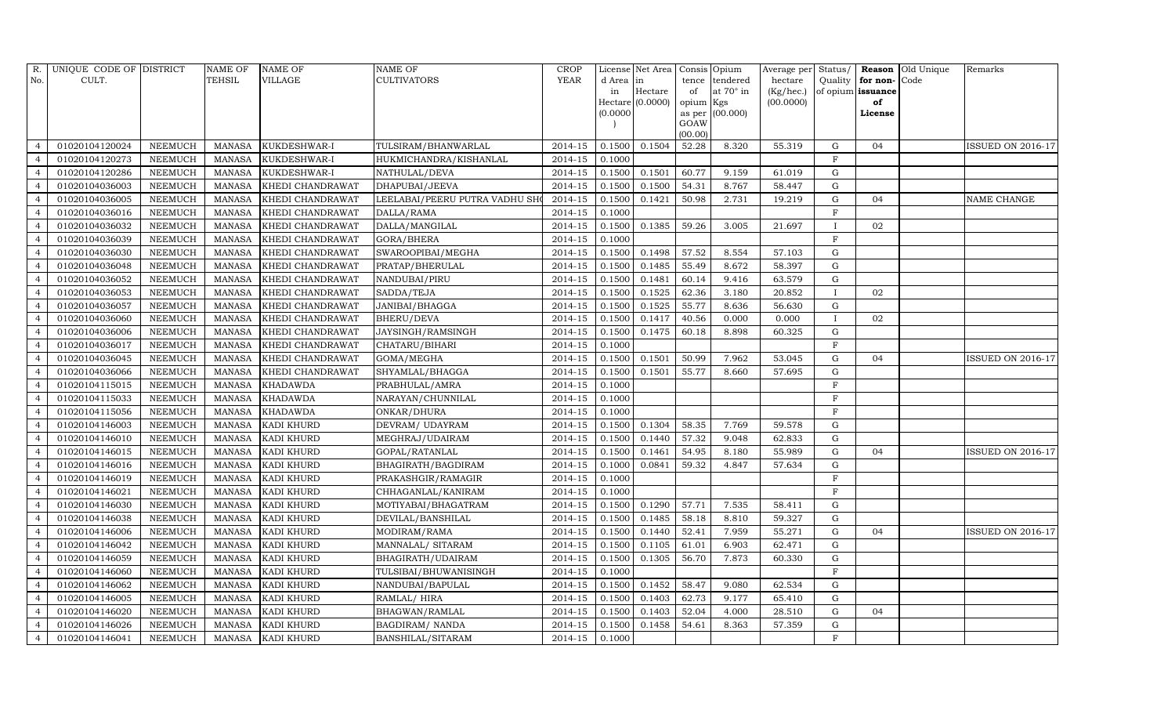| R.             | UNIQUE CODE OF DISTRICT |                | NAME OF       | <b>NAME OF</b>    | <b>NAME OF</b>                 | <b>CROP</b> |           | License Net Area   | Consis Opium    |                 | Average per Status/ |              |                   | <b>Reason</b> Old Unique | Remarks                  |
|----------------|-------------------------|----------------|---------------|-------------------|--------------------------------|-------------|-----------|--------------------|-----------------|-----------------|---------------------|--------------|-------------------|--------------------------|--------------------------|
| No.            | CULT.                   |                | TEHSIL        | <b>VILLAGE</b>    | <b>CULTIVATORS</b>             | YEAR        | d Area in |                    | tence           | tendered        | hectare             | Quality      | for non-Code      |                          |                          |
|                |                         |                |               |                   |                                |             | in        | Hectare            | of              | at 70° in       | $(Kg/$ hec. $)$     |              | of opium issuance |                          |                          |
|                |                         |                |               |                   |                                |             |           | $Hectare$ (0.0000) | opium Kgs       |                 | (00.0000)           |              | of                |                          |                          |
|                |                         |                |               |                   |                                |             | (0.0000)  |                    |                 | as per (00.000) |                     |              | License           |                          |                          |
|                |                         |                |               |                   |                                |             |           |                    | GOAW<br>(00.00) |                 |                     |              |                   |                          |                          |
|                | 01020104120024          | <b>NEEMUCH</b> | <b>MANASA</b> | KUKDESHWAR-I      | TULSIRAM/BHANWARLAL            | 2014-15     | 0.1500    | 0.1504             | 52.28           | 8.320           | 55.319              | G            | 04                |                          | <b>ISSUED ON 2016-17</b> |
| $\overline{4}$ | 01020104120273          | <b>NEEMUCH</b> | <b>MANASA</b> | KUKDESHWAR-I      | HUKMICHANDRA/KISHANLAL         | 2014-15     | 0.1000    |                    |                 |                 |                     | F            |                   |                          |                          |
| $\overline{4}$ | 01020104120286          | <b>NEEMUCH</b> | <b>MANASA</b> | KUKDESHWAR-I      | NATHULAL/DEVA                  | 2014-15     | 0.1500    | 0.1501             | 60.77           | 9.159           | 61.019              | G            |                   |                          |                          |
| $\overline{4}$ | 01020104036003          | <b>NEEMUCH</b> | <b>MANASA</b> | KHEDI CHANDRAWAT  | DHAPUBAI/JEEVA                 | 2014-15     | 0.1500    | 0.1500             | 54.31           | 8.767           | 58.447              | $\mathbf G$  |                   |                          |                          |
| 4              | 01020104036005          | <b>NEEMUCH</b> | <b>MANASA</b> | KHEDI CHANDRAWAT  | LEELABAI/PEERU PUTRA VADHU SHO | 2014-15     | 0.1500    | 0.1421             | 50.98           | 2.731           | 19.219              | G            | 04                |                          | NAME CHANGE              |
| $\overline{4}$ | 01020104036016          | <b>NEEMUCH</b> | <b>MANASA</b> | KHEDI CHANDRAWAT  | DALLA/RAMA                     | $2014 - 15$ | 0.1000    |                    |                 |                 |                     | F            |                   |                          |                          |
| 4              | 01020104036032          | <b>NEEMUCH</b> | <b>MANASA</b> | KHEDI CHANDRAWAT  | DALLA/MANGILAL                 | 2014-15     | 0.1500    | 0.1385             | 59.26           | 3.005           | 21.697              | $\mathbf{I}$ | 02                |                          |                          |
| $\overline{4}$ | 01020104036039          | <b>NEEMUCH</b> | <b>MANASA</b> | KHEDI CHANDRAWAT  | GORA/BHERA                     | 2014-15     | 0.1000    |                    |                 |                 |                     | $\mathbf F$  |                   |                          |                          |
| $\overline{4}$ | 01020104036030          | <b>NEEMUCH</b> | <b>MANASA</b> | KHEDI CHANDRAWAT  | SWAROOPIBAI/MEGHA              | 2014-15     | 0.1500    | 0.1498             | 57.52           | 8.554           | 57.103              | $\mathbf G$  |                   |                          |                          |
| 4              | 01020104036048          | <b>NEEMUCH</b> | <b>MANASA</b> | KHEDI CHANDRAWAT  | PRATAP/BHERULAL                | 2014-15     | 0.1500    | 0.1485             | 55.49           | 8.672           | 58.397              | G            |                   |                          |                          |
| $\overline{a}$ | 01020104036052          | <b>NEEMUCH</b> | <b>MANASA</b> | KHEDI CHANDRAWAT  | NANDUBAI/PIRU                  | 2014-15     | 0.1500    | 0.1481             | 60.14           | 9.416           | 63.579              | $\mathbf G$  |                   |                          |                          |
| $\overline{4}$ | 01020104036053          | <b>NEEMUCH</b> | <b>MANASA</b> | KHEDI CHANDRAWAT  | SADDA/TEJA                     | 2014-15     | 0.1500    | 0.1525             | 62.36           | 3.180           | 20.852              | $\mathbf{I}$ | 02                |                          |                          |
| $\overline{4}$ | 01020104036057          | <b>NEEMUCH</b> | <b>MANASA</b> | KHEDI CHANDRAWAT  | JANIBAI/BHAGGA                 | $2014 - 15$ | 0.1500    | 0.1525             | 55.77           | 8.636           | 56.630              | G            |                   |                          |                          |
| $\overline{a}$ | 01020104036060          | <b>NEEMUCH</b> | <b>MANASA</b> | KHEDI CHANDRAWAT  | BHERU/DEVA                     | 2014-15     | 0.1500    | 0.1417             | 40.56           | 0.000           | 0.000               | $\mathbf{I}$ | 02                |                          |                          |
| $\overline{a}$ | 01020104036006          | <b>NEEMUCH</b> | <b>MANASA</b> | KHEDI CHANDRAWAT  | JAYSINGH/RAMSINGH              | 2014-15     | 0.1500    | 0.1475             | 60.18           | 8.898           | 60.325              | $\mathbf G$  |                   |                          |                          |
| $\overline{4}$ | 01020104036017          | <b>NEEMUCH</b> | <b>MANASA</b> | KHEDI CHANDRAWAT  | CHATARU/BIHARI                 | 2014-15     | 0.1000    |                    |                 |                 |                     | F            |                   |                          |                          |
| $\overline{4}$ | 01020104036045          | <b>NEEMUCH</b> | <b>MANASA</b> | KHEDI CHANDRAWAT  | GOMA/MEGHA                     | 2014-15     | 0.1500    | 0.1501             | 50.99           | 7.962           | 53.045              | $\mathbf G$  | 04                |                          | ISSUED ON 2016-17        |
| $\overline{4}$ | 01020104036066          | <b>NEEMUCH</b> | <b>MANASA</b> | KHEDI CHANDRAWAT  | SHYAMLAL/BHAGGA                | 2014-15     | 0.1500    | 0.1501             | 55.77           | 8.660           | 57.695              | $\mathbf G$  |                   |                          |                          |
|                | 01020104115015          | <b>NEEMUCH</b> | <b>MANASA</b> | <b>KHADAWDA</b>   | PRABHULAL/AMRA                 | 2014-15     | 0.1000    |                    |                 |                 |                     | F            |                   |                          |                          |
| 4              | 01020104115033          | <b>NEEMUCH</b> | <b>MANASA</b> | <b>KHADAWDA</b>   | NARAYAN/CHUNNILAL              | 2014-15     | 0.1000    |                    |                 |                 |                     | F            |                   |                          |                          |
|                | 01020104115056          | <b>NEEMUCH</b> | <b>MANASA</b> | <b>KHADAWDA</b>   | ONKAR/DHURA                    | 2014-15     | 0.1000    |                    |                 |                 |                     | F            |                   |                          |                          |
| -4             | 01020104146003          | <b>NEEMUCH</b> | <b>MANASA</b> | KADI KHURD        | DEVRAM/ UDAYRAM                | 2014-15     | 0.1500    | 0.1304             | 58.35           | 7.769           | 59.578              | G            |                   |                          |                          |
| $\overline{4}$ | 01020104146010          | <b>NEEMUCH</b> | <b>MANASA</b> | KADI KHURD        | MEGHRAJ/UDAIRAM                | 2014-15     | 0.1500    | 0.1440             | 57.32           | 9.048           | 62.833              | G            |                   |                          |                          |
|                | 01020104146015          | <b>NEEMUCH</b> | <b>MANASA</b> | KADI KHURD        | GOPAL/RATANLAL                 | 2014-15     | 0.1500    | 0.1461             | 54.95           | 8.180           | 55.989              | ${\rm G}$    | 04                |                          | <b>ISSUED ON 2016-17</b> |
| $\overline{a}$ | 01020104146016          | <b>NEEMUCH</b> | <b>MANASA</b> | KADI KHURD        | BHAGIRATH/BAGDIRAM             | 2014-15     | 0.1000    | 0.0841             | 59.32           | 4.847           | 57.634              | $\mathbf G$  |                   |                          |                          |
| $\overline{4}$ | 01020104146019          | <b>NEEMUCH</b> | <b>MANASA</b> | <b>KADI KHURD</b> | PRAKASHGIR/RAMAGIR             | 2014-15     | 0.1000    |                    |                 |                 |                     | F            |                   |                          |                          |
| 4              | 01020104146021          | <b>NEEMUCH</b> | <b>MANASA</b> | KADI KHURD        | CHHAGANLAL/KANIRAM             | 2014-15     | 0.1000    |                    |                 |                 |                     | $\mathbf{F}$ |                   |                          |                          |
|                | 01020104146030          | <b>NEEMUCH</b> | <b>MANASA</b> | KADI KHURD        | MOTIYABAI/BHAGATRAM            | 2014-15     | 0.1500    | 0.1290             | 57.71           | 7.535           | 58.411              | $\mathbf G$  |                   |                          |                          |
|                | 01020104146038          | <b>NEEMUCH</b> | <b>MANASA</b> | <b>KADI KHURD</b> | DEVILAL/BANSHILAL              | 2014-15     | 0.1500    | 0.1485             | 58.18           | 8.810           | 59.327              | G            |                   |                          |                          |
| $\overline{a}$ | 01020104146006          | <b>NEEMUCH</b> | <b>MANASA</b> | KADI KHURD        | MODIRAM/RAMA                   | $2014 - 15$ | 0.1500    | 0.1440             | 52.41           | 7.959           | 55.271              | G            | 04                |                          | <b>ISSUED ON 2016-17</b> |
|                | 01020104146042          | <b>NEEMUCH</b> | <b>MANASA</b> | <b>KADI KHURD</b> | MANNALAL/ SITARAM              | 2014-15     | 0.1500    | 0.1105             | 61.01           | 6.903           | 62.471              | G            |                   |                          |                          |
| 4              | 01020104146059          | <b>NEEMUCH</b> | <b>MANASA</b> | <b>KADI KHURD</b> | BHAGIRATH/UDAIRAM              | 2014-15     | 0.1500    | 0.1305             | 56.70           | 7.873           | 60.330              | ${\rm G}$    |                   |                          |                          |
| $\overline{4}$ | 01020104146060          | <b>NEEMUCH</b> | <b>MANASA</b> | <b>KADI KHURD</b> | TULSIBAI/BHUWANISINGH          | 2014-15     | 0.1000    |                    |                 |                 |                     | $\mathbf F$  |                   |                          |                          |
| $\overline{4}$ | 01020104146062          | <b>NEEMUCH</b> | <b>MANASA</b> | KADI KHURD        | NANDUBAI/BAPULAL               | 2014-15     | 0.1500    | 0.1452             | 58.47           | 9.080           | 62.534              | G            |                   |                          |                          |
| $\overline{a}$ | 01020104146005          | <b>NEEMUCH</b> | <b>MANASA</b> | KADI KHURD        | RAMLAL/HIRA                    | 2014-15     | 0.1500    | 0.1403             | 62.73           | 9.177           | 65.410              | $\mathbf G$  |                   |                          |                          |
| $\overline{4}$ | 01020104146020          | <b>NEEMUCH</b> | <b>MANASA</b> | KADI KHURD        | BHAGWAN/RAMLAL                 | 2014-15     | 0.1500    | 0.1403             | 52.04           | 4.000           | 28.510              | G            | 04                |                          |                          |
| $\overline{4}$ | 01020104146026          | <b>NEEMUCH</b> | <b>MANASA</b> | KADI KHURD        | BAGDIRAM/ NANDA                | 2014-15     | 0.1500    | 0.1458             | 54.61           | 8.363           | 57.359              | $\mathbf G$  |                   |                          |                          |
| $\overline{4}$ | 01020104146041          | <b>NEEMUCH</b> | MANASA        | <b>KADI KHURD</b> | BANSHILAL/SITARAM              | 2014-15     | 0.1000    |                    |                 |                 |                     | $\mathbf{F}$ |                   |                          |                          |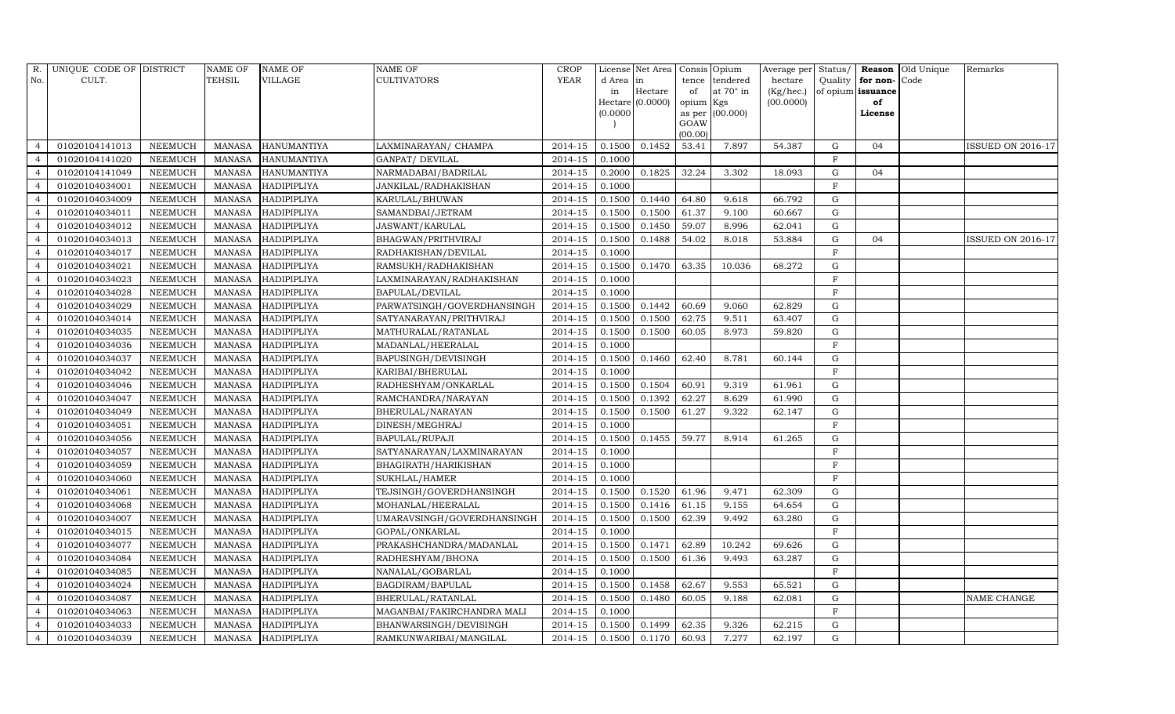| R.             | UNIQUE CODE OF DISTRICT |                | <b>NAME OF</b> | <b>NAME OF</b>     | <b>NAME OF</b>             | <b>CROP</b> |           | License Net Area | Consis Opium    |                  | Average per Status/ |                |                   | Reason Old Unique | Remarks                  |
|----------------|-------------------------|----------------|----------------|--------------------|----------------------------|-------------|-----------|------------------|-----------------|------------------|---------------------|----------------|-------------------|-------------------|--------------------------|
| No.            | CULT.                   |                | <b>TEHSIL</b>  | <b>VILLAGE</b>     | <b>CULTIVATORS</b>         | YEAR        | d Area in |                  |                 | tence tendered   | hectare             | Quality        | for non-Code      |                   |                          |
|                |                         |                |                |                    |                            |             | in        | Hectare          | of              | at $70^\circ$ in | (Kg/hec.)           |                | of opium issuance |                   |                          |
|                |                         |                |                |                    |                            |             |           | Hectare (0.0000) | opium Kgs       |                  | (00.0000)           |                | of                |                   |                          |
|                |                         |                |                |                    |                            |             | (0.0000)  |                  |                 | as per (00.000)  |                     |                | License           |                   |                          |
|                |                         |                |                |                    |                            |             |           |                  | GOAW<br>(00.00) |                  |                     |                |                   |                   |                          |
|                | 01020104141013          | <b>NEEMUCH</b> | MANASA         | <b>HANUMANTIYA</b> | LAXMINARAYAN/ CHAMPA       | 2014-15     | 0.1500    | 0.1452           | 53.41           | 7.897            | 54.387              | G              | 04                |                   | <b>ISSUED ON 2016-17</b> |
|                | 01020104141020          | <b>NEEMUCH</b> | <b>MANASA</b>  | <b>HANUMANTIYA</b> | GANPAT/ DEVILAL            | 2014-15     | 0.1000    |                  |                 |                  |                     | $\mathbf{F}$   |                   |                   |                          |
| $\overline{4}$ | 01020104141049          | <b>NEEMUCH</b> | <b>MANASA</b>  | <b>HANUMANTIYA</b> | NARMADABAI/BADRILAL        | $2014 - 15$ | 0.2000    | 0.1825           | 32.24           | 3.302            | 18.093              | G              | 04                |                   |                          |
|                | 01020104034001          | <b>NEEMUCH</b> | <b>MANASA</b>  | HADIPIPLIYA        | JANKILAL/RADHAKISHAN       | 2014-15     | 0.1000    |                  |                 |                  |                     | $\mathbf F$    |                   |                   |                          |
| $\overline{4}$ | 01020104034009          | <b>NEEMUCH</b> | <b>MANASA</b>  | HADIPIPLIYA        | KARULAL/BHUWAN             | 2014-15     | 0.1500    | 0.1440           | 64.80           | 9.618            | 66.792              | G              |                   |                   |                          |
| $\overline{a}$ | 01020104034011          | <b>NEEMUCH</b> | <b>MANASA</b>  | <b>HADIPIPLIYA</b> | SAMANDBAI/JETRAM           | 2014-15     | 0.1500    | 0.1500           | 61.37           | 9.100            | 60.667              | $\mathbf G$    |                   |                   |                          |
| $\overline{4}$ | 01020104034012          | <b>NEEMUCH</b> | <b>MANASA</b>  | <b>HADIPIPLIYA</b> | <b>JASWANT/KARULAL</b>     | 2014-15     | 0.1500    | 0.1450           | 59.07           | 8.996            | 62.041              | G              |                   |                   |                          |
| $\overline{a}$ | 01020104034013          | <b>NEEMUCH</b> | <b>MANASA</b>  | <b>HADIPIPLIYA</b> | BHAGWAN/PRITHVIRAJ         | 2014-15     | 0.1500    | 0.1488           | 54.02           | 8.018            | 53.884              | $\mathbf G$    | 04                |                   | <b>ISSUED ON 2016-17</b> |
|                | 01020104034017          | <b>NEEMUCH</b> | <b>MANASA</b>  | HADIPIPLIYA        | RADHAKISHAN/DEVILAL        | 2014-15     | 0.1000    |                  |                 |                  |                     | $\mathbf{F}$   |                   |                   |                          |
| 4              | 01020104034021          | <b>NEEMUCH</b> | <b>MANASA</b>  | HADIPIPLIYA        | RAMSUKH/RADHAKISHAN        | 2014-15     | 0.1500    | 0.1470           | 63.35           | 10.036           | 68.272              | G              |                   |                   |                          |
| $\overline{a}$ | 01020104034023          | <b>NEEMUCH</b> | <b>MANASA</b>  | <b>HADIPIPLIYA</b> | LAXMINARAYAN/RADHAKISHAN   | 2014-15     | 0.1000    |                  |                 |                  |                     | $\mathbf{F}$   |                   |                   |                          |
| $\overline{4}$ | 01020104034028          | <b>NEEMUCH</b> | <b>MANASA</b>  | <b>HADIPIPLIYA</b> | BAPULAL/DEVILAL            | 2014-15     | 0.1000    |                  |                 |                  |                     | $_{\rm F}$     |                   |                   |                          |
| $\overline{4}$ | 01020104034029          | <b>NEEMUCH</b> | <b>MANASA</b>  | <b>HADIPIPLIYA</b> | PARWATSINGH/GOVERDHANSINGH | $2014 - 15$ | 0.1500    | 0.1442           | 60.69           | 9.060            | 62.829              | $\mathbf G$    |                   |                   |                          |
|                | 01020104034014          | <b>NEEMUCH</b> | <b>MANASA</b>  | <b>HADIPIPLIYA</b> | SATYANARAYAN/PRITHVIRAJ    | 2014-15     | 0.1500    | 0.1500           | 62.75           | 9.511            | 63.407              | $\mathbf G$    |                   |                   |                          |
| $\overline{a}$ | 01020104034035          | <b>NEEMUCH</b> | <b>MANASA</b>  | <b>HADIPIPLIYA</b> | MATHURALAL/RATANLAL        | 2014-15     | 0.1500    | 0.1500           | 60.05           | 8.973            | 59.820              | $\mathbf G$    |                   |                   |                          |
|                | 01020104034036          | <b>NEEMUCH</b> | <b>MANASA</b>  | <b>HADIPIPLIYA</b> | MADANLAL/HEERALAL          | 2014-15     | 0.1000    |                  |                 |                  |                     | $\mathbf{F}$   |                   |                   |                          |
| 4              | 01020104034037          | <b>NEEMUCH</b> | <b>MANASA</b>  | HADIPIPLIYA        | BAPUSINGH/DEVISINGH        | 2014-15     | 0.1500    | 0.1460           | 62.40           | 8.781            | 60.144              | G              |                   |                   |                          |
| $\overline{a}$ | 01020104034042          | <b>NEEMUCH</b> | <b>MANASA</b>  | HADIPIPLIYA        | KARIBAI/BHERULAL           | 2014-15     | 0.1000    |                  |                 |                  |                     | F              |                   |                   |                          |
| $\overline{4}$ | 01020104034046          | <b>NEEMUCH</b> | <b>MANASA</b>  | <b>HADIPIPLIYA</b> | RADHESHYAM/ONKARLAL        | 2014-15     | 0.1500    | 0.1504           | 60.91           | 9.319            | 61.961              | ${\rm G}$      |                   |                   |                          |
| $\overline{4}$ | 01020104034047          | <b>NEEMUCH</b> | <b>MANASA</b>  | HADIPIPLIYA        | RAMCHANDRA/NARAYAN         | 2014-15     | 0.1500    | 0.1392           | 62.27           | 8.629            | 61.990              | G              |                   |                   |                          |
|                | 01020104034049          | <b>NEEMUCH</b> | <b>MANASA</b>  | HADIPIPLIYA        | BHERULAL/NARAYAN           | 2014-15     | 0.1500    | 0.1500           | 61.27           | 9.322            | 62.147              | $\mathbf G$    |                   |                   |                          |
| $\overline{a}$ | 01020104034051          | <b>NEEMUCH</b> | <b>MANASA</b>  | <b>HADIPIPLIYA</b> | DINESH/MEGHRAJ             | 2014-15     | 0.1000    |                  |                 |                  |                     | $\mathbf F$    |                   |                   |                          |
| $\overline{a}$ | 01020104034056          | <b>NEEMUCH</b> | <b>MANASA</b>  | <b>HADIPIPLIYA</b> | BAPULAL/RUPAJI             | 2014-15     | 0.1500    | 0.1455           | 59.77           | 8.914            | 61.265              | $\mathbf G$    |                   |                   |                          |
| $\overline{4}$ | 01020104034057          | <b>NEEMUCH</b> | <b>MANASA</b>  | <b>HADIPIPLIYA</b> | SATYANARAYAN/LAXMINARAYAN  | 2014-15     | 0.1000    |                  |                 |                  |                     | $\overline{F}$ |                   |                   |                          |
| $\overline{a}$ | 01020104034059          | <b>NEEMUCH</b> | <b>MANASA</b>  | HADIPIPLIYA        | BHAGIRATH/HARIKISHAN       | 2014-15     | 0.1000    |                  |                 |                  |                     | $\mathbf{F}$   |                   |                   |                          |
|                | 01020104034060          | <b>NEEMUCH</b> | <b>MANASA</b>  | <b>HADIPIPLIYA</b> | SUKHLAL/HAMER              | 2014-15     | 0.1000    |                  |                 |                  |                     | $\mathbf{F}$   |                   |                   |                          |
| $\overline{4}$ | 01020104034061          | <b>NEEMUCH</b> | <b>MANASA</b>  | HADIPIPLIYA        | TEJSINGH/GOVERDHANSINGH    | 2014-15     | 0.1500    | 0.1520           | 61.96           | 9.471            | 62.309              | G              |                   |                   |                          |
|                | 01020104034068          | <b>NEEMUCH</b> | <b>MANASA</b>  | <b>HADIPIPLIYA</b> | MOHANLAL/HEERALAL          | 2014-15     | 0.1500    | 0.1416           | 61.15           | 9.155            | 64.654              | $\mathbf G$    |                   |                   |                          |
|                | 01020104034007          | <b>NEEMUCH</b> | <b>MANASA</b>  | <b>HADIPIPLIYA</b> | UMARAVSINGH/GOVERDHANSINGH | 2014-15     | 0.1500    | 0.1500           | 62.39           | 9.492            | 63.280              | ${\rm G}$      |                   |                   |                          |
| $\overline{4}$ | 01020104034015          | <b>NEEMUCH</b> | <b>MANASA</b>  | <b>HADIPIPLIYA</b> | GOPAL/ONKARLAL             | $2014 - 15$ | 0.1000    |                  |                 |                  |                     | F              |                   |                   |                          |
|                | 01020104034077          | <b>NEEMUCH</b> | <b>MANASA</b>  | HADIPIPLIYA        | PRAKASHCHANDRA/MADANLAL    | 2014-15     | 0.1500    | 0.1471           | 62.89           | 10.242           | 69.626              | $\mathbf G$    |                   |                   |                          |
| 4              | 01020104034084          | <b>NEEMUCH</b> | <b>MANASA</b>  | HADIPIPLIYA        | RADHESHYAM/BHONA           | $2014 - 15$ | 0.1500    | 0.1500           | 61.36           | 9.493            | 63.287              | G              |                   |                   |                          |
| $\overline{a}$ | 01020104034085          | <b>NEEMUCH</b> | <b>MANASA</b>  | <b>HADIPIPLIYA</b> | NANALAL/GOBARLAL           | 2014-15     | 0.1000    |                  |                 |                  |                     | $\mathbf{F}$   |                   |                   |                          |
| $\overline{4}$ | 01020104034024          | <b>NEEMUCH</b> | <b>MANASA</b>  | <b>HADIPIPLIYA</b> | BAGDIRAM/BAPULAL           | 2014-15     | 0.1500    | 0.1458           | 62.67           | 9.553            | 65.521              | G              |                   |                   |                          |
| $\overline{4}$ | 01020104034087          | <b>NEEMUCH</b> | <b>MANASA</b>  | <b>HADIPIPLIYA</b> | BHERULAL/RATANLAL          | 2014-15     | 0.1500    | 0.1480           | 60.05           | 9.188            | 62.081              | $\mathbf G$    |                   |                   | <b>NAME CHANGE</b>       |
|                | 01020104034063          | <b>NEEMUCH</b> | <b>MANASA</b>  | HADIPIPLIYA        | MAGANBAI/FAKIRCHANDRA MALI | 2014-15     | 0.1000    |                  |                 |                  |                     | $\mathbf{F}$   |                   |                   |                          |
| $\overline{4}$ | 01020104034033          | <b>NEEMUCH</b> | <b>MANASA</b>  | <b>HADIPIPLIYA</b> | BHANWARSINGH/DEVISINGH     | 2014-15     | 0.1500    | 0.1499           | 62.35           | 9.326            | 62.215              | G              |                   |                   |                          |
| $\overline{4}$ | 01020104034039          | <b>NEEMUCH</b> | <b>MANASA</b>  | HADIPIPLIYA        | RAMKUNWARIBAI/MANGILAL     | 2014-15     | 0.1500    | 0.1170           | 60.93           | 7.277            | 62.197              | $\mathbf G$    |                   |                   |                          |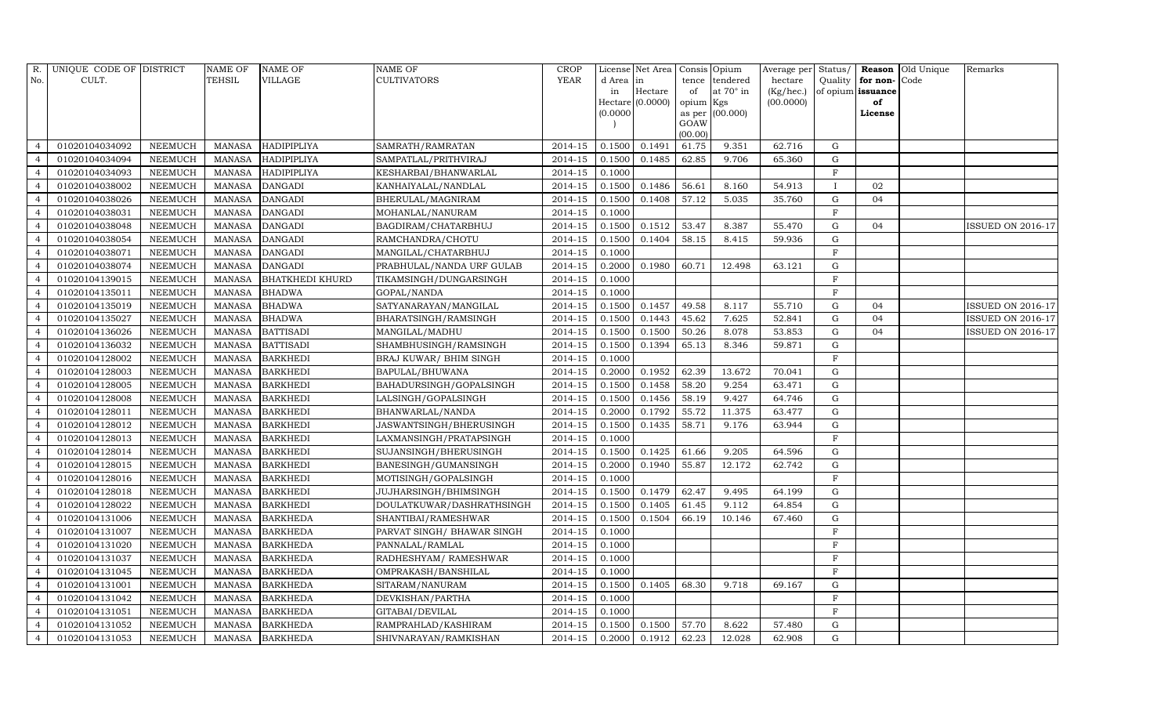| R.             | UNIQUE CODE OF DISTRICT |                | <b>NAME OF</b> | <b>NAME OF</b>         | <b>NAME OF</b>              | <b>CROP</b> |           | License Net Area Consis Opium |           |                 |           |             |                   | Average per Status/ Reason Old Unique | Remarks                  |
|----------------|-------------------------|----------------|----------------|------------------------|-----------------------------|-------------|-----------|-------------------------------|-----------|-----------------|-----------|-------------|-------------------|---------------------------------------|--------------------------|
| No.            | CULT.                   |                | <b>TEHSIL</b>  | <b>VILLAGE</b>         | CULTIVATORS                 | <b>YEAR</b> | d Area in |                               | tence     | tendered        | hectare   | Quality     | for non-Code      |                                       |                          |
|                |                         |                |                |                        |                             |             | in        | Hectare                       | of        | at 70° in       | (Kg/hec.) |             | of opium issuance |                                       |                          |
|                |                         |                |                |                        |                             |             |           | $Hectare$ (0.0000)            | opium Kgs |                 | (00.0000) |             | of                |                                       |                          |
|                |                         |                |                |                        |                             |             | (0.0000)  |                               | GOAW      | as per (00.000) |           |             | License           |                                       |                          |
|                |                         |                |                |                        |                             |             |           |                               | (00.00)   |                 |           |             |                   |                                       |                          |
|                | 01020104034092          | <b>NEEMUCH</b> | MANASA         | HADIPIPLIYA            | SAMRATH/RAMRATAN            | 2014-15     | 0.1500    | 0.1491                        | 61.75     | 9.351           | 62.716    | G           |                   |                                       |                          |
|                | 01020104034094          | <b>NEEMUCH</b> | <b>MANASA</b>  | <b>HADIPIPLIYA</b>     | SAMPATLAL/PRITHVIRAJ        | 2014-15     | 0.1500    | 0.1485                        | 62.85     | 9.706           | 65.360    | G           |                   |                                       |                          |
| $\overline{a}$ | 01020104034093          | <b>NEEMUCH</b> | <b>MANASA</b>  | HADIPIPLIYA            | KESHARBAI/BHANWARLAL        | 2014-15     | 0.1000    |                               |           |                 |           | $\mathbf F$ |                   |                                       |                          |
|                | 01020104038002          | <b>NEEMUCH</b> | <b>MANASA</b>  | <b>DANGADI</b>         | KANHAIYALAL/NANDLAL         | 2014-15     | 0.1500    | 0.1486                        | 56.61     | 8.160           | 54.913    | $\mathbf I$ | 02                |                                       |                          |
| $\overline{a}$ | 01020104038026          | <b>NEEMUCH</b> | <b>MANASA</b>  | <b>DANGADI</b>         | BHERULAL/MAGNIRAM           | 2014-15     | 0.1500    | 0.1408                        | 57.12     | 5.035           | 35.760    | G           | 04                |                                       |                          |
|                | 01020104038031          | <b>NEEMUCH</b> | <b>MANASA</b>  | <b>DANGADI</b>         | MOHANLAL/NANURAM            | 2014-15     | 0.1000    |                               |           |                 |           | $_{\rm F}$  |                   |                                       |                          |
| 4              | 01020104038048          | <b>NEEMUCH</b> | <b>MANASA</b>  | <b>DANGADI</b>         | BAGDIRAM/CHATARBHUJ         | 2014-15     | 0.1500    | 0.1512                        | 53.47     | 8.387           | 55.470    | G           | 04                |                                       | <b>ISSUED ON 2016-17</b> |
| $\overline{a}$ | 01020104038054          | <b>NEEMUCH</b> | <b>MANASA</b>  | <b>DANGADI</b>         | RAMCHANDRA/CHOTU            | 2014-15     | 0.1500    | 0.1404                        | 58.15     | 8.415           | 59.936    | $\mathbf G$ |                   |                                       |                          |
|                | 01020104038071          | <b>NEEMUCH</b> | <b>MANASA</b>  | <b>DANGADI</b>         | MANGILAL/CHATARBHUJ         | 2014-15     | 0.1000    |                               |           |                 |           | $\mathbf F$ |                   |                                       |                          |
| $\overline{4}$ | 01020104038074          | <b>NEEMUCH</b> | <b>MANASA</b>  | <b>DANGADI</b>         | PRABHULAL/NANDA URF GULAB   | 2014-15     | 0.2000    | 0.1980                        | 60.71     | 12.498          | 63.121    | G           |                   |                                       |                          |
| $\overline{a}$ | 01020104139015          | <b>NEEMUCH</b> | <b>MANASA</b>  | <b>BHATKHEDI KHURD</b> | TIKAMSINGH/DUNGARSINGH      | 2014-15     | 0.1000    |                               |           |                 |           | F           |                   |                                       |                          |
| 4              | 01020104135011          | <b>NEEMUCH</b> | <b>MANASA</b>  | <b>BHADWA</b>          | GOPAL/NANDA                 | 2014-15     | 0.1000    |                               |           |                 |           | $\mathbf F$ |                   |                                       |                          |
| $\overline{a}$ | 01020104135019          | NEEMUCH        | <b>MANASA</b>  | <b>BHADWA</b>          | SATYANARAYAN/MANGILAL       | 2014-15     | 0.1500    | 0.1457                        | 49.58     | 8.117           | 55.710    | G           | 04                |                                       | <b>ISSUED ON 2016-17</b> |
|                | 01020104135027          | <b>NEEMUCH</b> | <b>MANASA</b>  | <b>BHADWA</b>          | BHARATSINGH/RAMSINGH        | 2014-15     | 0.1500    | 0.1443                        | 45.62     | 7.625           | 52.841    | ${\rm G}$   | 04                |                                       | <b>ISSUED ON 2016-17</b> |
|                | 01020104136026          | <b>NEEMUCH</b> | <b>MANASA</b>  | <b>BATTISADI</b>       | MANGILAL/MADHU              | 2014-15     | 0.1500    | 0.1500                        | 50.26     | 8.078           | 53.853    | G           | 04                |                                       | <b>ISSUED ON 2016-17</b> |
|                | 01020104136032          | <b>NEEMUCH</b> | <b>MANASA</b>  | <b>BATTISADI</b>       | SHAMBHUSINGH/RAMSINGH       | 2014-15     | 0.1500    | 0.1394                        | 65.13     | 8.346           | 59.871    | G           |                   |                                       |                          |
| 4              | 01020104128002          | <b>NEEMUCH</b> | <b>MANASA</b>  | <b>BARKHEDI</b>        | BRAJ KUWAR/ BHIM SINGH      | 2014-15     | 0.1000    |                               |           |                 |           | $\mathbf F$ |                   |                                       |                          |
|                | 01020104128003          | <b>NEEMUCH</b> | <b>MANASA</b>  | <b>BARKHEDI</b>        | BAPULAL/BHUWANA             | 2014-15     | 0.2000    | 0.1952                        | 62.39     | 13.672          | 70.041    | $\mathbf G$ |                   |                                       |                          |
|                | 01020104128005          | <b>NEEMUCH</b> | <b>MANASA</b>  | <b>BARKHEDI</b>        | BAHADURSINGH/GOPALSINGH     | 2014-15     | 0.1500    | 0.1458                        | 58.20     | 9.254           | 63.471    | $\mathbf G$ |                   |                                       |                          |
| $\overline{4}$ | 01020104128008          | NEEMUCH        | <b>MANASA</b>  | <b>BARKHEDI</b>        | LALSINGH/GOPALSINGH         | 2014-15     | 0.1500    | 0.1456                        | 58.19     | 9.427           | 64.746    | $\mathbf G$ |                   |                                       |                          |
|                | 01020104128011          | <b>NEEMUCH</b> | <b>MANASA</b>  | <b>BARKHEDI</b>        | BHANWARLAL/NANDA            | 2014-15     | 0.2000    | 0.1792                        | 55.72     | 11.375          | 63.477    | $\mathbf G$ |                   |                                       |                          |
| $\overline{a}$ | 01020104128012          | <b>NEEMUCH</b> | <b>MANASA</b>  | <b>BARKHEDI</b>        | JASWANTSINGH/BHERUSINGH     | 2014-15     | 0.1500    | 0.1435                        | 58.71     | 9.176           | 63.944    | G           |                   |                                       |                          |
|                | 01020104128013          | <b>NEEMUCH</b> | <b>MANASA</b>  | <b>BARKHEDI</b>        | LAXMANSINGH/PRATAPSINGH     | 2014-15     | 0.1000    |                               |           |                 |           | $_{\rm F}$  |                   |                                       |                          |
|                | 01020104128014          | <b>NEEMUCH</b> | <b>MANASA</b>  | <b>BARKHEDI</b>        | SUJANSINGH/BHERUSINGH       | 2014-15     | 0.1500    | 0.1425                        | 61.66     | 9.205           | 64.596    | G           |                   |                                       |                          |
| $\overline{a}$ | 01020104128015          | <b>NEEMUCH</b> | <b>MANASA</b>  | <b>BARKHEDI</b>        | BANESINGH/GUMANSINGH        | 2014-15     | 0.2000    | 0.1940                        | 55.87     | 12.172          | 62.742    | $\mathbf G$ |                   |                                       |                          |
|                | 01020104128016          | NEEMUCH        | <b>MANASA</b>  | <b>BARKHEDI</b>        | MOTISINGH/GOPALSINGH        | 2014-15     | 0.1000    |                               |           |                 |           | F           |                   |                                       |                          |
| 4              | 01020104128018          | <b>NEEMUCH</b> | <b>MANASA</b>  | <b>BARKHEDI</b>        | JUJHARSINGH/BHIMSINGH       | 2014-15     | 0.1500    | 0.1479                        | 62.47     | 9.495           | 64.199    | G           |                   |                                       |                          |
|                | 01020104128022          | <b>NEEMUCH</b> | <b>MANASA</b>  | <b>BARKHEDI</b>        | DOULATKUWAR/DASHRATHSINGH   | 2014-15     | 0.1500    | 0.1405                        | 61.45     | 9.112           | 64.854    | G           |                   |                                       |                          |
|                | 01020104131006          | <b>NEEMUCH</b> | <b>MANASA</b>  | <b>BARKHEDA</b>        | SHANTIBAI/RAMESHWAR         | 2014-15     | 0.1500    | 0.1504                        | 66.19     | 10.146          | 67.460    | G           |                   |                                       |                          |
| $\overline{4}$ | 01020104131007          | <b>NEEMUCH</b> | <b>MANASA</b>  | <b>BARKHEDA</b>        | PARVAT SINGH / BHAWAR SINGH | 2014-15     | 0.1000    |                               |           |                 |           | $\mathbf F$ |                   |                                       |                          |
|                | 01020104131020          | <b>NEEMUCH</b> | <b>MANASA</b>  | <b>BARKHEDA</b>        | PANNALAL/RAMLAL             | 2014-15     | 0.1000    |                               |           |                 |           | F           |                   |                                       |                          |
| 4              | 01020104131037          | NEEMUCH        | <b>MANASA</b>  | <b>BARKHEDA</b>        | RADHESHYAM/ RAMESHWAR       | 2014-15     | 0.1000    |                               |           |                 |           | $\rm F$     |                   |                                       |                          |
|                | 01020104131045          | <b>NEEMUCH</b> | <b>MANASA</b>  | <b>BARKHEDA</b>        | OMPRAKASH/BANSHILAL         | 2014-15     | 0.1000    |                               |           |                 |           | $_{\rm F}$  |                   |                                       |                          |
| $\overline{a}$ | 01020104131001          | <b>NEEMUCH</b> | <b>MANASA</b>  | <b>BARKHEDA</b>        | SITARAM/NANURAM             | 2014-15     | 0.1500    | 0.1405                        | 68.30     | 9.718           | 69.167    | G           |                   |                                       |                          |
| $\overline{a}$ | 01020104131042          | <b>NEEMUCH</b> | <b>MANASA</b>  | <b>BARKHEDA</b>        | DEVKISHAN/PARTHA            | 2014-15     | 0.1000    |                               |           |                 |           | $\mathbf F$ |                   |                                       |                          |
|                | 01020104131051          | <b>NEEMUCH</b> | <b>MANASA</b>  | <b>BARKHEDA</b>        | GITABAI/DEVILAL             | 2014-15     | 0.1000    |                               |           |                 |           | $\mathbf F$ |                   |                                       |                          |
| 4              | 01020104131052          | <b>NEEMUCH</b> | <b>MANASA</b>  | <b>BARKHEDA</b>        | RAMPRAHLAD/KASHIRAM         | 2014-15     | 0.1500    | 0.1500                        | 57.70     | 8.622           | 57.480    | G           |                   |                                       |                          |
| $\overline{4}$ | 01020104131053          | NEEMUCH        | <b>MANASA</b>  | <b>BARKHEDA</b>        | SHIVNARAYAN/RAMKISHAN       | 2014-15     | 0.2000    | 0.1912                        | 62.23     | 12.028          | 62.908    | $\mathbf G$ |                   |                                       |                          |